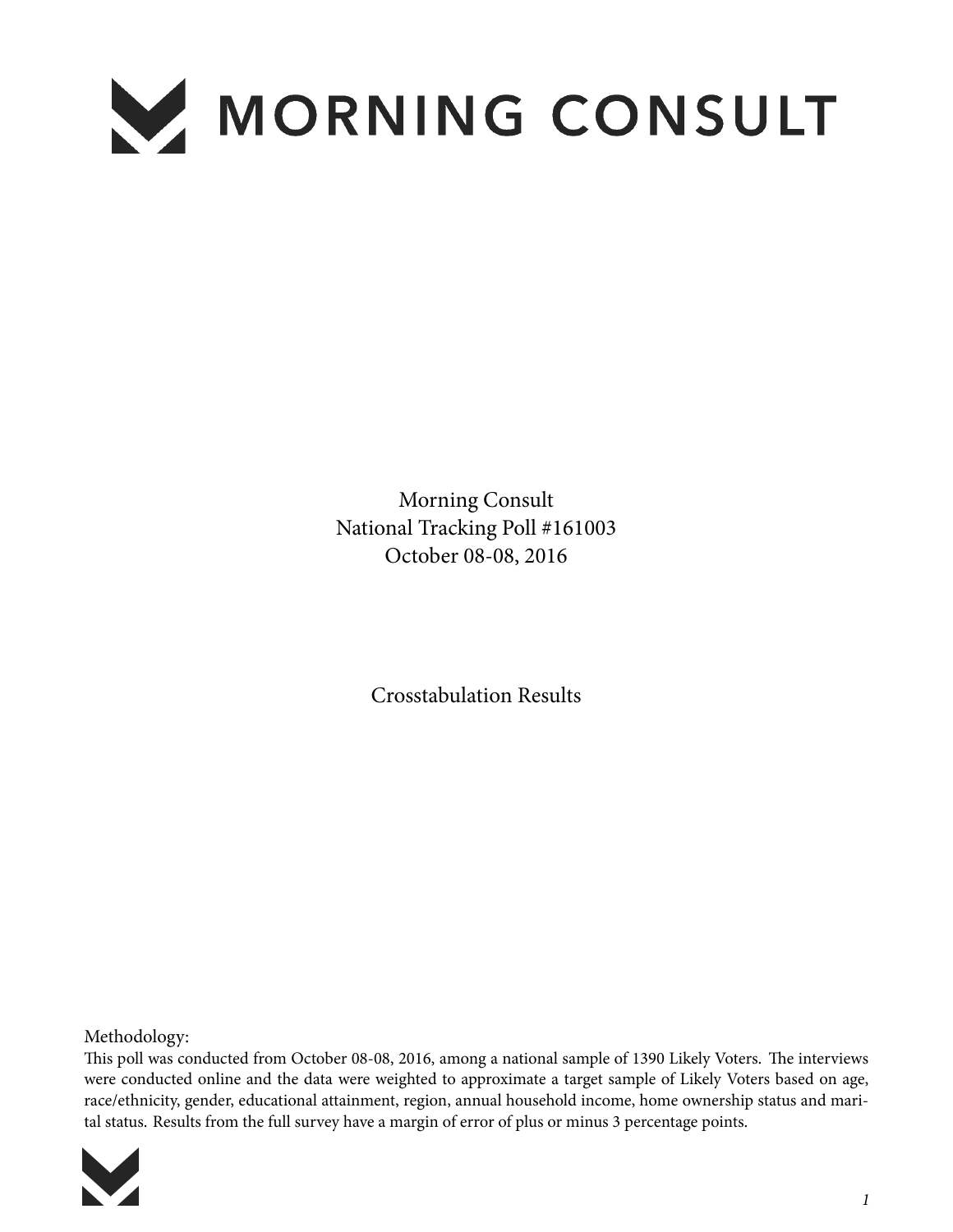

Morning Consult National Tracking Poll #161003 October 08-08, 2016

Crosstabulation Results

Methodology:

This poll was conducted from October 08-08, 2016, among a national sample of 1390 Likely Voters. The interviews were conducted online and the data were weighted to approximate a target sample of Likely Voters based on age, race/ethnicity, gender, educational attainment, region, annual household income, home ownership status and marital status. Results from the full survey have a margin of error of plus or minus 3 percentage points.

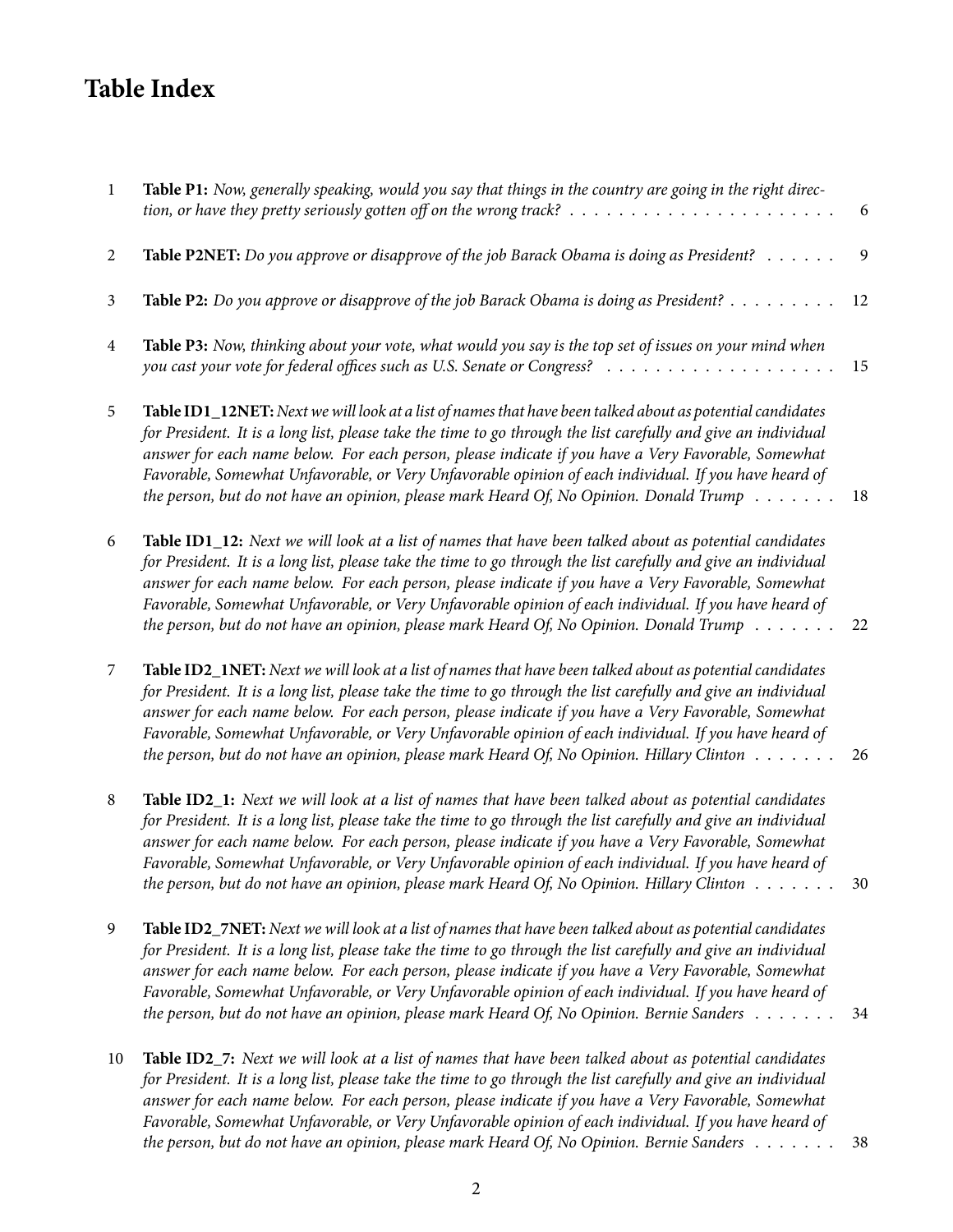## **Table Index**

| $\mathbf{1}$   | Table P1: Now, generally speaking, would you say that things in the country are going in the right direc-<br>tion, or have they pretty seriously gotten off on the wrong track? $\ldots \ldots \ldots \ldots \ldots \ldots \ldots \ldots$                                                                                                                                                                                                                                                                                                             | 6  |
|----------------|-------------------------------------------------------------------------------------------------------------------------------------------------------------------------------------------------------------------------------------------------------------------------------------------------------------------------------------------------------------------------------------------------------------------------------------------------------------------------------------------------------------------------------------------------------|----|
| $\overline{2}$ | Table P2NET: Do you approve or disapprove of the job Barack Obama is doing as President?                                                                                                                                                                                                                                                                                                                                                                                                                                                              | 9  |
| $\mathfrak{Z}$ | Table P2: Do you approve or disapprove of the job Barack Obama is doing as President?                                                                                                                                                                                                                                                                                                                                                                                                                                                                 | 12 |
| 4              | Table P3: Now, thinking about your vote, what would you say is the top set of issues on your mind when                                                                                                                                                                                                                                                                                                                                                                                                                                                | 15 |
| 5              | Table ID1_12NET: Next we will look at a list of names that have been talked about as potential candidates<br>for President. It is a long list, please take the time to go through the list carefully and give an individual<br>answer for each name below. For each person, please indicate if you have a Very Favorable, Somewhat<br>Favorable, Somewhat Unfavorable, or Very Unfavorable opinion of each individual. If you have heard of<br>the person, but do not have an opinion, please mark Heard Of, No Opinion. Donald Trump $\dots \dots$   | 18 |
| 6              | Table ID1_12: Next we will look at a list of names that have been talked about as potential candidates<br>for President. It is a long list, please take the time to go through the list carefully and give an individual<br>answer for each name below. For each person, please indicate if you have a Very Favorable, Somewhat<br>Favorable, Somewhat Unfavorable, or Very Unfavorable opinion of each individual. If you have heard of<br>the person, but do not have an opinion, please mark Heard Of, No Opinion. Donald Trump $\dots \dots$      | 22 |
| $\overline{7}$ | Table ID2_1NET: Next we will look at a list of names that have been talked about as potential candidates<br>for President. It is a long list, please take the time to go through the list carefully and give an individual<br>answer for each name below. For each person, please indicate if you have a Very Favorable, Somewhat<br>Favorable, Somewhat Unfavorable, or Very Unfavorable opinion of each individual. If you have heard of<br>the person, but do not have an opinion, please mark Heard Of, No Opinion. Hillary Clinton $\dots \dots$ | 26 |
| $\,8\,$        | Table ID2_1: Next we will look at a list of names that have been talked about as potential candidates<br>for President. It is a long list, please take the time to go through the list carefully and give an individual<br>answer for each name below. For each person, please indicate if you have a Very Favorable, Somewhat<br>Favorable, Somewhat Unfavorable, or Very Unfavorable opinion of each individual. If you have heard of<br>the person, but do not have an opinion, please mark Heard Of, No Opinion. Hillary Clinton $\dots \dots$    | 30 |
| 9              | Table ID2_7NET: Next we will look at a list of names that have been talked about as potential candidates<br>for President. It is a long list, please take the time to go through the list carefully and give an individual<br>answer for each name below. For each person, please indicate if you have a Very Favorable, Somewhat<br>Favorable, Somewhat Unfavorable, or Very Unfavorable opinion of each individual. If you have heard of<br>the person, but do not have an opinion, please mark Heard Of, No Opinion. Bernie Sanders                | 34 |
| 10             | Table ID2_7: Next we will look at a list of names that have been talked about as potential candidates<br>for President. It is a long list, please take the time to go through the list carefully and give an individual<br>answer for each name below. For each person, please indicate if you have a Very Favorable, Somewhat<br>Favorable, Somewhat Unfavorable, or Very Unfavorable opinion of each individual. If you have heard of                                                                                                               |    |

*[the person, but do not have an opinion, please mark Heard Of, No Opinion. Bernie Sanders](#page-37-0)* . . . . . . . 38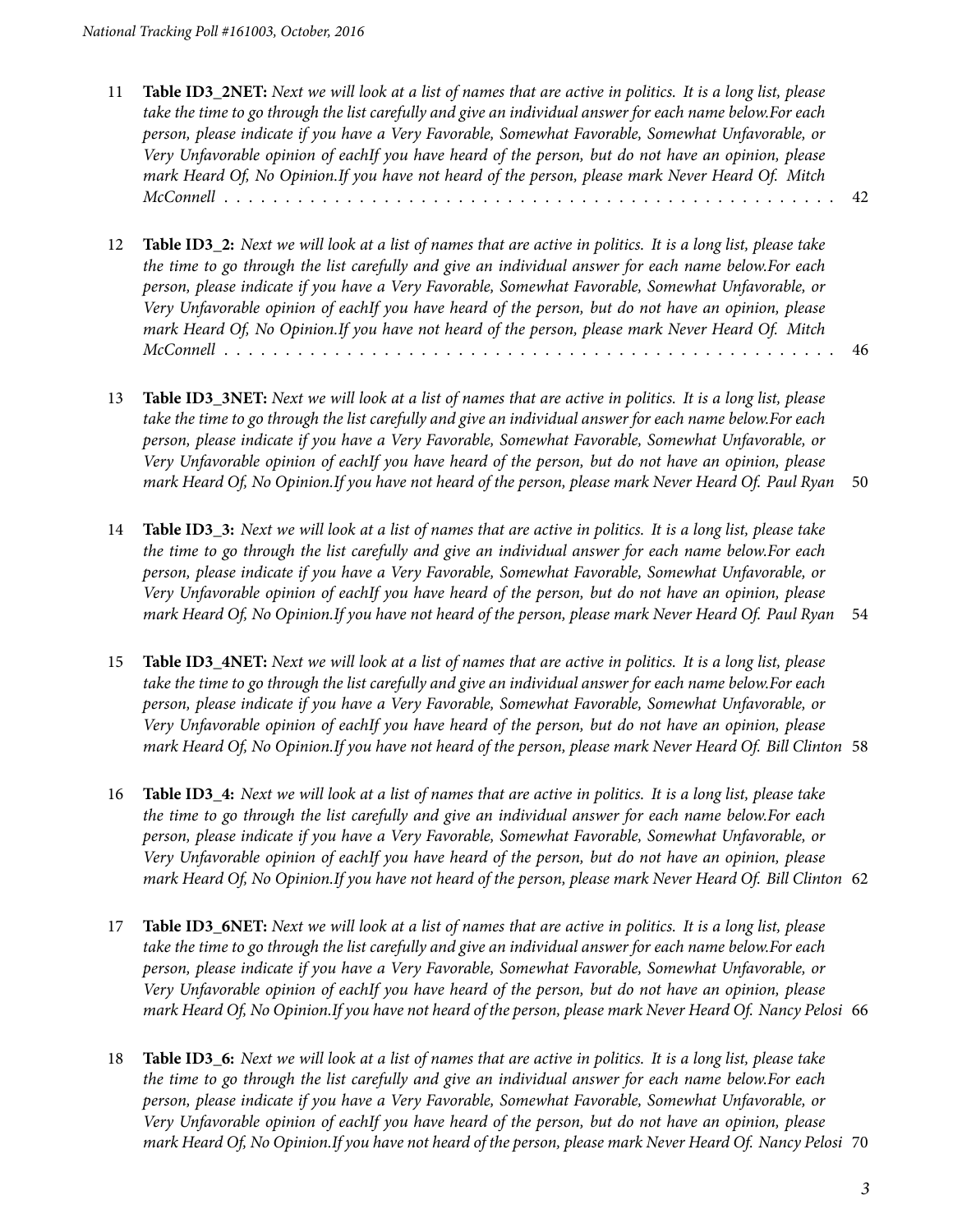- 11 **Table ID3\_2NET:** *[Next we will look at a list of names that are active in politics. It is a long list, please](#page-41-0) [take the time to go through the list carefully and give an individual answer for each name below.For each](#page-41-0) [person, please indicate if you have a Very Favorable, Somewhat Favorable, Somewhat Unfavorable, or](#page-41-0) [Very Unfavorable opinion of eachIf you have heard of the person, but do not have an opinion, please](#page-41-0) [mark Heard Of, No Opinion.If you have not heard of the person, please mark Never Heard Of. Mitch](#page-41-0) [McConnell](#page-41-0)* . . . . . . . . . . . . . . . . . . . . . . . . . . . . . . . . . . . . . . . . . . . . . . . . . . 42
- 12 **Table ID3\_2:** *[Next we will look at a list of names that are active in politics. It is a long list, please take](#page-45-0) [the time to go through the list carefully and give an individual answer for each name below.For each](#page-45-0) [person, please indicate if you have a Very Favorable, Somewhat Favorable, Somewhat Unfavorable, or](#page-45-0) [Very Unfavorable opinion of eachIf you have heard of the person, but do not have an opinion, please](#page-45-0) [mark Heard Of, No Opinion.If you have not heard of the person, please mark Never Heard Of. Mitch](#page-45-0) [McConnell](#page-45-0)* . . . . . . . . . . . . . . . . . . . . . . . . . . . . . . . . . . . . . . . . . . . . . . . . . . 46
- 13 **Table ID3\_3NET:** *[Next we will look at a list of names that are active in politics. It is a long list, please](#page-49-0) [take the time to go through the list carefully and give an individual answer for each name below.For each](#page-49-0) [person, please indicate if you have a Very Favorable, Somewhat Favorable, Somewhat Unfavorable, or](#page-49-0) [Very Unfavorable opinion of eachIf you have heard of the person, but do not have an opinion, please](#page-49-0) [mark Heard Of, No Opinion.If you have not heard of the person, please mark Never Heard Of. Paul Ryan](#page-49-0)* 50
- 14 **Table ID3\_3:** *[Next we will look at a list of names that are active in politics. It is a long list, please take](#page-53-0) [the time to go through the list carefully and give an individual answer for each name below.For each](#page-53-0) [person, please indicate if you have a Very Favorable, Somewhat Favorable, Somewhat Unfavorable, or](#page-53-0) [Very Unfavorable opinion of eachIf you have heard of the person, but do not have an opinion, please](#page-53-0) [mark Heard Of, No Opinion.If you have not heard of the person, please mark Never Heard Of. Paul Ryan](#page-53-0)* 54
- 15 **Table ID3\_4NET:** *[Next we will look at a list of names that are active in politics. It is a long list, please](#page-57-0) [take the time to go through the list carefully and give an individual answer for each name below.For each](#page-57-0) [person, please indicate if you have a Very Favorable, Somewhat Favorable, Somewhat Unfavorable, or](#page-57-0) [Very Unfavorable opinion of eachIf you have heard of the person, but do not have an opinion, please](#page-57-0) [mark Heard Of, No Opinion.If you have not heard of the person, please mark Never Heard Of. Bill Clinton](#page-57-0)* 58
- 16 **Table ID3\_4:** *[Next we will look at a list of names that are active in politics. It is a long list, please take](#page-61-0) [the time to go through the list carefully and give an individual answer for each name below.For each](#page-61-0) [person, please indicate if you have a Very Favorable, Somewhat Favorable, Somewhat Unfavorable, or](#page-61-0) [Very Unfavorable opinion of eachIf you have heard of the person, but do not have an opinion, please](#page-61-0) [mark Heard Of, No Opinion.If you have not heard of the person, please mark Never Heard Of. Bill Clinton](#page-61-0)* 62
- 17 **Table ID3\_6NET:** *[Next we will look at a list of names that are active in politics. It is a long list, please](#page-65-0) [take the time to go through the list carefully and give an individual answer for each name below.For each](#page-65-0) [person, please indicate if you have a Very Favorable, Somewhat Favorable, Somewhat Unfavorable, or](#page-65-0) [Very Unfavorable opinion of eachIf you have heard of the person, but do not have an opinion, please](#page-65-0) [mark Heard Of, No Opinion.If you have not heard of the person, please mark Never Heard Of. Nancy Pelosi](#page-65-0)* 66
- 18 **Table ID3\_6:** *[Next we will look at a list of names that are active in politics. It is a long list, please take](#page-69-0) [the time to go through the list carefully and give an individual answer for each name below.For each](#page-69-0) [person, please indicate if you have a Very Favorable, Somewhat Favorable, Somewhat Unfavorable, or](#page-69-0) [Very Unfavorable opinion of eachIf you have heard of the person, but do not have an opinion, please](#page-69-0) [mark Heard Of, No Opinion.If you have not heard of the person, please mark Never Heard Of. Nancy Pelosi](#page-69-0)* 70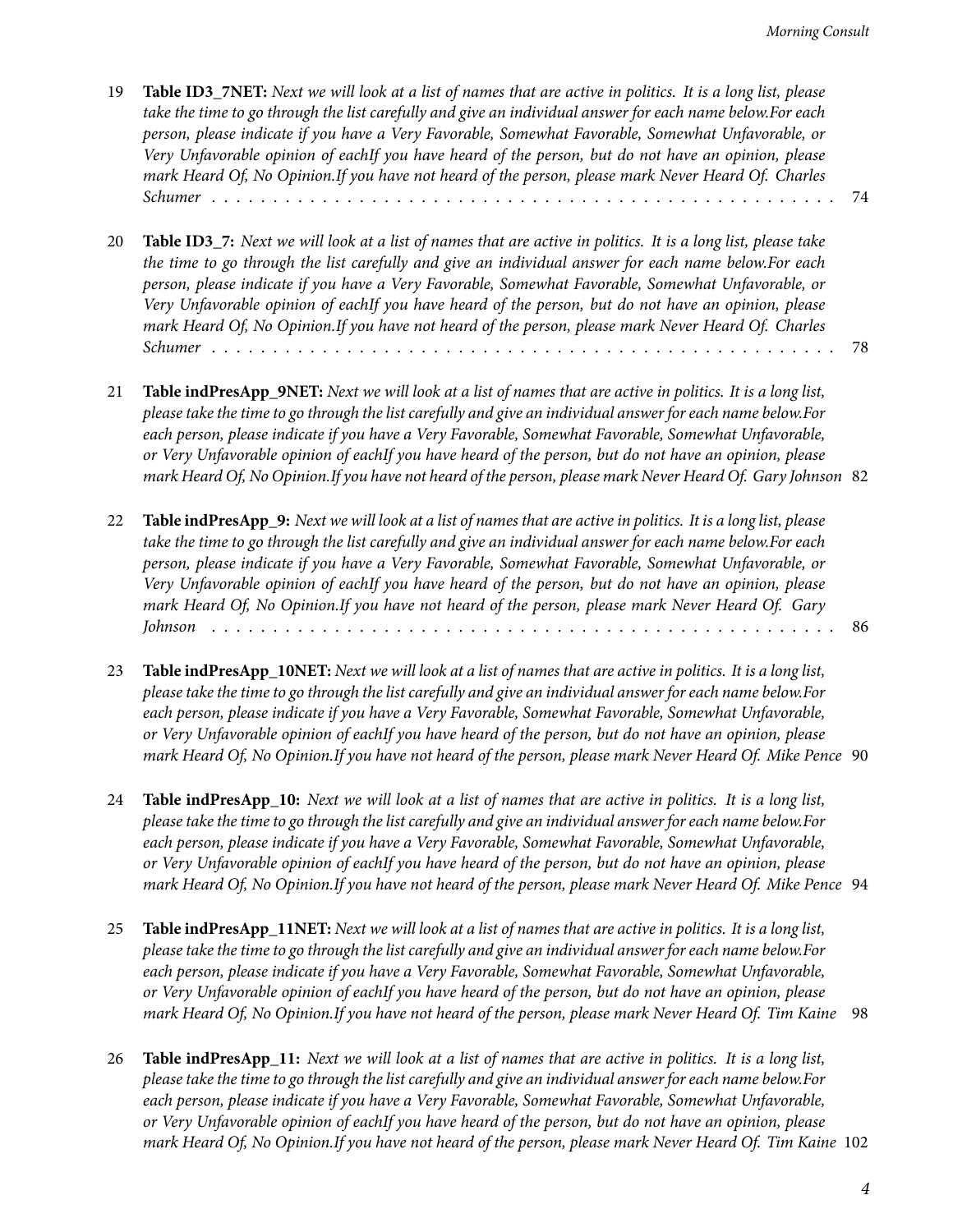- 19 **Table ID3\_7NET:** *[Next we will look at a list of names that are active in politics. It is a long list, please](#page-73-0) [take the time to go through the list carefully and give an individual answer for each name below.For each](#page-73-0) [person, please indicate if you have a Very Favorable, Somewhat Favorable, Somewhat Unfavorable, or](#page-73-0) [Very Unfavorable opinion of eachIf you have heard of the person, but do not have an opinion, please](#page-73-0) [mark Heard Of, No Opinion.If you have not heard of the person, please mark Never Heard Of. Charles](#page-73-0) [Schumer](#page-73-0)* . . . . . . . . . . . . . . . . . . . . . . . . . . . . . . . . . . . . . . . . . . . . . . . . . . . 74
- 20 **Table ID3\_7:** *[Next we will look at a list of names that are active in politics. It is a long list, please take](#page-77-0) [the time to go through the list carefully and give an individual answer for each name below.For each](#page-77-0) [person, please indicate if you have a Very Favorable, Somewhat Favorable, Somewhat Unfavorable, or](#page-77-0) [Very Unfavorable opinion of eachIf you have heard of the person, but do not have an opinion, please](#page-77-0) [mark Heard Of, No Opinion.If you have not heard of the person, please mark Never Heard Of. Charles](#page-77-0) [Schumer](#page-77-0)* . . . . . . . . . . . . . . . . . . . . . . . . . . . . . . . . . . . . . . . . . . . . . . . . . . . 78
- 21 **Table indPresApp\_9NET:** *[Next we will look at a list of names that are active in politics. It is a long list,](#page-81-0) [please take the time to go through the list carefully and give an individual answer for each name below.For](#page-81-0) [each person, please indicate if you have a Very Favorable, Somewhat Favorable, Somewhat Unfavorable,](#page-81-0) [or Very Unfavorable opinion of eachIf you have heard of the person, but do not have an opinion, please](#page-81-0) [mark Heard Of, No Opinion.If you have not heard of the person, please mark Never Heard Of. Gary Johnson](#page-81-0)* 82
- 22 **Table indPresApp\_9:** *[Next we will look at a list of names that are active in politics. It is a long list, please](#page-85-0) [take the time to go through the list carefully and give an individual answer for each name below.For each](#page-85-0) [person, please indicate if you have a Very Favorable, Somewhat Favorable, Somewhat Unfavorable, or](#page-85-0) [Very Unfavorable opinion of eachIf you have heard of the person, but do not have an opinion, please](#page-85-0) [mark Heard Of, No Opinion.If you have not heard of the person, please mark Never Heard Of. Gary](#page-85-0) [Johnson](#page-85-0)* . . . . . . . . . . . . . . . . . . . . . . . . . . . . . . . . . . . . . . . . . . . . . . . . . . . 86
- 23 **Table indPresApp\_10NET:** *[Next we will look at a list of names that are active in politics. It is a long list,](#page-89-0) [please take the time to go through the list carefully and give an individual answer for each name below.For](#page-89-0) [each person, please indicate if you have a Very Favorable, Somewhat Favorable, Somewhat Unfavorable,](#page-89-0) [or Very Unfavorable opinion of eachIf you have heard of the person, but do not have an opinion, please](#page-89-0) [mark Heard Of, No Opinion.If you have not heard of the person, please mark Never Heard Of. Mike Pence](#page-89-0)* 90
- 24 **Table indPresApp\_10:** *[Next we will look at a list of names that are active in politics. It is a long list,](#page-93-0) [please take the time to go through the list carefully and give an individual answer for each name below.For](#page-93-0) [each person, please indicate if you have a Very Favorable, Somewhat Favorable, Somewhat Unfavorable,](#page-93-0) [or Very Unfavorable opinion of eachIf you have heard of the person, but do not have an opinion, please](#page-93-0) [mark Heard Of, No Opinion.If you have not heard of the person, please mark Never Heard Of. Mike Pence](#page-93-0)* 94
- 25 **Table indPresApp\_11NET:** *[Next we will look at a list of names that are active in politics. It is a long list,](#page-97-0) [please take the time to go through the list carefully and give an individual answer for each name below.For](#page-97-0) [each person, please indicate if you have a Very Favorable, Somewhat Favorable, Somewhat Unfavorable,](#page-97-0) [or Very Unfavorable opinion of eachIf you have heard of the person, but do not have an opinion, please](#page-97-0) [mark Heard Of, No Opinion.If you have not heard of the person, please mark Never Heard Of. Tim Kaine](#page-97-0)* 98
- 26 **Table indPresApp\_11:** *[Next we will look at a list of names that are active in politics. It is a long list,](#page-101-0) [please take the time to go through the list carefully and give an individual answer for each name below.For](#page-101-0) [each person, please indicate if you have a Very Favorable, Somewhat Favorable, Somewhat Unfavorable,](#page-101-0) [or Very Unfavorable opinion of eachIf you have heard of the person, but do not have an opinion, please](#page-101-0) [mark Heard Of, No Opinion.If you have not heard of the person, please mark Never Heard Of. Tim Kaine](#page-101-0)* 102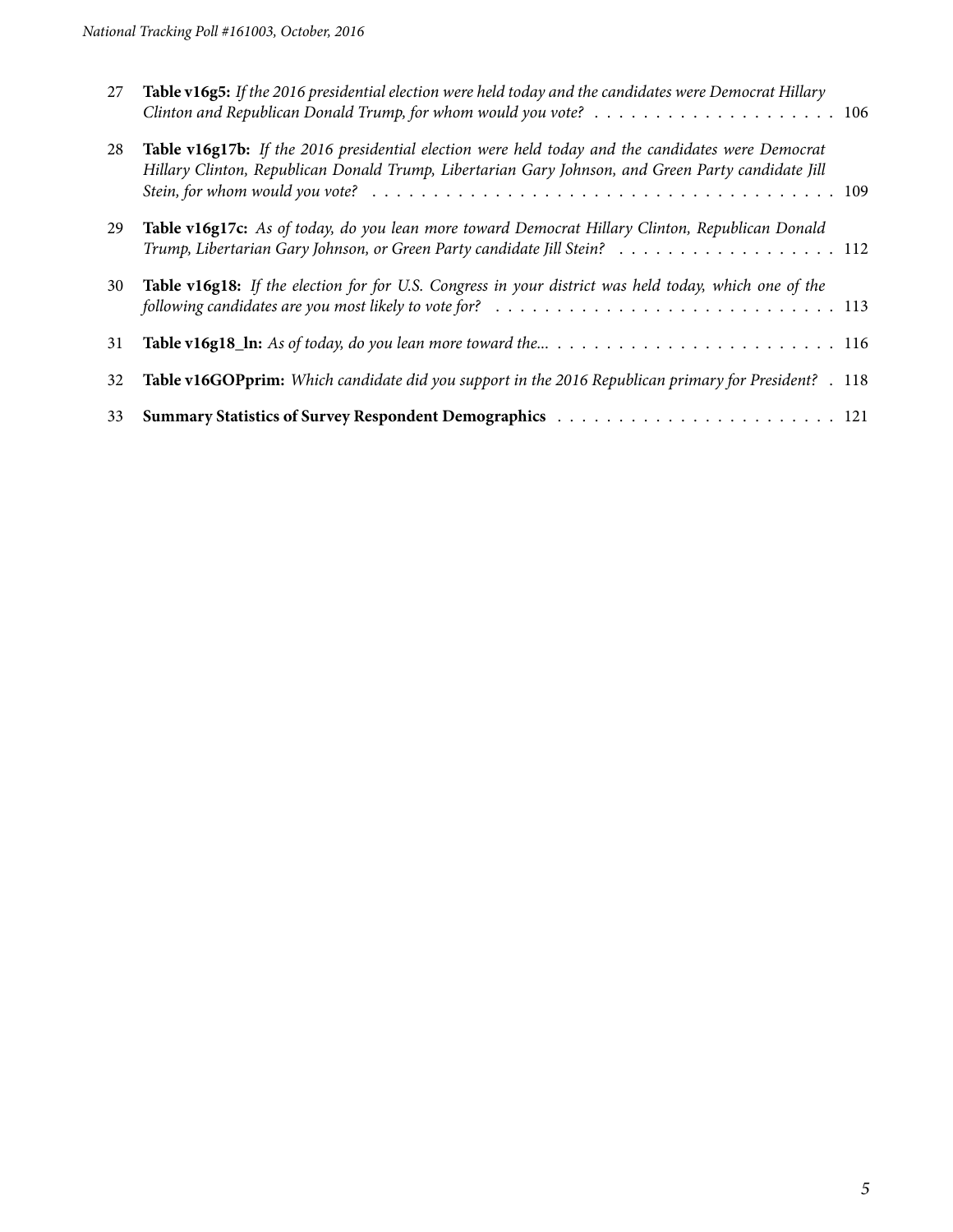| 27 | Table v16g5: If the 2016 presidential election were held today and the candidates were Democrat Hillary<br>Clinton and Republican Donald Trump, for whom would you vote? $\ldots \ldots \ldots \ldots \ldots \ldots \ldots \ldots$                |
|----|---------------------------------------------------------------------------------------------------------------------------------------------------------------------------------------------------------------------------------------------------|
| 28 | Table v16g17b: If the 2016 presidential election were held today and the candidates were Democrat<br>Hillary Clinton, Republican Donald Trump, Libertarian Gary Johnson, and Green Party candidate Jill                                           |
| 29 | Table v16g17c: As of today, do you lean more toward Democrat Hillary Clinton, Republican Donald<br>Trump, Libertarian Gary Johnson, or Green Party candidate Jill Stein? 112                                                                      |
| 30 | Table v16g18: If the election for for U.S. Congress in your district was held today, which one of the<br>following candidates are you most likely to vote for? $\ldots \ldots \ldots \ldots \ldots \ldots \ldots \ldots \ldots \ldots \ldots 113$ |
| 31 |                                                                                                                                                                                                                                                   |
| 32 | Table v16GOPprim: Which candidate did you support in the 2016 Republican primary for President? . 118                                                                                                                                             |
| 33 |                                                                                                                                                                                                                                                   |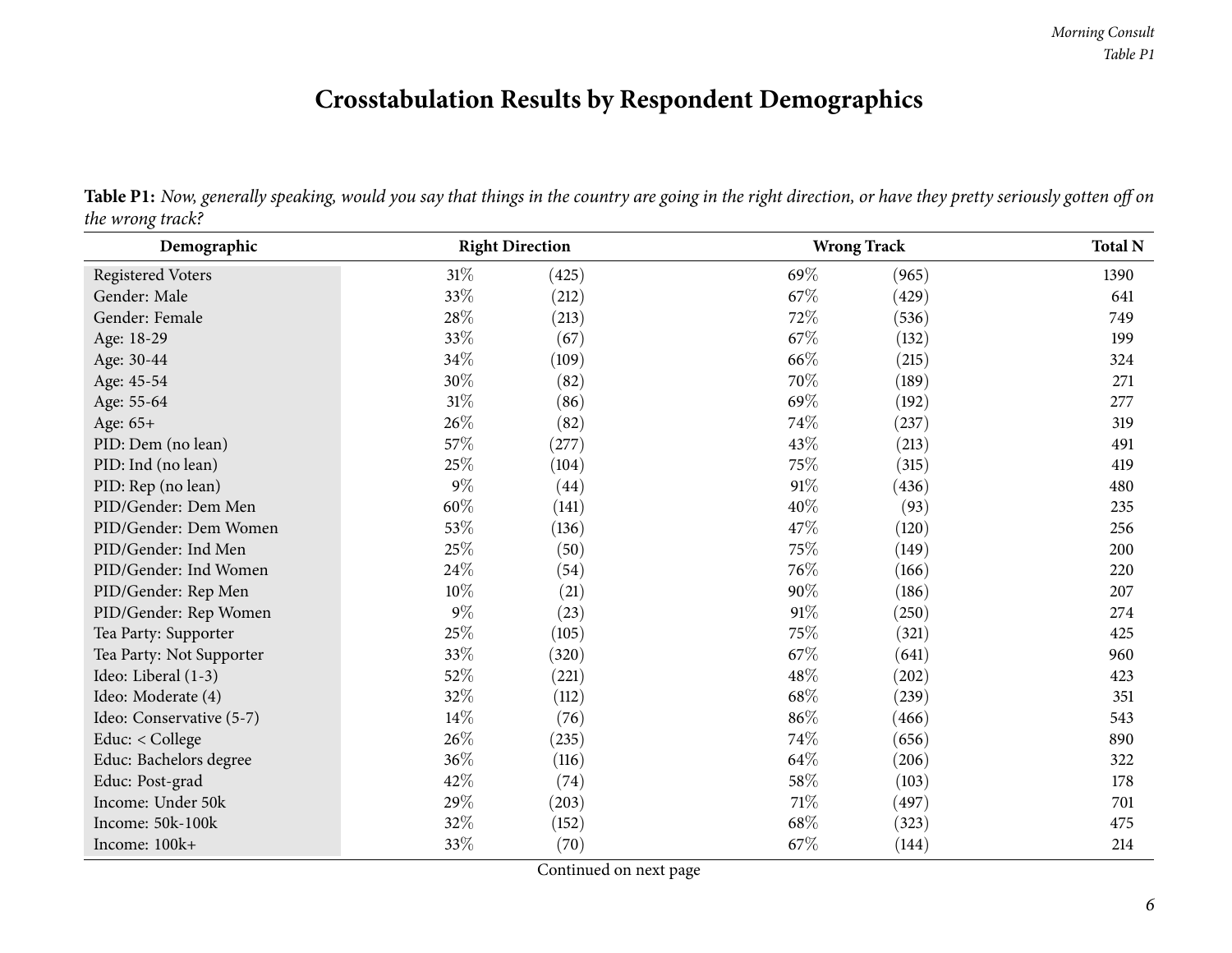## **Crosstabulation Results by Respondent Demographics**

<span id="page-5-0"></span>

| Demographic              | <b>Right Direction</b> |       |        | <b>Wrong Track</b> | <b>Total N</b> |  |  |
|--------------------------|------------------------|-------|--------|--------------------|----------------|--|--|
| <b>Registered Voters</b> | 31%                    | (425) | 69%    | (965)              | 1390           |  |  |
| Gender: Male             | 33%                    | (212) | 67%    | (429)              | 641            |  |  |
| Gender: Female           | $28\%$                 | (213) | $72\%$ | (536)              | 749            |  |  |
| Age: 18-29               | 33%                    | (67)  | $67\%$ | (132)              | 199            |  |  |
| Age: 30-44               | 34\%                   | (109) | 66%    | (215)              | 324            |  |  |
| Age: 45-54               | $30\%$                 | (82)  | $70\%$ | (189)              | 271            |  |  |
| Age: 55-64               | $31\%$                 | (86)  | 69%    | (192)              | 277            |  |  |
| Age: 65+                 | 26\%                   | (82)  | 74%    | (237)              | 319            |  |  |
| PID: Dem (no lean)       | 57%                    | (277) | 43\%   | (213)              | 491            |  |  |
| PID: Ind (no lean)       | 25%                    | (104) | 75%    | (315)              | 419            |  |  |
| PID: Rep (no lean)       | $9\%$                  | (44)  | 91%    | (436)              | 480            |  |  |
| PID/Gender: Dem Men      | $60\%$                 | (141) | 40\%   | (93)               | 235            |  |  |
| PID/Gender: Dem Women    | 53%                    | (136) | 47%    | (120)              | 256            |  |  |
| PID/Gender: Ind Men      | 25%                    | (50)  | 75%    | (149)              | 200            |  |  |
| PID/Gender: Ind Women    | $24\%$                 | (54)  | 76\%   | (166)              | 220            |  |  |
| PID/Gender: Rep Men      | $10\%$                 | (21)  | 90%    | (186)              | 207            |  |  |
| PID/Gender: Rep Women    | $9\%$                  | (23)  | 91%    | (250)              | 274            |  |  |
| Tea Party: Supporter     | $25\%$                 | (105) | 75%    | (321)              | 425            |  |  |
| Tea Party: Not Supporter | 33%                    | (320) | 67%    | (641)              | 960            |  |  |
| Ideo: Liberal (1-3)      | $52\%$                 | (221) | 48%    | (202)              | 423            |  |  |
| Ideo: Moderate (4)       | 32%                    | (112) | 68%    | (239)              | 351            |  |  |
| Ideo: Conservative (5-7) | $14\%$                 | (76)  | 86%    | (466)              | 543            |  |  |
| Educ: < College          | 26\%                   | (235) | 74%    | (656)              | 890            |  |  |
| Educ: Bachelors degree   | 36%                    | (116) | 64%    | (206)              | 322            |  |  |
| Educ: Post-grad          | 42%                    | (74)  | 58\%   | (103)              | 178            |  |  |
| Income: Under 50k        | 29%                    | (203) | $71\%$ | (497)              | 701            |  |  |
| Income: 50k-100k         | 32%                    | (152) | 68%    | (323)              | 475            |  |  |
| Income: 100k+            | 33%                    | (70)  | 67%    | (144)              | 214            |  |  |

Table P1: Now, generally speaking, would you say that things in the country are going in the right direction, or have they pretty seriously gotten off on *the wrong track?*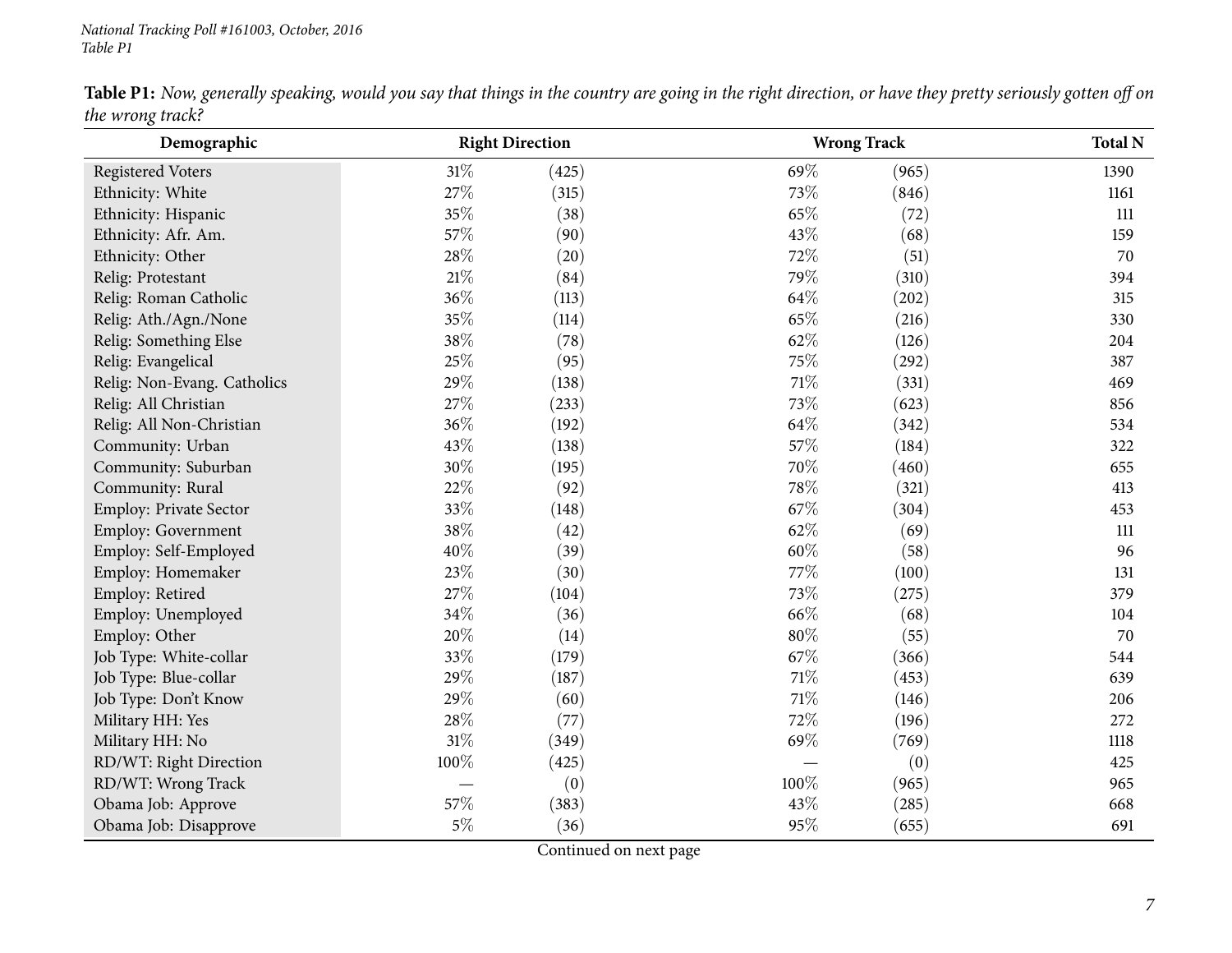|                  | Table P1: Now, generally speaking, would you say that things in the country are going in the right direction, or have they pretty seriously gotten off on |  |  |
|------------------|-----------------------------------------------------------------------------------------------------------------------------------------------------------|--|--|
| the wrong track? |                                                                                                                                                           |  |  |

| o<br>Demographic            | <b>Right Direction</b> |       |        | <b>Wrong Track</b> |      |  |  |  |
|-----------------------------|------------------------|-------|--------|--------------------|------|--|--|--|
| <b>Registered Voters</b>    | $31\%$                 | (425) | 69%    | (965)              | 1390 |  |  |  |
| Ethnicity: White            | 27%                    | (315) | 73%    | (846)              | 1161 |  |  |  |
| Ethnicity: Hispanic         | 35%                    | (38)  | 65%    | (72)               | 111  |  |  |  |
| Ethnicity: Afr. Am.         | 57%                    | (90)  | 43%    | (68)               | 159  |  |  |  |
| Ethnicity: Other            | 28\%                   | (20)  | 72%    | (51)               | 70   |  |  |  |
| Relig: Protestant           | 21%                    | (84)  | 79%    | (310)              | 394  |  |  |  |
| Relig: Roman Catholic       | 36%                    | (113) | 64%    | (202)              | 315  |  |  |  |
| Relig: Ath./Agn./None       | 35%                    | (114) | 65%    | (216)              | 330  |  |  |  |
| Relig: Something Else       | 38%                    | (78)  | 62%    | (126)              | 204  |  |  |  |
| Relig: Evangelical          | 25%                    | (95)  | 75%    | (292)              | 387  |  |  |  |
| Relig: Non-Evang. Catholics | 29%                    | (138) | $71\%$ | (331)              | 469  |  |  |  |
| Relig: All Christian        | 27%                    | (233) | $73\%$ | (623)              | 856  |  |  |  |
| Relig: All Non-Christian    | 36%                    | (192) | 64%    | (342)              | 534  |  |  |  |
| Community: Urban            | 43%                    | (138) | 57%    | (184)              | 322  |  |  |  |
| Community: Suburban         | 30%                    | (195) | 70%    | (460)              | 655  |  |  |  |
| Community: Rural            | 22%                    | (92)  | 78%    | (321)              | 413  |  |  |  |
| Employ: Private Sector      | 33%                    | (148) | 67%    | (304)              | 453  |  |  |  |
| Employ: Government          | 38%                    | (42)  | 62%    | (69)               | 111  |  |  |  |
| Employ: Self-Employed       | 40%                    | (39)  | 60%    | (58)               | 96   |  |  |  |
| Employ: Homemaker           | 23%                    | (30)  | 77%    | (100)              | 131  |  |  |  |
| Employ: Retired             | 27%                    | (104) | 73%    | (275)              | 379  |  |  |  |
| Employ: Unemployed          | 34%                    | (36)  | 66%    | (68)               | 104  |  |  |  |
| Employ: Other               | 20%                    | (14)  | $80\%$ | (55)               | 70   |  |  |  |
| Job Type: White-collar      | 33%                    | (179) | 67%    | (366)              | 544  |  |  |  |
| Job Type: Blue-collar       | 29%                    | (187) | 71%    | (453)              | 639  |  |  |  |
| Job Type: Don't Know        | 29%                    | (60)  | $71\%$ | (146)              | 206  |  |  |  |
| Military HH: Yes            | 28\%                   | (77)  | 72%    | (196)              | 272  |  |  |  |
| Military HH: No             | 31%                    | (349) | 69%    | (769)              | 1118 |  |  |  |
| RD/WT: Right Direction      | 100%                   | (425) |        | (0)                | 425  |  |  |  |
| RD/WT: Wrong Track          |                        | (0)   | 100%   | (965)              | 965  |  |  |  |
| Obama Job: Approve          | 57%                    | (383) | 43%    | (285)              | 668  |  |  |  |
| Obama Job: Disapprove       | $5\%$                  | (36)  | 95%    | (655)              | 691  |  |  |  |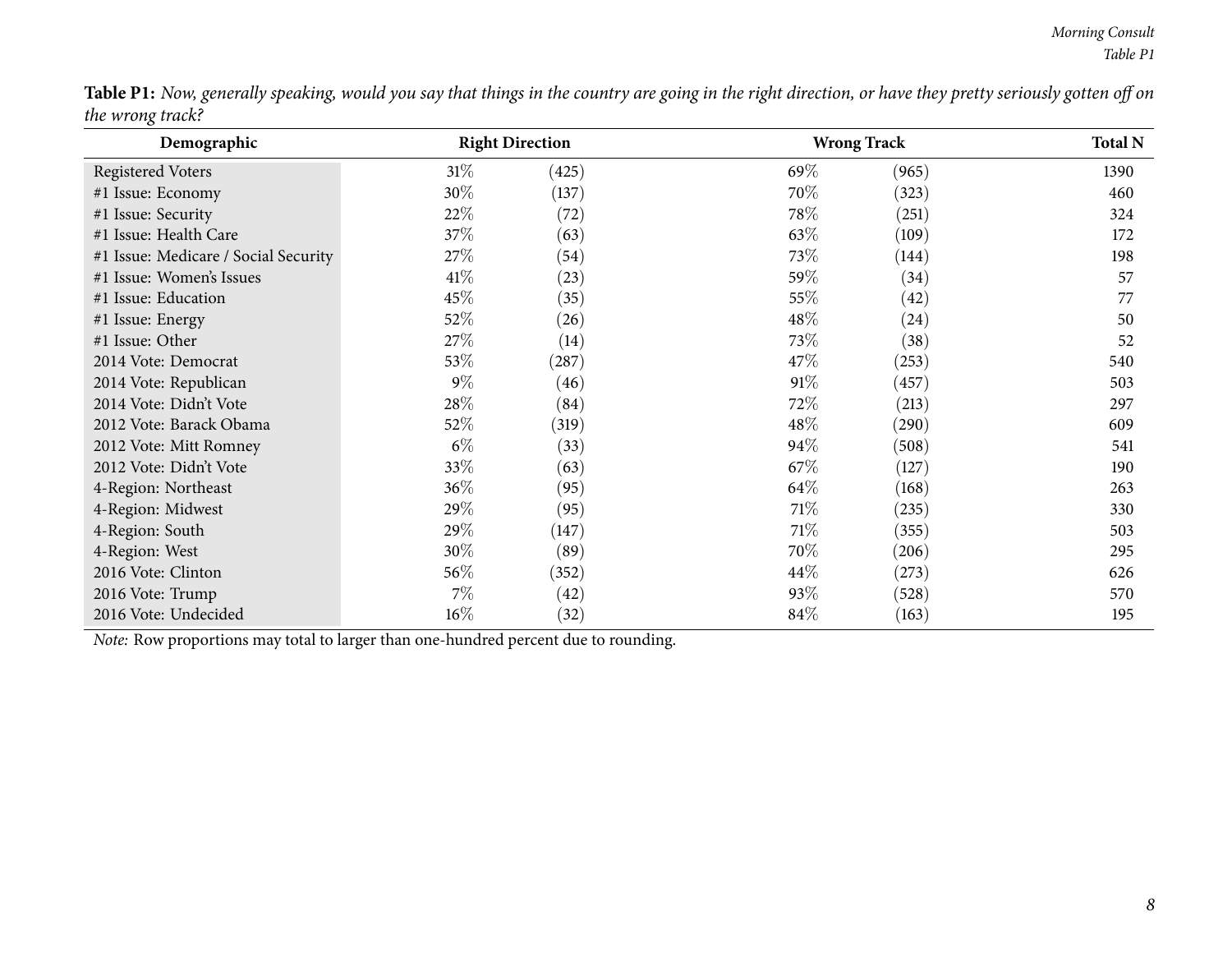|                  | <b>Table P1:</b> Now, generally speaking, would you say that things in the country are going in the right direction, or have they pretty seriously gotten off on |  |  |
|------------------|------------------------------------------------------------------------------------------------------------------------------------------------------------------|--|--|
| the wrong track? |                                                                                                                                                                  |  |  |

| Demographic                                                                         |        | <b>Right Direction</b> |      | <b>Wrong Track</b> |      |  |  |  |  |
|-------------------------------------------------------------------------------------|--------|------------------------|------|--------------------|------|--|--|--|--|
| <b>Registered Voters</b>                                                            | 31%    | (425)                  | 69\% | (965)              | 1390 |  |  |  |  |
| #1 Issue: Economy                                                                   | 30%    | (137)                  | 70%  | (323)              | 460  |  |  |  |  |
| #1 Issue: Security                                                                  | 22%    | (72)                   | 78%  | (251)              | 324  |  |  |  |  |
| #1 Issue: Health Care                                                               | 37%    | (63)                   | 63\% | (109)              | 172  |  |  |  |  |
| #1 Issue: Medicare / Social Security                                                | 27%    | (54)                   | 73%  | (144)              | 198  |  |  |  |  |
| #1 Issue: Women's Issues                                                            | 41\%   | (23)                   | 59%  | (34)               | 57   |  |  |  |  |
| #1 Issue: Education                                                                 | 45%    | (35)                   | 55%  | (42)               | 77   |  |  |  |  |
| #1 Issue: Energy                                                                    | 52%    | (26)                   | 48\% | (24)               | 50   |  |  |  |  |
| #1 Issue: Other                                                                     | 27%    | (14)                   | 73%  | (38)               | 52   |  |  |  |  |
| 2014 Vote: Democrat                                                                 | 53%    | (287)                  | 47\% | (253)              | 540  |  |  |  |  |
| 2014 Vote: Republican                                                               | $9\%$  | (46)                   | 91%  | (457)              | 503  |  |  |  |  |
| 2014 Vote: Didn't Vote                                                              | 28\%   | (84)                   | 72%  | (213)              | 297  |  |  |  |  |
| 2012 Vote: Barack Obama                                                             | 52%    | (319)                  | 48\% | (290)              | 609  |  |  |  |  |
| 2012 Vote: Mitt Romney                                                              | $6\%$  | (33)                   | 94%  | (508)              | 541  |  |  |  |  |
| 2012 Vote: Didn't Vote                                                              | 33%    | (63)                   | 67\% | (127)              | 190  |  |  |  |  |
| 4-Region: Northeast                                                                 | 36%    | (95)                   | 64\% | (168)              | 263  |  |  |  |  |
| 4-Region: Midwest                                                                   | 29%    | (95)                   | 71\% | (235)              | 330  |  |  |  |  |
| 4-Region: South                                                                     | 29%    | (147)                  | 71\% | (355)              | 503  |  |  |  |  |
| 4-Region: West                                                                      | 30%    | (89)                   | 70%  | (206)              | 295  |  |  |  |  |
| 2016 Vote: Clinton                                                                  | 56%    | (352)                  | 44\% | (273)              | 626  |  |  |  |  |
| 2016 Vote: Trump                                                                    | $7\%$  | (42)                   | 93\% | (528)              | 570  |  |  |  |  |
| 2016 Vote: Undecided                                                                | $16\%$ | (32)                   | 84\% | (163)              | 195  |  |  |  |  |
| Note: Row proportions may total to larger than one-hundred percent due to rounding. |        |                        |      |                    |      |  |  |  |  |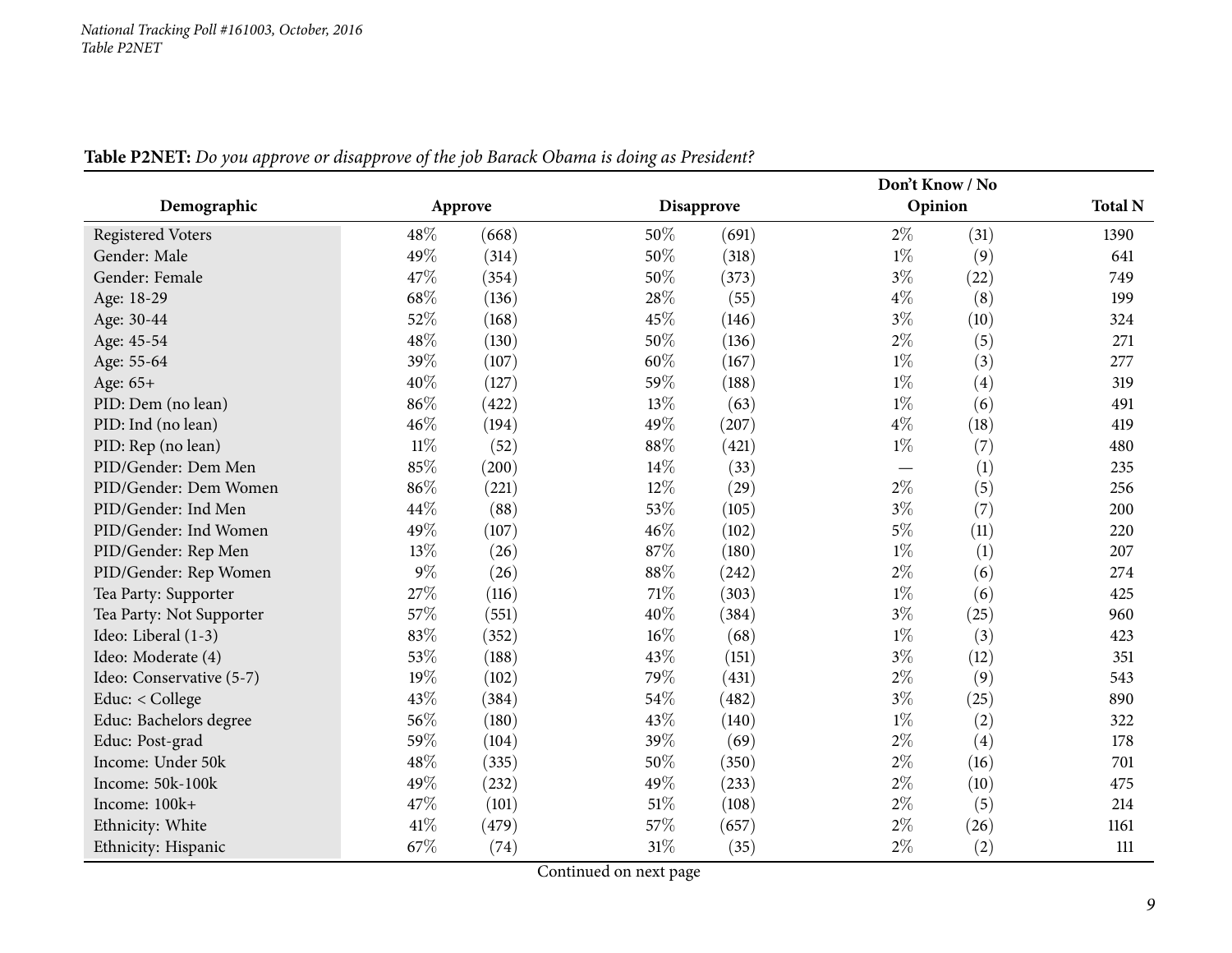<span id="page-8-0"></span>

|                          |         |       |     |            |       | Don't Know / No |                |
|--------------------------|---------|-------|-----|------------|-------|-----------------|----------------|
| Demographic              | Approve |       |     | Disapprove |       | Opinion         | <b>Total N</b> |
| <b>Registered Voters</b> | 48%     | (668) | 50% | (691)      | $2\%$ | (31)            | 1390           |
| Gender: Male             | 49%     | (314) | 50% | (318)      | $1\%$ | (9)             | 641            |
| Gender: Female           | 47%     | (354) | 50% | (373)      | $3\%$ | (22)            | 749            |
| Age: 18-29               | 68%     | (136) | 28% | (55)       | $4\%$ | (8)             | 199            |
| Age: 30-44               | 52%     | (168) | 45% | (146)      | $3\%$ | (10)            | 324            |
| Age: 45-54               | 48%     | (130) | 50% | (136)      | $2\%$ | (5)             | 271            |
| Age: 55-64               | 39%     | (107) | 60% | (167)      | $1\%$ | (3)             | 277            |
| Age: 65+                 | 40%     | (127) | 59% | (188)      | $1\%$ | (4)             | 319            |
| PID: Dem (no lean)       | 86%     | (422) | 13% | (63)       | $1\%$ | (6)             | 491            |
| PID: Ind (no lean)       | 46%     | (194) | 49% | (207)      | $4\%$ | (18)            | 419            |
| PID: Rep (no lean)       | $11\%$  | (52)  | 88% | (421)      | $1\%$ | (7)             | 480            |
| PID/Gender: Dem Men      | 85%     | (200) | 14% | (33)       |       | (1)             | 235            |
| PID/Gender: Dem Women    | 86%     | (221) | 12% | (29)       | $2\%$ | (5)             | 256            |
| PID/Gender: Ind Men      | 44%     | (88)  | 53% | (105)      | $3\%$ | (7)             | 200            |
| PID/Gender: Ind Women    | 49%     | (107) | 46% | (102)      | $5\%$ | (11)            | 220            |
| PID/Gender: Rep Men      | 13%     | (26)  | 87% | (180)      | $1\%$ | (1)             | 207            |
| PID/Gender: Rep Women    | 9%      | (26)  | 88% | (242)      | $2\%$ | (6)             | 274            |
| Tea Party: Supporter     | 27%     | (116) | 71% | (303)      | $1\%$ | (6)             | 425            |
| Tea Party: Not Supporter | 57%     | (551) | 40% | (384)      | $3\%$ | (25)            | 960            |
| Ideo: Liberal (1-3)      | 83%     | (352) | 16% | (68)       | $1\%$ | (3)             | 423            |
| Ideo: Moderate (4)       | 53%     | (188) | 43% | (151)      | $3\%$ | (12)            | 351            |
| Ideo: Conservative (5-7) | 19%     | (102) | 79% | (431)      | $2\%$ | (9)             | 543            |
| Educ: < College          | 43%     | (384) | 54% | (482)      | $3\%$ | (25)            | 890            |
| Educ: Bachelors degree   | 56%     | (180) | 43% | (140)      | $1\%$ | (2)             | 322            |
| Educ: Post-grad          | 59%     | (104) | 39% | (69)       | $2\%$ | (4)             | 178            |
| Income: Under 50k        | 48%     | (335) | 50% | (350)      | $2\%$ | (16)            | 701            |
| Income: 50k-100k         | 49%     | (232) | 49% | (233)      | $2\%$ | (10)            | 475            |
| Income: 100k+            | 47%     | (101) | 51% | (108)      | $2\%$ | (5)             | 214            |
| Ethnicity: White         | 41%     | (479) | 57% | (657)      | $2\%$ | (26)            | 1161           |
| Ethnicity: Hispanic      | 67%     | (74)  | 31% | (35)       | $2\%$ | (2)             | 111            |

Table P2NET: Do you approve or disapprove of the job Barack Obama is doing as President?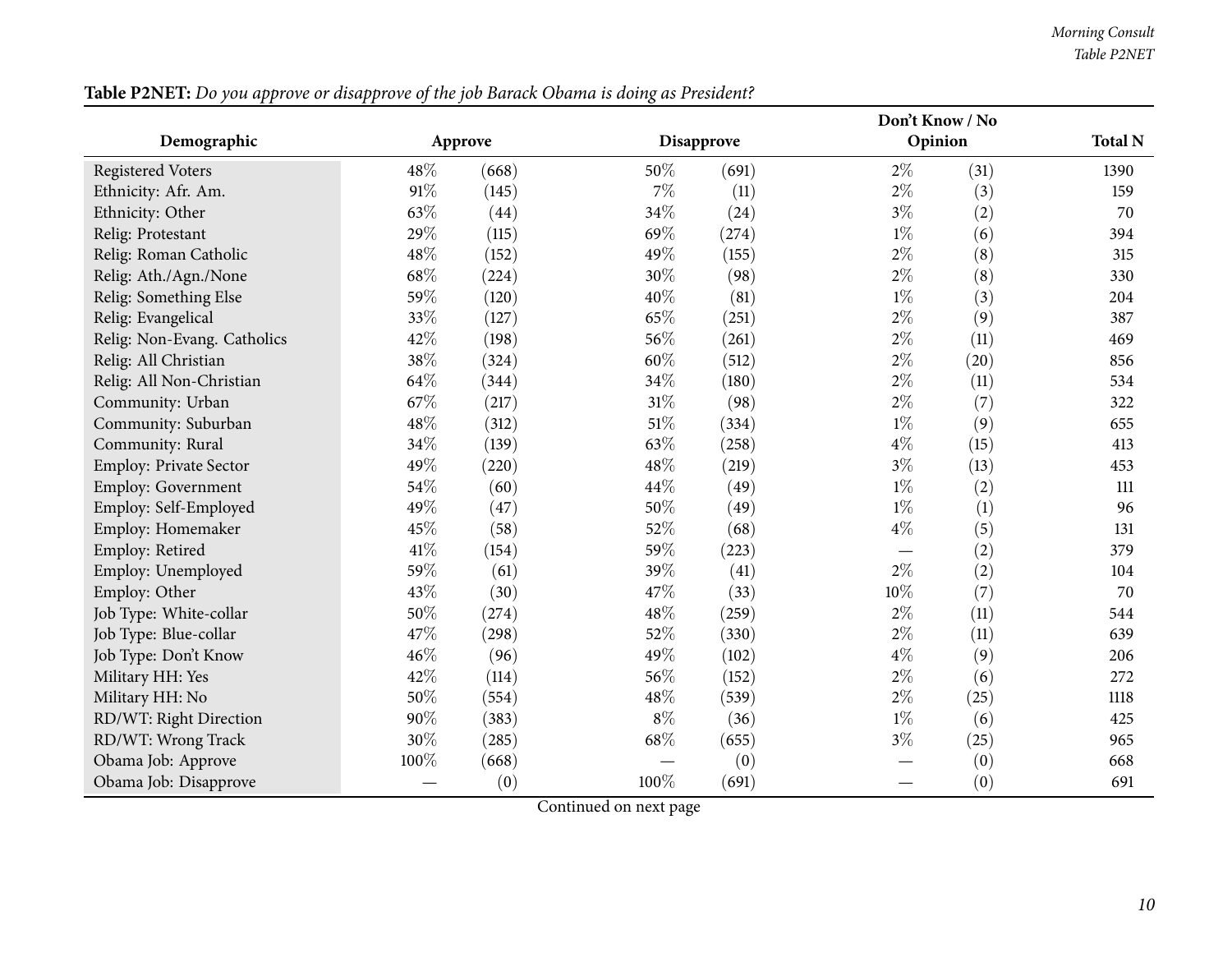| Table P2NET: Do you approve or disapprove of the job Barack Obama is doing as President? |
|------------------------------------------------------------------------------------------|
|------------------------------------------------------------------------------------------|

|                             |      |         |        |            |       | Don't Know / No |                |
|-----------------------------|------|---------|--------|------------|-------|-----------------|----------------|
| Demographic                 |      | Approve |        | Disapprove |       | Opinion         | <b>Total N</b> |
| <b>Registered Voters</b>    | 48%  | (668)   | 50%    | (691)      | $2\%$ | (31)            | 1390           |
| Ethnicity: Afr. Am.         | 91%  | (145)   | 7%     | (11)       | $2\%$ | (3)             | 159            |
| Ethnicity: Other            | 63%  | (44)    | $34\%$ | (24)       | $3\%$ | (2)             | 70             |
| Relig: Protestant           | 29%  | (115)   | 69%    | (274)      | $1\%$ | (6)             | 394            |
| Relig: Roman Catholic       | 48%  | (152)   | 49%    | (155)      | $2\%$ | (8)             | 315            |
| Relig: Ath./Agn./None       | 68\% | (224)   | 30%    | (98)       | $2\%$ | (8)             | 330            |
| Relig: Something Else       | 59%  | (120)   | 40%    | (81)       | $1\%$ | (3)             | 204            |
| Relig: Evangelical          | 33%  | (127)   | 65%    | (251)      | $2\%$ | (9)             | 387            |
| Relig: Non-Evang. Catholics | 42%  | (198)   | 56%    | (261)      | $2\%$ | (11)            | 469            |
| Relig: All Christian        | 38%  | (324)   | 60%    | (512)      | $2\%$ | (20)            | 856            |
| Relig: All Non-Christian    | 64\% | (344)   | 34%    | (180)      | $2\%$ | (11)            | 534            |
| Community: Urban            | 67%  | (217)   | 31%    | (98)       | $2\%$ | (7)             | 322            |
| Community: Suburban         | 48%  | (312)   | $51\%$ | (334)      | $1\%$ | (9)             | 655            |
| Community: Rural            | 34%  | (139)   | 63%    | (258)      | $4\%$ | (15)            | 413            |
| Employ: Private Sector      | 49%  | (220)   | 48%    | (219)      | $3\%$ | (13)            | 453            |
| <b>Employ: Government</b>   | 54%  | (60)    | 44%    | (49)       | $1\%$ | (2)             | 111            |
| Employ: Self-Employed       | 49%  | (47)    | 50%    | (49)       | $1\%$ | (1)             | 96             |
| Employ: Homemaker           | 45%  | (58)    | 52%    | (68)       | $4\%$ | (5)             | 131            |
| Employ: Retired             | 41\% | (154)   | 59%    | (223)      |       | (2)             | 379            |
| Employ: Unemployed          | 59%  | (61)    | 39%    | (41)       | $2\%$ | (2)             | 104            |
| Employ: Other               | 43%  | (30)    | 47%    | (33)       | 10%   | (7)             | 70             |
| Job Type: White-collar      | 50%  | (274)   | 48%    | (259)      | $2\%$ | (11)            | 544            |
| Job Type: Blue-collar       | 47%  | (298)   | 52%    | (330)      | $2\%$ | (11)            | 639            |
| Job Type: Don't Know        | 46%  | (96)    | 49%    | (102)      | $4\%$ | (9)             | 206            |
| Military HH: Yes            | 42%  | (114)   | 56%    | (152)      | $2\%$ | (6)             | 272            |
| Military HH: No             | 50%  | (554)   | 48%    | (539)      | $2\%$ | (25)            | 1118           |
| RD/WT: Right Direction      | 90%  | (383)   | $8\%$  | (36)       | $1\%$ | (6)             | 425            |
| RD/WT: Wrong Track          | 30%  | (285)   | $68\%$ | (655)      | $3\%$ | (25)            | 965            |
| Obama Job: Approve          | 100% | (668)   |        | (0)        |       | (0)             | 668            |
| Obama Job: Disapprove       |      | (0)     | 100%   | (691)      |       | (0)             | 691            |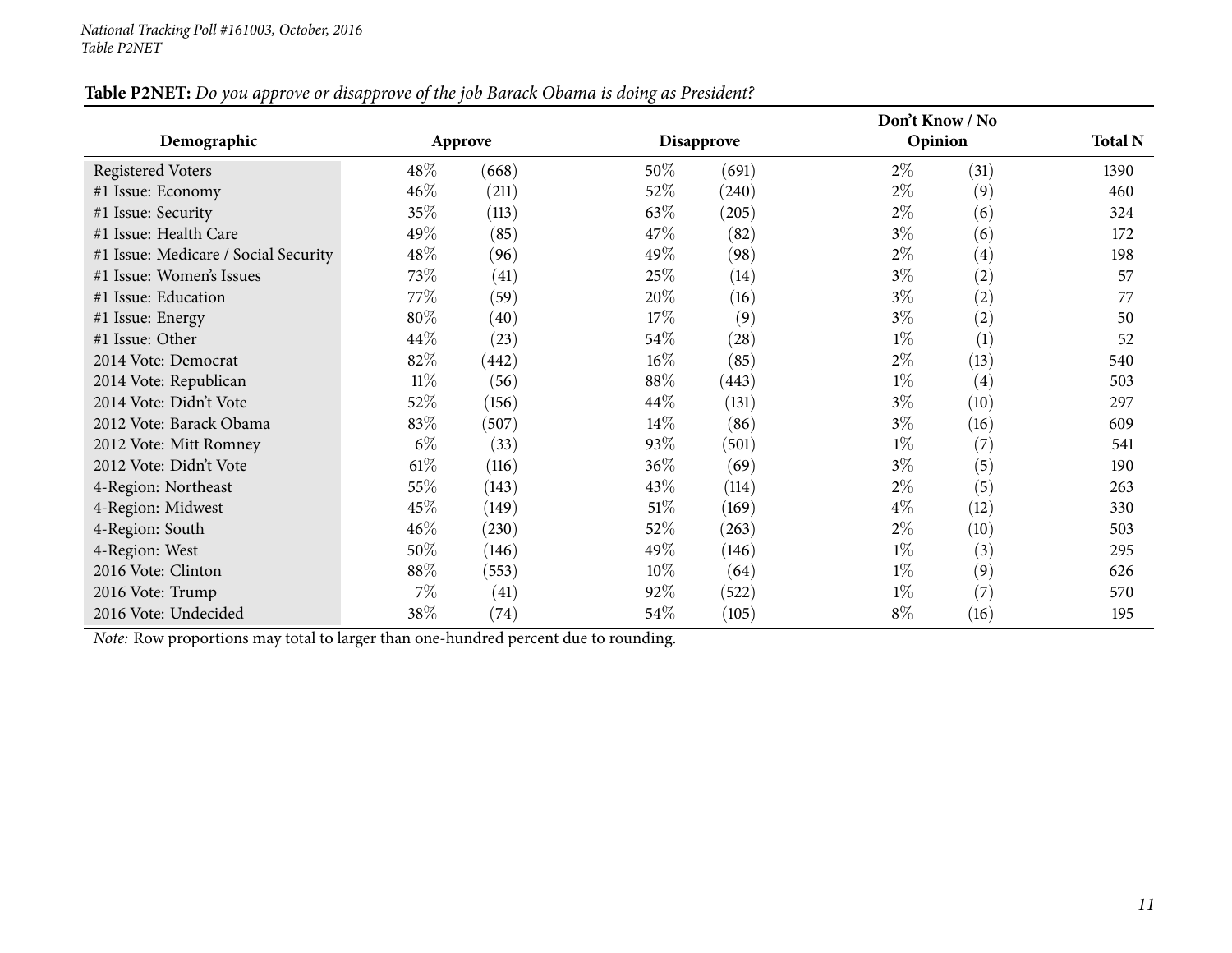## Table P2NET: Do you approve or disapprove of the job Barack Obama is doing as President?

|                                      |        |         |        |                    | Don't Know / No |      |                |
|--------------------------------------|--------|---------|--------|--------------------|-----------------|------|----------------|
| Demographic                          |        | Approve |        | <b>Disapprove</b>  | Opinion         |      | <b>Total N</b> |
| <b>Registered Voters</b>             | $48\%$ | (668)   | 50%    | (691)              | $2\%$           | (31) | 1390           |
| #1 Issue: Economy                    | $46\%$ | (211)   | 52%    | (240)              | $2\%$           | (9)  | 460            |
| #1 Issue: Security                   | 35%    | (113)   | 63\%   | (205)              | $2\%$           | (6)  | 324            |
| #1 Issue: Health Care                | 49\%   | (85)    | 47%    | (82)               | $3\%$           | (6)  | 172            |
| #1 Issue: Medicare / Social Security | $48\%$ | (96)    | 49\%   | (98)               | $2\%$           | (4)  | 198            |
| #1 Issue: Women's Issues             | 73\%   | (41)    | 25%    | (14)               | $3\%$           | (2)  | 57             |
| #1 Issue: Education                  | 77%    | (59)    | 20%    | (16)               | $3\%$           | (2)  | 77             |
| #1 Issue: Energy                     | $80\%$ | (40)    | 17%    | (9)                | $3\%$           | (2)  | 50             |
| #1 Issue: Other                      | 44%    | (23)    | 54\%   | $\left( 28\right)$ | $1\%$           | (1)  | 52             |
| 2014 Vote: Democrat                  | 82\%   | (442)   | $16\%$ | (85)               | $2\%$           | (13) | 540            |
| 2014 Vote: Republican                | $11\%$ | (56)    | $88\%$ | (443)              | $1\%$           | (4)  | 503            |
| 2014 Vote: Didn't Vote               | 52\%   | (156)   | 44%    | (131)              | $3\%$           | (10) | 297            |
| 2012 Vote: Barack Obama              | 83\%   | (507)   | 14%    | (86)               | $3\%$           | (16) | 609            |
| 2012 Vote: Mitt Romney               | $6\%$  | (33)    | 93%    | (501)              | $1\%$           | (7)  | 541            |
| 2012 Vote: Didn't Vote               | 61%    | (116)   | 36\%   | (69)               | $3\%$           | (5)  | 190            |
| 4-Region: Northeast                  | 55%    | (143)   | 43%    | (114)              | $2\%$           | (5)  | 263            |
| 4-Region: Midwest                    | 45\%   | (149)   | $51\%$ | (169)              | $4\%$           | (12) | 330            |
| 4-Region: South                      | $46\%$ | (230)   | 52%    | (263)              | $2\%$           | (10) | 503            |
| 4-Region: West                       | 50%    | (146)   | 49%    | (146)              | $1\%$           | (3)  | 295            |
| 2016 Vote: Clinton                   | 88%    | (553)   | $10\%$ | (64)               | $1\%$           | (9)  | 626            |
| 2016 Vote: Trump                     | 7%     | (41)    | 92%    | (522)              | $1\%$           | (7)  | 570            |
| 2016 Vote: Undecided                 | 38%    | (74)    | $54\%$ | (105)              | $8\%$           | (16) | 195            |

*Note:* Row proportions may total to larger than one-hundred percen<sup>t</sup> due to rounding.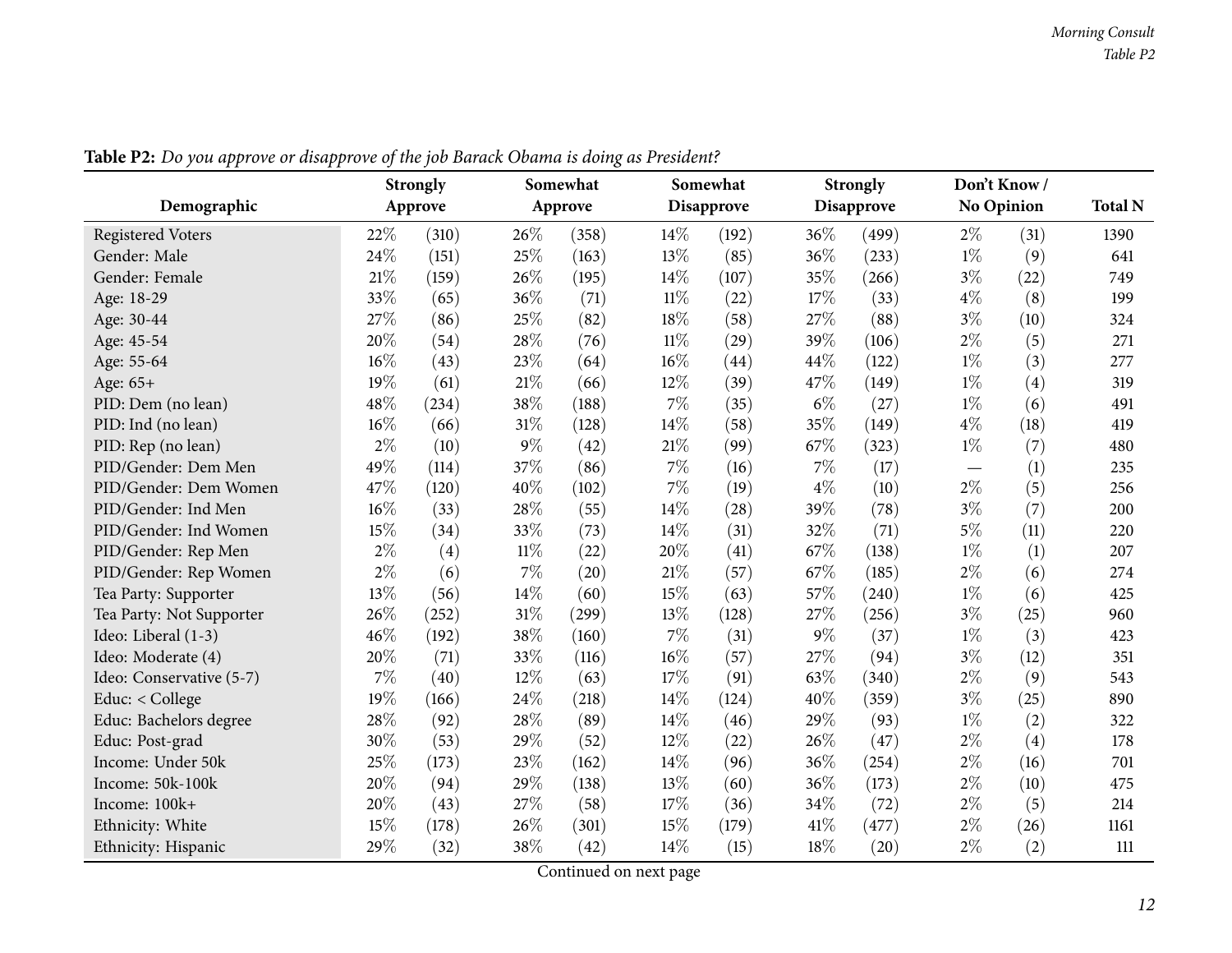<span id="page-11-0"></span>

|                          |       | <b>Strongly</b> |        | Somewhat |        | Somewhat   |       | <b>Strongly</b> |       | Don't Know/       | <b>Total N</b> |
|--------------------------|-------|-----------------|--------|----------|--------|------------|-------|-----------------|-------|-------------------|----------------|
| Demographic              |       | Approve         |        | Approve  |        | Disapprove |       | Disapprove      |       | <b>No Opinion</b> |                |
| <b>Registered Voters</b> | 22%   | (310)           | 26%    | (358)    | 14%    | (192)      | 36%   | (499)           | $2\%$ | (31)              | 1390           |
| Gender: Male             | 24\%  | (151)           | 25%    | (163)    | 13%    | (85)       | 36%   | (233)           | $1\%$ | (9)               | 641            |
| Gender: Female           | 21%   | (159)           | 26%    | (195)    | 14%    | (107)      | 35%   | (266)           | $3\%$ | (22)              | 749            |
| Age: 18-29               | 33%   | (65)            | 36%    | (71)     | $11\%$ | (22)       | 17%   | (33)            | $4\%$ | (8)               | 199            |
| Age: 30-44               | 27%   | (86)            | 25%    | (82)     | 18%    | (58)       | 27%   | (88)            | $3\%$ | (10)              | 324            |
| Age: 45-54               | 20%   | (54)            | 28%    | (76)     | $11\%$ | (29)       | 39%   | (106)           | $2\%$ | (5)               | 271            |
| Age: 55-64               | 16%   | (43)            | 23%    | (64)     | 16%    | (44)       | 44%   | (122)           | $1\%$ | (3)               | 277            |
| Age: 65+                 | 19%   | (61)            | 21%    | (66)     | 12%    | (39)       | 47%   | (149)           | $1\%$ | (4)               | 319            |
| PID: Dem (no lean)       | 48%   | (234)           | 38%    | (188)    | $7\%$  | (35)       | $6\%$ | (27)            | $1\%$ | (6)               | 491            |
| PID: Ind (no lean)       | 16%   | (66)            | 31\%   | (128)    | 14%    | (58)       | 35%   | (149)           | $4\%$ | (18)              | 419            |
| PID: Rep (no lean)       | $2\%$ | (10)            | 9%     | (42)     | 21%    | (99)       | 67%   | (323)           | $1\%$ | (7)               | 480            |
| PID/Gender: Dem Men      | 49%   | (114)           | 37%    | (86)     | 7%     | (16)       | 7%    | (17)            | —     | (1)               | 235            |
| PID/Gender: Dem Women    | 47%   | (120)           | 40%    | (102)    | $7\%$  | (19)       | 4%    | (10)            | $2\%$ | (5)               | 256            |
| PID/Gender: Ind Men      | 16%   | (33)            | 28%    | (55)     | 14%    | (28)       | 39%   | (78)            | $3\%$ | (7)               | 200            |
| PID/Gender: Ind Women    | 15%   | (34)            | 33%    | (73)     | 14%    | (31)       | 32%   | (71)            | $5\%$ | (11)              | 220            |
| PID/Gender: Rep Men      | $2\%$ | (4)             | $11\%$ | (22)     | 20%    | (41)       | 67%   | (138)           | $1\%$ | (1)               | 207            |
| PID/Gender: Rep Women    | $2\%$ | (6)             | $7\%$  | (20)     | 21%    | (57)       | 67\%  | (185)           | $2\%$ | (6)               | 274            |
| Tea Party: Supporter     | 13%   | (56)            | 14%    | (60)     | 15%    | (63)       | 57%   | (240)           | $1\%$ | (6)               | 425            |
| Tea Party: Not Supporter | 26%   | (252)           | 31%    | (299)    | 13%    | (128)      | 27%   | (256)           | $3\%$ | (25)              | 960            |
| Ideo: Liberal (1-3)      | 46%   | (192)           | 38%    | (160)    | $7\%$  | (31)       | 9%    | (37)            | $1\%$ | (3)               | 423            |
| Ideo: Moderate (4)       | 20%   | (71)            | 33%    | (116)    | 16%    | (57)       | 27%   | (94)            | $3\%$ | (12)              | 351            |
| Ideo: Conservative (5-7) | 7%    | (40)            | 12%    | (63)     | 17%    | (91)       | 63%   | (340)           | $2\%$ | (9)               | 543            |
| Educ: < College          | 19%   | (166)           | 24%    | (218)    | 14%    | (124)      | 40%   | (359)           | $3\%$ | (25)              | 890            |
| Educ: Bachelors degree   | 28%   | (92)            | 28%    | (89)     | 14%    | (46)       | 29%   | (93)            | $1\%$ | (2)               | 322            |
| Educ: Post-grad          | 30%   | (53)            | 29%    | (52)     | 12%    | (22)       | 26%   | (47)            | $2\%$ | (4)               | 178            |
| Income: Under 50k        | 25%   | (173)           | 23%    | (162)    | 14%    | (96)       | 36%   | (254)           | $2\%$ | (16)              | 701            |
| Income: 50k-100k         | 20%   | (94)            | 29%    | (138)    | 13%    | (60)       | 36%   | (173)           | $2\%$ | (10)              | 475            |
| Income: 100k+            | 20%   | (43)            | 27%    | (58)     | 17%    | (36)       | 34%   | (72)            | $2\%$ | (5)               | 214            |
| Ethnicity: White         | 15%   | (178)           | 26%    | (301)    | 15%    | (179)      | 41\%  | (477)           | $2\%$ | (26)              | 1161           |
| Ethnicity: Hispanic      | 29%   | (32)            | 38%    | (42)     | 14%    | (15)       | 18%   | (20)            | $2\%$ | (2)               | 111            |

Table P2: Do you approve or disapprove of the job Barack Obama is doing as President?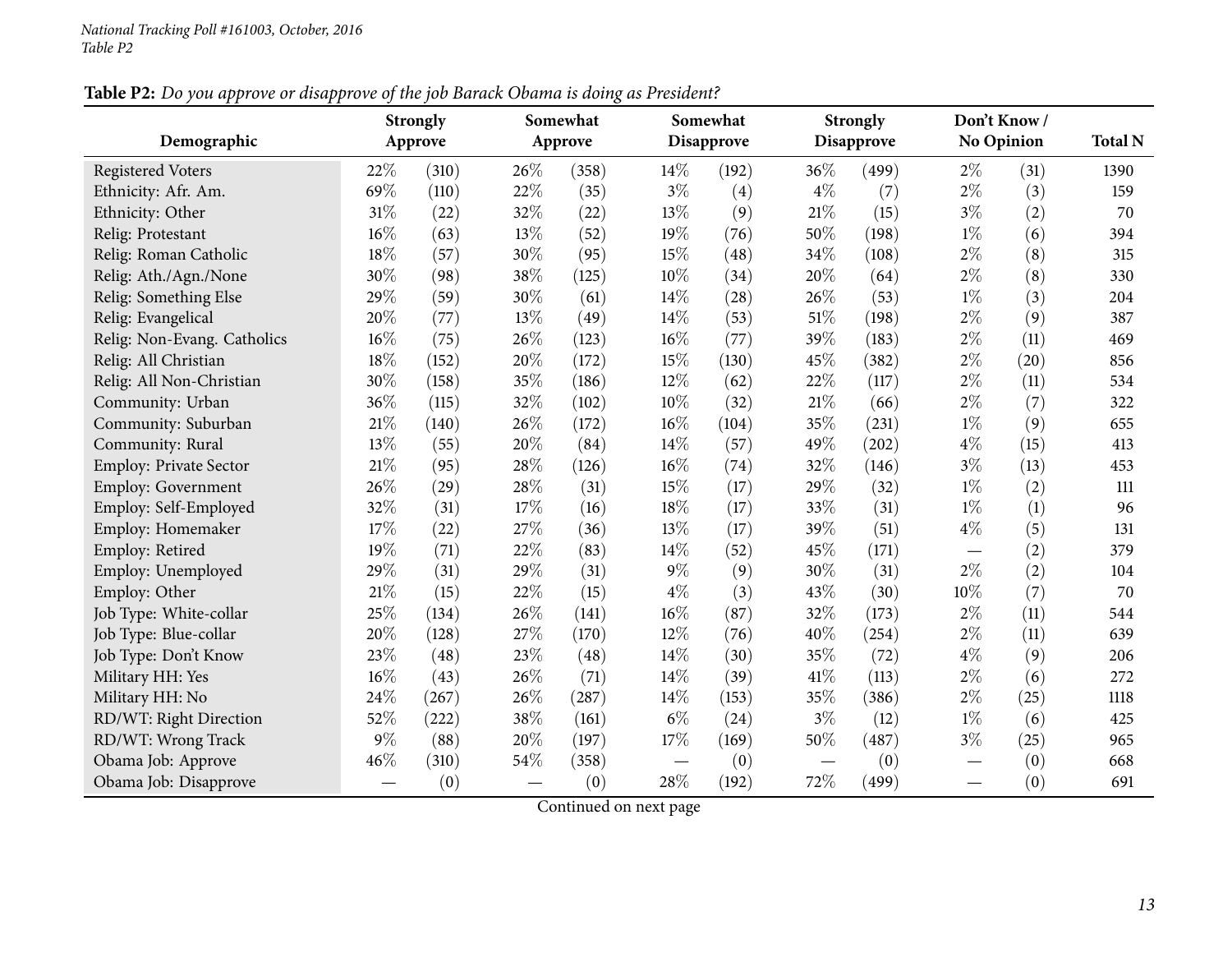| Table P2: Do you approve or disapprove of the job Barack Obama is doing as President? |
|---------------------------------------------------------------------------------------|
|---------------------------------------------------------------------------------------|

|                             |     | <b>Strongly</b> |     | Somewhat |       | Somewhat          |       | <b>Strongly</b>   |       | Don't Know / |                |
|-----------------------------|-----|-----------------|-----|----------|-------|-------------------|-------|-------------------|-------|--------------|----------------|
| Demographic                 |     | Approve         |     | Approve  |       | <b>Disapprove</b> |       | <b>Disapprove</b> |       | No Opinion   | <b>Total N</b> |
| <b>Registered Voters</b>    | 22% | (310)           | 26% | (358)    | 14\%  | (192)             | 36%   | (499)             | $2\%$ | (31)         | 1390           |
| Ethnicity: Afr. Am.         | 69% | (110)           | 22% | (35)     | $3\%$ | (4)               | $4\%$ | (7)               | $2\%$ | (3)          | 159            |
| Ethnicity: Other            | 31% | (22)            | 32% | (22)     | 13%   | (9)               | 21%   | (15)              | $3\%$ | (2)          | 70             |
| Relig: Protestant           | 16% | (63)            | 13% | (52)     | 19%   | (76)              | 50%   | (198)             | $1\%$ | (6)          | 394            |
| Relig: Roman Catholic       | 18% | (57)            | 30% | (95)     | 15%   | (48)              | 34%   | (108)             | $2\%$ | (8)          | 315            |
| Relig: Ath./Agn./None       | 30% | (98)            | 38% | (125)    | 10%   | (34)              | 20%   | (64)              | $2\%$ | (8)          | 330            |
| Relig: Something Else       | 29% | (59)            | 30% | (61)     | 14%   | (28)              | 26%   | (53)              | $1\%$ | (3)          | 204            |
| Relig: Evangelical          | 20% | (77)            | 13% | (49)     | 14%   | (53)              | 51%   | (198)             | $2\%$ | (9)          | 387            |
| Relig: Non-Evang. Catholics | 16% | (75)            | 26% | (123)    | 16%   | (77)              | 39%   | (183)             | $2\%$ | (11)         | 469            |
| Relig: All Christian        | 18% | (152)           | 20% | (172)    | 15%   | (130)             | 45%   | (382)             | $2\%$ | (20)         | 856            |
| Relig: All Non-Christian    | 30% | (158)           | 35% | (186)    | 12%   | (62)              | 22%   | (117)             | $2\%$ | (11)         | 534            |
| Community: Urban            | 36% | (115)           | 32% | (102)    | 10%   | (32)              | 21%   | (66)              | $2\%$ | (7)          | 322            |
| Community: Suburban         | 21% | (140)           | 26% | (172)    | 16%   | (104)             | 35%   | (231)             | $1\%$ | (9)          | 655            |
| Community: Rural            | 13% | (55)            | 20% | (84)     | 14%   | (57)              | 49%   | (202)             | $4\%$ | (15)         | 413            |
| Employ: Private Sector      | 21% | (95)            | 28% | (126)    | 16%   | (74)              | 32%   | (146)             | $3\%$ | (13)         | 453            |
| Employ: Government          | 26% | (29)            | 28% | (31)     | 15%   | (17)              | 29%   | (32)              | $1\%$ | (2)          | 111            |
| Employ: Self-Employed       | 32% | (31)            | 17% | (16)     | 18%   | (17)              | 33%   | (31)              | $1\%$ | (1)          | 96             |
| Employ: Homemaker           | 17% | (22)            | 27% | (36)     | 13%   | (17)              | 39%   | (51)              | $4\%$ | (5)          | 131            |
| Employ: Retired             | 19% | (71)            | 22% | (83)     | 14%   | (52)              | 45%   | (171)             |       | (2)          | 379            |
| Employ: Unemployed          | 29% | (31)            | 29% | (31)     | $9\%$ | (9)               | 30%   | (31)              | $2\%$ | (2)          | 104            |
| Employ: Other               | 21% | (15)            | 22% | (15)     | $4\%$ | (3)               | 43%   | (30)              | 10%   | (7)          | 70             |
| Job Type: White-collar      | 25% | (134)           | 26% | (141)    | 16%   | (87)              | 32%   | (173)             | 2%    | (11)         | 544            |
| Job Type: Blue-collar       | 20% | (128)           | 27% | (170)    | 12%   | (76)              | 40%   | (254)             | $2\%$ | (11)         | 639            |
| Job Type: Don't Know        | 23% | (48)            | 23% | (48)     | 14%   | (30)              | 35%   | (72)              | $4\%$ | (9)          | 206            |
| Military HH: Yes            | 16% | (43)            | 26% | (71)     | 14%   | (39)              | 41\%  | (113)             | $2\%$ | (6)          | 272            |
| Military HH: No             | 24% | (267)           | 26% | (287)    | 14%   | (153)             | 35%   | (386)             | $2\%$ | (25)         | 1118           |
| RD/WT: Right Direction      | 52% | (222)           | 38% | (161)    | $6\%$ | (24)              | $3\%$ | (12)              | $1\%$ | (6)          | 425            |
| RD/WT: Wrong Track          | 9%  | (88)            | 20% | (197)    | 17%   | (169)             | 50%   | (487)             | $3\%$ | (25)         | 965            |
| Obama Job: Approve          | 46% | (310)           | 54% | (358)    |       | (0)               |       | (0)               |       | (0)          | 668            |
| Obama Job: Disapprove       |     | (0)             |     | (0)      | 28%   | (192)             | 72%   | (499)             |       | (0)          | 691            |

Continued on next page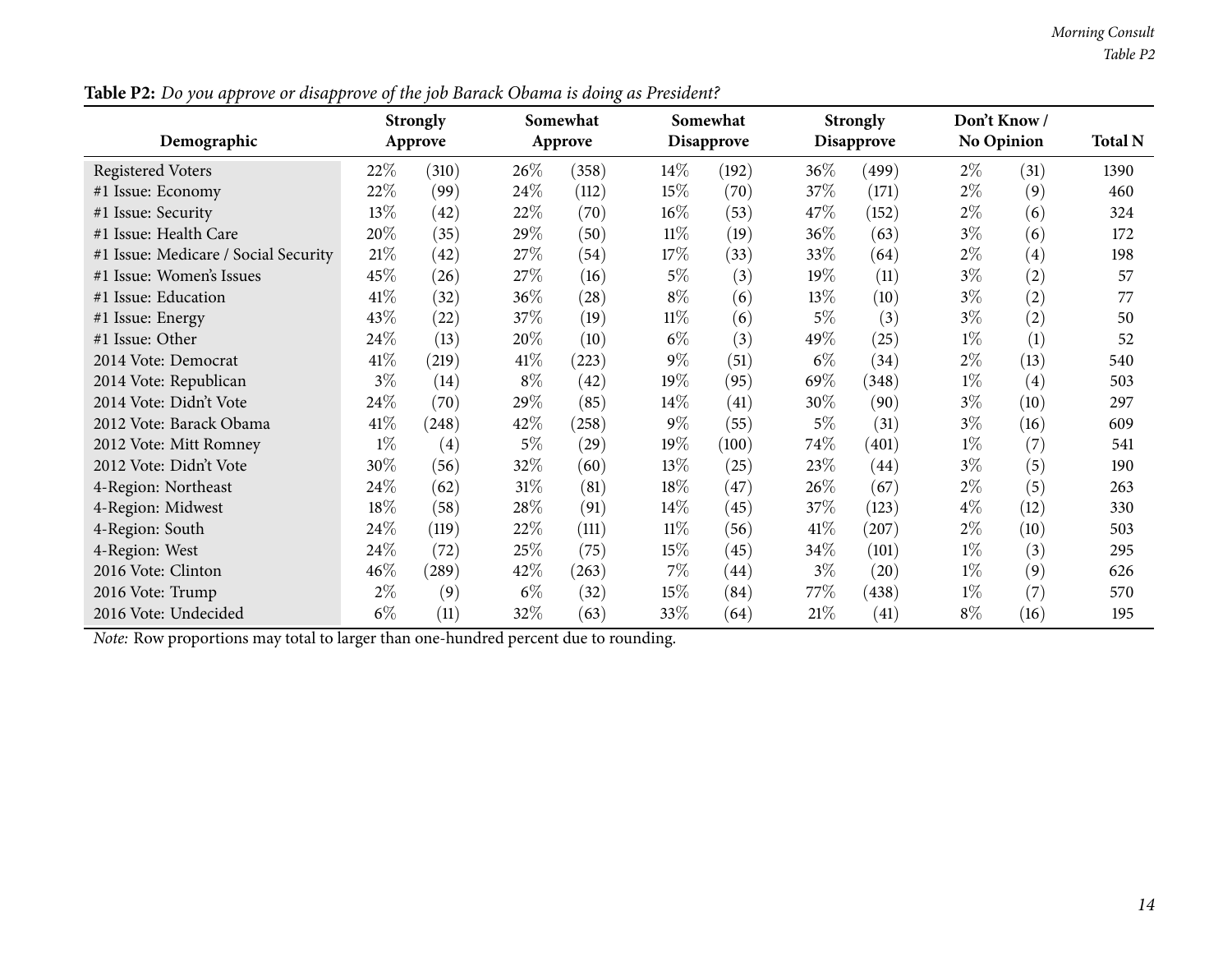| . .                                  |       | <b>Strongly</b> |        | Somewhat |        | Somewhat   |        | <b>Strongly</b>    |       | Don't Know/       |                |
|--------------------------------------|-------|-----------------|--------|----------|--------|------------|--------|--------------------|-------|-------------------|----------------|
| Demographic                          |       | Approve         |        | Approve  |        | Disapprove |        | <b>Disapprove</b>  |       | No Opinion        | <b>Total N</b> |
| Registered Voters                    | 22\%  | (310)           | $26\%$ | (358)    | $14\%$ | (192)      | $36\%$ | (499)              | $2\%$ | (31)              | 1390           |
| #1 Issue: Economy                    | 22\%  | (99)            | 24\%   | (112)    | 15%    | (70)       | 37%    | (171)              | $2\%$ | (9)               | 460            |
| #1 Issue: Security                   | 13\%  | (42)            | 22%    | (70)     | $16\%$ | (53)       | 47\%   | (152)              | $2\%$ | (6)               | 324            |
| #1 Issue: Health Care                | 20%   | (35)            | 29%    | (50)     | $11\%$ | (19)       | 36%    | (63)               | $3\%$ | (6)               | 172            |
| #1 Issue: Medicare / Social Security | 21%   | (42)            | 27\%   | (54)     | 17\%   | (33)       | 33\%   | (64)               | $2\%$ | (4)               | 198            |
| #1 Issue: Women's Issues             | 45\%  | (26)            | 27\%   | (16)     | $5\%$  | (3)        | 19%    | (11)               | $3\%$ | (2)               | 57             |
| #1 Issue: Education                  | 41\%  | (32)            | 36%    | (28)     | $8\%$  | (6)        | 13\%   | (10)               | $3\%$ | (2)               | 77             |
| #1 Issue: Energy                     | 43%   | (22)            | 37%    | (19)     | $11\%$ | (6)        | $5\%$  | (3)                | $3\%$ | (2)               | 50             |
| #1 Issue: Other                      | 24\%  | (13)            | 20%    | (10)     | $6\%$  | (3)        | 49\%   | (25)               | $1\%$ | (1)               | 52             |
| 2014 Vote: Democrat                  | 41\%  | (219)           | 41\%   | (223)    | $9\%$  | (51)       | $6\%$  | (34)               | $2\%$ | (13)              | 540            |
| 2014 Vote: Republican                | $3\%$ | (14)            | $8\%$  | (42)     | $19\%$ | (95)       | 69%    | (348)              | $1\%$ | $\left( 4\right)$ | 503            |
| 2014 Vote: Didn't Vote               | 24\%  | (70)            | 29%    | (85)     | $14\%$ | (41)       | 30\%   | (90)               | $3\%$ | (10)              | 297            |
| 2012 Vote: Barack Obama              | 41\%  | (248)           | 42%    | (258)    | $9\%$  | (55)       | $5\%$  | (31)               | $3\%$ | (16)              | 609            |
| 2012 Vote: Mitt Romney               | $1\%$ | (4)             | $5\%$  | (29)     | $19\%$ | (100)      | 74%    | (401)              | $1\%$ | (7)               | 541            |
| 2012 Vote: Didn't Vote               | 30%   | (56)            | 32\%   | (60)     | 13\%   | (25)       | 23\%   | $\left( 44\right)$ | $3\%$ | (5)               | 190            |
| 4-Region: Northeast                  | 24\%  | (62)            | 31%    | (81)     | 18%    | (47)       | 26%    | (67)               | $2\%$ | (5)               | 263            |
| 4-Region: Midwest                    | 18%   | (58)            | 28%    | (91)     | $14\%$ | (45)       | 37%    | (123)              | $4\%$ | (12)              | 330            |
| 4-Region: South                      | 24\%  | (119)           | 22%    | (111)    | $11\%$ | (56)       | 41\%   | (207)              | $2\%$ | (10)              | 503            |
| 4-Region: West                       | 24\%  | (72)            | 25\%   | (75)     | 15%    | (45)       | 34\%   | (101)              | $1\%$ | (3)               | 295            |
| 2016 Vote: Clinton                   | 46\%  | (289)           | 42%    | (263)    | $7\%$  | (44)       | $3\%$  | (20)               | $1\%$ | (9)               | 626            |
| 2016 Vote: Trump                     | $2\%$ | (9)             | $6\%$  | (32)     | 15\%   | (84)       | 77%    | (438)              | $1\%$ | (7)               | 570            |
| 2016 Vote: Undecided                 | $6\%$ | (11)            | 32\%   | (63)     | 33%    | (64)       | 21%    | (41)               | $8\%$ | (16)              | 195            |

Table P2: Do you approve or disapprove of the job Barack Obama is doing as President?

*Note:* Row proportions may total to larger than one-hundred percen<sup>t</sup> due to rounding.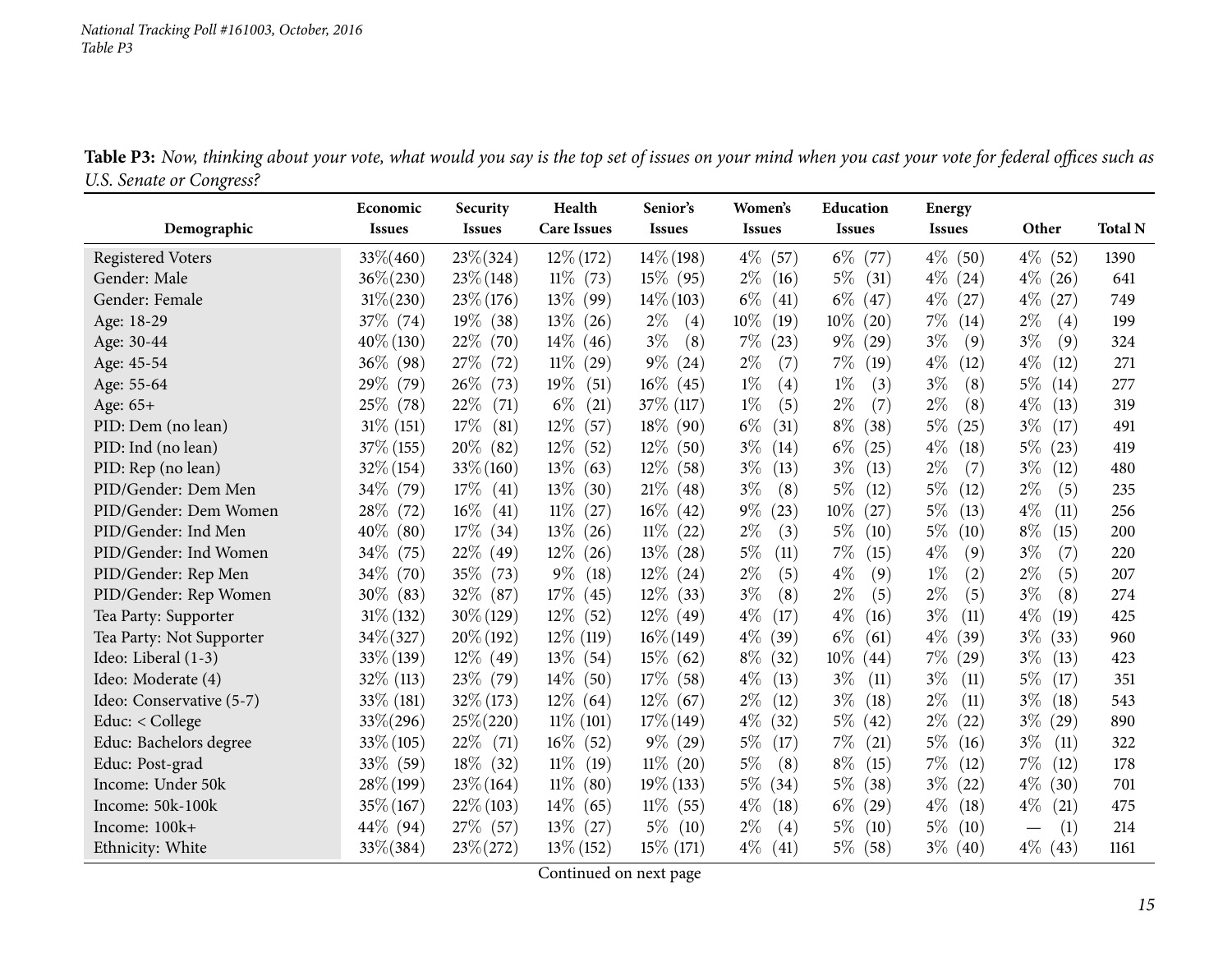<span id="page-14-0"></span>

|                          | Economic       | Security       | Health             | Senior's      | Women's        | Education     | Energy                   |               |                |
|--------------------------|----------------|----------------|--------------------|---------------|----------------|---------------|--------------------------|---------------|----------------|
| Demographic              | <b>Issues</b>  | <b>Issues</b>  | <b>Care Issues</b> | <b>Issues</b> | <b>Issues</b>  | <b>Issues</b> | <b>Issues</b>            | Other         | <b>Total N</b> |
| <b>Registered Voters</b> | $33\% (460)$   | $23\% (324)$   | $12\%$ (172)       | $14\%$ (198)  | $4\%$ (57)     | $6\%$<br>(77) | $4\%$ (50)               | $4\%$ (52)    | 1390           |
| Gender: Male             | $36\% (230)$   | $23\% (148)$   | $11\%$ (73)        | 15\% (95)     | $2\%$<br>(16)  | 5%<br>(31)    | $4\%$<br>(24)            | $4\%$ (26)    | 641            |
| Gender: Female           | $31\% (230)$   | $23\% (176)$   | $13\%$ (99)        | $14\%$ (103)  | $6\%$<br>(41)  | $6\%$<br>(47) | $4\%$<br>(27)            | $4\%$<br>(27) | 749            |
| Age: 18-29               | 37\% (74)      | $19\%$ (38)    | $13\%$ (26)        | $2\%$<br>(4)  | $10\%$<br>(19) | 10%<br>(20)   | $7\%$<br>(14)            | $2\%$<br>(4)  | 199            |
| Age: 30-44               | $40\% (130)$   | 22%<br>(70)    | $14\%$<br>(46)     | $3\%$<br>(8)  | $7\%$<br>(23)  | $9\%$<br>(29) | $3\%$<br>(9)             | $3\%$<br>(9)  | 324            |
| Age: 45-54               | $36\%$ (98)    | 27\%<br>(72)   | $11\%$<br>(29)     | $9\%$ (24)    | $2\%$<br>(7)   | $7\%$<br>(19) | $4\%$<br>(12)            | $4\%$<br>(12) | 271            |
| Age: 55-64               | 29\% (79)      | $26\%$<br>(73) | $19\%$<br>(51)     | $16\%$ (45)   | $1\%$<br>(4)   | $1\%$<br>(3)  | $3\%$<br>(8)             | $5\%$<br>(14) | 277            |
| Age: 65+                 | 25\% (78)      | 22\%<br>(71)   | $6\%$<br>(21)      | 37\% (117)    | $1\%$<br>(5)   | $2\%$<br>(7)  | $2\%$<br>(8)             | $4\%$<br>(13) | 319            |
| PID: Dem (no lean)       | $31\%$ (151)   | 17%<br>(81)    | $12\%$<br>(57)     | $18\%$ (90)   | $6\%$<br>(31)  | $8\%$<br>(38) | $5\%$<br>(25)            | $3\%$<br>(17) | 491            |
| PID: Ind (no lean)       | 37\% (155)     | $20\%$ (82)    | $12\%$<br>(52)     | $12\%$ (50)   | $3\%$<br>(14)  | $6\%$<br>(25) | $4\%$<br>(18)            | $5\%$<br>(23) | 419            |
| PID: Rep (no lean)       | $32\%$ (154)   | $33\% (160)$   | $13\%$<br>(63)     | $12\%$ (58)   | $3\%$<br>(13)  | $3\%$<br>(13) | $2\%$<br>(7)             | $3\%$<br>(12) | 480            |
| PID/Gender: Dem Men      | 34\% (79)      | $17\%$<br>(41) | $13\%$<br>(30)     | $21\%$ (48)   | $3\%$<br>(8)   | 5%<br>(12)    | $5\%$<br>(12)            | $2\%$<br>(5)  | 235            |
| PID/Gender: Dem Women    | 28\% (72)      | $16\%$<br>(41) | $11\%$<br>(27)     | $16\%$ (42)   | $9\%$<br>(23)  | 10%<br>(27)   | $5\%$<br>(13)            | $4\%$<br>(11) | 256            |
| PID/Gender: Ind Men      | $40\%$<br>(80) | $17\%$<br>(34) | $13\%$<br>(26)     | $11\%$ (22)   | $2\%$<br>(3)   | $5\%$<br>(10) | $5\%$<br>(10)            | $8\%$<br>(15) | 200            |
| PID/Gender: Ind Women    | $34\%$<br>(75) | 22\%<br>(49)   | $12\%$<br>(26)     | $13\%$ (28)   | 5%<br>(11)     | 7%<br>(15)    | $4\%$<br>(9)             | $3\%$<br>(7)  | 220            |
| PID/Gender: Rep Men      | $34\%$<br>(70) | $35\%$<br>(73) | $9\%$<br>(18)      | $12\%$ (24)   | $2\%$<br>(5)   | $4\%$<br>(9)  | $1\%$<br>(2)             | $2\%$<br>(5)  | 207            |
| PID/Gender: Rep Women    | $30\%$ (83)    | 32\% (87)      | 17%<br>(45)        | $12\%$ (33)   | $3\%$<br>(8)   | $2\%$<br>(5)  | $2\%$<br>(5)             | $3\%$<br>(8)  | 274            |
| Tea Party: Supporter     | $31\% (132)$   | $30\% (129)$   | $12\%$ (52)        | $12\%$ (49)   | $4\%$<br>(17)  | $4\%$<br>(16) | $3\%$<br>(11)            | $4\%$<br>(19) | 425            |
| Tea Party: Not Supporter | 34% (327)      | $20\%$ (192)   | $12\%$ (119)       | $16\% (149)$  | $4\%$<br>(39)  | $6\%$<br>(61) | $4\%$<br>(39)            | $3\%$<br>(33) | 960            |
| Ideo: Liberal (1-3)      | 33% (139)      | $12\%$ (49)    | $13\%$<br>(54)     | $15\%$ (62)   | $8\%$<br>(32)  | 10%<br>(44)   | 7%<br>$\left( 29\right)$ | $3\%$<br>(13) | 423            |
| Ideo: Moderate (4)       | 32% (113)      | $23\%$ (79)    | $14\%$ (50)        | $17\%$ (58)   | $4\%$<br>(13)  | $3\%$<br>(11) | $3\%$<br>(11)            | $5\%$<br>(17) | 351            |
| Ideo: Conservative (5-7) | 33\% (181)     | 32\% (173)     | $12\%$ (64)        | $12\%$ (67)   | $2\%$<br>(12)  | $3\%$<br>(18) | $2\%$<br>(11)            | $3\%$<br>(18) | 543            |
| Educ: < College          | $33\% (296)$   | $25\% (220)$   | $11\%$ (101)       | $17\%$ (149)  | $4\%$<br>(32)  | 5%<br>(42)    | $2\%$<br>(22)            | $3\%$<br>(29) | 890            |
| Educ: Bachelors degree   | 33\% (105)     | 22%<br>(71)    | $16\%$ (52)        | $9\%$ (29)    | $5\%$<br>(17)  | $7\%$<br>(21) | $5\%$<br>(16)            | $3\%$<br>(11) | 322            |
| Educ: Post-grad          | 33% (59)       | $18\%$ (32)    | $11\%$<br>(19)     | $11\%$ (20)   | 5%<br>(8)      | $8\%$<br>(15) | $7\%$<br>(12)            | $7\%$<br>(12) | 178            |
| Income: Under 50k        | $28\%$ (199)   | $23\% (164)$   | $11\%$ (80)        | $19\%$ (133)  | $5\%$<br>(34)  | 5%<br>(38)    | $3\%$<br>(22)            | $4\%$<br>(30) | 701            |
| Income: 50k-100k         | 35% (167)      | $22\%$ (103)   | $14\%$<br>(65)     | $11\%$ (55)   | $4\%$<br>(18)  | $6\%$<br>(29) | $4\%$<br>(18)            | $4\%$<br>(21) | 475            |
| Income: 100k+            | $44\%$ (94)    | 27\% (57)      | $13\%$ (27)        | $5\%$ (10)    | $2\%$<br>(4)   | $5\%$<br>(10) | $5\%$<br>(10)            | (1)           | 214            |
| Ethnicity: White         | 33\%(384)      | $23\% (272)$   | $13\%$ (152)       | 15\% (171)    | $4\%$<br>(41)  | $5\%$<br>(58) | $3\%$ (40)               | $4\%$ (43)    | 1161           |

Table P3: Now, thinking about your vote, what would you say is the top set of issues on your mind when you cast your vote for federal offices such as *U.S. Senate or Congress?*  $\overline{\phantom{a}}$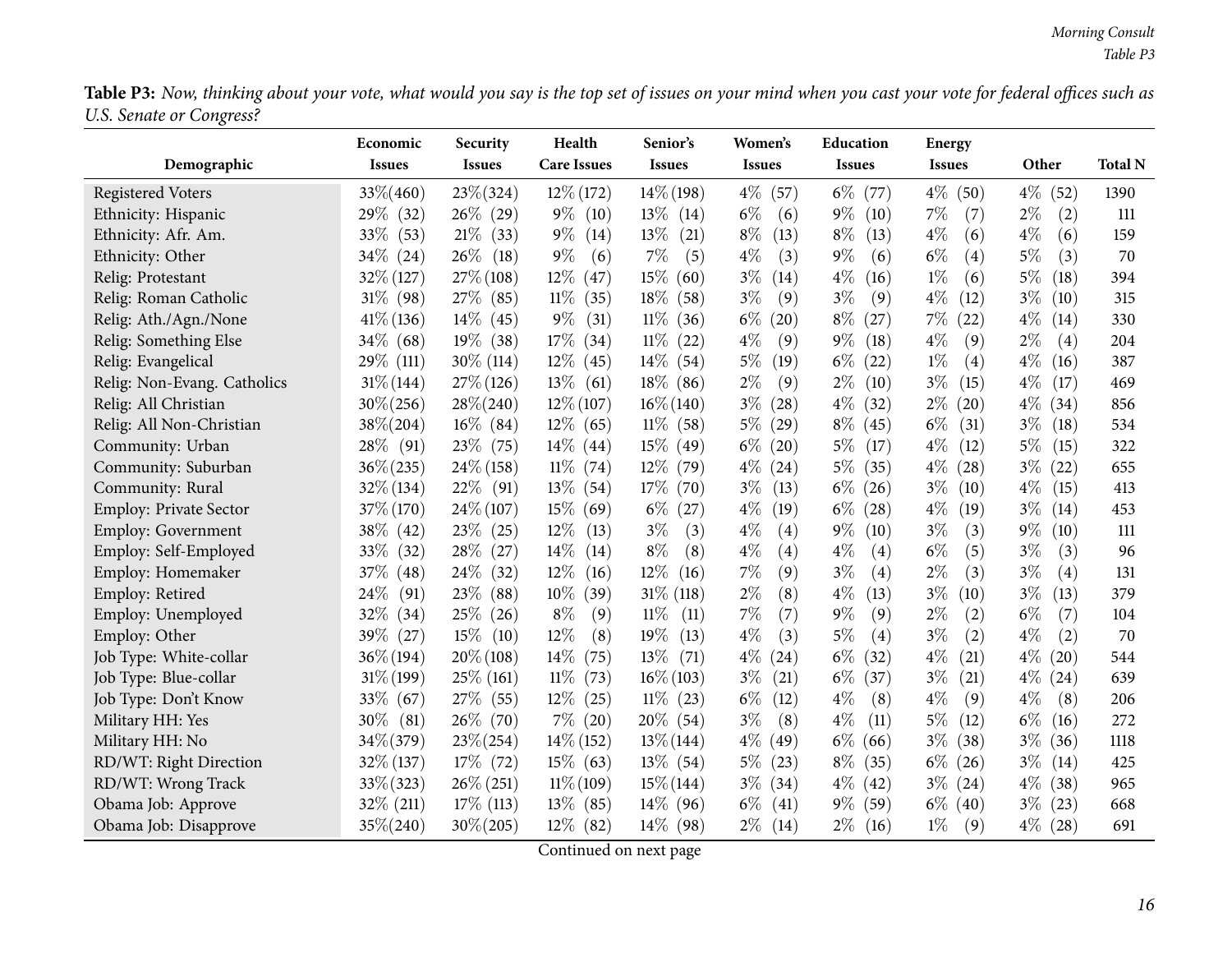Table P3: Now, thinking about your vote, what would you say is the top set of issues on your mind when you cast your vote for federal offices such as *U.S. Senate or Congress?*  $\overline{\phantom{0}}$ 

|                               | Economic       | Security<br><b>Issues</b> | Health<br><b>Care Issues</b> | Senior's<br><b>Issues</b> | Women's       | Education     | <b>Energy</b> | Other         | <b>Total N</b> |
|-------------------------------|----------------|---------------------------|------------------------------|---------------------------|---------------|---------------|---------------|---------------|----------------|
| Demographic                   | <b>Issues</b>  |                           |                              |                           | <b>Issues</b> | <b>Issues</b> | <b>Issues</b> |               |                |
| <b>Registered Voters</b>      | $33\% (460)$   | 23\%(324)                 | $12\%$ (172)                 | $14\%$ (198)              | $4\%$<br>(57) | $6\%$<br>(77) | $4\%$ (50)    | $4\%$<br>(52) | 1390           |
| Ethnicity: Hispanic           | 29\% (32)      | $26\%$ (29)               | $9\%$<br>(10)                | $13\%$ (14)               | $6\%$<br>(6)  | $9\%$<br>(10) | $7\%$<br>(7)  | $2\%$<br>(2)  | 111            |
| Ethnicity: Afr. Am.           | $33\%$ (53)    | 21%<br>(33)               | $9\%$<br>(14)                | $13\%$<br>(21)            | $8\%$<br>(13) | $8\%$<br>(13) | $4\%$<br>(6)  | $4\%$<br>(6)  | 159            |
| Ethnicity: Other              | $34\%$ (24)    | $26\%$<br>(18)            | $9\%$<br>(6)                 | 7%<br>(5)                 | $4\%$<br>(3)  | $9\%$<br>(6)  | $6\%$<br>(4)  | $5\%$<br>(3)  | 70             |
| Relig: Protestant             | $32\%$ (127)   | $27\%$ (108)              | $12\%$<br>(47)               | 15\%<br>(60)              | $3\%$<br>(14) | $4\%$<br>(16) | $1\%$<br>(6)  | $5\%$<br>(18) | 394            |
| Relig: Roman Catholic         | $31\%$ (98)    | $27\%$ (85)               | $11\%$<br>(35)               | 18\%<br>(58)              | $3\%$<br>(9)  | $3\%$<br>(9)  | $4\%$<br>(12) | $3\%$<br>(10) | 315            |
| Relig: Ath./Agn./None         | $41\%$ (136)   | $14\%$ (45)               | $9\%$<br>(31)                | $11\%$<br>(36)            | $6\%$<br>(20) | $8\%$<br>(27) | $7\%$<br>(22) | $4\%$<br>(14) | 330            |
| Relig: Something Else         | $34\%$ (68)    | $19\%$ (38)               | 17%<br>(34)                  | $11\%$<br>(22)            | $4\%$<br>(9)  | $9\%$<br>(18) | 4%<br>(9)     | $2\%$<br>(4)  | 204            |
| Relig: Evangelical            | 29\% (111)     | $30\%$ (114)              | $12\%$<br>(45)               | $14\%$<br>(54)            | $5\%$<br>(19) | $6\%$<br>(22) | $1\%$<br>(4)  | $4\%$<br>(16) | 387            |
| Relig: Non-Evang. Catholics   | $31\% (144)$   | $27\%$ (126)              | 13\%<br>(61)                 | $18\%$ (86)               | $2\%$<br>(9)  | $2\%$<br>(10) | $3\%$<br>(15) | $4\%$<br>(17) | 469            |
| Relig: All Christian          | $30\% (256)$   | $28\% (240)$              | $12\% (107)$                 | $16\% (140)$              | $3\%$<br>(28) | $4\%$<br>(32) | $2\%$<br>(20) | $4\%$<br>(34) | 856            |
| Relig: All Non-Christian      | $38\% (204)$   | $16\%$ (84)               | $12\%$ (65)                  | $11\%$ (58)               | $5\%$<br>(29) | $8\%$<br>(45) | $6\%$<br>(31) | $3\%$<br>(18) | 534            |
| Community: Urban              | $28\%$ (91)    | $23\%$ (75)               | $14\%$ (44)                  | $15\%$ (49)               | $6\%$<br>(20) | $5\%$<br>(17) | $4\%$<br>(12) | $5\%$<br>(15) | 322            |
| Community: Suburban           | $36\% (235)$   | $24\%$ (158)              | $11\%$<br>(74)               | $12\%$ (79)               | $4\%$<br>(24) | $5\%$<br>(35) | $4\%$<br>(28) | $3\%$<br>(22) | 655            |
| Community: Rural              | $32\%$ (134)   | $22\%$ (91)               | 13\%<br>(54)                 | $17\%$<br>(70)            | $3\%$<br>(13) | $6\%$<br>(26) | $3\%$<br>(10) | $4\%$<br>(15) | 413            |
| <b>Employ: Private Sector</b> | 37\% (170)     | $24\% (107)$              | 15%<br>(69)                  | $6\%$<br>(27)             | $4\%$<br>(19) | $6\%$<br>(28) | $4\%$<br>(19) | $3\%$<br>(14) | 453            |
| <b>Employ: Government</b>     | 38\% (42)      | 23\%<br>(25)              | $12\%$<br>(13)               | $3\%$<br>(3)              | $4\%$<br>(4)  | $9\%$<br>(10) | $3\%$<br>(3)  | $9\%$<br>(10) | 111            |
| Employ: Self-Employed         | $33\%$ (32)    | 28\%<br>(27)              | $14\%$<br>(14)               | $8\%$<br>(8)              | $4\%$<br>(4)  | $4\%$<br>(4)  | $6\%$<br>(5)  | $3\%$<br>(3)  | 96             |
| Employ: Homemaker             | $37\%$ (48)    | 24\%<br>(32)              | $12\%$<br>(16)               | 12\%<br>(16)              | 7%<br>(9)     | $3\%$<br>(4)  | $2\%$<br>(3)  | $3\%$<br>(4)  | 131            |
| Employ: Retired               | $24\%$<br>(91) | 23\%<br>(88)              | 10%<br>(39)                  | $31\%$ (118)              | $2\%$<br>(8)  | $4\%$<br>(13) | $3\%$<br>(10) | $3\%$<br>(13) | 379            |
| Employ: Unemployed            | 32\%<br>(34)   | $25\%$ (26)               | $8\%$<br>(9)                 | $11\%$<br>(11)            | 7%<br>(7)     | 9%<br>(9)     | $2\%$<br>(2)  | $6\%$<br>(7)  | 104            |
| Employ: Other                 | $39\%$ (27)    | $15\%$<br>(10)            | 12%<br>(8)                   | 19%<br>(13)               | $4\%$<br>(3)  | 5%<br>(4)     | $3\%$<br>(2)  | $4\%$<br>(2)  | 70             |
| Job Type: White-collar        | $36\% (194)$   | $20\% (108)$              | $14\%$<br>(75)               | $13\%$<br>(71)            | $4\%$<br>(24) | $6\%$<br>(32) | $4\%$<br>(21) | $4\%$<br>(20) | 544            |
| Job Type: Blue-collar         | $31\% (199)$   | $25\%$ (161)              | $11\%$<br>(73)               | $16\% (103)$              | $3\%$<br>(21) | $6\%$<br>(37) | $3\%$<br>(21) | $4\%$<br>(24) | 639            |
| Job Type: Don't Know          | 33% (67)       | 27\% (55)                 | $12\%$<br>(25)               | $11\%$ (23)               | $6\%$<br>(12) | $4\%$<br>(8)  | $4\%$<br>(9)  | $4\%$<br>(8)  | 206            |
| Military HH: Yes              | $30\%$<br>(81) | $26\%$ (70)               | $7\%$ (20)                   | $20\%$ (54)               | $3\%$<br>(8)  | $4\%$<br>(11) | $5\%$<br>(12) | $6\%$<br>(16) | 272            |
| Military HH: No               | $34\% (379)$   | $23\% (254)$              | $14\%$ (152)                 | $13\% (144)$              | $4\%$<br>(49) | $6\%$<br>(66) | $3\%$<br>(38) | $3\%$<br>(36) | 1118           |
| RD/WT: Right Direction        | 32% (137)      | 17\% (72)                 | $15\%$ (63)                  | $13\%$ (54)               | $5\%$<br>(23) | $8\%$<br>(35) | $6\%$<br>(26) | $3\%$<br>(14) | 425            |
| RD/WT: Wrong Track            | $33\% (323)$   | $26\% (251)$              | $11\% (109)$                 | $15\% (144)$              | $3\%$<br>(34) | $4\%$<br>(42) | $3\%$<br>(24) | $4\%$<br>(38) | 965            |
| Obama Job: Approve            | $32\%$ (211)   | $17\%$ (113)              | $13\%$ (85)                  | $14\%$ (96)               | $6\%$<br>(41) | $9\%$<br>(59) | $6\%$<br>(40) | $3\%$<br>(23) | 668            |
| Obama Job: Disapprove         | $35\% (240)$   | $30\% (205)$              | $12\%$ (82)                  | $14\%$ (98)               | $2\%$<br>(14) | $2\%$<br>(16) | $1\%$<br>(9)  | $4\%$<br>(28) | 691            |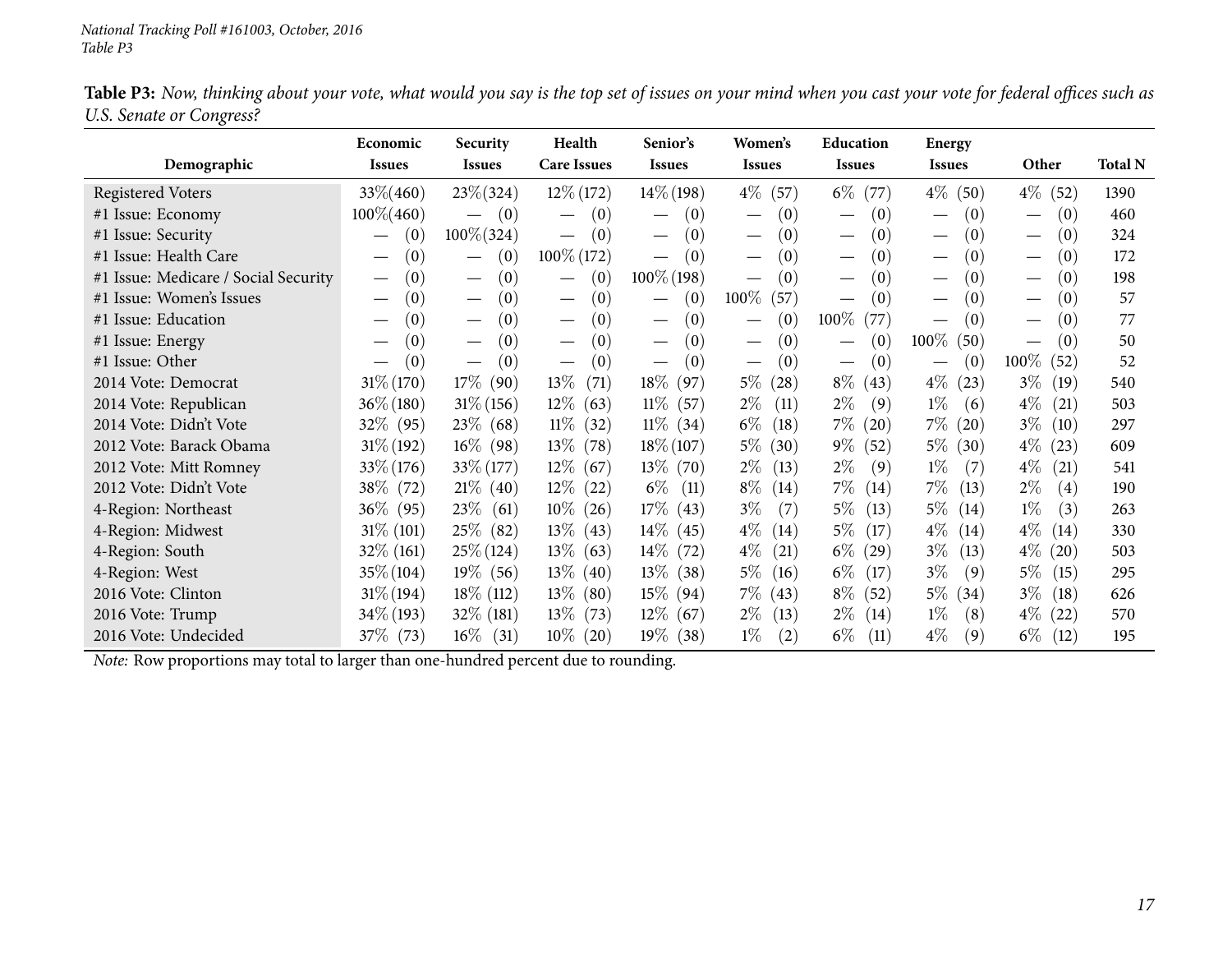|                                      | Economic                        | Security                                | Health                                 | Senior's                               | Women's                                | Education                              | Energy                                              |                                         |                |
|--------------------------------------|---------------------------------|-----------------------------------------|----------------------------------------|----------------------------------------|----------------------------------------|----------------------------------------|-----------------------------------------------------|-----------------------------------------|----------------|
| Demographic                          | <b>Issues</b>                   | <b>Issues</b>                           | <b>Care Issues</b>                     | <b>Issues</b>                          | <b>Issues</b>                          | <b>Issues</b>                          | <b>Issues</b>                                       | Other                                   | <b>Total N</b> |
| Registered Voters                    | $33\% (460)$                    | $23\% (324)$                            | $12\%$ (172)                           | $14\%$ (198)                           | $4\%$<br>(57)                          | $6\%$<br>(77)                          | $4\%$<br>(50)                                       | $4\%$ (52)                              | 1390           |
| #1 Issue: Economy                    | $100\% (460)$                   | (0)<br>$\overline{\phantom{m}}$         | (0)                                    | (0)                                    | (0)                                    | (0)<br>$\overbrace{\phantom{13333}}$   | (0)<br>$\hspace{0.05cm}$                            | (0)                                     | 460            |
| #1 Issue: Security                   | (0)<br>$\overline{\phantom{0}}$ | $100\% (324)$                           | (0)<br>$\overline{\phantom{m}}$        | (0)<br>$\overline{\phantom{m}}$        | (0)<br>$\overline{\phantom{m}}$        | (0)                                    | (0)                                                 | (0)<br>$\overline{\phantom{m}}$         | 324            |
| #1 Issue: Health Care                | (0)                             | (0)<br>$\hspace{0.1mm}-\hspace{0.1mm}$  | $100\% (172)$                          | (0)<br>$\qquad \qquad$                 | (0)<br>$\hspace{0.1mm}-\hspace{0.1mm}$ | (0)<br>$\hspace{0.1mm}-\hspace{0.1mm}$ | (0)<br>$\hspace{0.05cm}$                            | (0)                                     | 172            |
| #1 Issue: Medicare / Social Security | (0)<br>$\hspace{0.05cm}$        | (0)<br>$\hspace{0.05cm}$                | (0)<br>$\hspace{0.05cm}$               | $100\%$ (198)                          | (0)                                    | (0)                                    | $\left(0\right)$<br>$\hspace{0.1mm}-\hspace{0.1mm}$ | (0)<br>$\overbrace{\phantom{12322111}}$ | 198            |
| #1 Issue: Women's Issues             | (0)                             | (0)<br>$\hspace{0.05cm}$                | (0)<br>$\hspace{0.1mm}-\hspace{0.1mm}$ | (0)<br>$\qquad \qquad$                 | 100%<br>(57)                           | (0)                                    | (0)<br>$\hspace{0.05cm}$                            | (0)                                     | 57             |
| #1 Issue: Education                  | (0)                             | (0)<br>$\hspace{0.05cm}$                | (0)<br>$\hspace{0.1mm}-\hspace{0.1mm}$ | (0)<br>$\hspace{0.05cm}$               | (0)                                    | 100%<br>(77)                           | $\left(0\right)$<br>$\hspace{0.05cm}$               | (0)                                     | 77             |
| #1 Issue: Energy                     | (0)                             | (0)<br>$\hspace{0.1mm}-\hspace{0.1mm}$  | (0)<br>$\overline{\phantom{m}}$        | (0)<br>$\hspace{0.1mm}-\hspace{0.1mm}$ | (0)<br>$\hspace{0.1mm}-\hspace{0.1mm}$ | (0)                                    | $100\%$ (50)                                        | (0)                                     | 50             |
| #1 Issue: Other                      | (0)                             | (0)<br>$\overbrace{\phantom{12322111}}$ | (0)<br>$\hspace{0.1mm}-\hspace{0.1mm}$ | (0)                                    | (0)<br>$\hspace{0.1mm}-\hspace{0.1mm}$ | (0)                                    | (0)<br>$\hspace{0.1mm}-\hspace{0.1mm}$              | $100\%$<br>(52)                         | 52             |
| 2014 Vote: Democrat                  | $31\% (170)$                    | $17\%$<br>(90)                          | $13\%$<br>(71)                         | $18\%$<br>(97)                         | $5\%$<br>$^{'}28)$                     | $8\%$<br>(43)                          | $4\%$<br>(23)                                       | $3\%$<br>(19)                           | 540            |
| 2014 Vote: Republican                | $36\% (180)$                    | $31\% (156)$                            | $12\%$ (63)                            | $11\%$<br>(57)                         | $2\%$<br>(11)                          | $2\%$<br>(9)                           | $1\%$<br>(6)                                        | $4\%$<br>(21)                           | 503            |
| 2014 Vote: Didn't Vote               | $32\%$ (95)                     | $23\%$ (68)                             | $11\%$ (32)                            | $11\%$ (34)                            | $6\%$<br>$\left(18\right)$             | $7\%$<br>(20)                          | $7\%$ (20)                                          | $3\%$<br>(10)                           | 297            |
| 2012 Vote: Barack Obama              | $31\% (192)$                    | $16\%$ (98)                             | $13\%$ (78)                            | $18\% (107)$                           | $5\%$<br>(30)                          | $9\%$<br>(52)                          | $5\%$ (30)                                          | $4\%$<br>(23)                           | 609            |
| 2012 Vote: Mitt Romney               | $33\% (176)$                    | $33\% (177)$                            | $12\%$ (67)                            | $13\%$ (70)                            | $2\%$<br>(13)                          | $2\%$<br>(9)                           | $1\%$<br>(7)                                        | $4\%$<br>(21)                           | 541            |
| 2012 Vote: Didn't Vote               | $38\%$ (72)                     | $21\%$ (40)                             | $12\%$ (22)                            | $6\%$<br>(11)                          | $8\%$<br>(14)                          | $7\%$<br>(14)                          | $7\%$<br>(13)                                       | $2\%$<br>(4)                            | 190            |
| 4-Region: Northeast                  | $36\%$ (95)                     | $23\%$<br>(61)                          | $10\%$ (26)                            | $17\%$ (43)                            | $3\%$<br>(7)                           | $5\%$<br>(13)                          | $5\%$<br>(14)                                       | $1\%$<br>(3)                            | 263            |
| 4-Region: Midwest                    | $31\%$ (101)                    | $25\%$ (82)                             | $13\%$ (43)                            | $14\%$ (45)                            | $4\%$<br>(14)                          | $5\%$<br>(17)                          | $4\%$<br>(14)                                       | $4\%$<br>(14)                           | 330            |
| 4-Region: South                      | $32\%$ (161)                    | $25\%$ (124)                            | $13\%$ (63)                            | $14\%$ (72)                            | $4\%$<br>(21)                          | $6\%$<br>(29)                          | $3\%$<br>(13)                                       | $4\%$<br>(20)                           | 503            |
| 4-Region: West                       | $35\% (104)$                    | $19\%$ (56)                             | $13\%$ (40)                            | $13\%$ (38)                            | $5\%$<br>(16)                          | $6\%$<br>(17)                          | $3\%$<br>(9)                                        | $5\%$<br>(15)                           | 295            |
| 2016 Vote: Clinton                   | $31\% (194)$                    | $18\%$ (112)                            | $13\%$ (80)                            | $15\%$ (94)                            | 7%<br>(43)                             | $8\%$<br>(52)                          | $5\%$ (34)                                          | $3\%$<br>(18)                           | 626            |
| 2016 Vote: Trump                     | $34\%$ (193)                    | $32\%$ (181)                            | $13\%$ (73)                            | $12\%$ (67)                            | $2\%$<br>(13)                          | $2\%$<br>(14)                          | $1\%$<br>(8)                                        | $4\%$ (22)                              | 570            |
| 2016 Vote: Undecided                 | 37\% (73)                       | $16\%$<br>(31)                          | $10\%$ (20)                            | 19% (38)                               | $1\%$<br>(2)                           | $6\%$<br>(11)                          | $4\%$<br>(9)                                        | $6\%$<br>(12)                           | 195            |

Table P3: Now, thinking about your vote, what would you say is the top set of issues on your mind when you cast your vote for federal offices such as *U.S. Senate or Congress?*  $\overline{\phantom{0}}$ 

*Note:* Row proportions may total to larger than one-hundred percen<sup>t</sup> due to rounding.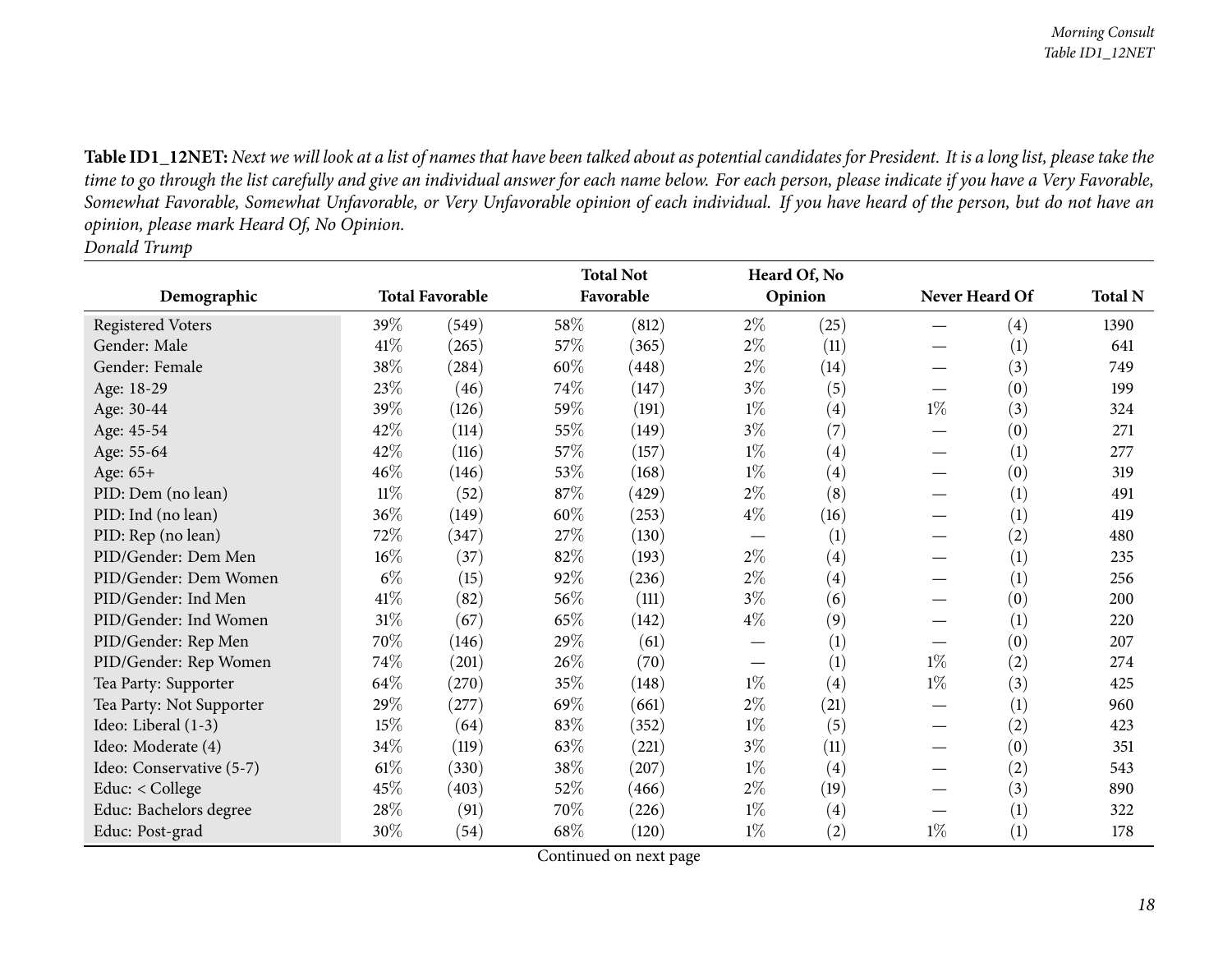Table ID1\_12NET: Next we will look at a list of names that have been talked about as potential candidates for President. It is a long list, please take the time to go through the list carefully and give an individual answer for each name below. For each person, please indicate if you have a Very Favorable, Somewhat Favorable, Somewhat Unfavorable, or Very Unfavorable opinion of each individual. If you have heard of the person, but do not have an *opinion, <sup>p</sup>lease mark Heard Of, No Opinion. Donald Trump*

<span id="page-17-0"></span>

|                          |        |                        |      | <b>Total Not</b> |       | Heard Of, No |                |                   |                |
|--------------------------|--------|------------------------|------|------------------|-------|--------------|----------------|-------------------|----------------|
| Demographic              |        | <b>Total Favorable</b> |      | Favorable        |       | Opinion      | Never Heard Of |                   | <b>Total N</b> |
| Registered Voters        | 39\%   | (549)                  | 58%  | (812)            | $2\%$ | (25)         |                | (4)               | 1390           |
| Gender: Male             | 41\%   | (265)                  | 57\% | (365)            | $2\%$ | (11)         |                | (1)               | 641            |
| Gender: Female           | 38%    | (284)                  | 60%  | (448)            | $2\%$ | (14)         |                | (3)               | 749            |
| Age: 18-29               | 23%    | (46)                   | 74%  | (147)            | $3\%$ | (5)          |                | (0)               | 199            |
| Age: 30-44               | 39%    | (126)                  | 59%  | (191)            | $1\%$ | (4)          | $1\%$          | (3)               | 324            |
| Age: 45-54               | 42%    | (114)                  | 55%  | (149)            | $3\%$ | (7)          |                | $\left( 0\right)$ | 271            |
| Age: 55-64               | 42\%   | (116)                  | 57\% | (157)            | $1\%$ | (4)          |                | (1)               | 277            |
| Age: 65+                 | 46%    | (146)                  | 53%  | (168)            | $1\%$ | (4)          |                | (0)               | 319            |
| PID: Dem (no lean)       | $11\%$ | (52)                   | 87%  | (429)            | $2\%$ | (8)          |                | (1)               | 491            |
| PID: Ind (no lean)       | 36%    | (149)                  | 60%  | (253)            | $4\%$ | (16)         |                | (1)               | 419            |
| PID: Rep (no lean)       | 72%    | (347)                  | 27%  | (130)            |       | (1)          |                | (2)               | 480            |
| PID/Gender: Dem Men      | $16\%$ | (37)                   | 82%  | (193)            | $2\%$ | (4)          |                | (1)               | 235            |
| PID/Gender: Dem Women    | $6\%$  | (15)                   | 92%  | (236)            | $2\%$ | (4)          |                | (1)               | 256            |
| PID/Gender: Ind Men      | 41\%   | (82)                   | 56%  | (111)            | $3\%$ | (6)          |                | (0)               | 200            |
| PID/Gender: Ind Women    | $31\%$ | (67)                   | 65%  | (142)            | $4\%$ | (9)          |                | (1)               | 220            |
| PID/Gender: Rep Men      | 70%    | (146)                  | 29%  | (61)             |       | (1)          |                | (0)               | 207            |
| PID/Gender: Rep Women    | 74%    | (201)                  | 26%  | (70)             |       | (1)          | $1\%$          | (2)               | 274            |
| Tea Party: Supporter     | 64\%   | (270)                  | 35%  | (148)            | $1\%$ | (4)          | $1\%$          | (3)               | 425            |
| Tea Party: Not Supporter | 29%    | (277)                  | 69%  | (661)            | $2\%$ | (21)         |                | (1)               | 960            |
| Ideo: Liberal (1-3)      | 15%    | (64)                   | 83%  | (352)            | $1\%$ | (5)          |                | (2)               | 423            |
| Ideo: Moderate (4)       | 34\%   | (119)                  | 63%  | (221)            | $3\%$ | (11)         |                | (0)               | 351            |
| Ideo: Conservative (5-7) | $61\%$ | (330)                  | 38%  | (207)            | $1\%$ | (4)          |                | (2)               | 543            |
| Educ: < College          | 45%    | (403)                  | 52%  | (466)            | $2\%$ | (19)         |                | (3)               | 890            |
| Educ: Bachelors degree   | 28\%   | (91)                   | 70%  | (226)            | $1\%$ | (4)          |                | (1)               | 322            |
| Educ: Post-grad          | 30%    | (54)                   | 68\% | (120)            | $1\%$ | (2)          | $1\%$          | (1)               | 178            |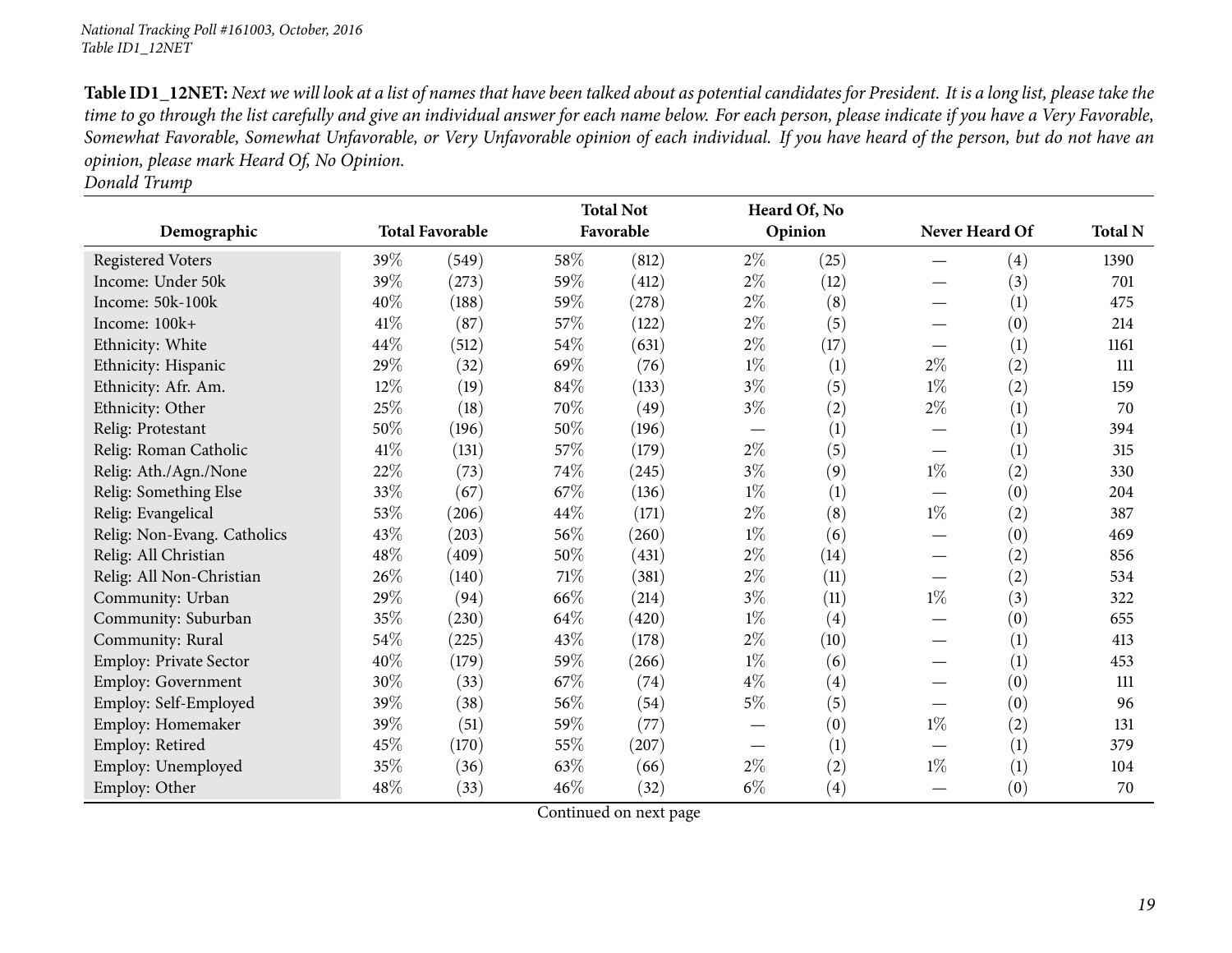Table ID1\_12NET: Next we will look at a list of names that have been talked about as potential candidates for President. It is a long list, please take the time to go through the list carefully and give an individual answer for each name below. For each person, please indicate if you have a Very Favorable, Somewhat Favorable, Somewhat Unfavorable, or Very Unfavorable opinion of each individual. If you have heard of the person, but do not have an *opinion, <sup>p</sup>lease mark Heard Of, No Opinion.*

*Donald Trump*

|                             |        |                        |        | <b>Total Not</b> |                                 | Heard Of, No |       |                |                |
|-----------------------------|--------|------------------------|--------|------------------|---------------------------------|--------------|-------|----------------|----------------|
| Demographic                 |        | <b>Total Favorable</b> |        | Favorable        |                                 | Opinion      |       | Never Heard Of | <b>Total N</b> |
| <b>Registered Voters</b>    | 39%    | (549)                  | 58%    | (812)            | $2\%$                           | (25)         |       | (4)            | 1390           |
| Income: Under 50k           | 39%    | (273)                  | 59%    | (412)            | $2\%$                           | (12)         |       | (3)            | 701            |
| Income: 50k-100k            | 40%    | (188)                  | 59%    | (278)            | $2\%$                           | (8)          |       | (1)            | 475            |
| Income: 100k+               | 41\%   | (87)                   | 57%    | (122)            | $2\%$                           | (5)          |       | (0)            | 214            |
| Ethnicity: White            | 44\%   | (512)                  | 54\%   | (631)            | $2\%$                           | (17)         |       | (1)            | 1161           |
| Ethnicity: Hispanic         | 29%    | (32)                   | 69%    | (76)             | $1\%$                           | (1)          | $2\%$ | (2)            | 111            |
| Ethnicity: Afr. Am.         | 12%    | (19)                   | 84\%   | (133)            | $3\%$                           | (5)          | $1\%$ | (2)            | 159            |
| Ethnicity: Other            | 25%    | (18)                   | 70%    | (49)             | $3\%$                           | (2)          | $2\%$ | (1)            | 70             |
| Relig: Protestant           | 50%    | (196)                  | $50\%$ | (196)            | $\hspace{0.1mm}-\hspace{0.1mm}$ | (1)          |       | (1)            | 394            |
| Relig: Roman Catholic       | $41\%$ | (131)                  | 57%    | (179)            | $2\%$                           | (5)          |       | (1)            | 315            |
| Relig: Ath./Agn./None       | 22%    | (73)                   | 74%    | (245)            | $3\%$                           | (9)          | $1\%$ | (2)            | 330            |
| Relig: Something Else       | 33\%   | (67)                   | 67%    | (136)            | $1\%$                           | (1)          |       | (0)            | 204            |
| Relig: Evangelical          | 53\%   | (206)                  | $44\%$ | (171)            | $2\%$                           | (8)          | $1\%$ | (2)            | 387            |
| Relig: Non-Evang. Catholics | 43%    | (203)                  | 56%    | (260)            | $1\%$                           | (6)          |       | (0)            | 469            |
| Relig: All Christian        | 48\%   | (409)                  | 50%    | (431)            | $2\%$                           | (14)         |       | (2)            | 856            |
| Relig: All Non-Christian    | 26\%   | (140)                  | $71\%$ | (381)            | $2\%$                           | (11)         |       | (2)            | 534            |
| Community: Urban            | 29%    | (94)                   | 66%    | (214)            | $3\%$                           | (11)         | $1\%$ | (3)            | 322            |
| Community: Suburban         | 35%    | (230)                  | 64\%   | (420)            | $1\%$                           | (4)          |       | (0)            | 655            |
| Community: Rural            | 54\%   | (225)                  | 43%    | (178)            | $2\%$                           | (10)         |       | (1)            | 413            |
| Employ: Private Sector      | 40%    | (179)                  | 59%    | (266)            | $1\%$                           | (6)          |       | (1)            | 453            |
| Employ: Government          | 30%    | (33)                   | 67%    | (74)             | $4\%$                           | (4)          |       | (0)            | 111            |
| Employ: Self-Employed       | 39%    | (38)                   | 56%    | (54)             | $5\%$                           | (5)          |       | (0)            | 96             |
| Employ: Homemaker           | 39%    | (51)                   | 59%    | (77)             |                                 | (0)          | $1\%$ | (2)            | 131            |
| Employ: Retired             | 45\%   | (170)                  | 55%    | (207)            | $\hspace{0.1mm}-\hspace{0.1mm}$ | (1)          |       | (1)            | 379            |
| Employ: Unemployed          | 35%    | (36)                   | 63%    | (66)             | $2\%$                           | (2)          | $1\%$ | (1)            | 104            |
| Employ: Other               | 48\%   | (33)                   | 46\%   | (32)             | $6\%$                           | (4)          |       | (0)            | 70             |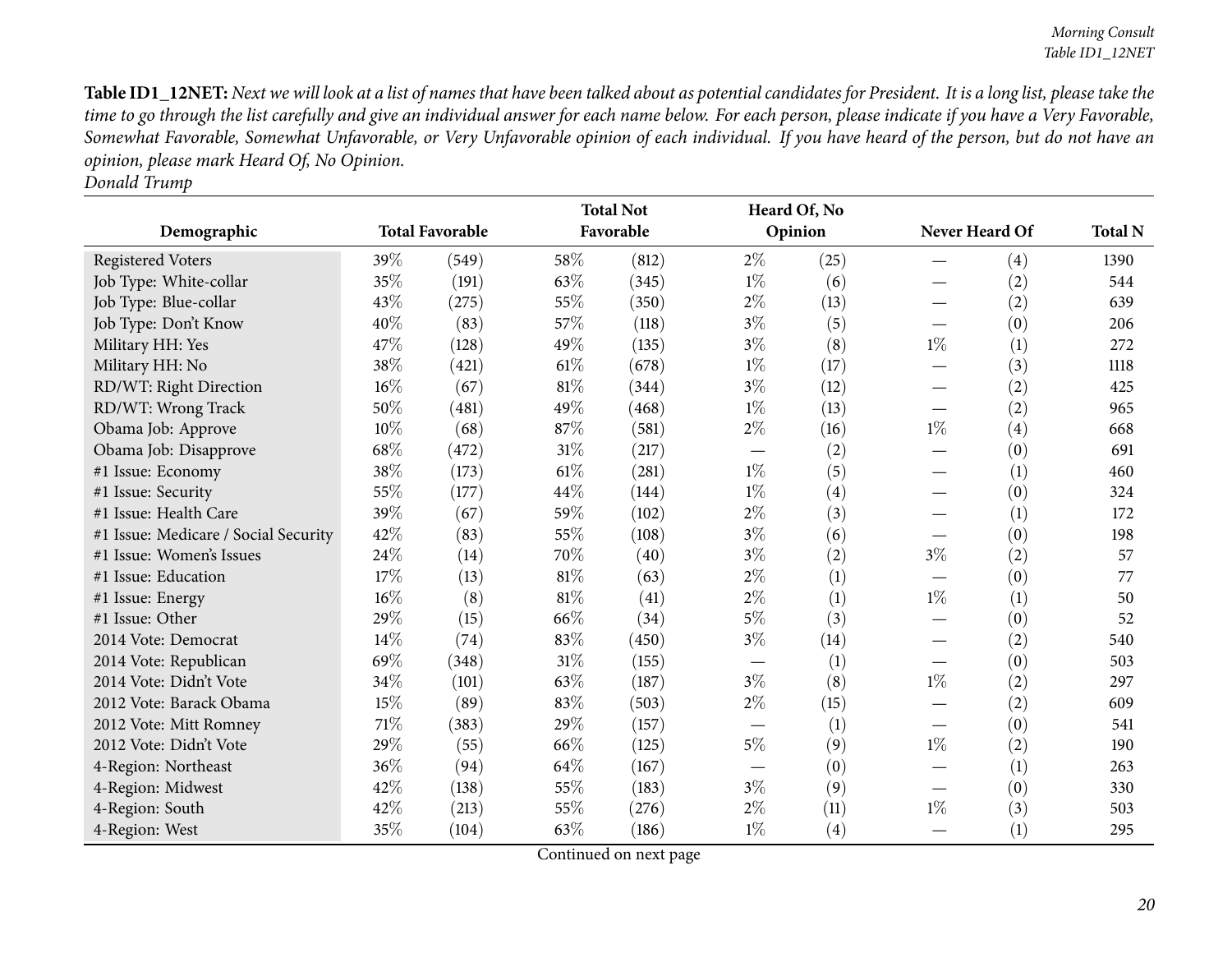Table ID1\_12NET: Next we will look at a list of names that have been talked about as potential candidates for President. It is a long list, please take the time to go through the list carefully and give an individual answer for each name below. For each person, please indicate if you have a Very Favorable, Somewhat Favorable, Somewhat Unfavorable, or Very Unfavorable opinion of each individual. If you have heard of the person, but do not have an *opinion, <sup>p</sup>lease mark Heard Of, No Opinion.*

*Donald Trump*

|                                      |        |                        |        | <b>Total Not</b> |                          | Heard Of, No |                                 |                   |                |
|--------------------------------------|--------|------------------------|--------|------------------|--------------------------|--------------|---------------------------------|-------------------|----------------|
| Demographic                          |        | <b>Total Favorable</b> |        | Favorable        |                          | Opinion      | Never Heard Of                  |                   | <b>Total N</b> |
| <b>Registered Voters</b>             | 39%    | (549)                  | 58%    | (812)            | $2\%$                    | (25)         |                                 | $\left( 4\right)$ | 1390           |
| Job Type: White-collar               | 35%    | (191)                  | 63%    | (345)            | $1\%$                    | (6)          |                                 | (2)               | 544            |
| Job Type: Blue-collar                | 43%    | (275)                  | 55%    | (350)            | $2\%$                    | (13)         |                                 | (2)               | 639            |
| Job Type: Don't Know                 | 40%    | (83)                   | 57%    | (118)            | $3\%$                    | (5)          | $\overbrace{\phantom{123321}}$  | (0)               | 206            |
| Military HH: Yes                     | 47%    | (128)                  | 49%    | (135)            | $3\%$                    | (8)          | $1\%$                           | (1)               | 272            |
| Military HH: No                      | 38%    | (421)                  | 61\%   | (678)            | $1\%$                    | (17)         |                                 | (3)               | 1118           |
| RD/WT: Right Direction               | 16%    | (67)                   | 81\%   | (344)            | $3\%$                    | (12)         |                                 | (2)               | 425            |
| RD/WT: Wrong Track                   | 50%    | (481)                  | 49%    | (468)            | $1\%$                    | (13)         |                                 | (2)               | 965            |
| Obama Job: Approve                   | 10%    | (68)                   | 87%    | (581)            | $2\%$                    | (16)         | $1\%$                           | $\left( 4\right)$ | 668            |
| Obama Job: Disapprove                | 68%    | (472)                  | 31%    | (217)            | —                        | (2)          |                                 | (0)               | 691            |
| #1 Issue: Economy                    | 38%    | (173)                  | 61\%   | (281)            | $1\%$                    | (5)          |                                 | (1)               | 460            |
| #1 Issue: Security                   | $55\%$ | (177)                  | 44%    | (144)            | $1\%$                    | (4)          |                                 | (0)               | 324            |
| #1 Issue: Health Care                | 39%    | (67)                   | 59%    | (102)            | $2\%$                    | (3)          |                                 | (1)               | 172            |
| #1 Issue: Medicare / Social Security | 42%    | (83)                   | 55%    | (108)            | $3\%$                    | (6)          |                                 | (0)               | 198            |
| #1 Issue: Women's Issues             | 24%    | (14)                   | 70%    | (40)             | $3\%$                    | (2)          | $3\%$                           | (2)               | 57             |
| #1 Issue: Education                  | 17%    | (13)                   | 81%    | (63)             | $2\%$                    | (1)          |                                 | (0)               | 77             |
| #1 Issue: Energy                     | 16%    | (8)                    | $81\%$ | (41)             | $2\%$                    | (1)          | $1\%$                           | (1)               | 50             |
| #1 Issue: Other                      | 29%    | (15)                   | 66%    | (34)             | $5\%$                    | (3)          |                                 | (0)               | 52             |
| 2014 Vote: Democrat                  | 14\%   | (74)                   | 83%    | (450)            | $3\%$                    | (14)         |                                 | (2)               | 540            |
| 2014 Vote: Republican                | 69%    | (348)                  | 31%    | (155)            | $\overline{\phantom{0}}$ | (1)          |                                 | (0)               | 503            |
| 2014 Vote: Didn't Vote               | 34%    | (101)                  | 63%    | (187)            | $3\%$                    | (8)          | $1\%$                           | (2)               | 297            |
| 2012 Vote: Barack Obama              | 15%    | (89)                   | 83%    | (503)            | $2\%$                    | (15)         |                                 | (2)               | 609            |
| 2012 Vote: Mitt Romney               | $71\%$ | (383)                  | 29%    | (157)            |                          | (1)          | $\hspace{0.1mm}-\hspace{0.1mm}$ | (0)               | 541            |
| 2012 Vote: Didn't Vote               | 29%    | (55)                   | 66%    | (125)            | $5\%$                    | (9)          | $1\%$                           | (2)               | 190            |
| 4-Region: Northeast                  | $36\%$ | (94)                   | 64%    | (167)            |                          | (0)          |                                 | (1)               | 263            |
| 4-Region: Midwest                    | 42%    | (138)                  | 55%    | (183)            | $3\%$                    | (9)          |                                 | (0)               | 330            |
| 4-Region: South                      | 42%    | (213)                  | 55%    | (276)            | $2\%$                    | (11)         | $1\%$                           | (3)               | 503            |
| 4-Region: West                       | 35%    | (104)                  | 63%    | (186)            | $1\%$                    | (4)          |                                 | (1)               | 295            |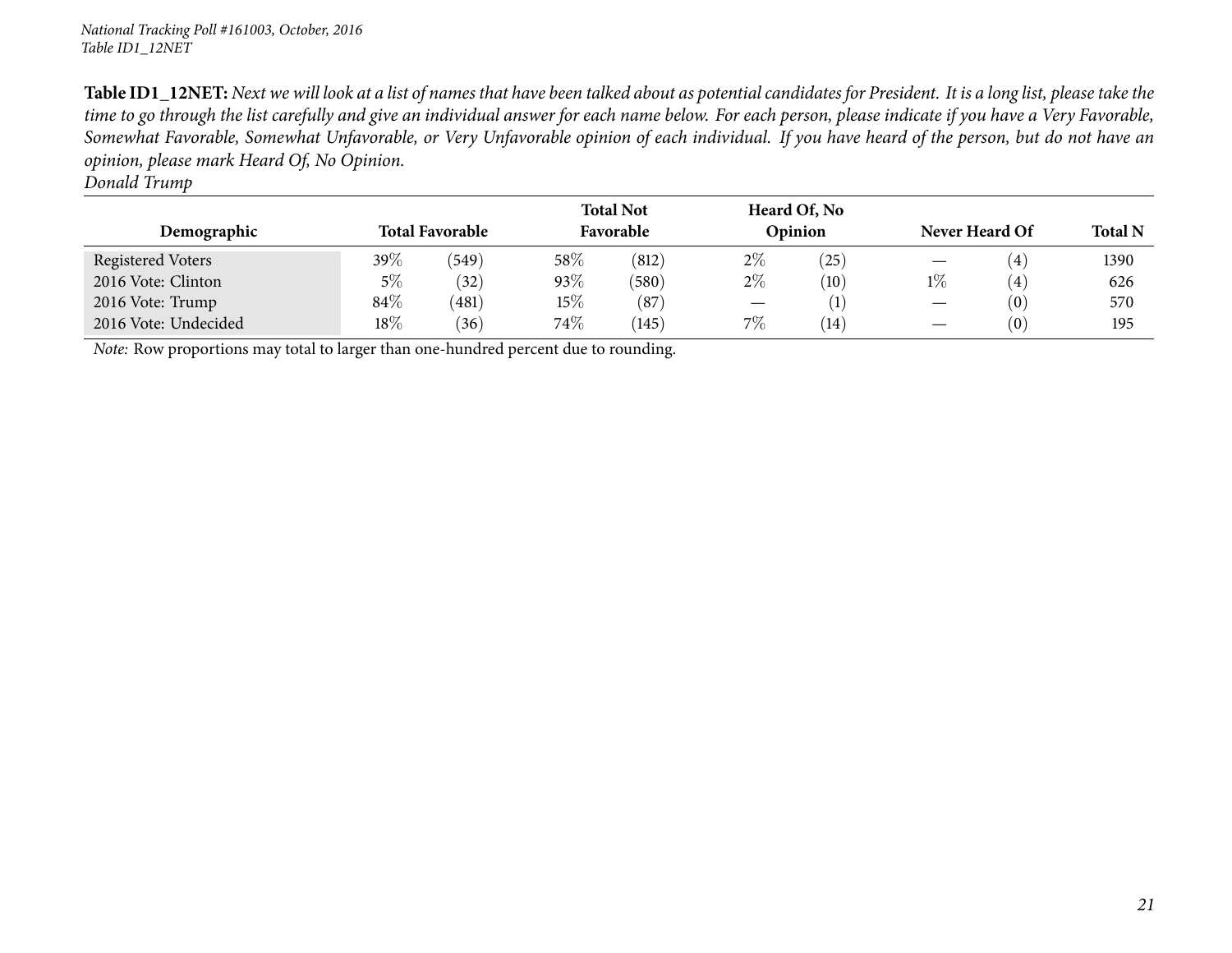Table ID1\_12NET: Next we will look at a list of names that have been talked about as potential candidates for President. It is a long list, please take the time to go through the list carefully and give an individual answer for each name below. For each person, please indicate if you have a Very Favorable, Somewhat Favorable, Somewhat Unfavorable, or Very Unfavorable opinion of each individual. If you have heard of the person, but do not have an *opinion, <sup>p</sup>lease mark Heard Of, No Opinion.*

*Donald Trump*

| Demographic                                                                         |        | <b>Total Favorable</b> |      | <b>Total Not</b><br>Favorable |       | Heard Of, No<br>Opinion |       | Never Heard Of   | <b>Total N</b> |
|-------------------------------------------------------------------------------------|--------|------------------------|------|-------------------------------|-------|-------------------------|-------|------------------|----------------|
| Registered Voters                                                                   | $39\%$ | (549)                  | 58%  | (812)                         | $2\%$ | (25)                    |       | (4)              | 1390           |
| 2016 Vote: Clinton                                                                  | 5%     | (32)                   | 93%  | (580)                         | $2\%$ | (10)                    | $1\%$ | $\left(4\right)$ | 626            |
| 2016 Vote: Trump                                                                    | 84\%   | (481)                  | 15%  | (87)                          |       |                         |       | (0)              | 570            |
| 2016 Vote: Undecided                                                                | $18\%$ | (36)                   | 74\% | (145)                         | 7%    | (14)                    |       | (0)              | 195            |
| Note: Row proportions may total to larger than one-hundred percent due to rounding. |        |                        |      |                               |       |                         |       |                  |                |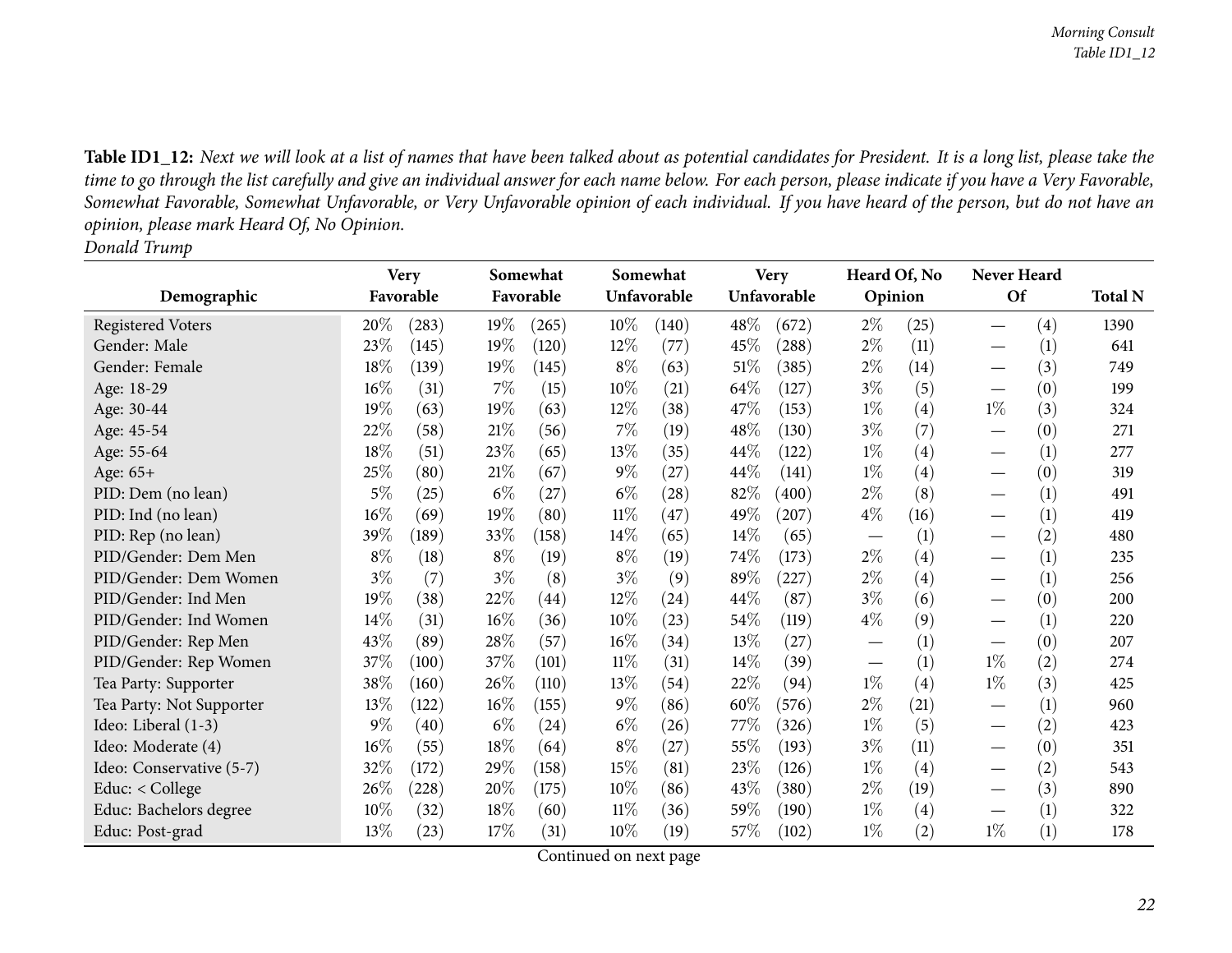Table ID1\_12: Next we will look at a list of names that have been talked about as potential candidates for President. It is a long list, please take the time to go through the list carefully and give an individual answer for each name below. For each person, please indicate if you have a Very Favorable, Somewhat Favorable, Somewhat Unfavorable, or Very Unfavorable opinion of each individual. If you have heard of the person, but do not have an *opinion, <sup>p</sup>lease mark Heard Of, No Opinion. Donald Trump*

<span id="page-21-0"></span>

|                          |        | <b>Very</b> |        | Somewhat  |        | Somewhat           |        | <b>Very</b> | Heard Of, No |                   | Never Heard                     |                   |                |
|--------------------------|--------|-------------|--------|-----------|--------|--------------------|--------|-------------|--------------|-------------------|---------------------------------|-------------------|----------------|
| Demographic              |        | Favorable   |        | Favorable |        | Unfavorable        |        | Unfavorable | Opinion      |                   | <b>Of</b>                       |                   | <b>Total N</b> |
| <b>Registered Voters</b> | 20%    | (283)       | $19\%$ | (265)     | 10%    | (140)              | $48\%$ | (672)       | $2\%$        | (25)              |                                 | $\left( 4\right)$ | 1390           |
| Gender: Male             | 23%    | (145)       | 19%    | (120)     | $12\%$ | (77)               | 45\%   | (288)       | $2\%$        | (11)              |                                 | (1)               | 641            |
| Gender: Female           | 18%    | (139)       | $19\%$ | (145)     | $8\%$  | (63)               | 51\%   | (385)       | $2\%$        | (14)              | $\overbrace{\phantom{123321}}$  | (3)               | 749            |
| Age: 18-29               | $16\%$ | (31)        | $7\%$  | (15)      | $10\%$ | (21)               | 64\%   | (127)       | $3\%$        | (5)               | $\hspace{0.1mm}-\hspace{0.1mm}$ | (0)               | 199            |
| Age: 30-44               | 19%    | (63)        | 19%    | (63)      | $12\%$ | (38)               | 47\%   | (153)       | $1\%$        | $\left( 4\right)$ | $1\%$                           | (3)               | 324            |
| Age: 45-54               | 22%    | (58)        | 21%    | (56)      | 7%     | (19)               | 48\%   | (130)       | $3\%$        | (7)               |                                 | (0)               | 271            |
| Age: 55-64               | 18%    | (51)        | 23%    | (65)      | 13\%   | (35)               | $44\%$ | (122)       | $1\%$        | $\left( 4\right)$ | $\overbrace{\phantom{13333}}$   | (1)               | 277            |
| Age: 65+                 | 25%    | (80)        | 21%    | (67)      | $9\%$  | (27)               | 44\%   | (141)       | $1\%$        | $\left( 4\right)$ |                                 | (0)               | 319            |
| PID: Dem (no lean)       | $5\%$  | (25)        | $6\%$  | (27)      | $6\%$  | $\left( 28\right)$ | 82%    | (400)       | $2\%$        | (8)               |                                 | (1)               | 491            |
| PID: Ind (no lean)       | $16\%$ | (69)        | 19%    | (80)      | $11\%$ | (47)               | 49%    | (207)       | $4\%$        | (16)              |                                 | (1)               | 419            |
| PID: Rep (no lean)       | 39%    | (189)       | 33\%   | (158)     | 14%    | (65)               | $14\%$ | (65)        |              | (1)               |                                 | (2)               | 480            |
| PID/Gender: Dem Men      | $8\%$  | (18)        | $8\%$  | (19)      | $8\%$  | (19)               | 74%    | (173)       | $2\%$        | $\left( 4\right)$ | $\overbrace{\phantom{123321}}$  | (1)               | 235            |
| PID/Gender: Dem Women    | $3\%$  | (7)         | $3\%$  | (8)       | $3\%$  | (9)                | 89%    | (227)       | $2\%$        | $\left( 4\right)$ |                                 | (1)               | 256            |
| PID/Gender: Ind Men      | 19%    | (38)        | 22\%   | (44)      | $12\%$ | (24)               | $44\%$ | (87)        | $3\%$        | (6)               | $\hspace{0.1mm}-\hspace{0.1mm}$ | (0)               | 200            |
| PID/Gender: Ind Women    | 14\%   | (31)        | $16\%$ | (36)      | $10\%$ | (23)               | 54\%   | (119)       | $4\%$        | (9)               |                                 | (1)               | 220            |
| PID/Gender: Rep Men      | 43\%   | (89)        | 28\%   | (57)      | 16%    | (34)               | 13\%   | (27)        |              | (1)               |                                 | (0)               | 207            |
| PID/Gender: Rep Women    | 37\%   | (100)       | 37\%   | (101)     | 11%    | (31)               | $14\%$ | (39)        |              | (1)               | $1\%$                           | (2)               | 274            |
| Tea Party: Supporter     | 38\%   | (160)       | 26\%   | (110)     | 13\%   | (54)               | 22%    | (94)        | $1\%$        | $\left( 4\right)$ | $1\%$                           | (3)               | 425            |
| Tea Party: Not Supporter | 13%    | (122)       | $16\%$ | (155)     | $9\%$  | (86)               | 60%    | (576)       | $2\%$        | (21)              |                                 | (1)               | 960            |
| Ideo: Liberal (1-3)      | $9\%$  | (40)        | $6\%$  | (24)      | $6\%$  | (26)               | 77\%   | (326)       | $1\%$        | (5)               |                                 | (2)               | 423            |
| Ideo: Moderate (4)       | $16\%$ | (55)        | $18\%$ | (64)      | $8\%$  | (27)               | 55\%   | (193)       | $3\%$        | (11)              | $\hspace{0.1mm}-\hspace{0.1mm}$ | (0)               | 351            |
| Ideo: Conservative (5-7) | 32%    | (172)       | 29%    | (158)     | 15%    | (81)               | 23\%   | (126)       | $1\%$        | $\left( 4\right)$ |                                 | (2)               | 543            |
| Educ: $<$ College        | 26%    | (228)       | 20%    | (175)     | $10\%$ | (86)               | 43\%   | (380)       | $2\%$        | (19)              |                                 | (3)               | 890            |
| Educ: Bachelors degree   | $10\%$ | (32)        | 18%    | (60)      | $11\%$ | (36)               | 59%    | (190)       | $1\%$        | $\left( 4\right)$ |                                 | (1)               | 322            |
| Educ: Post-grad          | 13%    | (23)        | 17%    | (31)      | 10%    | (19)               | 57\%   | (102)       | $1\%$        | (2)               | $1\%$                           | (1)               | 178            |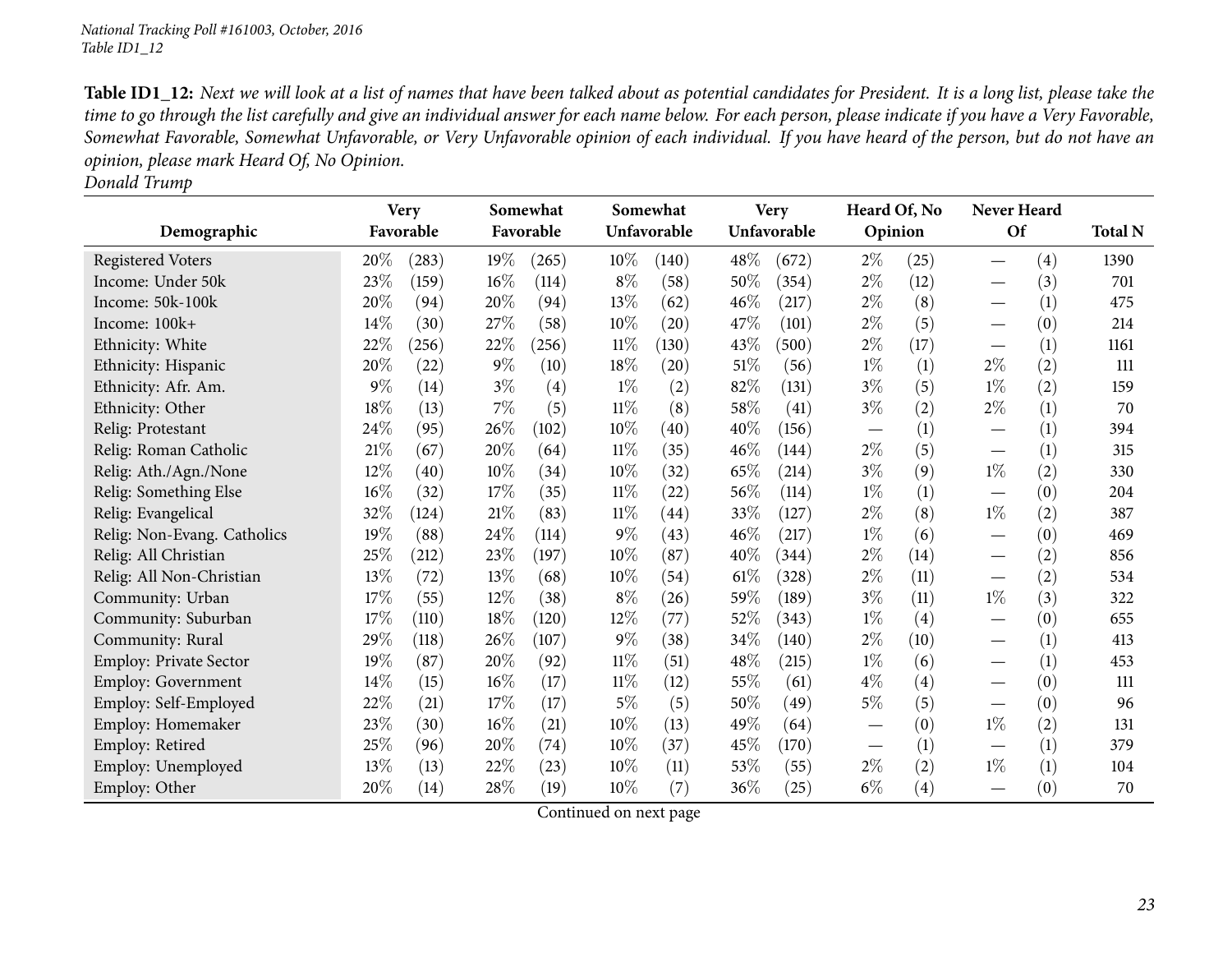Table ID1\_12: Next we will look at a list of names that have been talked about as potential candidates for President. It is a long list, please take the time to go through the list carefully and give an individual answer for each name below. For each person, please indicate if you have a Very Favorable, Somewhat Favorable, Somewhat Unfavorable, or Very Unfavorable opinion of each individual. If you have heard of the person, but do not have an *opinion, <sup>p</sup>lease mark Heard Of, No Opinion.*

| Donald Trump |  |
|--------------|--|
|              |  |

|                               | <b>Very</b> |       |       | Somewhat          |        | Somewhat    |        | <b>Very</b> | Heard Of, No                  |                   | Never Heard                     |     |                |
|-------------------------------|-------------|-------|-------|-------------------|--------|-------------|--------|-------------|-------------------------------|-------------------|---------------------------------|-----|----------------|
| Demographic                   | Favorable   |       |       | Favorable         |        | Unfavorable |        | Unfavorable |                               | Opinion           | Of                              |     | <b>Total N</b> |
| <b>Registered Voters</b>      | 20%         | (283) | 19%   | (265)             | $10\%$ | (140)       | 48%    | (672)       | $2\%$                         | (25)              |                                 | (4) | 1390           |
| Income: Under 50k             | 23%         | (159) | 16%   | (114)             | $8\%$  | (58)        | 50%    | (354)       | $2\%$                         | (12)              |                                 | (3) | 701            |
| Income: 50k-100k              | 20%         | (94)  | 20%   | (94)              | 13%    | (62)        | 46%    | (217)       | $2\%$                         | (8)               | $\overbrace{\phantom{123321}}$  | (1) | 475            |
| Income: 100k+                 | 14\%        | (30)  | 27%   | (58)              | 10%    | (20)        | 47\%   | (101)       | $2\%$                         | (5)               | $\hspace{0.1mm}-\hspace{0.1mm}$ | (0) | 214            |
| Ethnicity: White              | 22%         | (256) | 22%   | (256)             | $11\%$ | (130)       | 43%    | (500)       | $2\%$                         | (17)              |                                 | (1) | 1161           |
| Ethnicity: Hispanic           | 20%         | (22)  | $9\%$ | (10)              | 18%    | (20)        | $51\%$ | (56)        | $1\%$                         | (1)               | $2\%$                           | (2) | 111            |
| Ethnicity: Afr. Am.           | $9\%$       | (14)  | $3\%$ | $\left( 4\right)$ | $1\%$  | (2)         | 82%    | (131)       | $3\%$                         | (5)               | $1\%$                           | (2) | 159            |
| Ethnicity: Other              | 18%         | (13)  | 7%    | (5)               | $11\%$ | (8)         | 58\%   | (41)        | $3\%$                         | (2)               | $2\%$                           | (1) | 70             |
| Relig: Protestant             | 24\%        | (95)  | 26%   | (102)             | 10%    | (40)        | 40\%   | (156)       | $\overbrace{\phantom{aaaaa}}$ | (1)               | $\overbrace{\phantom{123321}}$  | (1) | 394            |
| Relig: Roman Catholic         | 21%         | (67)  | 20%   | (64)              | $11\%$ | (35)        | 46\%   | (144)       | $2\%$                         | (5)               |                                 | (1) | 315            |
| Relig: Ath./Agn./None         | $12\%$      | (40)  | 10%   | (34)              | 10%    | (32)        | 65%    | (214)       | $3\%$                         | (9)               | $1\%$                           | (2) | 330            |
| Relig: Something Else         | 16%         | (32)  | 17%   | (35)              | $11\%$ | (22)        | 56\%   | (114)       | $1\%$                         | (1)               |                                 | (0) | 204            |
| Relig: Evangelical            | 32%         | (124) | 21%   | (83)              | $11\%$ | (44)        | 33%    | (127)       | $2\%$                         | (8)               | $1\%$                           | (2) | 387            |
| Relig: Non-Evang. Catholics   | 19%         | (88)  | 24%   | (114)             | $9\%$  | (43)        | $46\%$ | (217)       | $1\%$                         | (6)               | $\hspace{0.1mm}-\hspace{0.1mm}$ | (0) | 469            |
| Relig: All Christian          | 25%         | (212) | 23%   | (197)             | 10%    | (87)        | 40%    | (344)       | $2\%$                         | (14)              |                                 | (2) | 856            |
| Relig: All Non-Christian      | 13%         | (72)  | 13%   | (68)              | 10%    | (54)        | $61\%$ | (328)       | $2\%$                         | (11)              | $\hspace{0.1mm}-\hspace{0.1mm}$ | (2) | 534            |
| Community: Urban              | 17%         | (55)  | 12%   | (38)              | $8\%$  | (26)        | 59%    | (189)       | $3\%$                         | (11)              | $1\%$                           | (3) | 322            |
| Community: Suburban           | 17%         | (110) | 18%   | (120)             | 12%    | (77)        | 52%    | (343)       | $1\%$                         | (4)               |                                 | (0) | 655            |
| Community: Rural              | 29%         | (118) | 26%   | (107)             | $9\%$  | (38)        | 34\%   | (140)       | $2\%$                         | (10)              |                                 | (1) | 413            |
| <b>Employ: Private Sector</b> | 19%         | (87)  | 20%   | (92)              | 11%    | (51)        | 48\%   | (215)       | $1\%$                         | (6)               | $\hspace{0.05cm}$               | (1) | 453            |
| Employ: Government            | 14%         | (15)  | 16%   | (17)              | $11\%$ | (12)        | 55%    | (61)        | $4\%$                         | $\left( 4\right)$ |                                 | (0) | 111            |
| Employ: Self-Employed         | 22%         | (21)  | 17%   | (17)              | $5\%$  | (5)         | 50%    | (49)        | $5\%$                         | (5)               |                                 | (0) | 96             |
| Employ: Homemaker             | 23%         | (30)  | 16%   | (21)              | 10%    | (13)        | 49%    | (64)        |                               | (0)               | $1\%$                           | (2) | 131            |
| Employ: Retired               | 25%         | (96)  | 20%   | (74)              | 10%    | (37)        | 45%    | (170)       |                               | (1)               |                                 | (1) | 379            |
| Employ: Unemployed            | 13%         | (13)  | 22%   | (23)              | 10%    | (11)        | 53%    | (55)        | $2\%$                         | (2)               | $1\%$                           | (1) | 104            |
| Employ: Other                 | 20%         | (14)  | 28%   | (19)              | 10%    | (7)         | $36\%$ | (25)        | $6\%$                         | (4)               |                                 | (0) | 70             |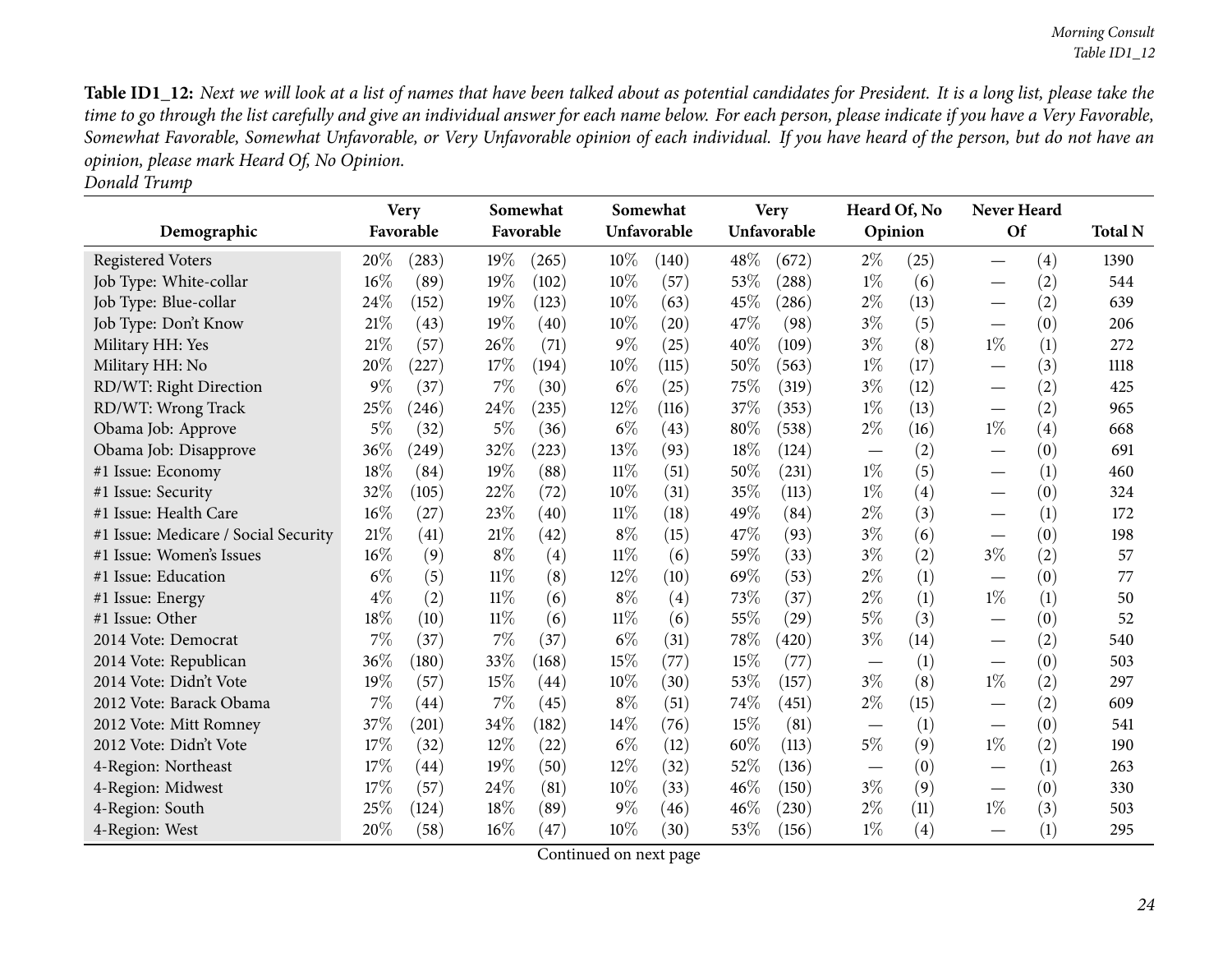Table ID1\_12: Next we will look at a list of names that have been talked about as potential candidates for President. It is a long list, please take the time to go through the list carefully and give an individual answer for each name below. For each person, please indicate if you have a Very Favorable, Somewhat Favorable, Somewhat Unfavorable, or Very Unfavorable opinion of each individual. If you have heard of the person, but do not have an *opinion, <sup>p</sup>lease mark Heard Of, No Opinion. Donald Trump*

| Demographic                          |       | <b>Very</b><br>Favorable |        | Somewhat<br>Favorable |        | Somewhat<br>Unfavorable |      | <b>Very</b><br>Unfavorable |       | Heard Of, No<br>Opinion |                          | Never Heard<br>Of |                |
|--------------------------------------|-------|--------------------------|--------|-----------------------|--------|-------------------------|------|----------------------------|-------|-------------------------|--------------------------|-------------------|----------------|
|                                      |       |                          |        |                       |        |                         |      |                            |       |                         |                          |                   | <b>Total N</b> |
| <b>Registered Voters</b>             | 20%   | (283)                    | 19%    | (265)                 | $10\%$ | (140)                   | 48\% | (672)                      | $2\%$ | (25)                    |                          | (4)               | 1390           |
| Job Type: White-collar               | 16%   | (89)                     | 19%    | (102)                 | 10%    | (57)                    | 53%  | (288)                      | $1\%$ | (6)                     |                          | (2)               | 544            |
| Job Type: Blue-collar                | 24%   | (152)                    | 19%    | (123)                 | 10%    | (63)                    | 45%  | (286)                      | 2%    | (13)                    |                          | (2)               | 639            |
| Job Type: Don't Know                 | 21%   | (43)                     | 19%    | (40)                  | 10%    | (20)                    | 47%  | (98)                       | $3\%$ | (5)                     |                          | (0)               | 206            |
| Military HH: Yes                     | 21%   | (57)                     | 26%    | (71)                  | $9\%$  | (25)                    | 40%  | (109)                      | $3\%$ | (8)                     | $1\%$                    | (1)               | 272            |
| Military HH: No                      | 20%   | (227)                    | 17%    | (194)                 | 10%    | (115)                   | 50%  | (563)                      | $1\%$ | (17)                    |                          | (3)               | 1118           |
| RD/WT: Right Direction               | $9\%$ | (37)                     | 7%     | (30)                  | $6\%$  | (25)                    | 75%  | (319)                      | $3\%$ | (12)                    |                          | (2)               | 425            |
| RD/WT: Wrong Track                   | 25%   | (246)                    | 24%    | (235)                 | $12\%$ | (116)                   | 37%  | (353)                      | $1\%$ | (13)                    |                          | (2)               | 965            |
| Obama Job: Approve                   | $5\%$ | (32)                     | $5\%$  | (36)                  | $6\%$  | (43)                    | 80%  | (538)                      | $2\%$ | (16)                    | $1\%$                    | (4)               | 668            |
| Obama Job: Disapprove                | 36%   | (249)                    | 32%    | (223)                 | 13\%   | (93)                    | 18%  | (124)                      |       | (2)                     |                          | (0)               | 691            |
| #1 Issue: Economy                    | 18%   | (84)                     | 19%    | (88)                  | 11%    | (51)                    | 50%  | (231)                      | $1\%$ | (5)                     |                          | (1)               | 460            |
| #1 Issue: Security                   | 32%   | (105)                    | 22%    | (72)                  | 10%    | (31)                    | 35%  | (113)                      | $1\%$ | (4)                     |                          | (0)               | 324            |
| #1 Issue: Health Care                | 16%   | (27)                     | 23%    | (40)                  | 11%    | (18)                    | 49%  | (84)                       | $2\%$ | (3)                     | $\overline{\phantom{0}}$ | (1)               | 172            |
| #1 Issue: Medicare / Social Security | 21\%  | (41)                     | 21%    | (42)                  | $8\%$  | (15)                    | 47%  | (93)                       | $3\%$ | (6)                     |                          | (0)               | 198            |
| #1 Issue: Women's Issues             | 16%   | (9)                      | $8\%$  | (4)                   | 11%    | (6)                     | 59%  | (33)                       | $3\%$ | (2)                     | $3\%$                    | (2)               | 57             |
| #1 Issue: Education                  | $6\%$ | (5)                      | $11\%$ | (8)                   | 12%    | (10)                    | 69%  | (53)                       | $2\%$ | (1)                     |                          | (0)               | 77             |
| #1 Issue: Energy                     | $4\%$ | (2)                      | $11\%$ | (6)                   | $8\%$  | (4)                     | 73%  | (37)                       | $2\%$ | (1)                     | $1\%$                    | (1)               | 50             |
| #1 Issue: Other                      | 18%   | (10)                     | $11\%$ | (6)                   | $11\%$ | (6)                     | 55%  | (29)                       | 5%    | (3)                     | $\overline{\phantom{0}}$ | (0)               | 52             |
| 2014 Vote: Democrat                  | 7%    | (37)                     | 7%     | (37)                  | $6\%$  | (31)                    | 78%  | (420)                      | $3\%$ | (14)                    |                          | (2)               | 540            |
| 2014 Vote: Republican                | 36%   | (180)                    | 33%    | (168)                 | 15%    | (77)                    | 15%  | (77)                       |       | (1)                     |                          | (0)               | 503            |
| 2014 Vote: Didn't Vote               | 19%   | (57)                     | 15%    | (44)                  | 10%    | (30)                    | 53%  | (157)                      | $3\%$ | (8)                     | $1\%$                    | (2)               | 297            |
| 2012 Vote: Barack Obama              | 7%    | (44)                     | 7%     | (45)                  | $8\%$  | (51)                    | 74%  | (451)                      | $2\%$ | (15)                    |                          | (2)               | 609            |
| 2012 Vote: Mitt Romney               | 37%   | (201)                    | 34%    | (182)                 | 14\%   | (76)                    | 15%  | (81)                       |       | (1)                     | $\overline{\phantom{0}}$ | (0)               | 541            |
| 2012 Vote: Didn't Vote               | 17%   | (32)                     | 12%    | (22)                  | $6\%$  | (12)                    | 60%  | (113)                      | $5\%$ | (9)                     | $1\%$                    | (2)               | 190            |
| 4-Region: Northeast                  | 17%   | (44)                     | 19%    | (50)                  | $12\%$ | (32)                    | 52%  | (136)                      |       | (0)                     |                          | (1)               | 263            |
| 4-Region: Midwest                    | 17%   | (57)                     | 24\%   | (81)                  | 10%    | (33)                    | 46%  | (150)                      | $3\%$ | (9)                     | $\overline{\phantom{0}}$ | (0)               | 330            |
| 4-Region: South                      | 25%   | (124)                    | 18%    | (89)                  | $9\%$  | (46)                    | 46%  | (230)                      | $2\%$ | (11)                    | $1\%$                    | (3)               | 503            |
| 4-Region: West                       | 20%   | (58)                     | 16%    | (47)                  | 10%    | (30)                    | 53%  | (156)                      | $1\%$ | (4)                     |                          | (1)               | 295            |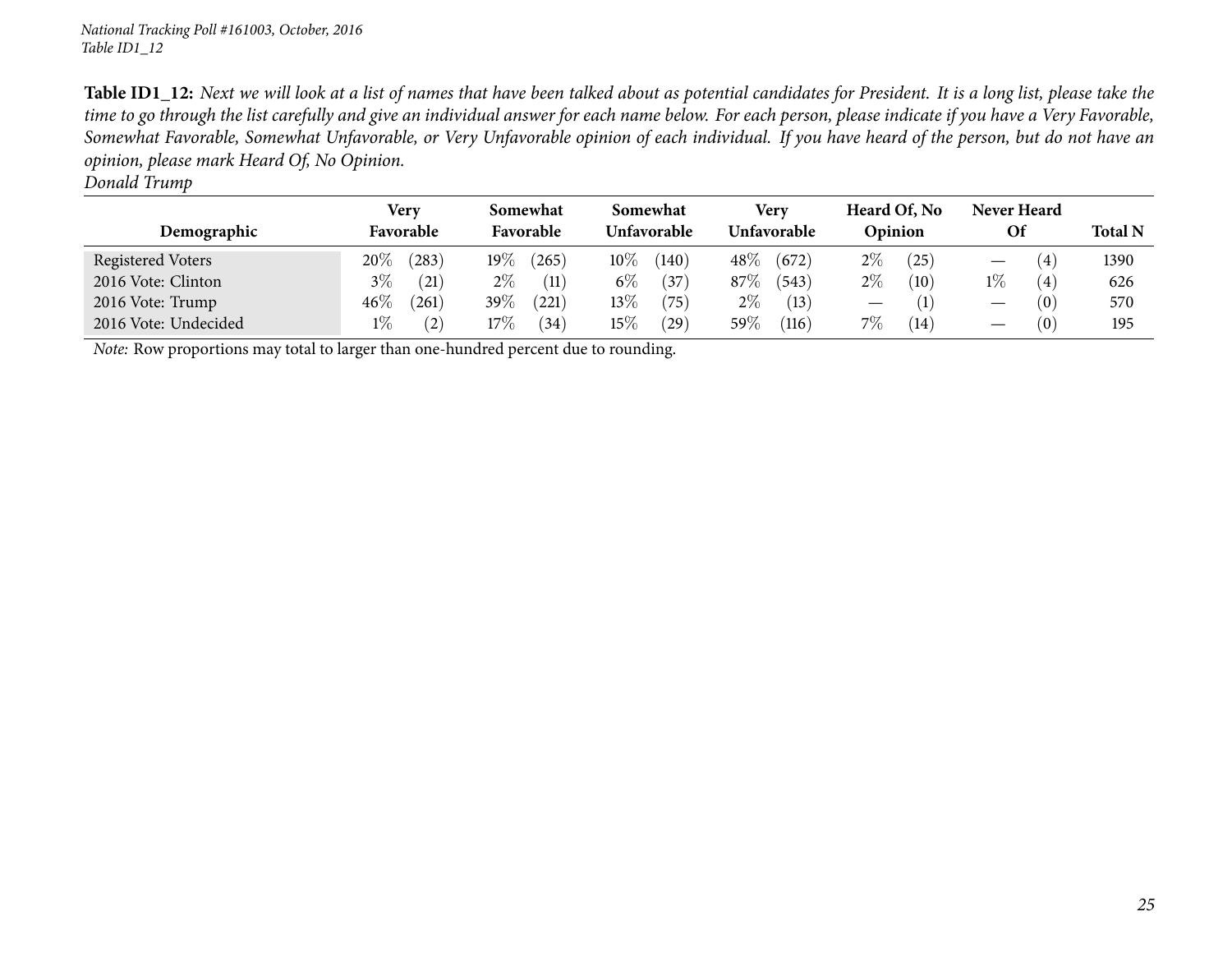Table ID1\_12: Next we will look at a list of names that have been talked about as potential candidates for President. It is a long list, please take the time to go through the list carefully and give an individual answer for each name below. For each person, please indicate if you have a Very Favorable, Somewhat Favorable, Somewhat Unfavorable, or Very Unfavorable opinion of each individual. If you have heard of the person, but do not have an *opinion, <sup>p</sup>lease mark Heard Of, No Opinion. Donald Trump*

| Demographic          | Very<br>Favorable |       | Somewhat<br>Favorable |       | Somewhat<br>Unfavorable |              | Verv<br>Unfavorable |       | Heard Of, No<br>Opinion |      | Never Heard<br>Of               |     | <b>Total N</b> |
|----------------------|-------------------|-------|-----------------------|-------|-------------------------|--------------|---------------------|-------|-------------------------|------|---------------------------------|-----|----------------|
| Registered Voters    | $20\%$            | (283) | 19 $\%$               | (265) | $10\%$                  | (140)        | $48\%$              | (672) | $2\%$                   | (25) |                                 | (4) | 1390           |
| 2016 Vote: Clinton   | $3\%$             | (21)  | $2\%$                 | (11)  | $6\%$                   | (37)         | 87\%                | (543) | $2\%$                   | (10) | $1\%$                           | (4) | 626            |
| 2016 Vote: Trump     | $46\%$            | (261) | 39%                   | (221) | $13\%$                  | (75)         | $2\%$               | (13)  |                         | (1)  | $\hspace{0.1mm}-\hspace{0.1mm}$ | (0) | 570            |
| 2016 Vote: Undecided | $1\%$             | (2)   | $17\%$                | (34)  | $15\%$                  | (29)         | $59\%$              | (116) | 7%                      | (14) | $\hspace{0.05cm}$               | (0) | 195            |
|                      |                   |       |                       |       |                         | $\mathbf{u}$ |                     |       |                         |      |                                 |     |                |

*Note:* Row proportions may total to larger than one-hundred percen<sup>t</sup> due to rounding.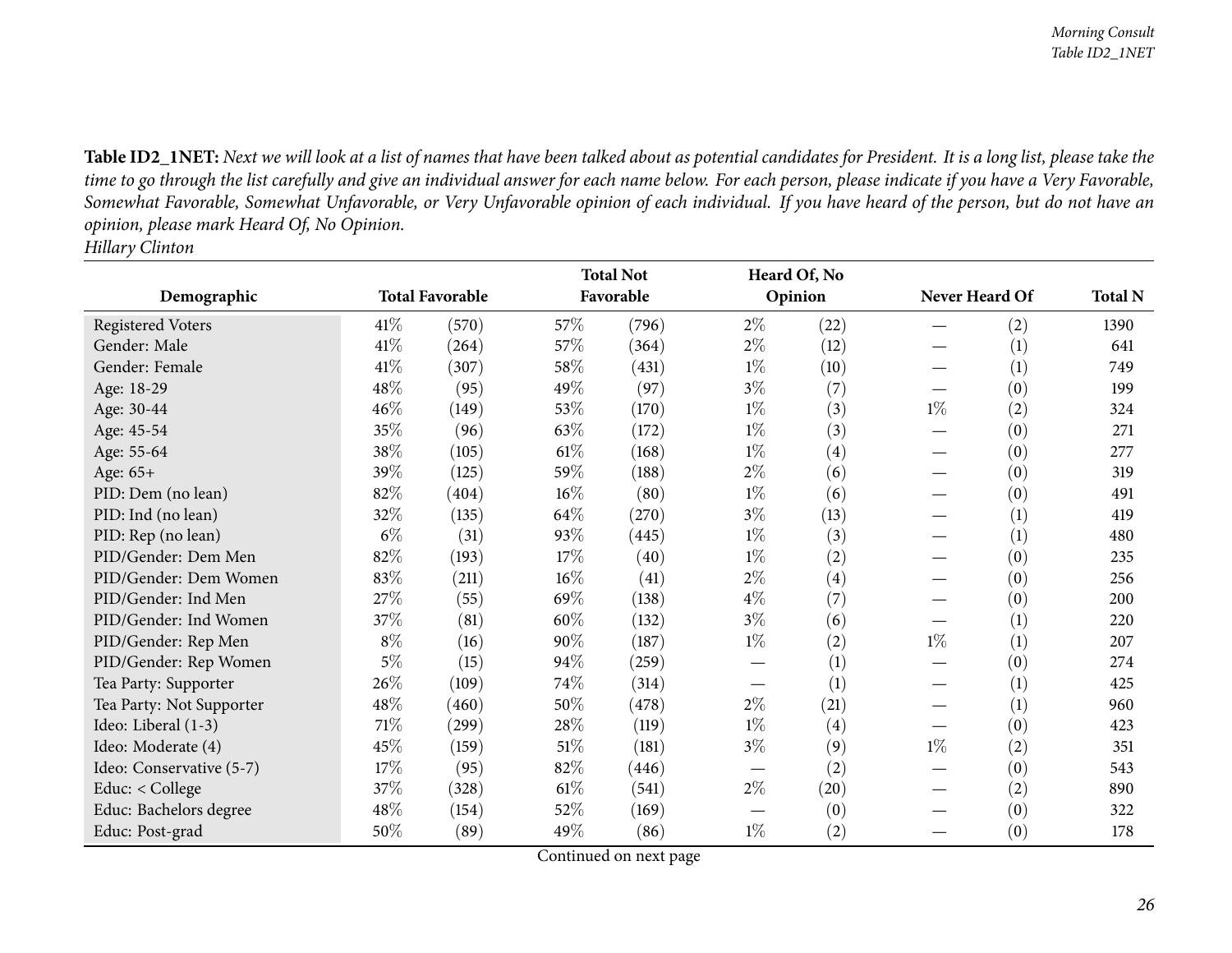Table ID2\_1NET: Next we will look at a list of names that have been talked about as potential candidates for President. It is a long list, please take the time to go through the list carefully and give an individual answer for each name below. For each person, please indicate if you have a Very Favorable, Somewhat Favorable, Somewhat Unfavorable, or Very Unfavorable opinion of each individual. If you have heard of the person, but do not have an *opinion, <sup>p</sup>lease mark Heard Of, No Opinion. Hillary Clinton*

<span id="page-25-0"></span>

|                          |        |                        | <b>Total Not</b> |           |                               | Heard Of, No |                |     |                |
|--------------------------|--------|------------------------|------------------|-----------|-------------------------------|--------------|----------------|-----|----------------|
| Demographic              |        | <b>Total Favorable</b> |                  | Favorable |                               | Opinion      | Never Heard Of |     | <b>Total N</b> |
| <b>Registered Voters</b> | 41\%   | (570)                  | 57\%             | (796)     | $2\%$                         | (22)         |                | (2) | 1390           |
| Gender: Male             | 41\%   | (264)                  | 57%              | (364)     | $2\%$                         | (12)         |                | (1) | 641            |
| Gender: Female           | 41\%   | (307)                  | 58%              | (431)     | $1\%$                         | (10)         |                | (1) | 749            |
| Age: 18-29               | 48%    | (95)                   | 49%              | (97)      | $3\%$                         | (7)          |                | (0) | 199            |
| Age: 30-44               | 46%    | (149)                  | 53%              | (170)     | $1\%$                         | (3)          | $1\%$          | (2) | 324            |
| Age: 45-54               | 35%    | (96)                   | 63%              | (172)     | $1\%$                         | (3)          |                | (0) | 271            |
| Age: 55-64               | 38\%   | (105)                  | $61\%$           | (168)     | $1\%$                         | (4)          |                | (0) | 277            |
| Age: $65+$               | 39%    | (125)                  | 59%              | (188)     | $2\%$                         | (6)          |                | (0) | 319            |
| PID: Dem (no lean)       | 82%    | (404)                  | $16\%$           | (80)      | $1\%$                         | (6)          |                | (0) | 491            |
| PID: Ind (no lean)       | 32%    | (135)                  | 64\%             | (270)     | $3\%$                         | (13)         |                | (1) | 419            |
| PID: Rep (no lean)       | $6\%$  | (31)                   | 93%              | (445)     | $1\%$                         | (3)          |                | (1) | 480            |
| PID/Gender: Dem Men      | 82%    | (193)                  | 17%              | (40)      | $1\%$                         | (2)          |                | (0) | 235            |
| PID/Gender: Dem Women    | 83%    | (211)                  | 16%              | (41)      | $2\%$                         | (4)          |                | (0) | 256            |
| PID/Gender: Ind Men      | 27%    | (55)                   | 69%              | (138)     | $4\%$                         | (7)          |                | (0) | 200            |
| PID/Gender: Ind Women    | 37%    | (81)                   | 60%              | (132)     | $3\%$                         | (6)          |                | (1) | 220            |
| PID/Gender: Rep Men      | $8\%$  | (16)                   | 90%              | (187)     | $1\%$                         | (2)          | $1\%$          | (1) | 207            |
| PID/Gender: Rep Women    | $5\%$  | (15)                   | 94%              | (259)     |                               | (1)          |                | (0) | 274            |
| Tea Party: Supporter     | 26%    | (109)                  | 74%              | (314)     |                               | (1)          |                | (1) | 425            |
| Tea Party: Not Supporter | 48\%   | (460)                  | 50%              | (478)     | $2\%$                         | (21)         |                | (1) | 960            |
| Ideo: Liberal (1-3)      | 71\%   | (299)                  | 28%              | (119)     | $1\%$                         | (4)          |                | (0) | 423            |
| Ideo: Moderate (4)       | 45%    | (159)                  | 51\%             | (181)     | $3\%$                         | (9)          | $1\%$          | (2) | 351            |
| Ideo: Conservative (5-7) | $17\%$ | (95)                   | 82%              | (446)     | $\overbrace{\phantom{13333}}$ | (2)          |                | (0) | 543            |
| Educ: < College          | 37%    | (328)                  | 61\%             | (541)     | $2\%$                         | (20)         |                | (2) | 890            |
| Educ: Bachelors degree   | 48%    | (154)                  | 52%              | (169)     |                               | (0)          |                | (0) | 322            |
| Educ: Post-grad          | 50%    | (89)                   | 49%              | (86)      | $1\%$                         | (2)          |                | (0) | 178            |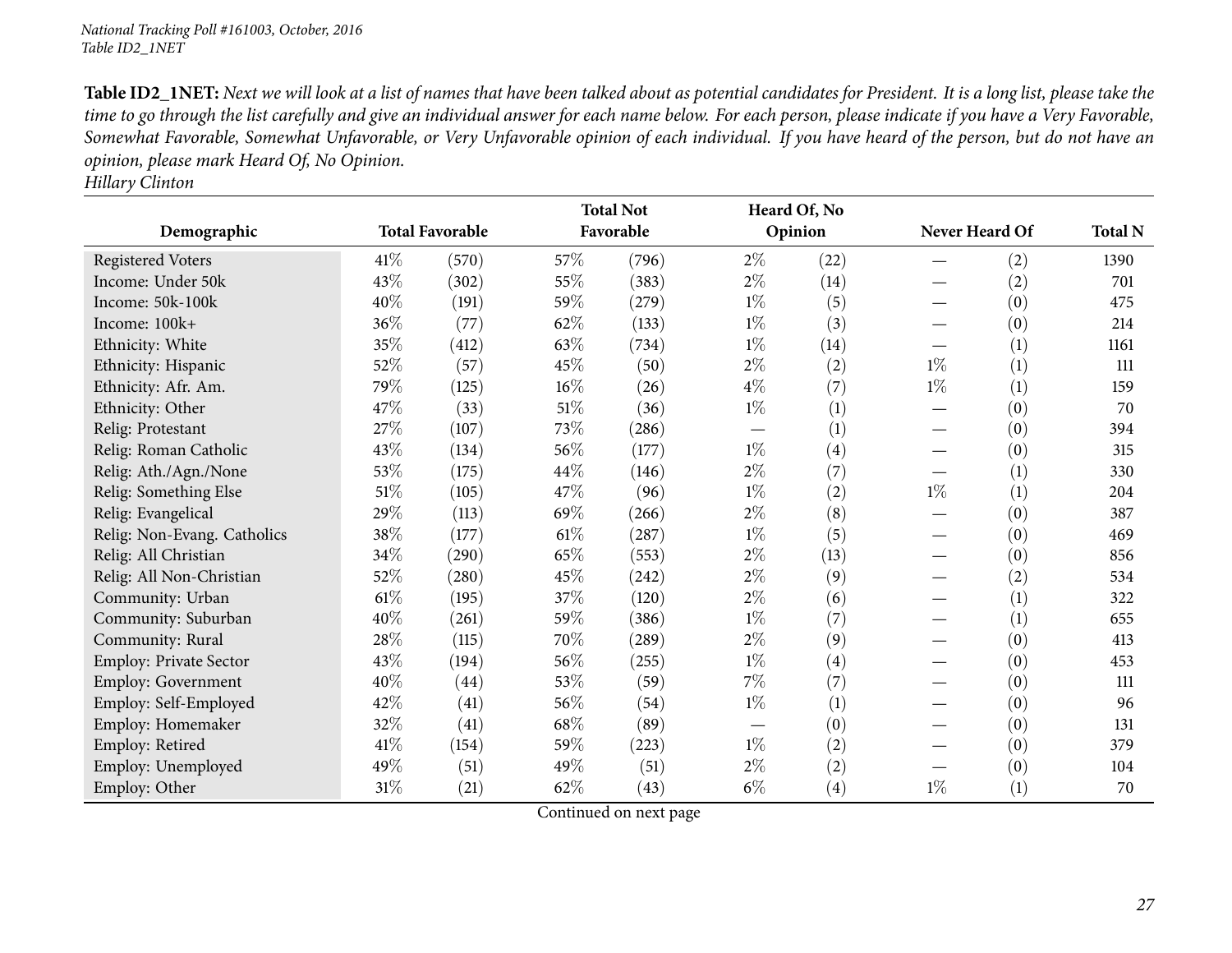Table ID2\_1NET: Next we will look at a list of names that have been talked about as potential candidates for President. It is a long list, please take the time to go through the list carefully and give an individual answer for each name below. For each person, please indicate if you have a Very Favorable, Somewhat Favorable, Somewhat Unfavorable, or Very Unfavorable opinion of each individual. If you have heard of the person, but do not have an *opinion, <sup>p</sup>lease mark Heard Of, No Opinion.*

*Hillary Clinton*

|                             |        |                        |        | <b>Total Not</b> | Heard Of, No                    |      |                |     |                |
|-----------------------------|--------|------------------------|--------|------------------|---------------------------------|------|----------------|-----|----------------|
| Demographic                 |        | <b>Total Favorable</b> |        | Favorable        | Opinion                         |      | Never Heard Of |     | <b>Total N</b> |
| <b>Registered Voters</b>    | 41\%   | (570)                  | 57%    | (796)            | $2\%$                           | (22) |                | (2) | 1390           |
| Income: Under 50k           | 43\%   | (302)                  | 55%    | (383)            | $2\%$                           | (14) |                | (2) | 701            |
| Income: 50k-100k            | 40%    | (191)                  | 59%    | (279)            | $1\%$                           | (5)  |                | (0) | 475            |
| Income: 100k+               | 36\%   | (77)                   | 62%    | (133)            | $1\%$                           | (3)  |                | (0) | 214            |
| Ethnicity: White            | 35%    | (412)                  | 63%    | (734)            | $1\%$                           | (14) |                | (1) | 1161           |
| Ethnicity: Hispanic         | 52\%   | (57)                   | 45%    | (50)             | $2\%$                           | (2)  | $1\%$          | (1) | 111            |
| Ethnicity: Afr. Am.         | 79%    | (125)                  | $16\%$ | (26)             | $4\%$                           | (7)  | $1\%$          | (1) | 159            |
| Ethnicity: Other            | 47\%   | (33)                   | $51\%$ | (36)             | $1\%$                           | (1)  |                | (0) | 70             |
| Relig: Protestant           | 27\%   | (107)                  | 73%    | (286)            | $\hspace{0.1mm}-\hspace{0.1mm}$ | (1)  |                | (0) | 394            |
| Relig: Roman Catholic       | 43%    | (134)                  | 56%    | (177)            | $1\%$                           | (4)  |                | (0) | 315            |
| Relig: Ath./Agn./None       | 53\%   | (175)                  | 44%    | (146)            | $2\%$                           | (7)  |                | (1) | 330            |
| Relig: Something Else       | 51\%   | (105)                  | 47%    | (96)             | $1\%$                           | (2)  | $1\%$          | (1) | 204            |
| Relig: Evangelical          | 29%    | (113)                  | 69%    | (266)            | $2\%$                           | (8)  |                | (0) | 387            |
| Relig: Non-Evang. Catholics | 38\%   | (177)                  | $61\%$ | (287)            | $1\%$                           | (5)  |                | (0) | 469            |
| Relig: All Christian        | $34\%$ | (290)                  | 65%    | (553)            | $2\%$                           | (13) |                | (0) | 856            |
| Relig: All Non-Christian    | 52\%   | (280)                  | 45%    | (242)            | $2\%$                           | (9)  |                | (2) | 534            |
| Community: Urban            | $61\%$ | (195)                  | 37%    | (120)            | $2\%$                           | (6)  |                | (1) | 322            |
| Community: Suburban         | 40%    | (261)                  | 59%    | (386)            | $1\%$                           | (7)  |                | (1) | 655            |
| Community: Rural            | 28\%   | (115)                  | 70%    | (289)            | $2\%$                           | (9)  |                | (0) | 413            |
| Employ: Private Sector      | 43%    | (194)                  | 56%    | (255)            | $1\%$                           | (4)  |                | (0) | 453            |
| Employ: Government          | 40%    | (44)                   | 53%    | (59)             | $7\%$                           | (7)  |                | (0) | 111            |
| Employ: Self-Employed       | 42%    | (41)                   | 56%    | (54)             | $1\%$                           | (1)  |                | (0) | 96             |
| Employ: Homemaker           | 32\%   | (41)                   | 68\%   | (89)             |                                 | (0)  |                | (0) | 131            |
| Employ: Retired             | 41\%   | (154)                  | 59%    | (223)            | $1\%$                           | (2)  |                | (0) | 379            |
| Employ: Unemployed          | 49%    | (51)                   | 49%    | (51)             | $2\%$                           | (2)  |                | (0) | 104            |
| Employ: Other               | 31%    | (21)                   | $62\%$ | (43)             | $6\%$                           | (4)  | $1\%$          | (1) | 70             |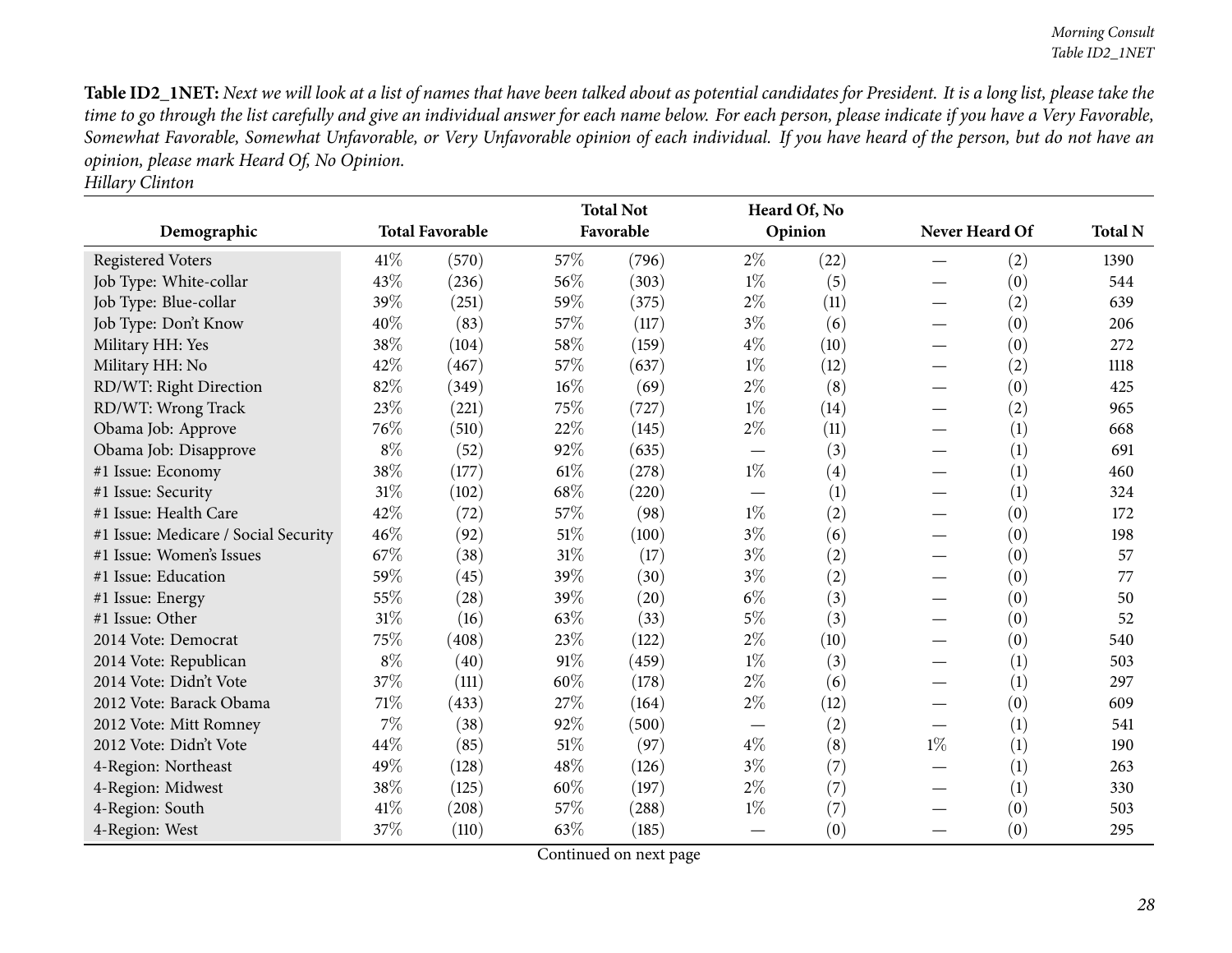Table ID2\_1NET: Next we will look at a list of names that have been talked about as potential candidates for President. It is a long list, please take the time to go through the list carefully and give an individual answer for each name below. For each person, please indicate if you have a Very Favorable, Somewhat Favorable, Somewhat Unfavorable, or Very Unfavorable opinion of each individual. If you have heard of the person, but do not have an *opinion, <sup>p</sup>lease mark Heard Of, No Opinion.*

| <b>Hillary Clinton</b> |
|------------------------|
|                        |

|                                      |        |                        |      | <b>Total Not</b> |                          | Heard Of, No |                |                   |                |
|--------------------------------------|--------|------------------------|------|------------------|--------------------------|--------------|----------------|-------------------|----------------|
| Demographic                          |        | <b>Total Favorable</b> |      | Favorable        |                          | Opinion      | Never Heard Of |                   | <b>Total N</b> |
| <b>Registered Voters</b>             | 41\%   | (570)                  | 57%  | (796)            | $2\%$                    | (22)         |                | (2)               | 1390           |
| Job Type: White-collar               | 43%    | (236)                  | 56%  | (303)            | $1\%$                    | (5)          |                | $\left( 0\right)$ | 544            |
| Job Type: Blue-collar                | 39%    | (251)                  | 59%  | (375)            | $2\%$                    | (11)         |                | (2)               | 639            |
| Job Type: Don't Know                 | 40%    | (83)                   | 57%  | (117)            | $3\%$                    | (6)          |                | (0)               | 206            |
| Military HH: Yes                     | 38%    | (104)                  | 58%  | (159)            | $4\%$                    | (10)         |                | (0)               | 272            |
| Military HH: No                      | 42%    | (467)                  | 57%  | (637)            | $1\%$                    | (12)         |                | (2)               | 1118           |
| RD/WT: Right Direction               | 82%    | (349)                  | 16%  | (69)             | $2\%$                    | (8)          |                | (0)               | 425            |
| RD/WT: Wrong Track                   | 23%    | (221)                  | 75%  | (727)            | $1\%$                    | (14)         |                | (2)               | 965            |
| Obama Job: Approve                   | 76%    | (510)                  | 22%  | (145)            | $2\%$                    | (11)         |                | (1)               | 668            |
| Obama Job: Disapprove                | $8\%$  | (52)                   | 92%  | (635)            | —                        | (3)          |                | (1)               | 691            |
| #1 Issue: Economy                    | $38\%$ | (177)                  | 61\% | (278)            | $1\%$                    | (4)          |                | (1)               | 460            |
| #1 Issue: Security                   | $31\%$ | (102)                  | 68%  | (220)            | $\overline{\phantom{0}}$ | (1)          |                | (1)               | 324            |
| #1 Issue: Health Care                | 42%    | (72)                   | 57%  | (98)             | $1\%$                    | (2)          |                | (0)               | 172            |
| #1 Issue: Medicare / Social Security | $46\%$ | (92)                   | 51%  | (100)            | $3\%$                    | (6)          |                | (0)               | 198            |
| #1 Issue: Women's Issues             | 67%    | (38)                   | 31%  | (17)             | $3\%$                    | (2)          |                | (0)               | 57             |
| #1 Issue: Education                  | 59%    | (45)                   | 39%  | (30)             | $3\%$                    | (2)          |                | (0)               | 77             |
| #1 Issue: Energy                     | 55%    | (28)                   | 39%  | (20)             | $6\%$                    | (3)          |                | (0)               | 50             |
| #1 Issue: Other                      | $31\%$ | (16)                   | 63%  | (33)             | $5\%$                    | (3)          |                | (0)               | 52             |
| 2014 Vote: Democrat                  | 75%    | (408)                  | 23%  | (122)            | $2\%$                    | (10)         |                | (0)               | 540            |
| 2014 Vote: Republican                | $8\%$  | (40)                   | 91%  | (459)            | $1\%$                    | (3)          |                | (1)               | 503            |
| 2014 Vote: Didn't Vote               | 37%    | (111)                  | 60%  | (178)            | $2\%$                    | (6)          |                | (1)               | 297            |
| 2012 Vote: Barack Obama              | $71\%$ | (433)                  | 27%  | (164)            | $2\%$                    | (12)         |                | (0)               | 609            |
| 2012 Vote: Mitt Romney               | $7\%$  | (38)                   | 92%  | (500)            |                          | (2)          |                | (1)               | 541            |
| 2012 Vote: Didn't Vote               | 44%    | (85)                   | 51%  | (97)             | $4\%$                    | (8)          | $1\%$          | (1)               | 190            |
| 4-Region: Northeast                  | 49%    | (128)                  | 48%  | (126)            | $3\%$                    | (7)          |                | (1)               | 263            |
| 4-Region: Midwest                    | 38%    | (125)                  | 60%  | (197)            | $2\%$                    | (7)          |                | (1)               | 330            |
| 4-Region: South                      | 41%    | (208)                  | 57%  | (288)            | $1\%$                    | (7)          |                | (0)               | 503            |
| 4-Region: West                       | 37%    | (110)                  | 63%  | (185)            |                          | (0)          |                | (0)               | 295            |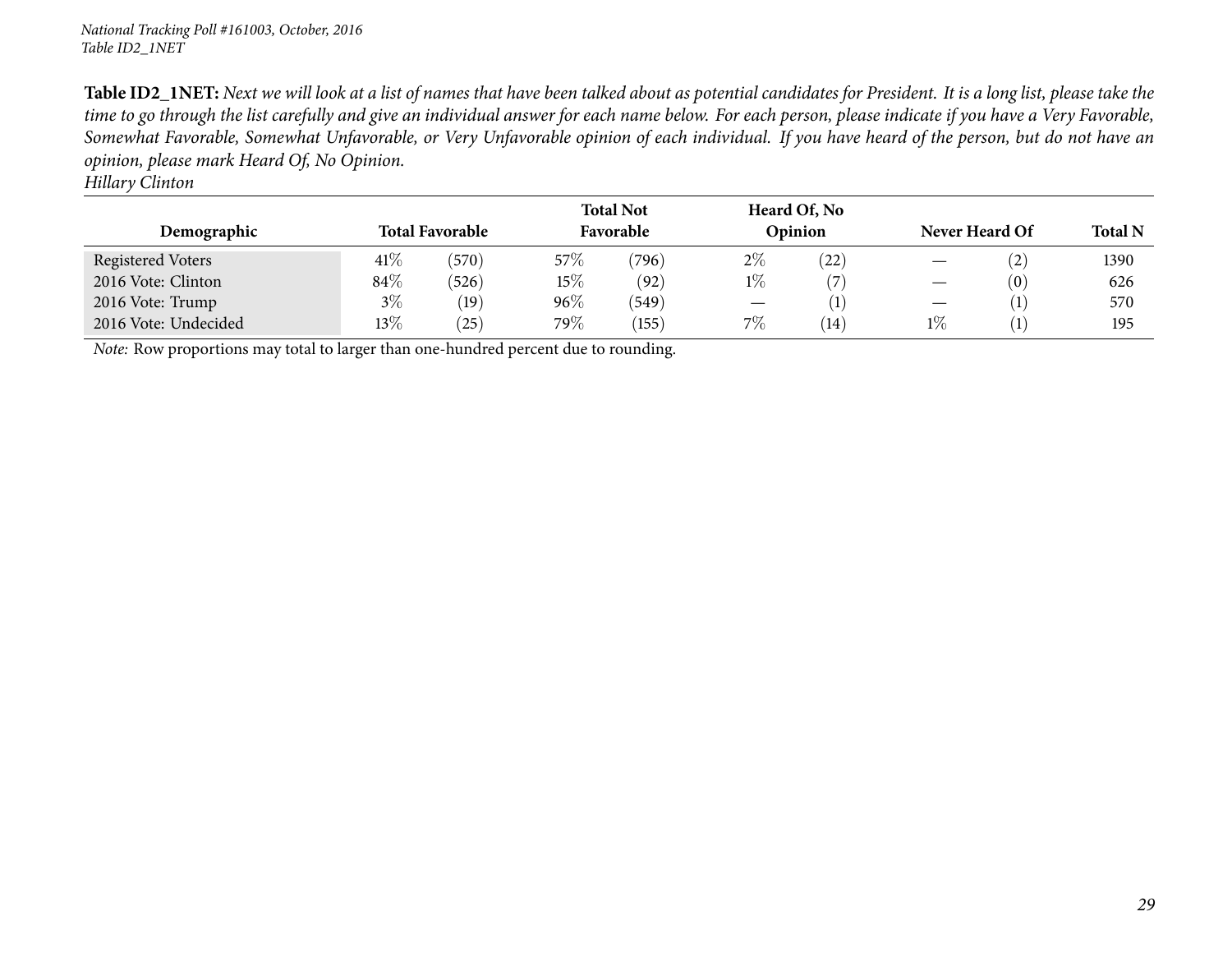Table ID2\_1NET: Next we will look at a list of names that have been talked about as potential candidates for President. It is a long list, please take the time to go through the list carefully and give an individual answer for each name below. For each person, please indicate if you have a Very Favorable, Somewhat Favorable, Somewhat Unfavorable, or Very Unfavorable opinion of each individual. If you have heard of the person, but do not have an *opinion, <sup>p</sup>lease mark Heard Of, No Opinion.*

*Hillary Clinton*

| Demographic                                                                         |        | <b>Total Favorable</b> | <b>Total Not</b><br>Heard Of, No<br>Favorable<br>Opinion |       |       | Never Heard Of |       | <b>Total N</b> |      |
|-------------------------------------------------------------------------------------|--------|------------------------|----------------------------------------------------------|-------|-------|----------------|-------|----------------|------|
| Registered Voters                                                                   | $41\%$ | (570)                  | 57\%                                                     | (796) | $2\%$ | $^{'}22)$      |       | (2)            | 1390 |
| 2016 Vote: Clinton                                                                  | $84\%$ | (526)                  | 15\%                                                     | (92)  | $1\%$ | $^{\prime}$    |       | (0)            | 626  |
| 2016 Vote: Trump                                                                    | $3\%$  | (19)                   | $96\%$                                                   | (549) |       |                |       |                | 570  |
| 2016 Vote: Undecided                                                                | $13\%$ | (25)                   | 79%                                                      | (155) | $7\%$ | (14)           | $1\%$ |                | 195  |
| Note: Row proportions may total to larger than one-hundred percent due to rounding. |        |                        |                                                          |       |       |                |       |                |      |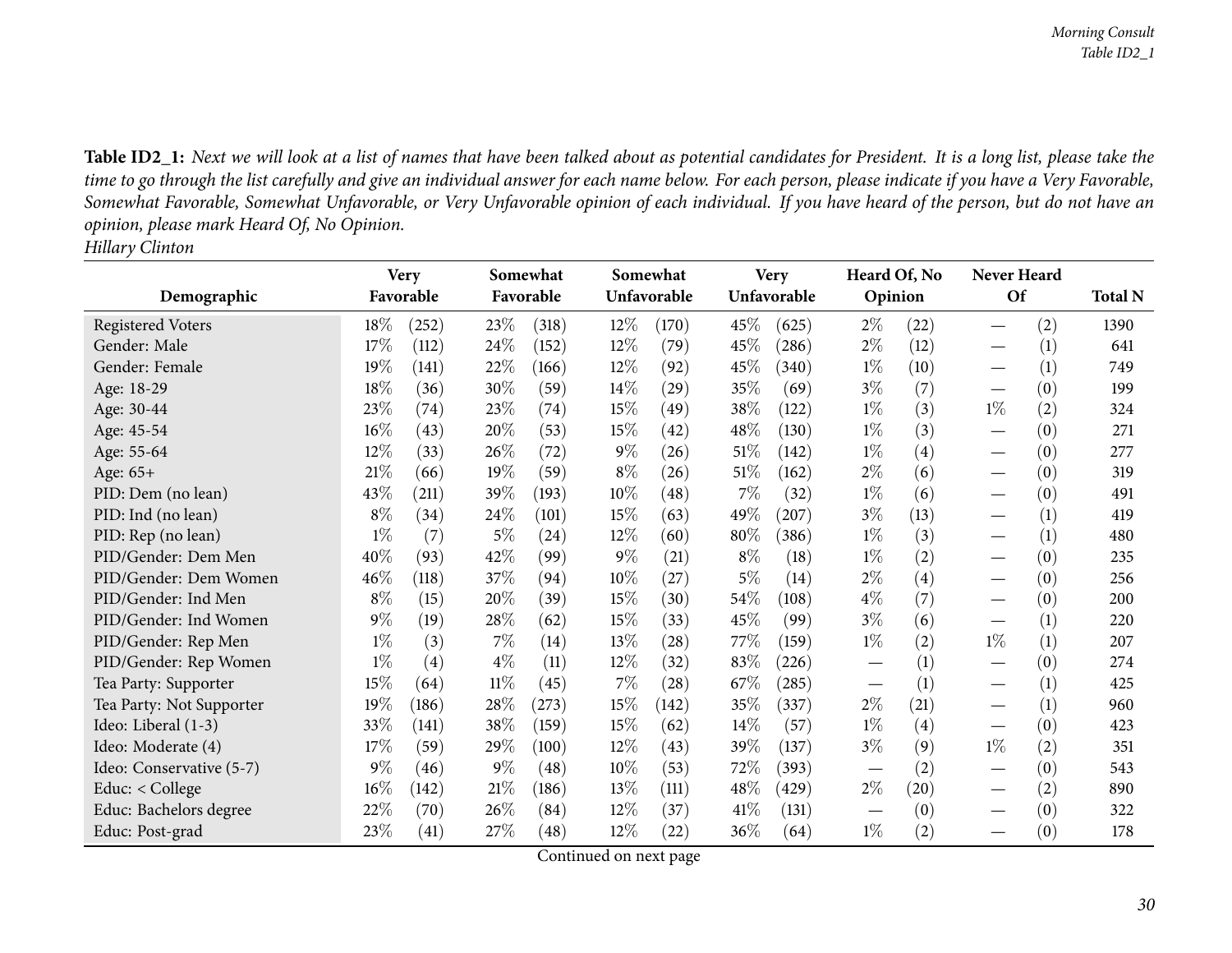Table ID2\_1: Next we will look at a list of names that have been talked about as potential candidates for President. It is a long list, please take the time to go through the list carefully and give an individual answer for each name below. For each person, please indicate if you have a Very Favorable, Somewhat Favorable, Somewhat Unfavorable, or Very Unfavorable opinion of each individual. If you have heard of the person, but do not have an *opinion, <sup>p</sup>lease mark Heard Of, No Opinion. Hillary Clinton*

<span id="page-29-0"></span>

|                          |        | <b>Very</b> | Somewhat |           |        | Somewhat    |        | <b>Very</b> |       | Heard Of, No      |                               | Never Heard |                |
|--------------------------|--------|-------------|----------|-----------|--------|-------------|--------|-------------|-------|-------------------|-------------------------------|-------------|----------------|
| Demographic              |        | Favorable   |          | Favorable |        | Unfavorable |        | Unfavorable |       | Opinion           | Of                            |             | <b>Total N</b> |
| <b>Registered Voters</b> | 18%    | (252)       | 23%      | (318)     | $12\%$ | (170)       | 45\%   | (625)       | $2\%$ | (22)              |                               | (2)         | 1390           |
| Gender: Male             | 17%    | (112)       | 24\%     | (152)     | 12%    | (79)        | 45%    | (286)       | $2\%$ | (12)              |                               | (1)         | 641            |
| Gender: Female           | 19%    | (141)       | 22%      | (166)     | $12\%$ | (92)        | 45\%   | (340)       | $1\%$ | (10)              |                               | (1)         | 749            |
| Age: 18-29               | 18%    | (36)        | 30%      | (59)      | $14\%$ | (29)        | 35%    | (69)        | $3\%$ | (7)               |                               | (0)         | 199            |
| Age: 30-44               | 23%    | (74)        | 23%      | (74)      | 15%    | (49)        | 38\%   | (122)       | $1\%$ | (3)               | $1\%$                         | (2)         | 324            |
| Age: 45-54               | $16\%$ | (43)        | 20%      | (53)      | 15%    | (42)        | 48\%   | (130)       | $1\%$ | (3)               |                               | (0)         | 271            |
| Age: 55-64               | 12%    | (33)        | 26\%     | (72)      | $9\%$  | (26)        | $51\%$ | (142)       | $1\%$ | $\left( 4\right)$ |                               | (0)         | 277            |
| Age: 65+                 | 21%    | (66)        | 19%      | (59)      | $8\%$  | (26)        | $51\%$ | (162)       | $2\%$ | (6)               |                               | (0)         | 319            |
| PID: Dem (no lean)       | 43%    | (211)       | 39\%     | (193)     | 10%    | (48)        | $7\%$  | (32)        | $1\%$ | (6)               |                               | (0)         | 491            |
| PID: Ind (no lean)       | $8\%$  | (34)        | 24\%     | (101)     | 15%    | (63)        | 49\%   | (207)       | $3\%$ | (13)              |                               | (1)         | 419            |
| PID: Rep (no lean)       | $1\%$  | (7)         | 5%       | (24)      | $12\%$ | (60)        | 80%    | (386)       | $1\%$ | (3)               |                               | (1)         | 480            |
| PID/Gender: Dem Men      | 40%    | (93)        | 42%      | (99)      | $9\%$  | (21)        | $8\%$  | (18)        | $1\%$ | (2)               |                               | (0)         | 235            |
| PID/Gender: Dem Women    | 46%    | (118)       | 37\%     | (94)      | 10%    | (27)        | $5\%$  | (14)        | $2\%$ | $\left( 4\right)$ |                               | (0)         | 256            |
| PID/Gender: Ind Men      | $8\%$  | (15)        | 20%      | (39)      | 15%    | (30)        | 54\%   | (108)       | $4\%$ | (7)               |                               | (0)         | 200            |
| PID/Gender: Ind Women    | $9\%$  | (19)        | 28\%     | (62)      | 15%    | (33)        | $45\%$ | (99)        | 3%    | (6)               |                               | (1)         | 220            |
| PID/Gender: Rep Men      | $1\%$  | (3)         | $7\%$    | (14)      | 13%    | (28)        | 77\%   | (159)       | $1\%$ | (2)               | $1\%$                         | (1)         | 207            |
| PID/Gender: Rep Women    | $1\%$  | (4)         | $4\%$    | (11)      | 12%    | (32)        | 83%    | (226)       |       | (1)               |                               | (0)         | 274            |
| Tea Party: Supporter     | 15%    | (64)        | $11\%$   | (45)      | 7%     | (28)        | 67\%   | (285)       |       | (1)               |                               | (1)         | 425            |
| Tea Party: Not Supporter | 19%    | (186)       | 28\%     | (273)     | 15%    | (142)       | 35\%   | (337)       | $2\%$ | (21)              |                               | (1)         | 960            |
| Ideo: Liberal (1-3)      | 33%    | (141)       | 38%      | (159)     | 15%    | (62)        | 14\%   | (57)        | $1\%$ | (4)               |                               | (0)         | 423            |
| Ideo: Moderate (4)       | 17%    | (59)        | 29%      | (100)     | 12%    | (43)        | 39%    | (137)       | $3\%$ | (9)               | $1\%$                         | (2)         | 351            |
| Ideo: Conservative (5-7) | $9\%$  | (46)        | $9\%$    | (48)      | 10%    | (53)        | 72\%   | (393)       |       | (2)               |                               | (0)         | 543            |
| Educ: < College          | 16%    | (142)       | 21%      | (186)     | 13%    | (111)       | 48\%   | (429)       | $2\%$ | (20)              | $\overbrace{\phantom{13333}}$ | (2)         | 890            |
| Educ: Bachelors degree   | 22\%   | (70)        | 26\%     | (84)      | 12%    | (37)        | $41\%$ | (131)       |       | (0)               |                               | (0)         | 322            |
| Educ: Post-grad          | 23%    | (41)        | 27\%     | (48)      | 12%    | (22)        | 36\%   | (64)        | $1\%$ | (2)               |                               | (0)         | 178            |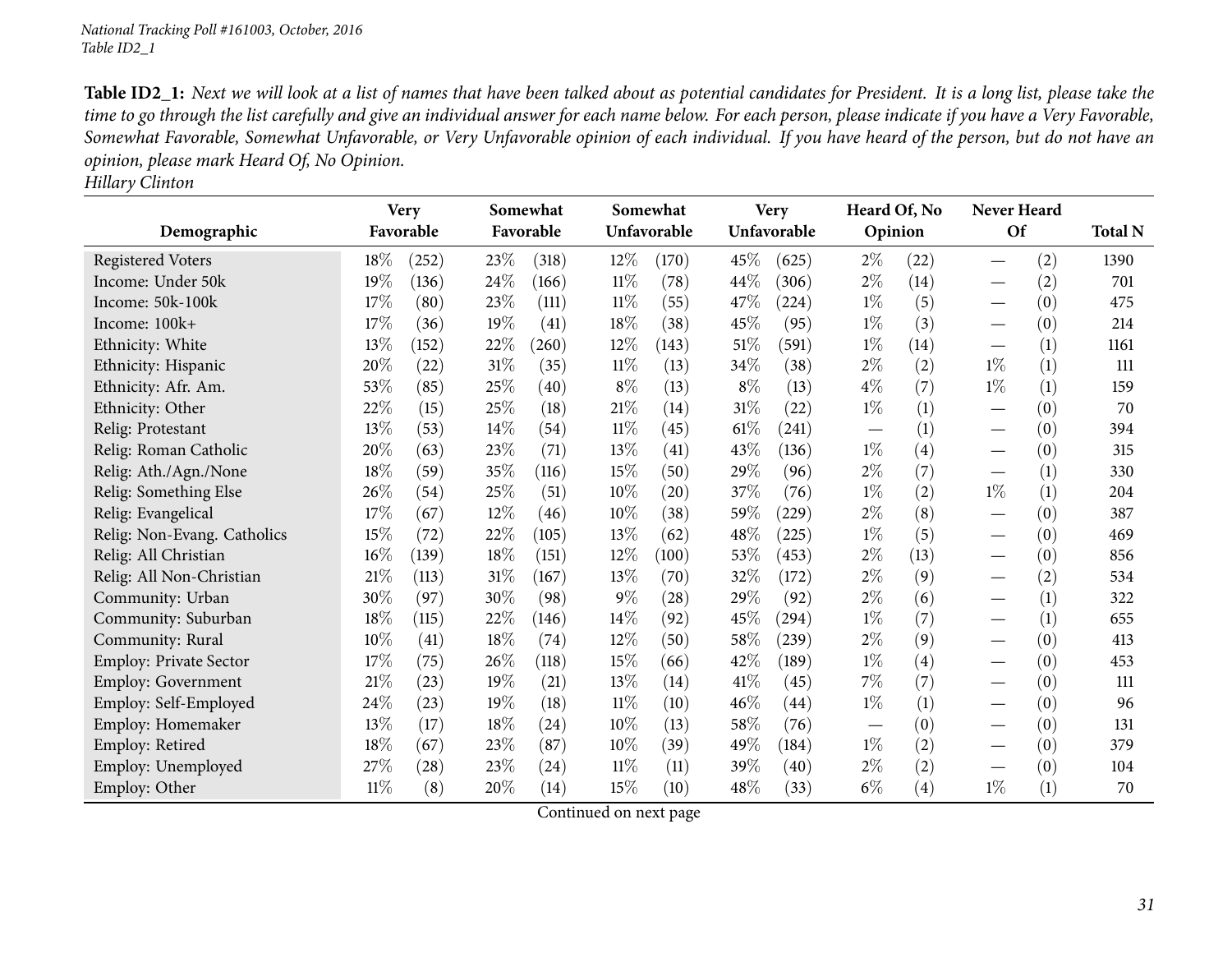Table ID2\_1: Next we will look at a list of names that have been talked about as potential candidates for President. It is a long list, please take the time to go through the list carefully and give an individual answer for each name below. For each person, please indicate if you have a Very Favorable, Somewhat Favorable, Somewhat Unfavorable, or Very Unfavorable opinion of each individual. If you have heard of the person, but do not have an *opinion, <sup>p</sup>lease mark Heard Of, No Opinion.*

|                             |        | <b>Very</b> |      | Somewhat   |        | Somewhat    |        | <b>Very</b> | Heard Of, No |                   | <b>Never Heard</b>               |     |                |
|-----------------------------|--------|-------------|------|------------|--------|-------------|--------|-------------|--------------|-------------------|----------------------------------|-----|----------------|
| Demographic                 |        | Favorable   |      | Favorable  |        | Unfavorable |        | Unfavorable | Opinion      |                   | Of                               |     | <b>Total N</b> |
| <b>Registered Voters</b>    | 18%    | (252)       | 23%  | (318)      | $12\%$ | (170)       | 45%    | (625)       | $2\%$        | (22)              |                                  | (2) | 1390           |
| Income: Under 50k           | 19%    | (136)       | 24%  | (166)      | $11\%$ | (78)        | 44\%   | (306)       | $2\%$        | (14)              | $\hspace{0.05cm}$                | (2) | 701            |
| Income: 50k-100k            | 17%    | (80)        | 23%  | (111)      | $11\%$ | (55)        | 47\%   | (224)       | $1\%$        | (5)               | $\overbrace{\phantom{12322111}}$ | (0) | 475            |
| Income: 100k+               | 17%    | (36)        | 19%  | (41)       | 18%    | (38)        | 45\%   | (95)        | $1\%$        | (3)               | $\hspace{0.1mm}-\hspace{0.1mm}$  | (0) | 214            |
| Ethnicity: White            | 13%    | (152)       | 22%  | $^{'}260)$ | $12\%$ | (143)       | $51\%$ | (591)       | $1\%$        | (14)              |                                  | (1) | 1161           |
| Ethnicity: Hispanic         | 20%    | (22)        | 31%  | (35)       | $11\%$ | (13)        | $34\%$ | (38)        | $2\%$        | (2)               | $1\%$                            | (1) | 111            |
| Ethnicity: Afr. Am.         | 53%    | (85)        | 25%  | (40)       | $8\%$  | (13)        | $8\%$  | (13)        | $4\%$        | (7)               | $1\%$                            | (1) | 159            |
| Ethnicity: Other            | 22%    | (15)        | 25%  | (18)       | 21%    | (14)        | $31\%$ | (22)        | $1\%$        | (1)               |                                  | (0) | 70             |
| Relig: Protestant           | 13%    | (53)        | 14\% | (54)       | $11\%$ | (45)        | $61\%$ | (241)       |              | (1)               | $\hspace{0.05cm}$                | (0) | 394            |
| Relig: Roman Catholic       | 20%    | (63)        | 23%  | (71)       | $13\%$ | (41)        | 43%    | (136)       | $1\%$        | $\left( 4\right)$ |                                  | (0) | 315            |
| Relig: Ath./Agn./None       | 18%    | (59)        | 35%  | (116)      | 15%    | (50)        | 29%    | (96)        | $2\%$        | (7)               |                                  | (1) | 330            |
| Relig: Something Else       | 26\%   | (54)        | 25%  | (51)       | 10%    | (20)        | $37\%$ | (76)        | $1\%$        | (2)               | $1\%$                            | (1) | 204            |
| Relig: Evangelical          | 17%    | (67)        | 12%  | (46)       | 10%    | (38)        | 59%    | (229)       | $2\%$        | (8)               |                                  | (0) | 387            |
| Relig: Non-Evang. Catholics | 15%    | (72)        | 22%  | (105)      | 13%    | (62)        | 48\%   | (225)       | $1\%$        | (5)               | $\hspace{0.1mm}-\hspace{0.1mm}$  | (0) | 469            |
| Relig: All Christian        | 16%    | (139)       | 18%  | (151)      | $12\%$ | (100)       | 53%    | (453)       | $2\%$        | (13)              | $\hspace{0.1mm}-\hspace{0.1mm}$  | (0) | 856            |
| Relig: All Non-Christian    | 21%    | (113)       | 31%  | (167)      | 13\%   | (70)        | 32%    | (172)       | $2\%$        | (9)               |                                  | (2) | 534            |
| Community: Urban            | 30%    | (97)        | 30%  | (98)       | $9\%$  | (28)        | 29%    | (92)        | $2\%$        | (6)               | $\hspace{0.1mm}-\hspace{0.1mm}$  | (1) | 322            |
| Community: Suburban         | 18%    | (115)       | 22%  | (146)      | 14\%   | (92)        | 45%    | (294)       | $1\%$        | (7)               |                                  | (1) | 655            |
| Community: Rural            | 10%    | (41)        | 18%  | (74)       | 12%    | (50)        | 58\%   | (239)       | $2\%$        | (9)               | $\hspace{0.05cm}$                | (0) | 413            |
| Employ: Private Sector      | 17%    | (75)        | 26%  | (118)      | 15%    | (66)        | 42%    | (189)       | $1\%$        | $\left( 4\right)$ | $\hspace{0.1mm}-\hspace{0.1mm}$  | (0) | 453            |
| Employ: Government          | $21\%$ | (23)        | 19%  | (21)       | 13%    | (14)        | 41\%   | (45)        | 7%           | (7)               |                                  | (0) | 111            |
| Employ: Self-Employed       | 24\%   | (23)        | 19%  | (18)       | $11\%$ | (10)        | $46\%$ | (44)        | $1\%$        | (1)               | $\hspace{0.1mm}-\hspace{0.1mm}$  | (0) | 96             |
| Employ: Homemaker           | 13%    | (17)        | 18%  | (24)       | 10%    | (13)        | 58\%   | (76)        |              | (0)               |                                  | (0) | 131            |
| Employ: Retired             | 18%    | (67)        | 23%  | (87)       | 10%    | (39)        | 49%    | (184)       | $1\%$        | (2)               | $\hspace{0.1mm}-\hspace{0.1mm}$  | (0) | 379            |
| Employ: Unemployed          | 27%    | (28)        | 23%  | (24)       | $11\%$ | (11)        | 39%    | (40)        | $2\%$        | (2)               | $\hspace{0.1mm}-\hspace{0.1mm}$  | (0) | 104            |
| Employ: Other               | $11\%$ | (8)         | 20%  | (14)       | 15%    | (10)        | 48%    | (33)        | $6\%$        | $\left( 4\right)$ | $1\%$                            | (1) | 70             |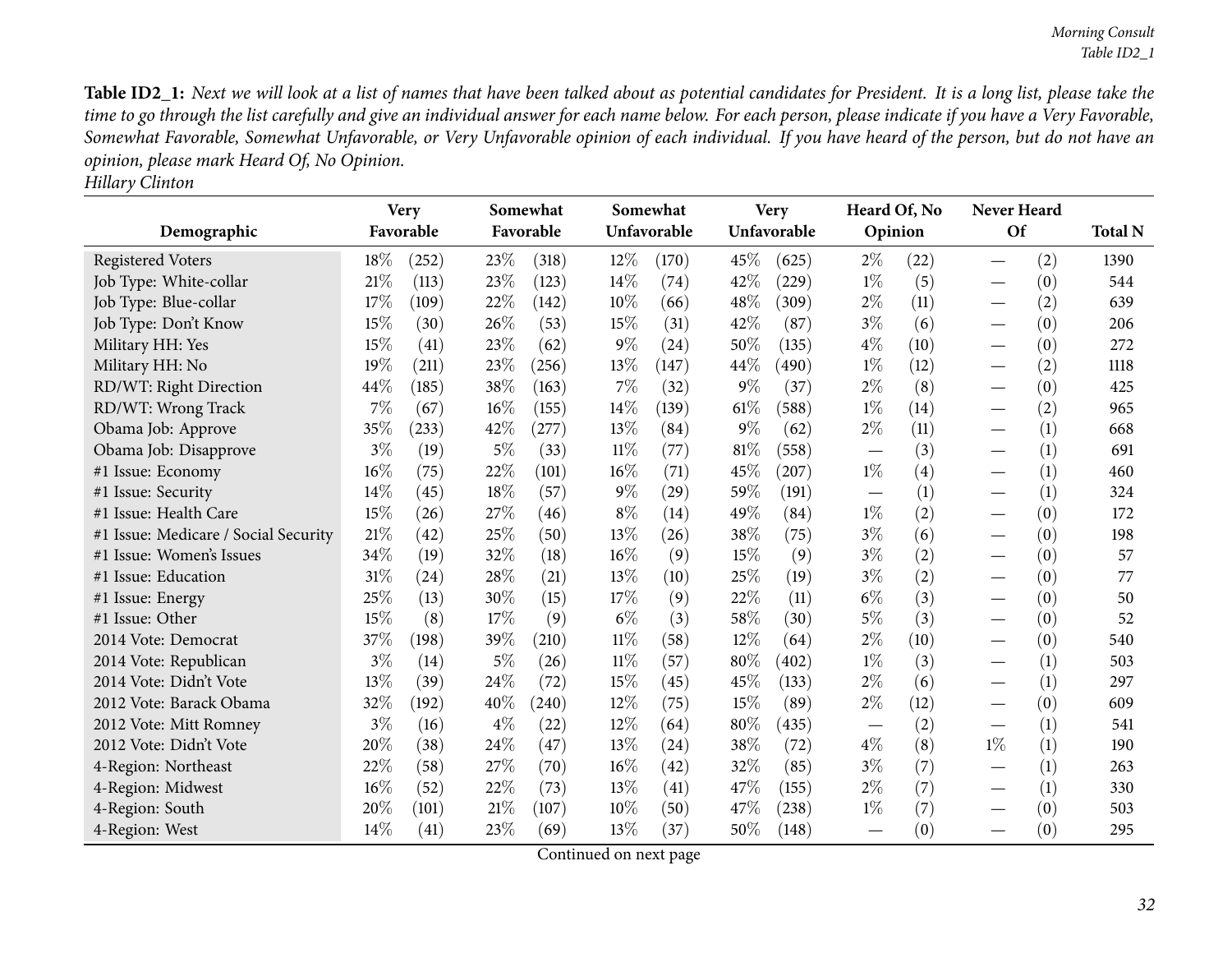**Total <sup>N</sup>**

Table ID2\_1: Next we will look at a list of names that have been talked about as potential candidates for President. It is a long list, please take the time to go through the list carefully and give an individual answer for each name below. For each person, please indicate if you have a Very Favorable, Somewhat Favorable, Somewhat Unfavorable, or Very Unfavorable opinion of each individual. If you have heard of the person, but do not have an *opinion, <sup>p</sup>lease mark Heard Of, No Opinion.*

| <b>Hillary Clinton</b>               |                          |       |        |                       |        |                         |        |                            |                                 |                         |                                 |                  |       |
|--------------------------------------|--------------------------|-------|--------|-----------------------|--------|-------------------------|--------|----------------------------|---------------------------------|-------------------------|---------------------------------|------------------|-------|
| Demographic                          | <b>Very</b><br>Favorable |       |        | Somewhat<br>Favorable |        | Somewhat<br>Unfavorable |        | <b>Very</b><br>Unfavorable |                                 | Heard Of, No<br>Opinion | <b>Never Heard</b><br>Of        |                  | Total |
| <b>Registered Voters</b>             | $18\%$                   | (252) | 23\%   | (318)                 | $12\%$ | (170)                   | 45%    | (625)                      | $2\%$                           | (22)                    |                                 | (2)              | 1390  |
| Job Type: White-collar               | 21%                      | (113) | 23%    | (123)                 | 14\%   | (74)                    | 42\%   | (229)                      | $1\%$                           | (5)                     |                                 | (0)              | 544   |
| Job Type: Blue-collar                | 17\%                     | (109) | 22%    | (142)                 | $10\%$ | (66)                    | 48\%   | (309)                      | $2\%$                           | (11)                    | $\overbrace{\phantom{13333}}$   | (2)              | 639   |
| Job Type: Don't Know                 | 15%                      | (30)  | 26%    | (53)                  | $15\%$ | (31)                    | 42\%   | (87)                       | $3\%$                           | (6)                     |                                 | (0)              | 206   |
| Military HH: Yes                     | 15%                      | (41)  | 23\%   | (62)                  | $9\%$  | (24)                    | 50%    | (135)                      | $4\%$                           | (10)                    |                                 | (0)              | 272   |
| Military HH: No                      | 19%                      | (211) | 23\%   | (256)                 | 13\%   | (147)                   | 44\%   | (490)                      | $1\%$                           | (12)                    | $\overbrace{\phantom{13333}}$   | (2)              | 1118  |
| RD/WT: Right Direction               | 44\%                     | (185) | 38\%   | (163)                 | $7\%$  | (32)                    | $9\%$  | (37)                       | $2\%$                           | (8)                     | $\hspace{0.1mm}-\hspace{0.1mm}$ | (0)              | 425   |
| RD/WT: Wrong Track                   | $7\%$                    | (67)  | 16%    | (155)                 | $14\%$ | (139)                   | $61\%$ | (588)                      | $1\%$                           | (14)                    |                                 | (2)              | 965   |
| Obama Job: Approve                   | 35%                      | (233) | 42%    | (277)                 | 13%    | (84)                    | $9\%$  | (62)                       | $2\%$                           | (11)                    |                                 | $\left(1\right)$ | 668   |
| Obama Job: Disapprove                | $3\%$                    | (19)  | $5\%$  | (33)                  | 11%    | (77)                    | $81\%$ | (558)                      |                                 | (3)                     |                                 | (1)              | 691   |
| #1 Issue: Economy                    | $16\%$                   | (75)  | 22%    | (101)                 | 16%    | (71)                    | 45%    | (207)                      | $1\%$                           | $\left( 4\right)$       |                                 | $\left(1\right)$ | 460   |
| #1 Issue: Security                   | 14%                      | (45)  | 18%    | (57)                  | $9\%$  | (29)                    | 59%    | (191)                      |                                 | (1)                     | $\overbrace{\phantom{123321}}$  | (1)              | 324   |
| #1 Issue: Health Care                | $15\%$                   | (26)  | 27%    | (46)                  | $8\%$  | (14)                    | 49%    | (84)                       | $1\%$                           | (2)                     | $\hspace{0.05cm}$               | (0)              | 172   |
| #1 Issue: Medicare / Social Security | $21\%$                   | (42)  | 25%    | (50)                  | 13\%   | (26)                    | 38%    | (75)                       | $3\%$                           | (6)                     |                                 | (0)              | 198   |
| #1 Issue: Women's Issues             | 34%                      | (19)  | 32%    | (18)                  | 16%    | (9)                     | 15%    | (9)                        | $3\%$                           | (2)                     |                                 | (0)              | 57    |
| #1 Issue: Education                  | $31\%$                   | (24)  | 28%    | (21)                  | 13\%   | (10)                    | 25%    | (19)                       | $3\%$                           | (2)                     | $\overbrace{\phantom{13333}}$   | (0)              | 77    |
| #1 Issue: Energy                     | 25%                      | (13)  | 30\%   | (15)                  | 17%    | (9)                     | 22%    | (11)                       | $6\%$                           | (3)                     | $\overbrace{\phantom{13333}}$   | (0)              | 50    |
| #1 Issue: Other                      | 15%                      | (8)   | 17%    | (9)                   | $6\%$  | (3)                     | 58%    | (30)                       | $5\%$                           | (3)                     |                                 | (0)              | 52    |
| 2014 Vote: Democrat                  | 37\%                     | (198) | 39%    | (210)                 | $11\%$ | (58)                    | 12\%   | (64)                       | $2\%$                           | (10)                    | $\overbrace{\phantom{13333}}$   | (0)              | 540   |
| 2014 Vote: Republican                | $3\%$                    | (14)  | $5\%$  | (26)                  | $11\%$ | (57)                    | $80\%$ | (402)                      | $1\%$                           | (3)                     | $\overbrace{\phantom{123321}}$  | (1)              | 503   |
| 2014 Vote: Didn't Vote               | 13%                      | (39)  | 24%    | (72)                  | $15\%$ | (45)                    | 45%    | (133)                      | $2\%$                           | (6)                     |                                 | (1)              | 297   |
| 2012 Vote: Barack Obama              | 32%                      | (192) | 40\%   | (240)                 | 12%    | (75)                    | 15%    | (89)                       | $2\%$                           | (12)                    | $\overbrace{\phantom{13333}}$   | (0)              | 609   |
| 2012 Vote: Mitt Romney               | $3\%$                    | (16)  | $4\%$  | $\left( 22\right)$    | $12\%$ | (64)                    | $80\%$ | (435)                      | $\hspace{0.1mm}-\hspace{0.1mm}$ | (2)                     |                                 | (1)              | 541   |
| 2012 Vote: Didn't Vote               | 20%                      | (38)  | $24\%$ | (47)                  | 13\%   | (24)                    | 38\%   | (72)                       | $4\%$                           | (8)                     | $1\%$                           | (1)              | 190   |

4-Region: Northeast 22% (58) 27% (70)  $16\%$  (42)  $32\%$  (85)  $3\%$  (7) — 4-Region: Midwest  $16\%$  (52)  $22\%$  (73)  $13\%$  (41)  $47\%$  (155)  $2\%$  (7) —

4-Region: Midwest 16% (52) 22% (73)  $13\%$  (41)  $47\%$  (155)  $2\%$  (7) — 4-Region: South  $20\%$  (101)  $21\%$  (107)  $10\%$  (50)  $47\%$  (238)  $1\%$  (7) —

4-Region: West  $14\%$   $(41)$   $23\%$   $(69)$   $13\%$   $(37)$   $50\%$   $(148)$   $-$ 

4-Region: South

Continued on next page

 $h$  20% (101)  $21\%$  (107)  $10\%$  (50)  $47\%$  (238)  $1\%$  (7) —

263

 $-$  (1) 263

 $-$  (1) 330

 $-$  (0) 503

 $-$  (0)  $-$  (0) 295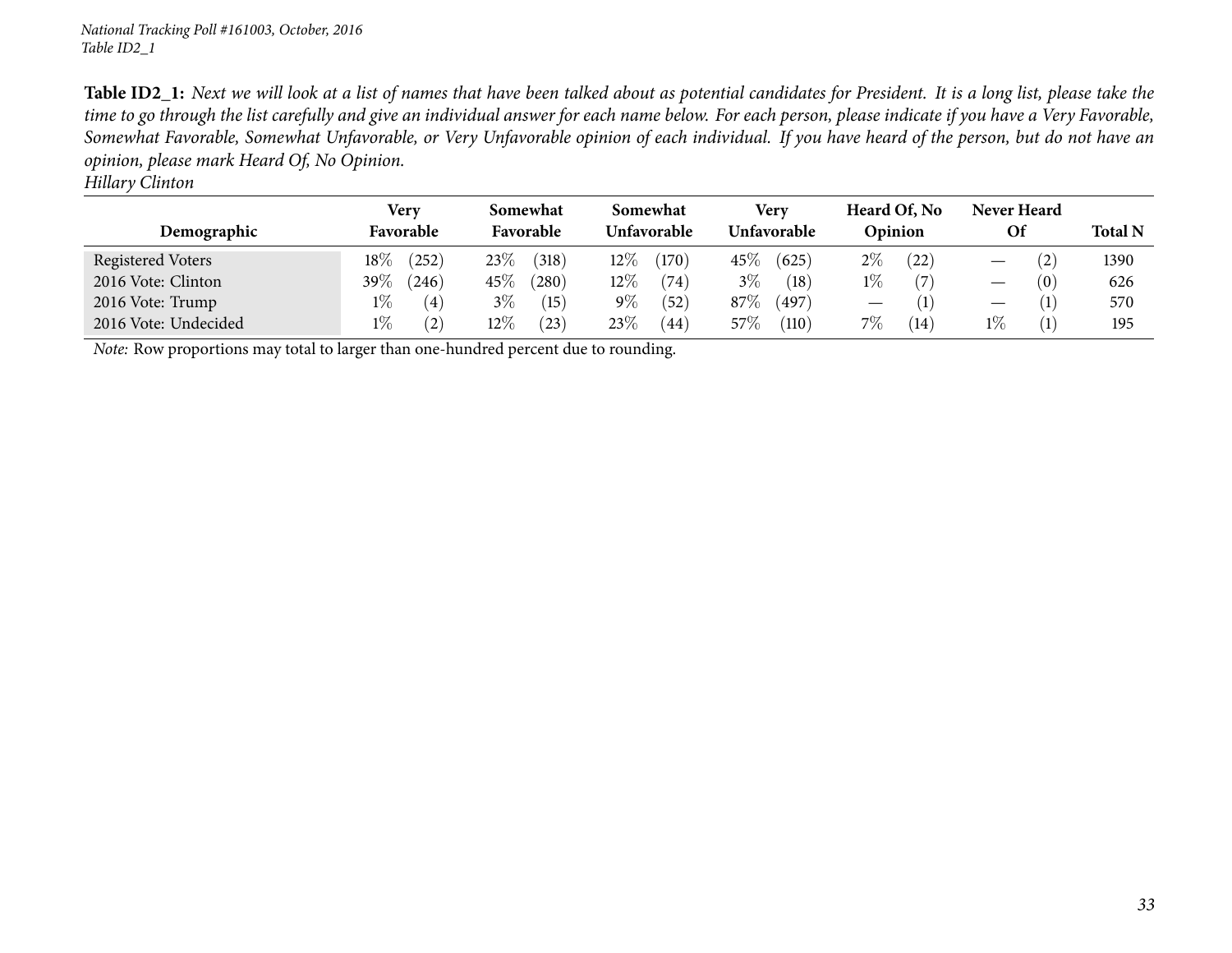Table ID2\_1: Next we will look at a list of names that have been talked about as potential candidates for President. It is a long list, please take the time to go through the list carefully and give an individual answer for each name below. For each person, please indicate if you have a Very Favorable, Somewhat Favorable, Somewhat Unfavorable, or Very Unfavorable opinion of each individual. If you have heard of the person, but do not have an *opinion, <sup>p</sup>lease mark Heard Of, No Opinion.*

*Hillary Clinton*

|                      | Very      |       | Somewhat  |                     | Somewhat    |          | Very        |       | Heard Of, No |      | <b>Never Heard</b> |     |                |
|----------------------|-----------|-------|-----------|---------------------|-------------|----------|-------------|-------|--------------|------|--------------------|-----|----------------|
| Demographic          | Favorable |       | Favorable |                     | Unfavorable |          | Unfavorable |       | Opinion      |      | Οf                 |     | <b>Total N</b> |
| Registered Voters    | $18\%$    | (252) | 23\%      | (318)               | $12\%$      | (170)    | $45\%$      | (625) | $2\%$        | (22) |                    | (2) | 1390           |
| 2016 Vote: Clinton   | 39 $\%$   | (246) | $45\%$    | $\left( 280\right)$ | $12\%$      | (74)     | $3\%$       | (18)  | $1\%$        |      |                    | (0) | 626            |
| 2016 Vote: Trump     | $1\%$     | (4)   | $3\%$     | (15)                | $9\%$       | $^{'}52$ | 87\%        | (497) |              |      |                    |     | 570            |
| 2016 Vote: Undecided | $1\%$     | (2)   | $12\%$    | (23)                | 23\%        | (44)     | $57\%$      | (110) | $7\%$        | (14) | $1\%$              |     | 195            |

*Note:* Row proportions may total to larger than one-hundred percen<sup>t</sup> due to rounding.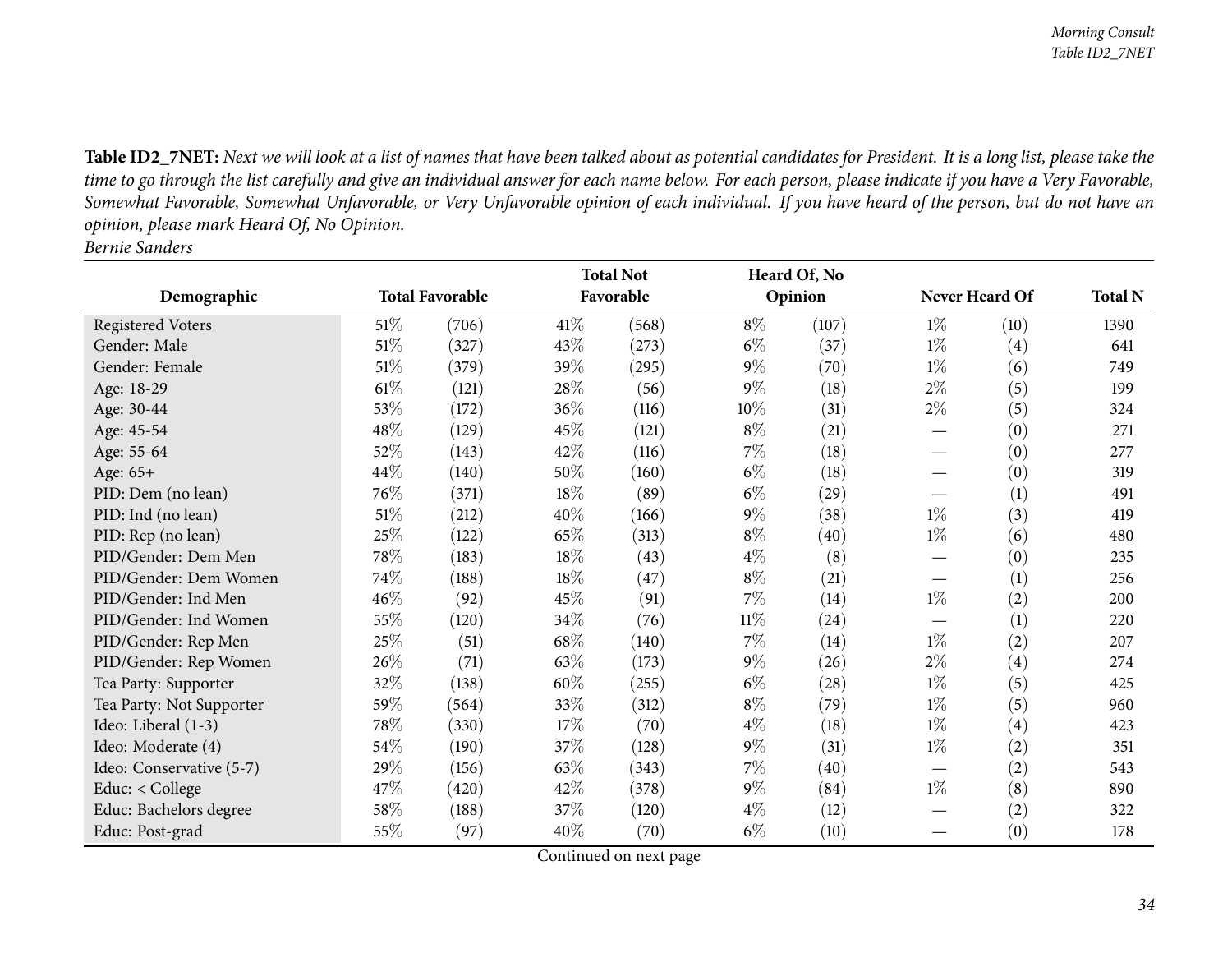Table ID2\_7NET: Next we will look at a list of names that have been talked about as potential candidates for President. It is a long list, please take the time to go through the list carefully and give an individual answer for each name below. For each person, please indicate if you have a Very Favorable, Somewhat Favorable, Somewhat Unfavorable, or Very Unfavorable opinion of each individual. If you have heard of the person, but do not have an *opinion, <sup>p</sup>lease mark Heard Of, No Opinion. Bernie Sanders*

<span id="page-33-0"></span>

|                          |                        |       | <b>Total Not</b> |           |        | Heard Of, No       |                   |                   | <b>Total N</b> |
|--------------------------|------------------------|-------|------------------|-----------|--------|--------------------|-------------------|-------------------|----------------|
| Demographic              | <b>Total Favorable</b> |       |                  | Favorable |        | Opinion            |                   | Never Heard Of    |                |
| Registered Voters        | 51%                    | (706) | 41\%             | (568)     | $8\%$  | (107)              | $1\%$             | (10)              | 1390           |
| Gender: Male             | $51\%$                 | (327) | 43%              | (273)     | $6\%$  | (37)               | $1\%$             | $\left( 4\right)$ | 641            |
| Gender: Female           | $51\%$                 | (379) | 39%              | (295)     | $9\%$  | (70)               | $1\%$             | (6)               | 749            |
| Age: 18-29               | $61\%$                 | (121) | 28%              | (56)      | $9\%$  | (18)               | $2\%$             | (5)               | 199            |
| Age: 30-44               | 53%                    | (172) | 36%              | (116)     | 10%    | (31)               | $2\%$             | (5)               | 324            |
| Age: 45-54               | 48\%                   | (129) | 45%              | (121)     | $8\%$  | (21)               |                   | (0)               | 271            |
| Age: 55-64               | 52%                    | (143) | 42%              | (116)     | $7\%$  | (18)               |                   | (0)               | 277            |
| Age: 65+                 | 44\%                   | (140) | 50%              | (160)     | $6\%$  | (18)               |                   | (0)               | 319            |
| PID: Dem (no lean)       | 76%                    | (371) | 18%              | (89)      | $6\%$  | (29)               |                   | (1)               | 491            |
| PID: Ind (no lean)       | $51\%$                 | (212) | 40%              | (166)     | $9\%$  | (38)               | $1\%$             | (3)               | 419            |
| PID: Rep (no lean)       | 25%                    | (122) | 65%              | (313)     | $8\%$  | (40)               | $1\%$             | (6)               | 480            |
| PID/Gender: Dem Men      | 78%                    | (183) | 18%              | (43)      | $4\%$  | (8)                |                   | (0)               | 235            |
| PID/Gender: Dem Women    | 74%                    | (188) | 18%              | (47)      | $8\%$  | (21)               |                   | (1)               | 256            |
| PID/Gender: Ind Men      | 46%                    | (92)  | 45%              | (91)      | $7\%$  | (14)               | $1\%$             | (2)               | 200            |
| PID/Gender: Ind Women    | 55%                    | (120) | 34\%             | (76)      | $11\%$ | (24)               |                   | (1)               | 220            |
| PID/Gender: Rep Men      | 25%                    | (51)  | 68\%             | (140)     | $7\%$  | (14)               | $1\%$             | (2)               | 207            |
| PID/Gender: Rep Women    | 26%                    | (71)  | 63%              | (173)     | $9\%$  | (26)               | $2\%$             | $\left( 4\right)$ | 274            |
| Tea Party: Supporter     | 32%                    | (138) | 60%              | (255)     | $6\%$  | $\left( 28\right)$ | $1\%$             | (5)               | 425            |
| Tea Party: Not Supporter | $59\%$                 | (564) | 33%              | (312)     | $8\%$  | (79)               | $1\%$             | (5)               | 960            |
| Ideo: Liberal (1-3)      | 78%                    | (330) | 17%              | (70)      | $4\%$  | (18)               | $1\%$             | $\left( 4\right)$ | 423            |
| Ideo: Moderate (4)       | 54\%                   | (190) | 37%              | (128)     | $9\%$  | (31)               | $1\%$             | (2)               | 351            |
| Ideo: Conservative (5-7) | 29%                    | (156) | 63%              | (343)     | $7\%$  | (40)               | $\hspace{0.05cm}$ | (2)               | 543            |
| Educ: $<$ College        | 47%                    | (420) | 42%              | (378)     | $9\%$  | (84)               | $1\%$             | (8)               | 890            |
| Educ: Bachelors degree   | 58\%                   | (188) | 37%              | (120)     | $4\%$  | (12)               |                   | (2)               | 322            |
| Educ: Post-grad          | 55%                    | (97)  | 40%              | (70)      | $6\%$  | (10)               |                   | (0)               | 178            |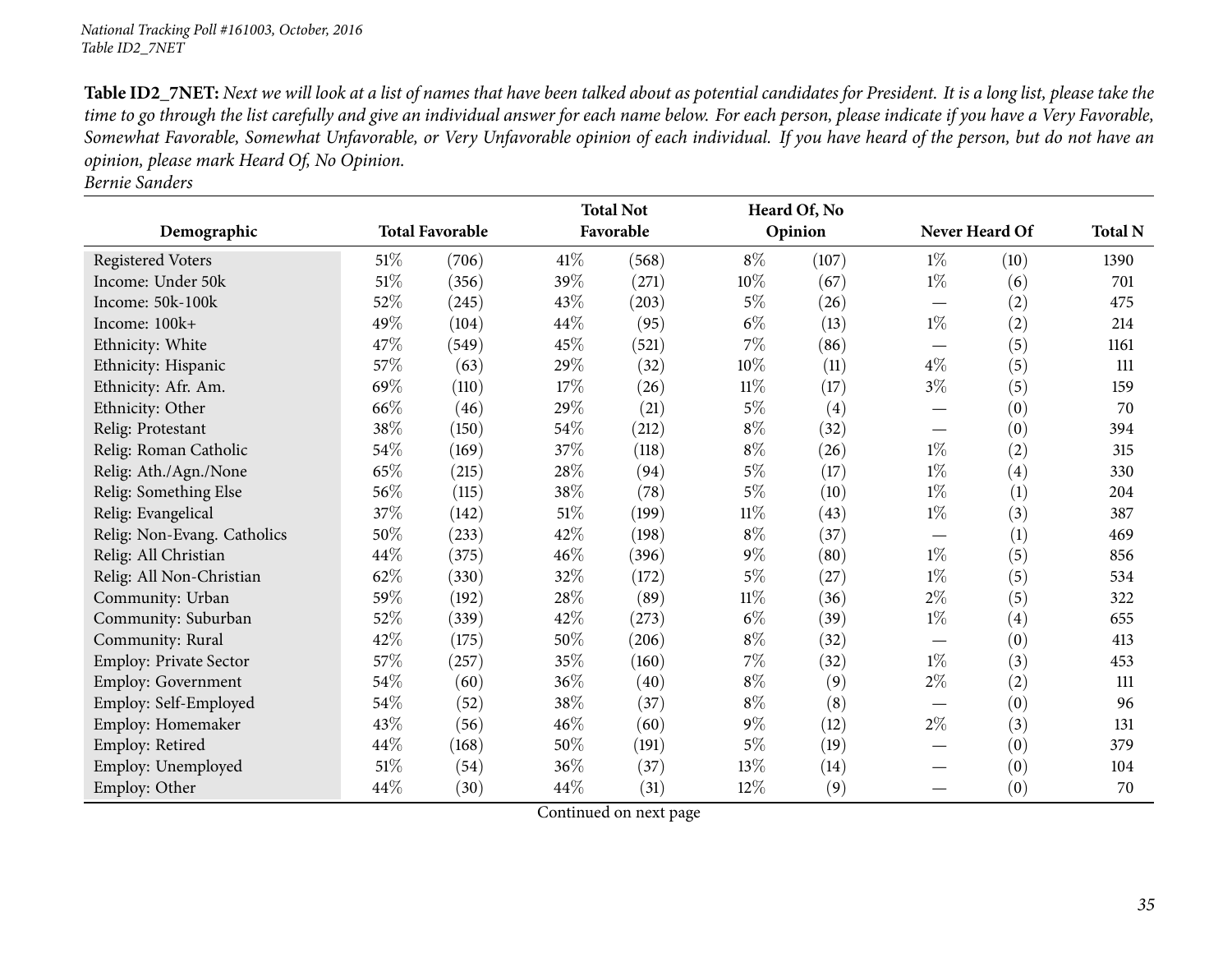Table ID2\_7NET: Next we will look at a list of names that have been talked about as potential candidates for President. It is a long list, please take the time to go through the list carefully and give an individual answer for each name below. For each person, please indicate if you have a Very Favorable, Somewhat Favorable, Somewhat Unfavorable, or Very Unfavorable opinion of each individual. If you have heard of the person, but do not have an *opinion, <sup>p</sup>lease mark Heard Of, No Opinion.*

*Bernie Sanders*

|                             |                        |       | <b>Total Not</b> |       |        | Heard Of, No |                                 |                   |                |
|-----------------------------|------------------------|-------|------------------|-------|--------|--------------|---------------------------------|-------------------|----------------|
| Demographic                 | <b>Total Favorable</b> |       | Favorable        |       |        | Opinion      | Never Heard Of                  |                   | <b>Total N</b> |
| Registered Voters           | $51\%$                 | (706) | 41\%             | (568) | $8\%$  | (107)        | $1\%$                           | (10)              | 1390           |
| Income: Under 50k           | $51\%$                 | (356) | 39%              | (271) | $10\%$ | (67)         | $1\%$                           | (6)               | 701            |
| Income: 50k-100k            | $52\%$                 | (245) | 43%              | (203) | $5\%$  | (26)         |                                 | (2)               | 475            |
| Income: 100k+               | 49%                    | (104) | 44\%             | (95)  | $6\%$  | (13)         | $1\%$                           | (2)               | 214            |
| Ethnicity: White            | 47%                    | (549) | 45%              | (521) | 7%     | (86)         | $\hspace{0.1mm}-\hspace{0.1mm}$ | (5)               | 1161           |
| Ethnicity: Hispanic         | 57%                    | (63)  | 29%              | (32)  | 10%    | (11)         | $4\%$                           | (5)               | 111            |
| Ethnicity: Afr. Am.         | 69%                    | (110) | 17%              | (26)  | $11\%$ | (17)         | $3\%$                           | (5)               | 159            |
| Ethnicity: Other            | 66%                    | (46)  | 29%              | (21)  | $5\%$  | (4)          |                                 | (0)               | 70             |
| Relig: Protestant           | 38\%                   | (150) | 54\%             | (212) | $8\%$  | (32)         | $\hspace{0.1mm}-\hspace{0.1mm}$ | (0)               | 394            |
| Relig: Roman Catholic       | 54\%                   | (169) | 37%              | (118) | $8\%$  | (26)         | $1\%$                           | (2)               | 315            |
| Relig: Ath./Agn./None       | 65%                    | (215) | 28%              | (94)  | 5%     | (17)         | $1\%$                           | $\left( 4\right)$ | 330            |
| Relig: Something Else       | 56\%                   | (115) | 38%              | (78)  | $5\%$  | (10)         | $1\%$                           | (1)               | 204            |
| Relig: Evangelical          | 37%                    | (142) | $51\%$           | (199) | $11\%$ | (43)         | $1\%$                           | (3)               | 387            |
| Relig: Non-Evang. Catholics | 50%                    | (233) | 42%              | (198) | $8\%$  | (37)         |                                 | (1)               | 469            |
| Relig: All Christian        | 44\%                   | (375) | 46%              | (396) | $9\%$  | (80)         | $1\%$                           | (5)               | 856            |
| Relig: All Non-Christian    | 62%                    | (330) | 32%              | (172) | $5\%$  | (27)         | $1\%$                           | (5)               | 534            |
| Community: Urban            | 59%                    | (192) | 28%              | (89)  | $11\%$ | (36)         | $2\%$                           | (5)               | 322            |
| Community: Suburban         | 52\%                   | (339) | 42%              | (273) | $6\%$  | (39)         | $1\%$                           | (4)               | 655            |
| Community: Rural            | 42\%                   | (175) | 50%              | (206) | $8\%$  | (32)         |                                 | (0)               | 413            |
| Employ: Private Sector      | 57\%                   | (257) | 35%              | (160) | $7\%$  | (32)         | $1\%$                           | (3)               | 453            |
| Employ: Government          | 54\%                   | (60)  | 36%              | (40)  | $8\%$  | (9)          | $2\%$                           | (2)               | 111            |
| Employ: Self-Employed       | 54\%                   | (52)  | 38%              | (37)  | $8\%$  | (8)          | $\hspace{0.1mm}-\hspace{0.1mm}$ | (0)               | 96             |
| Employ: Homemaker           | 43\%                   | (56)  | 46%              | (60)  | $9\%$  | (12)         | $2\%$                           | (3)               | 131            |
| Employ: Retired             | 44\%                   | (168) | 50%              | (191) | $5\%$  | (19)         |                                 | (0)               | 379            |
| Employ: Unemployed          | $51\%$                 | (54)  | 36%              | (37)  | 13%    | (14)         |                                 | (0)               | 104            |
| Employ: Other               | 44\%                   | (30)  | 44\%             | (31)  | $12\%$ | (9)          |                                 | (0)               | 70             |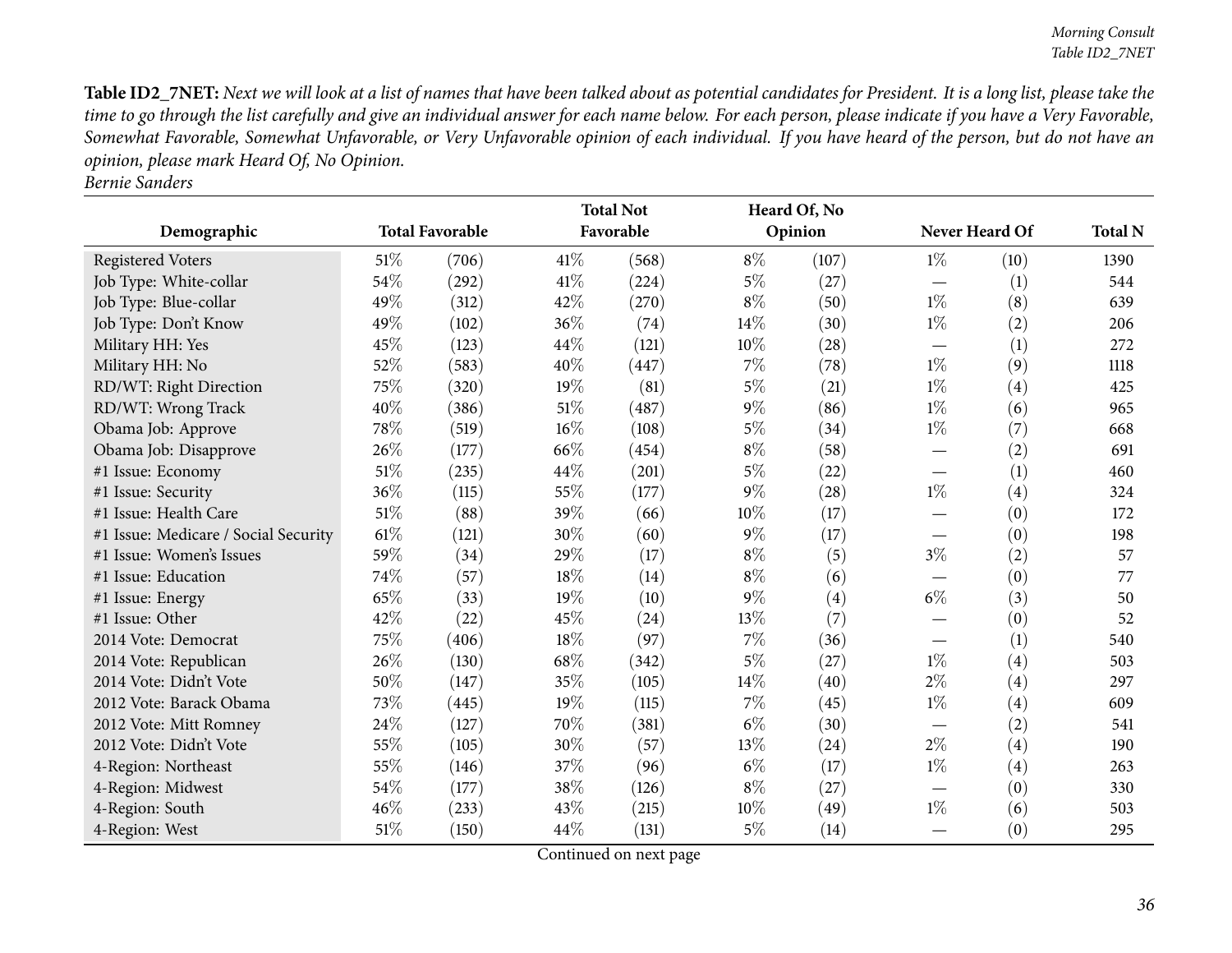Table ID2\_7NET: Next we will look at a list of names that have been talked about as potential candidates for President. It is a long list, please take the time to go through the list carefully and give an individual answer for each name below. For each person, please indicate if you have a Very Favorable, Somewhat Favorable, Somewhat Unfavorable, or Very Unfavorable opinion of each individual. If you have heard of the person, but do not have an *opinion, <sup>p</sup>lease mark Heard Of, No Opinion.*

| <b>Bernie Sanders</b> |
|-----------------------|
|                       |

|                                      |                        |       | <b>Total Not</b> |           |        | Heard Of, No |                                  |                   |                |
|--------------------------------------|------------------------|-------|------------------|-----------|--------|--------------|----------------------------------|-------------------|----------------|
| Demographic                          | <b>Total Favorable</b> |       |                  | Favorable |        | Opinion      | Never Heard Of                   |                   | <b>Total N</b> |
| <b>Registered Voters</b>             | $51\%$                 | (706) | 41\%             | (568)     | $8\%$  | (107)        | $1\%$                            | (10)              | 1390           |
| Job Type: White-collar               | 54%                    | (292) | 41\%             | (224)     | $5\%$  | (27)         | $\overbrace{\phantom{12322111}}$ | (1)               | 544            |
| Job Type: Blue-collar                | 49%                    | (312) | 42%              | (270)     | $8\%$  | (50)         | $1\%$                            | (8)               | 639            |
| Job Type: Don't Know                 | 49%                    | (102) | 36%              | (74)      | 14%    | (30)         | $1\%$                            | (2)               | 206            |
| Military HH: Yes                     | 45%                    | (123) | 44%              | (121)     | $10\%$ | (28)         |                                  | (1)               | 272            |
| Military HH: No                      | 52%                    | (583) | 40%              | (447)     | $7\%$  | (78)         | $1\%$                            | (9)               | 1118           |
| RD/WT: Right Direction               | 75%                    | (320) | 19%              | (81)      | $5\%$  | (21)         | $1\%$                            | (4)               | 425            |
| RD/WT: Wrong Track                   | 40%                    | (386) | 51\%             | (487)     | $9\%$  | (86)         | $1\%$                            | (6)               | 965            |
| Obama Job: Approve                   | 78%                    | (519) | $16\%$           | (108)     | $5\%$  | (34)         | $1\%$                            | (7)               | 668            |
| Obama Job: Disapprove                | 26%                    | (177) | 66%              | (454)     | $8\%$  | (58)         |                                  | (2)               | 691            |
| #1 Issue: Economy                    | 51%                    | (235) | 44%              | (201)     | $5\%$  | (22)         |                                  | (1)               | 460            |
| #1 Issue: Security                   | 36%                    | (115) | 55%              | (177)     | $9\%$  | (28)         | $1\%$                            | (4)               | 324            |
| #1 Issue: Health Care                | $51\%$                 | (88)  | 39%              | (66)      | $10\%$ | (17)         |                                  | (0)               | 172            |
| #1 Issue: Medicare / Social Security | 61\%                   | (121) | 30%              | (60)      | $9\%$  | (17)         |                                  | (0)               | 198            |
| #1 Issue: Women's Issues             | 59%                    | (34)  | 29%              | (17)      | $8\%$  | (5)          | $3\%$                            | (2)               | 57             |
| #1 Issue: Education                  | 74%                    | (57)  | 18%              | (14)      | $8\%$  | (6)          |                                  | (0)               | 77             |
| #1 Issue: Energy                     | 65%                    | (33)  | 19%              | (10)      | $9\%$  | (4)          | $6\%$                            | (3)               | 50             |
| #1 Issue: Other                      | 42\%                   | (22)  | 45%              | (24)      | 13\%   | (7)          |                                  | (0)               | 52             |
| 2014 Vote: Democrat                  | 75%                    | (406) | 18%              | (97)      | 7%     | (36)         |                                  | (1)               | 540            |
| 2014 Vote: Republican                | 26%                    | (130) | 68%              | (342)     | $5\%$  | (27)         | $1\%$                            | (4)               | 503            |
| 2014 Vote: Didn't Vote               | 50%                    | (147) | 35%              | (105)     | 14%    | (40)         | $2\%$                            | $\left( 4\right)$ | 297            |
| 2012 Vote: Barack Obama              | 73%                    | (445) | 19%              | (115)     | $7\%$  | (45)         | $1\%$                            | (4)               | 609            |
| 2012 Vote: Mitt Romney               | 24\%                   | (127) | 70%              | (381)     | $6\%$  | (30)         | $\overline{\phantom{m}}$         | (2)               | 541            |
| 2012 Vote: Didn't Vote               | 55%                    | (105) | 30%              | (57)      | 13%    | (24)         | $2\%$                            | (4)               | 190            |
| 4-Region: Northeast                  | 55%                    | (146) | 37%              | (96)      | $6\%$  | (17)         | $1\%$                            | (4)               | 263            |
| 4-Region: Midwest                    | 54%                    | (177) | 38%              | (126)     | $8\%$  | (27)         |                                  | (0)               | 330            |
| 4-Region: South                      | 46%                    | (233) | 43%              | (215)     | 10%    | (49)         | $1\%$                            | (6)               | 503            |
| 4-Region: West                       | 51\%                   | (150) | 44%              | (131)     | $5\%$  | (14)         |                                  | (0)               | 295            |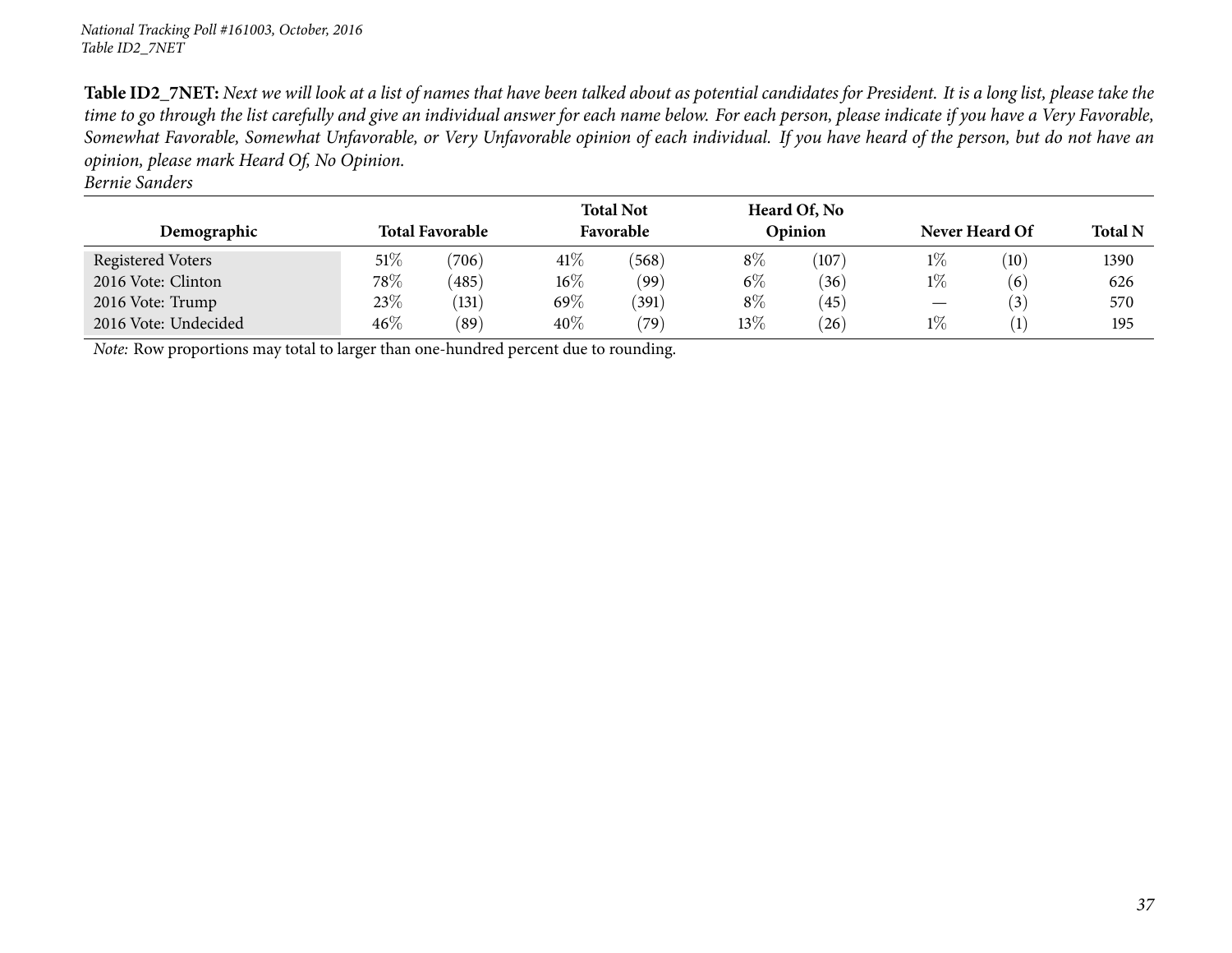Table ID2\_7NET: Next we will look at a list of names that have been talked about as potential candidates for President. It is a long list, please take the time to go through the list carefully and give an individual answer for each name below. For each person, please indicate if you have a Very Favorable, Somewhat Favorable, Somewhat Unfavorable, or Very Unfavorable opinion of each individual. If you have heard of the person, but do not have an *opinion, <sup>p</sup>lease mark Heard Of, No Opinion.*

*Bernie Sanders*

| Demographic                                                                         |        | <b>Total Favorable</b> |         | <b>Total Not</b><br>Favorable |        | Heard Of, No<br>Opinion | Never Heard Of                  | <b>Total N</b>   |      |  |
|-------------------------------------------------------------------------------------|--------|------------------------|---------|-------------------------------|--------|-------------------------|---------------------------------|------------------|------|--|
| Registered Voters                                                                   | $51\%$ | (706)                  | 41\%    | (568)                         | $8\%$  | (107)                   | $1\%$                           | (10)             | 1390 |  |
| 2016 Vote: Clinton                                                                  | 78\%   | (485)                  | $16\%$  | (99)                          | $6\%$  | (36)                    | $1\%$                           | (6)              | 626  |  |
| 2016 Vote: Trump                                                                    | 23\%   | (131)                  | 69 $\%$ | (391)                         | $8\%$  | (45)                    | $\hspace{0.1mm}-\hspace{0.1mm}$ | (3)              | 570  |  |
| 2016 Vote: Undecided                                                                | $46\%$ | (89)                   | 40%     | (79)                          | $13\%$ | (26)                    | $1\%$                           | $\left(1\right)$ | 195  |  |
| Note: Row proportions may total to larger than one-hundred percent due to rounding. |        |                        |         |                               |        |                         |                                 |                  |      |  |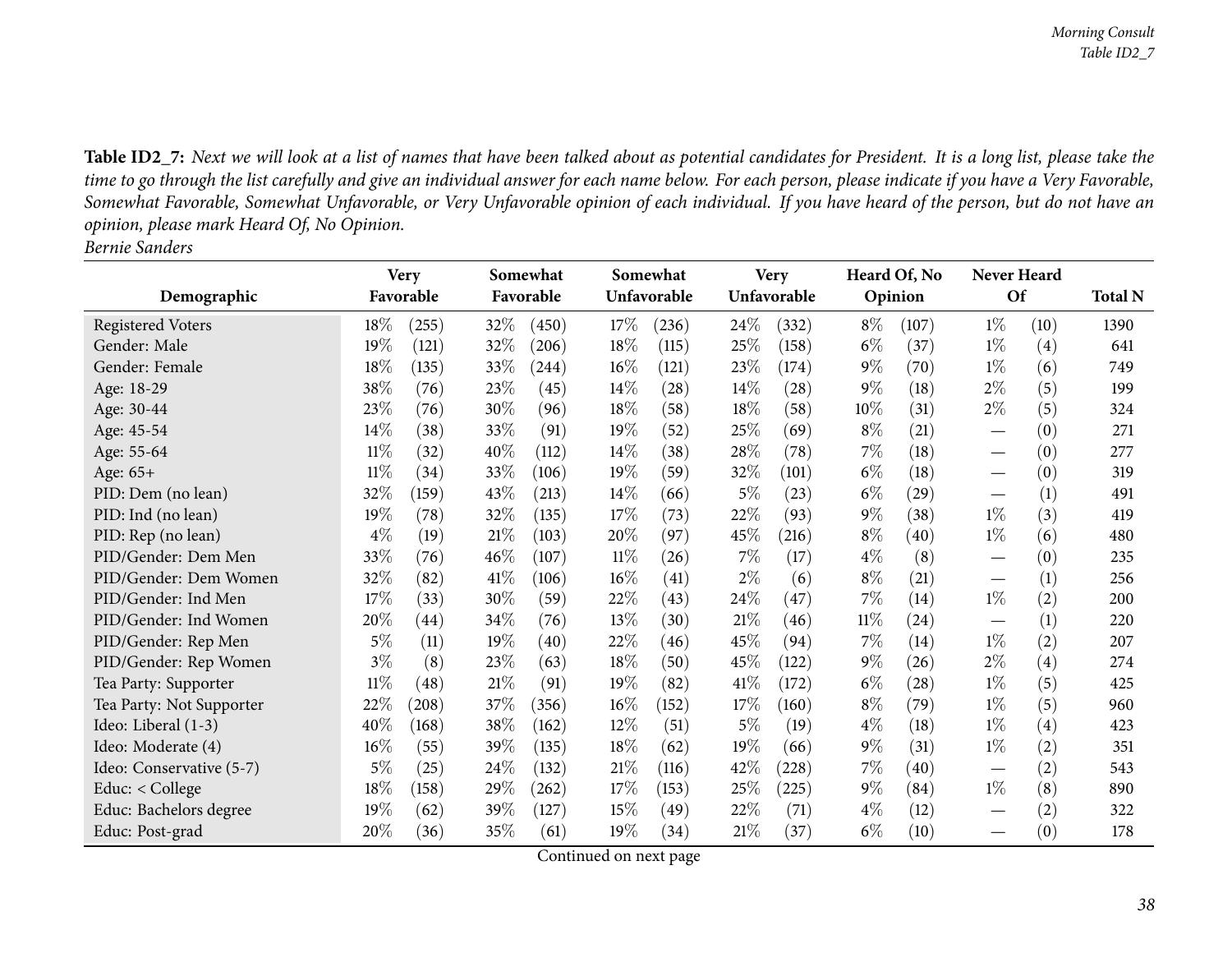Table ID2\_7: Next we will look at a list of names that have been talked about as potential candidates for President. It is a long list, please take the time to go through the list carefully and give an individual answer for each name below. For each person, please indicate if you have a Very Favorable, Somewhat Favorable, Somewhat Unfavorable, or Very Unfavorable opinion of each individual. If you have heard of the person, but do not have an *opinion, <sup>p</sup>lease mark Heard Of, No Opinion. Bernie Sanders*

|                          |        | <b>Very</b> |      | Somewhat  |        | Somewhat    |        | <b>Very</b> |       | Heard Of, No | Never Heard |      |                |
|--------------------------|--------|-------------|------|-----------|--------|-------------|--------|-------------|-------|--------------|-------------|------|----------------|
| Demographic              |        | Favorable   |      | Favorable |        | Unfavorable |        | Unfavorable |       | Opinion      | Of          |      | <b>Total N</b> |
| <b>Registered Voters</b> | 18\%   | (255)       | 32%  | (450)     | $17\%$ | (236)       | 24\%   | (332)       | $8\%$ | (107)        | $1\%$       | (10) | 1390           |
| Gender: Male             | 19%    | (121)       | 32%  | (206)     | 18%    | (115)       | 25%    | (158)       | $6\%$ | (37)         | $1\%$       | (4)  | 641            |
| Gender: Female           | 18%    | (135)       | 33%  | (244)     | 16%    | (121)       | 23%    | (174)       | $9\%$ | (70)         | $1\%$       | (6)  | 749            |
| Age: 18-29               | 38\%   | (76)        | 23%  | (45)      | 14\%   | (28)        | 14\%   | (28)        | $9\%$ | (18)         | $2\%$       | (5)  | 199            |
| Age: 30-44               | 23%    | (76)        | 30%  | (96)      | 18%    | (58)        | 18%    | (58)        | 10%   | (31)         | $2\%$       | (5)  | 324            |
| Age: 45-54               | $14\%$ | (38)        | 33\% | (91)      | 19%    | (52)        | 25%    | (69)        | $8\%$ | (21)         |             | (0)  | 271            |
| Age: 55-64               | $11\%$ | (32)        | 40%  | (112)     | 14\%   | (38)        | 28\%   | (78)        | 7%    | (18)         |             | (0)  | 277            |
| Age: 65+                 | $11\%$ | (34)        | 33%  | (106)     | 19%    | (59)        | 32%    | (101)       | $6\%$ | (18)         |             | (0)  | 319            |
| PID: Dem (no lean)       | 32%    | (159)       | 43\% | (213)     | 14\%   | (66)        | $5\%$  | (23)        | $6\%$ | (29)         |             | (1)  | 491            |
| PID: Ind (no lean)       | 19%    | (78)        | 32%  | (135)     | 17%    | (73)        | 22\%   | (93)        | $9\%$ | (38)         | $1\%$       | (3)  | 419            |
| PID: Rep (no lean)       | $4\%$  | (19)        | 21%  | (103)     | 20%    | (97)        | 45%    | (216)       | $8\%$ | (40)         | $1\%$       | (6)  | 480            |
| PID/Gender: Dem Men      | 33%    | (76)        | 46%  | (107)     | 11%    | (26)        | 7%     | (17)        | $4\%$ | (8)          |             | (0)  | 235            |
| PID/Gender: Dem Women    | 32%    | (82)        | 41\% | (106)     | 16%    | (41)        | $2\%$  | (6)         | $8\%$ | (21)         |             | (1)  | 256            |
| PID/Gender: Ind Men      | 17%    | (33)        | 30%  | (59)      | 22%    | (43)        | 24\%   | (47)        | 7%    | (14)         | $1\%$       | (2)  | 200            |
| PID/Gender: Ind Women    | 20%    | (44)        | 34\% | (76)      | 13%    | (30)        | 21%    | (46)        | 11%   | (24)         |             | (1)  | 220            |
| PID/Gender: Rep Men      | $5\%$  | (11)        | 19%  | (40)      | 22%    | (46)        | 45%    | (94)        | 7%    | (14)         | $1\%$       | (2)  | 207            |
| PID/Gender: Rep Women    | $3\%$  | (8)         | 23%  | (63)      | 18%    | (50)        | 45%    | (122)       | $9\%$ | (26)         | $2\%$       | (4)  | 274            |
| Tea Party: Supporter     | $11\%$ | (48)        | 21%  | (91)      | 19%    | (82)        | 41\%   | (172)       | $6\%$ | (28)         | $1\%$       | (5)  | 425            |
| Tea Party: Not Supporter | 22%    | (208)       | 37%  | (356)     | 16%    | (152)       | 17\%   | (160)       | $8\%$ | (79)         | $1\%$       | (5)  | 960            |
| Ideo: Liberal (1-3)      | 40%    | (168)       | 38%  | (162)     | 12%    | (51)        | $5\%$  | (19)        | $4\%$ | (18)         | $1\%$       | (4)  | 423            |
| Ideo: Moderate (4)       | 16%    | (55)        | 39%  | (135)     | 18%    | (62)        | 19%    | (66)        | $9\%$ | (31)         | $1\%$       | (2)  | 351            |
| Ideo: Conservative (5-7) | 5%     | (25)        | 24\% | (132)     | 21%    | (116)       | 42%    | (228)       | 7%    | (40)         |             | (2)  | 543            |
| Educ: $<$ College        | 18%    | (158)       | 29%  | (262)     | 17%    | (153)       | 25%    | (225)       | $9\%$ | (84)         | $1\%$       | (8)  | 890            |
| Educ: Bachelors degree   | 19%    | (62)        | 39\% | (127)     | 15%    | (49)        | 22%    | (71)        | $4\%$ | (12)         |             | (2)  | 322            |
| Educ: Post-grad          | 20%    | (36)        | 35%  | (61)      | 19%    | (34)        | $21\%$ | (37)        | $6\%$ | (10)         |             | (0)  | 178            |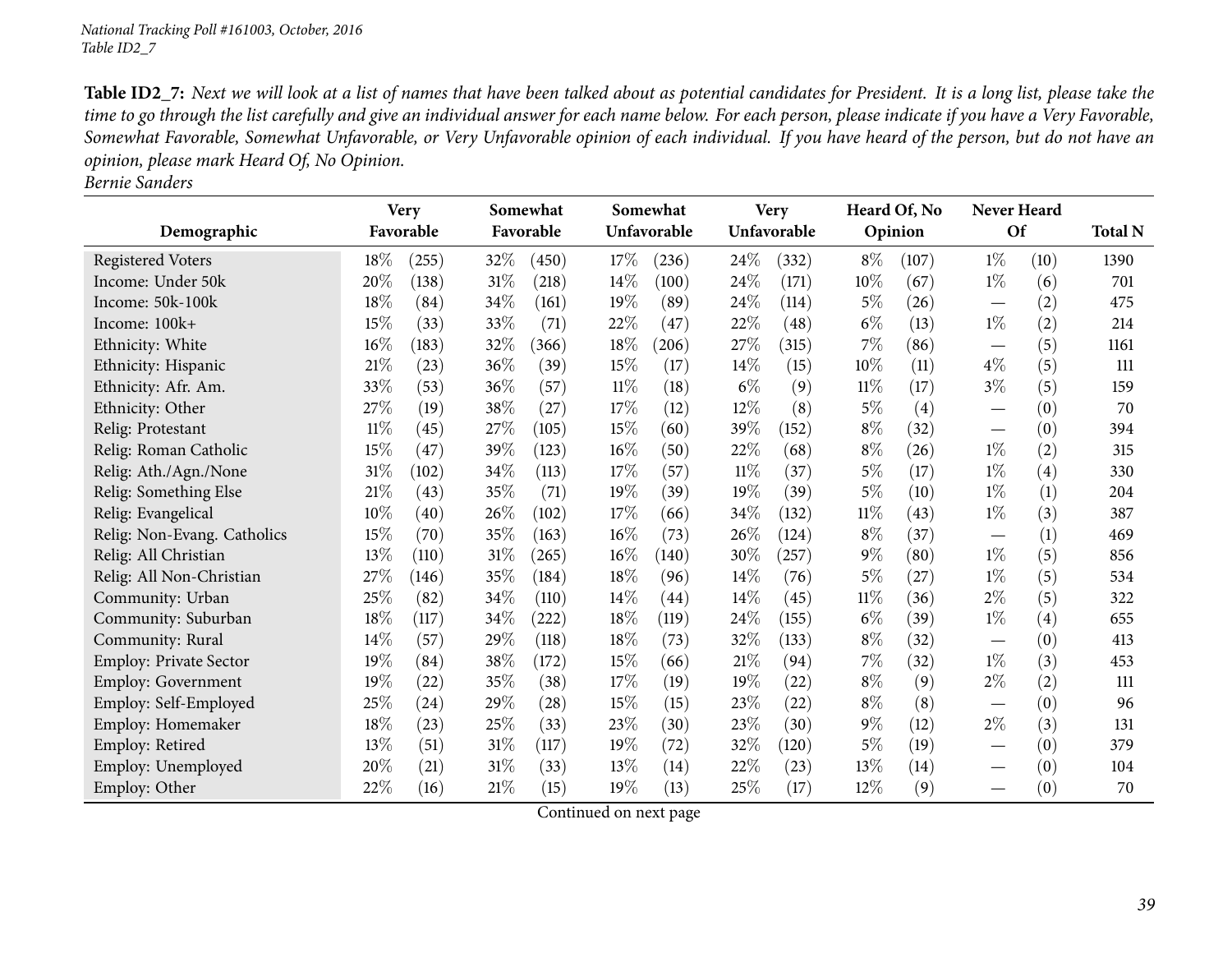Table ID2\_7: Next we will look at a list of names that have been talked about as potential candidates for President. It is a long list, please take the time to go through the list carefully and give an individual answer for each name below. For each person, please indicate if you have a Very Favorable, Somewhat Favorable, Somewhat Unfavorable, or Very Unfavorable opinion of each individual. If you have heard of the person, but do not have an *opinion, <sup>p</sup>lease mark Heard Of, No Opinion.*

|--|

|                               |        | <b>Very</b> | Somewhat |           |        | Somewhat    |        | <b>Very</b> |        | Heard Of, No | Never Heard                     |      |                |
|-------------------------------|--------|-------------|----------|-----------|--------|-------------|--------|-------------|--------|--------------|---------------------------------|------|----------------|
| Demographic                   |        | Favorable   |          | Favorable |        | Unfavorable |        | Unfavorable |        | Opinion      | <b>Of</b>                       |      | <b>Total N</b> |
| <b>Registered Voters</b>      | 18%    | (255)       | 32%      | (450)     | 17%    | (236)       | 24\%   | (332)       | $8\%$  | (107)        | $1\%$                           | (10) | 1390           |
| Income: Under 50k             | 20%    | (138)       | 31%      | (218)     | 14\%   | (100)       | $24\%$ | (171)       | 10%    | (67)         | $1\%$                           | (6)  | 701            |
| Income: 50k-100k              | 18%    | (84)        | 34%      | (161)     | 19%    | (89)        | 24%    | (114)       | $5\%$  | (26)         | $\hspace{0.1mm}-\hspace{0.1mm}$ | (2)  | 475            |
| Income: 100k+                 | 15%    | (33)        | 33%      | (71)      | 22%    | (47)        | 22%    | (48)        | $6\%$  | (13)         | $1\%$                           | (2)  | 214            |
| Ethnicity: White              | 16%    | (183)       | 32%      | (366)     | 18%    | (206)       | 27\%   | (315)       | 7%     | (86)         |                                 | (5)  | 1161           |
| Ethnicity: Hispanic           | 21%    | (23)        | 36%      | (39)      | 15%    | (17)        | 14%    | (15)        | 10%    | (11)         | $4\%$                           | (5)  | 111            |
| Ethnicity: Afr. Am.           | 33%    | (53)        | 36%      | (57)      | $11\%$ | (18)        | $6\%$  | (9)         | $11\%$ | (17)         | $3\%$                           | (5)  | 159            |
| Ethnicity: Other              | 27%    | (19)        | 38%      | (27)      | 17%    | (12)        | 12%    | (8)         | $5\%$  | (4)          | $\hspace{0.1mm}-\hspace{0.1mm}$ | (0)  | 70             |
| Relig: Protestant             | $11\%$ | (45)        | 27%      | (105)     | 15%    | (60)        | 39%    | (152)       | $8\%$  | (32)         | $\hspace{0.1mm}-\hspace{0.1mm}$ | (0)  | 394            |
| Relig: Roman Catholic         | 15%    | (47)        | 39%      | (123)     | 16%    | (50)        | 22%    | (68)        | $8\%$  | (26)         | $1\%$                           | (2)  | 315            |
| Relig: Ath./Agn./None         | 31%    | (102)       | 34%      | (113)     | 17%    | (57)        | $11\%$ | (37)        | $5\%$  | (17)         | $1\%$                           | (4)  | 330            |
| Relig: Something Else         | $21\%$ | (43)        | 35%      | (71)      | 19%    | (39)        | 19%    | (39)        | $5\%$  | (10)         | $1\%$                           | (1)  | 204            |
| Relig: Evangelical            | 10%    | (40)        | 26\%     | (102)     | 17%    | (66)        | 34\%   | (132)       | $11\%$ | (43)         | $1\%$                           | (3)  | 387            |
| Relig: Non-Evang. Catholics   | 15%    | (70)        | 35%      | (163)     | 16%    | (73)        | 26\%   | (124)       | $8\%$  | (37)         | $\hspace{0.1mm}-\hspace{0.1mm}$ | (1)  | 469            |
| Relig: All Christian          | 13%    | (110)       | 31%      | (265)     | 16%    | (140)       | 30%    | (257)       | $9\%$  | (80)         | $1\%$                           | (5)  | 856            |
| Relig: All Non-Christian      | 27%    | (146)       | 35%      | (184)     | 18%    | (96)        | $14\%$ | (76)        | $5\%$  | (27)         | $1\%$                           | (5)  | 534            |
| Community: Urban              | 25%    | (82)        | 34%      | (110)     | 14\%   | (44)        | $14\%$ | (45)        | $11\%$ | (36)         | $2\%$                           | (5)  | 322            |
| Community: Suburban           | 18%    | (117)       | 34%      | (222)     | 18%    | (119)       | 24\%   | (155)       | $6\%$  | (39)         | $1\%$                           | (4)  | 655            |
| Community: Rural              | 14%    | (57)        | 29%      | (118)     | 18%    | (73)        | 32%    | (133)       | $8\%$  | (32)         | $\hspace{0.1mm}-\hspace{0.1mm}$ | (0)  | 413            |
| <b>Employ: Private Sector</b> | 19%    | (84)        | 38%      | (172)     | 15%    | (66)        | $21\%$ | (94)        | 7%     | (32)         | $1\%$                           | (3)  | 453            |
| Employ: Government            | 19%    | (22)        | 35%      | (38)      | 17%    | (19)        | $19\%$ | (22)        | $8\%$  | (9)          | $2\%$                           | (2)  | 111            |
| Employ: Self-Employed         | 25%    | (24)        | 29%      | (28)      | 15%    | (15)        | 23\%   | (22)        | $8\%$  | (8)          |                                 | (0)  | 96             |
| Employ: Homemaker             | 18%    | (23)        | 25%      | (33)      | 23%    | (30)        | 23%    | (30)        | $9\%$  | (12)         | $2\%$                           | (3)  | 131            |
| Employ: Retired               | 13%    | (51)        | 31%      | (117)     | 19%    | (72)        | 32%    | (120)       | 5%     | (19)         |                                 | (0)  | 379            |
| Employ: Unemployed            | 20%    | (21)        | 31%      | (33)      | 13\%   | (14)        | 22%    | (23)        | 13%    | (14)         |                                 | (0)  | 104            |
| Employ: Other                 | 22%    | (16)        | 21%      | (15)      | 19%    | (13)        | 25%    | (17)        | 12%    | (9)          | $\hspace{0.1mm}-\hspace{0.1mm}$ | (0)  | 70             |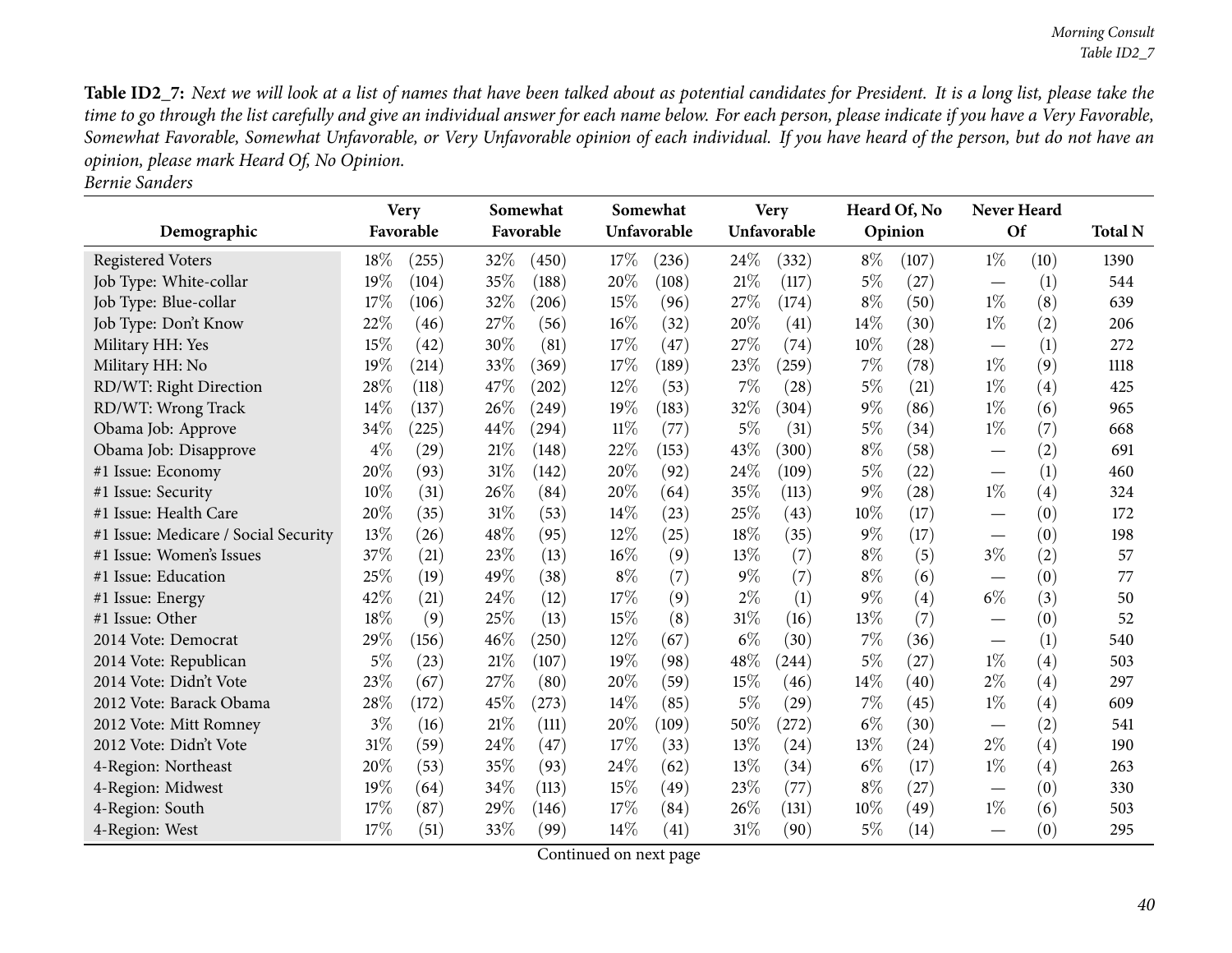Table ID2\_7: Next we will look at a list of names that have been talked about as potential candidates for President. It is a long list, please take the time to go through the list carefully and give an individual answer for each name below. For each person, please indicate if you have a Very Favorable, Somewhat Favorable, Somewhat Unfavorable, or Very Unfavorable opinion of each individual. If you have heard of the person, but do not have an *opinion, <sup>p</sup>lease mark Heard Of, No Opinion. Bernie Sanders*

| Demographic                          |       | <b>Very</b><br>Favorable |      | Somewhat<br>Favorable |        | Somewhat<br>Unfavorable |        | <b>Very</b><br>Unfavorable |       | Heard Of, No<br>Opinion | <b>Never Heard</b><br>Of         |      | <b>Total N</b> |  |
|--------------------------------------|-------|--------------------------|------|-----------------------|--------|-------------------------|--------|----------------------------|-------|-------------------------|----------------------------------|------|----------------|--|
|                                      | 18%   | (255)                    | 32%  |                       | 17%    |                         | 24\%   |                            | $8\%$ |                         | $1\%$                            |      | 1390           |  |
| <b>Registered Voters</b>             | 19%   |                          | 35%  | (450)                 | 20%    | (236)                   | 21%    | (332)                      | $5\%$ | (107)                   |                                  | (10) | 544            |  |
| Job Type: White-collar               |       | (104)                    |      | (188)                 |        | (108)                   |        | (117)                      |       | (27)                    |                                  | (1)  |                |  |
| Job Type: Blue-collar                | 17%   | (106)                    | 32%  | (206)                 | 15%    | (96)                    | 27%    | (174)                      | $8\%$ | (50)                    | $1\%$                            | (8)  | 639            |  |
| Job Type: Don't Know                 | 22%   | (46)                     | 27%  | (56)                  | 16%    | (32)                    | 20%    | (41)                       | 14\%  | (30)                    | $1\%$                            | (2)  | 206            |  |
| Military HH: Yes                     | 15%   | (42)                     | 30%  | (81)                  | 17%    | (47)                    | 27%    | (74)                       | 10%   | (28)                    | $\overbrace{\phantom{12322111}}$ | (1)  | 272            |  |
| Military HH: No                      | 19%   | (214)                    | 33\% | (369)                 | 17%    | (189)                   | 23%    | (259)                      | $7\%$ | (78)                    | $1\%$                            | (9)  | 1118           |  |
| RD/WT: Right Direction               | 28%   | (118)                    | 47%  | (202)                 | $12\%$ | (53)                    | 7%     | (28)                       | $5\%$ | (21)                    | $1\%$                            | (4)  | 425            |  |
| RD/WT: Wrong Track                   | 14\%  | (137)                    | 26%  | (249)                 | 19%    | (183)                   | 32%    | (304)                      | $9\%$ | (86)                    | $1\%$                            | (6)  | 965            |  |
| Obama Job: Approve                   | 34%   | (225)                    | 44%  | (294)                 | $11\%$ | (77)                    | $5\%$  | (31)                       | $5\%$ | (34)                    | $1\%$                            | (7)  | 668            |  |
| Obama Job: Disapprove                | $4\%$ | (29)                     | 21%  | (148)                 | 22%    | (153)                   | 43%    | (300)                      | $8\%$ | (58)                    | $\hspace{0.1mm}-\hspace{0.1mm}$  | (2)  | 691            |  |
| #1 Issue: Economy                    | 20%   | (93)                     | 31%  | (142)                 | 20%    | (92)                    | 24%    | (109)                      | $5\%$ | (22)                    | $\overline{\phantom{0}}$         | (1)  | 460            |  |
| #1 Issue: Security                   | 10%   | (31)                     | 26%  | (84)                  | 20%    | (64)                    | 35%    | (113)                      | $9\%$ | (28)                    | $1\%$                            | (4)  | 324            |  |
| #1 Issue: Health Care                | 20%   | (35)                     | 31%  | (53)                  | 14%    | (23)                    | 25%    | (43)                       | 10%   | (17)                    |                                  | (0)  | 172            |  |
| #1 Issue: Medicare / Social Security | 13%   | (26)                     | 48%  | (95)                  | 12%    | (25)                    | 18%    | (35)                       | $9\%$ | (17)                    | $\overline{\phantom{0}}$         | (0)  | 198            |  |
| #1 Issue: Women's Issues             | 37%   | (21)                     | 23%  | (13)                  | 16%    | (9)                     | 13%    | (7)                        | $8\%$ | (5)                     | $3\%$                            | (2)  | 57             |  |
| #1 Issue: Education                  | 25\%  | (19)                     | 49%  | (38)                  | $8\%$  | (7)                     | $9\%$  | (7)                        | $8\%$ | (6)                     |                                  | (0)  | 77             |  |
| #1 Issue: Energy                     | 42%   | (21)                     | 24\% | (12)                  | 17%    | (9)                     | $2\%$  | (1)                        | $9\%$ | (4)                     | $6\%$                            | (3)  | 50             |  |
| #1 Issue: Other                      | 18%   | (9)                      | 25%  | (13)                  | 15%    | (8)                     | 31%    | (16)                       | 13%   | (7)                     |                                  | (0)  | 52             |  |
| 2014 Vote: Democrat                  | 29%   | (156)                    | 46%  | (250)                 | $12\%$ | (67)                    | $6\%$  | (30)                       | 7%    | (36)                    | —                                | (1)  | 540            |  |
| 2014 Vote: Republican                | $5\%$ | (23)                     | 21%  | (107)                 | 19%    | (98)                    | 48\%   | (244)                      | 5%    | (27)                    | $1\%$                            | (4)  | 503            |  |
| 2014 Vote: Didn't Vote               | 23%   | (67)                     | 27%  | (80)                  | 20%    | (59)                    | 15%    | (46)                       | 14\%  | (40)                    | $2\%$                            | (4)  | 297            |  |
| 2012 Vote: Barack Obama              | 28%   | (172)                    | 45%  | (273)                 | 14%    | (85)                    | $5\%$  | (29)                       | 7%    | (45)                    | $1\%$                            | (4)  | 609            |  |
| 2012 Vote: Mitt Romney               | $3\%$ | (16)                     | 21%  | (111)                 | 20%    | (109)                   | 50%    | (272)                      | $6\%$ | (30)                    | $\hspace{0.1mm}-\hspace{0.1mm}$  | (2)  | 541            |  |
| 2012 Vote: Didn't Vote               | 31%   | (59)                     | 24\% | (47)                  | 17%    | (33)                    | 13%    | (24)                       | 13%   | (24)                    | $2\%$                            | (4)  | 190            |  |
| 4-Region: Northeast                  | 20%   | (53)                     | 35%  | (93)                  | 24\%   | (62)                    | 13%    | (34)                       | $6\%$ | (17)                    | $1\%$                            | (4)  | 263            |  |
| 4-Region: Midwest                    | 19%   | (64)                     | 34%  | (113)                 | 15%    | (49)                    | 23%    | (77)                       | $8\%$ | (27)                    | —                                | (0)  | 330            |  |
| 4-Region: South                      | 17%   | (87)                     | 29%  | (146)                 | 17%    | (84)                    | 26%    | (131)                      | 10%   | (49)                    | $1\%$                            | (6)  | 503            |  |
| 4-Region: West                       | 17%   | (51)                     | 33%  | (99)                  | $14\%$ | (41)                    | $31\%$ | (90)                       | $5\%$ | (14)                    |                                  | (0)  | 295            |  |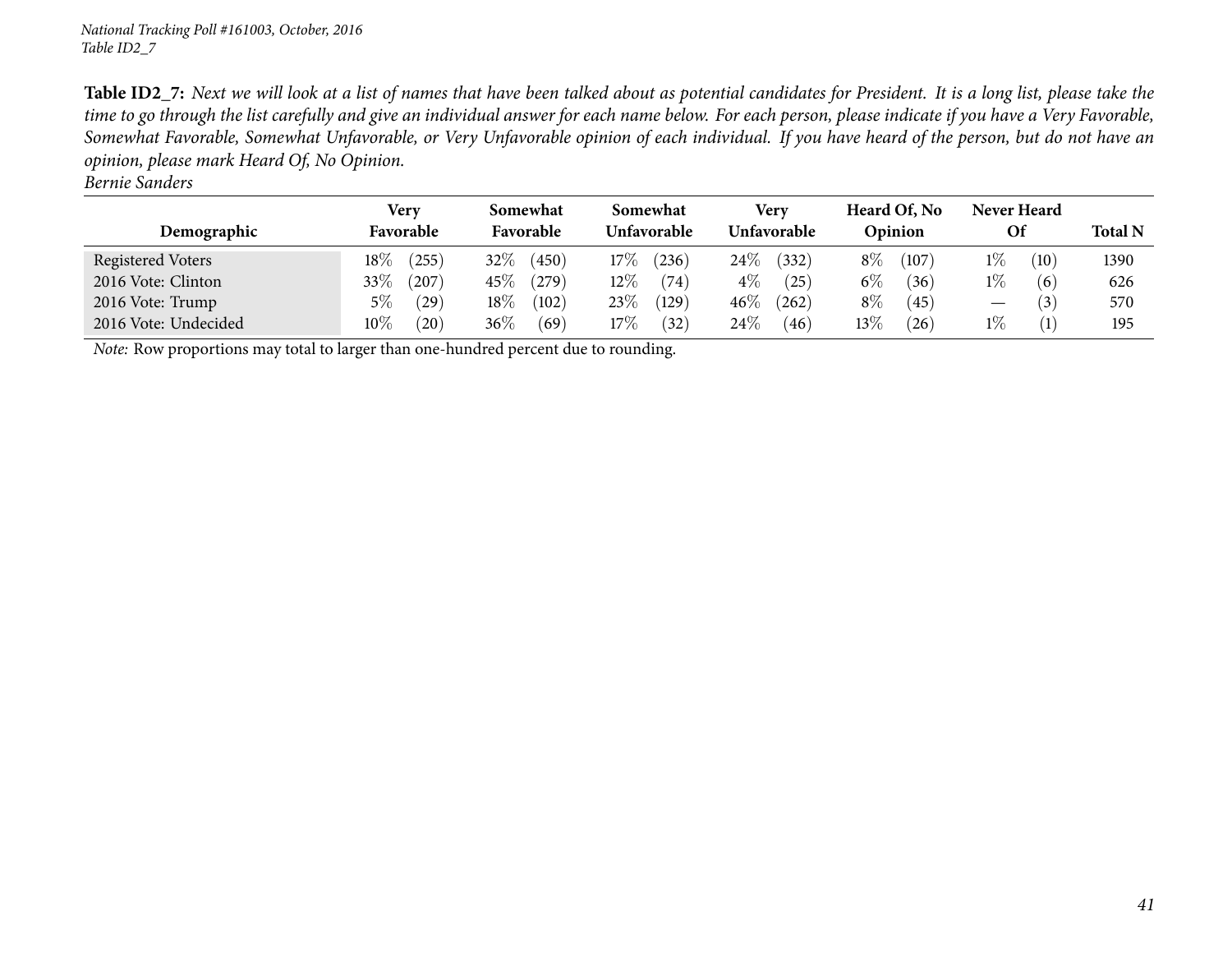Table ID2\_7: Next we will look at a list of names that have been talked about as potential candidates for President. It is a long list, please take the time to go through the list carefully and give an individual answer for each name below. For each person, please indicate if you have a Very Favorable, Somewhat Favorable, Somewhat Unfavorable, or Very Unfavorable opinion of each individual. If you have heard of the person, but do not have an *opinion, <sup>p</sup>lease mark Heard Of, No Opinion.*

| Bernie Sanders       |                     |                       |                         |                     |                         |                          |                |
|----------------------|---------------------|-----------------------|-------------------------|---------------------|-------------------------|--------------------------|----------------|
| Demographic          | Very<br>Favorable   | Somewhat<br>Favorable | Somewhat<br>Unfavorable | Very<br>Unfavorable | Heard Of, No<br>Opinion | Never Heard<br><b>Of</b> | <b>Total N</b> |
| Registered Voters    | $18\%$<br>$^{'}255$ | $32\%$<br>(450)       | $17\%$<br>236           | 24\%<br>(332)       | $8\%$<br>(107)          | $1\%$<br>(10)            | 1390           |
| 2016 Vote: Clinton   | 33\%<br>(207)       | $45\%$<br>(279)       | $12\%$<br>(74)          | $4\%$<br>(25)       | $6\%$<br>(36)           | $1\%$<br>(6)             | 626            |
| 2016 Vote: Trump     | (29)<br>$5\%$       | (102)<br>$18\%$       | 23\%<br>$^{\prime}129$  | $46\%$<br>(262)     | $8\%$<br>(45)           | $\left(3\right)$<br>—    | 570            |
| 2016 Vote: Undecided | $10\%$<br>(20)      | $36\%$<br>(69)        | 17%<br>(32)             | 24\%<br>(46)        | $13\%$<br>(26)          | $1\%$<br>(1)             | 195            |

*Note:* Row proportions may total to larger than one-hundred percen<sup>t</sup> due to rounding.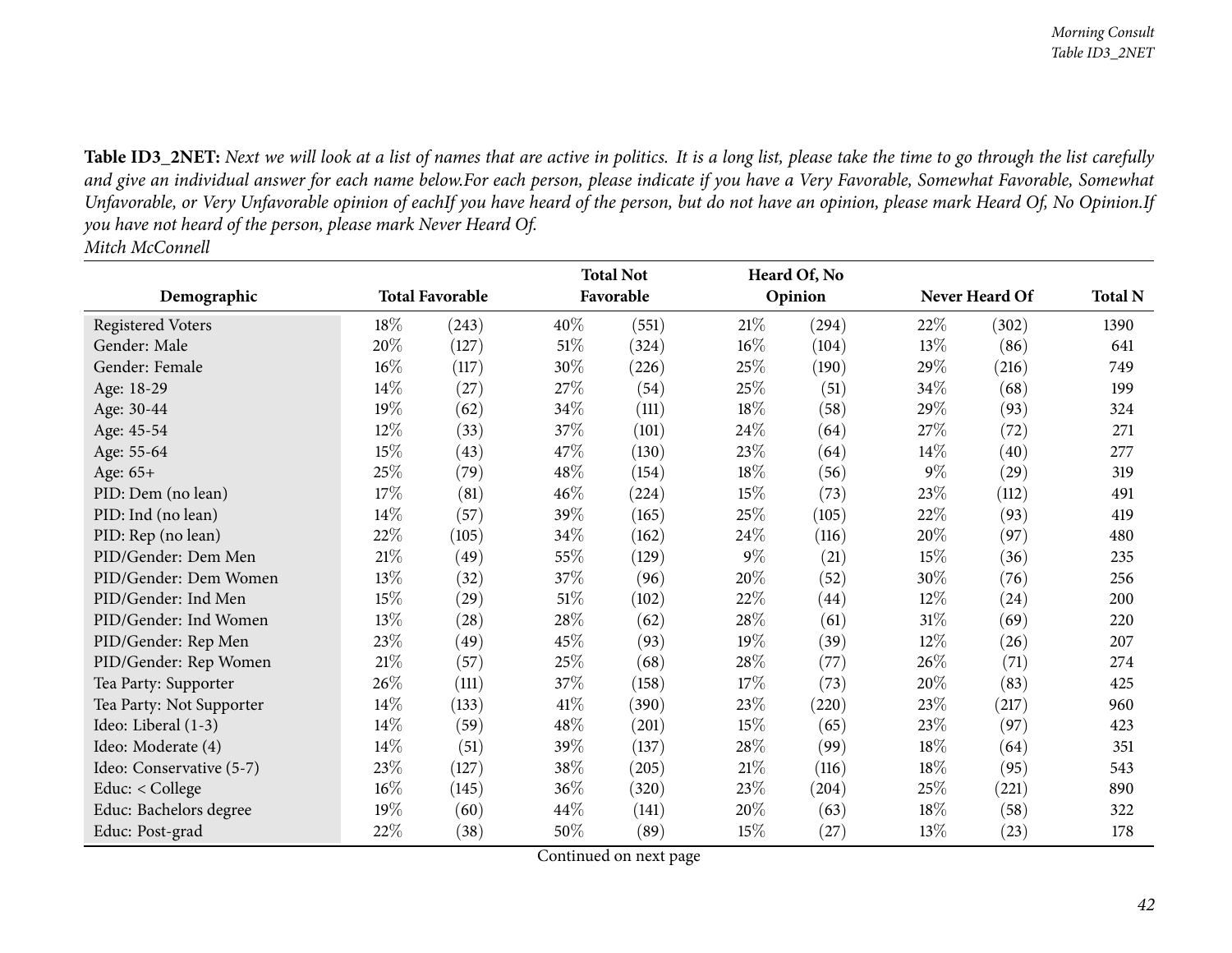Table ID3\_2NET: Next we will look at a list of names that are active in politics. It is a long list, please take the time to go through the list carefully and give an individual answer for each name below.For each person, please indicate if you have a Very Favorable, Somewhat Favorable, Somewhat Unfavorable, or Very Unfavorable opinion of eachIf you have heard of the person, but do not have an opinion, please mark Heard Of, No Opinion.If you have not heard of the person, please mark Never Heard Of. *Mitch McConnell*

|                          |        |                        | <b>Total Not</b> |           |        | Heard Of, No |        |                |                |
|--------------------------|--------|------------------------|------------------|-----------|--------|--------------|--------|----------------|----------------|
| Demographic              |        | <b>Total Favorable</b> |                  | Favorable |        | Opinion      |        | Never Heard Of | <b>Total N</b> |
| Registered Voters        | 18%    | (243)                  | 40%              | (551)     | 21%    | (294)        | 22%    | (302)          | 1390           |
| Gender: Male             | 20%    | (127)                  | $51\%$           | (324)     | $16\%$ | (104)        | 13%    | (86)           | 641            |
| Gender: Female           | 16%    | (117)                  | 30%              | (226)     | 25\%   | (190)        | 29%    | (216)          | 749            |
| Age: 18-29               | 14\%   | (27)                   | 27%              | (54)      | 25%    | (51)         | 34\%   | (68)           | 199            |
| Age: 30-44               | 19%    | (62)                   | 34%              | (111)     | 18%    | (58)         | 29%    | (93)           | 324            |
| Age: 45-54               | 12%    | (33)                   | 37%              | (101)     | 24\%   | (64)         | 27\%   | (72)           | 271            |
| Age: 55-64               | 15%    | (43)                   | 47%              | (130)     | 23\%   | (64)         | $14\%$ | (40)           | 277            |
| Age: 65+                 | 25%    | (79)                   | 48\%             | (154)     | 18\%   | (56)         | $9\%$  | (29)           | 319            |
| PID: Dem (no lean)       | 17%    | (81)                   | 46%              | (224)     | 15%    | (73)         | 23%    | (112)          | 491            |
| PID: Ind (no lean)       | 14%    | (57)                   | 39%              | (165)     | 25%    | (105)        | 22%    | (93)           | 419            |
| PID: Rep (no lean)       | 22%    | (105)                  | 34%              | (162)     | 24\%   | (116)        | 20%    | (97)           | 480            |
| PID/Gender: Dem Men      | 21%    | (49)                   | 55%              | (129)     | $9\%$  | (21)         | 15%    | (36)           | 235            |
| PID/Gender: Dem Women    | $13\%$ | (32)                   | 37%              | (96)      | 20%    | (52)         | 30\%   | (76)           | 256            |
| PID/Gender: Ind Men      | 15%    | (29)                   | $51\%$           | (102)     | 22%    | (44)         | $12\%$ | (24)           | 200            |
| PID/Gender: Ind Women    | 13%    | (28)                   | 28\%             | (62)      | 28\%   | (61)         | $31\%$ | (69)           | 220            |
| PID/Gender: Rep Men      | 23\%   | (49)                   | 45%              | (93)      | 19%    | (39)         | $12\%$ | (26)           | 207            |
| PID/Gender: Rep Women    | $21\%$ | (57)                   | 25%              | (68)      | 28\%   | (77)         | 26%    | (71)           | 274            |
| Tea Party: Supporter     | 26\%   | (111)                  | 37%              | (158)     | 17%    | (73)         | 20%    | (83)           | 425            |
| Tea Party: Not Supporter | 14%    | (133)                  | 41\%             | (390)     | 23\%   | (220)        | 23%    | (217)          | 960            |
| Ideo: Liberal (1-3)      | 14%    | (59)                   | 48%              | (201)     | 15%    | (65)         | 23%    | (97)           | 423            |
| Ideo: Moderate (4)       | 14\%   | (51)                   | 39%              | (137)     | 28\%   | (99)         | 18%    | (64)           | 351            |
| Ideo: Conservative (5-7) | 23%    | (127)                  | 38%              | (205)     | $21\%$ | (116)        | $18\%$ | (95)           | 543            |
| Educ: < College          | $16\%$ | (145)                  | 36%              | (320)     | 23\%   | (204)        | 25%    | (221)          | 890            |
| Educ: Bachelors degree   | 19%    | (60)                   | 44\%             | (141)     | 20%    | (63)         | 18%    | (58)           | 322            |
| Educ: Post-grad          | 22%    | (38)                   | 50%              | (89)      | 15%    | (27)         | $13\%$ | (23)           | 178            |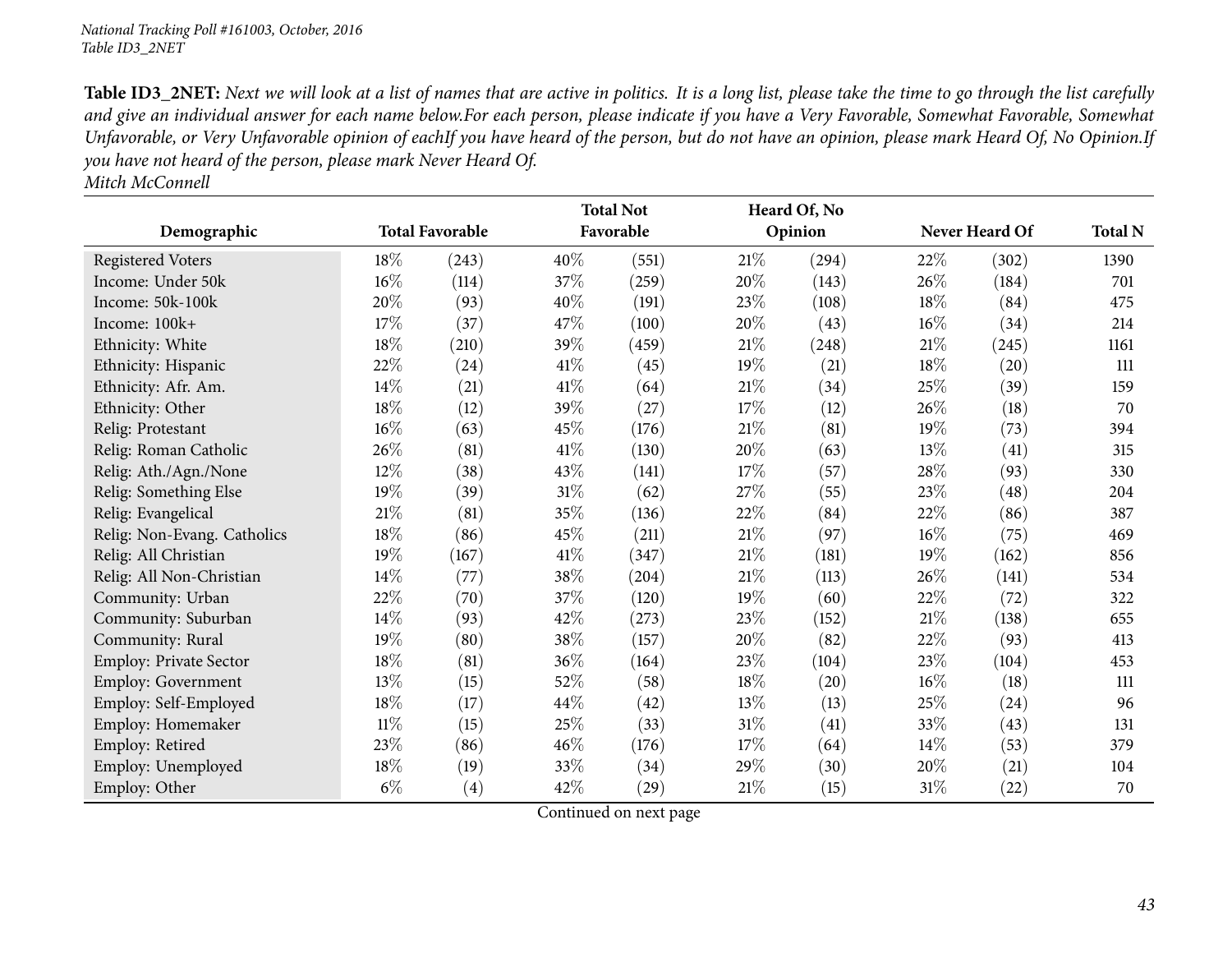Table ID3\_2NET: Next we will look at a list of names that are active in politics. It is a long list, please take the time to go through the list carefully and give an individual answer for each name below.For each person, please indicate if you have a Very Favorable, Somewhat Favorable, Somewhat Unfavorable, or Very Unfavorable opinion of eachIf you have heard of the person, but do not have an opinion, please mark Heard Of, No Opinion.If you have not heard of the person, please mark Never Heard Of.

*Mitch McConnell*

|                             |        |                        |        | <b>Total Not</b> |        | Heard Of, No |        |                |                |
|-----------------------------|--------|------------------------|--------|------------------|--------|--------------|--------|----------------|----------------|
| Demographic                 |        | <b>Total Favorable</b> |        | Favorable        |        | Opinion      |        | Never Heard Of | <b>Total N</b> |
| <b>Registered Voters</b>    | 18%    | (243)                  | 40%    | (551)            | 21%    | (294)        | 22\%   | (302)          | 1390           |
| Income: Under 50k           | $16\%$ | (114)                  | 37%    | (259)            | 20%    | (143)        | 26\%   | (184)          | 701            |
| Income: 50k-100k            | 20%    | (93)                   | 40%    | (191)            | 23%    | (108)        | 18%    | (84)           | 475            |
| Income: 100k+               | 17%    | (37)                   | 47%    | (100)            | 20%    | (43)         | $16\%$ | (34)           | 214            |
| Ethnicity: White            | 18%    | (210)                  | 39%    | (459)            | 21%    | (248)        | $21\%$ | (245)          | 1161           |
| Ethnicity: Hispanic         | 22\%   | (24)                   | 41\%   | (45)             | 19%    | (21)         | 18\%   | (20)           | 111            |
| Ethnicity: Afr. Am.         | 14\%   | (21)                   | 41\%   | (64)             | 21%    | (34)         | $25\%$ | (39)           | 159            |
| Ethnicity: Other            | 18%    | (12)                   | 39%    | (27)             | 17%    | (12)         | 26%    | (18)           | 70             |
| Relig: Protestant           | $16\%$ | (63)                   | 45%    | (176)            | $21\%$ | (81)         | $19\%$ | (73)           | 394            |
| Relig: Roman Catholic       | 26\%   | (81)                   | 41\%   | (130)            | 20%    | (63)         | 13%    | (41)           | 315            |
| Relig: Ath./Agn./None       | $12\%$ | (38)                   | 43%    | (141)            | 17%    | (57)         | 28\%   | (93)           | 330            |
| Relig: Something Else       | 19%    | (39)                   | $31\%$ | (62)             | 27\%   | (55)         | 23\%   | (48)           | 204            |
| Relig: Evangelical          | $21\%$ | (81)                   | 35%    | (136)            | 22\%   | (84)         | 22\%   | (86)           | 387            |
| Relig: Non-Evang. Catholics | 18%    | (86)                   | 45%    | (211)            | $21\%$ | (97)         | $16\%$ | (75)           | 469            |
| Relig: All Christian        | 19%    | (167)                  | $41\%$ | (347)            | $21\%$ | (181)        | 19%    | (162)          | 856            |
| Relig: All Non-Christian    | 14\%   | (77)                   | 38%    | (204)            | $21\%$ | (113)        | 26\%   | (141)          | 534            |
| Community: Urban            | 22%    | (70)                   | 37%    | (120)            | 19%    | (60)         | 22%    | (72)           | 322            |
| Community: Suburban         | 14\%   | (93)                   | 42%    | (273)            | 23%    | (152)        | $21\%$ | (138)          | 655            |
| Community: Rural            | 19%    | (80)                   | 38%    | (157)            | 20\%   | (82)         | 22\%   | (93)           | 413            |
| Employ: Private Sector      | 18%    | (81)                   | 36%    | (164)            | 23\%   | (104)        | 23\%   | (104)          | 453            |
| Employ: Government          | $13\%$ | (15)                   | 52%    | (58)             | 18%    | (20)         | $16\%$ | (18)           | 111            |
| Employ: Self-Employed       | 18%    | (17)                   | 44\%   | (42)             | 13\%   | (13)         | 25\%   | (24)           | 96             |
| Employ: Homemaker           | $11\%$ | (15)                   | 25%    | (33)             | $31\%$ | (41)         | 33%    | (43)           | 131            |
| Employ: Retired             | 23\%   | (86)                   | 46%    | (176)            | 17%    | (64)         | $14\%$ | (53)           | 379            |
| Employ: Unemployed          | 18%    | (19)                   | 33%    | (34)             | 29%    | (30)         | 20\%   | (21)           | 104            |
| Employ: Other               | $6\%$  | $\left( 4\right)$      | 42%    | (29)             | $21\%$ | (15)         | $31\%$ | (22)           | 70             |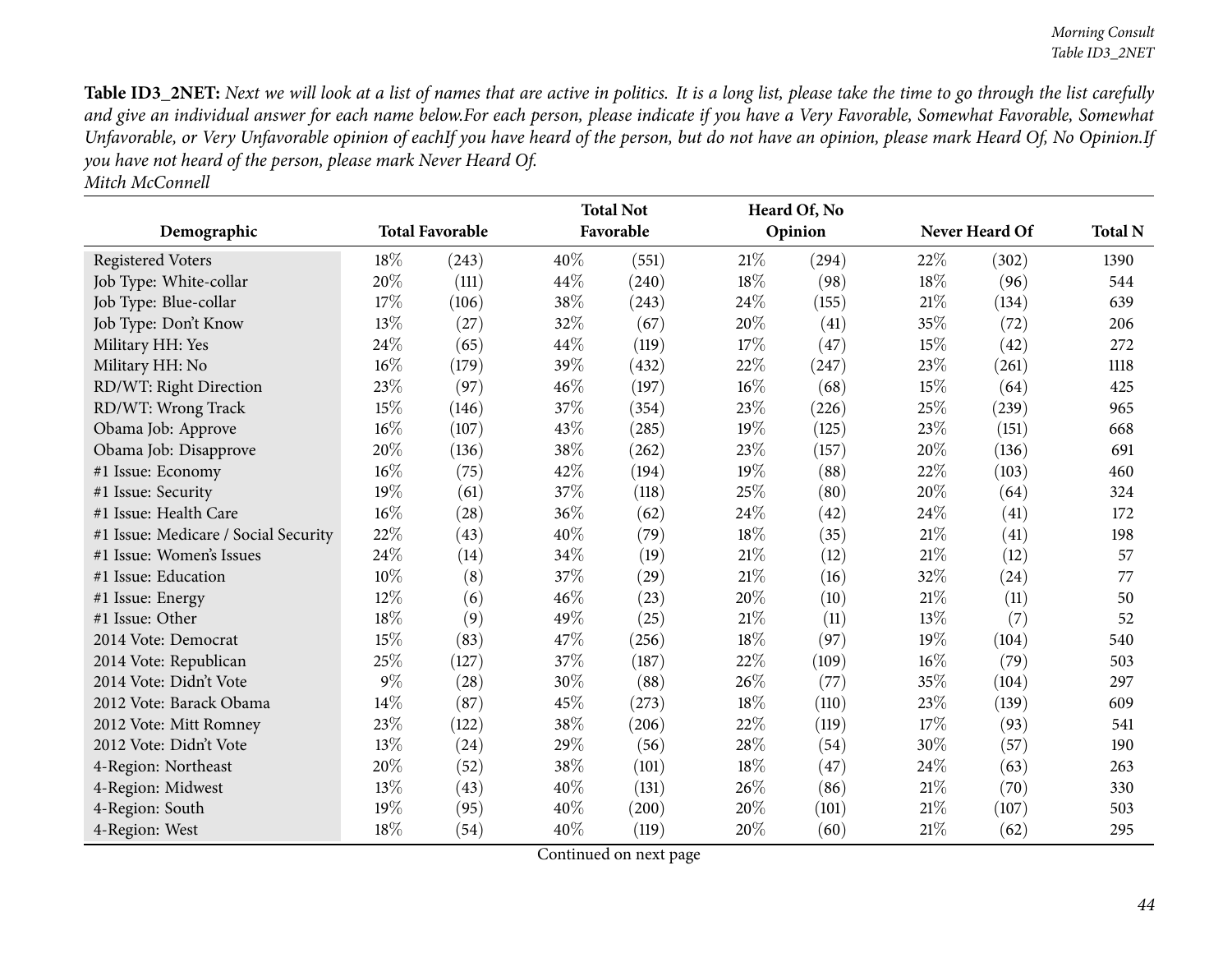Table ID3\_2NET: Next we will look at a list of names that are active in politics. It is a long list, please take the time to go through the list carefully and give an individual answer for each name below.For each person, please indicate if you have a Very Favorable, Somewhat Favorable, Somewhat Unfavorable, or Very Unfavorable opinion of eachIf you have heard of the person, but do not have an opinion, please mark Heard Of, No Opinion.If you have not heard of the person, please mark Never Heard Of.

|                                      |        |                        |      | <b>Total Not</b> |        | Heard Of, No |        |                |                |
|--------------------------------------|--------|------------------------|------|------------------|--------|--------------|--------|----------------|----------------|
| Demographic                          |        | <b>Total Favorable</b> |      | Favorable        |        | Opinion      |        | Never Heard Of | <b>Total N</b> |
| <b>Registered Voters</b>             | 18%    | (243)                  | 40%  | (551)            | 21\%   | (294)        | 22\%   | (302)          | 1390           |
| Job Type: White-collar               | 20%    | (111)                  | 44\% | (240)            | 18%    | (98)         | 18%    | (96)           | 544            |
| Job Type: Blue-collar                | 17%    | (106)                  | 38%  | (243)            | 24\%   | (155)        | $21\%$ | (134)          | 639            |
| Job Type: Don't Know                 | 13%    | (27)                   | 32%  | (67)             | 20%    | (41)         | 35%    | (72)           | 206            |
| Military HH: Yes                     | 24\%   | (65)                   | 44\% | (119)            | $17\%$ | (47)         | 15%    | (42)           | 272            |
| Military HH: No                      | $16\%$ | (179)                  | 39%  | (432)            | 22%    | (247)        | 23\%   | (261)          | 1118           |
| RD/WT: Right Direction               | 23%    | (97)                   | 46%  | (197)            | 16%    | (68)         | 15%    | (64)           | 425            |
| RD/WT: Wrong Track                   | 15%    | (146)                  | 37%  | (354)            | 23%    | (226)        | 25%    | (239)          | 965            |
| Obama Job: Approve                   | 16%    | (107)                  | 43%  | (285)            | 19%    | (125)        | 23%    | (151)          | 668            |
| Obama Job: Disapprove                | 20%    | (136)                  | 38%  | (262)            | 23%    | (157)        | 20%    | (136)          | 691            |
| #1 Issue: Economy                    | 16%    | (75)                   | 42%  | (194)            | 19%    | (88)         | 22\%   | (103)          | 460            |
| #1 Issue: Security                   | 19%    | (61)                   | 37%  | (118)            | 25%    | (80)         | 20%    | (64)           | 324            |
| #1 Issue: Health Care                | 16%    | (28)                   | 36%  | (62)             | 24%    | (42)         | 24\%   | (41)           | 172            |
| #1 Issue: Medicare / Social Security | 22%    | (43)                   | 40%  | (79)             | 18%    | (35)         | 21%    | (41)           | 198            |
| #1 Issue: Women's Issues             | 24\%   | (14)                   | 34%  | (19)             | 21%    | (12)         | 21%    | (12)           | 57             |
| #1 Issue: Education                  | 10%    | (8)                    | 37%  | (29)             | 21%    | (16)         | 32%    | (24)           | 77             |
| #1 Issue: Energy                     | 12%    | (6)                    | 46%  | (23)             | 20%    | (10)         | 21%    | (11)           | 50             |
| #1 Issue: Other                      | 18%    | (9)                    | 49%  | (25)             | 21%    | (11)         | $13\%$ | (7)            | 52             |
| 2014 Vote: Democrat                  | 15%    | (83)                   | 47%  | (256)            | 18%    | (97)         | 19%    | (104)          | 540            |
| 2014 Vote: Republican                | 25%    | (127)                  | 37%  | (187)            | 22%    | (109)        | $16\%$ | (79)           | 503            |
| 2014 Vote: Didn't Vote               | $9\%$  | (28)                   | 30%  | (88)             | 26%    | (77)         | 35%    | (104)          | 297            |
| 2012 Vote: Barack Obama              | $14\%$ | (87)                   | 45%  | (273)            | 18%    | (110)        | 23\%   | (139)          | 609            |
| 2012 Vote: Mitt Romney               | 23\%   | (122)                  | 38%  | (206)            | 22%    | (119)        | 17%    | (93)           | 541            |
| 2012 Vote: Didn't Vote               | 13%    | (24)                   | 29%  | (56)             | 28%    | (54)         | 30%    | (57)           | 190            |
| 4-Region: Northeast                  | 20%    | (52)                   | 38%  | (101)            | 18%    | (47)         | 24\%   | (63)           | 263            |
| 4-Region: Midwest                    | 13%    | (43)                   | 40%  | (131)            | 26%    | (86)         | $21\%$ | (70)           | 330            |
| 4-Region: South                      | 19%    | (95)                   | 40%  | (200)            | 20%    | (101)        | 21%    | (107)          | 503            |
| 4-Region: West                       | 18%    | (54)                   | 40%  | (119)            | 20%    | (60)         | 21%    | (62)           | 295            |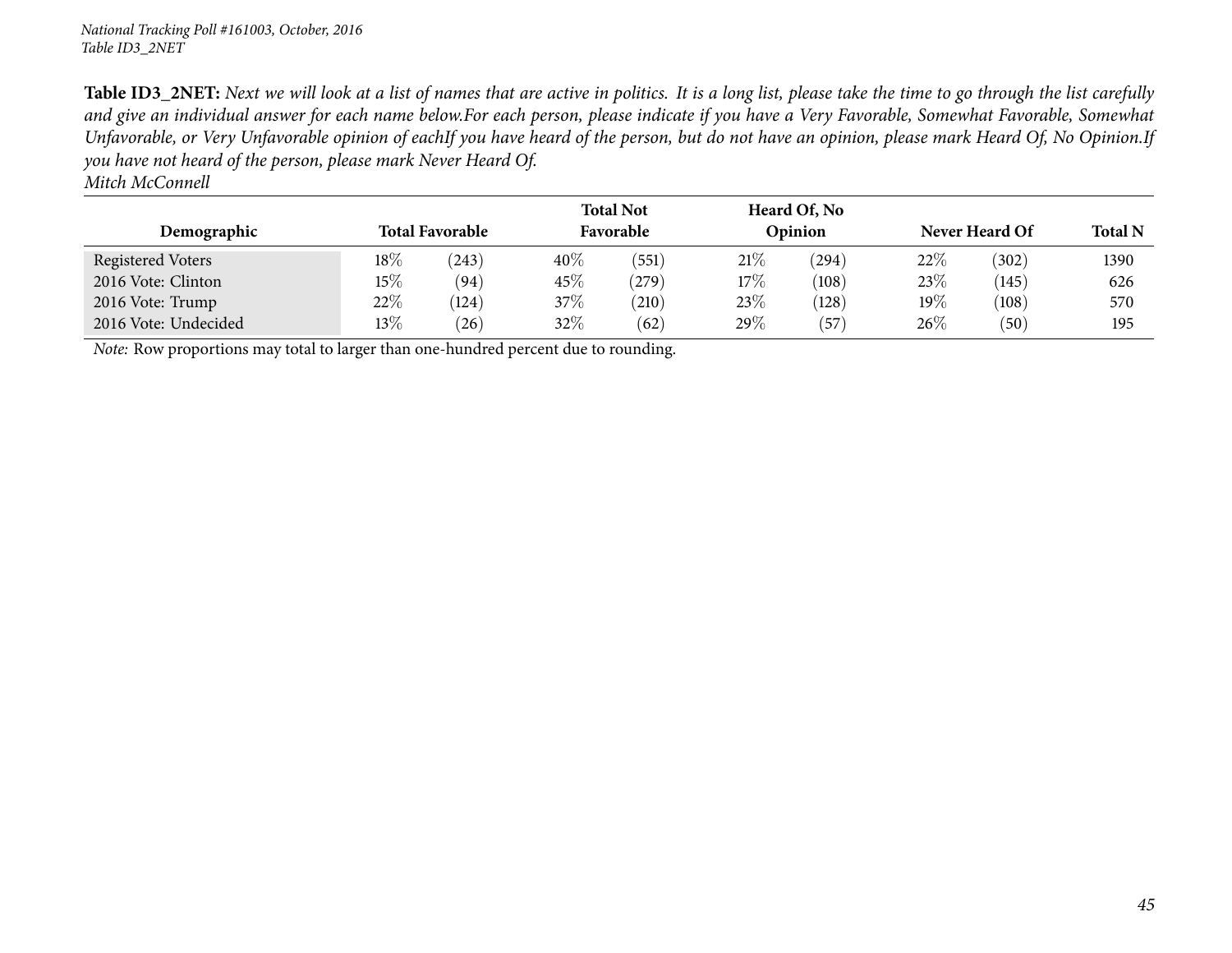Table ID3\_2NET: Next we will look at a list of names that are active in politics. It is a long list, please take the time to go through the list carefully and give an individual answer for each name below.For each person, please indicate if you have a Very Favorable, Somewhat Favorable, Somewhat Unfavorable, or Very Unfavorable opinion of eachIf you have heard of the person, but do not have an opinion, please mark Heard Of, No Opinion.If you have not heard of the person, please mark Never Heard Of.

*Mitch McConnell*

| Demographic          |        | <b>Total Favorable</b> |        | <b>Total Not</b><br>Favorable |     | Heard Of, No<br>Opinion |        | Never Heard Of | <b>Total N</b> |  |  |
|----------------------|--------|------------------------|--------|-------------------------------|-----|-------------------------|--------|----------------|----------------|--|--|
| Registered Voters    | $18\%$ | (243)                  | $40\%$ | (551)                         | 21% | (294)                   | 22%    | (302)          | 1390           |  |  |
| 2016 Vote: Clinton   | $15\%$ | (94)                   | 45\%   | (279)                         | 17% | (108)                   | 23\%   | (145)          | 626            |  |  |
| 2016 Vote: Trump     | 22%    | (124)                  | 37%    | $^{'}210)$                    | 23% | (128)                   | $19\%$ | (108)          | 570            |  |  |
| 2016 Vote: Undecided | $13\%$ | (26)                   | $32\%$ | (62)                          | 29% | $^{'}57$                | 26%    | (50)           | 195            |  |  |

*Note:* Row proportions may total to larger than one-hundred percen<sup>t</sup> due to rounding.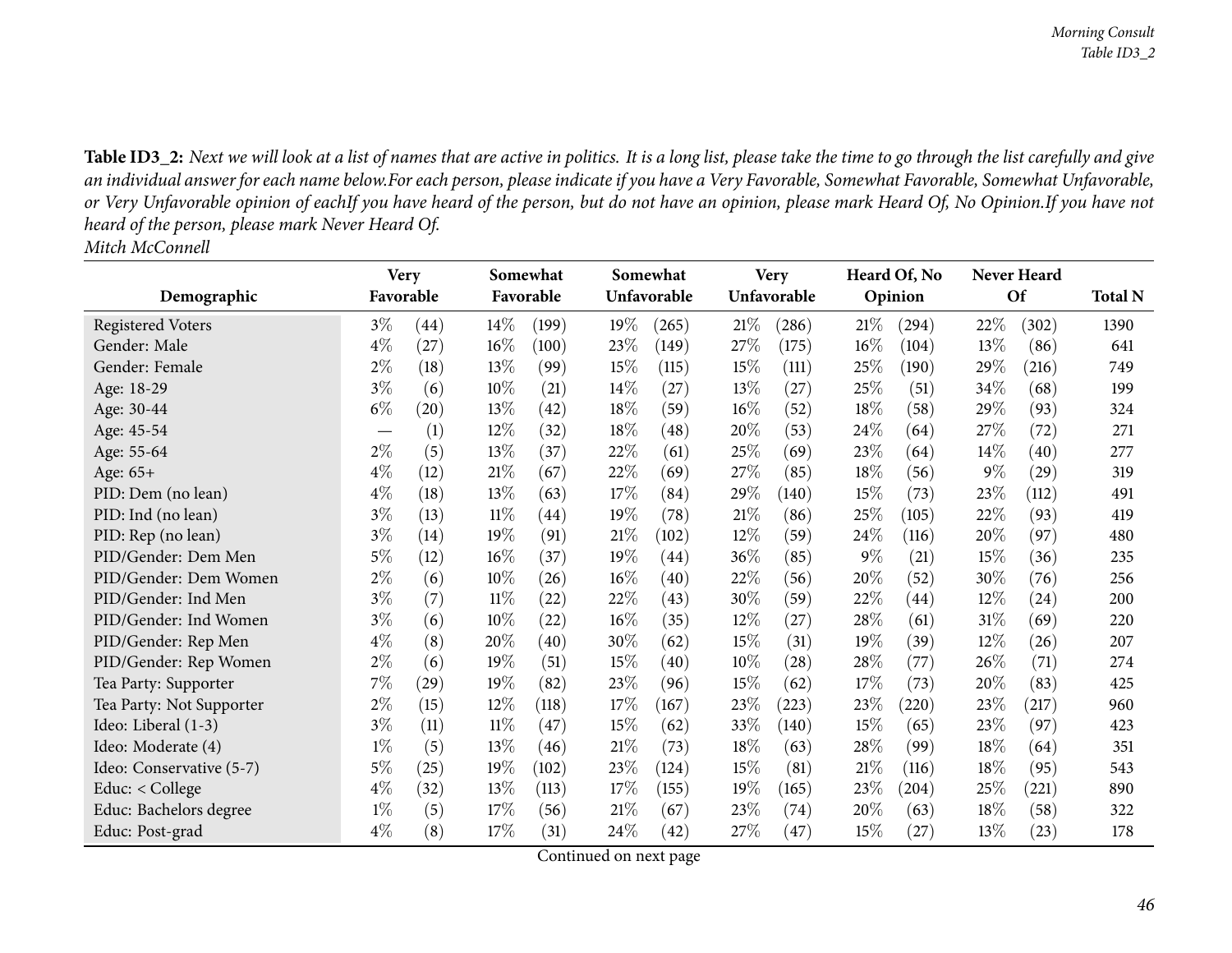Table ID3\_2: Next we will look at a list of names that are active in politics. It is a long list, please take the time to go through the list carefully and give an individual answer for each name below.For each person, please indicate if you have a Very Favorable, Somewhat Favorable, Somewhat Unfavorable, or Very Unfavorable opinion of eachIf you have heard of the person, but do not have an opinion, please mark Heard Of, No Opinion.If you have not *heard of the person, <sup>p</sup>lease mark Never Heard Of. Mitch McConnell*

|                          | <b>Very</b> |      | Somewhat |           |        | Somewhat    |        | <b>Very</b> |       | Heard Of, No       |        | <b>Never Heard</b> |                |  |
|--------------------------|-------------|------|----------|-----------|--------|-------------|--------|-------------|-------|--------------------|--------|--------------------|----------------|--|
| Demographic              | Favorable   |      |          | Favorable |        | Unfavorable |        | Unfavorable |       | Opinion            |        | <b>Of</b>          | <b>Total N</b> |  |
| <b>Registered Voters</b> | $3\%$       | (44) | $14\%$   | (199)     | 19%    | (265)       | 21%    | (286)       | 21%   | (294)              | 22\%   | (302)              | 1390           |  |
| Gender: Male             | $4\%$       | (27) | $16\%$   | (100)     | 23%    | (149)       | 27\%   | (175)       | 16%   | (104)              | 13%    | (86)               | 641            |  |
| Gender: Female           | $2\%$       | (18) | 13%      | (99)      | 15%    | (115)       | 15%    | (111)       | 25%   | (190)              | 29%    | (216)              | 749            |  |
| Age: 18-29               | $3\%$       | (6)  | 10%      | (21)      | $14\%$ | (27)        | 13\%   | (27)        | 25%   | (51)               | 34\%   | (68)               | 199            |  |
| Age: 30-44               | $6\%$       | (20) | 13%      | (42)      | 18%    | (59)        | $16\%$ | (52)        | 18%   | (58)               | 29\%   | (93)               | 324            |  |
| Age: 45-54               |             | (1)  | $12\%$   | (32)      | 18%    | (48)        | 20%    | (53)        | 24%   | (64)               | 27\%   | (72)               | 271            |  |
| Age: 55-64               | $2\%$       | (5)  | 13%      | (37)      | 22\%   | (61)        | 25%    | (69)        | 23%   | (64)               | $14\%$ | (40)               | 277            |  |
| Age: 65+                 | $4\%$       | (12) | 21%      | (67)      | 22%    | (69)        | 27\%   | (85)        | 18%   | (56)               | $9\%$  | (29)               | 319            |  |
| PID: Dem (no lean)       | $4\%$       | (18) | 13%      | (63)      | 17%    | (84)        | 29%    | (140)       | 15%   | (73)               | 23%    | (112)              | 491            |  |
| PID: Ind (no lean)       | $3\%$       | (13) | $11\%$   | (44)      | 19%    | (78)        | 21%    | (86)        | 25%   | (105)              | 22%    | (93)               | 419            |  |
| PID: Rep (no lean)       | $3\%$       | (14) | $19\%$   | (91)      | 21%    | (102)       | 12\%   | (59)        | 24\%  | (116)              | 20%    | (97)               | 480            |  |
| PID/Gender: Dem Men      | 5%          | (12) | $16\%$   | (37)      | 19%    | (44)        | 36\%   | (85)        | $9\%$ | (21)               | 15\%   | (36)               | 235            |  |
| PID/Gender: Dem Women    | $2\%$       | (6)  | $10\%$   | (26)      | $16\%$ | (40)        | 22%    | (56)        | 20%   | (52)               | $30\%$ | (76)               | 256            |  |
| PID/Gender: Ind Men      | $3\%$       | (7)  | $11\%$   | (22)      | 22\%   | (43)        | 30\%   | (59)        | 22\%  | (44)               | 12\%   | $\left( 24\right)$ | 200            |  |
| PID/Gender: Ind Women    | $3\%$       | (6)  | 10%      | (22)      | $16\%$ | (35)        | 12\%   | (27)        | 28%   | (61)               | $31\%$ | (69)               | 220            |  |
| PID/Gender: Rep Men      | $4\%$       | (8)  | 20%      | (40)      | 30\%   | (62)        | 15%    | (31)        | 19%   | (39)               | 12%    | (26)               | 207            |  |
| PID/Gender: Rep Women    | $2\%$       | (6)  | 19%      | (51)      | 15%    | (40)        | $10\%$ | (28)        | 28%   | (77)               | 26\%   | (71)               | 274            |  |
| Tea Party: Supporter     | 7%          | (29) | $19\%$   | (82)      | 23\%   | (96)        | 15\%   | (62)        | 17%   | (73)               | 20%    | (83)               | 425            |  |
| Tea Party: Not Supporter | $2\%$       | (15) | $12\%$   | (118)     | 17%    | (167)       | 23\%   | (223)       | 23%   | (220)              | 23%    | (217)              | 960            |  |
| Ideo: Liberal (1-3)      | $3\%$       | (11) | $11\%$   | (47)      | 15%    | (62)        | 33\%   | (140)       | 15%   | (65)               | 23\%   | (97)               | 423            |  |
| Ideo: Moderate (4)       | $1\%$       | (5)  | 13\%     | (46)      | 21%    | (73)        | $18\%$ | (63)        | 28\%  | (99)               | $18\%$ | (64)               | 351            |  |
| Ideo: Conservative (5-7) | $5\%$       | (25) | 19%      | (102)     | 23\%   | (124)       | 15%    | (81)        | 21%   | (116)              | 18%    | (95)               | 543            |  |
| Educ: $<$ College        | $4\%$       | (32) | 13%      | (113)     | 17%    | (155)       | 19%    | (165)       | 23\%  | (204)              | 25%    | (221)              | 890            |  |
| Educ: Bachelors degree   | $1\%$       | (5)  | 17%      | (56)      | 21%    | (67)        | 23\%   | (74)        | 20%   | (63)               | 18%    | (58)               | 322            |  |
| Educ: Post-grad          | $4\%$       | (8)  | 17\%     | (31)      | 24\%   | (42)        | 27\%   | (47)        | 15%   | $\left( 27\right)$ | 13%    | (23)               | 178            |  |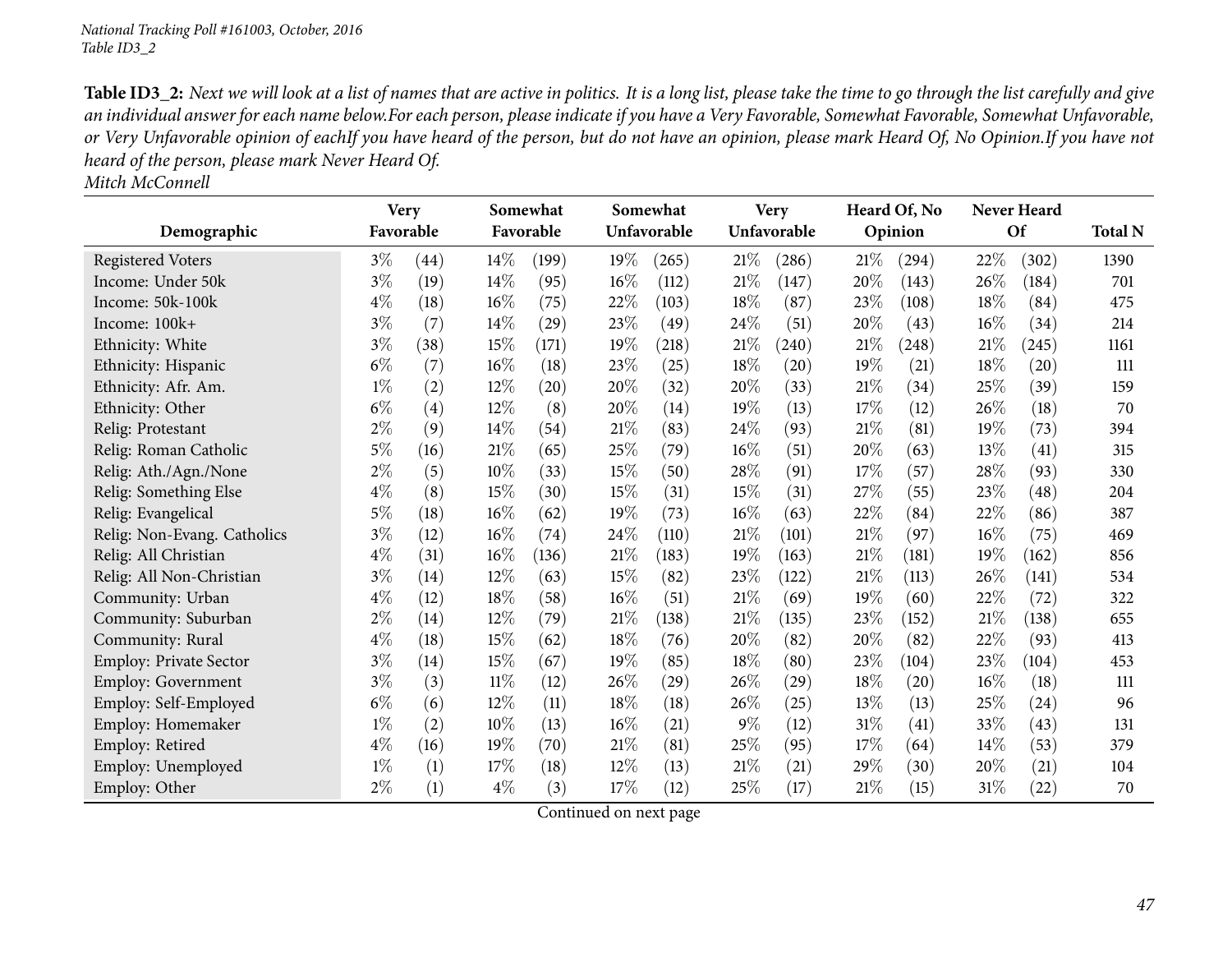Table ID3\_2: Next we will look at a list of names that are active in politics. It is a long list, please take the time to go through the list carefully and give an individual answer for each name below.For each person, please indicate if you have a Very Favorable, Somewhat Favorable, Somewhat Unfavorable, or Very Unfavorable opinion of eachIf you have heard of the person, but do not have an opinion, please mark Heard Of, No Opinion.If you have not *heard of the person, <sup>p</sup>lease mark Never Heard Of.*

*Mitch McConnell*

|                             | <b>Very</b> |      |        | Somewhat           |        | Somewhat    |        | <b>Very</b> |        | Heard Of, No       |      | <b>Never Heard</b> |                |
|-----------------------------|-------------|------|--------|--------------------|--------|-------------|--------|-------------|--------|--------------------|------|--------------------|----------------|
| Demographic                 | Favorable   |      |        | Favorable          |        | Unfavorable |        | Unfavorable |        | Opinion            |      | Of                 | <b>Total N</b> |
| <b>Registered Voters</b>    | $3\%$       | (44) | $14\%$ | (199)              | 19%    | (265)       | 21%    | (286)       | 21%    | (294)              | 22%  | (302)              | 1390           |
| Income: Under 50k           | $3\%$       | (19) | 14\%   | (95)               | $16\%$ | (112)       | $21\%$ | (147)       | 20%    | (143)              | 26%  | (184)              | 701            |
| Income: 50k-100k            | $4\%$       | (18) | 16%    | (75)               | 22%    | (103)       | 18%    | (87)        | 23%    | (108)              | 18%  | (84)               | 475            |
| Income: 100k+               | $3\%$       | (7)  | 14\%   | $\left( 29\right)$ | 23%    | (49)        | 24\%   | (51)        | 20%    | (43)               | 16%  | (34)               | 214            |
| Ethnicity: White            | $3\%$       | (38) | 15%    | (171)              | 19%    | (218)       | $21\%$ | (240)       | 21%    | (248)              | 21\% | (245)              | 1161           |
| Ethnicity: Hispanic         | $6\%$       | (7)  | 16%    | (18)               | 23%    | (25)        | 18%    | (20)        | 19%    | (21)               | 18%  | (20)               | 111            |
| Ethnicity: Afr. Am.         | $1\%$       | (2)  | 12%    | (20)               | 20%    | (32)        | 20%    | (33)        | $21\%$ | (34)               | 25%  | (39)               | 159            |
| Ethnicity: Other            | $6\%$       | (4)  | 12%    | (8)                | 20%    | (14)        | 19%    | (13)        | 17%    | (12)               | 26%  | (18)               | 70             |
| Relig: Protestant           | $2\%$       | (9)  | 14\%   | (54)               | 21%    | (83)        | 24\%   | (93)        | 21%    | (81)               | 19%  | (73)               | 394            |
| Relig: Roman Catholic       | $5\%$       | (16) | $21\%$ | (65)               | 25%    | (79)        | $16\%$ | (51)        | 20%    | (63)               | 13%  | (41)               | 315            |
| Relig: Ath./Agn./None       | $2\%$       | (5)  | 10%    | (33)               | 15%    | (50)        | $28\%$ | (91)        | 17\%   | (57)               | 28%  | (93)               | 330            |
| Relig: Something Else       | 4%          | (8)  | 15%    | (30)               | 15%    | (31)        | 15%    | (31)        | 27\%   | (55)               | 23%  | (48)               | 204            |
| Relig: Evangelical          | $5\%$       | (18) | 16%    | (62)               | 19%    | (73)        | $16\%$ | (63)        | 22%    | (84)               | 22%  | (86)               | 387            |
| Relig: Non-Evang. Catholics | $3\%$       | (12) | 16%    | (74)               | 24%    | (110)       | 21%    | (101)       | 21%    | (97)               | 16%  | (75)               | 469            |
| Relig: All Christian        | $4\%$       | (31) | 16%    | (136)              | $21\%$ | (183)       | 19%    | (163)       | $21\%$ | (181)              | 19%  | (162)              | 856            |
| Relig: All Non-Christian    | $3\%$       | (14) | 12%    | (63)               | 15%    | (82)        | 23\%   | (122)       | 21%    | (113)              | 26%  | (141)              | 534            |
| Community: Urban            | $4\%$       | (12) | 18%    | (58)               | 16%    | (51)        | $21\%$ | (69)        | 19%    | (60)               | 22%  | (72)               | 322            |
| Community: Suburban         | $2\%$       | (14) | 12%    | (79)               | 21%    | (138)       | $21\%$ | (135)       | 23%    | (152)              | 21%  | (138)              | 655            |
| Community: Rural            | $4\%$       | (18) | 15%    | (62)               | 18%    | (76)        | 20%    | (82)        | 20%    | (82)               | 22%  | (93)               | 413            |
| Employ: Private Sector      | $3\%$       | (14) | 15%    | (67)               | 19%    | (85)        | $18\%$ | (80)        | 23%    | (104)              | 23%  | (104)              | 453            |
| <b>Employ: Government</b>   | $3\%$       | (3)  | 11%    | (12)               | 26%    | (29)        | 26\%   | $^{(29)}$   | 18%    | (20)               | 16%  | (18)               | 111            |
| Employ: Self-Employed       | $6\%$       | (6)  | 12%    | (11)               | 18%    | (18)        | 26%    | (25)        | 13%    | (13)               | 25%  | $\left( 24\right)$ | 96             |
| Employ: Homemaker           | $1\%$       | (2)  | 10%    | (13)               | 16%    | (21)        | $9\%$  | (12)        | 31%    | $\left( 41\right)$ | 33%  | (43)               | 131            |
| Employ: Retired             | $4\%$       | (16) | 19%    | $\left( 70\right)$ | 21%    | (81)        | 25%    | (95)        | 17\%   | (64)               | 14%  | (53)               | 379            |
| Employ: Unemployed          | $1\%$       | (1)  | 17%    | (18)               | $12\%$ | (13)        | $21\%$ | (21)        | 29\%   | (30)               | 20%  | (21)               | 104            |
| Employ: Other               | $2\%$       | (1)  | $4\%$  | (3)                | 17\%   | (12)        | 25\%   | (17)        | 21%    | (15)               | 31%  | $\left( 22\right)$ | 70             |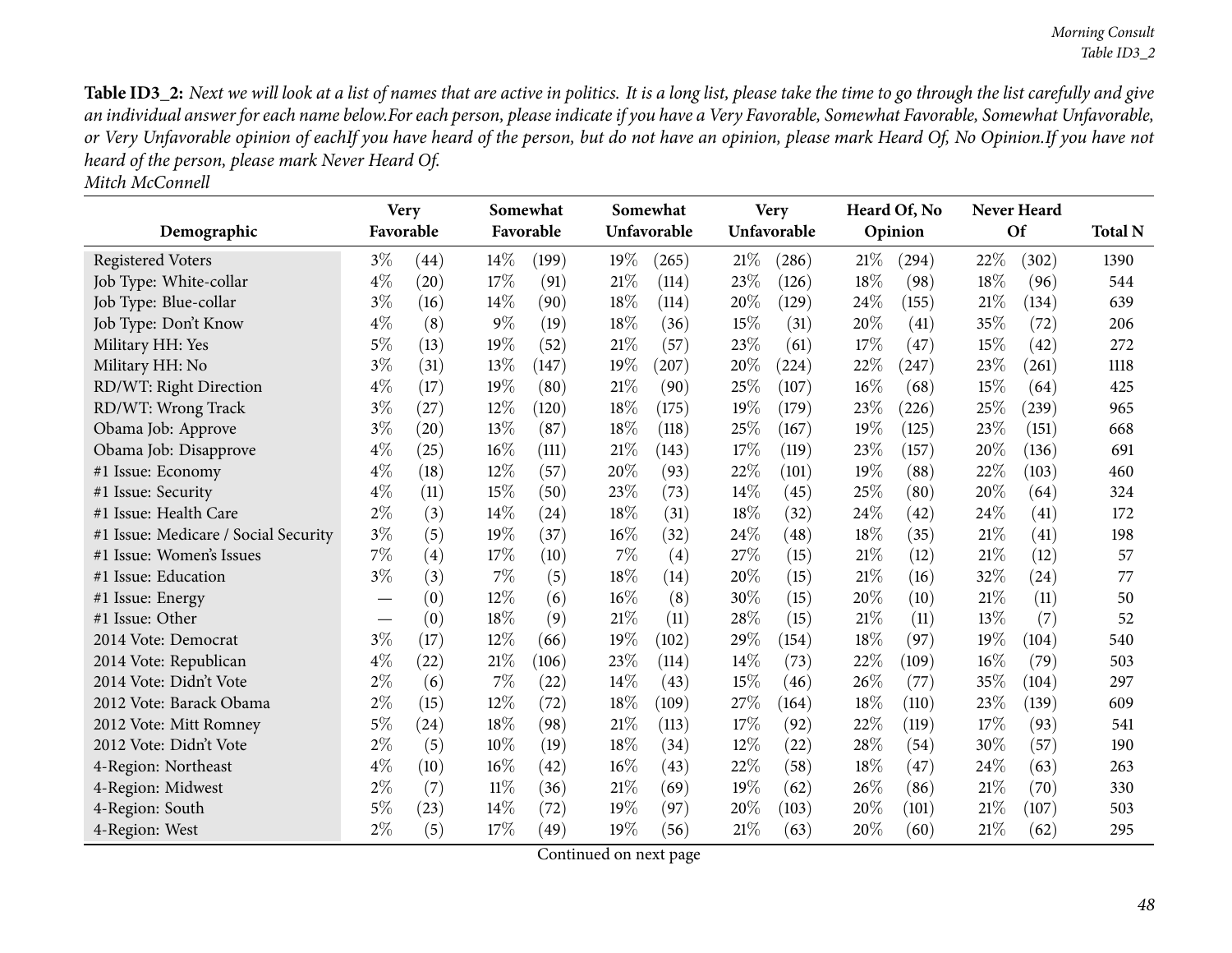Table ID3\_2: Next we will look at a list of names that are active in politics. It is a long list, please take the time to go through the list carefully and give an individual answer for each name below.For each person, please indicate if you have a Very Favorable, Somewhat Favorable, Somewhat Unfavorable, or Very Unfavorable opinion of eachIf you have heard of the person, but do not have an opinion, please mark Heard Of, No Opinion.If you have not *heard of the person, <sup>p</sup>lease mark Never Heard Of.*

|--|

|                                      | <b>Very</b> |      |       | Somewhat  |        | Somewhat    |        | <b>Very</b> |     | Heard Of, No |      | Never Heard |                |
|--------------------------------------|-------------|------|-------|-----------|--------|-------------|--------|-------------|-----|--------------|------|-------------|----------------|
| Demographic                          | Favorable   |      |       | Favorable |        | Unfavorable |        | Unfavorable |     | Opinion      |      | Of          | <b>Total N</b> |
| <b>Registered Voters</b>             | $3\%$       | (44) | 14%   | (199)     | 19%    | (265)       | 21\%   | (286)       | 21% | (294)        | 22%  | (302)       | 1390           |
| Job Type: White-collar               | $4\%$       | (20) | 17%   | (91)      | 21%    | (114)       | 23%    | (126)       | 18% | (98)         | 18%  | (96)        | 544            |
| Job Type: Blue-collar                | $3\%$       | (16) | 14\%  | (90)      | 18%    | (114)       | 20%    | (129)       | 24% | (155)        | 21%  | (134)       | 639            |
| Job Type: Don't Know                 | $4\%$       | (8)  | $9\%$ | (19)      | 18%    | (36)        | 15%    | (31)        | 20% | (41)         | 35%  | (72)        | 206            |
| Military HH: Yes                     | $5\%$       | (13) | 19%   | (52)      | 21%    | (57)        | 23%    | (61)        | 17% | (47)         | 15%  | (42)        | 272            |
| Military HH: No                      | $3\%$       | (31) | 13%   | (147)     | 19%    | (207)       | 20%    | (224)       | 22% | (247)        | 23%  | (261)       | 1118           |
| RD/WT: Right Direction               | $4\%$       | (17) | 19%   | (80)      | $21\%$ | (90)        | 25%    | (107)       | 16% | (68)         | 15%  | (64)        | 425            |
| RD/WT: Wrong Track                   | $3\%$       | (27) | 12%   | (120)     | 18%    | (175)       | 19%    | (179)       | 23% | (226)        | 25%  | (239)       | 965            |
| Obama Job: Approve                   | $3\%$       | (20) | 13%   | (87)      | 18%    | (118)       | 25%    | (167)       | 19% | (125)        | 23%  | (151)       | 668            |
| Obama Job: Disapprove                | $4\%$       | (25) | 16%   | (111)     | 21%    | (143)       | 17%    | (119)       | 23% | (157)        | 20%  | (136)       | 691            |
| #1 Issue: Economy                    | $4\%$       | (18) | 12%   | (57)      | 20%    | (93)        | 22%    | (101)       | 19% | (88)         | 22%  | (103)       | 460            |
| #1 Issue: Security                   | $4\%$       | (11) | 15%   | (50)      | 23%    | (73)        | 14%    | (45)        | 25% | (80)         | 20%  | (64)        | 324            |
| #1 Issue: Health Care                | $2\%$       | (3)  | 14%   | (24)      | 18%    | (31)        | $18\%$ | (32)        | 24% | (42)         | 24%  | (41)        | 172            |
| #1 Issue: Medicare / Social Security | $3\%$       | (5)  | 19%   | (37)      | 16%    | (32)        | $24\%$ | (48)        | 18% | (35)         | 21%  | (41)        | 198            |
| #1 Issue: Women's Issues             | $7\%$       | (4)  | 17%   | (10)      | $7\%$  | (4)         | 27%    | (15)        | 21% | (12)         | 21%  | (12)        | 57             |
| #1 Issue: Education                  | $3\%$       | (3)  | 7%    | (5)       | 18%    | (14)        | 20%    | (15)        | 21% | (16)         | 32%  | (24)        | 77             |
| #1 Issue: Energy                     |             | (0)  | 12%   | (6)       | $16\%$ | (8)         | 30%    | (15)        | 20% | (10)         | 21%  | (11)        | 50             |
| #1 Issue: Other                      |             | (0)  | 18%   | (9)       | 21\%   | (11)        | 28%    | (15)        | 21% | (11)         | 13%  | (7)         | 52             |
| 2014 Vote: Democrat                  | $3\%$       | (17) | 12%   | (66)      | 19%    | (102)       | 29%    | (154)       | 18% | (97)         | 19%  | (104)       | 540            |
| 2014 Vote: Republican                | $4\%$       | (22) | 21%   | (106)     | 23%    | (114)       | 14%    | (73)        | 22% | (109)        | 16%  | (79)        | 503            |
| 2014 Vote: Didn't Vote               | $2\%$       | (6)  | 7%    | (22)      | 14%    | (43)        | 15%    | (46)        | 26% | (77)         | 35%  | (104)       | 297            |
| 2012 Vote: Barack Obama              | $2\%$       | (15) | 12%   | (72)      | 18%    | (109)       | $27\%$ | (164)       | 18% | (110)        | 23%  | (139)       | 609            |
| 2012 Vote: Mitt Romney               | $5\%$       | (24) | 18%   | (98)      | 21%    | (113)       | 17%    | (92)        | 22% | (119)        | 17%  | (93)        | 541            |
| 2012 Vote: Didn't Vote               | $2\%$       | (5)  | 10%   | (19)      | 18%    | (34)        | 12%    | (22)        | 28% | (54)         | 30%  | (57)        | 190            |
| 4-Region: Northeast                  | $4\%$       | (10) | 16%   | (42)      | 16%    | (43)        | 22%    | (58)        | 18% | (47)         | 24\% | (63)        | 263            |
| 4-Region: Midwest                    | $2\%$       | (7)  | 11%   | (36)      | 21%    | (69)        | 19%    | (62)        | 26% | (86)         | 21\% | (70)        | 330            |
| 4-Region: South                      | 5%          | (23) | 14%   | (72)      | 19%    | (97)        | 20%    | (103)       | 20% | (101)        | 21\% | (107)       | 503            |
| 4-Region: West                       | $2\%$       | (5)  | 17%   | (49)      | 19%    | (56)        | 21\%   | (63)        | 20% | (60)         | 21%  | (62)        | 295            |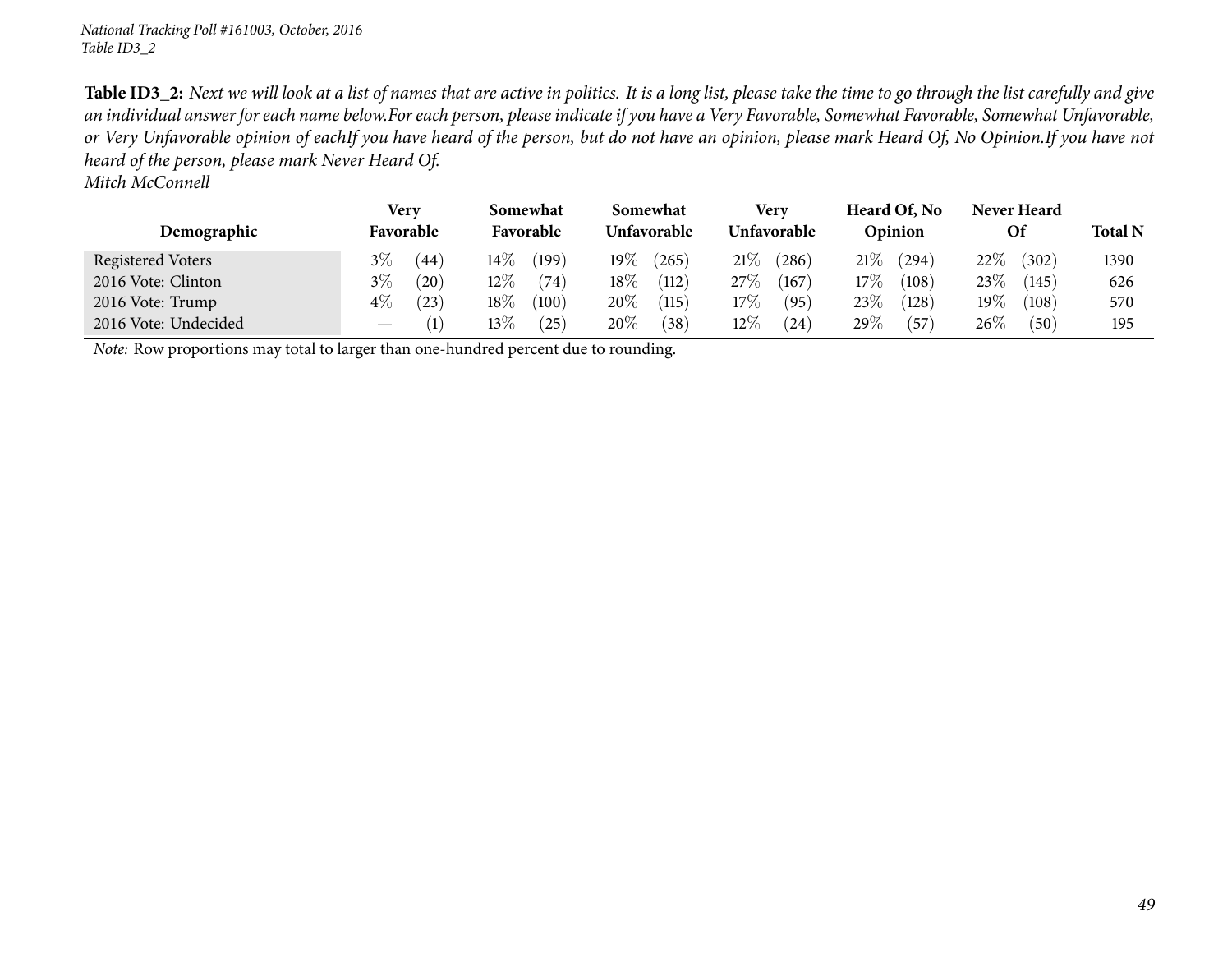Table ID3\_2: Next we will look at a list of names that are active in politics. It is a long list, please take the time to go through the list carefully and give an individual answer for each name below.For each person, please indicate if you have a Very Favorable, Somewhat Favorable, Somewhat Unfavorable, or Very Unfavorable opinion of eachIf you have heard of the person, but do not have an opinion, please mark Heard Of, No Opinion.If you have not *heard of the person, <sup>p</sup>lease mark Never Heard Of.*

*Mitch McConnell*

|                                                                                            |                        | Very      |         | Somewhat           |        | Somewhat               |        | Very  |         | Heard Of, No | Never Heard |                |      |
|--------------------------------------------------------------------------------------------|------------------------|-----------|---------|--------------------|--------|------------------------|--------|-------|---------|--------------|-------------|----------------|------|
| Demographic                                                                                | Favorable<br>Favorable |           |         | <b>Unfavorable</b> |        | Unfavorable            |        |       | Opinion |              | Of          | <b>Total N</b> |      |
| Registered Voters                                                                          | $3\%$                  | (44)      | 14 $\%$ | (199)              | $19\%$ | (265)                  | 21%    | (286) | 21%     | (294)        | $22\%$      | (302)          | 1390 |
| 2016 Vote: Clinton                                                                         | $3\%$                  | $^{'}20)$ | 12 $\%$ | (74)               | $18\%$ | (112)                  | 27\%   | (167) | 17%     | (108)        | $23\%$      | (145)          | 626  |
| 2016 Vote: Trump                                                                           | $4\%$                  | (23)      | $18\%$  | (100)              | 20%    | $\left(115\right)$     | 17%    | (95)  | 23%     | (128)        | 19 $\%$     | (108)          | 570  |
| 2016 Vote: Undecided                                                                       |                        | (1)       | $13\%$  | (25)               | $20\%$ | $^{\prime}38^{\prime}$ | $12\%$ | (24)  | 29%     | (57          | $26\%$      | (50)           | 195  |
| <i>Note:</i> Row proportions may total to larger than one-hundred percent due to rounding. |                        |           |         |                    |        |                        |        |       |         |              |             |                |      |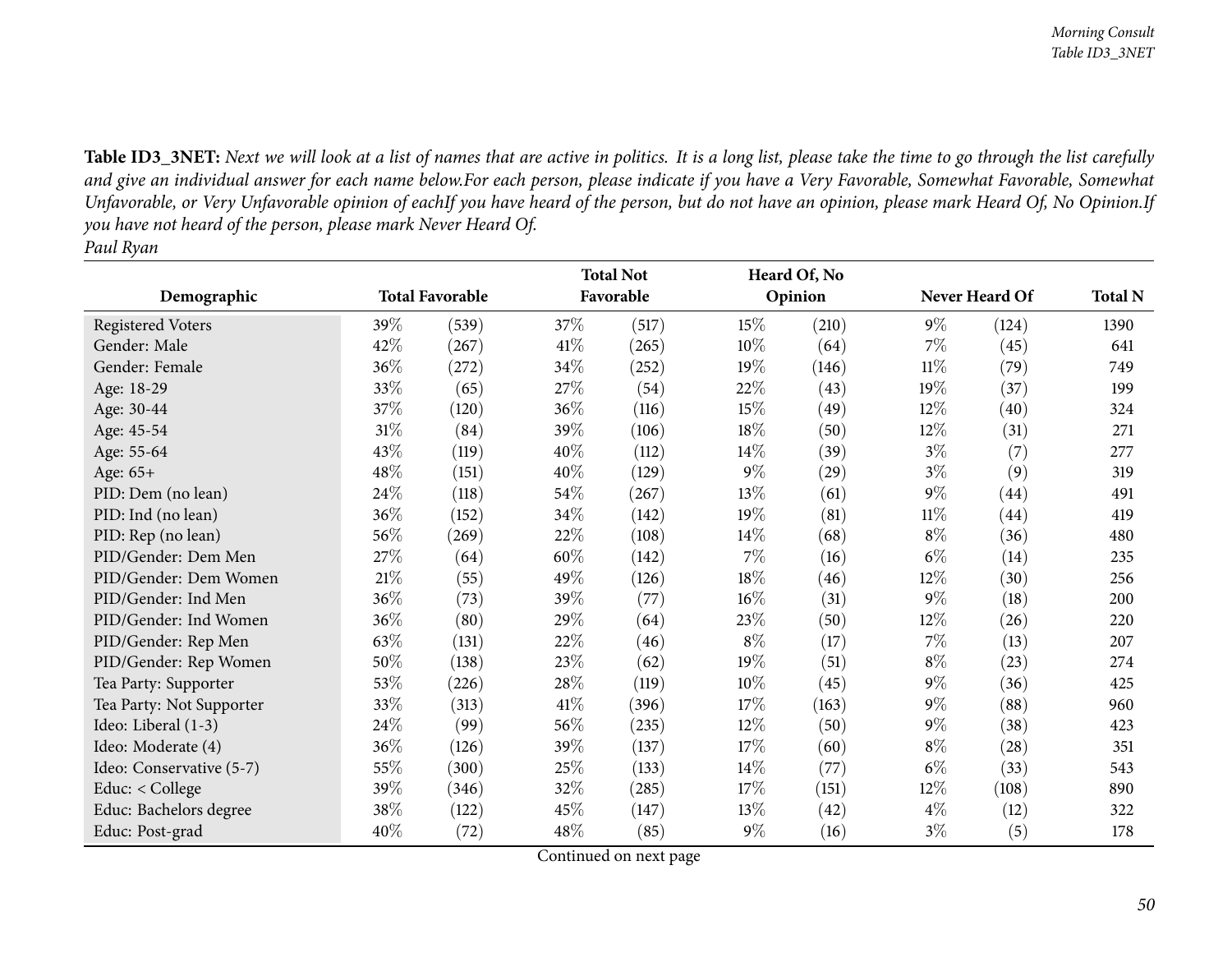Table ID3\_3NET: Next we will look at a list of names that are active in politics. It is a long list, please take the time to go through the list carefully and give an individual answer for each name below.For each person, please indicate if you have a Very Favorable, Somewhat Favorable, Somewhat Unfavorable, or Very Unfavorable opinion of eachIf you have heard of the person, but do not have an opinion, please mark Heard Of, No Opinion.If you have not heard of the person, please mark Never Heard Of. *Paul Ryan*

|                          |        |                        |        | <b>Total Not</b> |        | Heard Of, No |        |                |                |
|--------------------------|--------|------------------------|--------|------------------|--------|--------------|--------|----------------|----------------|
| Demographic              |        | <b>Total Favorable</b> |        | Favorable        |        | Opinion      |        | Never Heard Of | <b>Total N</b> |
| <b>Registered Voters</b> | 39\%   | (539)                  | 37\%   | (517)            | 15\%   | (210)        | $9\%$  | (124)          | 1390           |
| Gender: Male             | 42%    | (267)                  | 41\%   | (265)            | 10%    | (64)         | $7\%$  | (45)           | 641            |
| Gender: Female           | 36\%   | (272)                  | 34\%   | (252)            | $19\%$ | (146)        | $11\%$ | (79)           | 749            |
| Age: 18-29               | 33%    | (65)                   | 27%    | (54)             | 22\%   | (43)         | 19%    | (37)           | 199            |
| Age: 30-44               | 37\%   | (120)                  | 36%    | (116)            | $15\%$ | (49)         | $12\%$ | (40)           | 324            |
| Age: 45-54               | $31\%$ | (84)                   | 39%    | (106)            | 18%    | (50)         | $12\%$ | (31)           | 271            |
| Age: 55-64               | 43\%   | (119)                  | 40%    | (112)            | 14\%   | (39)         | $3\%$  | (7)            | 277            |
| Age: 65+                 | 48%    | (151)                  | 40%    | (129)            | $9\%$  | (29)         | $3\%$  | (9)            | 319            |
| PID: Dem (no lean)       | $24\%$ | (118)                  | $54\%$ | (267)            | 13%    | (61)         | $9\%$  | (44)           | 491            |
| PID: Ind (no lean)       | 36%    | (152)                  | 34%    | (142)            | 19%    | (81)         | $11\%$ | (44)           | 419            |
| PID: Rep (no lean)       | 56%    | (269)                  | 22%    | (108)            | 14\%   | (68)         | $8\%$  | (36)           | 480            |
| PID/Gender: Dem Men      | 27%    | (64)                   | 60%    | (142)            | $7\%$  | (16)         | $6\%$  | (14)           | 235            |
| PID/Gender: Dem Women    | $21\%$ | (55)                   | 49%    | (126)            | 18\%   | (46)         | $12\%$ | (30)           | 256            |
| PID/Gender: Ind Men      | 36%    | (73)                   | 39%    | (77)             | $16\%$ | (31)         | $9\%$  | (18)           | 200            |
| PID/Gender: Ind Women    | $36\%$ | (80)                   | 29%    | (64)             | 23\%   | (50)         | $12\%$ | (26)           | 220            |
| PID/Gender: Rep Men      | 63%    | (131)                  | 22%    | (46)             | $8\%$  | (17)         | $7\%$  | (13)           | 207            |
| PID/Gender: Rep Women    | 50%    | (138)                  | 23%    | (62)             | $19\%$ | (51)         | $8\%$  | (23)           | 274            |
| Tea Party: Supporter     | 53%    | (226)                  | 28\%   | (119)            | 10%    | (45)         | $9\%$  | (36)           | 425            |
| Tea Party: Not Supporter | 33%    | (313)                  | 41\%   | (396)            | 17%    | (163)        | $9\%$  | (88)           | 960            |
| Ideo: Liberal (1-3)      | 24\%   | (99)                   | 56%    | (235)            | 12%    | (50)         | $9\%$  | (38)           | 423            |
| Ideo: Moderate (4)       | 36\%   | (126)                  | 39%    | (137)            | 17%    | (60)         | $8\%$  | (28)           | 351            |
| Ideo: Conservative (5-7) | 55%    | (300)                  | 25%    | (133)            | $14\%$ | (77)         | $6\%$  | (33)           | 543            |
| Educ: < College          | 39%    | (346)                  | 32%    | (285)            | 17%    | (151)        | 12%    | (108)          | 890            |
| Educ: Bachelors degree   | 38\%   | (122)                  | 45%    | (147)            | $13\%$ | (42)         | $4\%$  | (12)           | 322            |
| Educ: Post-grad          | 40%    | (72)                   | 48%    | (85)             | $9\%$  | (16)         | $3\%$  | (5)            | 178            |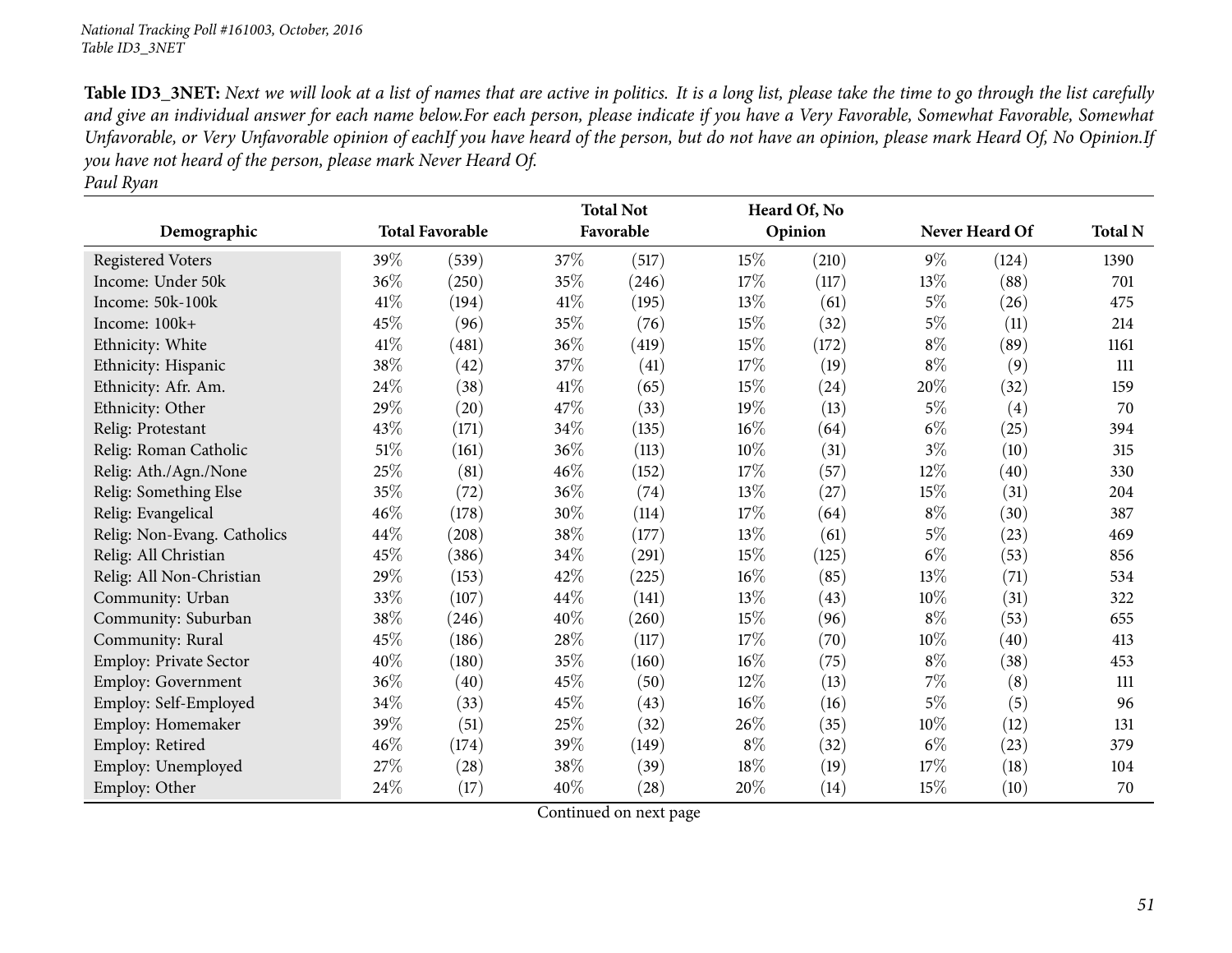Table ID3\_3NET: Next we will look at a list of names that are active in politics. It is a long list, please take the time to go through the list carefully and give an individual answer for each name below.For each person, please indicate if you have a Very Favorable, Somewhat Favorable, Somewhat Unfavorable, or Very Unfavorable opinion of eachIf you have heard of the person, but do not have an opinion, please mark Heard Of, No Opinion.If you have not heard of the person, please mark Never Heard Of. *Paul Ryan*

| raut kyan                   |        |                        |        |                  |        |              |        |                |                |
|-----------------------------|--------|------------------------|--------|------------------|--------|--------------|--------|----------------|----------------|
|                             |        |                        |        | <b>Total Not</b> |        | Heard Of, No |        |                |                |
| Demographic                 |        | <b>Total Favorable</b> |        | Favorable        |        | Opinion      |        | Never Heard Of | <b>Total N</b> |
| <b>Registered Voters</b>    | 39%    | (539)                  | 37\%   | (517)            | 15%    | (210)        | $9\%$  | (124)          | 1390           |
| Income: Under 50k           | 36%    | (250)                  | 35%    | (246)            | 17\%   | (117)        | $13\%$ | (88)           | 701            |
| Income: 50k-100k            | 41\%   | (194)                  | 41\%   | (195)            | 13%    | (61)         | $5\%$  | (26)           | 475            |
| Income: 100k+               | 45%    | (96)                   | 35%    | (76)             | 15%    | (32)         | $5\%$  | (11)           | 214            |
| Ethnicity: White            | 41\%   | (481)                  | 36\%   | (419)            | 15%    | (172)        | $8\%$  | (89)           | 1161           |
| Ethnicity: Hispanic         | 38%    | (42)                   | 37\%   | (41)             | 17\%   | (19)         | $8\%$  | (9)            | 111            |
| Ethnicity: Afr. Am.         | 24%    | (38)                   | $41\%$ | (65)             | 15%    | (24)         | 20%    | (32)           | 159            |
| Ethnicity: Other            | 29%    | (20)                   | 47\%   | (33)             | 19%    | (13)         | $5\%$  | (4)            | 70             |
| Relig: Protestant           | 43%    | (171)                  | 34\%   | (135)            | 16%    | (64)         | $6\%$  | (25)           | 394            |
| Relig: Roman Catholic       | $51\%$ | (161)                  | 36%    | (113)            | 10%    | (31)         | $3\%$  | (10)           | 315            |
| Relig: Ath./Agn./None       | 25%    | (81)                   | 46%    | (152)            | 17%    | (57)         | 12%    | (40)           | 330            |
| Relig: Something Else       | 35%    | (72)                   | 36\%   | (74)             | 13\%   | (27)         | 15\%   | (31)           | 204            |
| Relig: Evangelical          | 46%    | (178)                  | 30%    | (114)            | $17\%$ | (64)         | $8\%$  | (30)           | 387            |
| Relig: Non-Evang. Catholics | 44%    | (208)                  | 38\%   | (177)            | 13%    | (61)         | $5\%$  | (23)           | 469            |
| Relig: All Christian        | 45%    | (386)                  | $34\%$ | (291)            | 15%    | (125)        | $6\%$  | (53)           | 856            |
| Relig: All Non-Christian    | 29%    | (153)                  | 42\%   | (225)            | $16\%$ | (85)         | 13\%   | (71)           | 534            |
| Community: Urban            | 33%    | (107)                  | 44\%   | (141)            | 13\%   | (43)         | $10\%$ | (31)           | 322            |
| Community: Suburban         | 38%    | (246)                  | 40%    | (260)            | 15%    | (96)         | $8\%$  | (53)           | 655            |
| Community: Rural            | 45%    | (186)                  | $28\%$ | (117)            | 17%    | (70)         | $10\%$ | (40)           | 413            |
| Employ: Private Sector      | 40%    | (180)                  | 35%    | (160)            | $16\%$ | (75)         | $8\%$  | (38)           | 453            |
| Employ: Government          | 36%    | (40)                   | 45%    | (50)             | $12\%$ | (13)         | $7\%$  | (8)            | 111            |
| Employ: Self-Employed       | 34%    | (33)                   | 45%    | (43)             | 16%    | (16)         | $5\%$  | (5)            | 96             |
| Employ: Homemaker           | 39%    | (51)                   | 25\%   | (32)             | 26%    | (35)         | 10%    | (12)           | 131            |
| Employ: Retired             | 46%    | (174)                  | 39%    | (149)            | $8\%$  | (32)         | $6\%$  | (23)           | 379            |
| Employ: Unemployed          | 27%    | (28)                   | 38%    | (39)             | 18%    | (19)         | 17%    | (18)           | 104            |
| Employ: Other               | 24\%   | (17)                   | 40%    | (28)             | 20%    | (14)         | 15%    | (10)           | 70             |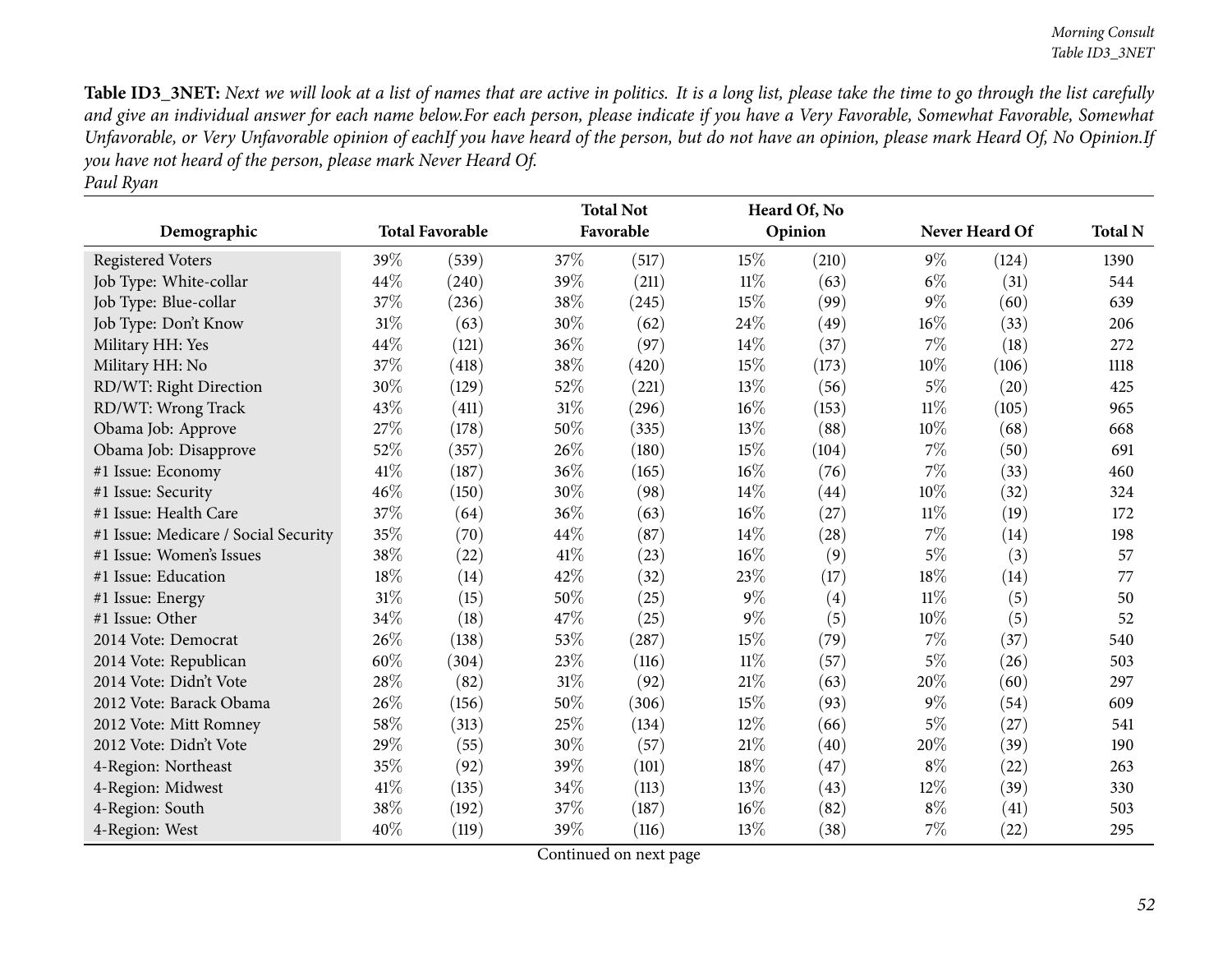Table ID3\_3NET: Next we will look at a list of names that are active in politics. It is a long list, please take the time to go through the list carefully and give an individual answer for each name below.For each person, please indicate if you have a Very Favorable, Somewhat Favorable, Somewhat Unfavorable, or Very Unfavorable opinion of eachIf you have heard of the person, but do not have an opinion, please mark Heard Of, No Opinion.If you have not heard of the person, please mark Never Heard Of. *Paul Ryan*

| Demographic                          |     | <b>Total Favorable</b> |        | <b>Total Not</b><br>Favorable |        | Heard Of, No<br>Opinion |        | Never Heard Of | <b>Total N</b> |
|--------------------------------------|-----|------------------------|--------|-------------------------------|--------|-------------------------|--------|----------------|----------------|
|                                      |     |                        |        |                               |        |                         |        |                |                |
| <b>Registered Voters</b>             | 39% | (539)                  | 37%    | (517)                         | 15%    | (210)                   | $9\%$  | (124)          | 1390           |
| Job Type: White-collar               | 44% | (240)                  | 39%    | (211)                         | $11\%$ | (63)                    | $6\%$  | (31)           | 544            |
| Job Type: Blue-collar                | 37% | (236)                  | 38%    | (245)                         | 15%    | (99)                    | $9\%$  | (60)           | 639            |
| Job Type: Don't Know                 | 31% | (63)                   | 30%    | (62)                          | 24\%   | (49)                    | $16\%$ | (33)           | 206            |
| Military HH: Yes                     | 44% | (121)                  | 36%    | (97)                          | 14%    | (37)                    | 7%     | (18)           | 272            |
| Military HH: No                      | 37% | (418)                  | 38%    | (420)                         | 15%    | (173)                   | 10%    | (106)          | 1118           |
| RD/WT: Right Direction               | 30% | (129)                  | 52%    | (221)                         | 13%    | (56)                    | $5\%$  | (20)           | 425            |
| RD/WT: Wrong Track                   | 43% | (411)                  | $31\%$ | (296)                         | 16%    | (153)                   | $11\%$ | (105)          | 965            |
| Obama Job: Approve                   | 27% | (178)                  | 50%    | (335)                         | 13%    | (88)                    | 10%    | (68)           | 668            |
| Obama Job: Disapprove                | 52% | (357)                  | 26%    | (180)                         | 15%    | (104)                   | 7%     | (50)           | 691            |
| #1 Issue: Economy                    | 41% | (187)                  | 36%    | (165)                         | $16\%$ | (76)                    | 7%     | (33)           | 460            |
| #1 Issue: Security                   | 46% | (150)                  | $30\%$ | (98)                          | 14%    | (44)                    | $10\%$ | (32)           | 324            |
| #1 Issue: Health Care                | 37% | (64)                   | 36%    | (63)                          | 16%    | (27)                    | $11\%$ | (19)           | 172            |
| #1 Issue: Medicare / Social Security | 35% | (70)                   | 44\%   | (87)                          | $14\%$ | (28)                    | 7%     | (14)           | 198            |
| #1 Issue: Women's Issues             | 38% | (22)                   | $41\%$ | (23)                          | $16\%$ | (9)                     | $5\%$  | (3)            | 57             |
| #1 Issue: Education                  | 18% | (14)                   | 42%    | (32)                          | 23%    | (17)                    | 18%    | (14)           | 77             |
| #1 Issue: Energy                     | 31% | (15)                   | 50%    | (25)                          | $9\%$  | (4)                     | $11\%$ | (5)            | 50             |
| #1 Issue: Other                      | 34% | (18)                   | 47%    | (25)                          | $9\%$  | (5)                     | $10\%$ | (5)            | 52             |
| 2014 Vote: Democrat                  | 26% | (138)                  | 53%    | (287)                         | 15%    | (79)                    | 7%     | (37)           | 540            |
| 2014 Vote: Republican                | 60% | (304)                  | 23%    | (116)                         | $11\%$ | (57)                    | $5\%$  | (26)           | 503            |
| 2014 Vote: Didn't Vote               | 28% | (82)                   | $31\%$ | (92)                          | 21%    | (63)                    | 20%    | (60)           | 297            |
| 2012 Vote: Barack Obama              | 26% | (156)                  | $50\%$ | (306)                         | 15%    | (93)                    | $9\%$  | (54)           | 609            |
| 2012 Vote: Mitt Romney               | 58% | (313)                  | 25%    | (134)                         | 12%    | (66)                    | $5\%$  | (27)           | 541            |
| 2012 Vote: Didn't Vote               | 29% | (55)                   | 30%    | (57)                          | 21%    | (40)                    | 20%    | (39)           | 190            |
| 4-Region: Northeast                  | 35% | (92)                   | 39%    | (101)                         | 18%    | (47)                    | $8\%$  | (22)           | 263            |
| 4-Region: Midwest                    | 41% | (135)                  | 34%    | (113)                         | 13%    | (43)                    | 12%    | (39)           | 330            |
| 4-Region: South                      | 38% | (192)                  | 37%    | (187)                         | $16\%$ | (82)                    | $8\%$  | (41)           | 503            |
| 4-Region: West                       | 40% | (119)                  | 39%    | (116)                         | 13%    | (38)                    | $7\%$  | (22)           | 295            |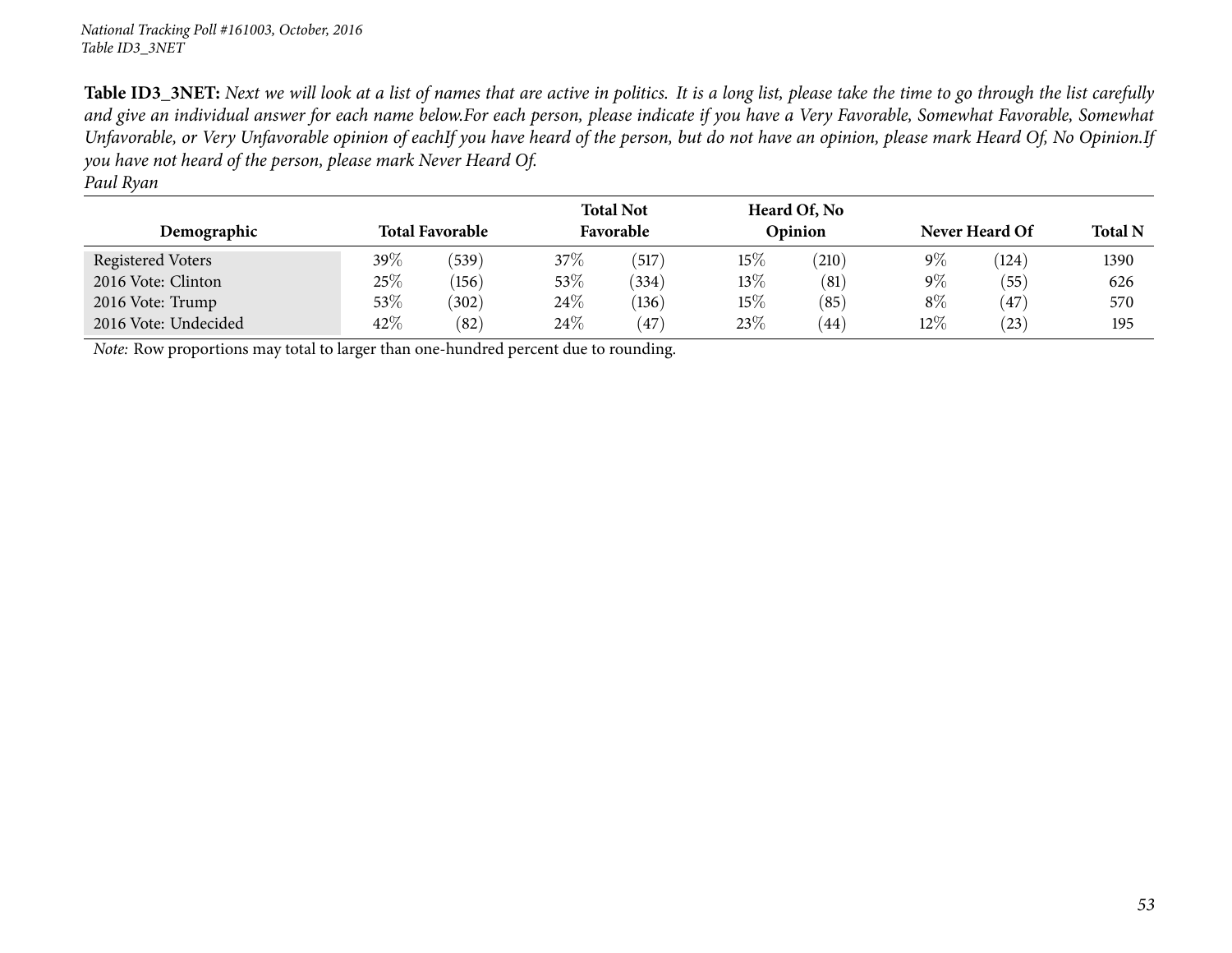Table ID3\_3NET: Next we will look at a list of names that are active in politics. It is a long list, please take the time to go through the list carefully and give an individual answer for each name below.For each person, please indicate if you have a Very Favorable, Somewhat Favorable, Somewhat Unfavorable, or Very Unfavorable opinion of eachIf you have heard of the person, but do not have an opinion, please mark Heard Of, No Opinion.If you have not heard of the person, please mark Never Heard Of.

| aul Rvan |
|----------|
|          |

| Demographic          |        | <b>Total Favorable</b> |        | <b>Total Not</b><br>Favorable |        | Heard Of, No<br>Opinion | Never Heard Of |                | <b>Total N</b> |
|----------------------|--------|------------------------|--------|-------------------------------|--------|-------------------------|----------------|----------------|----------------|
| Registered Voters    | 39\%   | (539)                  | $37\%$ | (517)                         | $15\%$ | (210)                   | $9\%$          | (124)          | 1390           |
| 2016 Vote: Clinton   | 25%    | (156)                  | 53%    | (334)                         | $13\%$ | (81)                    | $9\%$          | (55)           | 626            |
| 2016 Vote: Trump     | $53\%$ | (302)                  | 24\%   | (136)                         | $15\%$ | (85)                    | $8\%$          | $^{\prime}47)$ | 570            |
| 2016 Vote: Undecided | 42%    | (82)                   | 24\%   | (47)                          | $23\%$ | 44                      | $12\%$         | $^{(23)}$      | 195            |

*Note:* Row proportions may total to larger than one-hundred percen<sup>t</sup> due to rounding.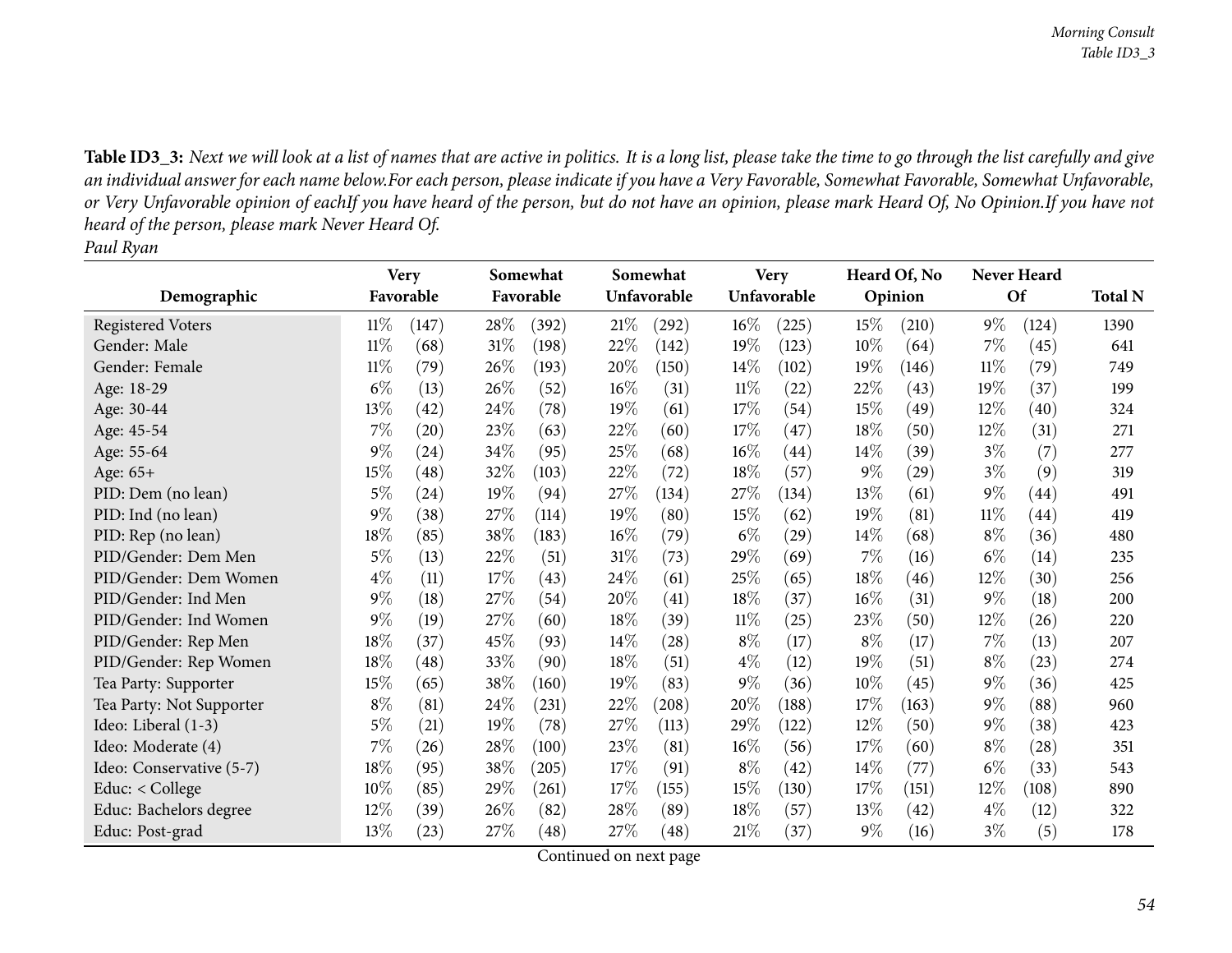Table ID3\_3: Next we will look at a list of names that are active in politics. It is a long list, please take the time to go through the list carefully and give an individual answer for each name below.For each person, please indicate if you have a Very Favorable, Somewhat Favorable, Somewhat Unfavorable, or Very Unfavorable opinion of eachIf you have heard of the person, but do not have an opinion, please mark Heard Of, No Opinion.If you have not *heard of the person, <sup>p</sup>lease mark Never Heard Of. Paul Ryan*

|                          |        | <b>Very</b>        |        | Somewhat  |        | Somewhat    |        | <b>Very</b>        |        | Heard Of, No       |        | <b>Never Heard</b> |                |
|--------------------------|--------|--------------------|--------|-----------|--------|-------------|--------|--------------------|--------|--------------------|--------|--------------------|----------------|
| Demographic              |        | Favorable          |        | Favorable |        | Unfavorable |        | Unfavorable        |        | Opinion            |        | <b>Of</b>          | <b>Total N</b> |
| <b>Registered Voters</b> | $11\%$ | (147)              | 28\%   | (392)     | 21%    | (292)       | $16\%$ | (225)              | 15%    | (210)              | $9\%$  | (124)              | 1390           |
| Gender: Male             | $11\%$ | (68)               | $31\%$ | (198)     | 22%    | (142)       | 19%    | (123)              | 10%    | (64)               | 7%     | (45)               | 641            |
| Gender: Female           | $11\%$ | (79)               | 26\%   | (193)     | 20%    | (150)       | $14\%$ | (102)              | 19%    | (146)              | 11%    | (79)               | 749            |
| Age: 18-29               | $6\%$  | (13)               | 26\%   | (52)      | $16\%$ | (31)        | $11\%$ | (22)               | 22%    | (43)               | 19%    | (37)               | 199            |
| Age: 30-44               | 13\%   | $\left( 42\right)$ | 24\%   | (78)      | 19%    | (61)        | 17\%   | (54)               | 15%    | (49)               | 12%    | (40)               | 324            |
| Age: 45-54               | $7\%$  | (20)               | 23\%   | (63)      | 22%    | (60)        | $17\%$ | (47)               | 18%    | (50)               | 12%    | (31)               | 271            |
| Age: 55-64               | $9\%$  | $^{(24)}$          | 34%    | (95)      | 25\%   | (68)        | $16\%$ | (44)               | $14\%$ | (39)               | $3\%$  | (7)                | 277            |
| Age: 65+                 | 15%    | (48)               | 32%    | (103)     | 22%    | (72)        | 18%    | (57)               | $9\%$  | $\left( 29\right)$ | $3\%$  | (9)                | 319            |
| PID: Dem (no lean)       | $5\%$  | (24)               | $19\%$ | (94)      | 27\%   | (134)       | 27\%   | (134)              | 13%    | (61)               | $9\%$  | (44)               | 491            |
| PID: Ind (no lean)       | $9\%$  | (38)               | 27%    | (114)     | 19%    | (80)        | 15\%   | (62)               | 19%    | (81)               | $11\%$ | (44)               | 419            |
| PID: Rep (no lean)       | 18%    | (85)               | 38\%   | (183)     | 16%    | (79)        | $6\%$  | $\left( 29\right)$ | $14\%$ | (68)               | $8\%$  | (36)               | 480            |
| PID/Gender: Dem Men      | $5\%$  | (13)               | 22%    | (51)      | $31\%$ | (73)        | 29%    | (69)               | 7%     | (16)               | $6\%$  | (14)               | 235            |
| PID/Gender: Dem Women    | $4\%$  | (11)               | 17%    | (43)      | 24\%   | (61)        | 25%    | (65)               | 18%    | (46)               | 12%    | (30)               | 256            |
| PID/Gender: Ind Men      | $9\%$  | (18)               | 27\%   | (54)      | 20%    | (41)        | $18\%$ | (37)               | $16\%$ | (31)               | $9\%$  | (18)               | 200            |
| PID/Gender: Ind Women    | $9\%$  | (19)               | 27\%   | (60)      | 18%    | (39)        | $11\%$ | (25)               | 23%    | (50)               | 12%    | (26)               | 220            |
| PID/Gender: Rep Men      | 18%    | (37)               | 45%    | (93)      | 14\%   | (28)        | $8\%$  | (17)               | $8\%$  | (17)               | $7\%$  | (13)               | 207            |
| PID/Gender: Rep Women    | 18%    | $\left( 48\right)$ | 33%    | (90)      | 18%    | (51)        | $4\%$  | (12)               | 19%    | (51)               | $8\%$  | (23)               | 274            |
| Tea Party: Supporter     | 15%    | (65)               | 38%    | (160)     | 19%    | (83)        | $9\%$  | (36)               | 10%    | (45)               | $9\%$  | (36)               | 425            |
| Tea Party: Not Supporter | $8\%$  | (81)               | 24%    | (231)     | 22%    | (208)       | 20%    | (188)              | 17%    | (163)              | $9\%$  | (88)               | 960            |
| Ideo: Liberal (1-3)      | $5\%$  | (21)               | 19%    | (78)      | 27%    | (113)       | 29%    | (122)              | 12%    | (50)               | $9\%$  | (38)               | 423            |
| Ideo: Moderate (4)       | $7\%$  | (26)               | 28\%   | (100)     | 23\%   | (81)        | $16\%$ | (56)               | 17%    | (60)               | $8\%$  | (28)               | 351            |
| Ideo: Conservative (5-7) | 18%    | (95)               | 38%    | (205)     | 17%    | (91)        | $8\%$  | (42)               | 14%    | (77)               | $6\%$  | (33)               | 543            |
| Educ: $<$ College        | $10\%$ | (85)               | 29\%   | (261)     | 17%    | (155)       | $15\%$ | (130)              | 17%    | (151)              | 12\%   | (108)              | 890            |
| Educ: Bachelors degree   | 12%    | (39)               | 26\%   | (82)      | $28\%$ | (89)        | 18%    | (57)               | 13%    | (42)               | $4\%$  | (12)               | 322            |
| Educ: Post-grad          | 13\%   | (23)               | 27%    | (48)      | 27\%   | (48)        | 21%    | (37)               | $9\%$  | (16)               | $3\%$  | (5)                | 178            |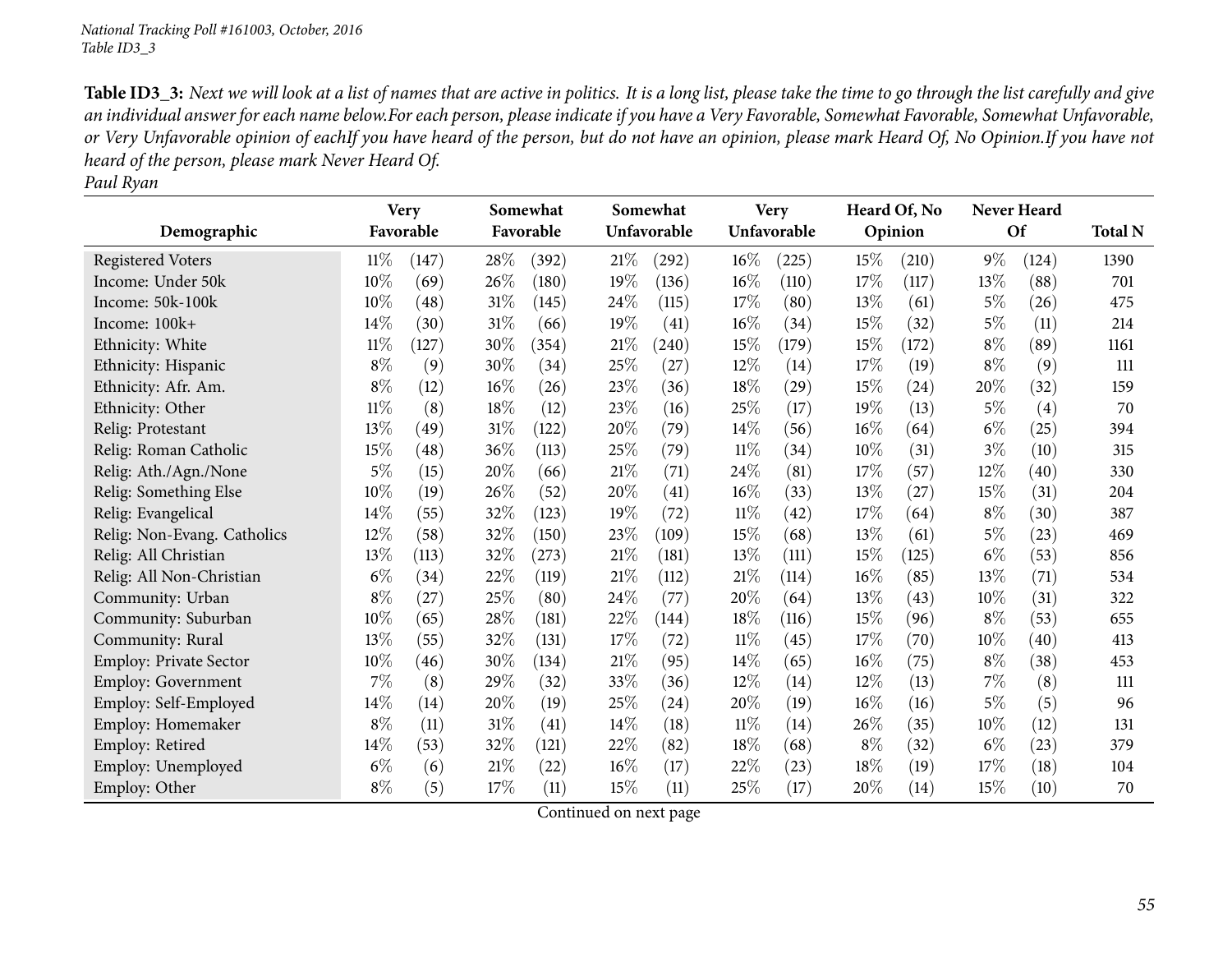Table ID3\_3: Next we will look at a list of names that are active in politics. It is a long list, please take the time to go through the list carefully and give an individual answer for each name below.For each person, please indicate if you have a Very Favorable, Somewhat Favorable, Somewhat Unfavorable, or Very Unfavorable opinion of eachIf you have heard of the person, but do not have an opinion, please mark Heard Of, No Opinion.If you have not *heard of the person, <sup>p</sup>lease mark Never Heard Of.*

*Paul Ryan*

|                               |        | <b>Very</b> |        | Somewhat  |        | Somewhat    |        | <b>Very</b> |       | Heard Of, No |       | <b>Never Heard</b> |                |
|-------------------------------|--------|-------------|--------|-----------|--------|-------------|--------|-------------|-------|--------------|-------|--------------------|----------------|
| Demographic                   |        | Favorable   |        | Favorable |        | Unfavorable |        | Unfavorable |       | Opinion      |       | Of                 | <b>Total N</b> |
| <b>Registered Voters</b>      | $11\%$ | (147)       | 28\%   | (392)     | 21%    | (292)       | $16\%$ | (225)       | 15%   | (210)        | $9\%$ | (124)              | 1390           |
| Income: Under 50k             | $10\%$ | (69)        | 26%    | (180)     | 19%    | (136)       | $16\%$ | (110)       | 17%   | (117)        | 13%   | (88)               | 701            |
| Income: 50k-100k              | 10%    | (48)        | 31%    | (145)     | 24\%   | (115)       | 17\%   | (80)        | 13%   | (61)         | $5\%$ | (26)               | 475            |
| Income: 100k+                 | 14\%   | (30)        | $31\%$ | (66)      | 19%    | (41)        | $16\%$ | (34)        | 15%   | (32)         | $5\%$ | (11)               | 214            |
| Ethnicity: White              | $11\%$ | (127)       | 30%    | (354)     | 21%    | (240)       | 15\%   | (179)       | 15%   | (172)        | $8\%$ | (89)               | 1161           |
| Ethnicity: Hispanic           | $8\%$  | (9)         | 30%    | (34)      | 25%    | (27)        | 12%    | (14)        | 17%   | (19)         | $8\%$ | (9)                | 111            |
| Ethnicity: Afr. Am.           | $8\%$  | (12)        | 16%    | (26)      | 23%    | (36)        | $18\%$ | (29)        | 15%   | (24)         | 20%   | (32)               | 159            |
| Ethnicity: Other              | $11\%$ | (8)         | 18%    | (12)      | 23%    | (16)        | 25%    | (17)        | 19%   | (13)         | $5\%$ | (4)                | 70             |
| Relig: Protestant             | 13%    | (49)        | $31\%$ | (122)     | 20%    | (79)        | 14\%   | (56)        | 16%   | (64)         | $6\%$ | (25)               | 394            |
| Relig: Roman Catholic         | 15%    | (48)        | 36%    | (113)     | 25%    | (79)        | $11\%$ | (34)        | 10%   | (31)         | $3\%$ | (10)               | 315            |
| Relig: Ath./Agn./None         | 5%     | (15)        | 20%    | (66)      | $21\%$ | (71)        | 24\%   | (81)        | 17%   | (57)         | 12%   | (40)               | 330            |
| Relig: Something Else         | 10%    | (19)        | 26%    | (52)      | 20%    | (41)        | $16\%$ | (33)        | 13%   | (27)         | 15%   | (31)               | 204            |
| Relig: Evangelical            | 14%    | (55)        | 32%    | (123)     | 19%    | (72)        | $11\%$ | (42)        | 17%   | (64)         | $8\%$ | (30)               | 387            |
| Relig: Non-Evang. Catholics   | 12%    | (58)        | 32%    | (150)     | 23%    | (109)       | 15\%   | (68)        | 13%   | (61)         | $5\%$ | (23)               | 469            |
| Relig: All Christian          | 13%    | (113)       | 32\%   | (273)     | $21\%$ | (181)       | 13\%   | (111)       | 15%   | (125)        | $6\%$ | (53)               | 856            |
| Relig: All Non-Christian      | $6\%$  | (34)        | 22%    | (119)     | $21\%$ | (112)       | 21\%   | (114)       | 16%   | (85)         | 13%   | (71)               | 534            |
| Community: Urban              | $8\%$  | (27)        | 25%    | (80)      | 24%    | (77)        | 20\%   | (64)        | 13%   | (43)         | 10%   | (31)               | 322            |
| Community: Suburban           | 10%    | (65)        | 28%    | (181)     | 22%    | (144)       | 18%    | (116)       | 15%   | (96)         | $8\%$ | (53)               | 655            |
| Community: Rural              | 13%    | (55)        | 32%    | (131)     | 17%    | (72)        | $11\%$ | (45)        | 17%   | (70)         | 10%   | (40)               | 413            |
| <b>Employ: Private Sector</b> | 10%    | (46)        | 30%    | (134)     | 21%    | (95)        | $14\%$ | (65)        | 16%   | (75)         | $8\%$ | (38)               | 453            |
| <b>Employ: Government</b>     | 7%     | (8)         | 29%    | (32)      | 33%    | (36)        | 12%    | (14)        | 12%   | (13)         | $7\%$ | (8)                | 111            |
| Employ: Self-Employed         | 14%    | (14)        | 20%    | (19)      | 25%    | (24)        | 20%    | (19)        | 16%   | (16)         | $5\%$ | (5)                | 96             |
| Employ: Homemaker             | $8\%$  | (11)        | 31%    | (41)      | 14%    | (18)        | $11\%$ | (14)        | 26%   | (35)         | 10%   | (12)               | 131            |
| Employ: Retired               | 14\%   | (53)        | 32%    | (121)     | 22%    | (82)        | 18%    | (68)        | $8\%$ | (32)         | $6\%$ | (23)               | 379            |
| Employ: Unemployed            | $6\%$  | (6)         | 21%    | (22)      | 16%    | (17)        | 22\%   | (23)        | 18%   | (19)         | 17%   | (18)               | 104            |
| Employ: Other                 | $8\%$  | (5)         | 17%    | (11)      | 15%    | (11)        | 25\%   | (17)        | 20%   | (14)         | 15%   | (10)               | 70             |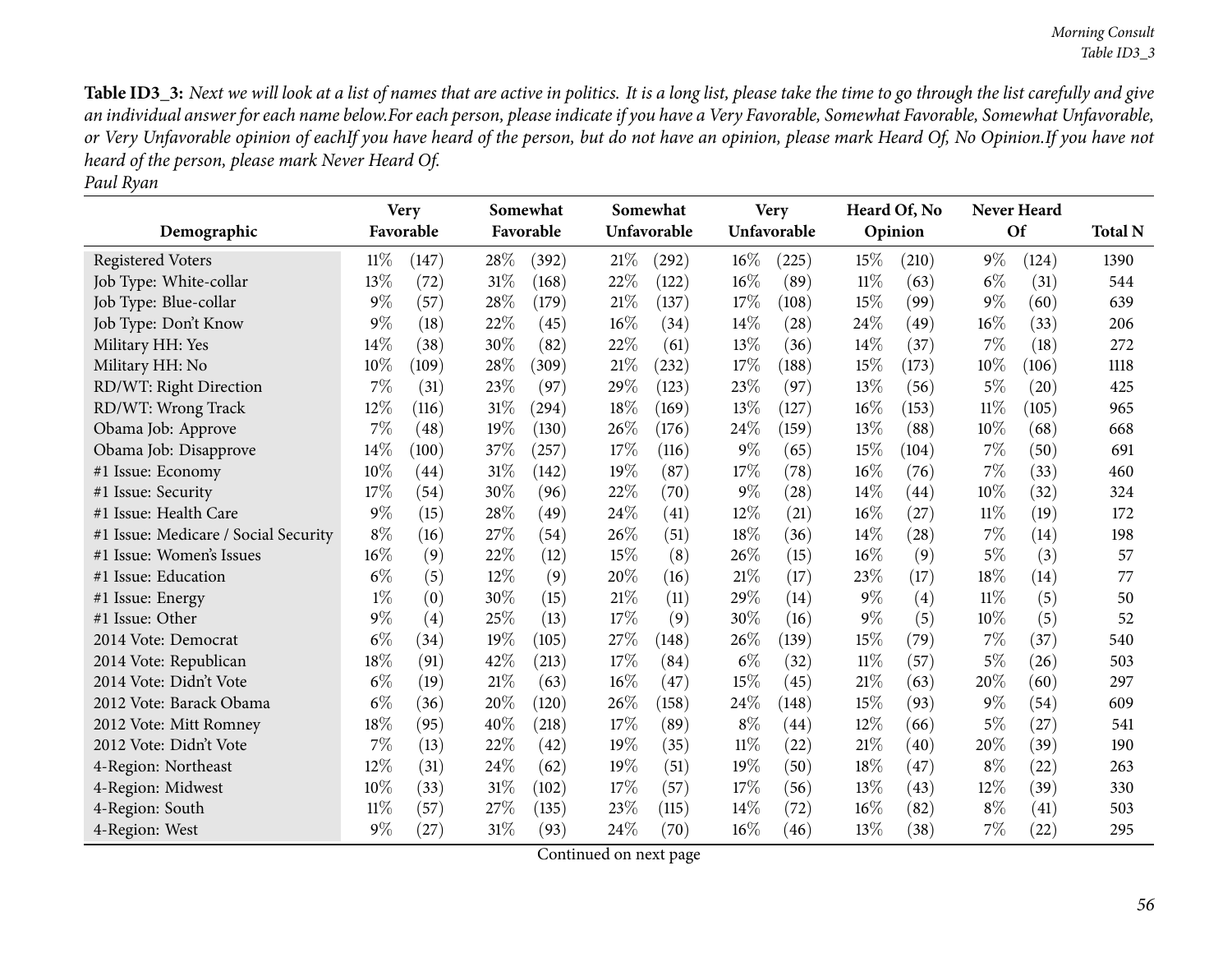Table ID3\_3: Next we will look at a list of names that are active in politics. It is a long list, please take the time to go through the list carefully and give an individual answer for each name below.For each person, please indicate if you have a Very Favorable, Somewhat Favorable, Somewhat Unfavorable, or Very Unfavorable opinion of eachIf you have heard of the person, but do not have an opinion, please mark Heard Of, No Opinion.If you have not *heard of the person, <sup>p</sup>lease mark Never Heard Of. Paul Ryan*

|                                      |        | <b>Very</b> |        | Somewhat  |        | Somewhat    |        | <b>Very</b> |        | Heard Of, No |        | <b>Never Heard</b> |                |
|--------------------------------------|--------|-------------|--------|-----------|--------|-------------|--------|-------------|--------|--------------|--------|--------------------|----------------|
| Demographic                          |        | Favorable   |        | Favorable |        | Unfavorable |        | Unfavorable |        | Opinion      |        | <b>Of</b>          | <b>Total N</b> |
| <b>Registered Voters</b>             | $11\%$ | (147)       | 28%    | (392)     | 21%    | (292)       | 16%    | (225)       | 15%    | (210)        | $9\%$  | (124)              | 1390           |
| Job Type: White-collar               | 13%    | (72)        | 31%    | (168)     | 22%    | (122)       | 16%    | (89)        | $11\%$ | (63)         | $6\%$  | (31)               | 544            |
| Job Type: Blue-collar                | $9\%$  | (57)        | 28%    | (179)     | $21\%$ | (137)       | 17%    | (108)       | 15%    | (99)         | $9\%$  | (60)               | 639            |
| Job Type: Don't Know                 | $9\%$  | (18)        | 22%    | (45)      | 16%    | (34)        | 14\%   | (28)        | 24\%   | (49)         | $16\%$ | (33)               | 206            |
| Military HH: Yes                     | 14%    | (38)        | 30%    | (82)      | 22%    | (61)        | 13%    | (36)        | 14%    | (37)         | 7%     | (18)               | 272            |
| Military HH: No                      | 10%    | (109)       | 28%    | (309)     | 21%    | (232)       | 17%    | (188)       | 15%    | (173)        | $10\%$ | (106)              | 1118           |
| RD/WT: Right Direction               | 7%     | (31)        | 23%    | (97)      | 29%    | (123)       | 23%    | (97)        | 13%    | (56)         | $5\%$  | (20)               | 425            |
| RD/WT: Wrong Track                   | 12%    | (116)       | 31%    | (294)     | 18%    | (169)       | 13%    | (127)       | 16%    | (153)        | $11\%$ | (105)              | 965            |
| Obama Job: Approve                   | $7\%$  | (48)        | 19%    | (130)     | 26\%   | (176)       | 24\%   | (159)       | 13\%   | (88)         | 10%    | (68)               | 668            |
| Obama Job: Disapprove                | 14%    | (100)       | 37%    | (257)     | 17%    | (116)       | $9\%$  | (65)        | 15%    | (104)        | $7\%$  | (50)               | 691            |
| #1 Issue: Economy                    | 10%    | (44)        | 31%    | (142)     | 19%    | (87)        | 17%    | (78)        | 16%    | (76)         | $7\%$  | (33)               | 460            |
| #1 Issue: Security                   | 17%    | (54)        | 30%    | (96)      | 22%    | (70)        | $9\%$  | (28)        | 14%    | (44)         | 10%    | (32)               | 324            |
| #1 Issue: Health Care                | $9\%$  | (15)        | 28%    | (49)      | 24%    | (41)        | 12%    | (21)        | 16%    | (27)         | $11\%$ | (19)               | 172            |
| #1 Issue: Medicare / Social Security | $8\%$  | (16)        | 27%    | (54)      | 26%    | (51)        | 18%    | (36)        | 14\%   | (28)         | $7\%$  | (14)               | 198            |
| #1 Issue: Women's Issues             | 16%    | (9)         | 22%    | (12)      | 15%    | (8)         | 26%    | (15)        | 16%    | (9)          | 5%     | (3)                | 57             |
| #1 Issue: Education                  | $6\%$  | (5)         | 12%    | (9)       | 20%    | (16)        | 21\%   | (17)        | 23%    | (17)         | 18%    | (14)               | 77             |
| #1 Issue: Energy                     | $1\%$  | (0)         | 30%    | (15)      | 21%    | (11)        | 29%    | (14)        | 9%     | (4)          | $11\%$ | (5)                | 50             |
| #1 Issue: Other                      | 9%     | (4)         | 25%    | (13)      | 17%    | (9)         | 30%    | (16)        | 9%     | (5)          | 10%    | (5)                | 52             |
| 2014 Vote: Democrat                  | $6\%$  | (34)        | 19%    | (105)     | 27%    | (148)       | 26\%   | (139)       | 15%    | (79)         | 7%     | (37)               | 540            |
| 2014 Vote: Republican                | 18%    | (91)        | 42%    | (213)     | 17%    | (84)        | $6\%$  | (32)        | $11\%$ | (57)         | $5\%$  | (26)               | 503            |
| 2014 Vote: Didn't Vote               | $6\%$  | (19)        | $21\%$ | (63)      | 16%    | (47)        | 15%    | (45)        | 21%    | (63)         | 20%    | (60)               | 297            |
| 2012 Vote: Barack Obama              | $6\%$  | (36)        | 20%    | (120)     | 26%    | (158)       | 24%    | (148)       | 15%    | (93)         | $9\%$  | (54)               | 609            |
| 2012 Vote: Mitt Romney               | 18%    | (95)        | 40%    | (218)     | 17%    | (89)        | $8\%$  | (44)        | 12%    | (66)         | $5\%$  | (27)               | 541            |
| 2012 Vote: Didn't Vote               | 7%     | (13)        | 22%    | (42)      | 19%    | (35)        | $11\%$ | (22)        | 21%    | (40)         | 20%    | (39)               | 190            |
| 4-Region: Northeast                  | 12%    | (31)        | 24%    | (62)      | 19%    | (51)        | 19%    | (50)        | 18%    | (47)         | $8\%$  | (22)               | 263            |
| 4-Region: Midwest                    | 10%    | (33)        | 31%    | (102)     | 17%    | (57)        | 17%    | (56)        | 13%    | (43)         | 12%    | (39)               | 330            |
| 4-Region: South                      | $11\%$ | (57)        | 27%    | (135)     | 23%    | (115)       | 14%    | (72)        | 16%    | (82)         | $8\%$  | (41)               | 503            |
| 4-Region: West                       | 9%     | (27)        | 31%    | (93)      | 24%    | (70)        | 16%    | (46)        | 13%    | (38)         | $7\%$  | (22)               | 295            |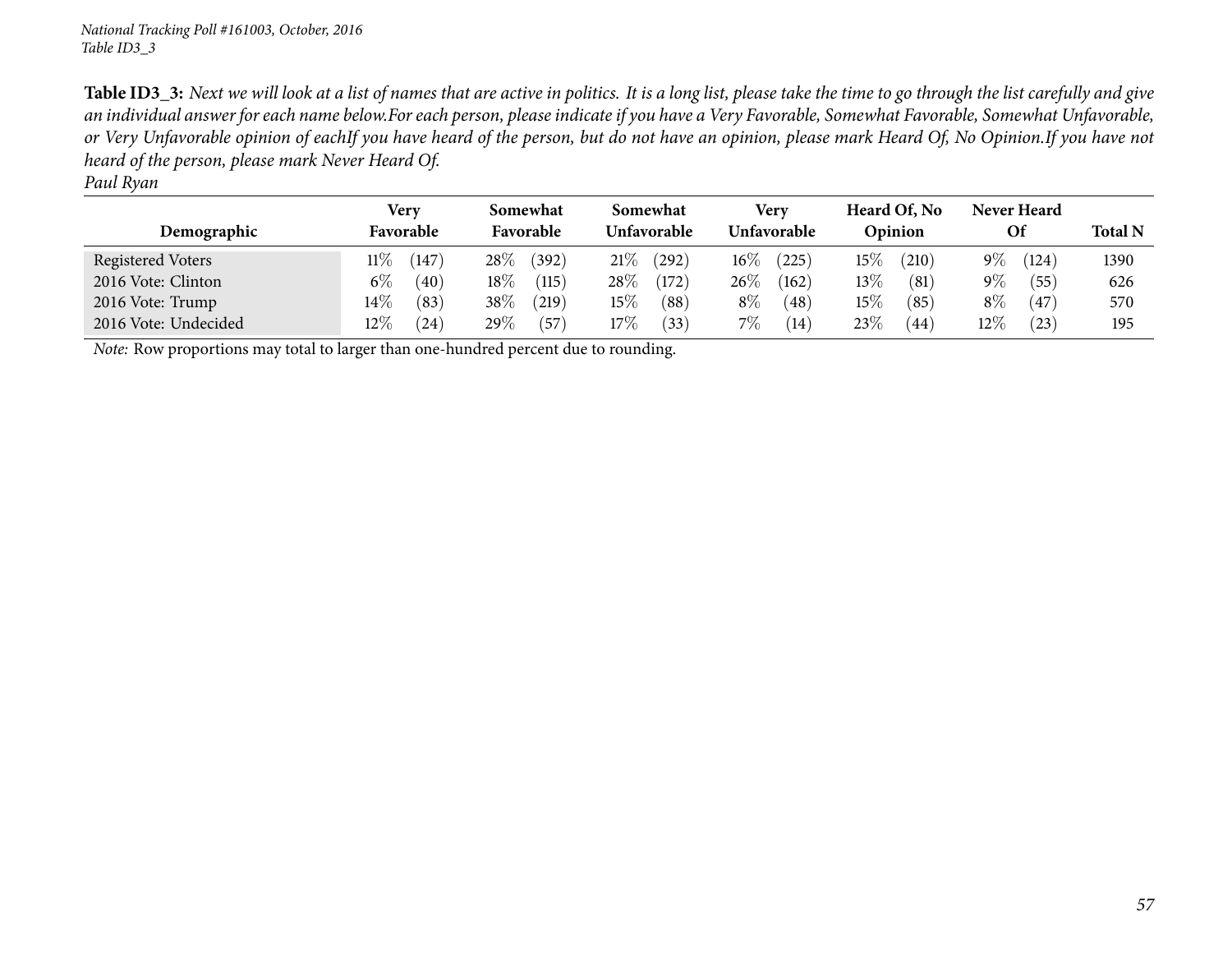Table ID3\_3: Next we will look at a list of names that are active in politics. It is a long list, please take the time to go through the list carefully and give an individual answer for each name below.For each person, please indicate if you have a Very Favorable, Somewhat Favorable, Somewhat Unfavorable, or Very Unfavorable opinion of eachIf you have heard of the person, but do not have an opinion, please mark Heard Of, No Opinion.If you have not *heard of the person, <sup>p</sup>lease mark Never Heard Of. Paul Ryan*

| ------               |                          |                       |                         |                            |                         |                   |                |
|----------------------|--------------------------|-----------------------|-------------------------|----------------------------|-------------------------|-------------------|----------------|
| Demographic          | <b>Very</b><br>Favorable | Somewhat<br>Favorable | Somewhat<br>Unfavorable | Very<br><b>Unfavorable</b> | Heard Of, No<br>Opinion | Never Heard<br>Οf | <b>Total N</b> |
| Registered Voters    | 11%<br>147               | $28\%$<br>(392)       | 21%<br>(292)            | $16\%$<br>(225)            | $15\%$<br>(210)         | $9\%$<br>(124)    | 1390           |
| 2016 Vote: Clinton   | $6\%$<br>(40)            | $18\%$<br>(115)       | $28\%$<br>(172)         | $26\%$<br>(162)            | $13\%$<br>(81)          | $9\%$<br>(55)     | 626            |
| 2016 Vote: Trump     | $14\%$<br>(83)           | 38\%<br>(219)         | $15\%$<br>(88)          | $8\%$<br>(48)              | $15\%$<br>(85)          | $8\%$<br>(47)     | 570            |
| 2016 Vote: Undecided | $12\%$<br>(24)           | 29 $\%$<br>(57)       | $17\%$<br>(33)          | $7\%$<br>(14)              | 23\%<br>(44             | $12\%$<br>(23)    | 195            |

*Note:* Row proportions may total to larger than one-hundred percen<sup>t</sup> due to rounding.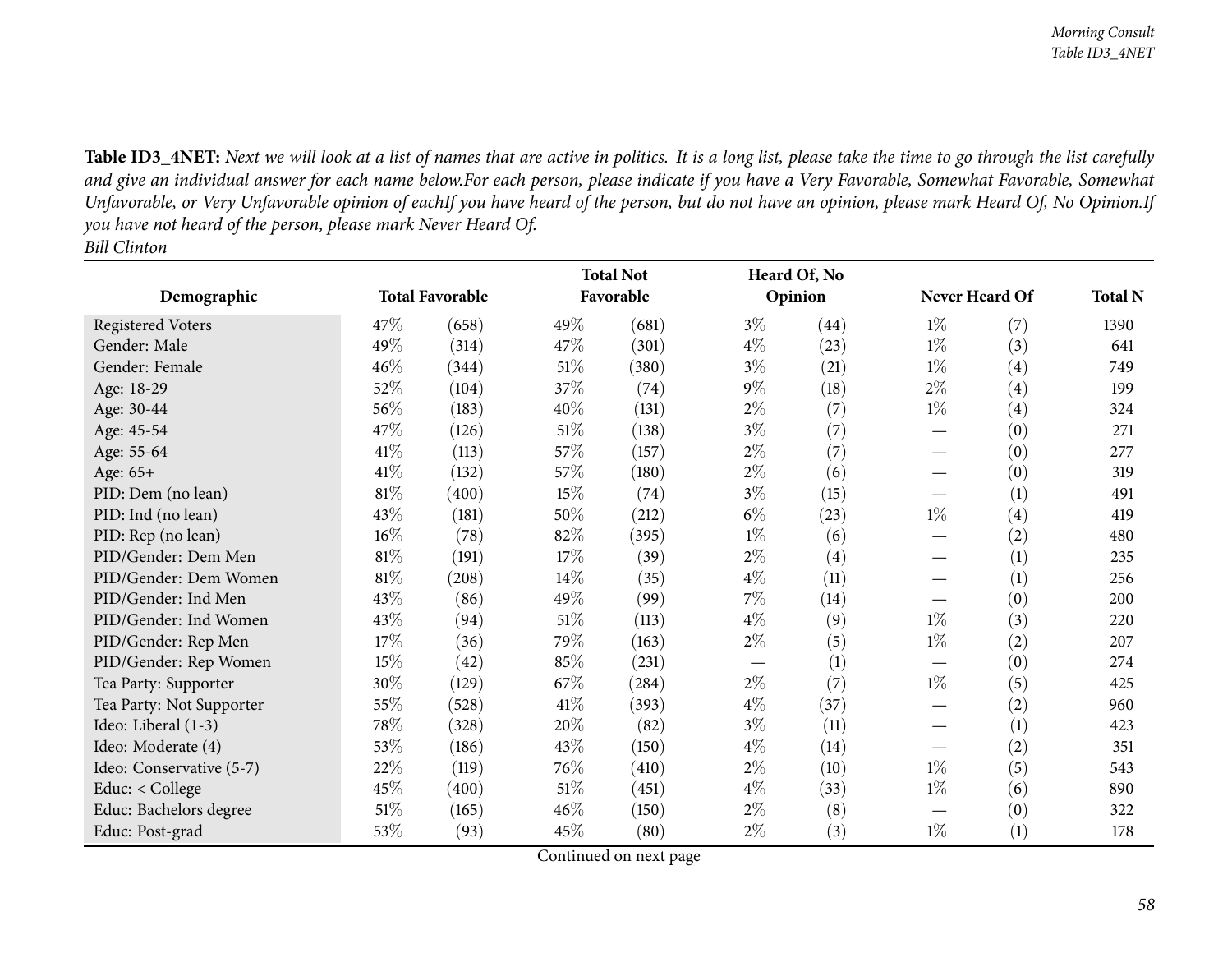Table ID3\_4NET: Next we will look at a list of names that are active in politics. It is a long list, please take the time to go through the list carefully and give an individual answer for each name below.For each person, please indicate if you have a Very Favorable, Somewhat Favorable, Somewhat Unfavorable, or Very Unfavorable opinion of eachIf you have heard of the person, but do not have an opinion, please mark Heard Of, No Opinion.If you have not heard of the person, please mark Never Heard Of. *Bill Clinton*

|                          |        |                        | <b>Total Not</b> |           | Heard Of, No |         |                |                   |                |
|--------------------------|--------|------------------------|------------------|-----------|--------------|---------|----------------|-------------------|----------------|
| Demographic              |        | <b>Total Favorable</b> |                  | Favorable |              | Opinion | Never Heard Of |                   | <b>Total N</b> |
| <b>Registered Voters</b> | 47\%   | (658)                  | 49%              | (681)     | $3\%$        | (44)    | $1\%$          | (7)               | 1390           |
| Gender: Male             | 49%    | (314)                  | 47%              | (301)     | $4\%$        | (23)    | $1\%$          | (3)               | 641            |
| Gender: Female           | 46%    | (344)                  | 51%              | (380)     | $3\%$        | (21)    | $1\%$          | (4)               | 749            |
| Age: 18-29               | 52%    | (104)                  | 37%              | (74)      | $9\%$        | (18)    | $2\%$          | (4)               | 199            |
| Age: 30-44               | 56%    | (183)                  | 40%              | (131)     | $2\%$        | (7)     | $1\%$          | (4)               | 324            |
| Age: 45-54               | 47%    | (126)                  | $51\%$           | (138)     | $3\%$        | (7)     |                | (0)               | 271            |
| Age: 55-64               | $41\%$ | (113)                  | 57%              | (157)     | $2\%$        | (7)     |                | (0)               | 277            |
| Age: 65+                 | $41\%$ | (132)                  | 57%              | (180)     | $2\%$        | (6)     |                | (0)               | 319            |
| PID: Dem (no lean)       | 81%    | (400)                  | 15%              | (74)      | $3\%$        | (15)    |                | (1)               | 491            |
| PID: Ind (no lean)       | 43\%   | (181)                  | 50%              | (212)     | $6\%$        | (23)    | $1\%$          | $\left( 4\right)$ | 419            |
| PID: Rep (no lean)       | $16\%$ | (78)                   | 82%              | (395)     | $1\%$        | (6)     |                | (2)               | 480            |
| PID/Gender: Dem Men      | $81\%$ | (191)                  | 17%              | (39)      | $2\%$        | (4)     |                | (1)               | 235            |
| PID/Gender: Dem Women    | $81\%$ | (208)                  | 14%              | (35)      | $4\%$        | (11)    |                | (1)               | 256            |
| PID/Gender: Ind Men      | 43%    | (86)                   | 49%              | (99)      | $7\%$        | (14)    |                | (0)               | 200            |
| PID/Gender: Ind Women    | 43\%   | (94)                   | 51\%             | (113)     | $4\%$        | (9)     | $1\%$          | (3)               | 220            |
| PID/Gender: Rep Men      | $17\%$ | (36)                   | 79%              | (163)     | $2\%$        | (5)     | $1\%$          | (2)               | 207            |
| PID/Gender: Rep Women    | 15%    | (42)                   | 85%              | (231)     |              | (1)     |                | (0)               | 274            |
| Tea Party: Supporter     | 30%    | (129)                  | 67%              | (284)     | $2\%$        | (7)     | $1\%$          | (5)               | 425            |
| Tea Party: Not Supporter | 55%    | (528)                  | 41\%             | (393)     | $4\%$        | (37)    |                | (2)               | 960            |
| Ideo: Liberal (1-3)      | 78%    | (328)                  | 20%              | (82)      | $3\%$        | (11)    |                | (1)               | 423            |
| Ideo: Moderate (4)       | 53%    | (186)                  | 43%              | (150)     | $4\%$        | (14)    |                | (2)               | 351            |
| Ideo: Conservative (5-7) | 22%    | (119)                  | 76%              | (410)     | $2\%$        | (10)    | $1\%$          | (5)               | 543            |
| Educ: < College          | 45%    | (400)                  | $51\%$           | (451)     | $4\%$        | (33)    | $1\%$          | (6)               | 890            |
| Educ: Bachelors degree   | 51\%   | (165)                  | 46%              | (150)     | $2\%$        | (8)     |                | (0)               | 322            |
| Educ: Post-grad          | 53%    | (93)                   | 45%              | (80)      | $2\%$        | (3)     | $1\%$          | (1)               | 178            |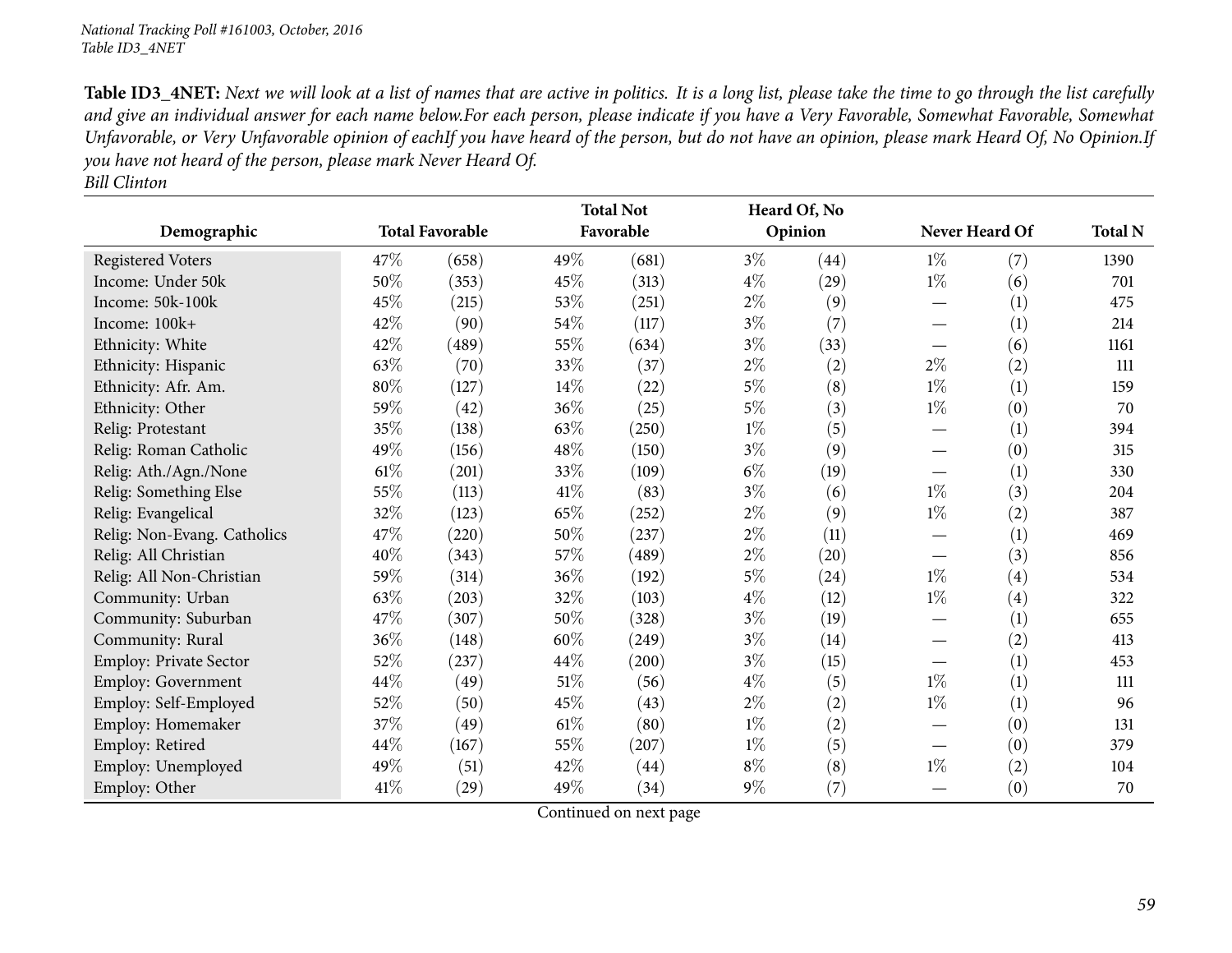Table ID3\_4NET: Next we will look at a list of names that are active in politics. It is a long list, please take the time to go through the list carefully and give an individual answer for each name below.For each person, please indicate if you have a Very Favorable, Somewhat Favorable, Somewhat Unfavorable, or Very Unfavorable opinion of eachIf you have heard of the person, but do not have an opinion, please mark Heard Of, No Opinion.If you have not heard of the person, please mark Never Heard Of.

|--|

|                               |        |                        | <b>Total Not</b> |           |         | Heard Of, No |                |                |      |
|-------------------------------|--------|------------------------|------------------|-----------|---------|--------------|----------------|----------------|------|
| Demographic                   |        | <b>Total Favorable</b> |                  | Favorable | Opinion |              | Never Heard Of | <b>Total N</b> |      |
| <b>Registered Voters</b>      | 47\%   | (658)                  | 49%              | (681)     | $3\%$   | (44)         | $1\%$          | (7)            | 1390 |
| Income: Under 50k             | 50%    | (353)                  | 45%              | (313)     | $4\%$   | (29)         | $1\%$          | (6)            | 701  |
| Income: 50k-100k              | 45\%   | (215)                  | $53\%$           | (251)     | $2\%$   | (9)          |                | (1)            | 475  |
| Income: 100k+                 | 42\%   | (90)                   | 54%              | (117)     | $3\%$   | (7)          |                | (1)            | 214  |
| Ethnicity: White              | 42%    | (489)                  | 55%              | (634)     | $3\%$   | (33)         |                | (6)            | 1161 |
| Ethnicity: Hispanic           | 63\%   | (70)                   | 33%              | (37)      | $2\%$   | (2)          | $2\%$          | (2)            | 111  |
| Ethnicity: Afr. Am.           | 80%    | (127)                  | $14\%$           | (22)      | $5\%$   | (8)          | $1\%$          | (1)            | 159  |
| Ethnicity: Other              | 59%    | (42)                   | 36%              | (25)      | $5\%$   | (3)          | $1\%$          | (0)            | 70   |
| Relig: Protestant             | 35%    | (138)                  | 63%              | (250)     | $1\%$   | (5)          |                | (1)            | 394  |
| Relig: Roman Catholic         | 49%    | (156)                  | 48%              | (150)     | $3\%$   | (9)          |                | (0)            | 315  |
| Relig: Ath./Agn./None         | $61\%$ | (201)                  | 33%              | (109)     | $6\%$   | (19)         |                | (1)            | 330  |
| Relig: Something Else         | 55%    | (113)                  | 41\%             | (83)      | $3\%$   | (6)          | $1\%$          | (3)            | 204  |
| Relig: Evangelical            | 32%    | (123)                  | 65%              | (252)     | $2\%$   | (9)          | $1\%$          | (2)            | 387  |
| Relig: Non-Evang. Catholics   | 47\%   | (220)                  | 50%              | (237)     | $2\%$   | (11)         |                | (1)            | 469  |
| Relig: All Christian          | 40%    | (343)                  | $57\%$           | (489)     | $2\%$   | (20)         |                | (3)            | 856  |
| Relig: All Non-Christian      | 59%    | (314)                  | 36%              | (192)     | $5\%$   | (24)         | $1\%$          | (4)            | 534  |
| Community: Urban              | 63\%   | (203)                  | 32%              | (103)     | $4\%$   | (12)         | $1\%$          | (4)            | 322  |
| Community: Suburban           | 47\%   | (307)                  | 50%              | (328)     | $3\%$   | (19)         |                | (1)            | 655  |
| Community: Rural              | 36\%   | (148)                  | 60%              | (249)     | $3\%$   | (14)         |                | (2)            | 413  |
| <b>Employ: Private Sector</b> | 52%    | (237)                  | 44%              | (200)     | $3\%$   | (15)         |                | (1)            | 453  |
| Employ: Government            | 44\%   | (49)                   | $51\%$           | (56)      | $4\%$   | (5)          | $1\%$          | (1)            | 111  |
| Employ: Self-Employed         | 52\%   | (50)                   | 45%              | (43)      | $2\%$   | (2)          | $1\%$          | (1)            | 96   |
| Employ: Homemaker             | 37%    | (49)                   | $61\%$           | (80)      | $1\%$   | (2)          |                | (0)            | 131  |
| Employ: Retired               | 44\%   | (167)                  | 55%              | (207)     | $1\%$   | (5)          |                | (0)            | 379  |
| Employ: Unemployed            | 49%    | (51)                   | 42%              | (44)      | $8\%$   | (8)          | $1\%$          | (2)            | 104  |
| Employ: Other                 | 41\%   | (29)                   | 49%              | (34)      | $9\%$   | (7)          |                | (0)            | 70   |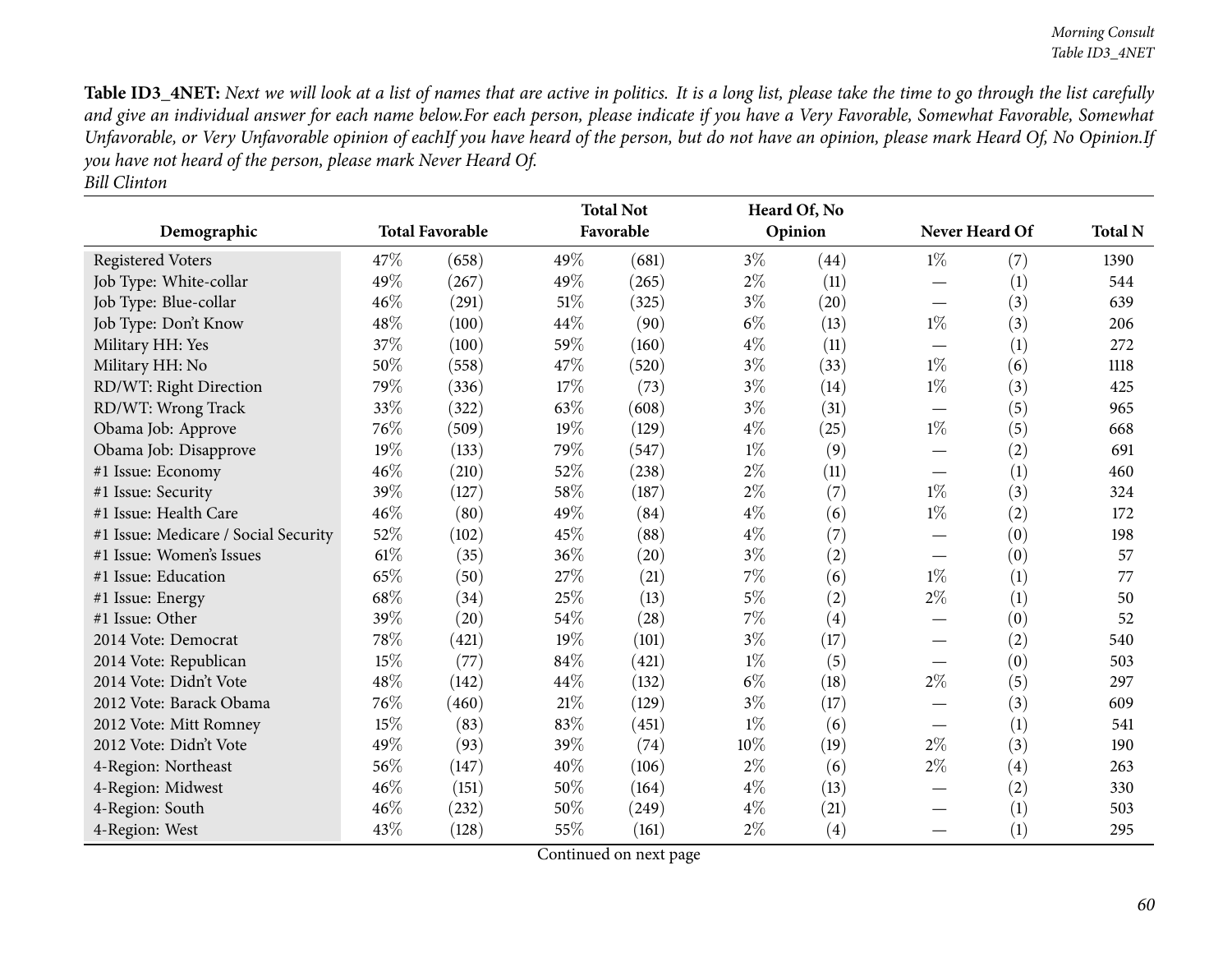Table ID3\_4NET: Next we will look at a list of names that are active in politics. It is a long list, please take the time to go through the list carefully and give an individual answer for each name below.For each person, please indicate if you have a Very Favorable, Somewhat Favorable, Somewhat Unfavorable, or Very Unfavorable opinion of eachIf you have heard of the person, but do not have an opinion, please mark Heard Of, No Opinion.If you have not heard of the person, please mark Never Heard Of. *Bill Clinton*

|                                      |        | <b>Total Favorable</b> | <b>Total Not</b><br>Favorable |       |       | Heard Of, No<br>Opinion |       | Never Heard Of | <b>Total N</b> |
|--------------------------------------|--------|------------------------|-------------------------------|-------|-------|-------------------------|-------|----------------|----------------|
| Demographic                          |        |                        |                               |       |       |                         |       |                |                |
| <b>Registered Voters</b>             | 47\%   | (658)                  | 49%                           | (681) | $3\%$ | (44)                    | $1\%$ | (7)            | 1390           |
| Job Type: White-collar               | 49%    | (267)                  | 49%                           | (265) | $2\%$ | (11)                    |       | (1)            | 544            |
| Job Type: Blue-collar                | 46%    | (291)                  | 51%                           | (325) | $3\%$ | (20)                    |       | (3)            | 639            |
| Job Type: Don't Know                 | 48%    | (100)                  | 44%                           | (90)  | $6\%$ | (13)                    | $1\%$ | (3)            | 206            |
| Military HH: Yes                     | 37%    | (100)                  | 59%                           | (160) | $4\%$ | (11)                    |       | (1)            | 272            |
| Military HH: No                      | 50%    | (558)                  | 47%                           | (520) | $3\%$ | (33)                    | $1\%$ | (6)            | 1118           |
| RD/WT: Right Direction               | 79%    | (336)                  | 17%                           | (73)  | $3\%$ | (14)                    | $1\%$ | (3)            | 425            |
| RD/WT: Wrong Track                   | 33%    | (322)                  | 63%                           | (608) | $3\%$ | (31)                    |       | (5)            | 965            |
| Obama Job: Approve                   | 76%    | (509)                  | 19%                           | (129) | $4\%$ | (25)                    | $1\%$ | (5)            | 668            |
| Obama Job: Disapprove                | 19%    | (133)                  | 79%                           | (547) | $1\%$ | (9)                     |       | (2)            | 691            |
| #1 Issue: Economy                    | 46%    | (210)                  | 52%                           | (238) | $2\%$ | (11)                    |       | (1)            | 460            |
| #1 Issue: Security                   | 39%    | (127)                  | 58%                           | (187) | $2\%$ | (7)                     | $1\%$ | (3)            | 324            |
| #1 Issue: Health Care                | 46%    | (80)                   | 49%                           | (84)  | $4\%$ | (6)                     | $1\%$ | (2)            | 172            |
| #1 Issue: Medicare / Social Security | 52%    | (102)                  | 45%                           | (88)  | $4\%$ | (7)                     |       | (0)            | 198            |
| #1 Issue: Women's Issues             | $61\%$ | (35)                   | 36%                           | (20)  | $3\%$ | (2)                     |       | (0)            | 57             |
| #1 Issue: Education                  | 65%    | (50)                   | 27%                           | (21)  | 7%    | (6)                     | $1\%$ | (1)            | 77             |
| #1 Issue: Energy                     | 68%    | (34)                   | 25%                           | (13)  | $5\%$ | (2)                     | $2\%$ | (1)            | 50             |
| #1 Issue: Other                      | 39%    | (20)                   | 54%                           | (28)  | 7%    | (4)                     |       | (0)            | 52             |
| 2014 Vote: Democrat                  | 78%    | (421)                  | 19%                           | (101) | $3\%$ | (17)                    |       | (2)            | 540            |
| 2014 Vote: Republican                | 15%    | (77)                   | 84%                           | (421) | $1\%$ | (5)                     |       | (0)            | 503            |
| 2014 Vote: Didn't Vote               | 48%    | (142)                  | 44%                           | (132) | $6\%$ | (18)                    | $2\%$ | (5)            | 297            |
| 2012 Vote: Barack Obama              | 76%    | (460)                  | 21%                           | (129) | $3\%$ | (17)                    |       | (3)            | 609            |
| 2012 Vote: Mitt Romney               | 15%    | (83)                   | 83%                           | (451) | $1\%$ | (6)                     |       | (1)            | 541            |
| 2012 Vote: Didn't Vote               | 49%    | (93)                   | 39%                           | (74)  | 10%   | (19)                    | $2\%$ | (3)            | 190            |
| 4-Region: Northeast                  | 56%    | (147)                  | 40%                           | (106) | $2\%$ | (6)                     | $2\%$ | (4)            | 263            |
| 4-Region: Midwest                    | 46%    | (151)                  | 50%                           | (164) | $4\%$ | (13)                    |       | (2)            | 330            |
| 4-Region: South                      | 46%    | (232)                  | 50%                           | (249) | $4\%$ | (21)                    |       | (1)            | 503            |
| 4-Region: West                       | 43\%   | (128)                  | 55%                           | (161) | $2\%$ | (4)                     |       | (1)            | 295            |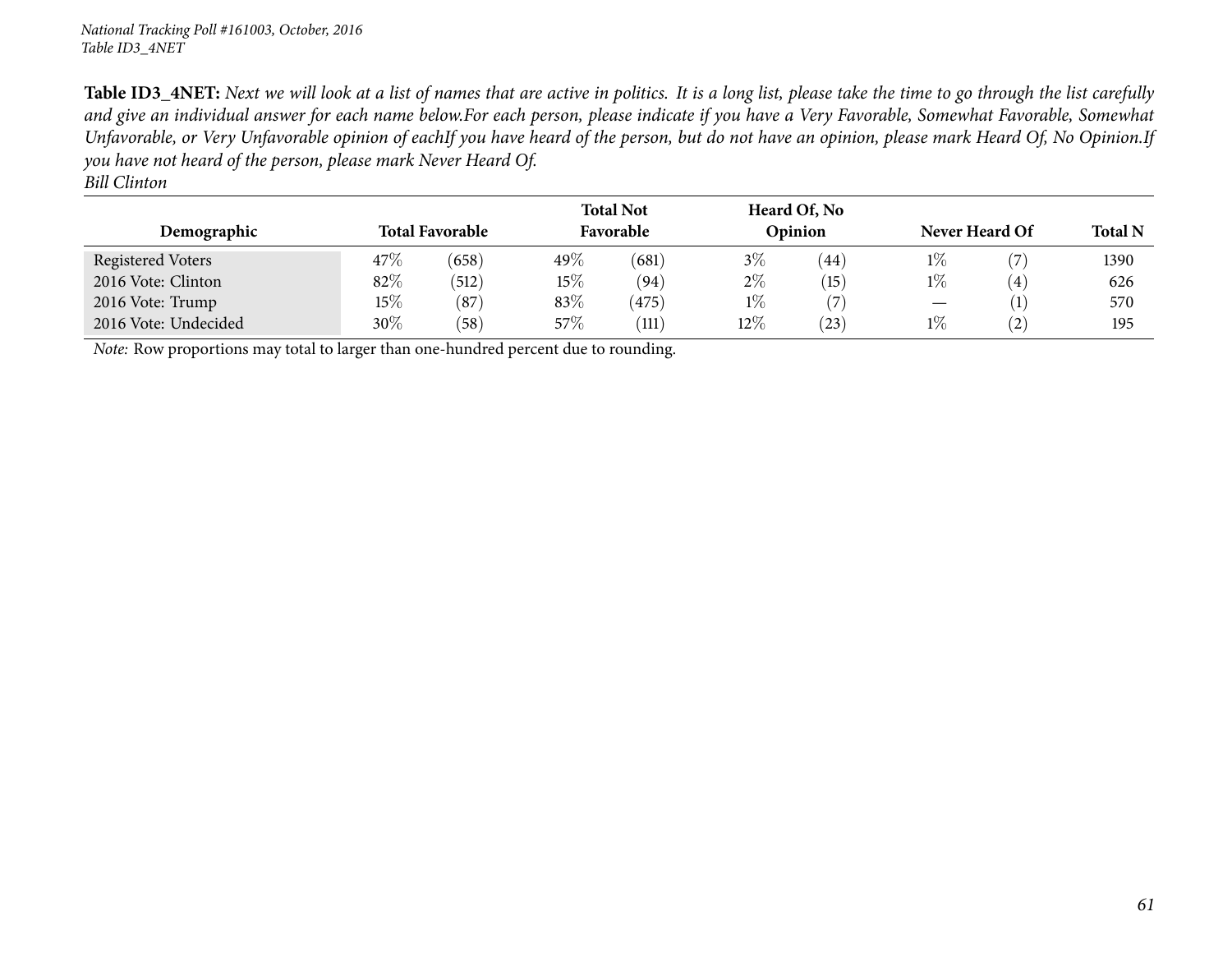Table ID3\_4NET: Next we will look at a list of names that are active in politics. It is a long list, please take the time to go through the list carefully and give an individual answer for each name below.For each person, please indicate if you have a Very Favorable, Somewhat Favorable, Somewhat Unfavorable, or Very Unfavorable opinion of eachIf you have heard of the person, but do not have an opinion, please mark Heard Of, No Opinion.If you have not heard of the person, please mark Never Heard Of.

*Bill Clinton*

| Demographic                                                                         |        | <b>Total Favorable</b> |      | <b>Total Not</b><br>Favorable |        | Heard Of, No<br>Opinion | Never Heard Of | <b>Total N</b>    |      |  |  |
|-------------------------------------------------------------------------------------|--------|------------------------|------|-------------------------------|--------|-------------------------|----------------|-------------------|------|--|--|
| <b>Registered Voters</b>                                                            | $47\%$ | (658)                  | 49\% | (681)                         | $3\%$  | (44)                    | $1\%$          |                   | 1390 |  |  |
| 2016 Vote: Clinton                                                                  | 82\%   | (512)                  | 15%  | (94)                          | $2\%$  | (15)                    | $1\%$          | $\left(4\right)$  | 626  |  |  |
| 2016 Vote: Trump                                                                    | $15\%$ | (87)                   | 83\% | (475)                         | $1\%$  | $\sqrt{2}$              |                |                   | 570  |  |  |
| 2016 Vote: Undecided                                                                | $30\%$ | (58)                   | 57\% | (111)                         | $12\%$ | $\left(23\right)$       | $1\%$          | $\left( 2\right)$ | 195  |  |  |
| Note: Row proportions may total to larger than one-hundred percent due to rounding. |        |                        |      |                               |        |                         |                |                   |      |  |  |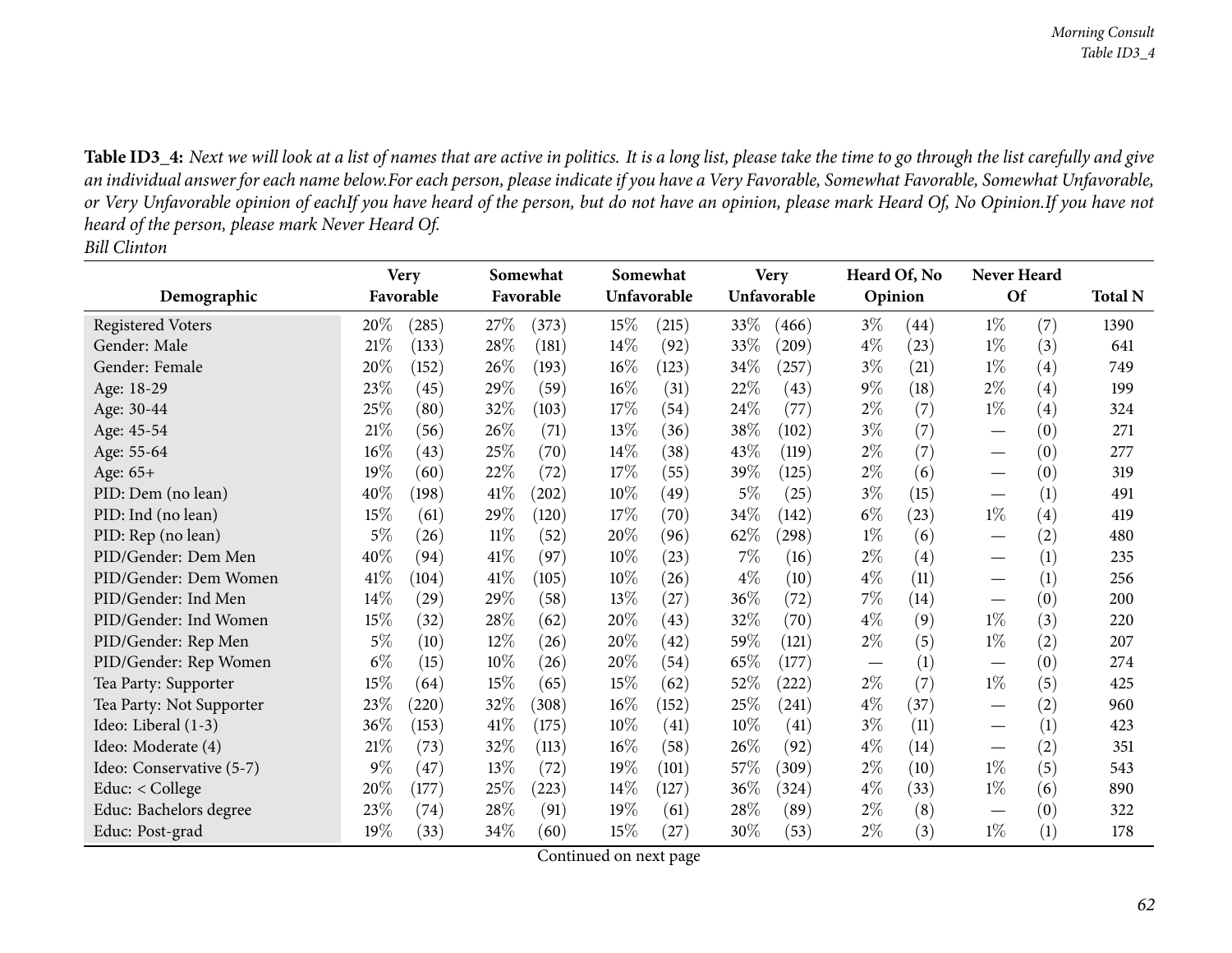Table ID3\_4: Next we will look at a list of names that are active in politics. It is a long list, please take the time to go through the list carefully and give an individual answer for each name below.For each person, please indicate if you have a Very Favorable, Somewhat Favorable, Somewhat Unfavorable, or Very Unfavorable opinion of eachIf you have heard of the person, but do not have an opinion, please mark Heard Of, No Opinion.If you have not *heard of the person, <sup>p</sup>lease mark Never Heard Of. Bill Clinton*

|                          | <b>Very</b> |           | Somewhat |           |        | Somewhat    |        | <b>Very</b> |         | Heard Of, No |                                 | <b>Never Heard</b> |                |
|--------------------------|-------------|-----------|----------|-----------|--------|-------------|--------|-------------|---------|--------------|---------------------------------|--------------------|----------------|
| Demographic              |             | Favorable |          | Favorable |        | Unfavorable |        | Unfavorable | Opinion |              | Of                              |                    | <b>Total N</b> |
| <b>Registered Voters</b> | $20\%$      | (285)     | 27\%     | (373)     | 15%    | (215)       | 33\%   | (466)       | $3\%$   | (44)         | $1\%$                           | (7)                | 1390           |
| Gender: Male             | 21%         | (133)     | 28\%     | (181)     | $14\%$ | (92)        | 33%    | (209)       | $4\%$   | (23)         | $1\%$                           | (3)                | 641            |
| Gender: Female           | 20%         | (152)     | 26%      | (193)     | 16%    | (123)       | 34%    | (257)       | $3\%$   | (21)         | $1\%$                           | (4)                | 749            |
| Age: 18-29               | 23%         | (45)      | 29%      | (59)      | 16%    | (31)        | 22%    | (43)        | $9\%$   | (18)         | $2\%$                           | (4)                | 199            |
| Age: 30-44               | 25%         | (80)      | 32%      | (103)     | 17%    | (54)        | 24\%   | (77)        | $2\%$   | (7)          | $1\%$                           | (4)                | 324            |
| Age: 45-54               | $21\%$      | (56)      | 26\%     | (71)      | 13%    | (36)        | 38%    | (102)       | $3\%$   | (7)          |                                 | (0)                | 271            |
| Age: 55-64               | $16\%$      | (43)      | 25\%     | (70)      | 14\%   | (38)        | 43%    | (119)       | $2\%$   | (7)          |                                 | (0)                | 277            |
| Age: 65+                 | 19%         | (60)      | 22%      | (72)      | 17%    | (55)        | 39%    | (125)       | $2\%$   | (6)          |                                 | (0)                | 319            |
| PID: Dem (no lean)       | 40%         | (198)     | 41\%     | (202)     | 10%    | (49)        | $5\%$  | (25)        | $3\%$   | (15)         | $\overbrace{\phantom{13333}}$   | (1)                | 491            |
| PID: Ind (no lean)       | 15%         | (61)      | 29%      | (120)     | 17%    | (70)        | 34%    | (142)       | $6\%$   | (23)         | $1\%$                           | $\left( 4\right)$  | 419            |
| PID: Rep (no lean)       | $5\%$       | (26)      | $11\%$   | (52)      | 20%    | (96)        | 62\%   | (298)       | $1\%$   | (6)          |                                 | (2)                | 480            |
| PID/Gender: Dem Men      | 40\%        | (94)      | 41%      | (97)      | 10%    | (23)        | $7\%$  | (16)        | $2\%$   | (4)          |                                 | (1)                | 235            |
| PID/Gender: Dem Women    | 41%         | (104)     | 41%      | (105)     | 10%    | (26)        | $4\%$  | (10)        | $4\%$   | (11)         | $\overbrace{\phantom{13333}}$   | (1)                | 256            |
| PID/Gender: Ind Men      | $14\%$      | (29)      | 29%      | (58)      | 13%    | (27)        | 36\%   | (72)        | 7%      | (14)         |                                 | (0)                | 200            |
| PID/Gender: Ind Women    | 15%         | (32)      | 28%      | (62)      | 20%    | (43)        | 32%    | (70)        | $4\%$   | (9)          | $1\%$                           | (3)                | 220            |
| PID/Gender: Rep Men      | $5\%$       | (10)      | $12\%$   | (26)      | 20%    | (42)        | 59%    | (121)       | $2\%$   | (5)          | $1\%$                           | (2)                | 207            |
| PID/Gender: Rep Women    | $6\%$       | (15)      | 10%      | (26)      | 20%    | (54)        | 65%    | (177)       |         | (1)          |                                 | (0)                | 274            |
| Tea Party: Supporter     | 15%         | (64)      | 15%      | (65)      | 15%    | (62)        | 52%    | (222)       | $2\%$   | (7)          | $1\%$                           | (5)                | 425            |
| Tea Party: Not Supporter | 23%         | (220)     | 32%      | (308)     | 16%    | (152)       | 25%    | (241)       | $4\%$   | (37)         |                                 | (2)                | 960            |
| Ideo: Liberal (1-3)      | 36%         | (153)     | 41\%     | (175)     | 10%    | (41)        | $10\%$ | (41)        | $3\%$   | (11)         |                                 | (1)                | 423            |
| Ideo: Moderate (4)       | $21\%$      | (73)      | 32%      | (113)     | 16%    | (58)        | 26\%   | (92)        | $4\%$   | (14)         |                                 | (2)                | 351            |
| Ideo: Conservative (5-7) | 9%          | (47)      | 13%      | (72)      | 19%    | (101)       | 57%    | (309)       | $2\%$   | (10)         | $1\%$                           | (5)                | 543            |
| Educ: < College          | 20%         | (177)     | 25%      | (223)     | 14\%   | (127)       | 36\%   | (324)       | $4\%$   | (33)         | $1\%$                           | (6)                | 890            |
| Educ: Bachelors degree   | 23%         | (74)      | 28\%     | (91)      | 19%    | (61)        | 28\%   | (89)        | $2\%$   | (8)          | $\hspace{0.1mm}-\hspace{0.1mm}$ | (0)                | 322            |
| Educ: Post-grad          | 19%         | (33)      | 34%      | (60)      | 15%    | (27)        | 30%    | (53)        | $2\%$   | (3)          | $1\%$                           | (1)                | 178            |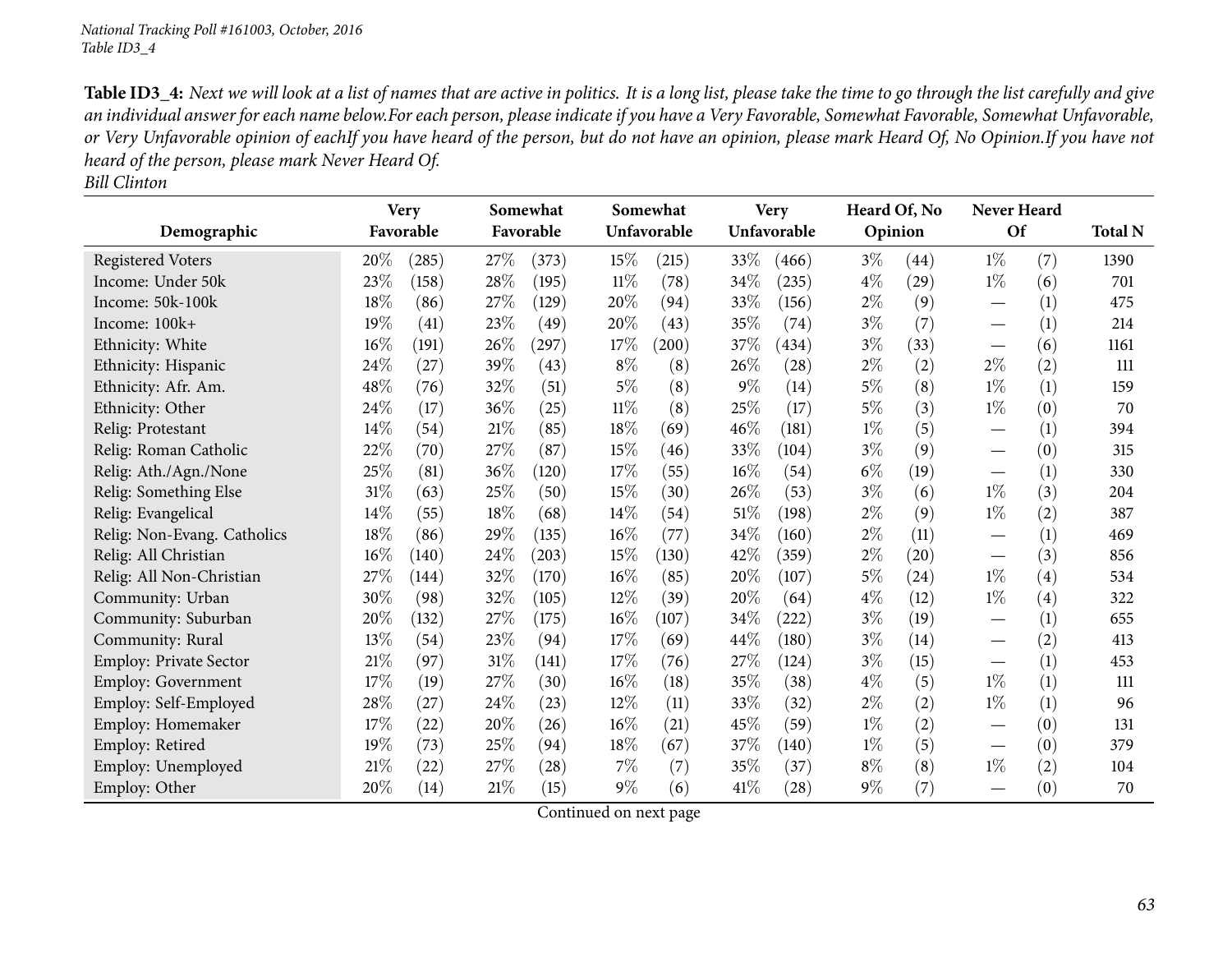Table ID3\_4: Next we will look at a list of names that are active in politics. It is a long list, please take the time to go through the list carefully and give an individual answer for each name below.For each person, please indicate if you have a Very Favorable, Somewhat Favorable, Somewhat Unfavorable, or Very Unfavorable opinion of eachIf you have heard of the person, but do not have an opinion, please mark Heard Of, No Opinion.If you have not *heard of the person, <sup>p</sup>lease mark Never Heard Of.*

*Bill Clinton*

|                               | <b>Very</b> |                    |           | Somewhat   |        | Somewhat    |        | <b>Very</b> |         | Heard Of, No |                                 | Never Heard |                |
|-------------------------------|-------------|--------------------|-----------|------------|--------|-------------|--------|-------------|---------|--------------|---------------------------------|-------------|----------------|
| Demographic                   |             | Favorable          | Favorable |            |        | Unfavorable |        | Unfavorable | Opinion |              | <b>Of</b>                       |             | <b>Total N</b> |
| <b>Registered Voters</b>      | 20%         | (285)              | 27%       | (373)      | 15%    | (215)       | 33\%   | (466)       | $3\%$   | (44)         | $1\%$                           | (7)         | 1390           |
| Income: Under 50k             | 23%         | (158)              | 28\%      | (195)      | $11\%$ | (78)        | 34\%   | (235)       | $4\%$   | (29)         | $1\%$                           | (6)         | 701            |
| Income: 50k-100k              | 18%         | (86)               | 27%       | (129)      | 20%    | (94)        | 33%    | (156)       | $2\%$   | (9)          | $\overbrace{\phantom{13333}}$   | (1)         | 475            |
| Income: 100k+                 | 19%         | (41)               | 23%       | (49)       | 20%    | (43)        | 35%    | (74)        | $3\%$   | (7)          |                                 | (1)         | 214            |
| Ethnicity: White              | 16%         | (191)              | 26%       | $^{'}297)$ | 17%    | (200)       | 37%    | (434)       | $3\%$   | (33)         |                                 | (6)         | 1161           |
| Ethnicity: Hispanic           | 24%         | (27)               | 39%       | (43)       | $8\%$  | (8)         | 26\%   | (28)        | $2\%$   | (2)          | $2\%$                           | (2)         | 111            |
| Ethnicity: Afr. Am.           | 48%         | (76)               | 32%       | (51)       | 5%     | (8)         | $9\%$  | (14)        | $5\%$   | (8)          | $1\%$                           | (1)         | 159            |
| Ethnicity: Other              | 24%         | (17)               | 36%       | (25)       | 11%    | (8)         | 25%    | (17)        | $5\%$   | (3)          | $1\%$                           | (0)         | 70             |
| Relig: Protestant             | 14%         | (54)               | 21%       | (85)       | 18%    | (69)        | 46\%   | (181)       | $1\%$   | (5)          |                                 | (1)         | 394            |
| Relig: Roman Catholic         | 22%         | (70)               | 27%       | (87)       | 15%    | (46)        | 33%    | (104)       | $3\%$   | (9)          |                                 | (0)         | 315            |
| Relig: Ath./Agn./None         | 25%         | (81)               | 36%       | (120)      | 17%    | (55)        | $16\%$ | (54)        | $6\%$   | (19)         | $\hspace{0.1mm}-\hspace{0.1mm}$ | (1)         | 330            |
| Relig: Something Else         | 31%         | (63)               | 25%       | (50)       | 15%    | (30)        | 26\%   | (53)        | $3\%$   | (6)          | $1\%$                           | (3)         | 204            |
| Relig: Evangelical            | 14%         | (55)               | 18%       | (68)       | 14\%   | (54)        | 51\%   | (198)       | $2\%$   | (9)          | $1\%$                           | (2)         | 387            |
| Relig: Non-Evang. Catholics   | 18%         | (86)               | 29%       | (135)      | 16%    | (77)        | 34\%   | (160)       | $2\%$   | (11)         |                                 | (1)         | 469            |
| Relig: All Christian          | 16%         | (140)              | 24%       | (203)      | 15%    | (130)       | 42\%   | (359)       | $2\%$   | (20)         | $\hspace{0.1mm}-\hspace{0.1mm}$ | (3)         | 856            |
| Relig: All Non-Christian      | 27%         | (144)              | 32%       | (170)      | 16%    | (85)        | 20%    | (107)       | $5\%$   | (24)         | $1\%$                           | (4)         | 534            |
| Community: Urban              | 30%         | (98)               | 32%       | (105)      | 12%    | (39)        | 20%    | (64)        | $4\%$   | (12)         | $1\%$                           | (4)         | 322            |
| Community: Suburban           | 20%         | (132)              | 27%       | (175)      | 16%    | (107)       | 34\%   | (222)       | $3\%$   | (19)         | $\overbrace{\phantom{aaaaa}}$   | (1)         | 655            |
| Community: Rural              | 13%         | (54)               | 23%       | (94)       | 17%    | (69)        | 44\%   | (180)       | $3\%$   | (14)         |                                 | (2)         | 413            |
| <b>Employ: Private Sector</b> | 21%         | (97)               | $31\%$    | (141)      | 17%    | (76)        | 27\%   | (124)       | $3\%$   | (15)         | $\overbrace{\phantom{aaaaa}}$   | (1)         | 453            |
| Employ: Government            | 17%         | (19)               | 27%       | (30)       | 16%    | (18)        | 35\%   | (38)        | $4\%$   | (5)          | $1\%$                           | (1)         | 111            |
| Employ: Self-Employed         | 28%         | (27)               | 24%       | (23)       | 12%    | (11)        | 33%    | (32)        | $2\%$   | (2)          | $1\%$                           | (1)         | 96             |
| Employ: Homemaker             | 17%         | (22)               | 20%       | (26)       | 16%    | (21)        | 45\%   | (59)        | $1\%$   | (2)          |                                 | (0)         | 131            |
| Employ: Retired               | 19%         | (73)               | 25%       | (94)       | 18%    | (67)        | 37\%   | (140)       | $1\%$   | (5)          |                                 | (0)         | 379            |
| Employ: Unemployed            | 21%         | $\left( 22\right)$ | 27%       | (28)       | 7%     | (7)         | 35%    | (37)        | $8\%$   | (8)          | $1\%$                           | (2)         | 104            |
| Employ: Other                 | 20%         | (14)               | 21%       | (15)       | $9\%$  | (6)         | 41\%   | (28)        | $9\%$   | (7)          |                                 | (0)         | 70             |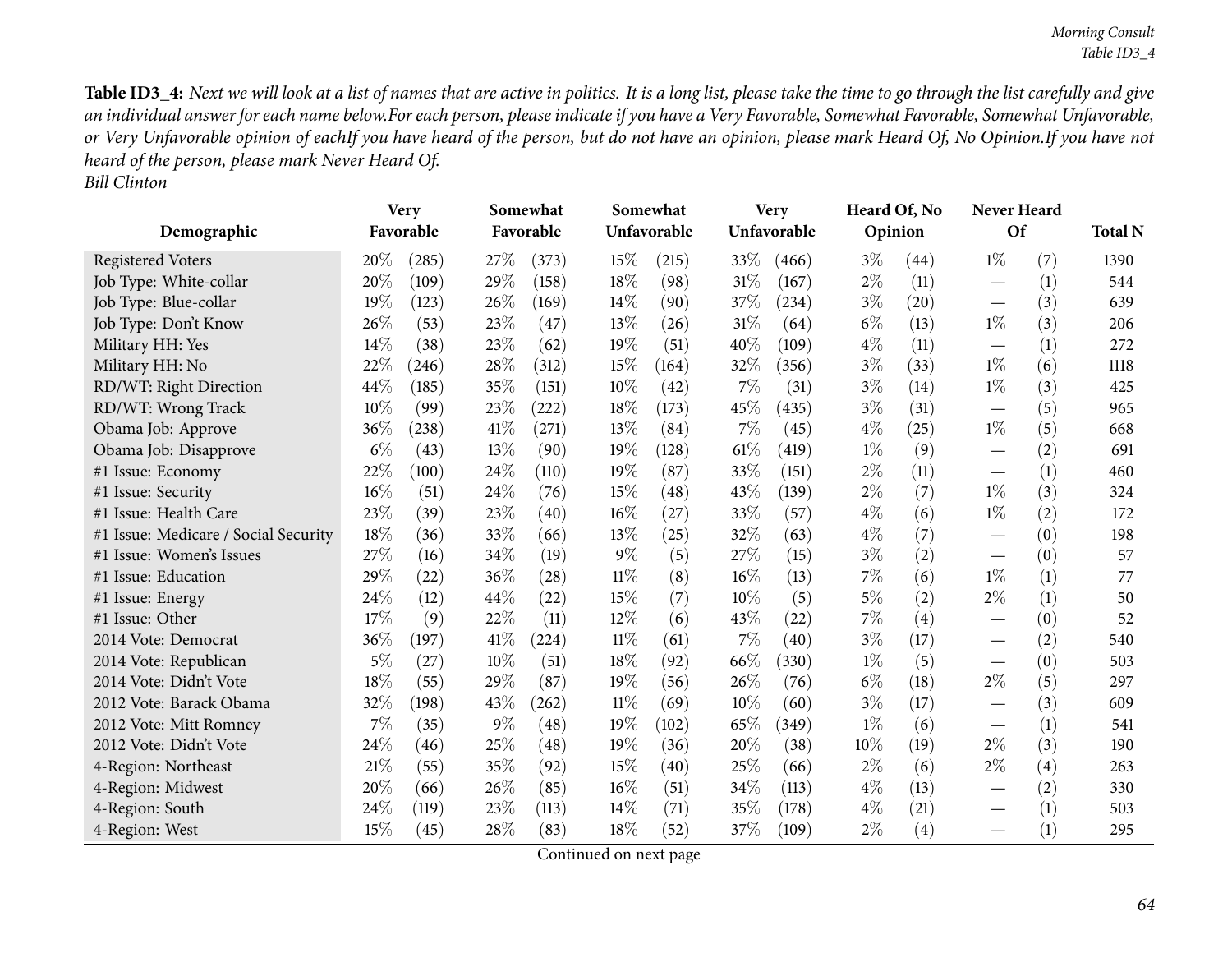Table ID3\_4: Next we will look at a list of names that are active in politics. It is a long list, please take the time to go through the list carefully and give an individual answer for each name below.For each person, please indicate if you have a Very Favorable, Somewhat Favorable, Somewhat Unfavorable, or Very Unfavorable opinion of eachIf you have heard of the person, but do not have an opinion, please mark Heard Of, No Opinion.If you have not *heard of the person, <sup>p</sup>lease mark Never Heard Of.*

| <b>Bill Clinton</b> |  |
|---------------------|--|
|                     |  |

|                                      | <b>Very</b> |                    | Somewhat<br>Favorable<br>Favorable |            | Somewhat<br>Unfavorable |       | <b>Very</b><br>Unfavorable |       | Heard Of, No<br>Opinion |                    | Never Heard<br>Of               |                   | <b>Total N</b> |
|--------------------------------------|-------------|--------------------|------------------------------------|------------|-------------------------|-------|----------------------------|-------|-------------------------|--------------------|---------------------------------|-------------------|----------------|
| Demographic                          |             |                    |                                    |            |                         |       |                            |       |                         |                    |                                 |                   |                |
| <b>Registered Voters</b>             | 20%         | (285)              | 27%                                | (373)      | 15%                     | (215) | 33%                        | (466) | $3\%$                   | (44)               | $1\%$                           | (7)               | 1390           |
| Job Type: White-collar               | 20%         | (109)              | 29%                                | (158)      | 18%                     | (98)  | $31\%$                     | (167) | $2\%$                   | (11)               |                                 | (1)               | 544            |
| Job Type: Blue-collar                | 19%         | (123)              | 26%                                | (169)      | 14%                     | (90)  | 37%                        | (234) | $3\%$                   | $\left( 20\right)$ |                                 | (3)               | 639            |
| Job Type: Don't Know                 | 26%         | (53)               | 23%                                | (47)       | 13%                     | (26)  | $31\%$                     | (64)  | $6\%$                   | (13)               | $1\%$                           | (3)               | 206            |
| Military HH: Yes                     | 14%         | (38)               | 23%                                | (62)       | 19%                     | (51)  | 40%                        | (109) | $4\%$                   | (11)               |                                 | (1)               | 272            |
| Military HH: No                      | 22%         | (246)              | 28%                                | (312)      | 15%                     | (164) | 32%                        | (356) | $3\%$                   | (33)               | $1\%$                           | (6)               | 1118           |
| RD/WT: Right Direction               | 44%         | (185)              | 35%                                | (151)      | 10%                     | (42)  | 7%                         | (31)  | $3\%$                   | (14)               | $1\%$                           | (3)               | 425            |
| RD/WT: Wrong Track                   | 10%         | (99)               | 23%                                | (222)      | 18%                     | (173) | 45%                        | (435) | $3\%$                   | (31)               | $\hspace{0.1mm}-\hspace{0.1mm}$ | (5)               | 965            |
| Obama Job: Approve                   | 36%         | (238)              | 41\%                               | (271)      | 13%                     | (84)  | 7%                         | (45)  | $4\%$                   | (25)               | $1\%$                           | (5)               | 668            |
| Obama Job: Disapprove                | $6\%$       | (43)               | 13%                                | (90)       | 19%                     | (128) | 61\%                       | (419) | $1\%$                   | (9)                |                                 | (2)               | 691            |
| #1 Issue: Economy                    | 22%         | (100)              | 24\%                               | (110)      | 19%                     | (87)  | 33%                        | (151) | $2\%$                   | (11)               |                                 | (1)               | 460            |
| #1 Issue: Security                   | 16%         | (51)               | 24\%                               | (76)       | 15%                     | (48)  | 43%                        | (139) | $2\%$                   | (7)                | $1\%$                           | (3)               | 324            |
| #1 Issue: Health Care                | 23%         | (39)               | 23%                                | (40)       | 16%                     | (27)  | 33%                        | (57)  | $4\%$                   | (6)                | $1\%$                           | (2)               | 172            |
| #1 Issue: Medicare / Social Security | 18%         | (36)               | 33%                                | (66)       | 13%                     | (25)  | 32%                        | (63)  | $4\%$                   | (7)                | $\overbrace{\phantom{aaaaa}}$   | (0)               | 198            |
| #1 Issue: Women's Issues             | 27%         | (16)               | 34%                                | (19)       | $9\%$                   | (5)   | 27%                        | (15)  | $3\%$                   | (2)                |                                 | (0)               | 57             |
| #1 Issue: Education                  | 29%         | $\left( 22\right)$ | 36%                                | (28)       | $11\%$                  | (8)   | $16\%$                     | (13)  | 7%                      | (6)                | $1\%$                           | (1)               | 77             |
| #1 Issue: Energy                     | 24%         | (12)               | 44%                                | (22)       | 15%                     | (7)   | $10\%$                     | (5)   | $5\%$                   | (2)                | $2\%$                           | (1)               | 50             |
| #1 Issue: Other                      | 17%         | (9)                | 22%                                | (11)       | 12%                     | (6)   | 43%                        | (22)  | 7%                      | (4)                |                                 | (0)               | 52             |
| 2014 Vote: Democrat                  | 36%         | (197)              | 41\%                               | $^{(224)}$ | 11%                     | (61)  | $7\%$                      | (40)  | $3\%$                   | (17)               |                                 | (2)               | 540            |
| 2014 Vote: Republican                | $5\%$       | (27)               | 10%                                | (51)       | 18%                     | (92)  | 66\%                       | (330) | $1\%$                   | (5)                |                                 | (0)               | 503            |
| 2014 Vote: Didn't Vote               | 18%         | (55)               | 29%                                | (87)       | 19%                     | (56)  | 26%                        | (76)  | $6\%$                   | (18)               | $2\%$                           | (5)               | 297            |
| 2012 Vote: Barack Obama              | 32%         | (198)              | 43\%                               | $^{(262)}$ | $11\%$                  | (69)  | 10%                        | (60)  | $3\%$                   | (17)               | $\overbrace{\phantom{aaaaa}}$   | (3)               | 609            |
| 2012 Vote: Mitt Romney               | 7%          | (35)               | $9\%$                              | (48)       | 19%                     | (102) | 65%                        | (349) | $1\%$                   | (6)                |                                 | (1)               | 541            |
| 2012 Vote: Didn't Vote               | 24%         | (46)               | 25%                                | (48)       | 19%                     | (36)  | 20%                        | (38)  | 10%                     | (19)               | $2\%$                           | (3)               | 190            |
| 4-Region: Northeast                  | 21%         | (55)               | 35%                                | (92)       | 15%                     | (40)  | 25%                        | (66)  | $2\%$                   | (6)                | $2\%$                           | $\left( 4\right)$ | 263            |
| 4-Region: Midwest                    | 20%         | (66)               | 26\%                               | (85)       | 16%                     | (51)  | 34%                        | (113) | $4\%$                   | (13)               | $\overbrace{\phantom{aaaaa}}$   | (2)               | 330            |
| 4-Region: South                      | 24%         | (119)              | 23%                                | (113)      | 14\%                    | (71)  | 35%                        | (178) | $4\%$                   | (21)               |                                 | (1)               | 503            |
| 4-Region: West                       | 15%         | (45)               | 28%                                | (83)       | 18%                     | (52)  | 37%                        | (109) | $2\%$                   | (4)                |                                 | (1)               | 295            |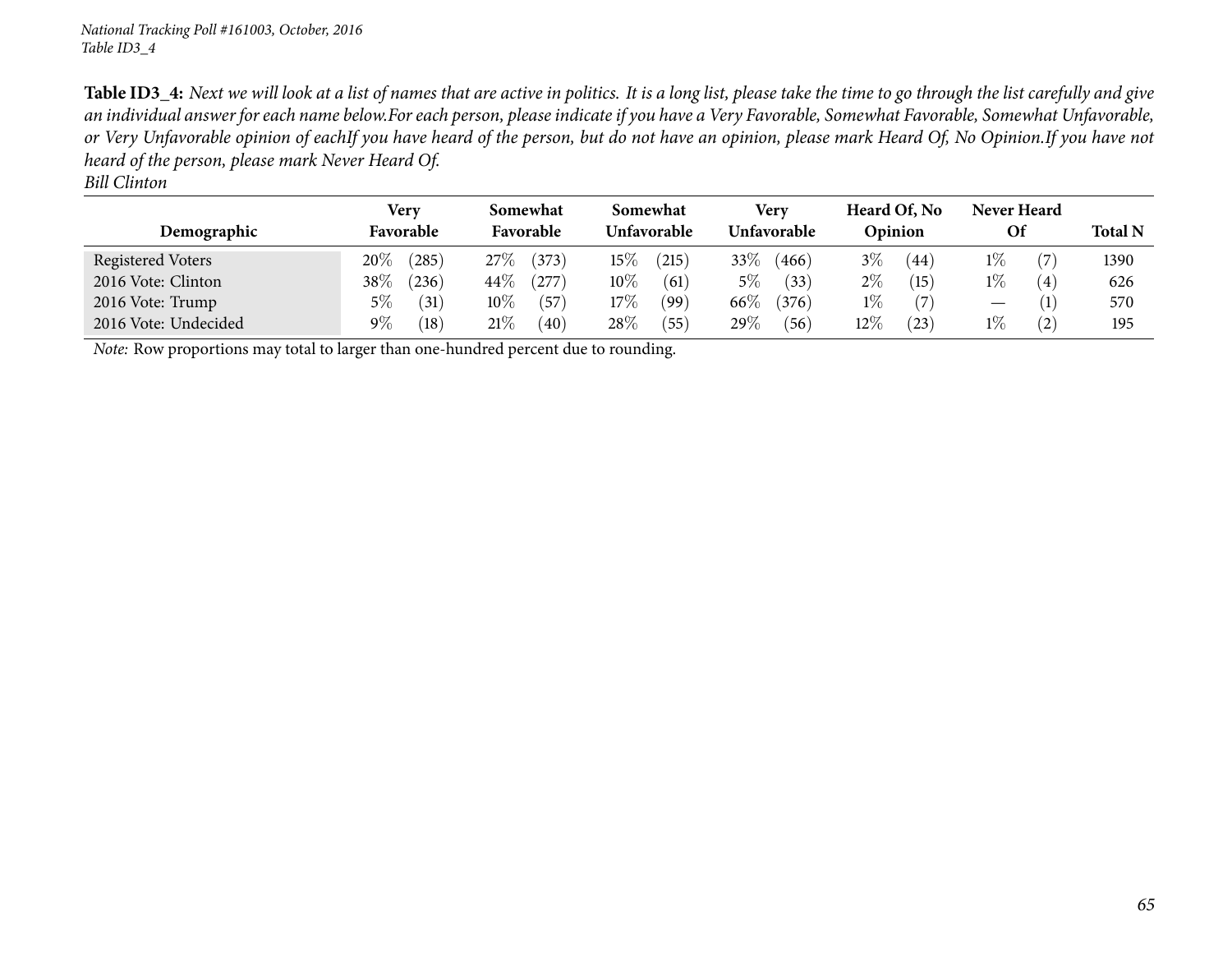Table ID3\_4: Next we will look at a list of names that are active in politics. It is a long list, please take the time to go through the list carefully and give an individual answer for each name below.For each person, please indicate if you have a Very Favorable, Somewhat Favorable, Somewhat Unfavorable, or Very Unfavorable opinion of eachIf you have heard of the person, but do not have an opinion, please mark Heard Of, No Opinion.If you have not *heard of the person, <sup>p</sup>lease mark Never Heard Of.*

|                      | Very      |                | Somewhat  |       | <b>Somewhat</b>    |      | Very               |       |         | Heard Of, No      | Never Heard |     |                |
|----------------------|-----------|----------------|-----------|-------|--------------------|------|--------------------|-------|---------|-------------------|-------------|-----|----------------|
| Demographic          | Favorable |                | Favorable |       | <b>Unfavorable</b> |      | <b>Unfavorable</b> |       | Opinion |                   | Of          |     | <b>Total N</b> |
| Registered Voters    | 20%       | (285)          | $27\%$    | (373) | $15\%$             | 215  | 33\%               | (466) | $3\%$   | (44)              | $1\%$       |     | 1390           |
| 2016 Vote: Clinton   | $38\%$    | (236)          | 44\%      | 277   | $10\%$             | (61) | $5\%$              | (33)  | $2\%$   | (15)              | $1\%$       | (4) | 626            |
| 2016 Vote: Trump     | $5\%$     | (31)           | $10\%$    | (57)  | $17\%$             | (99) | 66\%               | (376) | $1\%$   |                   |             |     | 570            |
| 2016 Vote: Undecided | $9\%$     | $^{\prime}18)$ | 21%       | (40)  | 28\%               | (55) | 29\%               | (56)  | 12%     | $\left(23\right)$ | $1\%$       | (2) | 195            |

*Note:* Row proportions may total to larger than one-hundred percen<sup>t</sup> due to rounding.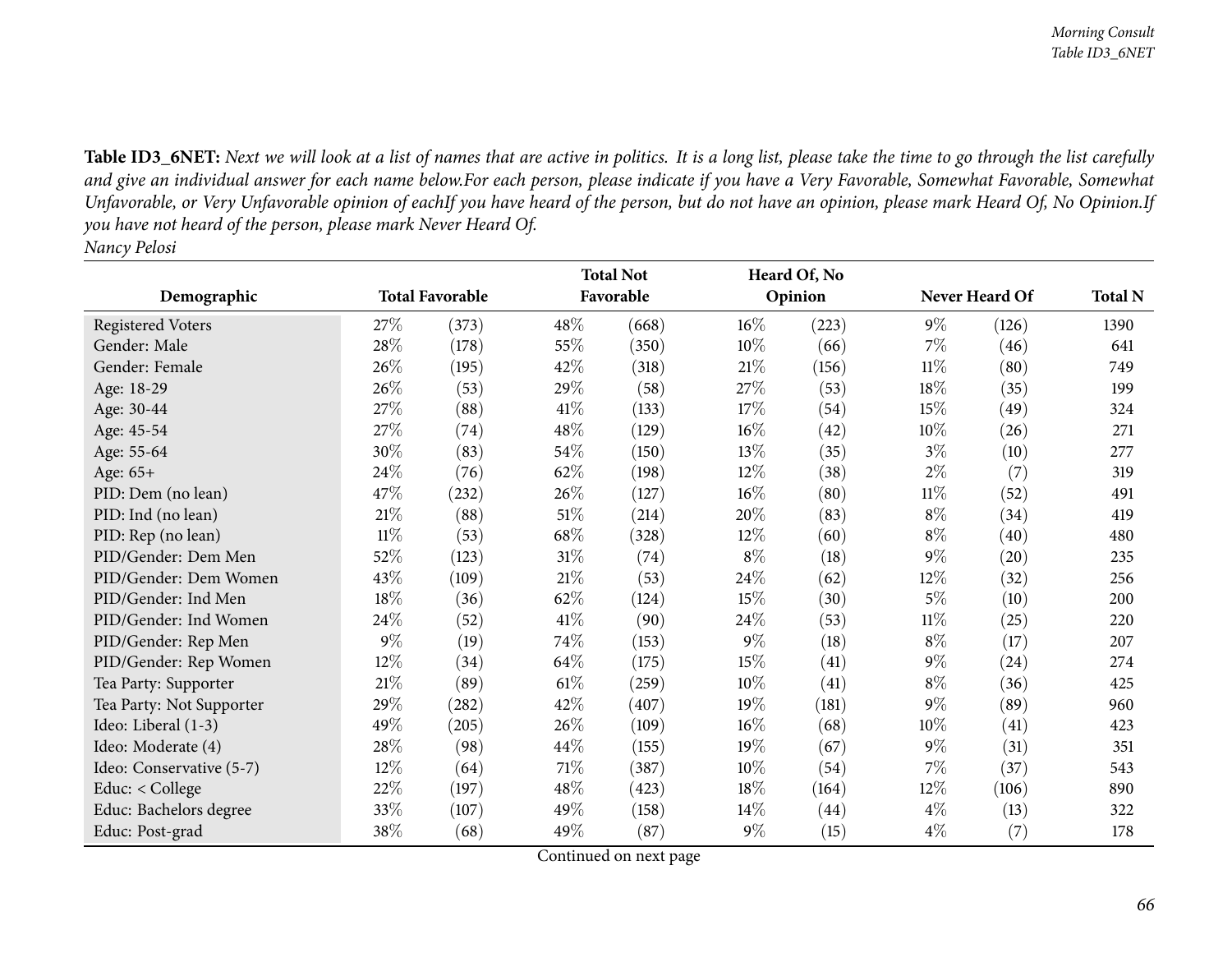Table ID3\_6NET: Next we will look at a list of names that are active in politics. It is a long list, please take the time to go through the list carefully and give an individual answer for each name below.For each person, please indicate if you have a Very Favorable, Somewhat Favorable, Somewhat Unfavorable, or Very Unfavorable opinion of eachIf you have heard of the person, but do not have an opinion, please mark Heard Of, No Opinion.If you have not heard of the person, please mark Never Heard Of. *Nancy Pelosi*

|                          |                        |                     | <b>Total Not</b> |           |        | Heard Of, No |        |                |                |
|--------------------------|------------------------|---------------------|------------------|-----------|--------|--------------|--------|----------------|----------------|
| Demographic              | <b>Total Favorable</b> |                     |                  | Favorable |        | Opinion      |        | Never Heard Of | <b>Total N</b> |
| Registered Voters        | 27%                    | (373)               | 48\%             | (668)     | $16\%$ | (223)        | $9\%$  | (126)          | 1390           |
| Gender: Male             | 28%                    | (178)               | 55%              | (350)     | 10%    | (66)         | $7\%$  | (46)           | 641            |
| Gender: Female           | 26%                    | (195)               | 42\%             | (318)     | 21%    | (156)        | $11\%$ | (80)           | 749            |
| Age: 18-29               | 26\%                   | (53)                | 29%              | (58)      | 27\%   | (53)         | $18\%$ | (35)           | 199            |
| Age: 30-44               | 27%                    | (88)                | 41\%             | (133)     | 17\%   | (54)         | 15%    | (49)           | 324            |
| Age: 45-54               | 27%                    | (74)                | 48\%             | (129)     | $16\%$ | (42)         | 10\%   | (26)           | 271            |
| Age: 55-64               | 30%                    | (83)                | 54\%             | (150)     | 13%    | (35)         | $3\%$  | (10)           | 277            |
| Age: 65+                 | 24\%                   | (76)                | 62%              | (198)     | $12\%$ | (38)         | $2\%$  | (7)            | 319            |
| PID: Dem (no lean)       | 47%                    | $\left( 232\right)$ | 26\%             | (127)     | $16\%$ | (80)         | $11\%$ | (52)           | 491            |
| PID: Ind (no lean)       | 21\%                   | (88)                | $51\%$           | (214)     | 20%    | (83)         | $8\%$  | (34)           | 419            |
| PID: Rep (no lean)       | $11\%$                 | (53)                | 68%              | (328)     | $12\%$ | (60)         | $8\%$  | (40)           | 480            |
| PID/Gender: Dem Men      | 52%                    | (123)               | $31\%$           | (74)      | $8\%$  | (18)         | $9\%$  | (20)           | 235            |
| PID/Gender: Dem Women    | 43%                    | (109)               | $21\%$           | (53)      | 24\%   | (62)         | $12\%$ | (32)           | 256            |
| PID/Gender: Ind Men      | 18%                    | (36)                | 62%              | (124)     | 15%    | (30)         | $5\%$  | (10)           | 200            |
| PID/Gender: Ind Women    | 24\%                   | (52)                | 41\%             | (90)      | 24\%   | (53)         | $11\%$ | (25)           | 220            |
| PID/Gender: Rep Men      | $9\%$                  | (19)                | 74%              | (153)     | $9\%$  | (18)         | $8\%$  | (17)           | 207            |
| PID/Gender: Rep Women    | 12%                    | (34)                | 64\%             | (175)     | 15%    | (41)         | $9\%$  | (24)           | 274            |
| Tea Party: Supporter     | 21%                    | (89)                | $61\%$           | (259)     | $10\%$ | (41)         | $8\%$  | (36)           | 425            |
| Tea Party: Not Supporter | 29%                    | (282)               | 42%              | (407)     | 19%    | (181)        | $9\%$  | (89)           | 960            |
| Ideo: Liberal (1-3)      | 49%                    | (205)               | 26%              | (109)     | $16\%$ | (68)         | 10%    | (41)           | 423            |
| Ideo: Moderate (4)       | 28\%                   | (98)                | 44\%             | (155)     | $19\%$ | (67)         | $9\%$  | (31)           | 351            |
| Ideo: Conservative (5-7) | 12%                    | (64)                | $71\%$           | (387)     | $10\%$ | (54)         | 7%     | (37)           | 543            |
| Educ: < College          | 22%                    | (197)               | 48%              | (423)     | 18%    | (164)        | 12%    | (106)          | 890            |
| Educ: Bachelors degree   | 33\%                   | (107)               | 49%              | (158)     | $14\%$ | (44)         | $4\%$  | (13)           | 322            |
| Educ: Post-grad          | 38%                    | (68)                | 49%              | (87)      | $9\%$  | (15)         | $4\%$  | (7)            | 178            |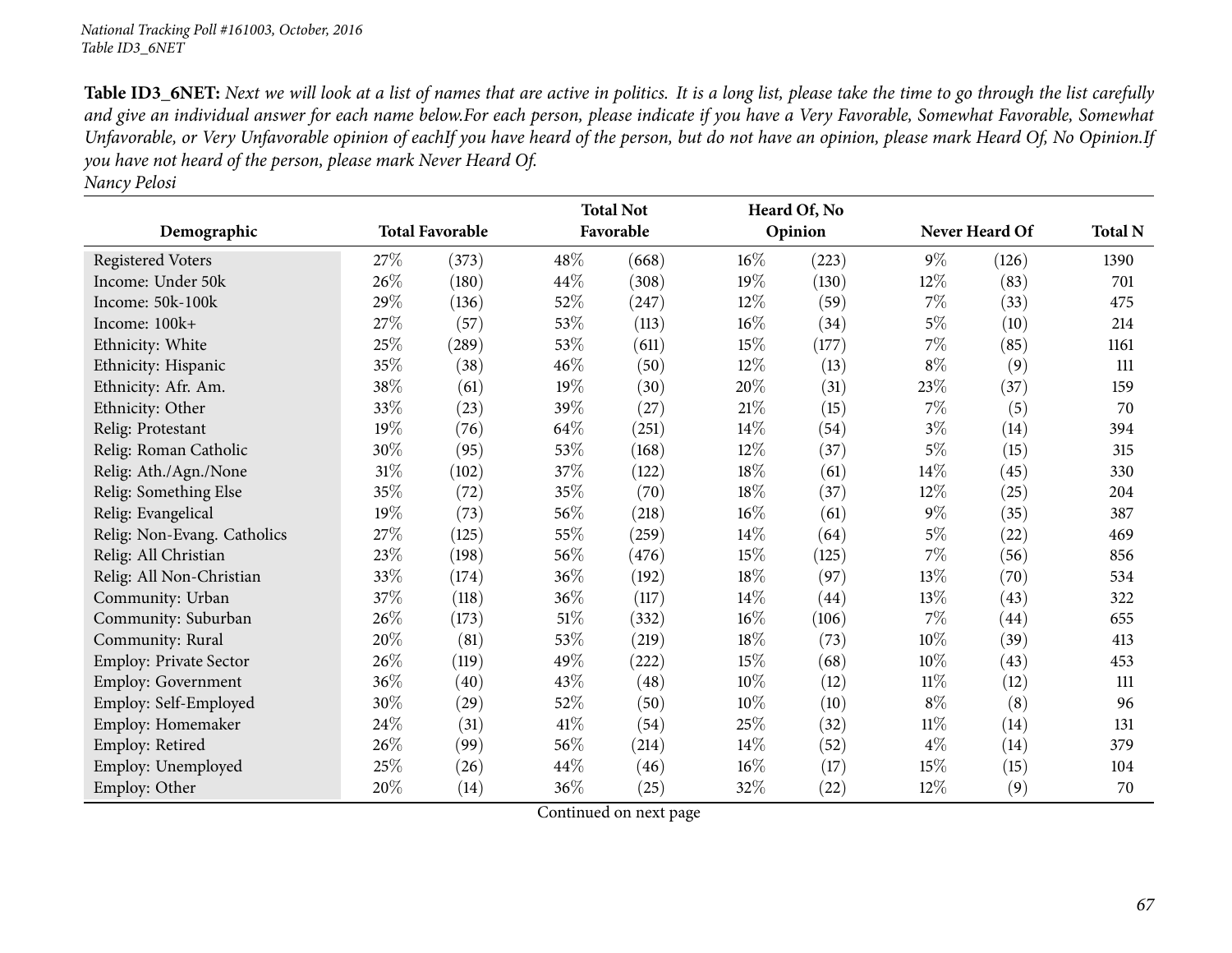Table ID3\_6NET: Next we will look at a list of names that are active in politics. It is a long list, please take the time to go through the list carefully and give an individual answer for each name below.For each person, please indicate if you have a Very Favorable, Somewhat Favorable, Somewhat Unfavorable, or Very Unfavorable opinion of eachIf you have heard of the person, but do not have an opinion, please mark Heard Of, No Opinion.If you have not heard of the person, please mark Never Heard Of.

| Nancy Pelosi |  |
|--------------|--|
|              |  |

|                             | <b>Total Favorable</b> |       |        | <b>Total Not</b> |        | Heard Of, No |        |                |                |
|-----------------------------|------------------------|-------|--------|------------------|--------|--------------|--------|----------------|----------------|
| Demographic                 |                        |       |        | Favorable        |        | Opinion      |        | Never Heard Of | <b>Total N</b> |
| <b>Registered Voters</b>    | 27\%                   | (373) | 48%    | (668)            | 16%    | (223)        | $9\%$  | (126)          | 1390           |
| Income: Under 50k           | 26\%                   | (180) | 44%    | (308)            | $19\%$ | (130)        | $12\%$ | (83)           | 701            |
| Income: 50k-100k            | 29%                    | (136) | 52%    | (247)            | $12\%$ | (59)         | $7\%$  | (33)           | 475            |
| Income: 100k+               | 27\%                   | (57)  | 53%    | (113)            | 16%    | (34)         | $5\%$  | (10)           | 214            |
| Ethnicity: White            | 25%                    | (289) | 53%    | (611)            | 15%    | (177)        | $7\%$  | (85)           | 1161           |
| Ethnicity: Hispanic         | 35%                    | (38)  | 46%    | (50)             | 12%    | (13)         | $8\%$  | (9)            | 111            |
| Ethnicity: Afr. Am.         | 38\%                   | (61)  | 19%    | (30)             | 20%    | (31)         | 23\%   | (37)           | 159            |
| Ethnicity: Other            | 33%                    | (23)  | 39%    | (27)             | 21%    | (15)         | $7\%$  | (5)            | 70             |
| Relig: Protestant           | 19%                    | (76)  | 64\%   | (251)            | 14%    | (54)         | $3\%$  | (14)           | 394            |
| Relig: Roman Catholic       | 30%                    | (95)  | 53%    | (168)            | $12\%$ | (37)         | $5\%$  | (15)           | 315            |
| Relig: Ath./Agn./None       | $31\%$                 | (102) | $37\%$ | (122)            | 18%    | (61)         | $14\%$ | (45)           | 330            |
| Relig: Something Else       | 35%                    | (72)  | 35%    | (70)             | 18%    | (37)         | $12\%$ | (25)           | 204            |
| Relig: Evangelical          | 19%                    | (73)  | 56%    | (218)            | 16%    | (61)         | $9\%$  | (35)           | 387            |
| Relig: Non-Evang. Catholics | 27\%                   | (125) | 55%    | (259)            | 14\%   | (64)         | $5\%$  | (22)           | 469            |
| Relig: All Christian        | 23\%                   | (198) | 56%    | (476)            | 15%    | (125)        | $7\%$  | (56)           | 856            |
| Relig: All Non-Christian    | 33\%                   | (174) | 36%    | (192)            | 18%    | (97)         | 13\%   | (70)           | 534            |
| Community: Urban            | 37\%                   | (118) | 36%    | (117)            | 14\%   | (44)         | 13%    | (43)           | 322            |
| Community: Suburban         | 26\%                   | (173) | $51\%$ | (332)            | 16%    | (106)        | $7\%$  | (44)           | 655            |
| Community: Rural            | 20%                    | (81)  | 53%    | (219)            | 18%    | (73)         | $10\%$ | (39)           | 413            |
| Employ: Private Sector      | 26\%                   | (119) | 49%    | (222)            | 15%    | (68)         | 10%    | (43)           | 453            |
| Employ: Government          | 36\%                   | (40)  | 43%    | (48)             | 10%    | (12)         | $11\%$ | (12)           | 111            |
| Employ: Self-Employed       | 30%                    | (29)  | 52%    | (50)             | 10%    | (10)         | $8\%$  | (8)            | 96             |
| Employ: Homemaker           | 24\%                   | (31)  | $41\%$ | (54)             | 25%    | (32)         | $11\%$ | (14)           | 131            |
| Employ: Retired             | 26\%                   | (99)  | 56%    | (214)            | 14\%   | (52)         | $4\%$  | (14)           | 379            |
| Employ: Unemployed          | 25%                    | (26)  | 44\%   | (46)             | 16%    | (17)         | $15\%$ | (15)           | 104            |
| Employ: Other               | 20%                    | (14)  | 36%    | (25)             | 32\%   | (22)         | 12%    | (9)            | 70             |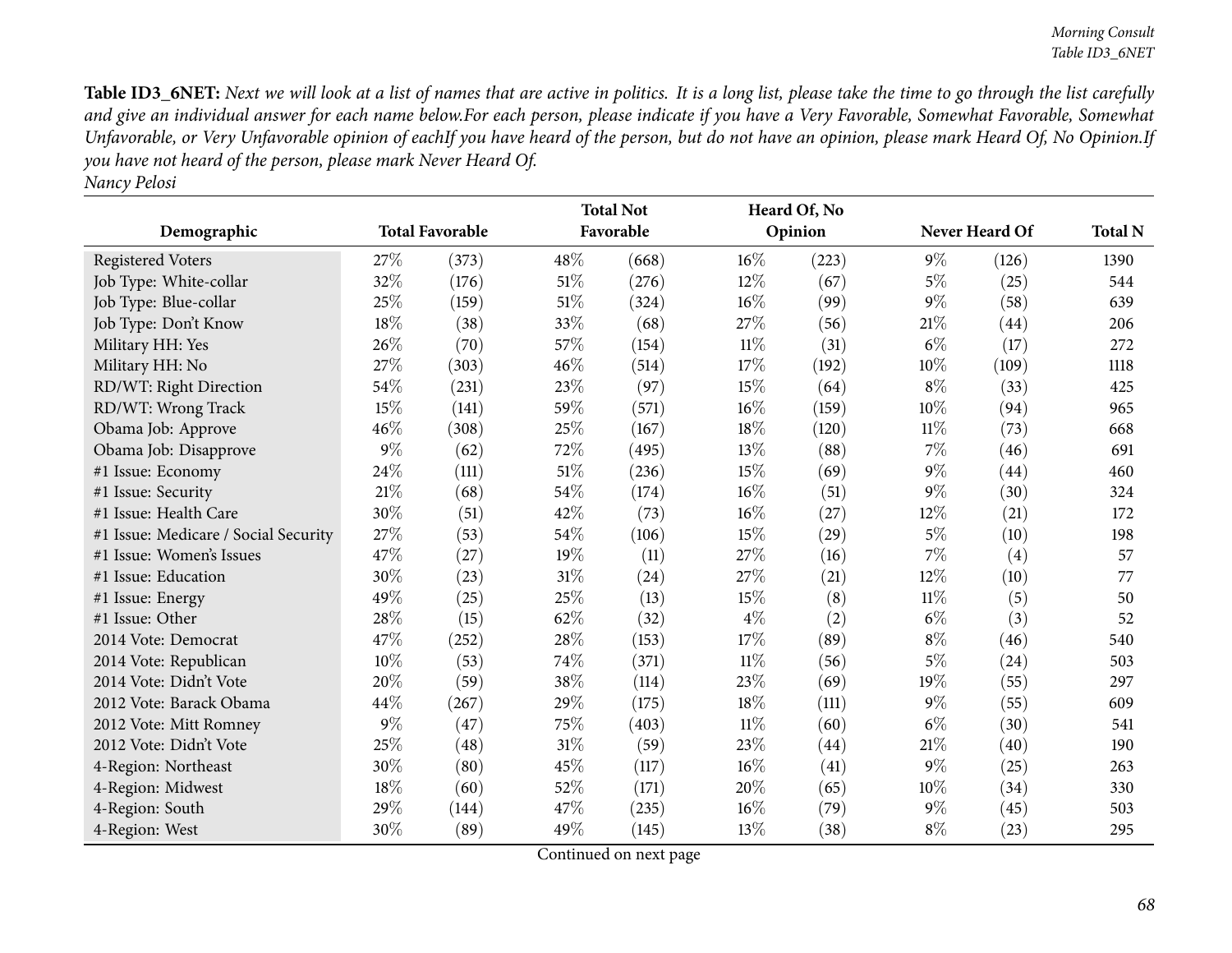Table ID3\_6NET: Next we will look at a list of names that are active in politics. It is a long list, please take the time to go through the list carefully and give an individual answer for each name below.For each person, please indicate if you have a Very Favorable, Somewhat Favorable, Somewhat Unfavorable, or Very Unfavorable opinion of eachIf you have heard of the person, but do not have an opinion, please mark Heard Of, No Opinion.If you have not heard of the person, please mark Never Heard Of. *Nancy Pelosi*

|                                      |        |                        | <b>Total Not</b> |           |        | Heard Of, No |        |                |                |  |
|--------------------------------------|--------|------------------------|------------------|-----------|--------|--------------|--------|----------------|----------------|--|
| Demographic                          |        | <b>Total Favorable</b> |                  | Favorable |        | Opinion      |        | Never Heard Of | <b>Total N</b> |  |
| <b>Registered Voters</b>             | 27\%   | (373)                  | 48\%             | (668)     | $16\%$ | (223)        | $9\%$  | (126)          | 1390           |  |
| Job Type: White-collar               | 32%    | (176)                  | 51%              | (276)     | 12%    | (67)         | $5\%$  | (25)           | 544            |  |
| Job Type: Blue-collar                | 25\%   | (159)                  | 51%              | (324)     | 16%    | (99)         | $9\%$  | (58)           | 639            |  |
| Job Type: Don't Know                 | 18%    | (38)                   | 33%              | (68)      | 27\%   | (56)         | 21%    | (44)           | 206            |  |
| Military HH: Yes                     | 26%    | (70)                   | 57%              | (154)     | $11\%$ | (31)         | $6\%$  | (17)           | 272            |  |
| Military HH: No                      | 27%    | (303)                  | 46%              | (514)     | 17%    | (192)        | 10%    | (109)          | 1118           |  |
| RD/WT: Right Direction               | 54%    | (231)                  | 23%              | (97)      | 15%    | (64)         | $8\%$  | (33)           | 425            |  |
| RD/WT: Wrong Track                   | 15%    | (141)                  | 59%              | (571)     | 16%    | (159)        | 10%    | (94)           | 965            |  |
| Obama Job: Approve                   | 46%    | (308)                  | 25%              | (167)     | 18%    | (120)        | $11\%$ | (73)           | 668            |  |
| Obama Job: Disapprove                | $9\%$  | (62)                   | 72%              | (495)     | 13\%   | (88)         | 7%     | (46)           | 691            |  |
| #1 Issue: Economy                    | 24%    | (111)                  | 51%              | (236)     | 15%    | (69)         | 9%     | (44)           | 460            |  |
| #1 Issue: Security                   | 21\%   | (68)                   | 54%              | (174)     | 16%    | (51)         | $9\%$  | (30)           | 324            |  |
| #1 Issue: Health Care                | 30%    | (51)                   | 42%              | (73)      | 16%    | (27)         | 12%    | (21)           | 172            |  |
| #1 Issue: Medicare / Social Security | 27%    | (53)                   | 54%              | (106)     | 15%    | (29)         | $5\%$  | (10)           | 198            |  |
| #1 Issue: Women's Issues             | 47%    | (27)                   | 19%              | (11)      | 27%    | (16)         | 7%     | (4)            | 57             |  |
| #1 Issue: Education                  | 30%    | (23)                   | 31%              | (24)      | 27%    | (21)         | 12%    | (10)           | 77             |  |
| #1 Issue: Energy                     | 49%    | (25)                   | 25%              | (13)      | 15%    | (8)          | $11\%$ | (5)            | 50             |  |
| #1 Issue: Other                      | 28%    | (15)                   | 62%              | (32)      | $4\%$  | (2)          | $6\%$  | (3)            | 52             |  |
| 2014 Vote: Democrat                  | 47\%   | (252)                  | 28%              | (153)     | 17%    | (89)         | $8\%$  | (46)           | 540            |  |
| 2014 Vote: Republican                | $10\%$ | (53)                   | 74%              | (371)     | $11\%$ | (56)         | $5\%$  | (24)           | 503            |  |
| 2014 Vote: Didn't Vote               | 20%    | (59)                   | 38%              | (114)     | 23%    | (69)         | 19%    | (55)           | 297            |  |
| 2012 Vote: Barack Obama              | 44%    | (267)                  | 29%              | (175)     | 18%    | (111)        | $9\%$  | (55)           | 609            |  |
| 2012 Vote: Mitt Romney               | $9\%$  | (47)                   | 75%              | (403)     | $11\%$ | (60)         | $6\%$  | (30)           | 541            |  |
| 2012 Vote: Didn't Vote               | 25%    | (48)                   | 31%              | (59)      | 23%    | (44)         | 21%    | (40)           | 190            |  |
| 4-Region: Northeast                  | 30%    | (80)                   | 45%              | (117)     | 16%    | (41)         | $9\%$  | (25)           | 263            |  |
| 4-Region: Midwest                    | 18%    | (60)                   | 52%              | (171)     | 20%    | (65)         | 10%    | (34)           | 330            |  |
| 4-Region: South                      | 29%    | (144)                  | 47%              | (235)     | 16%    | (79)         | $9\%$  | (45)           | 503            |  |
| 4-Region: West                       | 30%    | (89)                   | 49%              | (145)     | 13\%   | (38)         | $8\%$  | (23)           | 295            |  |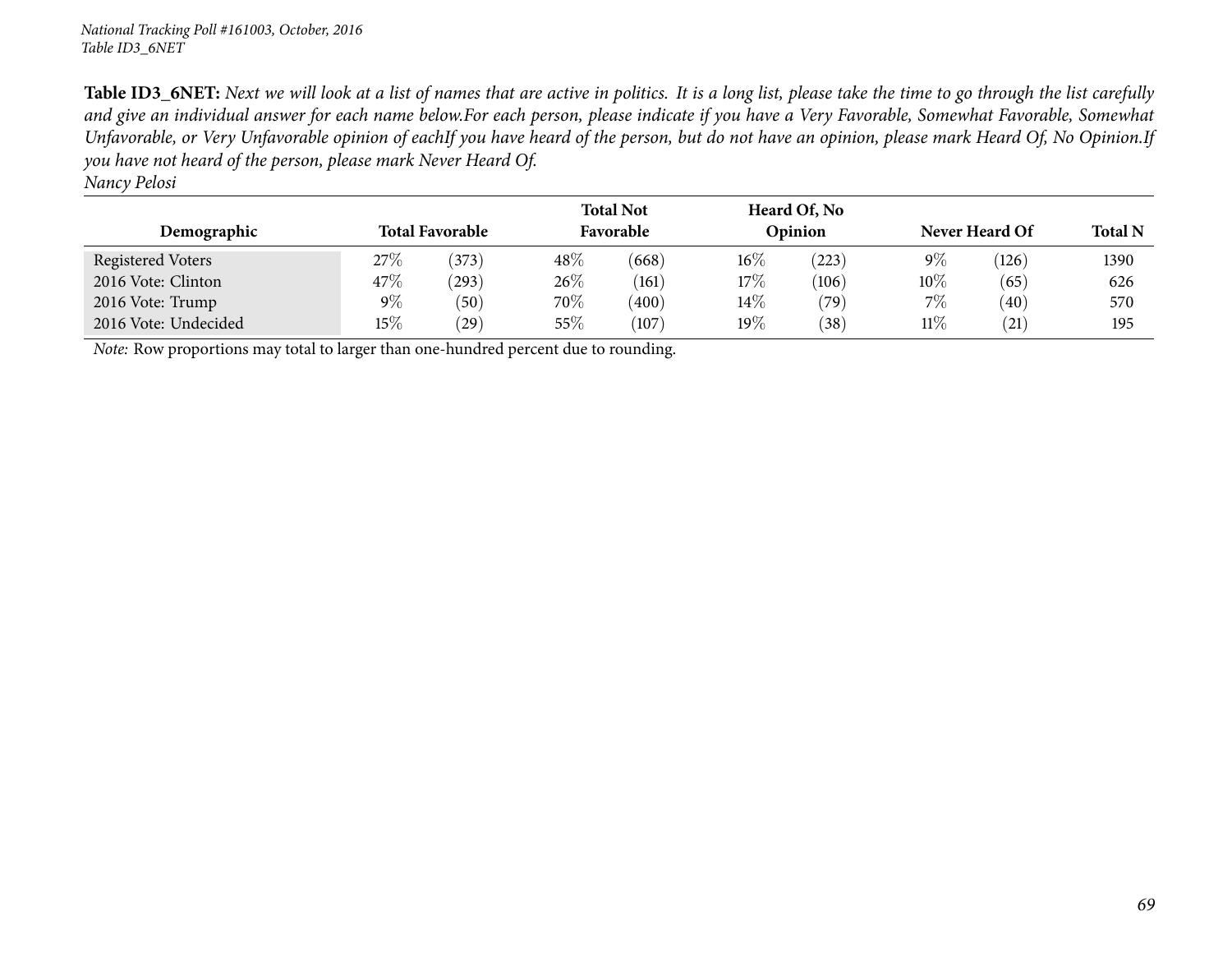Table ID3\_6NET: Next we will look at a list of names that are active in politics. It is a long list, please take the time to go through the list carefully and give an individual answer for each name below.For each person, please indicate if you have a Very Favorable, Somewhat Favorable, Somewhat Unfavorable, or Very Unfavorable opinion of eachIf you have heard of the person, but do not have an opinion, please mark Heard Of, No Opinion.If you have not heard of the person, please mark Never Heard Of.

*Nancy Pelosi*

| Demographic          | <b>Total Favorable</b> |       |        | <b>Total Not</b><br>Favorable |        | Heard Of, No<br>Opinion | Never Heard Of | <b>Total N</b> |      |
|----------------------|------------------------|-------|--------|-------------------------------|--------|-------------------------|----------------|----------------|------|
| Registered Voters    | $27\%$                 | (373) | 48\%   | (668)                         | $16\%$ | (223)                   | 9%             | (126)          | 1390 |
| 2016 Vote: Clinton   | $47\%$                 | (293) | $26\%$ | (161)                         | 17%    | (106)                   | $10\%$         | (65)           | 626  |
| 2016 Vote: Trump     | $9\%$                  | (50)  | 70\%   | (400)                         | $14\%$ | (79)                    | $7\%$          | (40)           | 570  |
| 2016 Vote: Undecided | $15\%$                 | (29)  | 55%    | (107)                         | $19\%$ | (38)                    | 11%            | $^{'}21)$      | 195  |

*Note:* Row proportions may total to larger than one-hundred percen<sup>t</sup> due to rounding.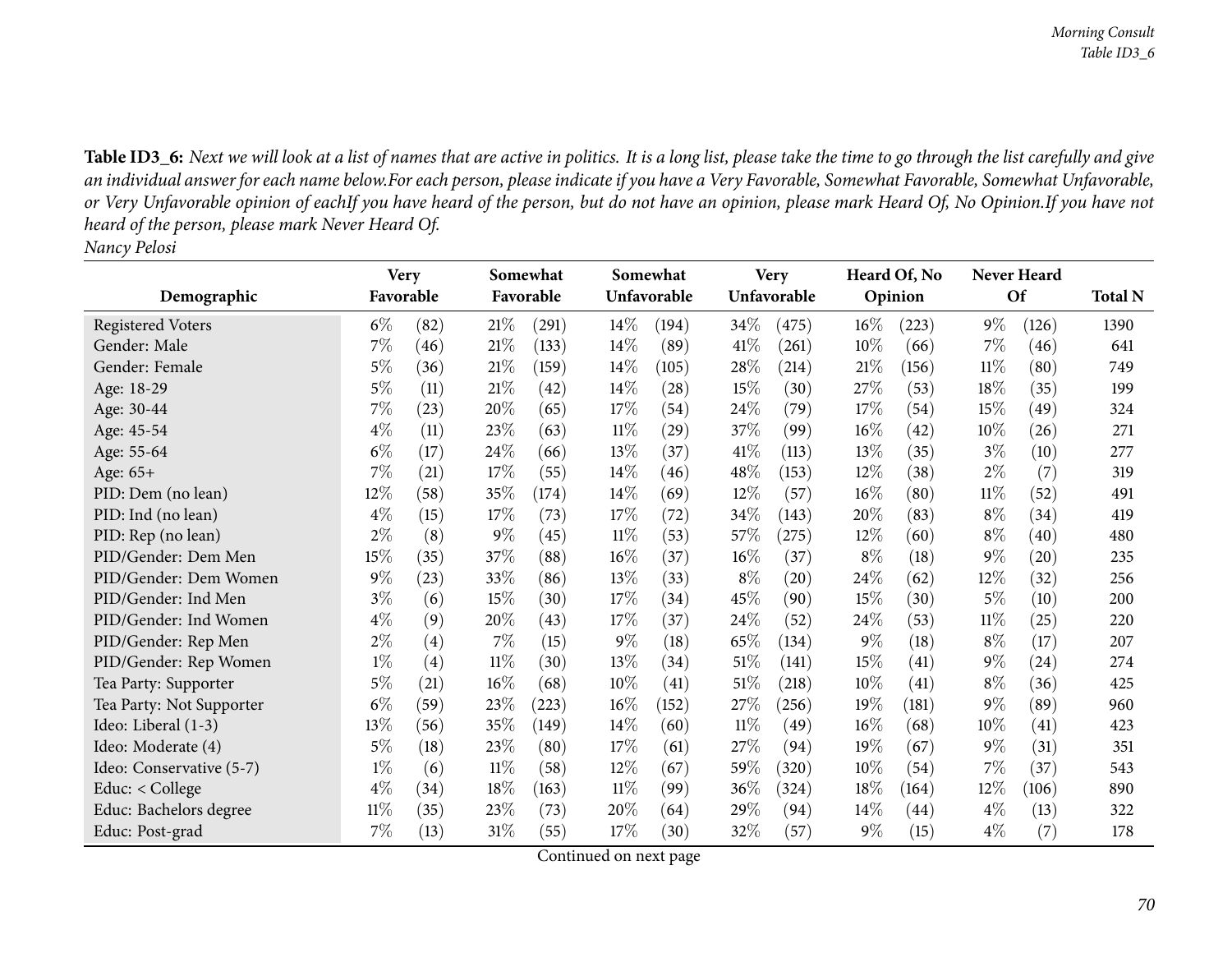Table ID3\_6: Next we will look at a list of names that are active in politics. It is a long list, please take the time to go through the list carefully and give an individual answer for each name below.For each person, please indicate if you have a Very Favorable, Somewhat Favorable, Somewhat Unfavorable, or Very Unfavorable opinion of eachIf you have heard of the person, but do not have an opinion, please mark Heard Of, No Opinion.If you have not *heard of the person, <sup>p</sup>lease mark Never Heard Of. Nancy Pelosi*

|                          | <b>Very</b> |      | Somewhat |           |        | Somewhat    |        | <b>Very</b> |        | Heard Of, No |        | <b>Never Heard</b> |                |  |
|--------------------------|-------------|------|----------|-----------|--------|-------------|--------|-------------|--------|--------------|--------|--------------------|----------------|--|
| Demographic              | Favorable   |      |          | Favorable |        | Unfavorable |        | Unfavorable |        | Opinion      |        | Of                 | <b>Total N</b> |  |
| <b>Registered Voters</b> | $6\%$       | (82) | 21%      | (291)     | $14\%$ | (194)       | $34\%$ | (475)       | $16\%$ | (223)        | $9\%$  | (126)              | 1390           |  |
| Gender: Male             | $7\%$       | (46) | 21%      | (133)     | $14\%$ | (89)        | $41\%$ | (261)       | $10\%$ | (66)         | 7%     | (46)               | 641            |  |
| Gender: Female           | $5\%$       | (36) | 21%      | (159)     | 14\%   | (105)       | 28%    | (214)       | 21%    | (156)        | $11\%$ | (80)               | 749            |  |
| Age: 18-29               | $5\%$       | (11) | 21%      | (42)      | $14\%$ | (28)        | 15%    | (30)        | 27\%   | (53)         | 18%    | (35)               | 199            |  |
| Age: 30-44               | $7\%$       | (23) | 20%      | (65)      | 17%    | (54)        | 24%    | (79)        | 17%    | (54)         | 15%    | (49)               | 324            |  |
| Age: 45-54               | $4\%$       | (11) | 23%      | (63)      | $11\%$ | (29)        | 37%    | (99)        | $16\%$ | (42)         | 10%    | (26)               | 271            |  |
| Age: 55-64               | $6\%$       | (17) | 24\%     | (66)      | 13%    | (37)        | 41\%   | (113)       | 13\%   | (35)         | $3\%$  | (10)               | 277            |  |
| Age: 65+                 | $7\%$       | (21) | 17%      | (55)      | 14\%   | (46)        | 48\%   | (153)       | 12%    | (38)         | $2\%$  | (7)                | 319            |  |
| PID: Dem (no lean)       | 12%         | (58) | 35%      | (174)     | $14\%$ | (69)        | 12%    | (57)        | $16\%$ | (80)         | $11\%$ | (52)               | 491            |  |
| PID: Ind (no lean)       | $4\%$       | (15) | 17%      | (73)      | 17%    | (72)        | 34%    | (143)       | 20%    | (83)         | $8\%$  | (34)               | 419            |  |
| PID: Rep (no lean)       | $2\%$       | (8)  | $9\%$    | (45)      | $11\%$ | (53)        | 57\%   | (275)       | 12%    | (60)         | $8\%$  | (40)               | 480            |  |
| PID/Gender: Dem Men      | 15%         | (35) | 37\%     | (88)      | $16\%$ | (37)        | 16%    | (37)        | $8\%$  | (18)         | $9\%$  | (20)               | 235            |  |
| PID/Gender: Dem Women    | $9\%$       | (23) | 33%      | (86)      | 13%    | (33)        | $8\%$  | (20)        | 24\%   | (62)         | 12%    | (32)               | 256            |  |
| PID/Gender: Ind Men      | $3\%$       | (6)  | 15%      | (30)      | 17%    | (34)        | 45%    | (90)        | 15%    | (30)         | $5\%$  | (10)               | 200            |  |
| PID/Gender: Ind Women    | $4\%$       | (9)  | 20%      | (43)      | 17%    | (37)        | 24%    | (52)        | 24\%   | (53)         | $11\%$ | (25)               | 220            |  |
| PID/Gender: Rep Men      | $2\%$       | (4)  | 7%       | (15)      | $9\%$  | (18)        | 65%    | (134)       | $9\%$  | (18)         | $8\%$  | (17)               | 207            |  |
| PID/Gender: Rep Women    | $1\%$       | (4)  | $11\%$   | (30)      | 13%    | (34)        | $51\%$ | (141)       | 15%    | (41)         | $9\%$  | (24)               | 274            |  |
| Tea Party: Supporter     | $5\%$       | (21) | 16%      | (68)      | 10%    | (41)        | 51\%   | (218)       | $10\%$ | (41)         | $8\%$  | (36)               | 425            |  |
| Tea Party: Not Supporter | $6\%$       | (59) | 23%      | (223)     | 16%    | (152)       | 27%    | (256)       | 19%    | (181)        | $9\%$  | (89)               | 960            |  |
| Ideo: Liberal (1-3)      | 13%         | (56) | 35%      | (149)     | 14\%   | (60)        | $11\%$ | (49)        | $16\%$ | (68)         | 10%    | (41)               | 423            |  |
| Ideo: Moderate (4)       | $5\%$       | (18) | 23%      | (80)      | 17\%   | (61)        | 27\%   | (94)        | 19%    | (67)         | $9\%$  | (31)               | 351            |  |
| Ideo: Conservative (5-7) | $1\%$       | (6)  | $11\%$   | (58)      | 12%    | (67)        | 59%    | (320)       | 10%    | (54)         | $7\%$  | (37)               | 543            |  |
| Educ: < College          | $4\%$       | (34) | 18%      | (163)     | 11%    | (99)        | 36\%   | (324)       | 18%    | (164)        | 12\%   | (106)              | 890            |  |
| Educ: Bachelors degree   | $11\%$      | (35) | 23\%     | (73)      | 20%    | (64)        | 29%    | (94)        | $14\%$ | (44)         | $4\%$  | (13)               | 322            |  |
| Educ: Post-grad          | 7%          | (13) | 31\%     | (55)      | 17%    | (30)        | 32%    | (57)        | $9\%$  | (15)         | $4\%$  | (7)                | 178            |  |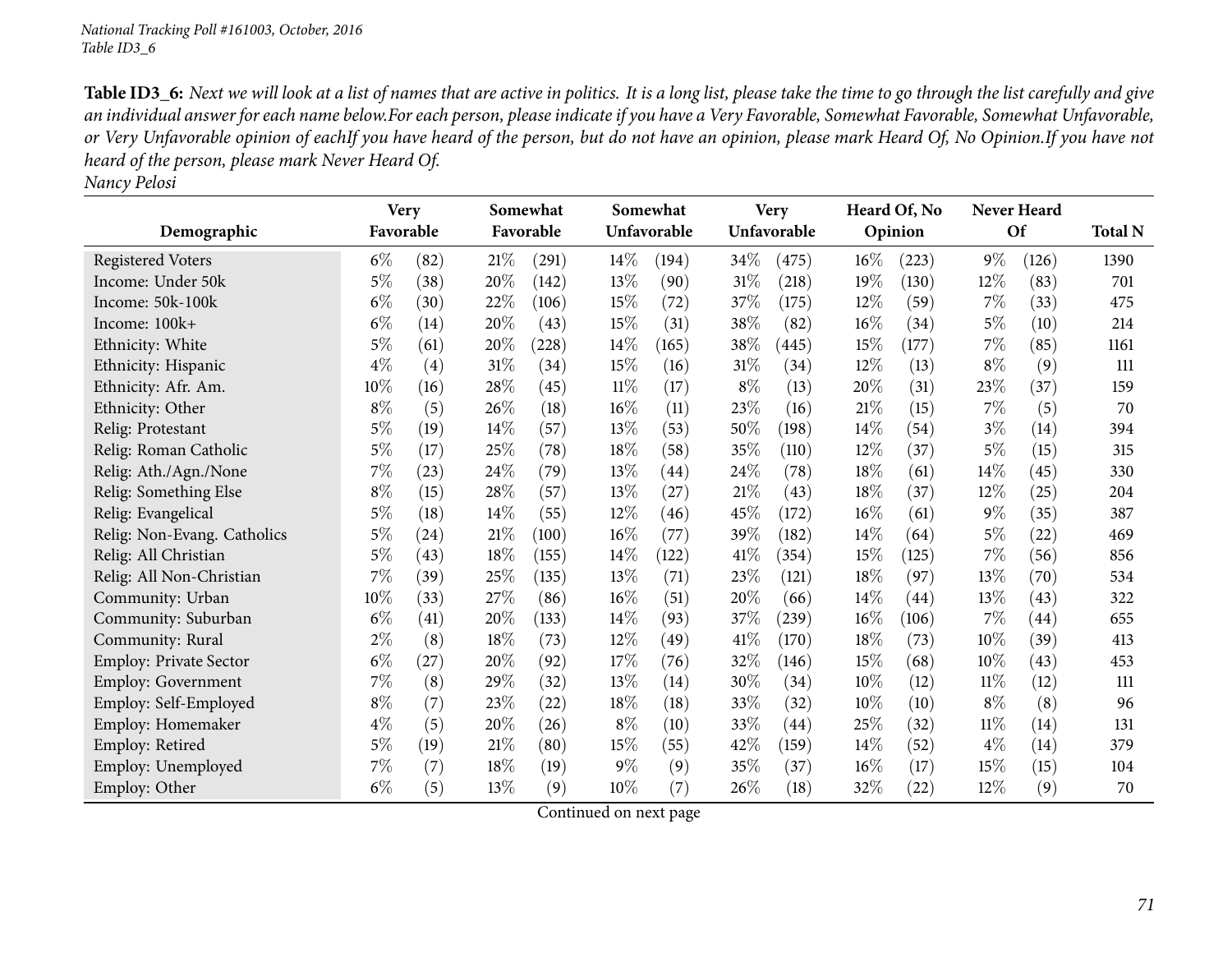Table ID3\_6: Next we will look at a list of names that are active in politics. It is a long list, please take the time to go through the list carefully and give an individual answer for each name below.For each person, please indicate if you have a Very Favorable, Somewhat Favorable, Somewhat Unfavorable, or Very Unfavorable opinion of eachIf you have heard of the person, but do not have an opinion, please mark Heard Of, No Opinion.If you have not *heard of the person, <sup>p</sup>lease mark Never Heard Of.*

*Nancy Pelosi*

|                               |           | Somewhat<br><b>Very</b> |      |           |        | Somewhat<br><b>Very</b> |        |             |      | Heard Of, No |        | Never Heard |      |  |
|-------------------------------|-----------|-------------------------|------|-----------|--------|-------------------------|--------|-------------|------|--------------|--------|-------------|------|--|
| Demographic                   | Favorable |                         |      | Favorable |        | Unfavorable             |        | Unfavorable |      | Opinion      |        | <b>Of</b>   |      |  |
| <b>Registered Voters</b>      | $6\%$     | (82)                    | 21%  | (291)     | 14\%   | (194)                   | 34\%   | (475)       | 16%  | (223)        | $9\%$  | (126)       | 1390 |  |
| Income: Under 50k             | $5\%$     | (38)                    | 20%  | (142)     | 13%    | (90)                    | $31\%$ | (218)       | 19%  | (130)        | 12%    | (83)        | 701  |  |
| Income: 50k-100k              | $6\%$     | (30)                    | 22%  | (106)     | 15%    | (72)                    | 37\%   | (175)       | 12%  | (59)         | $7\%$  | (33)        | 475  |  |
| Income: 100k+                 | $6\%$     | (14)                    | 20%  | (43)      | 15%    | (31)                    | 38\%   | (82)        | 16%  | (34)         | $5\%$  | (10)        | 214  |  |
| Ethnicity: White              | $5\%$     | (61)                    | 20%  | (228)     | 14\%   | (165)                   | 38\%   | (445)       | 15%  | (177)        | $7\%$  | (85)        | 1161 |  |
| Ethnicity: Hispanic           | $4\%$     | (4)                     | 31%  | (34)      | 15%    | (16)                    | $31\%$ | (34)        | 12%  | (13)         | $8\%$  | (9)         | 111  |  |
| Ethnicity: Afr. Am.           | $10\%$    | (16)                    | 28%  | (45)      | $11\%$ | (17)                    | $8\%$  | (13)        | 20%  | (31)         | 23%    | (37)        | 159  |  |
| Ethnicity: Other              | $8\%$     | (5)                     | 26%  | (18)      | 16%    | (11)                    | 23\%   | (16)        | 21%  | (15)         | 7%     | (5)         | 70   |  |
| Relig: Protestant             | $5\%$     | (19)                    | 14\% | (57)      | 13%    | (53)                    | 50%    | (198)       | 14%  | (54)         | $3\%$  | (14)        | 394  |  |
| Relig: Roman Catholic         | $5\%$     | (17)                    | 25%  | (78)      | 18%    | (58)                    | 35\%   | (110)       | 12%  | (37)         | $5\%$  | (15)        | 315  |  |
| Relig: Ath./Agn./None         | $7\%$     | (23)                    | 24%  | (79)      | 13%    | $\left( 44\right)$      | 24\%   | (78)        | 18%  | (61)         | 14%    | (45)        | 330  |  |
| Relig: Something Else         | $8\%$     | (15)                    | 28\% | (57)      | 13%    | (27)                    | $21\%$ | (43)        | 18%  | (37)         | $12\%$ | (25)        | 204  |  |
| Relig: Evangelical            | $5\%$     | (18)                    | 14\% | (55)      | 12%    | (46)                    | 45%    | (172)       | 16%  | (61)         | $9\%$  | (35)        | 387  |  |
| Relig: Non-Evang. Catholics   | $5\%$     | (24)                    | 21%  | (100)     | 16%    | (77)                    | 39%    | (182)       | 14%  | (64)         | $5\%$  | (22)        | 469  |  |
| Relig: All Christian          | $5\%$     | (43)                    | 18%  | (155)     | 14\%   | (122)                   | 41\%   | (354)       | 15%  | (125)        | $7\%$  | (56)        | 856  |  |
| Relig: All Non-Christian      | $7\%$     | (39)                    | 25%  | (135)     | 13%    | (71)                    | 23%    | (121)       | 18%  | (97)         | 13%    | (70)        | 534  |  |
| Community: Urban              | 10%       | (33)                    | 27%  | (86)      | 16%    | (51)                    | 20%    | (66)        | 14%  | (44)         | 13%    | (43)        | 322  |  |
| Community: Suburban           | $6\%$     | (41)                    | 20%  | (133)     | 14%    | (93)                    | 37\%   | (239)       | 16%  | (106)        | $7\%$  | (44)        | 655  |  |
| Community: Rural              | $2\%$     | (8)                     | 18%  | (73)      | 12%    | (49)                    | 41\%   | (170)       | 18%  | (73)         | 10%    | (39)        | 413  |  |
| <b>Employ: Private Sector</b> | $6\%$     | (27)                    | 20%  | (92)      | 17%    | (76)                    | 32\%   | (146)       | 15%  | (68)         | 10%    | (43)        | 453  |  |
| <b>Employ: Government</b>     | $7\%$     | (8)                     | 29%  | (32)      | 13%    | (14)                    | 30%    | (34)        | 10%  | (12)         | $11\%$ | (12)        | 111  |  |
| Employ: Self-Employed         | $8\%$     | (7)                     | 23%  | (22)      | 18%    | (18)                    | 33%    | (32)        | 10%  | (10)         | $8\%$  | (8)         | 96   |  |
| Employ: Homemaker             | $4\%$     | (5)                     | 20%  | (26)      | $8\%$  | (10)                    | 33%    | (44)        | 25%  | (32)         | $11\%$ | (14)        | 131  |  |
| Employ: Retired               | $5\%$     | (19)                    | 21%  | (80)      | 15%    | (55)                    | 42%    | (159)       | 14\% | (52)         | $4\%$  | (14)        | 379  |  |
| Employ: Unemployed            | $7\%$     | (7)                     | 18%  | (19)      | $9\%$  | (9)                     | 35%    | (37)        | 16%  | (17)         | 15%    | (15)        | 104  |  |
| Employ: Other                 | $6\%$     | (5)                     | 13%  | (9)       | 10%    | (7)                     | 26\%   | (18)        | 32%  | (22)         | 12%    | (9)         | 70   |  |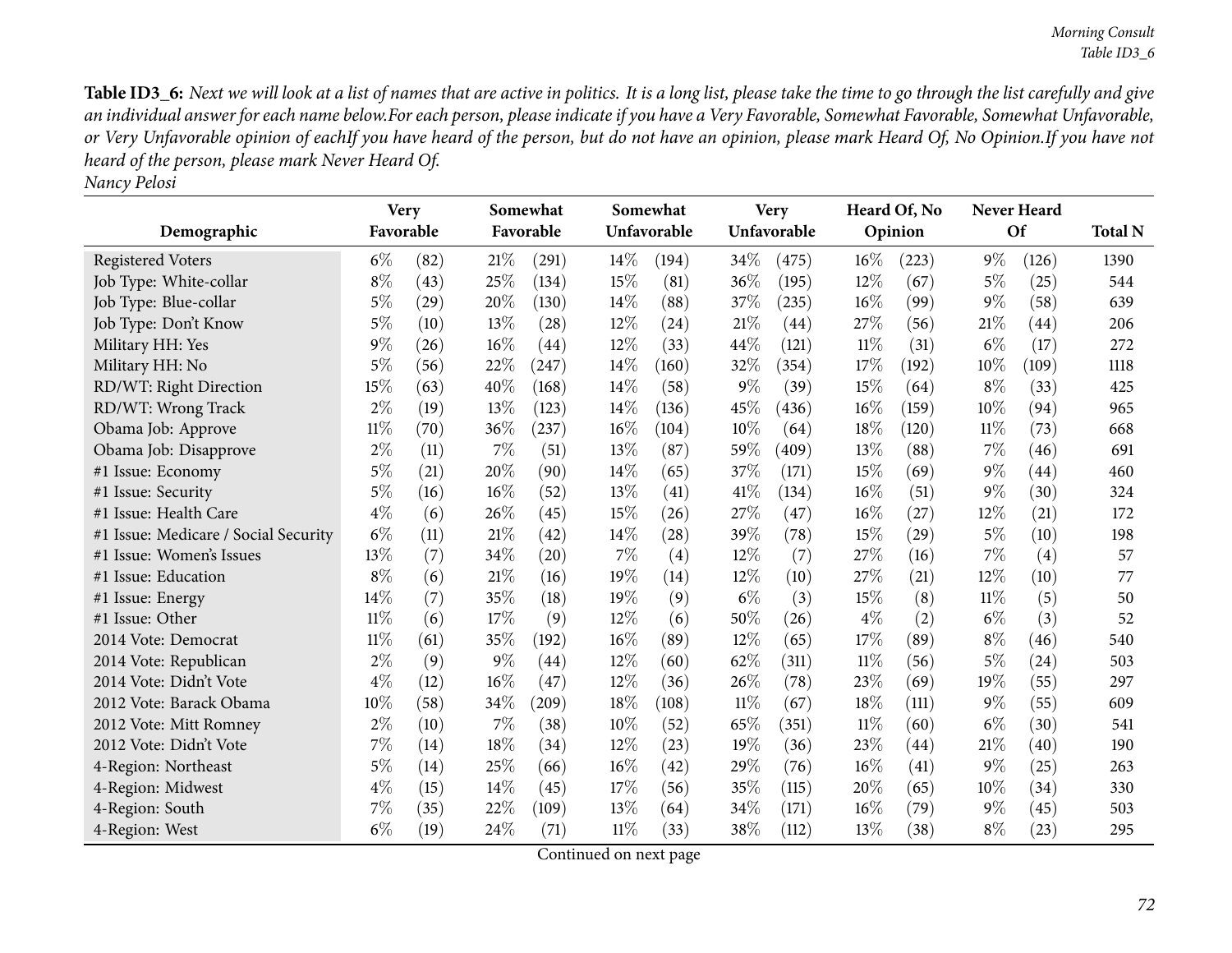Table ID3\_6: Next we will look at a list of names that are active in politics. It is a long list, please take the time to go through the list carefully and give an individual answer for each name below.For each person, please indicate if you have a Very Favorable, Somewhat Favorable, Somewhat Unfavorable, or Very Unfavorable opinion of eachIf you have heard of the person, but do not have an opinion, please mark Heard Of, No Opinion.If you have not *heard of the person, <sup>p</sup>lease mark Never Heard Of.*

|                                      | <b>Very</b> |      |        | Somewhat  |        | Somewhat    |        | <b>Very</b> |        | Heard Of, No       |        | Never Heard |                |
|--------------------------------------|-------------|------|--------|-----------|--------|-------------|--------|-------------|--------|--------------------|--------|-------------|----------------|
| Demographic                          | Favorable   |      |        | Favorable |        | Unfavorable |        | Unfavorable |        | Opinion            |        | <b>Of</b>   | <b>Total N</b> |
| <b>Registered Voters</b>             | $6\%$       | (82) | 21%    | (291)     | $14\%$ | (194)       | 34\%   | (475)       | 16%    | (223)              | $9\%$  | (126)       | 1390           |
| Job Type: White-collar               | $8\%$       | (43) | 25%    | (134)     | 15%    | (81)        | 36%    | (195)       | 12%    | (67)               | $5\%$  | (25)        | 544            |
| Job Type: Blue-collar                | $5\%$       | (29) | 20%    | (130)     | 14%    | (88)        | 37%    | (235)       | 16%    | (99)               | $9\%$  | (58)        | 639            |
| Job Type: Don't Know                 | $5\%$       | (10) | 13%    | (28)      | $12\%$ | (24)        | 21%    | (44)        | 27\%   | (56)               | 21%    | (44)        | 206            |
| Military HH: Yes                     | $9\%$       | (26) | 16%    | (44)      | 12%    | (33)        | 44%    | (121)       | 11%    | (31)               | $6\%$  | (17)        | 272            |
| Military HH: No                      | $5\%$       | (56) | 22%    | (247)     | 14%    | (160)       | 32%    | (354)       | 17%    | (192)              | 10\%   | (109)       | 1118           |
| RD/WT: Right Direction               | 15%         | (63) | 40%    | (168)     | 14%    | (58)        | $9\%$  | (39)        | 15%    | (64)               | $8\%$  | (33)        | 425            |
| RD/WT: Wrong Track                   | $2\%$       | (19) | 13%    | (123)     | 14\%   | (136)       | 45%    | (436)       | 16%    | (159)              | $10\%$ | (94)        | 965            |
| Obama Job: Approve                   | $11\%$      | (70) | 36%    | (237)     | 16%    | (104)       | 10%    | (64)        | 18%    | (120)              | 11%    | (73)        | 668            |
| Obama Job: Disapprove                | $2\%$       | (11) | 7%     | (51)      | 13%    | (87)        | 59%    | (409)       | 13%    | (88)               | 7%     | (46)        | 691            |
| #1 Issue: Economy                    | $5\%$       | (21) | 20%    | (90)      | 14%    | (65)        | 37%    | (171)       | 15%    | (69)               | $9\%$  | (44)        | 460            |
| #1 Issue: Security                   | $5\%$       | (16) | 16%    | (52)      | 13%    | (41)        | 41\%   | (134)       | $16\%$ | (51)               | $9\%$  | (30)        | 324            |
| #1 Issue: Health Care                | $4\%$       | (6)  | 26%    | (45)      | 15%    | (26)        | 27%    | (47)        | 16%    | (27)               | 12%    | (21)        | 172            |
| #1 Issue: Medicare / Social Security | $6\%$       | (11) | 21%    | (42)      | 14%    | (28)        | 39%    | (78)        | 15%    | $\left( 29\right)$ | $5\%$  | (10)        | 198            |
| #1 Issue: Women's Issues             | 13%         | (7)  | 34%    | (20)      | 7%     | (4)         | 12%    | (7)         | 27%    | (16)               | $7\%$  | (4)         | 57             |
| #1 Issue: Education                  | $8\%$       | (6)  | 21%    | (16)      | 19%    | (14)        | 12%    | (10)        | 27%    | (21)               | 12%    | (10)        | 77             |
| #1 Issue: Energy                     | 14%         | (7)  | $35\%$ | (18)      | 19%    | (9)         | $6\%$  | (3)         | 15%    | (8)                | $11\%$ | (5)         | 50             |
| #1 Issue: Other                      | 11%         | (6)  | 17%    | (9)       | 12%    | (6)         | 50%    | (26)        | $4\%$  | (2)                | $6\%$  | (3)         | 52             |
| 2014 Vote: Democrat                  | $11\%$      | (61) | 35%    | (192)     | 16%    | (89)        | 12%    | (65)        | 17%    | (89)               | $8\%$  | (46)        | 540            |
| 2014 Vote: Republican                | $2\%$       | (9)  | $9\%$  | (44)      | 12%    | (60)        | 62%    | (311)       | $11\%$ | (56)               | $5\%$  | (24)        | 503            |
| 2014 Vote: Didn't Vote               | $4\%$       | (12) | 16%    | (47)      | 12%    | (36)        | 26%    | (78)        | 23%    | (69)               | 19%    | (55)        | 297            |
| 2012 Vote: Barack Obama              | 10%         | (58) | 34%    | (209)     | 18%    | (108)       | $11\%$ | (67)        | 18%    | (111)              | $9\%$  | (55)        | 609            |
| 2012 Vote: Mitt Romney               | $2\%$       | (10) | 7%     | (38)      | 10%    | (52)        | 65%    | (351)       | 11%    | (60)               | $6\%$  | (30)        | 541            |
| 2012 Vote: Didn't Vote               | $7\%$       | (14) | 18%    | (34)      | 12%    | (23)        | 19%    | (36)        | 23%    | $\left( 44\right)$ | 21%    | (40)        | 190            |
| 4-Region: Northeast                  | $5\%$       | (14) | 25%    | (66)      | 16%    | (42)        | 29%    | (76)        | 16%    | (41)               | $9\%$  | (25)        | 263            |
| 4-Region: Midwest                    | $4\%$       | (15) | 14%    | (45)      | 17%    | (56)        | 35%    | (115)       | 20%    | (65)               | $10\%$ | (34)        | 330            |
| 4-Region: South                      | 7%          | (35) | 22\%   | (109)     | 13%    | (64)        | 34%    | (171)       | 16%    | (79)               | $9\%$  | (45)        | 503            |
| 4-Region: West                       | $6\%$       | (19) | 24\%   | (71)      | 11%    | (33)        | 38%    | (112)       | 13%    | (38)               | $8\%$  | (23)        | 295            |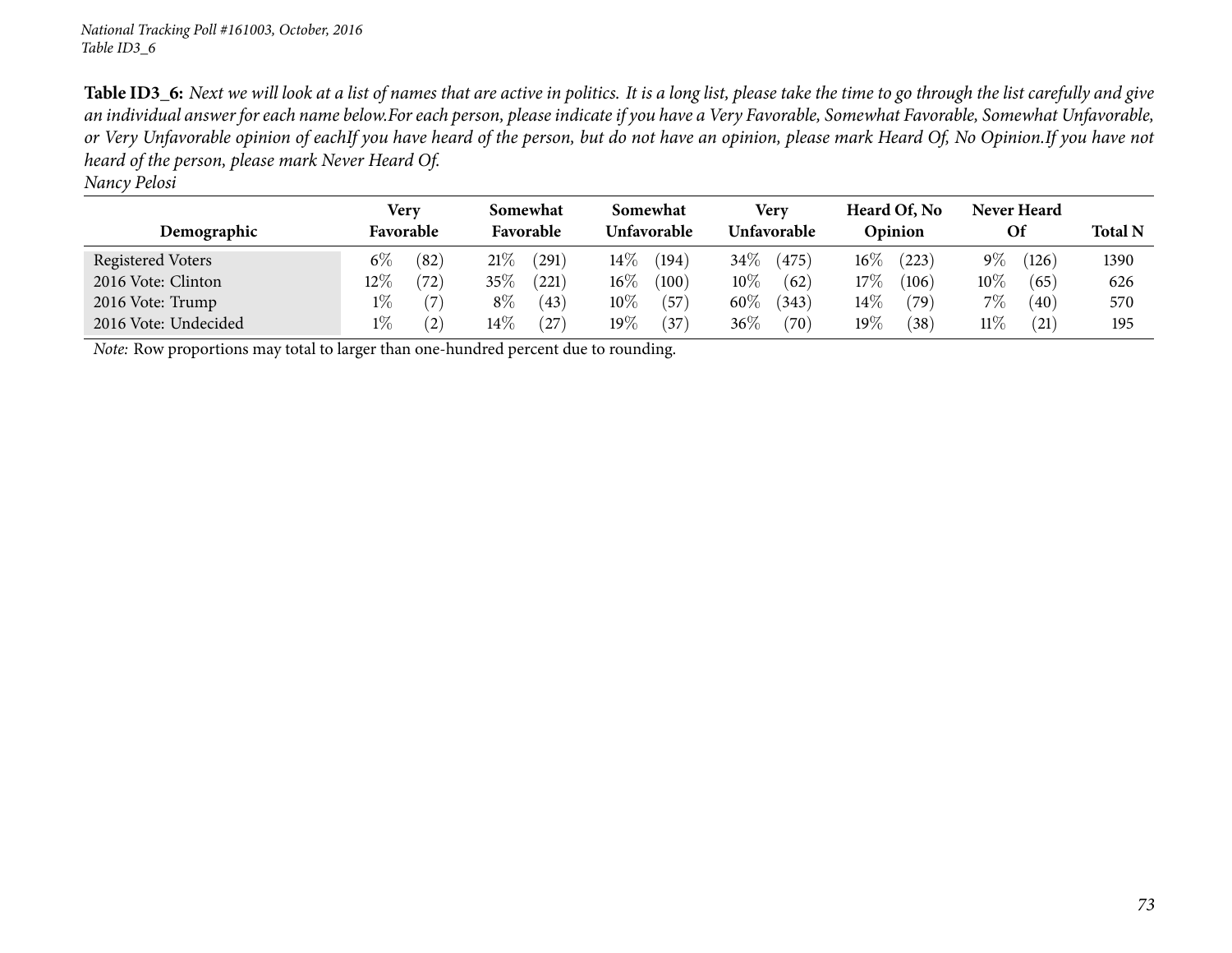| Nancy Pelosi |  |
|--------------|--|
|              |  |

|                      | Very   |           | Somewhat |           | Somewhat |             | <b>Verv</b> |             | Heard Of, No |         | Never Heard |           |      |
|----------------------|--------|-----------|----------|-----------|----------|-------------|-------------|-------------|--------------|---------|-------------|-----------|------|
| Demographic          |        | Favorable |          | Favorable |          | Unfavorable |             | Unfavorable |              | Opinion |             | <b>Of</b> |      |
| Registered Voters    | $6\%$  | (82)      | 21%      | (291)     | $14\%$   | (194)       | $34\%$      | (475)       | $16\%$       | (223)   | $9\%$       | (126)     | 1390 |
| 2016 Vote: Clinton   | $12\%$ | (72)      | $35\%$   | (221)     | $16\%$   | (100)       | $10\%$      | (62)        | 17%          | (106)   | $10\%$      | (65)      | 626  |
| 2016 Vote: Trump     | $1\%$  | (7)       | $8\%$    | (43)      | $10\%$   | (57         | $60\%$      | (343)       | $14\%$       | (79)    | $7\%$       | (40)      | 570  |
| 2016 Vote: Undecided | $1\%$  | (2)       | $14\%$   | (27)      | 19 $\%$  | $^{(37)}$   | $36\%$      | (70)        | 19%          | (38)    | $11\%$      | (21)      | 195  |

*Note:* Row proportions may total to larger than one-hundred percen<sup>t</sup> due to rounding.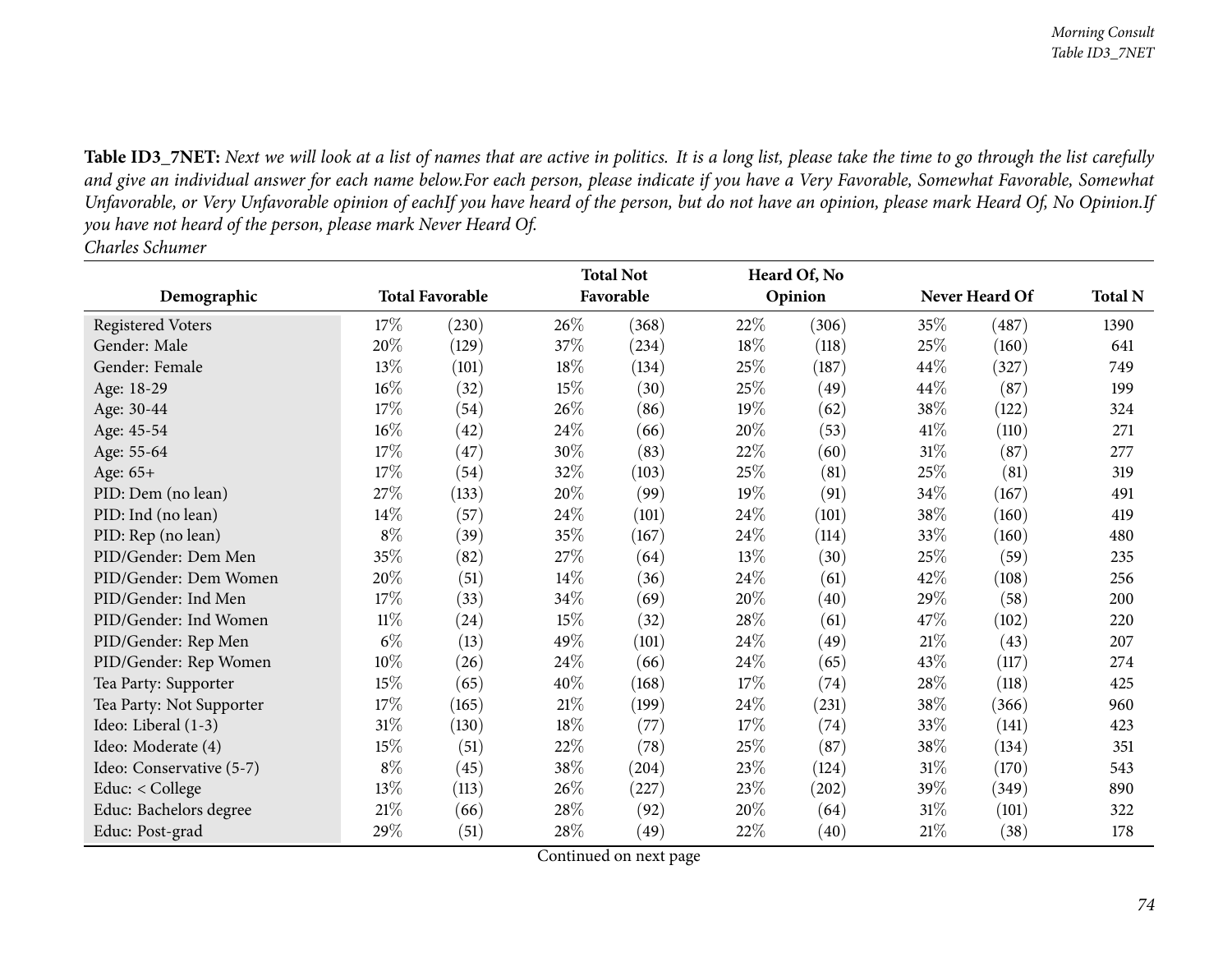**Demographic Total Favorable Total Not FavorableHeard Of, NoOpinion Never Heard Of Total <sup>N</sup>**Registered Voters 28 (230) 26% (368) 22% (306) 25% (487) 1390 641 Gender: Male 20% (129)  $37\%$  (234)  $18\%$  (118)  $25\%$  (160) 641 Gender: Female  $13\%$  (101)  $18\%$  (134)  $25\%$  (187)  $44\%$  (327) 749 199 Age: 18-29 16%<br>Age: 30-44 17%  $\frac{\%}{\%}$  (32)  $\frac{15\%}{\%}$  (30)  $\frac{25\%}{\%}$  (49)  $\frac{44\%}{\%}$  (87)  $\frac{199\%}{\%}$ Age: 30-44  $17\%$ <br>Age: 45-54  $16\%$  $\frac{\%}{\%}$  (54) 26\% (86) 19\% (62) 38\% (122) 324 Age: 45-54  $16\%$ <br>Age: 55-64  $17\%$  $\frac{\%}{\%}$  (42) 24\% (66) 20\% (53) 41\% (110) 271 Age: 55-64  $17\%$ <br>Age: 65+  $17\%$  $\frac{\%}{\%}$  (47)  $\frac{30\%}{\%}$  (83)  $\frac{22\%}{\%}$  (60)  $\frac{31\%}{\%}$  (87) 277 Age: 65+ $+$  17%  $\frac{\%}{\%}$  (54) 32\% (103) 25\% (81) 25\% (81) 319 PID: Dem (no lean)  $27\%$  (133)  $20\%$ <br>PID: Ind (no lean)  $14\%$  (57)  $24\%$  $\frac{\%}{\%}$  (99)  $\frac{19\%}{\%}$  (91)  $\frac{34\%}{\%}$  (167)  $\frac{491}{\%}$ PID: Ind (no lean)  $14\%$ <br>PID: Rep (no lean)  $8\%$  $\frac{\%}{\%}$  (57) 24\% (101) 24\% (101) 38\% (160) 419 PID: Rep (no lean)  $\frac{\%}{\%}$  (39)  $\frac{35\%}{\%}$  (167)  $\frac{24\%}{\%}$  (114)  $\frac{33\%}{\%}$  (160)  $\frac{480}{\%}$ PID/Gender: Dem Men <sup>35</sup>% $\frac{\%}{\%}$  (82) 27% (64) 13% (30) 25% (59) 235 PID/Gender: Dem Women <sup>20</sup>% $\frac{\%}{\%}$  (51)  $\frac{14\%}{\%}$  (36)  $\frac{24\%}{\%}$  (61)  $\frac{42\%}{\%}$  (108)  $\frac{256}{\%}$ PID/Gender: Ind Men 7% $\frac{\%}{\%}$  (33)  $\frac{34\%}{\%}$  (69)  $\frac{20\%}{\%}$  (40)  $\frac{29\%}{\%}$  (58)  $\frac{200}{\%}$ PID/Gender: Ind Women $\frac{11\%}{6\%}$  $\frac{\%}{\%}$  (24)  $\frac{15\%}{\%}$  (32)  $\frac{28\%}{\%}$  (61)  $\frac{47\%}{\%}$  (102) 220 PID/Gender: Rep Menn 6%  $\frac{\%}{\%}$  (13)  $\frac{49\%}{\%}$  (101)  $\frac{24\%}{\%}$  (49)  $\frac{21\%}{\%}$  (43) 207 PID/Gender: Rep Women $\frac{10\%}{15\%}$  $\frac{\%}{\%}$  (26) 24\% (66) 24\% (65) 43\% (117) 274<br>
(26) 24\% (120) 17\% (74) 29\% (119) 12\ Tea Party: Supporter 15%<br>Tea Party: Not Supporter 17%  $\frac{\%}{\%}$  (65)  $\frac{40\%}{\%}$  (168)  $\frac{17\%}{\%}$  (74)  $\frac{28\%}{\%}$  (118)  $\frac{425\%}{\%}$ Tea Party: Not Supporter  $17\%$   $(165)$   $21\%$   $(199)$   $24\%$   $(231)$   $38\%$   $(366)$  960<br>Ideo: Liberal (1-3)  $31\%$   $(130)$   $18\%$   $(77)$   $17\%$   $(74)$   $33\%$   $(141)$   $423$ 423 Ideo: Liberal (1-3)  $31\%$  (130)  $18\%$ <br>Ideo: Moderate (4)  $15\%$  (51)  $22\%$  $\frac{\%}{\%}$  (77)  $\frac{17\%}{\%}$  (74)  $\frac{33\%}{\%}$  (141)  $\frac{423\%}{\%}$ Ideo: Moderate (4)  $15\%$ <br>Ideo: Conservative (5-7)  $8\%$  $\frac{\%}{\%}$  (51) 22\% (78) 25\% (87) 38\% (134) 351 Ideo: Conservative (5-7)  $8\%$ <br>Educ: < College  $13\%$  $\frac{\%}{\%}$  (45) 38% (204) 23% (124) 31% (170) 543<br>  $\frac{\%}{\%}$  (112) 26% (207) 23% (202) 20% (200) 20% Educ: < College  $13\%$   $(113)$   $26\%$   $(227)$   $23\%$   $(202)$   $39\%$   $(349)$  890 322 Educ: Bachelors degree 21%<br>Educ: Post-grad 29%  $\frac{\%}{\%}$  (66) 28% (92) 20% (64) 31% (101) 322 Educ: Post-grad $d = 29\%$  $\frac{\%}{\%}$  (51) 28\% (49) 22\% (40) 21\% (38) 178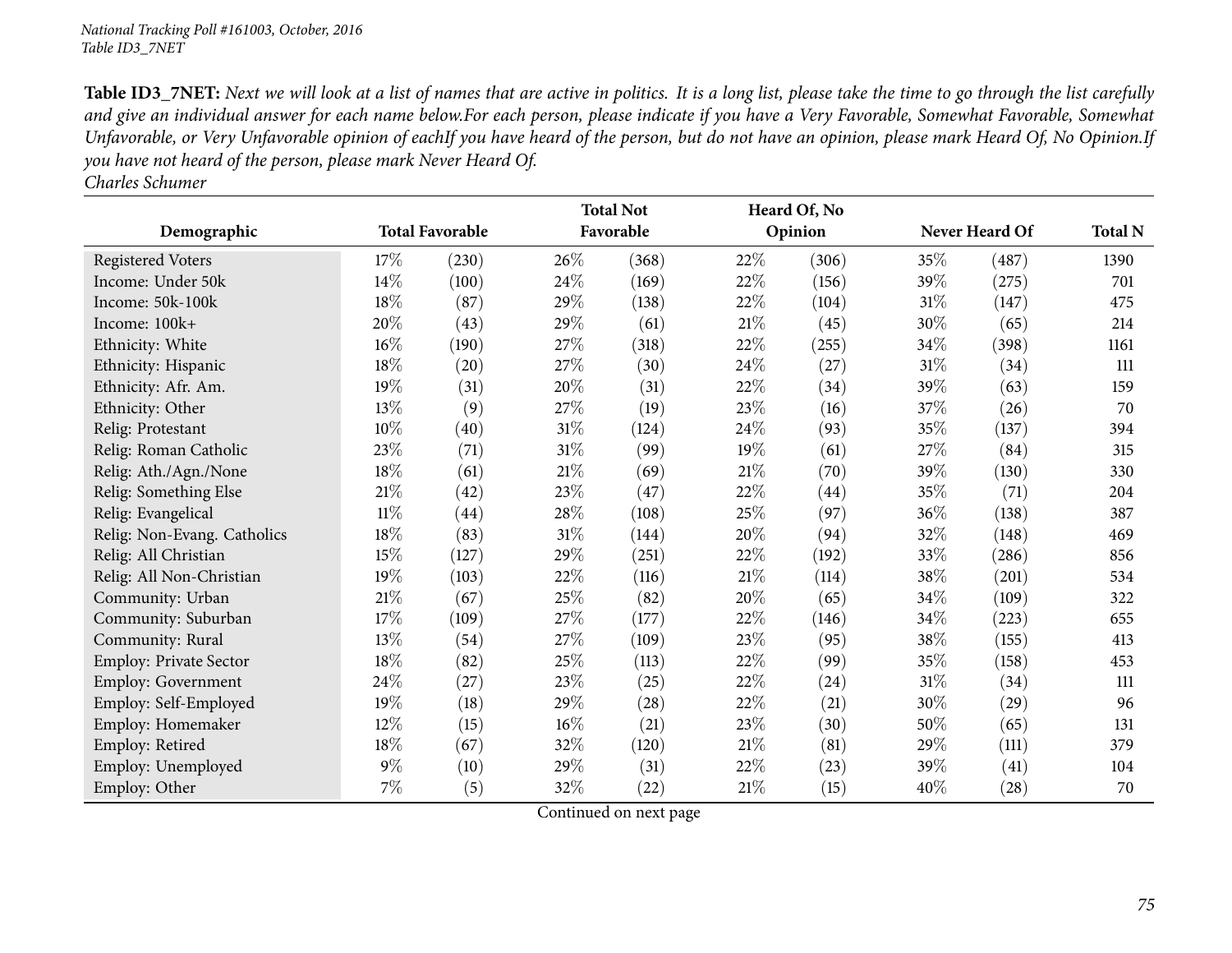*Charles Schumer*

|                             |        |                        |        | <b>Total Not</b> |        | Heard Of, No |        |                |                |
|-----------------------------|--------|------------------------|--------|------------------|--------|--------------|--------|----------------|----------------|
| Demographic                 |        | <b>Total Favorable</b> |        | Favorable        |        | Opinion      |        | Never Heard Of | <b>Total N</b> |
| <b>Registered Voters</b>    | 17%    | (230)                  | 26%    | (368)            | 22%    | (306)        | $35\%$ | (487)          | 1390           |
| Income: Under 50k           | 14\%   | (100)                  | 24\%   | (169)            | 22%    | (156)        | 39%    | (275)          | 701            |
| Income: 50k-100k            | 18%    | (87)                   | 29%    | (138)            | 22%    | (104)        | $31\%$ | (147)          | 475            |
| Income: 100k+               | 20%    | (43)                   | 29%    | (61)             | $21\%$ | (45)         | 30%    | (65)           | 214            |
| Ethnicity: White            | $16\%$ | (190)                  | 27%    | (318)            | 22%    | (255)        | 34%    | (398)          | 1161           |
| Ethnicity: Hispanic         | 18%    | (20)                   | 27%    | (30)             | 24\%   | (27)         | $31\%$ | (34)           | 111            |
| Ethnicity: Afr. Am.         | 19%    | (31)                   | 20%    | (31)             | 22\%   | (34)         | 39%    | (63)           | 159            |
| Ethnicity: Other            | 13\%   | (9)                    | 27%    | (19)             | 23\%   | (16)         | 37%    | (26)           | 70             |
| Relig: Protestant           | 10%    | (40)                   | $31\%$ | (124)            | 24%    | (93)         | 35\%   | (137)          | 394            |
| Relig: Roman Catholic       | 23%    | (71)                   | $31\%$ | (99)             | 19%    | (61)         | $27\%$ | (84)           | 315            |
| Relig: Ath./Agn./None       | 18%    | (61)                   | $21\%$ | (69)             | 21%    | (70)         | 39%    | (130)          | 330            |
| Relig: Something Else       | 21\%   | (42)                   | 23%    | (47)             | 22\%   | (44)         | 35\%   | (71)           | 204            |
| Relig: Evangelical          | $11\%$ | (44)                   | 28\%   | (108)            | 25%    | (97)         | $36\%$ | (138)          | 387            |
| Relig: Non-Evang. Catholics | 18%    | (83)                   | $31\%$ | (144)            | 20%    | (94)         | 32\%   | (148)          | 469            |
| Relig: All Christian        | 15%    | (127)                  | 29%    | (251)            | 22%    | (192)        | 33%    | (286)          | 856            |
| Relig: All Non-Christian    | 19%    | (103)                  | 22%    | (116)            | 21%    | (114)        | 38%    | (201)          | 534            |
| Community: Urban            | $21\%$ | (67)                   | 25%    | (82)             | 20%    | (65)         | 34\%   | (109)          | 322            |
| Community: Suburban         | 17%    | (109)                  | 27%    | (177)            | 22\%   | (146)        | 34\%   | (223)          | 655            |
| Community: Rural            | 13\%   | (54)                   | 27%    | (109)            | 23\%   | (95)         | 38\%   | (155)          | 413            |
| Employ: Private Sector      | 18%    | (82)                   | $25\%$ | (113)            | 22%    | (99)         | 35\%   | (158)          | 453            |
| Employ: Government          | 24\%   | (27)                   | 23%    | (25)             | 22%    | (24)         | 31%    | (34)           | 111            |
| Employ: Self-Employed       | $19\%$ | (18)                   | 29%    | (28)             | 22\%   | (21)         | 30\%   | (29)           | 96             |
| Employ: Homemaker           | 12%    | (15)                   | $16\%$ | (21)             | 23%    | (30)         | 50%    | (65)           | 131            |
| Employ: Retired             | $18\%$ | (67)                   | 32%    | (120)            | 21%    | (81)         | 29\%   | (111)          | 379            |
| Employ: Unemployed          | $9\%$  | (10)                   | 29%    | (31)             | 22\%   | (23)         | 39%    | (41)           | 104            |
| Employ: Other               | $7\%$  | (5)                    | $32\%$ | (22)             | 21%    | (15)         | 40%    | (28)           | 70             |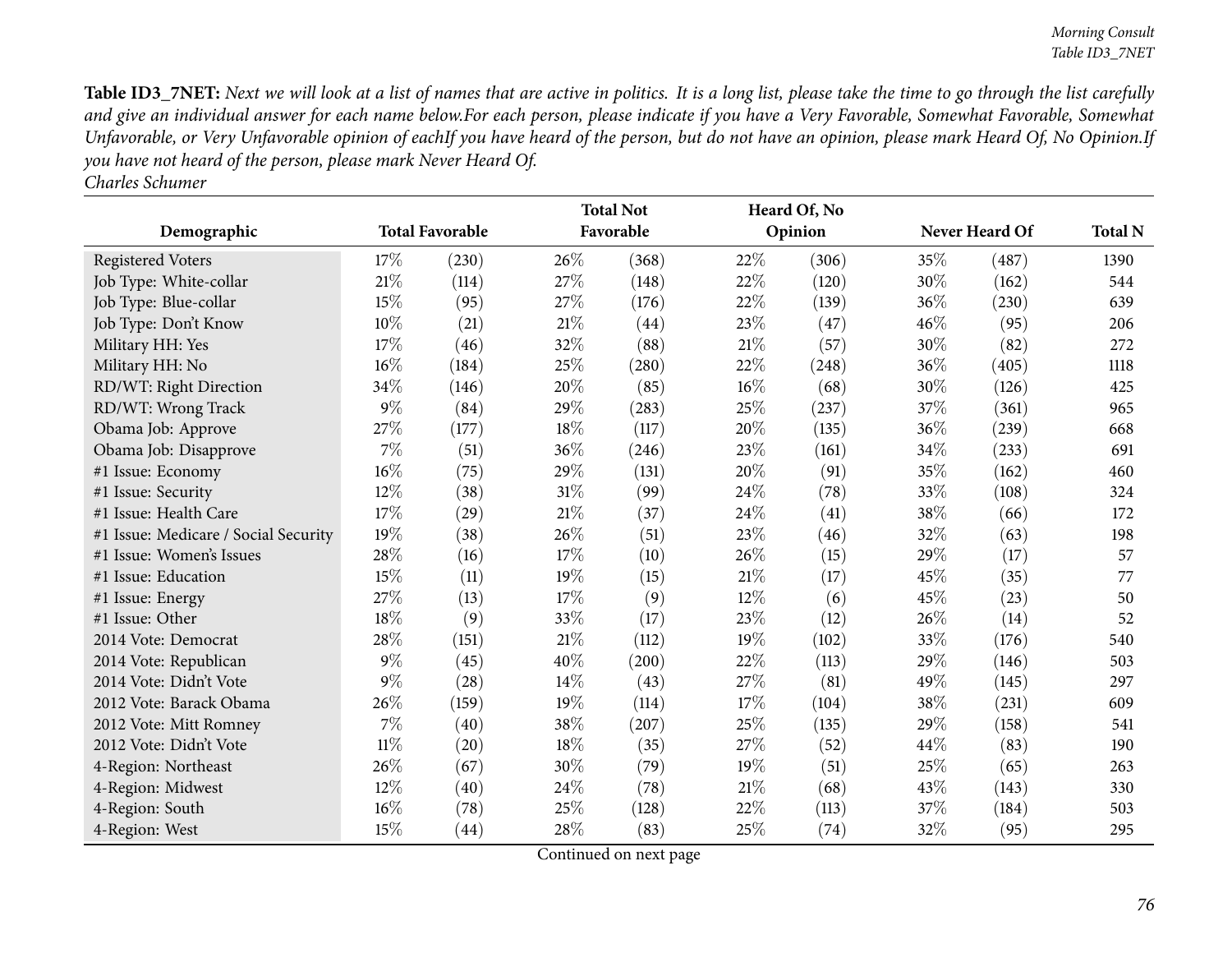|                                      |        |                        |      | <b>Total Not</b> |        | Heard Of, No |      |                |                |
|--------------------------------------|--------|------------------------|------|------------------|--------|--------------|------|----------------|----------------|
| Demographic                          |        | <b>Total Favorable</b> |      | Favorable        |        | Opinion      |      | Never Heard Of | <b>Total N</b> |
| <b>Registered Voters</b>             | 17%    | (230)                  | 26%  | (368)            | 22%    | (306)        | 35%  | (487)          | 1390           |
| Job Type: White-collar               | 21%    | (114)                  | 27%  | (148)            | 22%    | (120)        | 30%  | (162)          | 544            |
| Job Type: Blue-collar                | 15%    | (95)                   | 27%  | (176)            | 22%    | (139)        | 36%  | (230)          | 639            |
| Job Type: Don't Know                 | 10%    | (21)                   | 21\% | (44)             | 23%    | (47)         | 46%  | (95)           | 206            |
| Military HH: Yes                     | 17%    | (46)                   | 32%  | (88)             | 21\%   | (57)         | 30%  | (82)           | 272            |
| Military HH: No                      | 16%    | (184)                  | 25%  | (280)            | 22%    | (248)        | 36%  | (405)          | 1118           |
| RD/WT: Right Direction               | 34%    | (146)                  | 20%  | (85)             | 16%    | (68)         | 30%  | (126)          | 425            |
| RD/WT: Wrong Track                   | $9\%$  | (84)                   | 29%  | (283)            | 25%    | (237)        | 37%  | (361)          | 965            |
| Obama Job: Approve                   | 27%    | (177)                  | 18%  | (117)            | 20%    | (135)        | 36%  | (239)          | 668            |
| Obama Job: Disapprove                | 7%     | (51)                   | 36%  | (246)            | 23%    | (161)        | 34%  | (233)          | 691            |
| #1 Issue: Economy                    | 16%    | (75)                   | 29%  | (131)            | 20%    | (91)         | 35%  | (162)          | 460            |
| #1 Issue: Security                   | 12%    | (38)                   | 31%  | (99)             | 24\%   | (78)         | 33%  | (108)          | 324            |
| #1 Issue: Health Care                | 17%    | $\left( 29\right)$     | 21%  | (37)             | 24%    | (41)         | 38%  | (66)           | 172            |
| #1 Issue: Medicare / Social Security | 19%    | (38)                   | 26%  | (51)             | 23%    | (46)         | 32%  | (63)           | 198            |
| #1 Issue: Women's Issues             | 28%    | (16)                   | 17%  | (10)             | 26%    | (15)         | 29%  | (17)           | 57             |
| #1 Issue: Education                  | 15%    | (11)                   | 19%  | (15)             | 21\%   | (17)         | 45%  | (35)           | 77             |
| #1 Issue: Energy                     | 27%    | (13)                   | 17%  | (9)              | 12%    | (6)          | 45%  | (23)           | 50             |
| #1 Issue: Other                      | 18%    | (9)                    | 33%  | (17)             | 23\%   | (12)         | 26\% | (14)           | 52             |
| 2014 Vote: Democrat                  | 28%    | (151)                  | 21%  | (112)            | 19%    | (102)        | 33%  | (176)          | 540            |
| 2014 Vote: Republican                | $9\%$  | (45)                   | 40%  | (200)            | 22%    | (113)        | 29%  | (146)          | 503            |
| 2014 Vote: Didn't Vote               | $9\%$  | (28)                   | 14%  | (43)             | 27%    | (81)         | 49%  | (145)          | 297            |
| 2012 Vote: Barack Obama              | 26%    | (159)                  | 19%  | (114)            | 17%    | (104)        | 38%  | (231)          | 609            |
| 2012 Vote: Mitt Romney               | 7%     | (40)                   | 38%  | (207)            | 25%    | (135)        | 29%  | (158)          | 541            |
| 2012 Vote: Didn't Vote               | 11%    | (20)                   | 18%  | (35)             | 27%    | (52)         | 44%  | (83)           | 190            |
| 4-Region: Northeast                  | 26%    | (67)                   | 30%  | (79)             | $19\%$ | (51)         | 25%  | (65)           | 263            |
| 4-Region: Midwest                    | 12%    | (40)                   | 24%  | (78)             | 21%    | (68)         | 43%  | (143)          | 330            |
| 4-Region: South                      | $16\%$ | (78)                   | 25%  | (128)            | 22%    | (113)        | 37%  | (184)          | 503            |
| 4-Region: West                       | 15%    | (44)                   | 28%  | (83)             | 25%    | (74)         | 32%  | (95)           | 295            |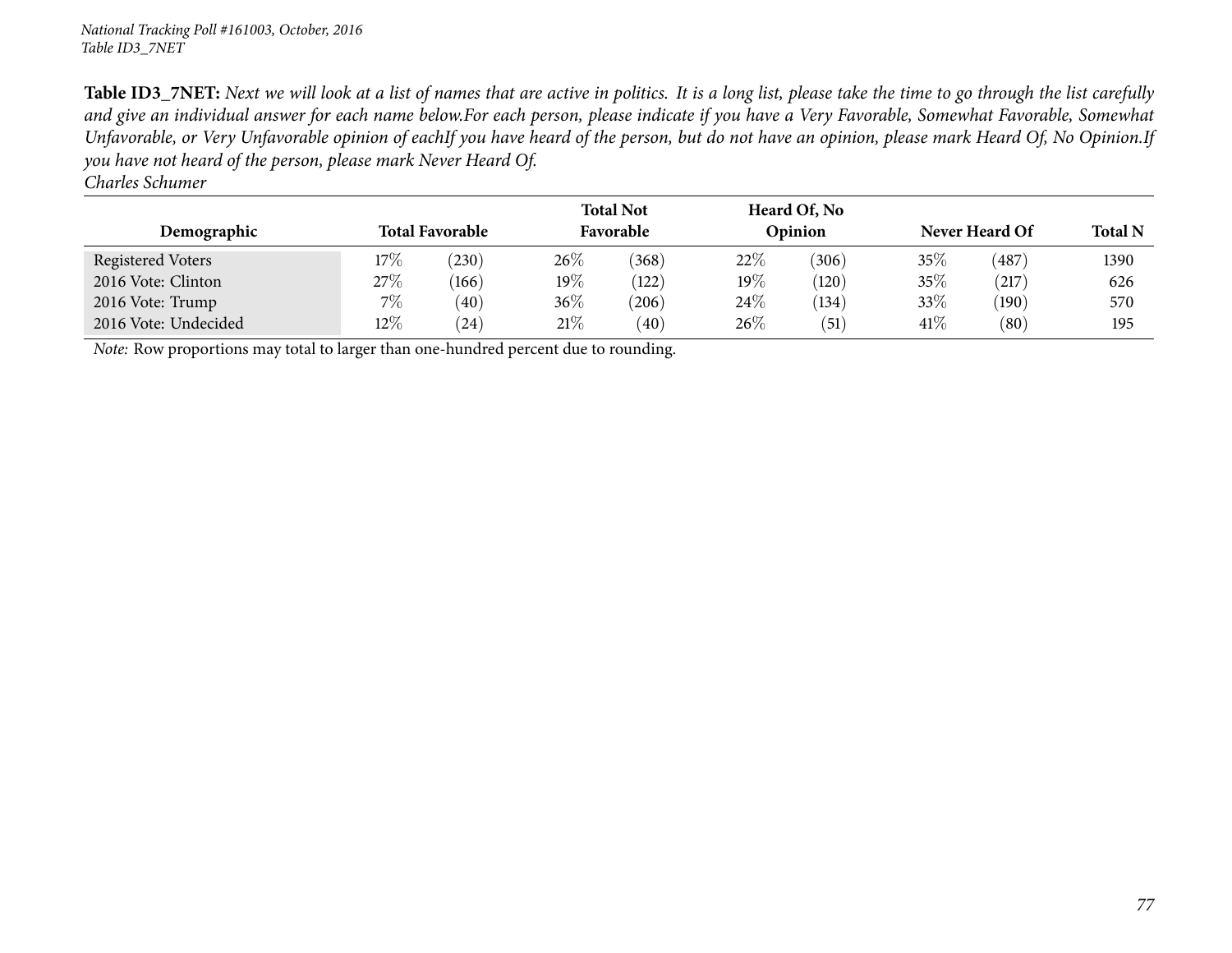*Charles Schumer*

| Demographic          |        | <b>Total Favorable</b> |         | <b>Total Not</b><br>Favorable |        | Heard Of, No<br>Opinion | Never Heard Of | <b>Total N</b> |      |
|----------------------|--------|------------------------|---------|-------------------------------|--------|-------------------------|----------------|----------------|------|
| Registered Voters    | $17\%$ | 230                    | $26\%$  | (368)                         | 22%    | (306)                   | 35%            | (487)          | 1390 |
| 2016 Vote: Clinton   | 27%    | (166)                  | 19 $\%$ | (122)                         | 19%    | (120)                   | 35%            | (217)          | 626  |
| 2016 Vote: Trump     | $7\%$  | (40)                   | 36\%    | (206)                         | $24\%$ | (134)                   | 33%            | (190)          | 570  |
| 2016 Vote: Undecided | $12\%$ | (24)                   | 21%     | (40)                          | $26\%$ | (51)                    | 41\%           | (80)           | 195  |

*Note:* Row proportions may total to larger than one-hundred percen<sup>t</sup> due to rounding.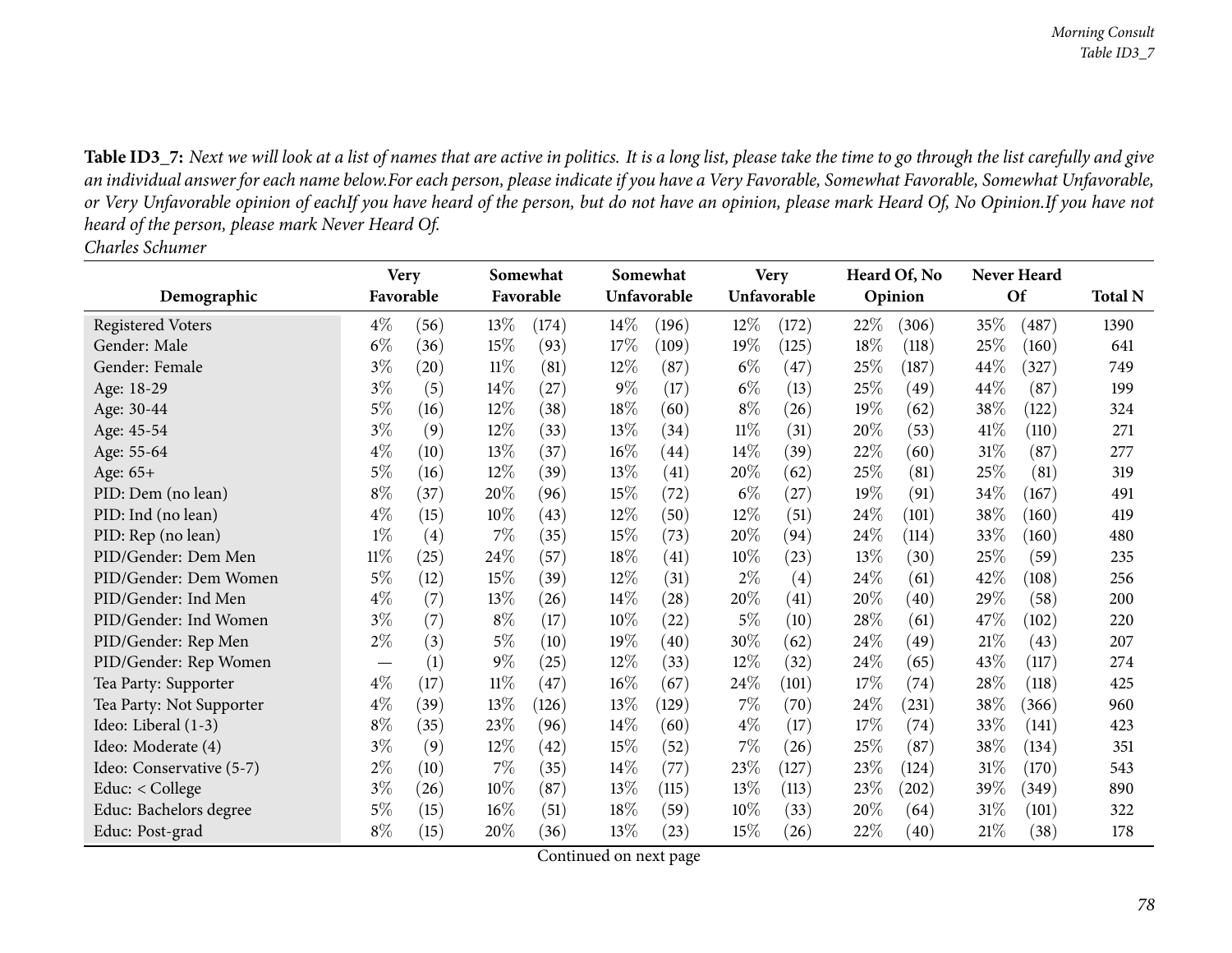Table ID3\_7: Next we will look at a list of names that are active in politics. It is a long list, please take the time to go through the list carefully and give an individual answer for each name below.For each person, please indicate if you have a Very Favorable, Somewhat Favorable, Somewhat Unfavorable, or Very Unfavorable opinion of eachIf you have heard of the person, but do not have an opinion, please mark Heard Of, No Opinion.If you have not *heard of the person, <sup>p</sup>lease mark Never Heard Of. Charles Schumer*

|                          | <b>Very</b>              |                    |        | Somewhat  |        | Somewhat    |        | <b>Very</b> | Heard Of, No |                    |        | Never Heard |                |
|--------------------------|--------------------------|--------------------|--------|-----------|--------|-------------|--------|-------------|--------------|--------------------|--------|-------------|----------------|
| Demographic              | Favorable                |                    |        | Favorable |        | Unfavorable |        | Unfavorable |              | Opinion            |        | Of          | <b>Total N</b> |
| <b>Registered Voters</b> | $4\%$                    | (56)               | 13\%   | (174)     | $14\%$ | (196)       | $12\%$ | (172)       | 22\%         | (306)              | 35\%   | (487)       | 1390           |
| Gender: Male             | $6\%$                    | (36)               | 15%    | (93)      | 17%    | (109)       | 19%    | (125)       | 18%          | (118)              | 25%    | (160)       | 641            |
| Gender: Female           | $3\%$                    | $\left( 20\right)$ | $11\%$ | (81)      | $12\%$ | (87)        | $6\%$  | (47)        | 25%          | (187)              | 44%    | (327)       | 749            |
| Age: 18-29               | $3\%$                    | (5)                | 14%    | (27)      | 9%     | (17)        | $6\%$  | (13)        | 25%          | (49)               | 44\%   | (87)        | 199            |
| Age: 30-44               | $5\%$                    | (16)               | 12%    | (38)      | 18%    | (60)        | $8\%$  | (26)        | 19%          | (62)               | 38\%   | (122)       | 324            |
| Age: 45-54               | $3\%$                    | (9)                | 12%    | (33)      | 13\%   | (34)        | $11\%$ | (31)        | 20%          | (53)               | 41\%   | (110)       | 271            |
| Age: 55-64               | $4\%$                    | (10)               | 13%    | (37)      | $16\%$ | (44)        | $14\%$ | (39)        | 22%          | (60)               | 31%    | (87)        | 277            |
| Age: 65+                 | $5\%$                    | (16)               | $12\%$ | (39)      | 13%    | (41)        | 20%    | (62)        | 25%          | (81)               | 25\%   | (81)        | 319            |
| PID: Dem (no lean)       | $8\%$                    | (37)               | 20%    | (96)      | 15%    | (72)        | $6\%$  | (27)        | 19%          | (91)               | 34%    | (167)       | 491            |
| PID: Ind (no lean)       | $4\%$                    | (15)               | 10%    | (43)      | $12\%$ | (50)        | 12%    | (51)        | 24\%         | (101)              | 38\%   | (160)       | 419            |
| PID: Rep (no lean)       | $1\%$                    | (4)                | 7%     | (35)      | 15%    | (73)        | 20%    | (94)        | $24\%$       | (114)              | 33\%   | (160)       | 480            |
| PID/Gender: Dem Men      | $11\%$                   | (25)               | 24\%   | (57)      | 18%    | (41)        | $10\%$ | (23)        | 13%          | (30)               | 25%    | (59)        | 235            |
| PID/Gender: Dem Women    | $5\%$                    | (12)               | 15%    | (39)      | $12\%$ | (31)        | $2\%$  | (4)         | 24%          | (61)               | 42%    | (108)       | 256            |
| PID/Gender: Ind Men      | $4\%$                    | (7)                | 13\%   | (26)      | $14\%$ | (28)        | 20%    | (41)        | 20%          | (40)               | 29%    | (58)        | 200            |
| PID/Gender: Ind Women    | $3\%$                    | (7)                | $8\%$  | (17)      | 10%    | (22)        | $5\%$  | (10)        | 28%          | (61)               | 47\%   | (102)       | 220            |
| PID/Gender: Rep Men      | $2\%$                    | (3)                | $5\%$  | (10)      | 19%    | (40)        | 30\%   | (62)        | 24%          | (49)               | 21\%   | (43)        | 207            |
| PID/Gender: Rep Women    | $\overline{\phantom{0}}$ | (1)                | $9\%$  | (25)      | $12\%$ | (33)        | $12\%$ | (32)        | 24\%         | (65)               | 43%    | (117)       | 274            |
| Tea Party: Supporter     | $4\%$                    | (17)               | $11\%$ | (47)      | $16\%$ | (67)        | 24\%   | (101)       | 17%          | (74)               | 28\%   | (118)       | 425            |
| Tea Party: Not Supporter | $4\%$                    | (39)               | 13%    | (126)     | 13\%   | (129)       | $7\%$  | (70)        | $24\%$       | (231)              | 38%    | (366)       | 960            |
| Ideo: Liberal (1-3)      | $8\%$                    | (35)               | 23\%   | (96)      | $14\%$ | (60)        | $4\%$  | (17)        | 17%          | (74)               | 33\%   | (141)       | 423            |
| Ideo: Moderate (4)       | $3\%$                    | (9)                | $12\%$ | (42)      | 15%    | (52)        | $7\%$  | (26)        | 25\%         | (87)               | 38\%   | (134)       | 351            |
| Ideo: Conservative (5-7) | $2\%$                    | (10)               | 7%     | (35)      | 14%    | (77)        | 23\%   | (127)       | 23%          | (124)              | 31%    | (170)       | 543            |
| Educ: $<$ College        | $3\%$                    | (26)               | $10\%$ | (87)      | 13%    | (115)       | $13\%$ | (113)       | 23\%         | (202)              | 39\%   | (349)       | 890            |
| Educ: Bachelors degree   | $5\%$                    | (15)               | $16\%$ | (51)      | 18%    | (59)        | $10\%$ | (33)        | 20%          | (64)               | $31\%$ | (101)       | 322            |
| Educ: Post-grad          | $8\%$                    | (15)               | 20%    | (36)      | 13\%   | (23)        | 15\%   | (26)        | 22%          | $\left( 40\right)$ | 21\%   | (38)        | 178            |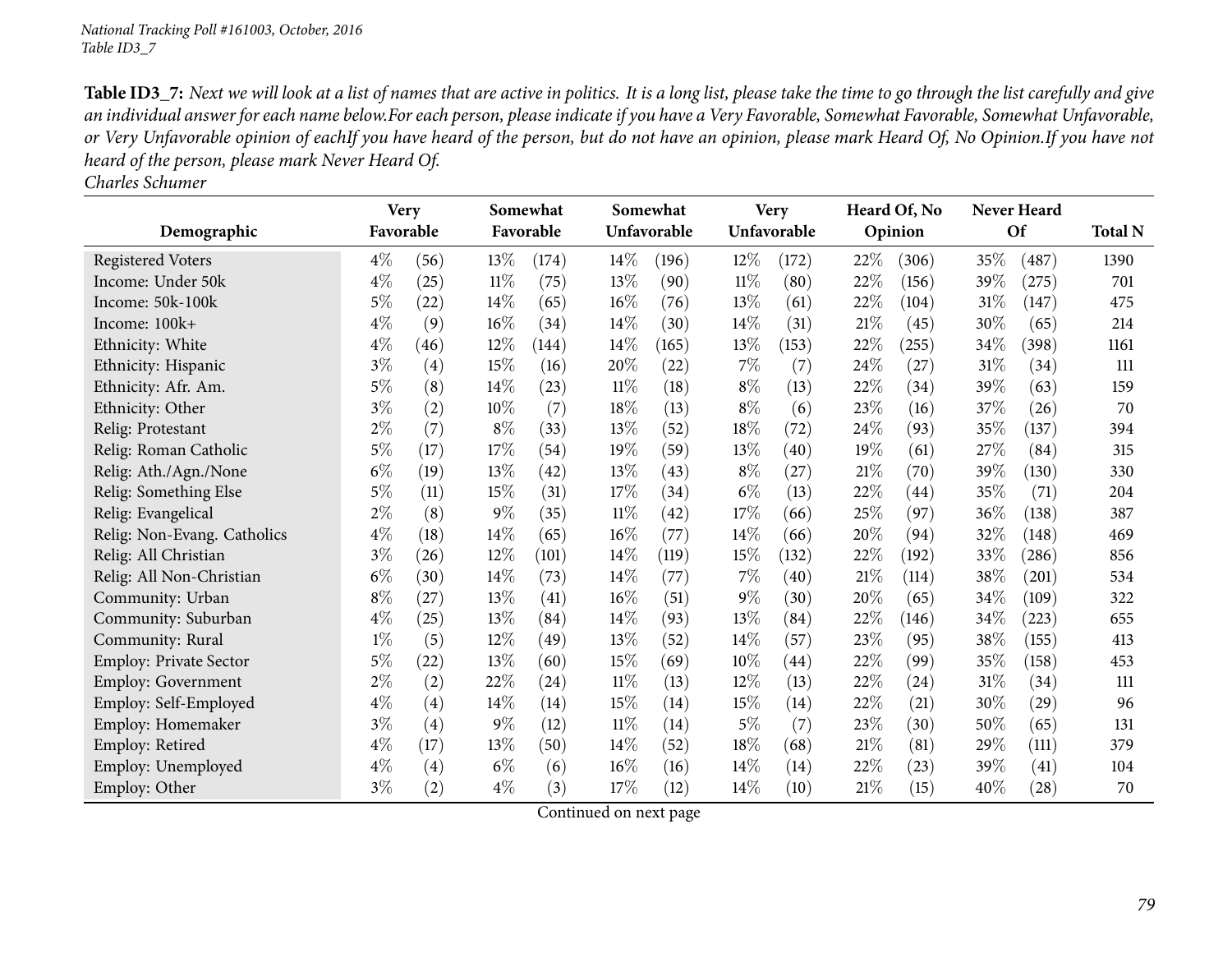|                               | <b>Very</b> |                    |        | Somewhat  |        | Somewhat    |        | <b>Very</b> |      | Heard Of, No       |        | Never Heard |                |
|-------------------------------|-------------|--------------------|--------|-----------|--------|-------------|--------|-------------|------|--------------------|--------|-------------|----------------|
| Demographic                   | Favorable   |                    |        | Favorable |        | Unfavorable |        | Unfavorable |      | Opinion            |        | Of          | <b>Total N</b> |
| <b>Registered Voters</b>      | $4\%$       | (56)               | 13%    | (174)     | $14\%$ | (196)       | $12\%$ | (172)       | 22%  | (306)              | 35\%   | (487)       | 1390           |
| Income: Under 50k             | $4\%$       | (25)               | $11\%$ | (75)      | 13%    | (90)        | $11\%$ | (80)        | 22%  | (156)              | 39%    | (275)       | 701            |
| Income: 50k-100k              | $5\%$       | (22)               | 14\%   | (65)      | 16%    | (76)        | 13%    | (61)        | 22%  | (104)              | 31%    | (147)       | 475            |
| Income: 100k+                 | $4\%$       | (9)                | 16%    | (34)      | $14\%$ | (30)        | $14\%$ | (31)        | 21%  | (45)               | 30%    | (65)        | 214            |
| Ethnicity: White              | $4\%$       | (46)               | 12%    | (144)     | 14\%   | (165)       | 13%    | (153)       | 22%  | $^{'}255)$         | 34%    | (398)       | 1161           |
| Ethnicity: Hispanic           | $3\%$       | (4)                | 15%    | (16)      | 20%    | (22)        | $7\%$  | (7)         | 24\% | (27)               | 31%    | (34)        | 111            |
| Ethnicity: Afr. Am.           | $5\%$       | (8)                | 14\%   | (23)      | $11\%$ | (18)        | $8\%$  | (13)        | 22%  | (34)               | 39%    | (63)        | 159            |
| Ethnicity: Other              | $3\%$       | (2)                | 10%    | (7)       | 18%    | (13)        | $8\%$  | (6)         | 23%  | (16)               | 37%    | (26)        | 70             |
| Relig: Protestant             | $2\%$       | (7)                | $8\%$  | (33)      | 13%    | (52)        | $18\%$ | (72)        | 24%  | (93)               | 35%    | (137)       | 394            |
| Relig: Roman Catholic         | $5\%$       | (17)               | 17%    | (54)      | 19%    | (59)        | 13\%   | (40)        | 19%  | (61)               | 27\%   | (84)        | 315            |
| Relig: Ath./Agn./None         | $6\%$       | (19)               | 13%    | (42)      | 13%    | (43)        | $8\%$  | (27)        | 21%  | (70)               | 39%    | (130)       | 330            |
| Relig: Something Else         | $5\%$       | (11)               | 15%    | (31)      | 17%    | (34)        | $6\%$  | (13)        | 22%  | $\left( 44\right)$ | 35%    | (71)        | 204            |
| Relig: Evangelical            | $2\%$       | (8)                | $9\%$  | (35)      | 11%    | (42)        | $17\%$ | (66)        | 25%  | (97)               | 36%    | (138)       | 387            |
| Relig: Non-Evang. Catholics   | $4\%$       | (18)               | 14\%   | (65)      | 16%    | (77)        | $14\%$ | (66)        | 20%  | (94)               | 32\%   | (148)       | 469            |
| Relig: All Christian          | $3\%$       | (26)               | 12%    | (101)     | $14\%$ | (119)       | 15%    | (132)       | 22%  | (192)              | 33%    | (286)       | 856            |
| Relig: All Non-Christian      | $6\%$       | (30)               | 14\%   | (73)      | 14\%   | (77)        | $7\%$  | (40)        | 21%  | (114)              | 38%    | (201)       | 534            |
| Community: Urban              | $8\%$       | (27)               | 13%    | (41)      | $16\%$ | (51)        | $9\%$  | (30)        | 20%  | (65)               | 34\%   | (109)       | 322            |
| Community: Suburban           | $4\%$       | (25)               | 13%    | (84)      | 14%    | (93)        | 13%    | (84)        | 22%  | (146)              | 34%    | (223)       | 655            |
| Community: Rural              | $1\%$       | (5)                | 12%    | (49)      | 13%    | (52)        | 14%    | (57)        | 23%  | (95)               | 38%    | (155)       | 413            |
| <b>Employ: Private Sector</b> | $5\%$       | $\left( 22\right)$ | 13%    | (60)      | 15%    | (69)        | $10\%$ | (44)        | 22%  | (99)               | 35%    | (158)       | 453            |
| <b>Employ: Government</b>     | $2\%$       | (2)                | 22%    | (24)      | $11\%$ | (13)        | 12%    | (13)        | 22%  | (24)               | $31\%$ | (34)        | 111            |
| Employ: Self-Employed         | $4\%$       | (4)                | 14\%   | (14)      | 15%    | (14)        | 15\%   | (14)        | 22%  | (21)               | 30%    | (29)        | 96             |
| Employ: Homemaker             | $3\%$       | $\left( 4\right)$  | $9\%$  | (12)      | 11%    | (14)        | $5\%$  | (7)         | 23%  | (30)               | 50%    | (65)        | 131            |
| Employ: Retired               | $4\%$       | (17)               | 13%    | (50)      | 14\%   | (52)        | 18%    | (68)        | 21%  | (81)               | 29%    | (111)       | 379            |
| Employ: Unemployed            | $4\%$       | (4)                | $6\%$  | (6)       | $16\%$ | (16)        | $14\%$ | (14)        | 22\% | (23)               | 39%    | (41)        | 104            |
| Employ: Other                 | $3\%$       | (2)                | $4\%$  | (3)       | 17%    | (12)        | 14%    | (10)        | 21%  | (15)               | 40%    | (28)        | 70             |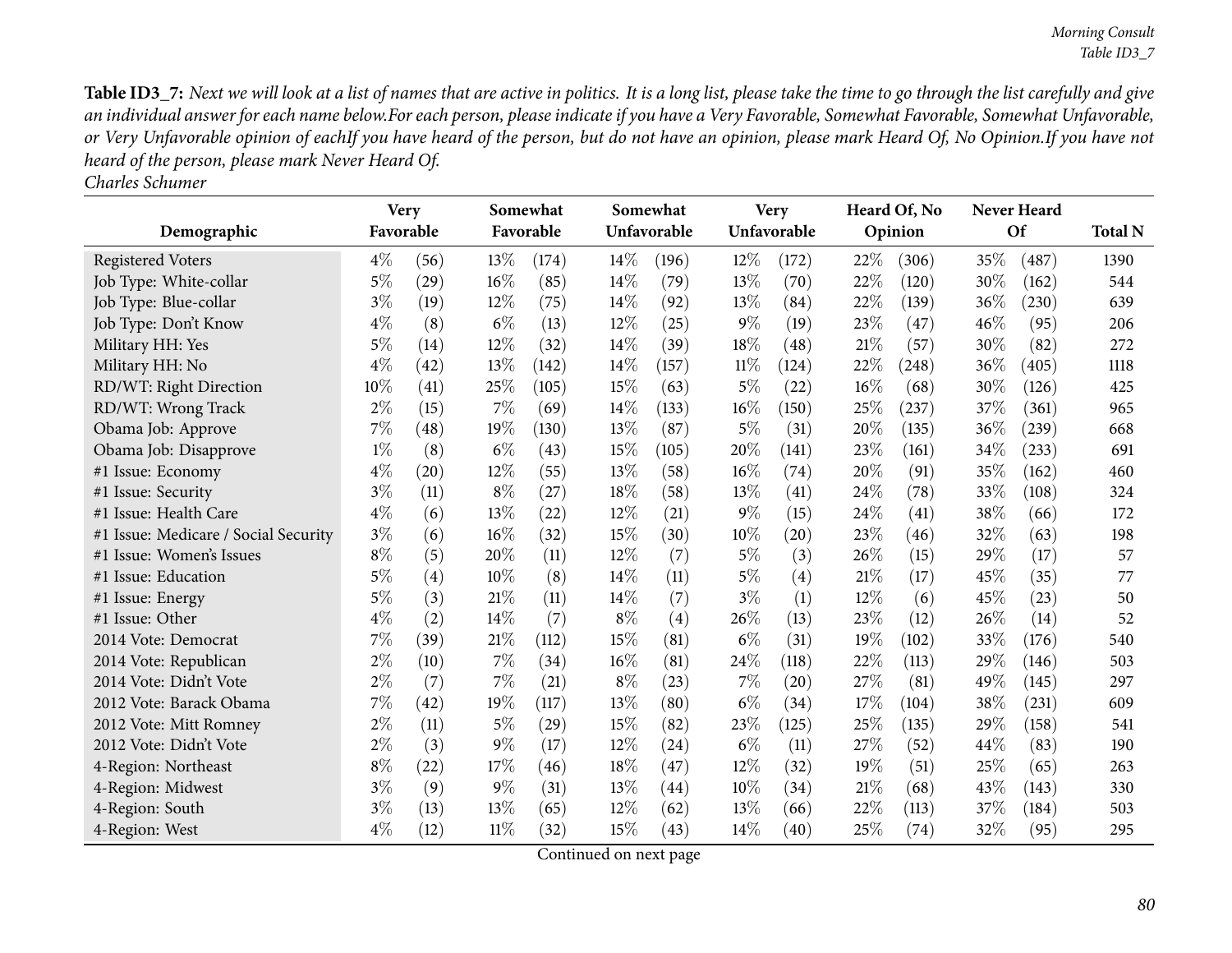|                                      | <b>Very</b> |                    |        | Somewhat  |        | Somewhat    |        | <b>Very</b>       |     | Heard Of, No |     | <b>Never Heard</b> |                |
|--------------------------------------|-------------|--------------------|--------|-----------|--------|-------------|--------|-------------------|-----|--------------|-----|--------------------|----------------|
| Demographic                          |             | Favorable          |        | Favorable |        | Unfavorable |        | Unfavorable       |     | Opinion      |     | Of                 | <b>Total N</b> |
| <b>Registered Voters</b>             | $4\%$       | (56)               | 13%    | (174)     | $14\%$ | (196)       | 12%    | (172)             | 22% | (306)        | 35% | (487)              | 1390           |
| Job Type: White-collar               | $5\%$       | (29)               | 16%    | (85)      | 14\%   | (79)        | 13%    | (70)              | 22% | (120)        | 30% | (162)              | 544            |
| Job Type: Blue-collar                | $3\%$       | (19)               | $12\%$ | (75)      | 14%    | (92)        | 13\%   | (84)              | 22% | (139)        | 36% | (230)              | 639            |
| Job Type: Don't Know                 | $4\%$       | (8)                | $6\%$  | (13)      | $12\%$ | (25)        | $9\%$  | (19)              | 23% | (47)         | 46% | (95)               | 206            |
| Military HH: Yes                     | $5\%$       | (14)               | 12%    | (32)      | 14%    | (39)        | 18%    | (48)              | 21% | (57)         | 30% | (82)               | 272            |
| Military HH: No                      | $4\%$       | (42)               | 13%    | (142)     | 14\%   | (157)       | $11\%$ | (124)             | 22% | (248)        | 36% | (405)              | 1118           |
| RD/WT: Right Direction               | 10%         | (41)               | 25%    | (105)     | 15%    | (63)        | $5\%$  | (22)              | 16% | (68)         | 30% | (126)              | 425            |
| RD/WT: Wrong Track                   | $2\%$       | (15)               | 7%     | (69)      | 14\%   | (133)       | 16%    | (150)             | 25% | (237)        | 37% | (361)              | 965            |
| Obama Job: Approve                   | 7%          | (48)               | 19%    | (130)     | 13\%   | (87)        | $5\%$  | (31)              | 20% | (135)        | 36% | (239)              | 668            |
| Obama Job: Disapprove                | $1\%$       | (8)                | $6\%$  | (43)      | 15%    | (105)       | 20%    | (141)             | 23% | (161)        | 34% | (233)              | 691            |
| #1 Issue: Economy                    | $4\%$       | $\left( 20\right)$ | 12%    | (55)      | 13\%   | (58)        | $16\%$ | (74)              | 20% | (91)         | 35% | (162)              | 460            |
| #1 Issue: Security                   | $3\%$       | (11)               | $8\%$  | (27)      | 18%    | (58)        | 13%    | (41)              | 24% | (78)         | 33% | (108)              | 324            |
| #1 Issue: Health Care                | $4\%$       | (6)                | 13%    | (22)      | $12\%$ | (21)        | $9\%$  | (15)              | 24% | (41)         | 38% | (66)               | 172            |
| #1 Issue: Medicare / Social Security | $3\%$       | (6)                | 16%    | (32)      | 15%    | (30)        | $10\%$ | (20)              | 23% | (46)         | 32% | (63)               | 198            |
| #1 Issue: Women's Issues             | $8\%$       | (5)                | 20%    | (11)      | $12\%$ | (7)         | $5\%$  | (3)               | 26% | (15)         | 29% | (17)               | 57             |
| #1 Issue: Education                  | $5\%$       | (4)                | 10%    | (8)       | 14%    | (11)        | $5\%$  | $\left( 4\right)$ | 21% | (17)         | 45% | (35)               | 77             |
| #1 Issue: Energy                     | $5\%$       | (3)                | 21%    | (11)      | 14\%   | (7)         | $3\%$  | (1)               | 12% | (6)          | 45% | (23)               | 50             |
| #1 Issue: Other                      | $4\%$       | (2)                | 14%    | (7)       | $8\%$  | (4)         | 26\%   | (13)              | 23% | (12)         | 26% | (14)               | 52             |
| 2014 Vote: Democrat                  | 7%          | (39)               | 21%    | (112)     | 15%    | (81)        | $6\%$  | (31)              | 19% | (102)        | 33% | (176)              | 540            |
| 2014 Vote: Republican                | $2\%$       | (10)               | 7%     | (34)      | 16%    | (81)        | 24\%   | (118)             | 22% | (113)        | 29% | (146)              | 503            |
| 2014 Vote: Didn't Vote               | $2\%$       | (7)                | 7%     | (21)      | $8\%$  | (23)        | 7%     | (20)              | 27% | (81)         | 49% | (145)              | 297            |
| 2012 Vote: Barack Obama              | $7\%$       | (42)               | 19%    | (117)     | 13\%   | (80)        | $6\%$  | (34)              | 17% | (104)        | 38% | (231)              | 609            |
| 2012 Vote: Mitt Romney               | $2\%$       | (11)               | $5\%$  | (29)      | 15%    | (82)        | 23%    | (125)             | 25% | (135)        | 29% | (158)              | 541            |
| 2012 Vote: Didn't Vote               | $2\%$       | (3)                | $9\%$  | (17)      | $12\%$ | (24)        | $6\%$  | (11)              | 27% | (52)         | 44% | (83)               | 190            |
| 4-Region: Northeast                  | $8\%$       | (22)               | 17%    | (46)      | 18%    | (47)        | 12\%   | (32)              | 19% | (51)         | 25% | (65)               | 263            |
| 4-Region: Midwest                    | $3\%$       | (9)                | $9\%$  | (31)      | 13\%   | (44)        | $10\%$ | (34)              | 21% | (68)         | 43% | (143)              | 330            |
| 4-Region: South                      | $3\%$       | (13)               | 13%    | (65)      | $12\%$ | (62)        | 13%    | (66)              | 22% | (113)        | 37% | (184)              | 503            |
| 4-Region: West                       | $4\%$       | (12)               | $11\%$ | (32)      | 15%    | (43)        | 14%    | (40)              | 25% | (74)         | 32% | (95)               | 295            |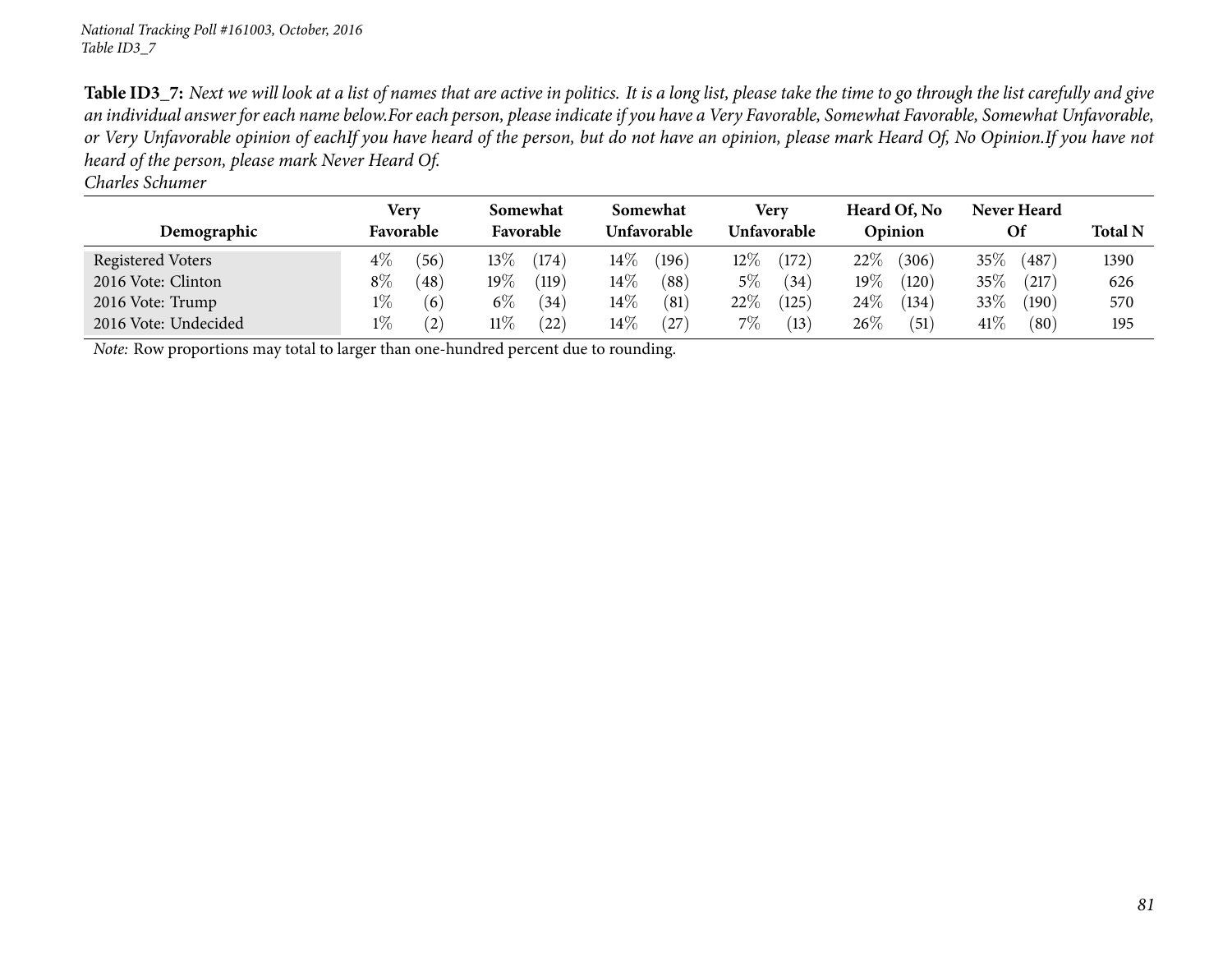*Charles Schumer*

|                      | Very          | Somewhat  |       | Somewhat    |       | Verv        |       | Heard Of, No |       | <b>Never Heard</b> |       |                |
|----------------------|---------------|-----------|-------|-------------|-------|-------------|-------|--------------|-------|--------------------|-------|----------------|
| Demographic          | Favorable     | Favorable |       | Unfavorable |       | Unfavorable |       | Opinion      |       | Of                 |       | <b>Total N</b> |
| Registered Voters    | $4\%$<br>(56) | 13 $\%$   | (174) | $14\%$      | (196) | $12\%$      | (172) | 22%          | (306) | 35\%               | (487) | 1390           |
| 2016 Vote: Clinton   | $8\%$<br>(48) | $19\%$    | (119) | $14\%$      | (88)  | 5%          | (34)  | $19\%$       | (120) | $35\%$             | (217) | 626            |
| 2016 Vote: Trump     | $1\%$<br>(6)  | $6\%$     | (34)  | $14\%$      | (81)  | $22\%$      | (125) | 24\%         | (134) | 33%                | (190) | 570            |
| 2016 Vote: Undecided | $1\%$<br>(2)  | $11\%$    | (22)  | $14\%$      | 27    | $7\%$       | (13)  | 26\%         | (51)  | $41\%$             | (80)  | 195            |

*Note:* Row proportions may total to larger than one-hundred percen<sup>t</sup> due to rounding.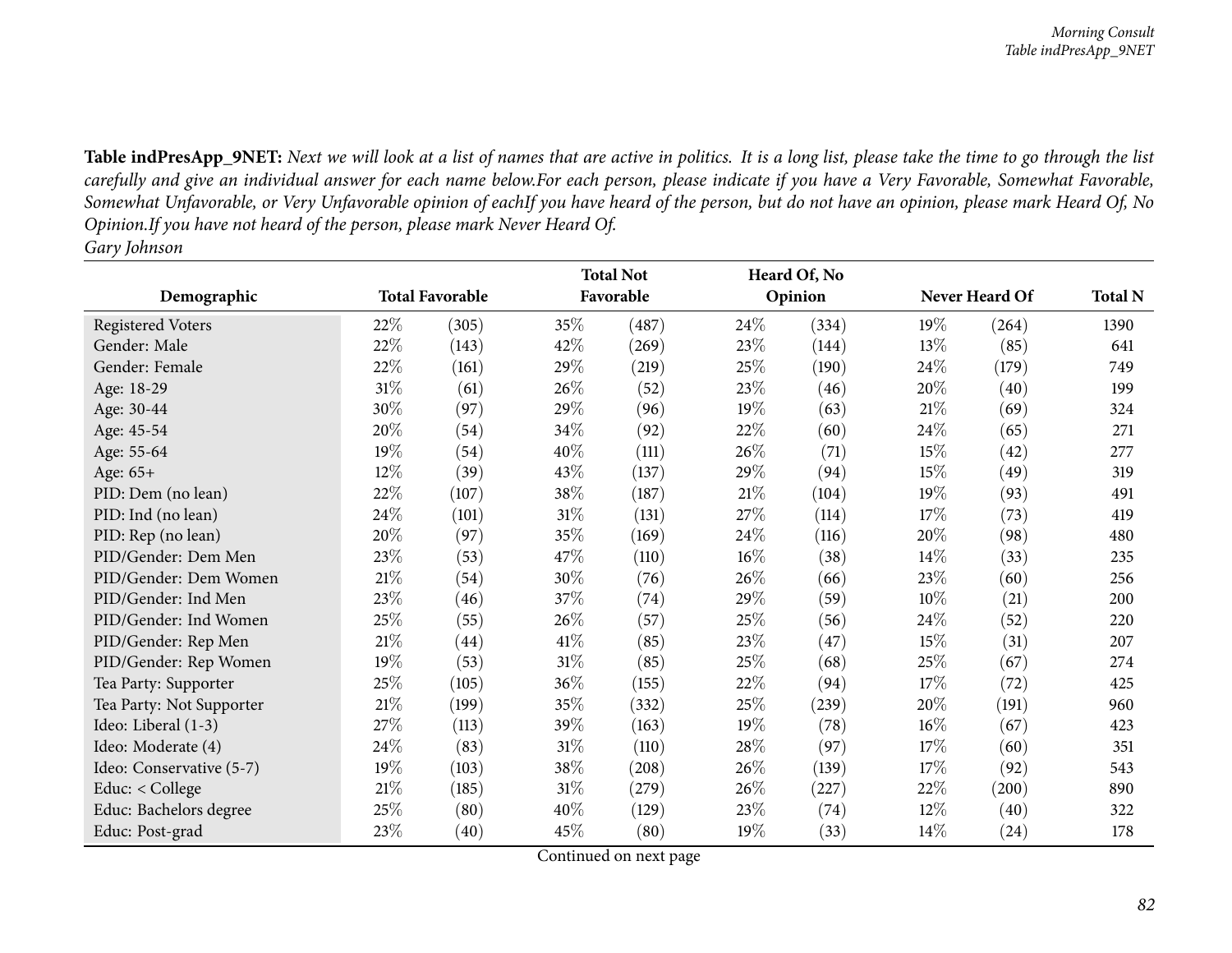|                          |        |                        |        | <b>Total Not</b> |      | Heard Of, No |        |                |                |
|--------------------------|--------|------------------------|--------|------------------|------|--------------|--------|----------------|----------------|
| Demographic              |        | <b>Total Favorable</b> |        | Favorable        |      | Opinion      |        | Never Heard Of | <b>Total N</b> |
| Registered Voters        | 22%    | (305)                  | 35%    | (487)            | 24\% | (334)        | 19%    | (264)          | 1390           |
| Gender: Male             | 22%    | (143)                  | 42%    | (269)            | 23%  | (144)        | 13%    | (85)           | 641            |
| Gender: Female           | 22%    | (161)                  | 29%    | (219)            | 25\% | (190)        | 24\%   | (179)          | 749            |
| Age: 18-29               | $31\%$ | (61)                   | 26\%   | (52)             | 23\% | (46)         | 20%    | (40)           | 199            |
| Age: 30-44               | 30%    | (97)                   | 29%    | (96)             | 19%  | (63)         | $21\%$ | (69)           | 324            |
| Age: 45-54               | 20%    | (54)                   | 34\%   | (92)             | 22%  | (60)         | 24\%   | (65)           | 271            |
| Age: 55-64               | 19%    | (54)                   | 40%    | (111)            | 26%  | (71)         | 15%    | (42)           | 277            |
| Age: 65+                 | $12\%$ | (39)                   | 43%    | (137)            | 29%  | (94)         | 15%    | (49)           | 319            |
| PID: Dem (no lean)       | 22%    | (107)                  | 38%    | (187)            | 21%  | (104)        | 19%    | (93)           | 491            |
| PID: Ind (no lean)       | 24\%   | (101)                  | 31%    | (131)            | 27%  | (114)        | 17%    | (73)           | 419            |
| PID: Rep (no lean)       | 20%    | (97)                   | 35%    | (169)            | 24\% | (116)        | 20%    | (98)           | 480            |
| PID/Gender: Dem Men      | 23\%   | (53)                   | 47%    | (110)            | 16%  | (38)         | $14\%$ | (33)           | 235            |
| PID/Gender: Dem Women    | $21\%$ | (54)                   | 30%    | (76)             | 26%  | (66)         | 23\%   | (60)           | 256            |
| PID/Gender: Ind Men      | 23%    | (46)                   | 37%    | (74)             | 29%  | (59)         | 10%    | (21)           | 200            |
| PID/Gender: Ind Women    | 25\%   | (55)                   | 26%    | (57)             | 25\% | (56)         | 24\%   | (52)           | 220            |
| PID/Gender: Rep Men      | $21\%$ | (44)                   | 41\%   | (85)             | 23%  | (47)         | 15%    | (31)           | 207            |
| PID/Gender: Rep Women    | 19%    | (53)                   | $31\%$ | (85)             | 25%  | (68)         | 25%    | (67)           | 274            |
| Tea Party: Supporter     | 25%    | (105)                  | 36\%   | (155)            | 22%  | (94)         | 17%    | (72)           | 425            |
| Tea Party: Not Supporter | $21\%$ | (199)                  | 35%    | (332)            | 25%  | (239)        | 20%    | (191)          | 960            |
| Ideo: Liberal (1-3)      | 27%    | (113)                  | 39%    | (163)            | 19%  | (78)         | 16%    | (67)           | 423            |
| Ideo: Moderate (4)       | 24\%   | (83)                   | $31\%$ | (110)            | 28\% | (97)         | 17%    | (60)           | 351            |
| Ideo: Conservative (5-7) | 19%    | (103)                  | 38\%   | (208)            | 26%  | (139)        | 17%    | (92)           | 543            |
| Educ: < College          | $21\%$ | (185)                  | $31\%$ | (279)            | 26%  | (227)        | 22\%   | (200)          | 890            |
| Educ: Bachelors degree   | 25%    | (80)                   | 40%    | (129)            | 23\% | (74)         | $12\%$ | (40)           | 322            |
| Educ: Post-grad          | 23%    | (40)                   | 45\%   | (80)             | 19%  | (33)         | $14\%$ | (24)           | 178            |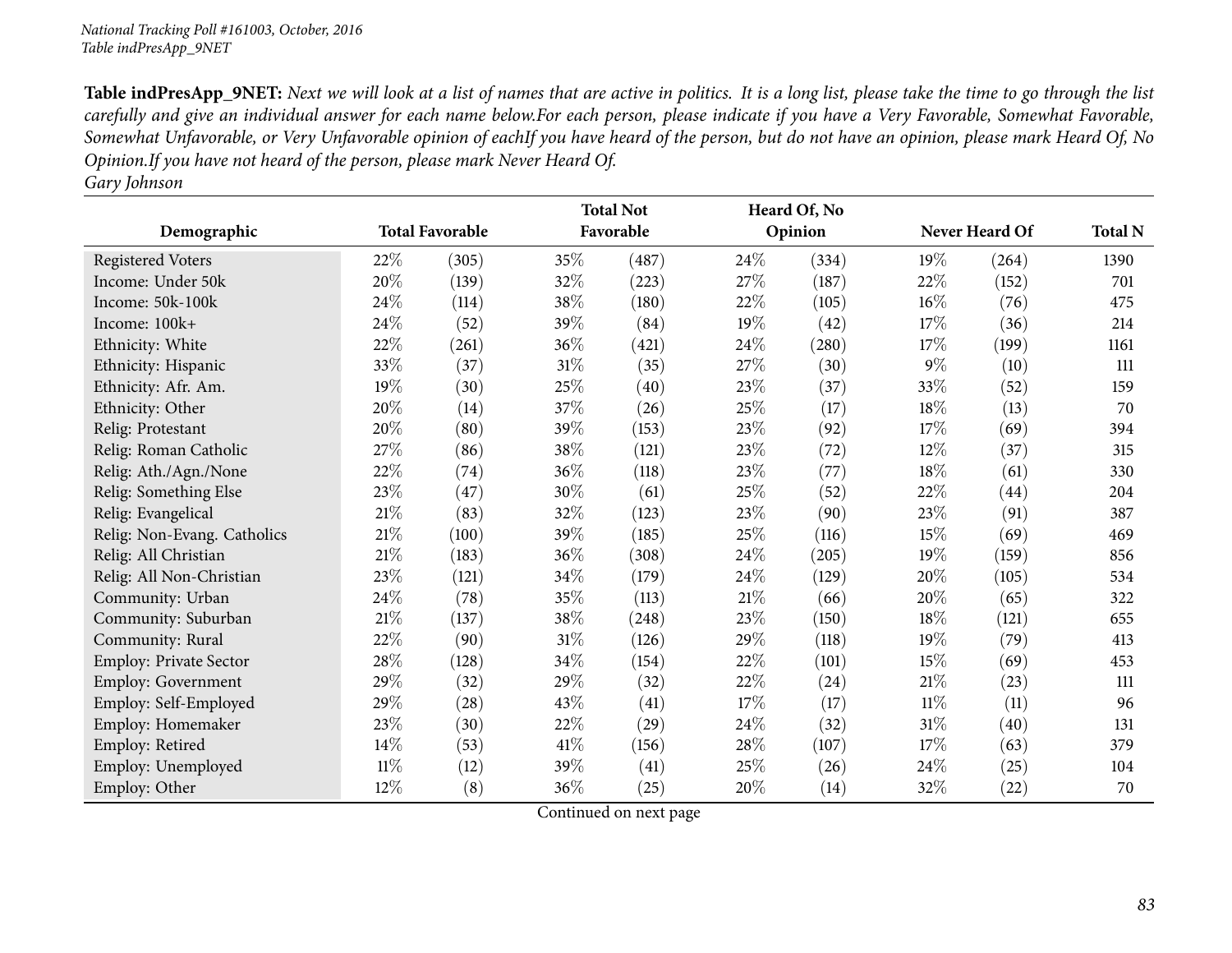|                             |        |                        |        | <b>Total Not</b> |      | Heard Of, No |        |                |                |
|-----------------------------|--------|------------------------|--------|------------------|------|--------------|--------|----------------|----------------|
| Demographic                 |        | <b>Total Favorable</b> |        | Favorable        |      | Opinion      |        | Never Heard Of | <b>Total N</b> |
| <b>Registered Voters</b>    | 22%    | (305)                  | 35%    | (487)            | 24%  | (334)        | 19%    | (264)          | 1390           |
| Income: Under 50k           | 20%    | (139)                  | 32%    | (223)            | 27%  | (187)        | 22%    | (152)          | 701            |
| Income: 50k-100k            | 24%    | (114)                  | 38%    | (180)            | 22%  | (105)        | 16%    | (76)           | 475            |
| Income: $100k+$             | 24%    | (52)                   | 39%    | (84)             | 19%  | (42)         | 17%    | (36)           | 214            |
| Ethnicity: White            | 22%    | (261)                  | 36%    | (421)            | 24%  | (280)        | 17%    | (199)          | 1161           |
| Ethnicity: Hispanic         | 33%    | (37)                   | $31\%$ | (35)             | 27%  | (30)         | $9\%$  | (10)           | 111            |
| Ethnicity: Afr. Am.         | 19%    | (30)                   | 25%    | (40)             | 23%  | (37)         | 33%    | (52)           | 159            |
| Ethnicity: Other            | 20%    | (14)                   | 37%    | (26)             | 25%  | (17)         | 18%    | (13)           | 70             |
| Relig: Protestant           | 20%    | (80)                   | 39%    | (153)            | 23\% | (92)         | 17%    | (69)           | 394            |
| Relig: Roman Catholic       | 27\%   | (86)                   | 38%    | (121)            | 23\% | (72)         | 12%    | (37)           | 315            |
| Relig: Ath./Agn./None       | 22%    | (74)                   | 36%    | (118)            | 23\% | (77)         | 18%    | (61)           | 330            |
| Relig: Something Else       | 23\%   | (47)                   | 30%    | (61)             | 25%  | (52)         | 22%    | (44)           | 204            |
| Relig: Evangelical          | $21\%$ | (83)                   | 32%    | (123)            | 23%  | (90)         | 23\%   | (91)           | 387            |
| Relig: Non-Evang. Catholics | $21\%$ | (100)                  | 39%    | (185)            | 25%  | (116)        | 15%    | (69)           | 469            |
| Relig: All Christian        | $21\%$ | (183)                  | 36%    | (308)            | 24%  | (205)        | 19%    | (159)          | 856            |
| Relig: All Non-Christian    | 23%    | (121)                  | 34%    | (179)            | 24%  | (129)        | 20%    | (105)          | 534            |
| Community: Urban            | 24%    | (78)                   | 35%    | (113)            | 21\% | (66)         | 20%    | (65)           | 322            |
| Community: Suburban         | $21\%$ | (137)                  | 38%    | (248)            | 23%  | (150)        | 18%    | (121)          | 655            |
| Community: Rural            | 22%    | (90)                   | 31%    | (126)            | 29%  | (118)        | 19%    | (79)           | 413            |
| Employ: Private Sector      | 28\%   | (128)                  | 34%    | (154)            | 22%  | (101)        | 15%    | (69)           | 453            |
| Employ: Government          | 29%    | (32)                   | 29%    | (32)             | 22%  | (24)         | $21\%$ | (23)           | 111            |
| Employ: Self-Employed       | 29%    | (28)                   | 43\%   | (41)             | 17%  | (17)         | $11\%$ | (11)           | 96             |
| Employ: Homemaker           | 23\%   | (30)                   | 22%    | (29)             | 24\% | (32)         | $31\%$ | (40)           | 131            |
| Employ: Retired             | 14\%   | (53)                   | 41\%   | (156)            | 28\% | (107)        | 17%    | (63)           | 379            |
| Employ: Unemployed          | $11\%$ | (12)                   | 39%    | (41)             | 25%  | (26)         | 24\%   | (25)           | 104            |
| Employ: Other               | 12\%   | (8)                    | 36%    | (25)             | 20%  | (14)         | 32%    | (22)           | 70             |

*Gary Johnson*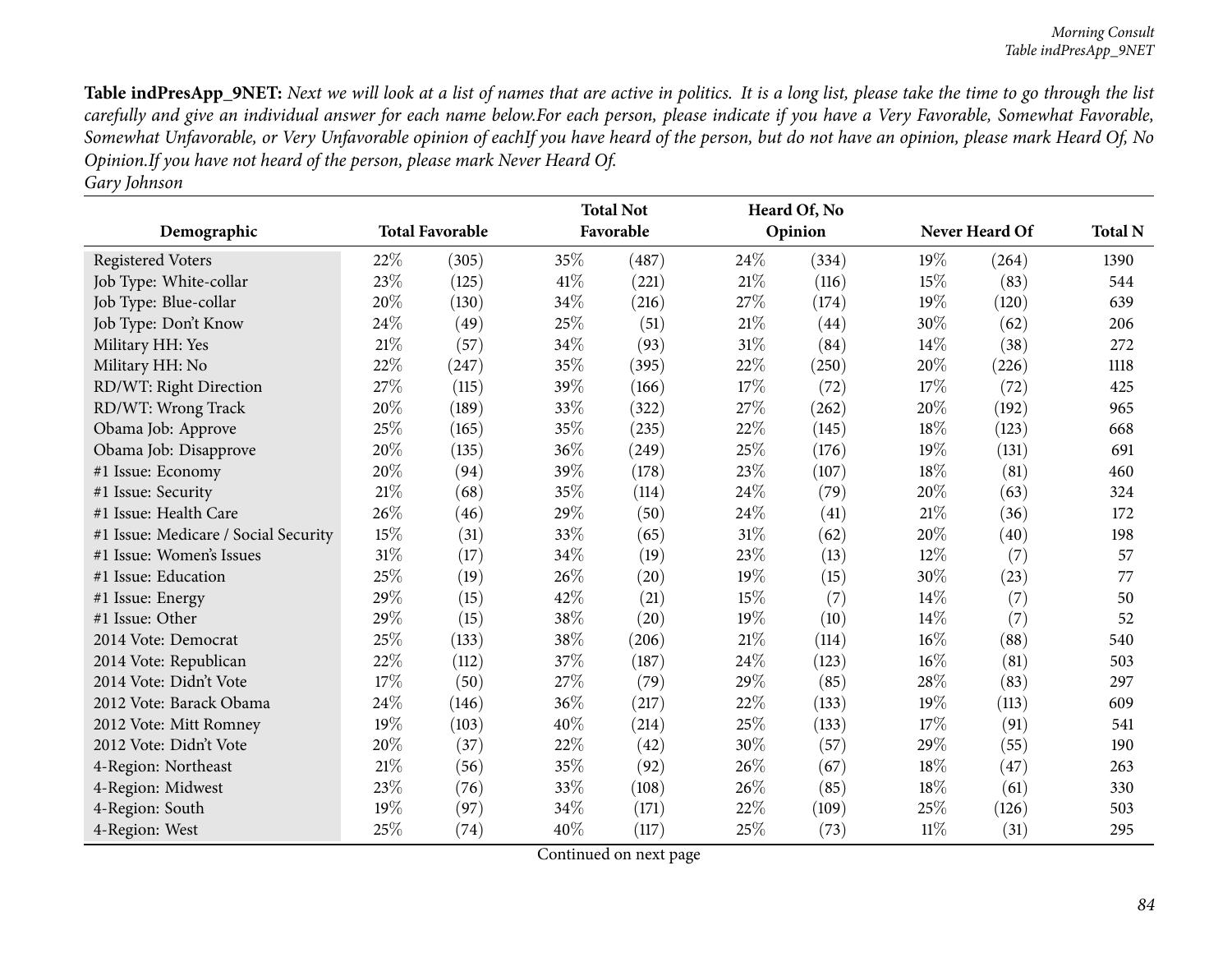| Demographic                          |        | <b>Total Favorable</b> |        | <b>Total Not</b><br>Favorable |        | Heard Of, No<br>Opinion |        | Never Heard Of | <b>Total N</b> |
|--------------------------------------|--------|------------------------|--------|-------------------------------|--------|-------------------------|--------|----------------|----------------|
|                                      |        |                        |        |                               |        |                         |        |                |                |
| <b>Registered Voters</b>             | 22%    | (305)                  | 35%    | (487)                         | 24\%   | (334)                   | 19%    | (264)          | 1390           |
| Job Type: White-collar               | 23%    | (125)                  | 41\%   | (221)                         | $21\%$ | (116)                   | 15%    | (83)           | 544            |
| Job Type: Blue-collar                | 20%    | (130)                  | 34%    | (216)                         | 27%    | (174)                   | 19%    | (120)          | 639            |
| Job Type: Don't Know                 | 24\%   | (49)                   | 25%    | (51)                          | 21%    | (44)                    | 30%    | (62)           | 206            |
| Military HH: Yes                     | $21\%$ | (57)                   | 34%    | (93)                          | 31\%   | (84)                    | 14\%   | (38)           | 272            |
| Military HH: No                      | 22%    | (247)                  | 35%    | (395)                         | 22%    | (250)                   | 20%    | (226)          | 1118           |
| RD/WT: Right Direction               | 27%    | (115)                  | 39%    | (166)                         | 17%    | (72)                    | 17%    | (72)           | 425            |
| RD/WT: Wrong Track                   | 20%    | (189)                  | 33%    | (322)                         | 27%    | (262)                   | 20%    | (192)          | 965            |
| Obama Job: Approve                   | 25%    | (165)                  | 35%    | (235)                         | 22%    | (145)                   | 18%    | (123)          | 668            |
| Obama Job: Disapprove                | 20%    | (135)                  | 36%    | (249)                         | 25\%   | (176)                   | 19%    | (131)          | 691            |
| #1 Issue: Economy                    | 20%    | (94)                   | 39%    | (178)                         | 23%    | (107)                   | 18%    | (81)           | 460            |
| #1 Issue: Security                   | 21\%   | (68)                   | 35%    | (114)                         | 24\%   | (79)                    | 20%    | (63)           | 324            |
| #1 Issue: Health Care                | 26\%   | (46)                   | 29%    | (50)                          | 24\%   | (41)                    | 21%    | (36)           | 172            |
| #1 Issue: Medicare / Social Security | 15%    | (31)                   | 33%    | (65)                          | 31%    | (62)                    | 20%    | (40)           | 198            |
| #1 Issue: Women's Issues             | $31\%$ | (17)                   | 34%    | (19)                          | 23%    | (13)                    | $12\%$ | (7)            | 57             |
| #1 Issue: Education                  | 25%    | (19)                   | 26%    | (20)                          | 19%    | (15)                    | 30%    | (23)           | 77             |
| #1 Issue: Energy                     | 29%    | (15)                   | $42\%$ | (21)                          | 15%    | (7)                     | 14\%   | (7)            | 50             |
| #1 Issue: Other                      | 29%    | (15)                   | 38%    | (20)                          | 19%    | (10)                    | 14%    | (7)            | 52             |
| 2014 Vote: Democrat                  | 25%    | (133)                  | 38%    | (206)                         | 21%    | (114)                   | 16%    | (88)           | 540            |
| 2014 Vote: Republican                | 22%    | (112)                  | 37%    | (187)                         | 24%    | (123)                   | 16%    | (81)           | 503            |
| 2014 Vote: Didn't Vote               | 17%    | (50)                   | 27%    | (79)                          | 29%    | (85)                    | 28%    | (83)           | 297            |
| 2012 Vote: Barack Obama              | 24\%   | (146)                  | 36%    | (217)                         | 22%    | (133)                   | 19%    | (113)          | 609            |
| 2012 Vote: Mitt Romney               | 19%    | (103)                  | 40%    | (214)                         | 25%    | (133)                   | 17%    | (91)           | 541            |
| 2012 Vote: Didn't Vote               | 20%    | (37)                   | 22%    | (42)                          | 30%    | (57)                    | 29%    | (55)           | 190            |
| 4-Region: Northeast                  | $21\%$ | (56)                   | 35%    | (92)                          | 26%    | (67)                    | 18%    | (47)           | 263            |
| 4-Region: Midwest                    | 23%    | (76)                   | 33%    | (108)                         | 26%    | (85)                    | 18%    | (61)           | 330            |
| 4-Region: South                      | 19%    | (97)                   | 34%    | (171)                         | 22%    | (109)                   | 25%    | (126)          | 503            |
| 4-Region: West                       | 25%    | (74)                   | 40%    | (117)                         | 25%    | (73)                    | $11\%$ | (31)           | 295            |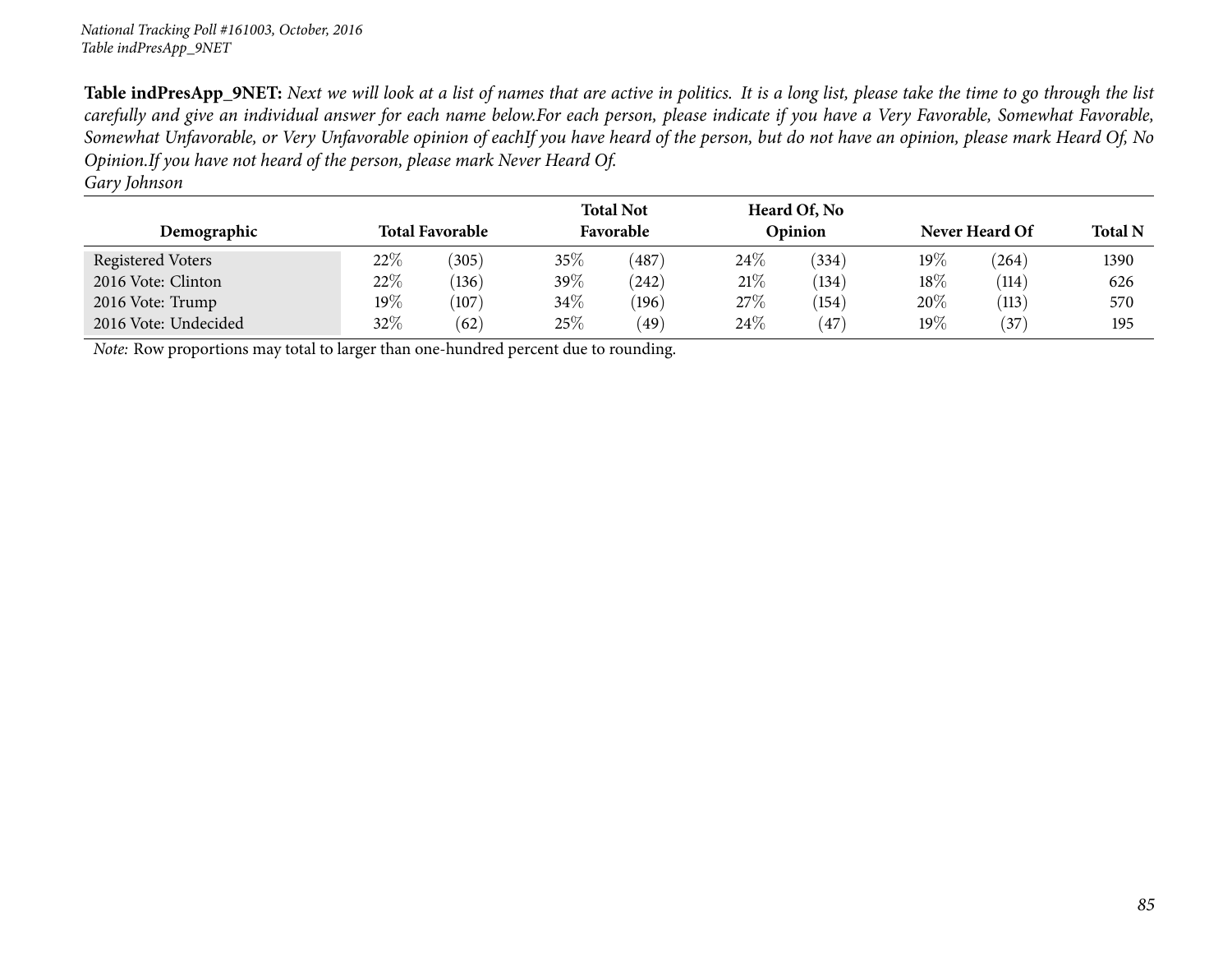| Demographic          |         | <b>Total Favorable</b> |      | <b>Total Not</b><br>Favorable |        | Heard Of, No<br>Opinion |         | Never Heard Of |      |  |
|----------------------|---------|------------------------|------|-------------------------------|--------|-------------------------|---------|----------------|------|--|
| Registered Voters    | $22\%$  | (305)                  | 35%  | $^{\prime}487$                | $24\%$ | (334)                   | 19 $\%$ | (264)          | 1390 |  |
| 2016 Vote: Clinton   | 22\%    | (136)                  | 39%  | (242)                         | 21%    | (134)                   | 18%     | (114)          | 626  |  |
| 2016 Vote: Trump     | 19 $\%$ | (107)                  | 34\% | (196)                         | 27%    | (154)                   | $20\%$  | (113)          | 570  |  |
| 2016 Vote: Undecided | $32\%$  | (62)                   | 25%  | $^{(49)}$                     | 24\%   | 47                      | $19\%$  | $^{\prime}37)$ | 195  |  |

*Note:* Row proportions may total to larger than one-hundred percen<sup>t</sup> due to rounding.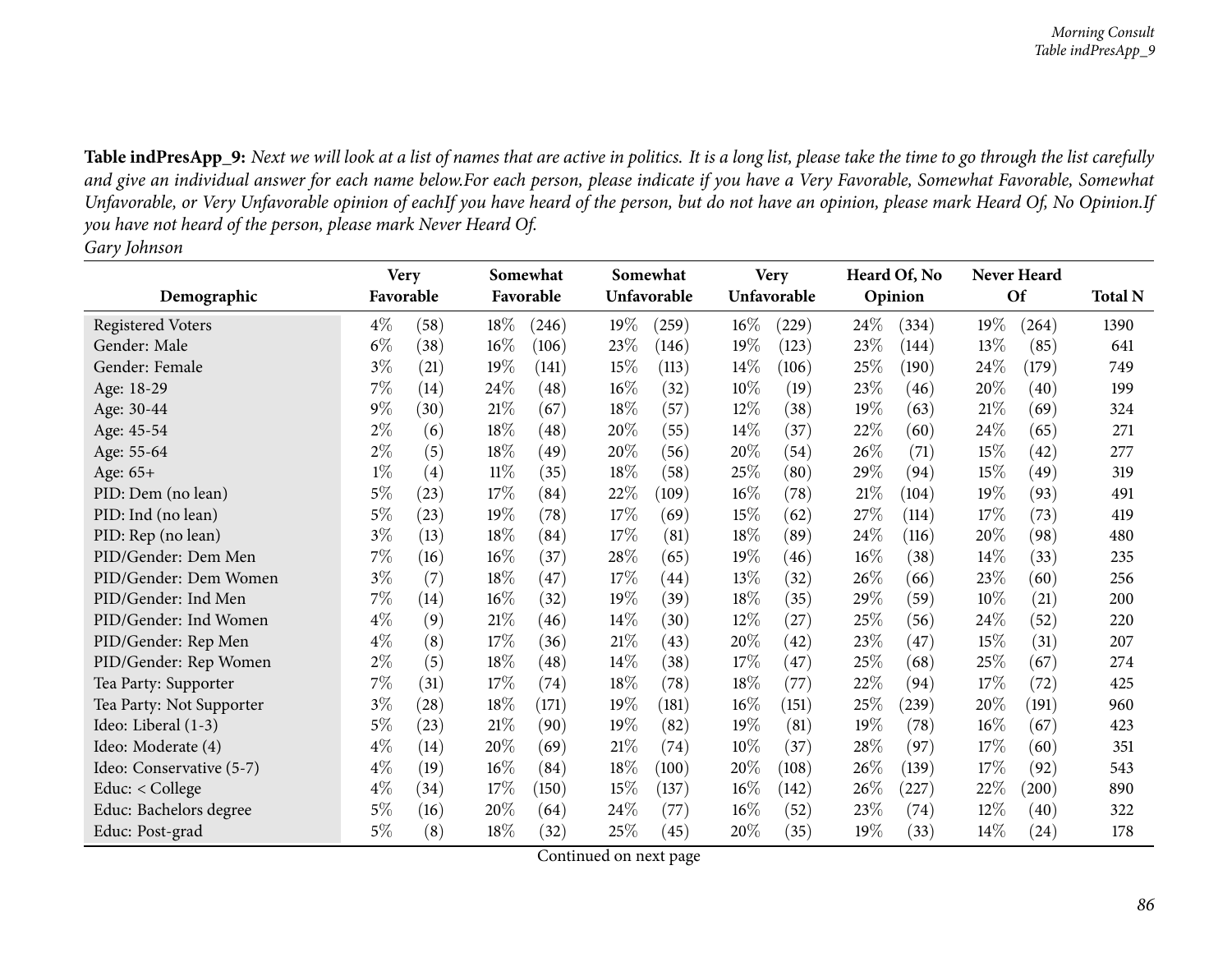|                          | <b>Very</b> |      |        | Somewhat           |      | Somewhat    |        | <b>Very</b> |        | Heard Of, No |        | Never Heard |                |
|--------------------------|-------------|------|--------|--------------------|------|-------------|--------|-------------|--------|--------------|--------|-------------|----------------|
| Demographic              | Favorable   |      |        | Favorable          |      | Unfavorable |        | Unfavorable |        | Opinion      |        | Of          | <b>Total N</b> |
| <b>Registered Voters</b> | $4\%$       | (58) | $18\%$ | (246)              | 19%  | (259)       | $16\%$ | (229)       | 24\%   | (334)        | 19%    | (264)       | 1390           |
| Gender: Male             | $6\%$       | (38) | 16%    | (106)              | 23%  | (146)       | 19%    | (123)       | 23%    | (144)        | 13%    | (85)        | 641            |
| Gender: Female           | $3\%$       | (21) | 19%    | (141)              | 15%  | (113)       | 14%    | (106)       | 25\%   | (190)        | 24\%   | (179)       | 749            |
| Age: 18-29               | $7\%$       | (14) | 24\%   | $\left( 48\right)$ | 16%  | (32)        | 10%    | (19)        | 23\%   | (46)         | 20%    | (40)        | 199            |
| Age: 30-44               | $9\%$       | (30) | 21%    | (67)               | 18%  | (57)        | 12%    | (38)        | 19%    | (63)         | 21%    | (69)        | 324            |
| Age: 45-54               | $2\%$       | (6)  | 18%    | (48)               | 20%  | (55)        | 14%    | (37)        | 22\%   | (60)         | 24\%   | (65)        | 271            |
| Age: 55-64               | $2\%$       | (5)  | 18%    | (49)               | 20%  | (56)        | 20%    | (54)        | 26\%   | (71)         | 15%    | (42)        | 277            |
| Age: 65+                 | $1\%$       | (4)  | $11\%$ | (35)               | 18%  | (58)        | $25\%$ | (80)        | 29%    | (94)         | 15%    | (49)        | 319            |
| PID: Dem (no lean)       | 5%          | (23) | 17%    | (84)               | 22\% | (109)       | $16\%$ | (78)        | 21%    | (104)        | 19%    | (93)        | 491            |
| PID: Ind (no lean)       | $5\%$       | (23) | 19%    | (78)               | 17%  | (69)        | 15%    | (62)        | 27\%   | (114)        | 17\%   | (73)        | 419            |
| PID: Rep (no lean)       | $3\%$       | (13) | 18%    | (84)               | 17\% | (81)        | $18\%$ | (89)        | 24\%   | (116)        | 20%    | (98)        | 480            |
| PID/Gender: Dem Men      | $7\%$       | (16) | $16\%$ | (37)               | 28\% | (65)        | 19%    | (46)        | $16\%$ | (38)         | 14%    | (33)        | 235            |
| PID/Gender: Dem Women    | $3\%$       | (7)  | 18%    | (47)               | 17%  | (44)        | 13%    | (32)        | 26\%   | (66)         | 23%    | (60)        | 256            |
| PID/Gender: Ind Men      | $7\%$       | (14) | $16\%$ | (32)               | 19%  | (39)        | 18%    | (35)        | 29%    | (59)         | $10\%$ | (21)        | 200            |
| PID/Gender: Ind Women    | $4\%$       | (9)  | $21\%$ | (46)               | 14%  | (30)        | 12%    | (27)        | 25\%   | (56)         | 24%    | (52)        | 220            |
| PID/Gender: Rep Men      | $4\%$       | (8)  | 17%    | (36)               | 21%  | (43)        | 20%    | (42)        | 23%    | (47)         | 15%    | (31)        | 207            |
| PID/Gender: Rep Women    | $2\%$       | (5)  | 18%    | (48)               | 14%  | (38)        | 17%    | (47)        | 25%    | (68)         | 25%    | (67)        | 274            |
| Tea Party: Supporter     | $7\%$       | (31) | 17%    | (74)               | 18%  | (78)        | 18%    | (77)        | 22%    | (94)         | 17%    | (72)        | 425            |
| Tea Party: Not Supporter | $3\%$       | (28) | 18%    | (171)              | 19%  | (181)       | 16%    | (151)       | 25%    | (239)        | 20%    | (191)       | 960            |
| Ideo: Liberal (1-3)      | $5\%$       | (23) | 21%    | (90)               | 19%  | (82)        | 19%    | (81)        | 19%    | (78)         | 16%    | (67)        | 423            |
| Ideo: Moderate (4)       | $4\%$       | (14) | 20%    | (69)               | 21%  | (74)        | 10%    | (37)        | 28\%   | (97)         | 17%    | (60)        | 351            |
| Ideo: Conservative (5-7) | $4\%$       | (19) | 16%    | (84)               | 18%  | (100)       | 20%    | (108)       | 26%    | (139)        | 17%    | (92)        | 543            |
| Educ: $<$ College        | $4\%$       | (34) | 17%    | (150)              | 15%  | (137)       | $16\%$ | (142)       | $26\%$ | (227)        | 22%    | $^{'}200)$  | 890            |
| Educ: Bachelors degree   | $5\%$       | (16) | 20%    | (64)               | 24\% | (77)        | $16\%$ | (52)        | 23\%   | (74)         | 12%    | (40)        | 322            |
| Educ: Post-grad          | 5%          | (8)  | 18%    | (32)               | 25\% | (45)        | 20%    | (35)        | 19%    | (33)         | 14%    | $^{(24)}$   | 178            |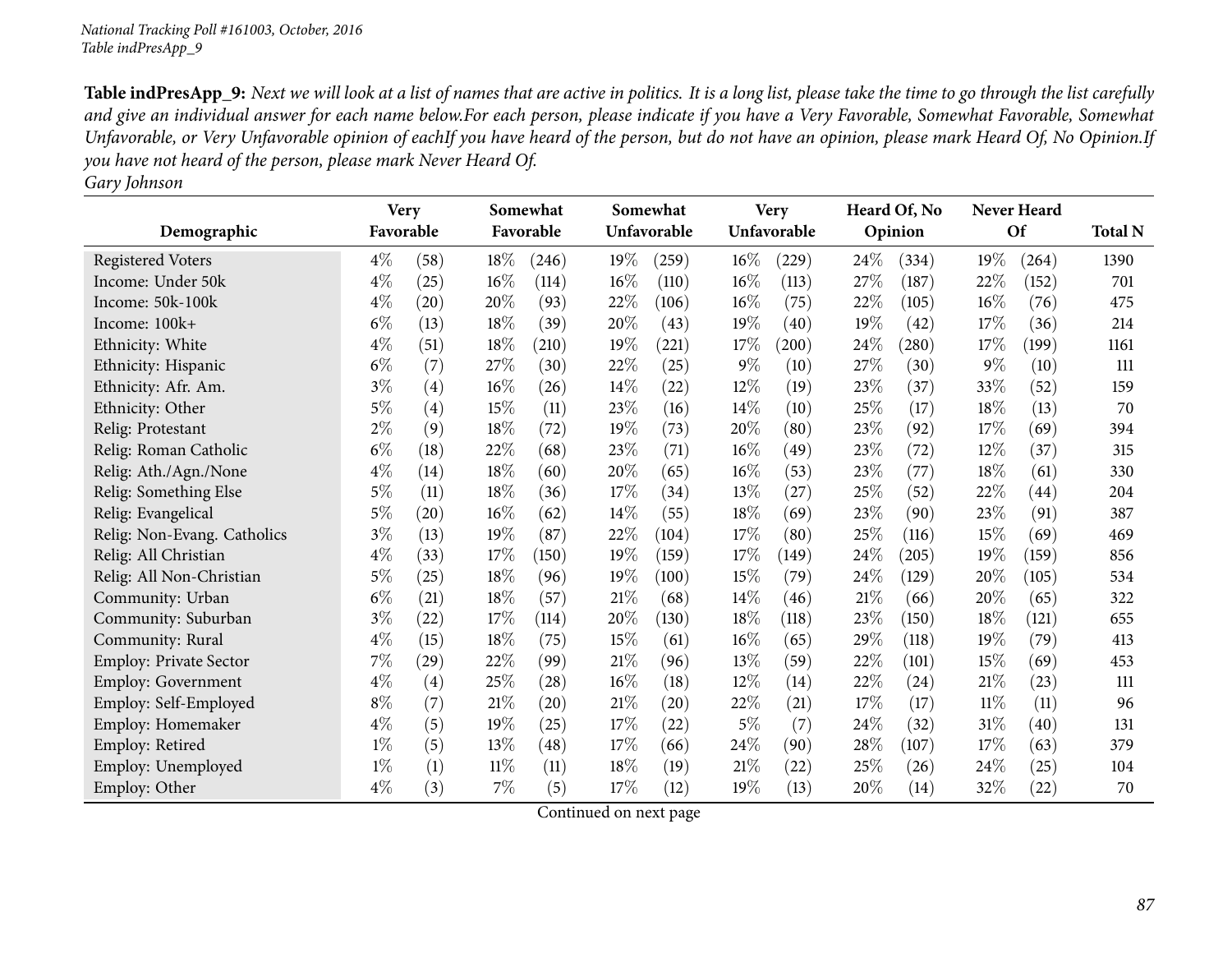|                             | <b>Very</b> |      |       | Somewhat           |        | Somewhat    |        | <b>Very</b> |      | Heard Of, No |        | Never Heard |                |
|-----------------------------|-------------|------|-------|--------------------|--------|-------------|--------|-------------|------|--------------|--------|-------------|----------------|
| Demographic                 | Favorable   |      |       | Favorable          |        | Unfavorable |        | Unfavorable |      | Opinion      |        | Of          | <b>Total N</b> |
| <b>Registered Voters</b>    | $4\%$       | (58) | 18%   | (246)              | 19%    | (259)       | 16%    | (229)       | 24%  | (334)        | 19%    | (264)       | 1390           |
| Income: Under 50k           | $4\%$       | (25) | 16%   | (114)              | 16%    | (110)       | 16%    | (113)       | 27%  | (187)        | 22%    | (152)       | 701            |
| Income: 50k-100k            | $4\%$       | (20) | 20%   | (93)               | 22%    | (106)       | $16\%$ | (75)        | 22%  | (105)        | 16%    | (76)        | 475            |
| Income: 100k+               | $6\%$       | (13) | 18%   | (39)               | 20%    | (43)        | 19%    | (40)        | 19%  | (42)         | 17%    | (36)        | 214            |
| Ethnicity: White            | $4\%$       | (51) | 18%   | (210)              | 19%    | (221)       | 17%    | (200)       | 24\% | (280)        | 17%    | (199)       | 1161           |
| Ethnicity: Hispanic         | $6\%$       | (7)  | 27%   | (30)               | 22%    | (25)        | $9\%$  | (10)        | 27%  | (30)         | $9\%$  | (10)        | 111            |
| Ethnicity: Afr. Am.         | $3\%$       | (4)  | 16%   | (26)               | 14%    | (22)        | 12%    | (19)        | 23%  | (37)         | 33%    | (52)        | 159            |
| Ethnicity: Other            | $5\%$       | (4)  | 15%   | (11)               | 23%    | (16)        | 14%    | (10)        | 25%  | (17)         | 18%    | (13)        | 70             |
| Relig: Protestant           | $2\%$       | (9)  | 18%   | (72)               | 19%    | (73)        | 20%    | (80)        | 23%  | (92)         | 17%    | (69)        | 394            |
| Relig: Roman Catholic       | $6\%$       | (18) | 22%   | (68)               | 23%    | (71)        | 16%    | (49)        | 23%  | (72)         | $12\%$ | (37)        | 315            |
| Relig: Ath./Agn./None       | $4\%$       | (14) | 18%   | (60)               | 20%    | (65)        | $16\%$ | (53)        | 23%  | (77)         | 18%    | (61)        | 330            |
| Relig: Something Else       | $5\%$       | (11) | 18%   | (36)               | 17%    | (34)        | 13%    | (27)        | 25%  | (52)         | 22%    | (44)        | 204            |
| Relig: Evangelical          | $5\%$       | (20) | 16%   | (62)               | 14%    | (55)        | 18%    | (69)        | 23%  | (90)         | 23%    | (91)        | 387            |
| Relig: Non-Evang. Catholics | $3\%$       | (13) | 19%   | (87)               | 22%    | (104)       | 17%    | (80)        | 25%  | (116)        | 15%    | (69)        | 469            |
| Relig: All Christian        | $4\%$       | (33) | 17%   | (150)              | 19%    | (159)       | 17%    | (149)       | 24%  | (205)        | 19%    | (159)       | 856            |
| Relig: All Non-Christian    | $5\%$       | (25) | 18%   | (96)               | $19\%$ | (100)       | 15%    | (79)        | 24%  | (129)        | 20%    | (105)       | 534            |
| Community: Urban            | $6\%$       | (21) | 18%   | (57)               | 21%    | (68)        | 14%    | (46)        | 21%  | (66)         | 20%    | (65)        | 322            |
| Community: Suburban         | $3\%$       | (22) | 17%   | (114)              | 20%    | (130)       | 18%    | (118)       | 23%  | (150)        | 18%    | (121)       | 655            |
| Community: Rural            | $4\%$       | (15) | 18%   | (75)               | 15%    | (61)        | 16%    | (65)        | 29%  | (118)        | 19%    | (79)        | 413            |
| Employ: Private Sector      | 7%          | (29) | 22%   | (99)               | 21%    | (96)        | 13%    | (59)        | 22%  | (101)        | 15%    | (69)        | 453            |
| <b>Employ: Government</b>   | $4\%$       | (4)  | 25%   | (28)               | 16%    | (18)        | 12\%   | (14)        | 22%  | (24)         | 21%    | (23)        | 111            |
| Employ: Self-Employed       | $8\%$       | (7)  | 21%   | $\left( 20\right)$ | 21%    | (20)        | 22%    | (21)        | 17%  | (17)         | $11\%$ | (11)        | 96             |
| Employ: Homemaker           | $4\%$       | (5)  | 19%   | (25)               | 17%    | (22)        | $5\%$  | (7)         | 24%  | (32)         | $31\%$ | (40)        | 131            |
| Employ: Retired             | $1\%$       | (5)  | 13%   | (48)               | 17%    | (66)        | 24%    | (90)        | 28%  | (107)        | 17%    | (63)        | 379            |
| Employ: Unemployed          | $1\%$       | (1)  | 11%   | (11)               | 18\%   | (19)        | 21%    | (22)        | 25%  | (26)         | 24%    | (25)        | 104            |
| Employ: Other               | $4\%$       | (3)  | $7\%$ | (5)                | 17\%   | (12)        | 19%    | (13)        | 20%  | (14)         | 32%    | (22)        | 70             |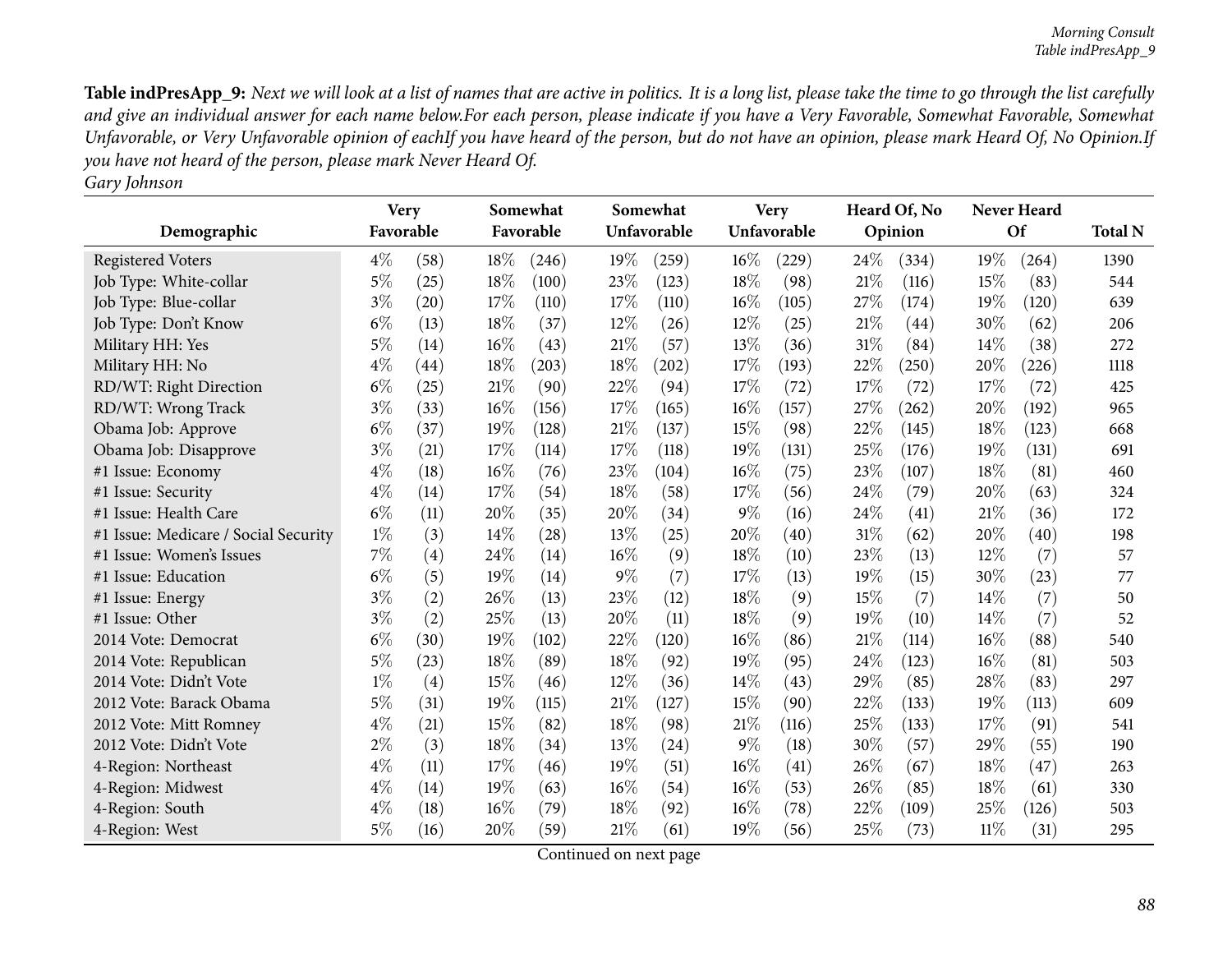|                                      | <b>Very</b> |      |     | Somewhat  |        | Somewhat    |        | <b>Very</b> |     | Heard Of, No |        | Never Heard |                |
|--------------------------------------|-------------|------|-----|-----------|--------|-------------|--------|-------------|-----|--------------|--------|-------------|----------------|
| Demographic                          | Favorable   |      |     | Favorable |        | Unfavorable |        | Unfavorable |     | Opinion      |        | <b>Of</b>   | <b>Total N</b> |
| <b>Registered Voters</b>             | $4\%$       | (58) | 18% | (246)     | 19%    | (259)       | 16%    | (229)       | 24% | (334)        | 19%    | (264)       | 1390           |
| Job Type: White-collar               | $5\%$       | (25) | 18% | (100)     | 23%    | (123)       | 18%    | (98)        | 21% | (116)        | 15%    | (83)        | 544            |
| Job Type: Blue-collar                | $3\%$       | (20) | 17% | (110)     | 17%    | (110)       | 16%    | (105)       | 27% | (174)        | 19%    | (120)       | 639            |
| Job Type: Don't Know                 | $6\%$       | (13) | 18% | (37)      | 12%    | (26)        | $12\%$ | (25)        | 21% | (44)         | 30%    | (62)        | 206            |
| Military HH: Yes                     | $5\%$       | (14) | 16% | (43)      | 21%    | (57)        | 13%    | (36)        | 31% | (84)         | 14\%   | (38)        | 272            |
| Military HH: No                      | $4\%$       | (44) | 18% | (203)     | 18%    | (202)       | 17%    | (193)       | 22% | (250)        | 20%    | (226)       | 1118           |
| RD/WT: Right Direction               | $6\%$       | (25) | 21% | (90)      | 22%    | (94)        | 17%    | (72)        | 17% | (72)         | 17\%   | (72)        | 425            |
| RD/WT: Wrong Track                   | $3\%$       | (33) | 16% | (156)     | 17%    | (165)       | 16%    | (157)       | 27% | (262)        | 20%    | (192)       | 965            |
| Obama Job: Approve                   | $6\%$       | (37) | 19% | (128)     | $21\%$ | (137)       | 15%    | (98)        | 22% | (145)        | 18%    | (123)       | 668            |
| Obama Job: Disapprove                | $3\%$       | (21) | 17% | (114)     | 17%    | (118)       | 19%    | (131)       | 25% | (176)        | 19%    | (131)       | 691            |
| #1 Issue: Economy                    | $4\%$       | (18) | 16% | (76)      | 23%    | (104)       | 16%    | (75)        | 23% | (107)        | 18%    | (81)        | 460            |
| #1 Issue: Security                   | $4\%$       | (14) | 17% | (54)      | 18%    | (58)        | 17%    | (56)        | 24% | (79)         | 20%    | (63)        | 324            |
| #1 Issue: Health Care                | $6\%$       | (11) | 20% | (35)      | 20%    | (34)        | $9\%$  | (16)        | 24% | (41)         | 21%    | (36)        | 172            |
| #1 Issue: Medicare / Social Security | $1\%$       | (3)  | 14% | (28)      | $13\%$ | (25)        | 20%    | (40)        | 31% | (62)         | 20%    | (40)        | 198            |
| #1 Issue: Women's Issues             | $7\%$       | (4)  | 24% | (14)      | $16\%$ | (9)         | 18%    | (10)        | 23% | (13)         | 12%    | (7)         | 57             |
| #1 Issue: Education                  | $6\%$       | (5)  | 19% | (14)      | $9\%$  | (7)         | 17%    | (13)        | 19% | (15)         | 30%    | (23)        | 77             |
| #1 Issue: Energy                     | $3\%$       | (2)  | 26% | (13)      | 23%    | (12)        | 18%    | (9)         | 15% | (7)          | 14\%   | (7)         | 50             |
| #1 Issue: Other                      | $3\%$       | (2)  | 25% | (13)      | 20%    | (11)        | 18%    | (9)         | 19% | (10)         | 14%    | (7)         | 52             |
| 2014 Vote: Democrat                  | $6\%$       | (30) | 19% | (102)     | 22%    | (120)       | 16%    | (86)        | 21% | (114)        | 16%    | (88)        | 540            |
| 2014 Vote: Republican                | $5\%$       | (23) | 18% | (89)      | 18%    | (92)        | 19%    | (95)        | 24% | (123)        | 16%    | (81)        | 503            |
| 2014 Vote: Didn't Vote               | $1\%$       | (4)  | 15% | (46)      | 12%    | (36)        | 14%    | (43)        | 29% | (85)         | 28%    | (83)        | 297            |
| 2012 Vote: Barack Obama              | $5\%$       | (31) | 19% | (115)     | 21%    | (127)       | 15%    | (90)        | 22% | (133)        | 19%    | (113)       | 609            |
| 2012 Vote: Mitt Romney               | $4\%$       | (21) | 15% | (82)      | 18%    | (98)        | 21%    | (116)       | 25% | (133)        | 17%    | (91)        | 541            |
| 2012 Vote: Didn't Vote               | $2\%$       | (3)  | 18% | (34)      | 13%    | (24)        | $9\%$  | (18)        | 30% | (57)         | 29%    | (55)        | 190            |
| 4-Region: Northeast                  | $4\%$       | (11) | 17% | (46)      | 19%    | (51)        | 16%    | (41)        | 26% | (67)         | 18%    | (47)        | 263            |
| 4-Region: Midwest                    | $4\%$       | (14) | 19% | (63)      | $16\%$ | (54)        | 16%    | (53)        | 26% | (85)         | 18%    | (61)        | 330            |
| 4-Region: South                      | $4\%$       | (18) | 16% | (79)      | 18%    | (92)        | 16%    | (78)        | 22% | (109)        | 25%    | (126)       | 503            |
| 4-Region: West                       | $5\%$       | (16) | 20% | (59)      | $21\%$ | (61)        | 19%    | (56)        | 25% | (73)         | $11\%$ | (31)        | 295            |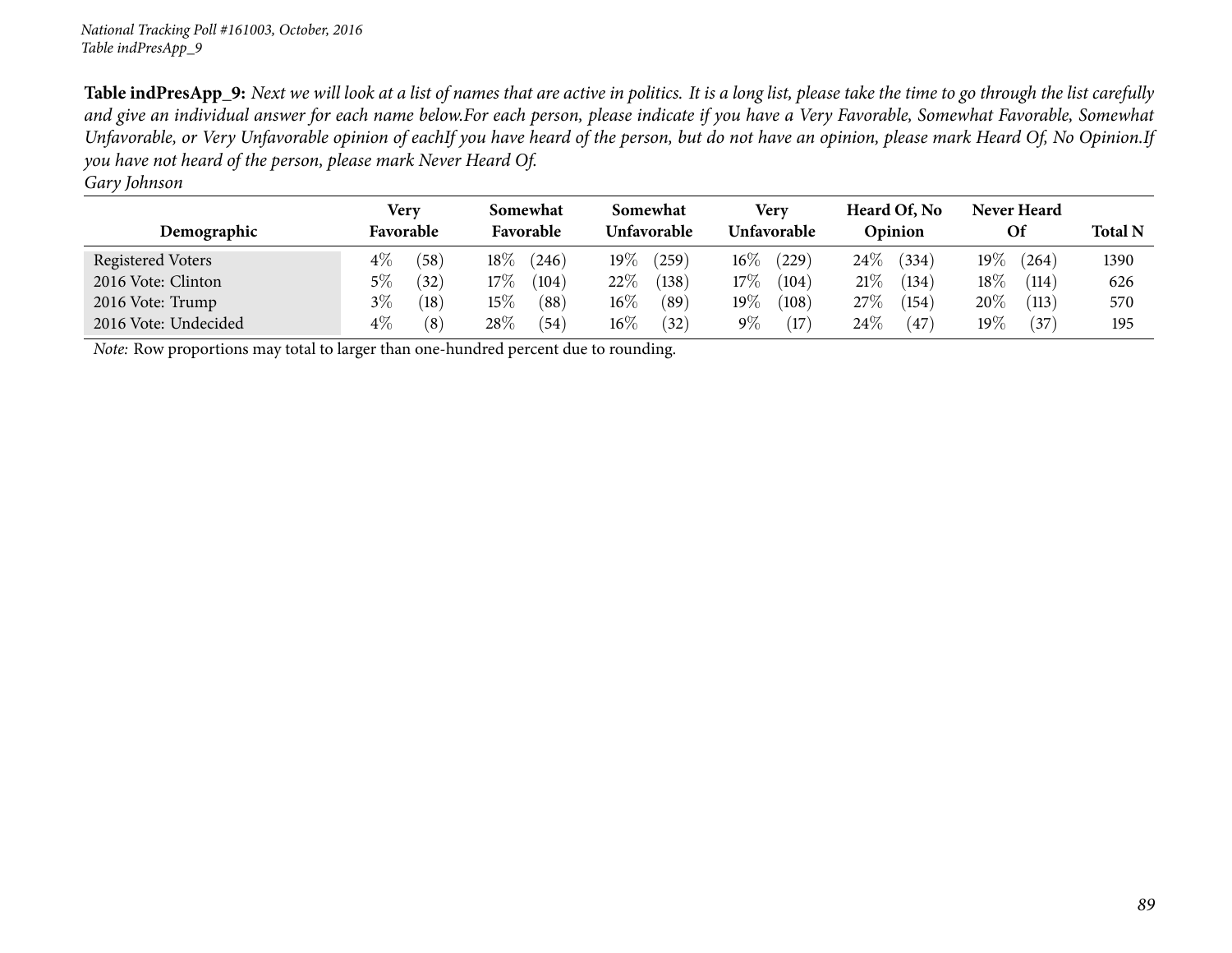|                      | Very          | Somewhat        | Somewhat        | Very            | Heard Of, No    | <b>Never Heard</b> |                |
|----------------------|---------------|-----------------|-----------------|-----------------|-----------------|--------------------|----------------|
| Demographic          | Favorable     | Favorable       | Unfavorable     | Unfavorable     | Opinion         | <b>Of</b>          | <b>Total N</b> |
| Registered Voters    | $4\%$<br>(58) | $18\%$<br>(246) | $19\%$<br>(259) | $16\%$<br>(229) | $24\%$<br>(334) | 19 $\%$<br>(264)   | 1390           |
| 2016 Vote: Clinton   | 5%<br>(32)    | 17%<br>(104)    | $22\%$<br>(138) | $17\%$<br>(104) | 21%<br>(134)    | $18\%$<br>(114)    | 626            |
| 2016 Vote: Trump     | $3\%$<br>(18) | $15\%$<br>(88)  | $16\%$<br>(89)  | $19\%$<br>(108) | 27%<br>(154)    | 20%<br>(113)       | 570            |
| 2016 Vote: Undecided | $4\%$<br>(8)  | $28\%$<br>(54)  | $16\%$<br>(32)  | $9\%$<br>(17)   | $24\%$<br>(47   | $19\%$<br>(37)     | 195            |

*Note:* Row proportions may total to larger than one-hundred percen<sup>t</sup> due to rounding.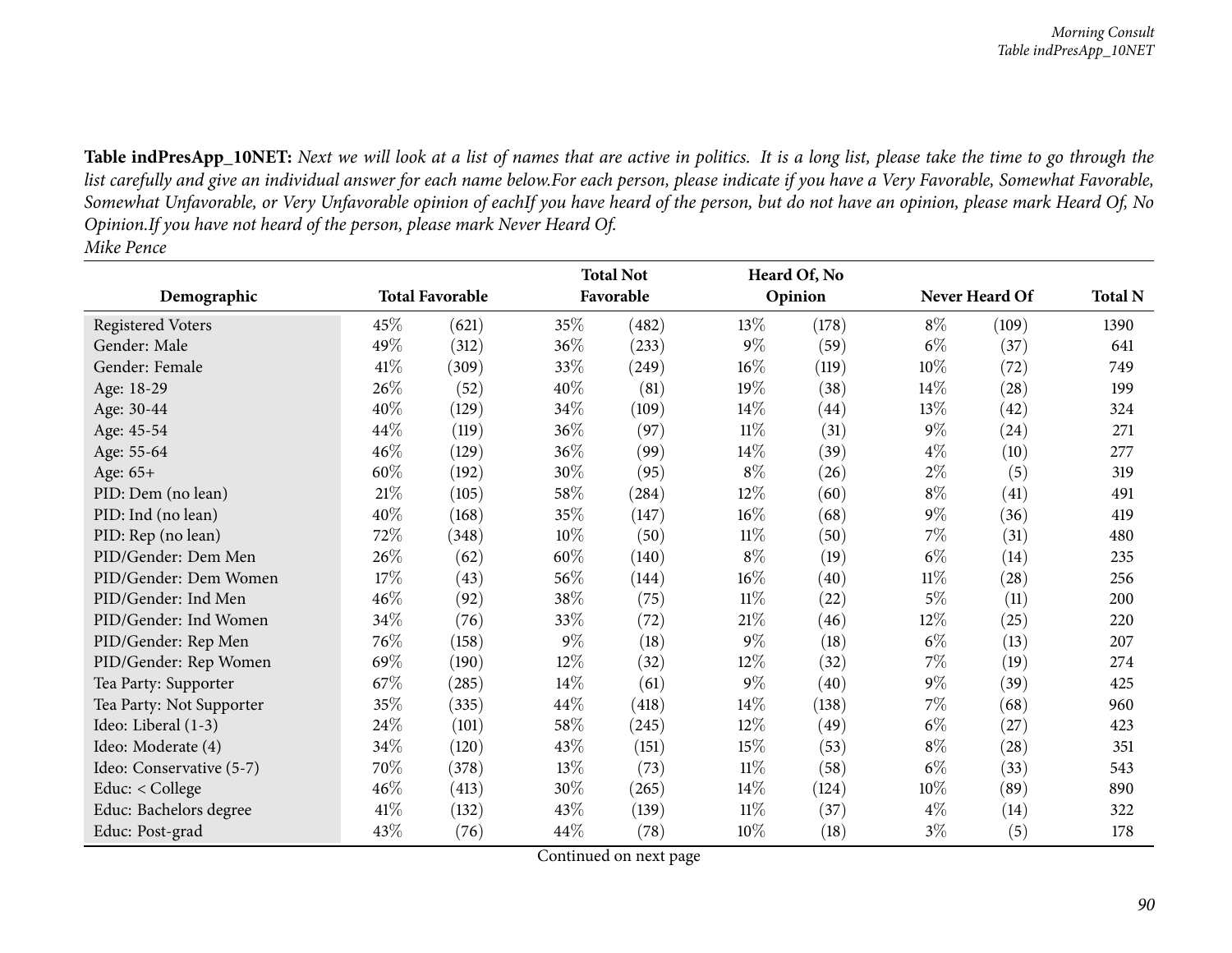|                          |        |                        |        | <b>Total Not</b> |        | Heard Of, No |        |                |                |
|--------------------------|--------|------------------------|--------|------------------|--------|--------------|--------|----------------|----------------|
| Demographic              |        | <b>Total Favorable</b> |        | Favorable        |        | Opinion      |        | Never Heard Of | <b>Total N</b> |
| <b>Registered Voters</b> | 45%    | (621)                  | 35%    | (482)            | 13%    | (178)        | $8\%$  | (109)          | 1390           |
| Gender: Male             | 49%    | (312)                  | 36%    | (233)            | $9\%$  | (59)         | $6\%$  | (37)           | 641            |
| Gender: Female           | 41%    | (309)                  | 33%    | (249)            | $16\%$ | (119)        | 10%    | (72)           | 749            |
| Age: 18-29               | 26%    | (52)                   | 40%    | (81)             | 19%    | (38)         | 14\%   | (28)           | 199            |
| Age: 30-44               | 40%    | (129)                  | 34%    | (109)            | $14\%$ | (44)         | $13\%$ | (42)           | 324            |
| Age: 45-54               | 44\%   | (119)                  | 36%    | (97)             | $11\%$ | (31)         | $9\%$  | (24)           | 271            |
| Age: 55-64               | 46%    | (129)                  | 36%    | (99)             | $14\%$ | (39)         | $4\%$  | (10)           | 277            |
| Age: 65+                 | 60%    | (192)                  | 30%    | (95)             | $8\%$  | (26)         | $2\%$  | (5)            | 319            |
| PID: Dem (no lean)       | $21\%$ | (105)                  | 58\%   | (284)            | $12\%$ | (60)         | $8\%$  | (41)           | 491            |
| PID: Ind (no lean)       | 40%    | (168)                  | 35%    | (147)            | 16%    | (68)         | $9\%$  | (36)           | 419            |
| PID: Rep (no lean)       | 72%    | (348)                  | 10%    | (50)             | $11\%$ | (50)         | $7\%$  | (31)           | 480            |
| PID/Gender: Dem Men      | 26%    | (62)                   | 60%    | (140)            | $8\%$  | (19)         | $6\%$  | (14)           | 235            |
| PID/Gender: Dem Women    | 17%    | (43)                   | 56%    | (144)            | $16\%$ | (40)         | $11\%$ | (28)           | 256            |
| PID/Gender: Ind Men      | 46%    | (92)                   | 38%    | (75)             | $11\%$ | (22)         | $5\%$  | (11)           | 200            |
| PID/Gender: Ind Women    | 34%    | (76)                   | 33%    | (72)             | $21\%$ | (46)         | 12%    | (25)           | 220            |
| PID/Gender: Rep Men      | 76%    | (158)                  | $9\%$  | (18)             | $9\%$  | (18)         | $6\%$  | (13)           | 207            |
| PID/Gender: Rep Women    | 69%    | (190)                  | 12%    | (32)             | $12\%$ | (32)         | $7\%$  | (19)           | 274            |
| Tea Party: Supporter     | 67\%   | (285)                  | $14\%$ | (61)             | $9\%$  | (40)         | $9\%$  | (39)           | 425            |
| Tea Party: Not Supporter | 35%    | (335)                  | 44\%   | (418)            | $14\%$ | (138)        | $7\%$  | (68)           | 960            |
| Ideo: Liberal (1-3)      | 24\%   | (101)                  | 58%    | (245)            | 12%    | (49)         | $6\%$  | (27)           | 423            |
| Ideo: Moderate (4)       | 34%    | (120)                  | 43%    | (151)            | 15%    | (53)         | $8\%$  | (28)           | 351            |
| Ideo: Conservative (5-7) | 70%    | (378)                  | 13%    | (73)             | $11\%$ | (58)         | $6\%$  | (33)           | 543            |
| Educ: $<$ College        | 46%    | (413)                  | 30%    | (265)            | $14\%$ | (124)        | 10\%   | (89)           | 890            |
| Educ: Bachelors degree   | 41\%   | (132)                  | 43%    | (139)            | $11\%$ | (37)         | $4\%$  | (14)           | 322            |
| Educ: Post-grad          | 43%    | (76)                   | 44\%   | (78)             | $10\%$ | (18)         | $3\%$  | (5)            | 178            |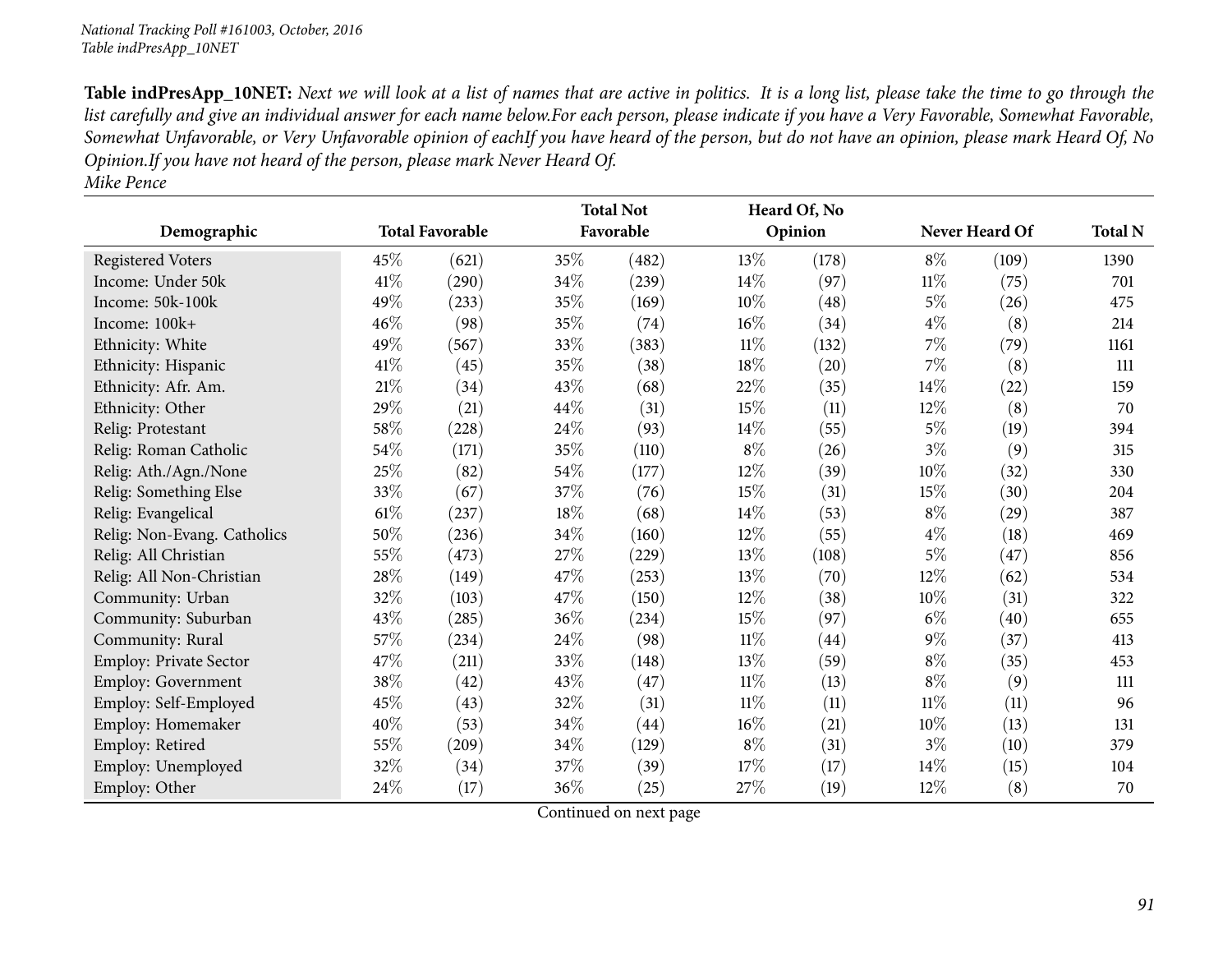|                             |        |                        |        | <b>Total Not</b> |        | Heard Of, No |        |                |                |
|-----------------------------|--------|------------------------|--------|------------------|--------|--------------|--------|----------------|----------------|
| Demographic                 |        | <b>Total Favorable</b> |        | Favorable        |        | Opinion      |        | Never Heard Of | <b>Total N</b> |
| <b>Registered Voters</b>    | 45\%   | (621)                  | 35%    | (482)            | 13%    | (178)        | $8\%$  | (109)          | 1390           |
| Income: Under 50k           | 41\%   | (290)                  | 34%    | (239)            | 14%    | (97)         | $11\%$ | (75)           | 701            |
| Income: 50k-100k            | 49%    | (233)                  | 35%    | (169)            | 10%    | (48)         | $5\%$  | (26)           | 475            |
| Income: $100k+$             | 46\%   | (98)                   | 35%    | (74)             | 16%    | (34)         | $4\%$  | (8)            | 214            |
| Ethnicity: White            | 49%    | (567)                  | 33%    | (383)            | $11\%$ | (132)        | 7%     | (79)           | 1161           |
| Ethnicity: Hispanic         | 41\%   | (45)                   | 35%    | (38)             | $18\%$ | (20)         | 7%     | (8)            | 111            |
| Ethnicity: Afr. Am.         | $21\%$ | (34)                   | 43%    | (68)             | 22%    | (35)         | 14%    | (22)           | 159            |
| Ethnicity: Other            | 29%    | (21)                   | 44\%   | (31)             | 15%    | (11)         | 12%    | (8)            | 70             |
| Relig: Protestant           | 58\%   | (228)                  | 24\%   | (93)             | 14\%   | (55)         | $5\%$  | (19)           | 394            |
| Relig: Roman Catholic       | 54\%   | (171)                  | 35%    | (110)            | $8\%$  | (26)         | $3\%$  | (9)            | 315            |
| Relig: Ath./Agn./None       | 25%    | (82)                   | 54%    | (177)            | 12%    | (39)         | 10%    | (32)           | 330            |
| Relig: Something Else       | 33\%   | (67)                   | 37%    | (76)             | 15%    | (31)         | 15%    | (30)           | 204            |
| Relig: Evangelical          | $61\%$ | (237)                  | 18%    | (68)             | 14\%   | (53)         | $8\%$  | (29)           | 387            |
| Relig: Non-Evang. Catholics | 50%    | (236)                  | $34\%$ | (160)            | 12%    | (55)         | $4\%$  | (18)           | 469            |
| Relig: All Christian        | 55%    | (473)                  | $27\%$ | (229)            | 13%    | (108)        | $5\%$  | (47)           | 856            |
| Relig: All Non-Christian    | 28\%   | (149)                  | 47%    | (253)            | 13\%   | (70)         | 12%    | (62)           | 534            |
| Community: Urban            | 32%    | (103)                  | 47%    | (150)            | $12\%$ | (38)         | 10%    | (31)           | 322            |
| Community: Suburban         | 43%    | (285)                  | 36%    | (234)            | 15%    | (97)         | $6\%$  | (40)           | 655            |
| Community: Rural            | 57%    | (234)                  | 24\%   | (98)             | $11\%$ | (44)         | $9\%$  | (37)           | 413            |
| Employ: Private Sector      | 47%    | (211)                  | 33%    | (148)            | 13\%   | (59)         | $8\%$  | (35)           | 453            |
| <b>Employ: Government</b>   | 38%    | (42)                   | 43%    | (47)             | 11%    | (13)         | $8\%$  | (9)            | 111            |
| Employ: Self-Employed       | 45\%   | (43)                   | 32%    | (31)             | $11\%$ | (11)         | $11\%$ | (11)           | 96             |
| Employ: Homemaker           | 40\%   | (53)                   | 34%    | (44)             | $16\%$ | (21)         | 10%    | (13)           | 131            |
| Employ: Retired             | 55%    | (209)                  | 34%    | (129)            | $8\%$  | (31)         | $3\%$  | (10)           | 379            |
| Employ: Unemployed          | 32%    | (34)                   | 37%    | (39)             | 17%    | (17)         | 14\%   | (15)           | 104            |
| Employ: Other               | 24\%   | (17)                   | 36%    | (25)             | 27%    | (19)         | $12\%$ | (8)            | 70             |

*Mike Pence*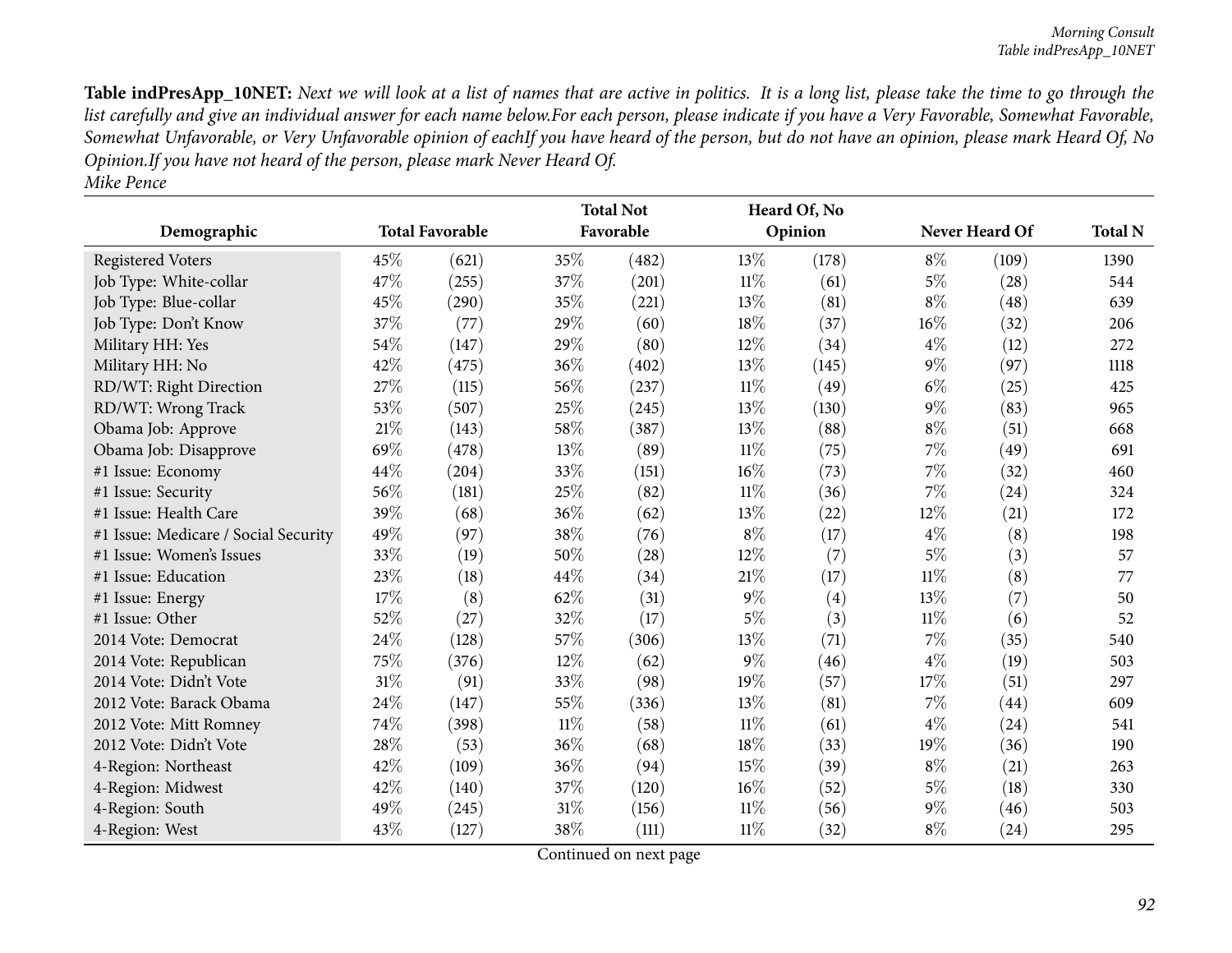| Demographic                          |        | <b>Total Favorable</b> |        | <b>Total Not</b><br>Favorable |        | Heard Of, No<br>Opinion |        | Never Heard Of | <b>Total N</b> |
|--------------------------------------|--------|------------------------|--------|-------------------------------|--------|-------------------------|--------|----------------|----------------|
|                                      |        |                        |        |                               |        |                         |        |                |                |
| <b>Registered Voters</b>             | 45%    | (621)                  | 35%    | (482)                         | $13\%$ | (178)                   | $8\%$  | (109)          | 1390           |
| Job Type: White-collar               | 47%    | (255)                  | 37%    | (201)                         | $11\%$ | (61)                    | $5\%$  | (28)           | 544            |
| Job Type: Blue-collar                | 45%    | (290)                  | 35%    | (221)                         | 13\%   | (81)                    | $8\%$  | (48)           | 639            |
| Job Type: Don't Know                 | 37%    | (77)                   | 29%    | (60)                          | 18%    | (37)                    | 16%    | (32)           | 206            |
| Military HH: Yes                     | 54%    | (147)                  | 29%    | (80)                          | 12%    | (34)                    | $4\%$  | (12)           | 272            |
| Military HH: No                      | 42%    | (475)                  | 36%    | (402)                         | $13\%$ | (145)                   | $9\%$  | (97)           | 1118           |
| RD/WT: Right Direction               | 27%    | (115)                  | 56%    | (237)                         | $11\%$ | (49)                    | $6\%$  | (25)           | 425            |
| RD/WT: Wrong Track                   | 53%    | (507)                  | 25%    | (245)                         | 13%    | (130)                   | $9\%$  | (83)           | 965            |
| Obama Job: Approve                   | 21%    | (143)                  | 58%    | (387)                         | 13\%   | (88)                    | $8\%$  | (51)           | 668            |
| Obama Job: Disapprove                | 69%    | (478)                  | 13%    | (89)                          | $11\%$ | (75)                    | 7%     | (49)           | 691            |
| #1 Issue: Economy                    | 44%    | (204)                  | 33%    | (151)                         | 16%    | (73)                    | 7%     | (32)           | 460            |
| #1 Issue: Security                   | 56%    | (181)                  | 25%    | (82)                          | $11\%$ | (36)                    | 7%     | (24)           | 324            |
| #1 Issue: Health Care                | 39%    | (68)                   | 36%    | (62)                          | 13%    | (22)                    | 12%    | (21)           | 172            |
| #1 Issue: Medicare / Social Security | 49%    | (97)                   | 38%    | (76)                          | $8\%$  | (17)                    | $4\%$  | (8)            | 198            |
| #1 Issue: Women's Issues             | 33%    | (19)                   | 50%    | (28)                          | 12%    | (7)                     | $5\%$  | (3)            | 57             |
| #1 Issue: Education                  | 23%    | (18)                   | 44%    | (34)                          | 21%    | (17)                    | $11\%$ | (8)            | 77             |
| #1 Issue: Energy                     | 17%    | (8)                    | 62%    | (31)                          | $9\%$  | (4)                     | $13\%$ | (7)            | 50             |
| #1 Issue: Other                      | 52%    | (27)                   | 32%    | (17)                          | $5\%$  | (3)                     | $11\%$ | (6)            | 52             |
| 2014 Vote: Democrat                  | 24%    | (128)                  | 57%    | (306)                         | 13%    | (71)                    | 7%     | (35)           | 540            |
| 2014 Vote: Republican                | 75%    | (376)                  | 12%    | (62)                          | $9\%$  | (46)                    | $4\%$  | (19)           | 503            |
| 2014 Vote: Didn't Vote               | $31\%$ | (91)                   | 33%    | (98)                          | 19%    | (57)                    | 17%    | (51)           | 297            |
| 2012 Vote: Barack Obama              | 24%    | (147)                  | 55%    | (336)                         | 13%    | (81)                    | 7%     | (44)           | 609            |
| 2012 Vote: Mitt Romney               | 74%    | (398)                  | $11\%$ | (58)                          | $11\%$ | (61)                    | $4\%$  | (24)           | 541            |
| 2012 Vote: Didn't Vote               | 28%    | (53)                   | 36%    | (68)                          | 18%    | (33)                    | 19%    | (36)           | 190            |
| 4-Region: Northeast                  | 42%    | (109)                  | 36%    | (94)                          | 15%    | (39)                    | $8\%$  | (21)           | 263            |
| 4-Region: Midwest                    | 42%    | (140)                  | 37%    | (120)                         | 16%    | (52)                    | $5\%$  | (18)           | 330            |
| 4-Region: South                      | 49%    | (245)                  | 31%    | (156)                         | $11\%$ | (56)                    | $9\%$  | (46)           | 503            |
| 4-Region: West                       | 43%    | (127)                  | 38%    | (111)                         | 11%    | (32)                    | $8\%$  | (24)           | 295            |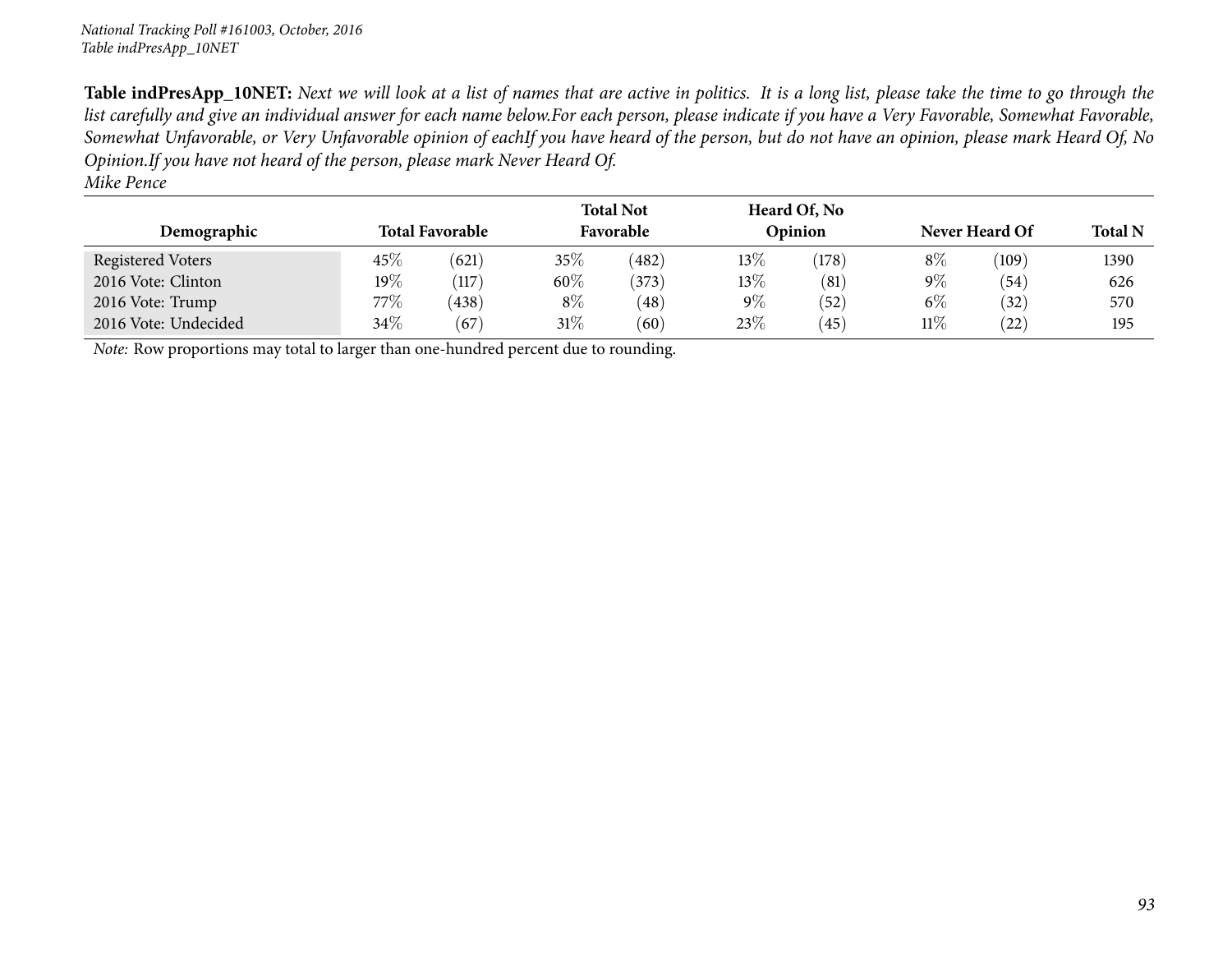| Demographic                                                                         | <b>Total Favorable</b> |       |        | <b>Total Not</b><br>Favorable |        | Heard Of, No<br>Opinion |        | Never Heard Of |      |
|-------------------------------------------------------------------------------------|------------------------|-------|--------|-------------------------------|--------|-------------------------|--------|----------------|------|
| Registered Voters                                                                   | 45\%                   | (621) | 35\%   | (482)                         | 13%    | (178)                   | $8\%$  | (109)          | 1390 |
| 2016 Vote: Clinton                                                                  | $19\%$                 | (117) | 60%    | (373)                         | $13\%$ | (81)                    | $9\%$  | (54)           | 626  |
| 2016 Vote: Trump                                                                    | 77%                    | (438) | $8\%$  | (48)                          | $9\%$  | (52)                    | $6\%$  | (32)           | 570  |
| 2016 Vote: Undecided                                                                | 34\%                   | (67)  | $31\%$ | (60)                          | 23\%   | (45)                    | $11\%$ | (22)           | 195  |
| Note: Row proportions may total to larger than one-hundred percent due to rounding. |                        |       |        |                               |        |                         |        |                |      |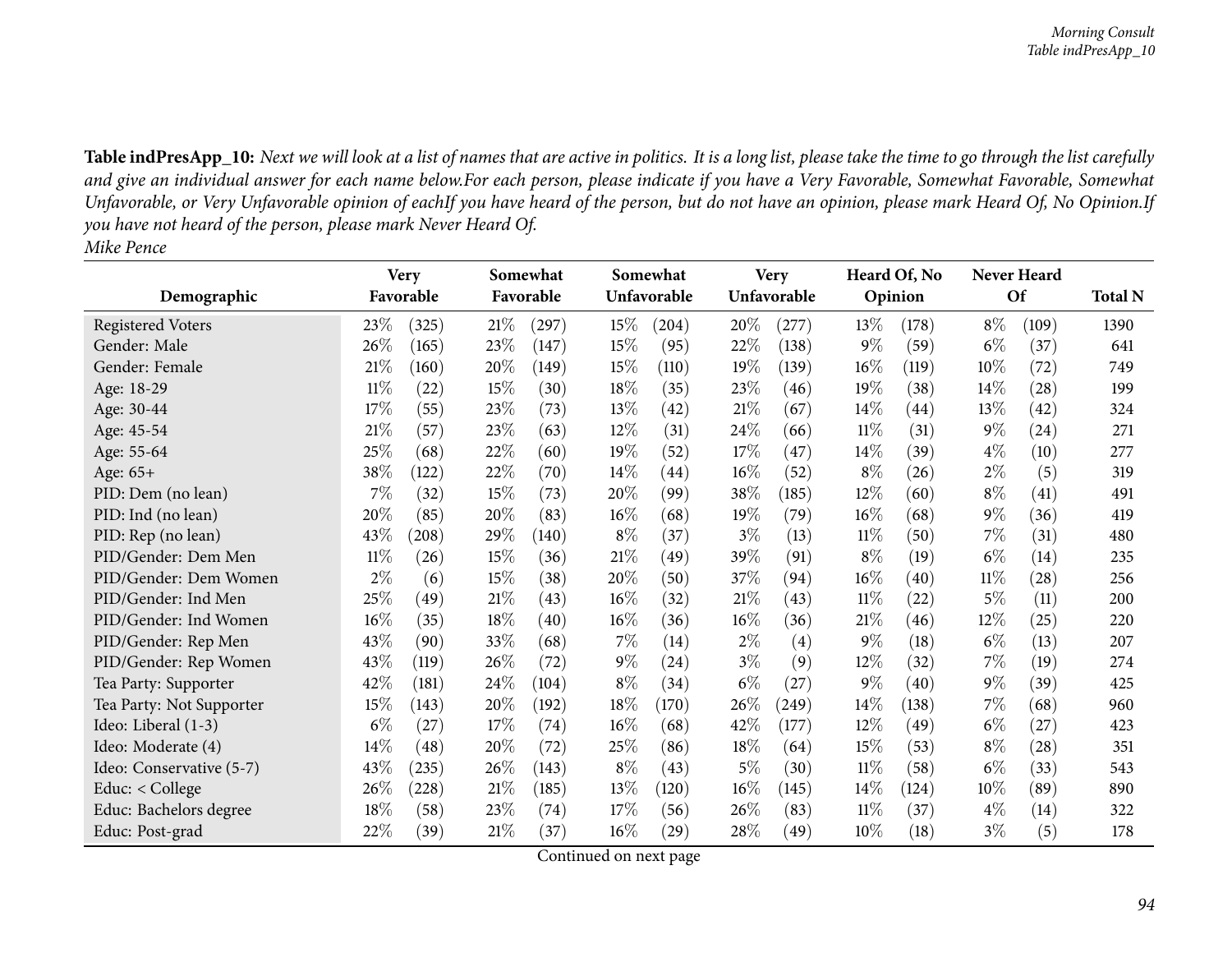|                          |        | <b>Very</b> |      | Somewhat  |        | Somewhat    |        | <b>Very</b> |        | Heard Of, No       |        | Never Heard        |                |
|--------------------------|--------|-------------|------|-----------|--------|-------------|--------|-------------|--------|--------------------|--------|--------------------|----------------|
| Demographic              |        | Favorable   |      | Favorable |        | Unfavorable |        | Unfavorable |        | Opinion            |        | Of                 | <b>Total N</b> |
| Registered Voters        | 23\%   | (325)       | 21%  | (297)     | 15\%   | (204)       | 20%    | (277)       | 13\%   | (178)              | $8\%$  | (109)              | 1390           |
| Gender: Male             | 26%    | (165)       | 23\% | (147)     | 15%    | (95)        | 22%    | (138)       | $9\%$  | (59)               | $6\%$  | (37)               | 641            |
| Gender: Female           | 21\%   | (160)       | 20%  | (149)     | 15%    | (110)       | 19%    | (139)       | 16%    | (119)              | 10%    | (72)               | 749            |
| Age: 18-29               | $11\%$ | (22)        | 15%  | (30)      | 18%    | (35)        | 23\%   | (46)        | 19%    | (38)               | 14%    | (28)               | 199            |
| Age: 30-44               | 17%    | (55)        | 23%  | (73)      | 13%    | (42)        | $21\%$ | (67)        | $14\%$ | $\left( 44\right)$ | 13%    | (42)               | 324            |
| Age: 45-54               | $21\%$ | (57)        | 23%  | (63)      | 12%    | (31)        | 24\%   | (66)        | $11\%$ | (31)               | $9\%$  | $\left( 24\right)$ | 271            |
| Age: 55-64               | 25%    | (68)        | 22%  | (60)      | 19%    | (52)        | 17%    | (47)        | 14%    | (39)               | $4\%$  | (10)               | 277            |
| Age: 65+                 | 38%    | (122)       | 22\% | (70)      | $14\%$ | (44)        | $16\%$ | (52)        | $8\%$  | (26)               | $2\%$  | (5)                | 319            |
| PID: Dem (no lean)       | 7%     | (32)        | 15%  | (73)      | 20%    | (99)        | 38%    | (185)       | $12\%$ | (60)               | $8\%$  | (41)               | 491            |
| PID: Ind (no lean)       | 20%    | (85)        | 20%  | (83)      | 16%    | (68)        | 19%    | (79)        | $16\%$ | (68)               | $9\%$  | (36)               | 419            |
| PID: Rep (no lean)       | 43%    | (208)       | 29\% | (140)     | $8\%$  | (37)        | $3\%$  | (13)        | $11\%$ | (50)               | $7\%$  | (31)               | 480            |
| PID/Gender: Dem Men      | $11\%$ | (26)        | 15%  | (36)      | 21%    | (49)        | 39%    | (91)        | $8\%$  | (19)               | $6\%$  | (14)               | 235            |
| PID/Gender: Dem Women    | $2\%$  | (6)         | 15%  | (38)      | 20%    | (50)        | 37%    | (94)        | $16\%$ | (40)               | $11\%$ | (28)               | 256            |
| PID/Gender: Ind Men      | 25%    | (49)        | 21%  | (43)      | 16%    | (32)        | 21\%   | (43)        | $11\%$ | (22)               | $5\%$  | (11)               | 200            |
| PID/Gender: Ind Women    | $16\%$ | (35)        | 18%  | (40)      | 16%    | (36)        | $16\%$ | (36)        | 21%    | (46)               | 12%    | (25)               | 220            |
| PID/Gender: Rep Men      | 43%    | (90)        | 33%  | (68)      | 7%     | (14)        | $2\%$  | (4)         | $9\%$  | (18)               | $6\%$  | (13)               | 207            |
| PID/Gender: Rep Women    | 43%    | (119)       | 26%  | (72)      | $9\%$  | (24)        | $3\%$  | (9)         | 12%    | (32)               | 7%     | (19)               | 274            |
| Tea Party: Supporter     | 42\%   | (181)       | 24\% | (104)     | $8\%$  | (34)        | $6\%$  | (27)        | $9\%$  | (40)               | $9\%$  | (39)               | 425            |
| Tea Party: Not Supporter | 15%    | (143)       | 20%  | (192)     | 18%    | (170)       | 26%    | (249)       | 14%    | (138)              | $7\%$  | (68)               | 960            |
| Ideo: Liberal (1-3)      | $6\%$  | (27)        | 17%  | (74)      | 16%    | (68)        | 42%    | (177)       | 12%    | (49)               | $6\%$  | (27)               | 423            |
| Ideo: Moderate (4)       | 14%    | (48)        | 20%  | (72)      | 25%    | (86)        | $18\%$ | (64)        | 15%    | (53)               | $8\%$  | $\left( 28\right)$ | 351            |
| Ideo: Conservative (5-7) | 43%    | (235)       | 26%  | (143)     | $8\%$  | (43)        | $5\%$  | (30)        | $11\%$ | (58)               | $6\%$  | (33)               | 543            |
| Educ: $<$ College        | 26%    | (228)       | 21%  | (185)     | 13%    | (120)       | $16\%$ | (145)       | 14%    | (124)              | 10%    | (89)               | 890            |
| Educ: Bachelors degree   | 18%    | (58)        | 23\% | (74)      | 17\%   | (56)        | 26\%   | (83)        | $11\%$ | (37)               | $4\%$  | (14)               | 322            |
| Educ: Post-grad          | 22%    | (39)        | 21%  | (37)      | 16%    | (29)        | 28\%   | (49)        | $10\%$ | (18)               | $3\%$  | (5)                | 178            |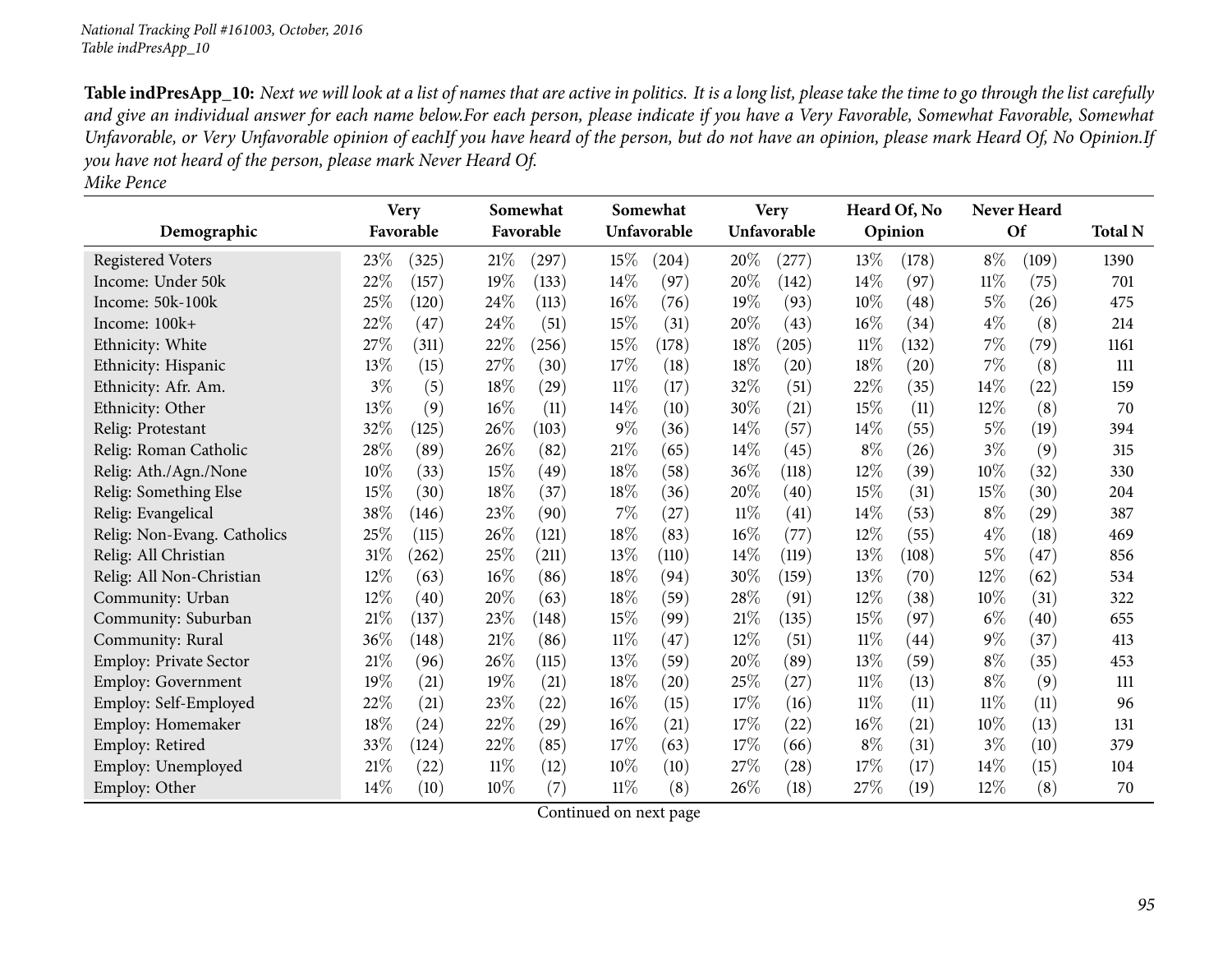|                               |        | <b>Very</b> |      | Somewhat  |        | Somewhat    |        | <b>Very</b> |        | Heard Of, No |        | Never Heard |                |
|-------------------------------|--------|-------------|------|-----------|--------|-------------|--------|-------------|--------|--------------|--------|-------------|----------------|
| Demographic                   |        | Favorable   |      | Favorable |        | Unfavorable |        | Unfavorable |        | Opinion      |        | Of          | <b>Total N</b> |
| <b>Registered Voters</b>      | 23%    | (325)       | 21%  | (297)     | 15%    | (204)       | 20%    | (277)       | 13%    | (178)        | $8\%$  | (109)       | 1390           |
| Income: Under 50k             | 22%    | (157)       | 19%  | (133)     | 14%    | (97)        | 20%    | (142)       | 14\%   | (97)         | $11\%$ | (75)        | 701            |
| Income: 50k-100k              | 25%    | (120)       | 24%  | (113)     | 16%    | (76)        | 19%    | (93)        | 10%    | (48)         | $5\%$  | (26)        | 475            |
| Income: 100k+                 | 22%    | (47)        | 24\% | (51)      | 15%    | (31)        | 20%    | (43)        | 16%    | (34)         | $4\%$  | (8)         | 214            |
| Ethnicity: White              | 27%    | (311)       | 22%  | (256)     | 15%    | (178)       | 18%    | (205)       | 11%    | (132)        | 7%     | (79)        | 1161           |
| Ethnicity: Hispanic           | 13%    | (15)        | 27%  | (30)      | 17%    | (18)        | 18%    | (20)        | 18%    | (20)         | $7\%$  | (8)         | 111            |
| Ethnicity: Afr. Am.           | $3\%$  | (5)         | 18%  | (29)      | $11\%$ | (17)        | 32%    | (51)        | 22%    | (35)         | 14%    | (22)        | 159            |
| Ethnicity: Other              | 13%    | (9)         | 16%  | (11)      | 14%    | (10)        | 30%    | (21)        | 15%    | (11)         | 12%    | (8)         | 70             |
| Relig: Protestant             | 32%    | (125)       | 26%  | (103)     | $9\%$  | (36)        | 14\%   | (57)        | 14\%   | (55)         | $5\%$  | (19)        | 394            |
| Relig: Roman Catholic         | 28%    | (89)        | 26%  | (82)      | 21%    | (65)        | 14%    | (45)        | $8\%$  | (26)         | $3\%$  | (9)         | 315            |
| Relig: Ath./Agn./None         | 10%    | (33)        | 15%  | (49)      | 18%    | (58)        | 36\%   | (118)       | 12%    | (39)         | 10%    | (32)        | 330            |
| Relig: Something Else         | 15%    | (30)        | 18%  | (37)      | 18%    | (36)        | 20%    | (40)        | 15%    | (31)         | 15%    | (30)        | 204            |
| Relig: Evangelical            | 38%    | (146)       | 23%  | (90)      | 7%     | (27)        | $11\%$ | (41)        | 14%    | (53)         | $8\%$  | (29)        | 387            |
| Relig: Non-Evang. Catholics   | 25%    | (115)       | 26%  | (121)     | 18%    | (83)        | 16%    | (77)        | 12%    | (55)         | $4\%$  | (18)        | 469            |
| Relig: All Christian          | 31%    | (262)       | 25%  | (211)     | 13%    | (110)       | 14%    | (119)       | 13%    | (108)        | $5\%$  | (47)        | 856            |
| Relig: All Non-Christian      | $12\%$ | (63)        | 16%  | (86)      | 18%    | (94)        | 30%    | (159)       | 13%    | (70)         | 12%    | (62)        | 534            |
| Community: Urban              | 12%    | (40)        | 20%  | (63)      | 18%    | (59)        | 28%    | (91)        | 12%    | (38)         | 10%    | (31)        | 322            |
| Community: Suburban           | $21\%$ | (137)       | 23%  | (148)     | 15%    | (99)        | 21\%   | (135)       | 15%    | (97)         | $6\%$  | (40)        | 655            |
| Community: Rural              | 36%    | (148)       | 21\% | (86)      | 11%    | (47)        | 12%    | (51)        | 11%    | (44)         | $9\%$  | (37)        | 413            |
| <b>Employ: Private Sector</b> | 21%    | (96)        | 26%  | (115)     | 13%    | (59)        | 20%    | (89)        | 13%    | (59)         | $8\%$  | (35)        | 453            |
| <b>Employ: Government</b>     | 19%    | (21)        | 19%  | (21)      | 18%    | (20)        | 25%    | (27)        | 11%    | (13)         | $8\%$  | (9)         | 111            |
| Employ: Self-Employed         | 22%    | (21)        | 23%  | (22)      | 16%    | (15)        | 17%    | (16)        | $11\%$ | (11)         | 11%    | (11)        | 96             |
| Employ: Homemaker             | 18%    | (24)        | 22%  | (29)      | $16\%$ | (21)        | $17\%$ | (22)        | 16%    | (21)         | 10%    | (13)        | 131            |
| Employ: Retired               | 33%    | (124)       | 22%  | (85)      | 17%    | (63)        | $17\%$ | (66)        | $8\%$  | (31)         | $3\%$  | (10)        | 379            |
| Employ: Unemployed            | 21%    | (22)        | 11%  | (12)      | 10%    | (10)        | 27\%   | (28)        | 17%    | (17)         | 14%    | (15)        | 104            |
| Employ: Other                 | 14%    | (10)        | 10%  | (7)       | $11\%$ | (8)         | 26%    | (18)        | 27%    | (19)         | 12%    | (8)         | 70             |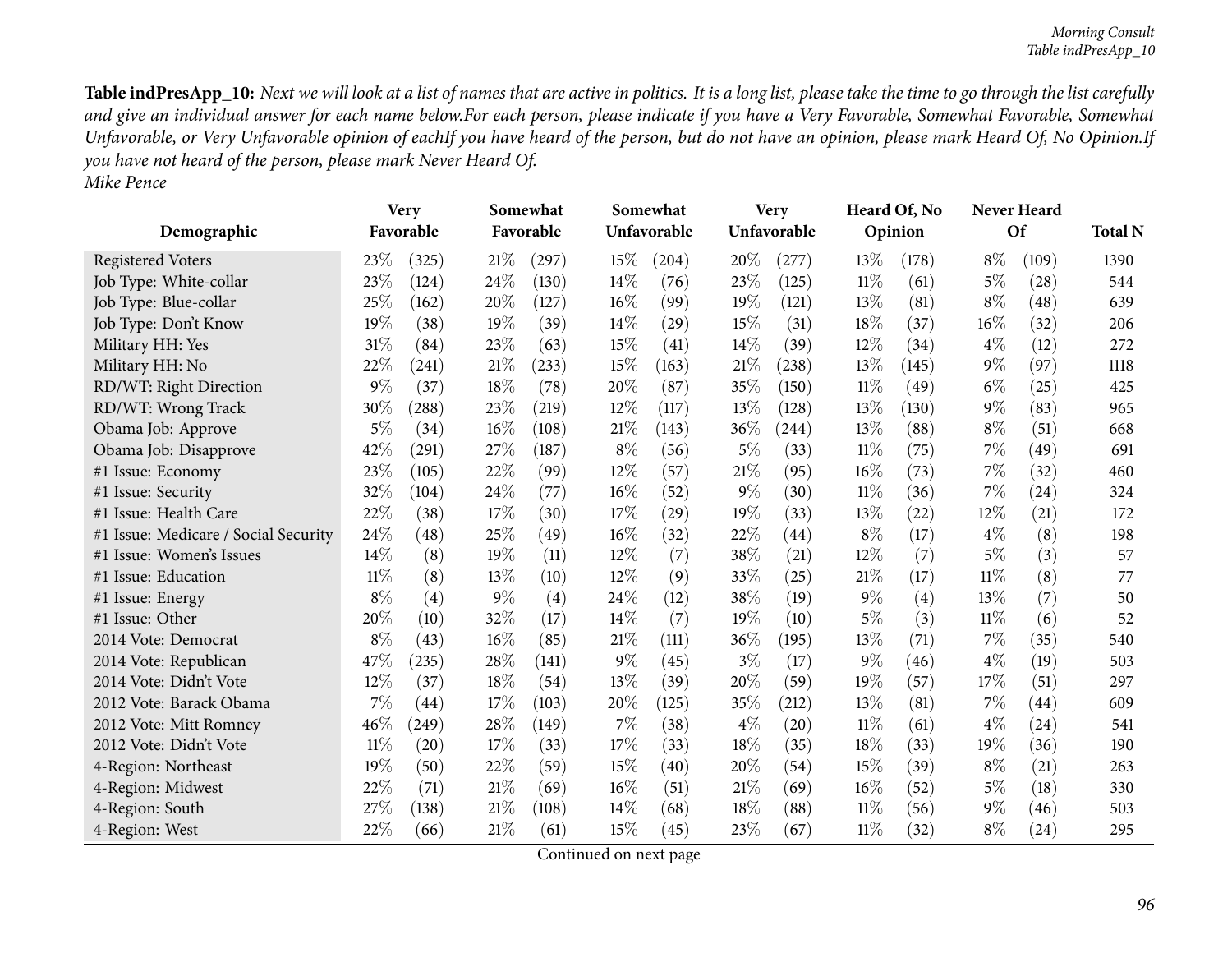| Demographic                          |        | <b>Very</b><br>Favorable |       | Somewhat<br>Favorable |        | Somewhat<br>Unfavorable |       | <b>Very</b><br>Unfavorable |        | Heard Of, No<br>Opinion |        | <b>Never Heard</b><br><b>Of</b> | <b>Total N</b> |
|--------------------------------------|--------|--------------------------|-------|-----------------------|--------|-------------------------|-------|----------------------------|--------|-------------------------|--------|---------------------------------|----------------|
| <b>Registered Voters</b>             | 23%    | (325)                    | 21%   | (297)                 | 15%    | (204)                   | 20%   | (277)                      | 13\%   | (178)                   | $8\%$  | (109)                           | 1390           |
| Job Type: White-collar               | 23%    | (124)                    | 24%   | (130)                 | 14%    | (76)                    | 23%   | (125)                      | 11%    | (61)                    | $5\%$  | (28)                            | 544            |
| Job Type: Blue-collar                | 25%    | (162)                    | 20%   | (127)                 | 16%    | (99)                    | 19%   | (121)                      | 13%    | (81)                    | $8\%$  | (48)                            | 639            |
| Job Type: Don't Know                 | 19%    | (38)                     | 19%   | (39)                  | 14%    | (29)                    | 15%   | (31)                       | 18%    | (37)                    | $16\%$ | (32)                            | 206            |
| Military HH: Yes                     | 31%    | (84)                     | 23%   | (63)                  | 15%    | (41)                    | 14\%  | (39)                       | 12%    | (34)                    | $4\%$  | (12)                            | 272            |
| Military HH: No                      | 22%    | (241)                    | 21%   | (233)                 | 15%    | (163)                   | 21\%  | (238)                      | 13%    | (145)                   | $9\%$  | (97)                            | 1118           |
| RD/WT: Right Direction               | $9\%$  | (37)                     | 18%   | (78)                  | 20%    | (87)                    | 35%   | (150)                      | $11\%$ | (49)                    | $6\%$  | (25)                            | 425            |
| RD/WT: Wrong Track                   | 30%    | (288)                    | 23%   | (219)                 | 12%    | (117)                   | 13%   | (128)                      | 13%    | (130)                   | $9\%$  | (83)                            | 965            |
| Obama Job: Approve                   | $5\%$  | (34)                     | 16%   | (108)                 | 21%    | (143)                   | 36%   | (244)                      | 13%    | (88)                    | $8\%$  | (51)                            | 668            |
| Obama Job: Disapprove                | 42%    | (291)                    | 27%   | (187)                 | $8\%$  | (56)                    | $5\%$ | (33)                       | $11\%$ | (75)                    | $7\%$  | (49)                            | 691            |
| #1 Issue: Economy                    | 23%    | (105)                    | 22%   | (99)                  | 12%    | (57)                    | 21%   | (95)                       | 16%    | (73)                    | $7\%$  | (32)                            | 460            |
| #1 Issue: Security                   | 32%    | (104)                    | 24%   | (77)                  | 16%    | (52)                    | $9\%$ | (30)                       | 11%    | (36)                    | $7\%$  | (24)                            | 324            |
| #1 Issue: Health Care                | 22%    | (38)                     | 17%   | (30)                  | 17%    | (29)                    | 19%   | (33)                       | 13%    | (22)                    | 12%    | (21)                            | 172            |
| #1 Issue: Medicare / Social Security | 24%    | (48)                     | 25%   | (49)                  | 16%    | (32)                    | 22%   | (44)                       | $8\%$  | (17)                    | $4\%$  | (8)                             | 198            |
| #1 Issue: Women's Issues             | 14%    | (8)                      | 19%   | (11)                  | $12\%$ | (7)                     | 38%   | (21)                       | 12%    | (7)                     | $5\%$  | (3)                             | 57             |
| #1 Issue: Education                  | $11\%$ | (8)                      | 13%   | (10)                  | 12%    | (9)                     | 33%   | (25)                       | 21%    | (17)                    | $11\%$ | (8)                             | 77             |
| #1 Issue: Energy                     | $8\%$  | (4)                      | $9\%$ | (4)                   | 24\%   | (12)                    | 38%   | (19)                       | $9\%$  | (4)                     | 13%    | (7)                             | 50             |
| #1 Issue: Other                      | 20%    | (10)                     | 32%   | (17)                  | 14%    | (7)                     | 19%   | (10)                       | $5\%$  | (3)                     | $11\%$ | (6)                             | 52             |
| 2014 Vote: Democrat                  | $8\%$  | (43)                     | 16%   | (85)                  | 21%    | (111)                   | 36%   | (195)                      | 13%    | (71)                    | $7\%$  | (35)                            | 540            |
| 2014 Vote: Republican                | 47%    | (235)                    | 28%   | (141)                 | $9\%$  | (45)                    | $3\%$ | (17)                       | $9\%$  | (46)                    | $4\%$  | (19)                            | 503            |
| 2014 Vote: Didn't Vote               | 12%    | (37)                     | 18%   | (54)                  | 13\%   | (39)                    | 20%   | (59)                       | 19%    | (57)                    | 17%    | (51)                            | 297            |
| 2012 Vote: Barack Obama              | 7%     | (44)                     | 17%   | (103)                 | 20%    | (125)                   | 35%   | (212)                      | 13%    | (81)                    | $7\%$  | $\left( 44\right)$              | 609            |
| 2012 Vote: Mitt Romney               | 46%    | (249)                    | 28%   | (149)                 | 7%     | (38)                    | $4\%$ | (20)                       | 11%    | (61)                    | $4\%$  | (24)                            | 541            |
| 2012 Vote: Didn't Vote               | $11\%$ | (20)                     | 17%   | (33)                  | 17%    | (33)                    | 18%   | (35)                       | 18%    | (33)                    | 19%    | (36)                            | 190            |
| 4-Region: Northeast                  | 19%    | (50)                     | 22%   | (59)                  | 15%    | (40)                    | 20%   | (54)                       | 15%    | (39)                    | $8\%$  | (21)                            | 263            |
| 4-Region: Midwest                    | 22%    | (71)                     | 21%   | (69)                  | 16%    | (51)                    | 21%   | (69)                       | 16%    | (52)                    | $5\%$  | (18)                            | 330            |
| 4-Region: South                      | 27%    | (138)                    | 21%   | (108)                 | 14\%   | (68)                    | 18%   | (88)                       | $11\%$ | (56)                    | $9\%$  | (46)                            | 503            |
| 4-Region: West                       | 22%    | (66)                     | 21%   | (61)                  | 15%    | (45)                    | 23%   | (67)                       | 11%    | (32)                    | $8\%$  | (24)                            | 295            |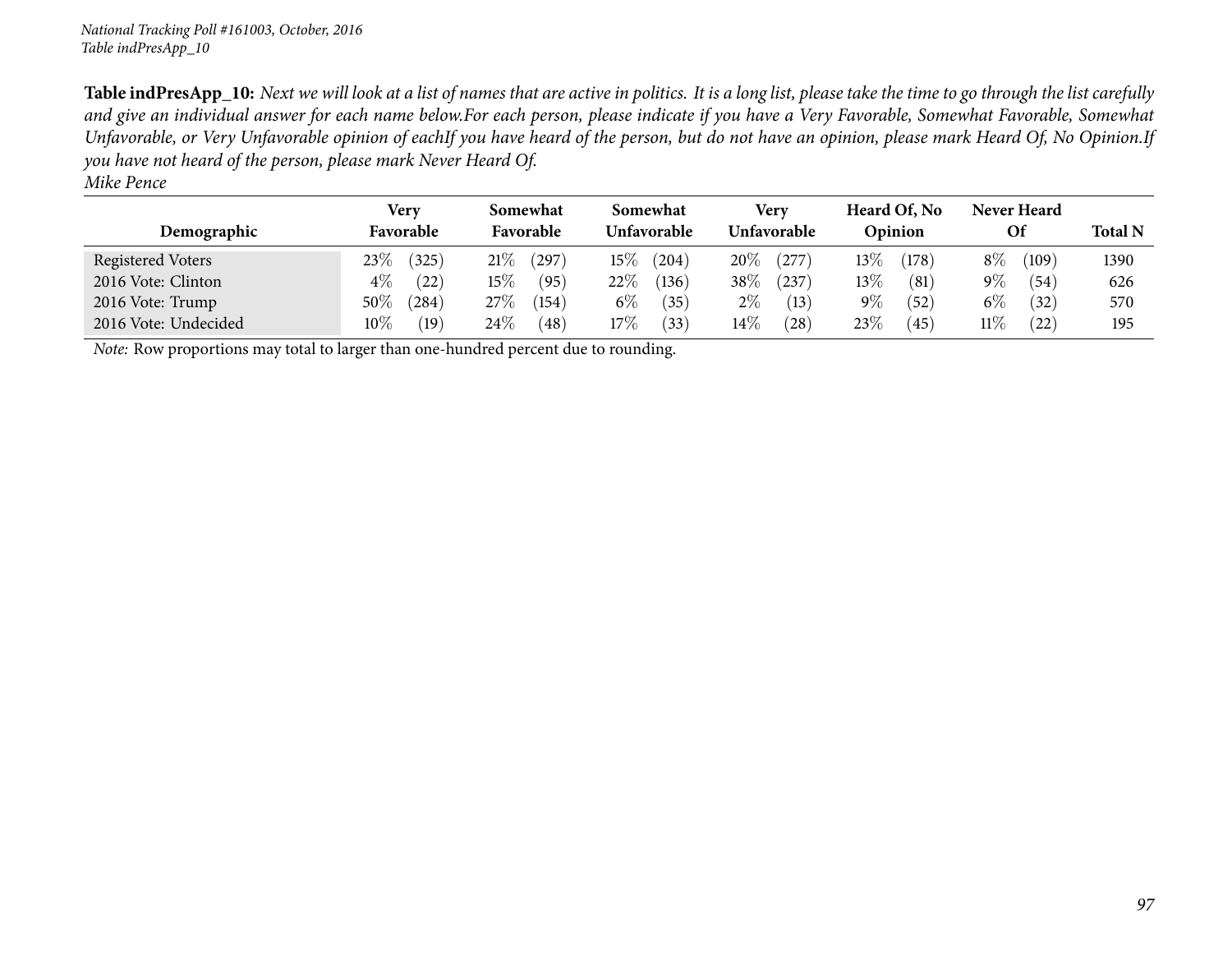| Demographic          | Very<br>Favorable    | Somewhat<br>Favorable | Somewhat<br>Unfavorable | Verv<br>Unfavorable | Heard Of, No<br>Opinion | Never Heard<br><b>Of</b> | <b>Total N</b> |
|----------------------|----------------------|-----------------------|-------------------------|---------------------|-------------------------|--------------------------|----------------|
| Registered Voters    | 23%<br>(325)         | $21\%$<br>(297        | $15\%$<br>(204)         | 20%<br>(277)        | $13\%$<br>(178)         | $8\%$<br>(109)           | 1390           |
| 2016 Vote: Clinton   | $4\%$<br>(22)        | $15\%$<br>(95)        | $22\%$<br>(136)         | $38\%$<br>(237)     | $13\%$<br>(81)          | $9\%$<br>(54)            | 626            |
| 2016 Vote: Trump     | $50\%$<br>$^{(284)}$ | $27\%$<br>(154)       | $6\%$<br>$35^{\circ}$   | $2\%$<br>(13)       | $9\%$<br>(52)           | $6\%$<br>(32)            | 570            |
| 2016 Vote: Undecided | $10\%$<br>(19)       | $24\%$<br>(48)        | $17\%$<br>(33)          | $14\%$<br>(28)      | 23\%<br>(45)            | 11%<br>(22)              | 195            |

*Note:* Row proportions may total to larger than one-hundred percen<sup>t</sup> due to rounding.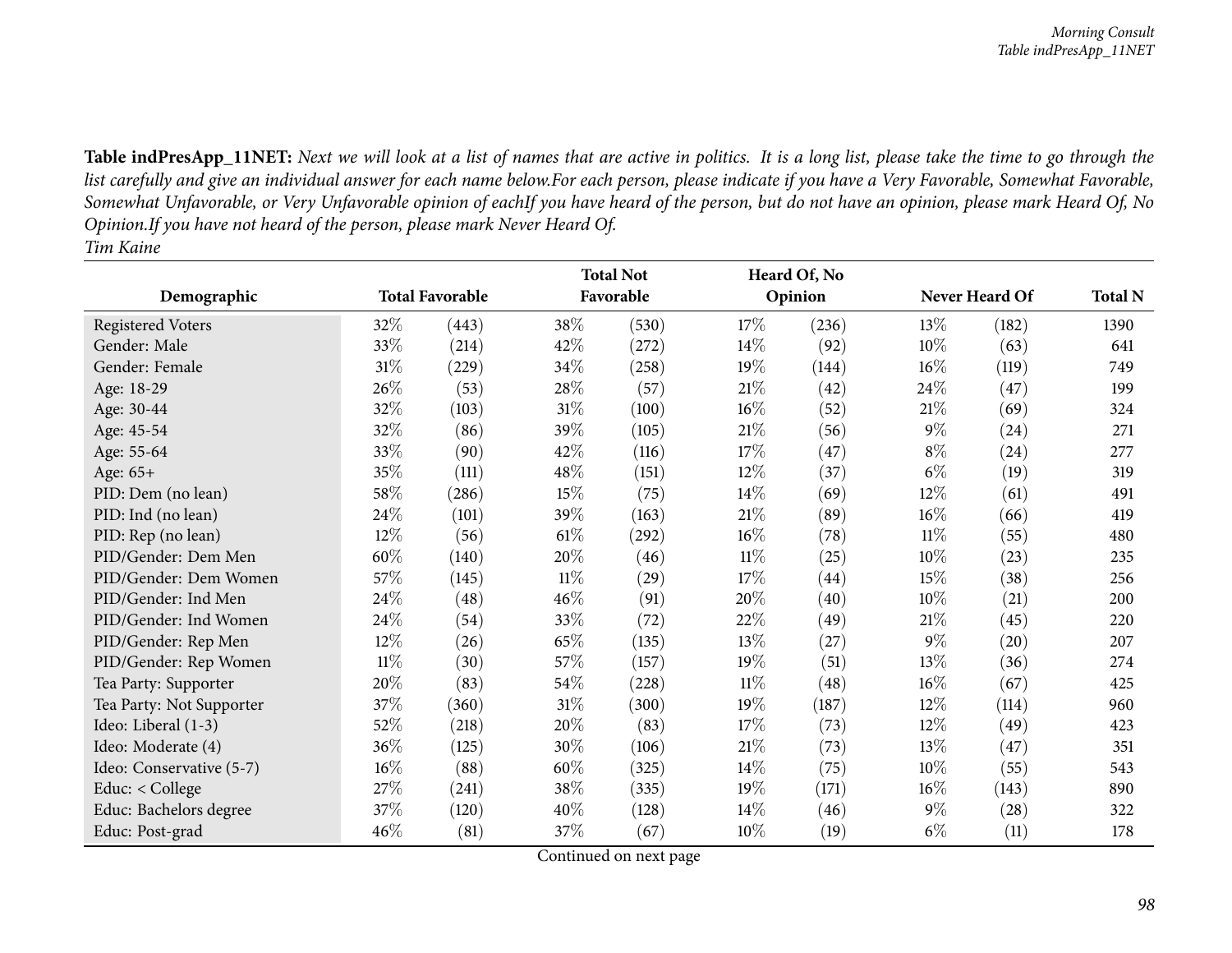|                          |        |                        |        | <b>Total Not</b> |        | Heard Of, No |        |                |                |
|--------------------------|--------|------------------------|--------|------------------|--------|--------------|--------|----------------|----------------|
| Demographic              |        | <b>Total Favorable</b> |        | Favorable        |        | Opinion      |        | Never Heard Of | <b>Total N</b> |
| <b>Registered Voters</b> | 32%    | (443)                  | 38%    | (530)            | 17%    | (236)        | $13\%$ | (182)          | 1390           |
| Gender: Male             | 33%    | (214)                  | 42%    | (272)            | $14\%$ | (92)         | 10%    | (63)           | 641            |
| Gender: Female           | $31\%$ | (229)                  | 34\%   | (258)            | 19%    | (144)        | 16%    | (119)          | 749            |
| Age: 18-29               | 26\%   | (53)                   | 28\%   | (57)             | 21%    | (42)         | 24\%   | (47)           | 199            |
| Age: 30-44               | 32%    | (103)                  | 31%    | (100)            | $16\%$ | (52)         | $21\%$ | (69)           | 324            |
| Age: 45-54               | 32%    | (86)                   | 39%    | (105)            | $21\%$ | (56)         | $9\%$  | (24)           | 271            |
| Age: 55-64               | 33%    | (90)                   | 42%    | (116)            | 17%    | (47)         | $8\%$  | (24)           | 277            |
| Age: 65+                 | 35%    | (111)                  | 48%    | (151)            | $12\%$ | (37)         | $6\%$  | (19)           | 319            |
| PID: Dem (no lean)       | 58\%   | (286)                  | 15%    | (75)             | $14\%$ | (69)         | $12\%$ | (61)           | 491            |
| PID: Ind (no lean)       | 24\%   | (101)                  | 39%    | (163)            | 21%    | (89)         | $16\%$ | (66)           | 419            |
| PID: Rep (no lean)       | 12%    | (56)                   | $61\%$ | (292)            | 16%    | (78)         | $11\%$ | (55)           | 480            |
| PID/Gender: Dem Men      | 60%    | (140)                  | 20%    | (46)             | $11\%$ | (25)         | 10%    | (23)           | 235            |
| PID/Gender: Dem Women    | 57%    | (145)                  | $11\%$ | (29)             | 17%    | (44)         | 15\%   | (38)           | 256            |
| PID/Gender: Ind Men      | 24\%   | (48)                   | 46%    | (91)             | 20%    | (40)         | 10%    | (21)           | 200            |
| PID/Gender: Ind Women    | 24\%   | (54)                   | 33%    | (72)             | 22%    | (49)         | $21\%$ | (45)           | 220            |
| PID/Gender: Rep Men      | 12%    | (26)                   | 65%    | (135)            | 13%    | (27)         | $9\%$  | (20)           | 207            |
| PID/Gender: Rep Women    | $11\%$ | (30)                   | 57%    | (157)            | $19\%$ | (51)         | $13\%$ | (36)           | 274            |
| Tea Party: Supporter     | 20%    | (83)                   | 54\%   | (228)            | $11\%$ | (48)         | 16%    | (67)           | 425            |
| Tea Party: Not Supporter | 37%    | (360)                  | $31\%$ | (300)            | $19\%$ | (187)        | $12\%$ | (114)          | 960            |
| Ideo: Liberal (1-3)      | 52\%   | (218)                  | 20%    | (83)             | 17%    | (73)         | $12\%$ | (49)           | 423            |
| Ideo: Moderate (4)       | 36%    | (125)                  | 30%    | (106)            | $21\%$ | (73)         | 13\%   | (47)           | 351            |
| Ideo: Conservative (5-7) | $16\%$ | (88)                   | 60%    | (325)            | $14\%$ | (75)         | $10\%$ | (55)           | 543            |
| Educ: < College          | 27%    | (241)                  | 38%    | (335)            | $19\%$ | (171)        | $16\%$ | (143)          | 890            |
| Educ: Bachelors degree   | 37\%   | (120)                  | 40%    | (128)            | $14\%$ | (46)         | $9\%$  | (28)           | 322            |
| Educ: Post-grad          | 46%    | (81)                   | 37\%   | (67)             | $10\%$ | (19)         | $6\%$  | (11)           | 178            |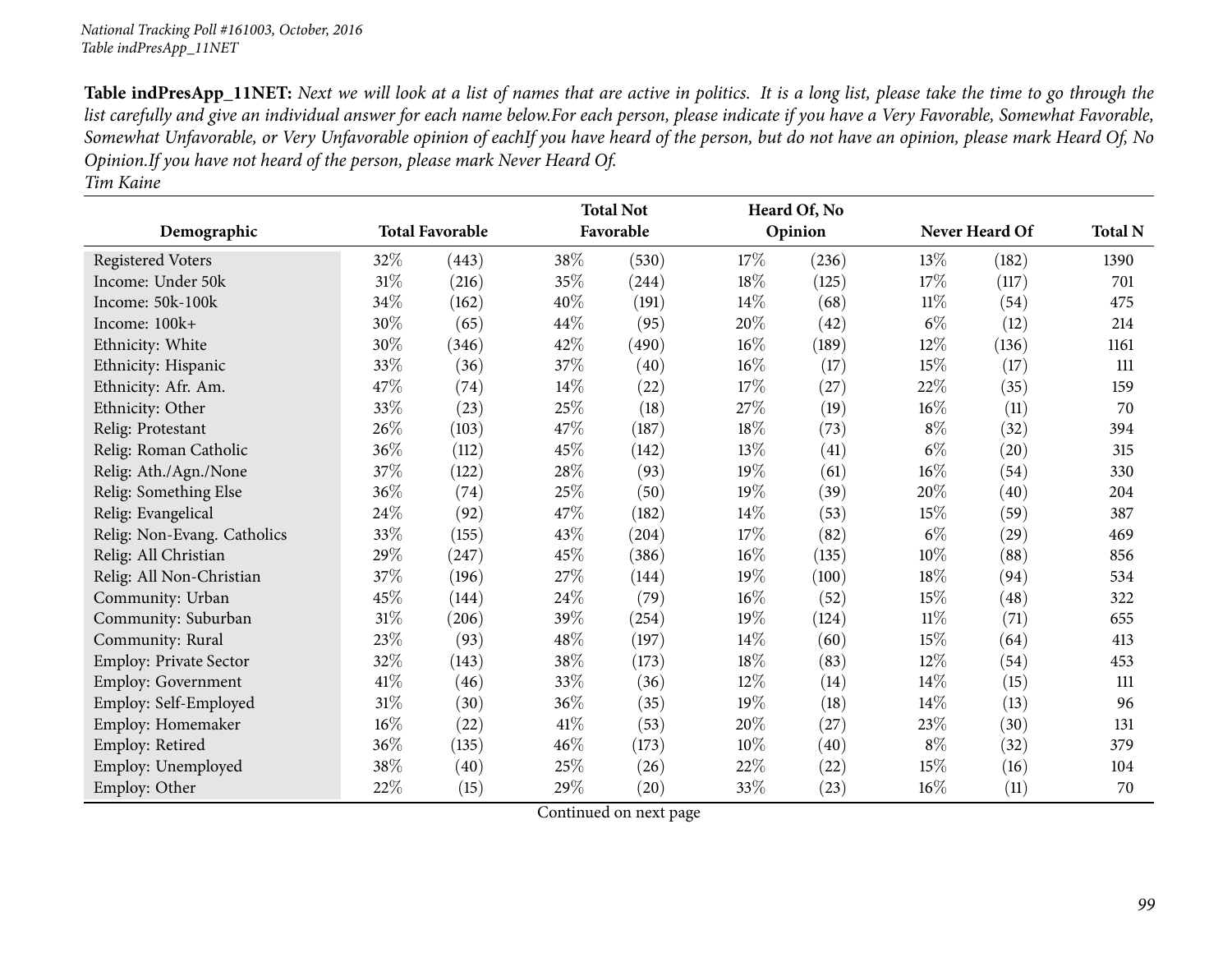|                             |        |                        |        | <b>Total Not</b> |      | Heard Of, No |        |                |                |
|-----------------------------|--------|------------------------|--------|------------------|------|--------------|--------|----------------|----------------|
| Demographic                 |        | <b>Total Favorable</b> |        | Favorable        |      | Opinion      |        | Never Heard Of | <b>Total N</b> |
| <b>Registered Voters</b>    | 32%    | (443)                  | 38%    | (530)            | 17%  | (236)        | $13\%$ | (182)          | 1390           |
| Income: Under 50k           | 31\%   | (216)                  | 35%    | (244)            | 18%  | (125)        | 17%    | (117)          | 701            |
| Income: 50k-100k            | 34%    | (162)                  | 40%    | (191)            | 14\% | (68)         | 11%    | (54)           | 475            |
| Income: $100k+$             | 30%    | (65)                   | 44\%   | (95)             | 20%  | (42)         | $6\%$  | (12)           | 214            |
| Ethnicity: White            | 30%    | (346)                  | 42%    | (490)            | 16%  | (189)        | 12%    | (136)          | 1161           |
| Ethnicity: Hispanic         | 33\%   | (36)                   | 37%    | (40)             | 16%  | (17)         | 15%    | (17)           | 111            |
| Ethnicity: Afr. Am.         | 47\%   | (74)                   | 14\%   | (22)             | 17%  | (27)         | 22%    | (35)           | 159            |
| Ethnicity: Other            | 33\%   | (23)                   | 25%    | (18)             | 27%  | (19)         | $16\%$ | (11)           | 70             |
| Relig: Protestant           | 26%    | (103)                  | 47%    | (187)            | 18%  | (73)         | $8\%$  | (32)           | 394            |
| Relig: Roman Catholic       | 36%    | (112)                  | 45%    | (142)            | 13%  | (41)         | $6\%$  | (20)           | 315            |
| Relig: Ath./Agn./None       | 37%    | (122)                  | 28%    | (93)             | 19%  | (61)         | $16\%$ | (54)           | 330            |
| Relig: Something Else       | 36\%   | (74)                   | 25%    | (50)             | 19%  | (39)         | 20%    | (40)           | 204            |
| Relig: Evangelical          | 24%    | (92)                   | 47%    | (182)            | 14%  | (53)         | 15%    | (59)           | 387            |
| Relig: Non-Evang. Catholics | 33%    | (155)                  | 43%    | (204)            | 17%  | (82)         | $6\%$  | (29)           | 469            |
| Relig: All Christian        | 29%    | (247)                  | 45%    | (386)            | 16%  | (135)        | 10%    | (88)           | 856            |
| Relig: All Non-Christian    | 37\%   | (196)                  | 27%    | (144)            | 19%  | (100)        | 18%    | (94)           | 534            |
| Community: Urban            | 45\%   | (144)                  | 24%    | (79)             | 16%  | (52)         | 15%    | (48)           | 322            |
| Community: Suburban         | $31\%$ | (206)                  | 39%    | (254)            | 19%  | (124)        | $11\%$ | (71)           | 655            |
| Community: Rural            | 23\%   | (93)                   | 48%    | (197)            | 14\% | (60)         | 15%    | (64)           | 413            |
| Employ: Private Sector      | 32%    | (143)                  | 38%    | (173)            | 18%  | (83)         | $12\%$ | (54)           | 453            |
| Employ: Government          | 41\%   | (46)                   | 33%    | (36)             | 12%  | (14)         | $14\%$ | (15)           | 111            |
| Employ: Self-Employed       | $31\%$ | (30)                   | 36%    | (35)             | 19%  | (18)         | 14%    | (13)           | 96             |
| Employ: Homemaker           | $16\%$ | (22)                   | $41\%$ | (53)             | 20%  | (27)         | 23%    | (30)           | 131            |
| Employ: Retired             | 36%    | (135)                  | 46%    | (173)            | 10%  | (40)         | $8\%$  | (32)           | 379            |
| Employ: Unemployed          | 38%    | (40)                   | 25%    | (26)             | 22%  | (22)         | 15%    | (16)           | 104            |
| Employ: Other               | 22%    | (15)                   | 29%    | (20)             | 33%  | (23)         | 16%    | (11)           | 70             |

*Tim Kaine*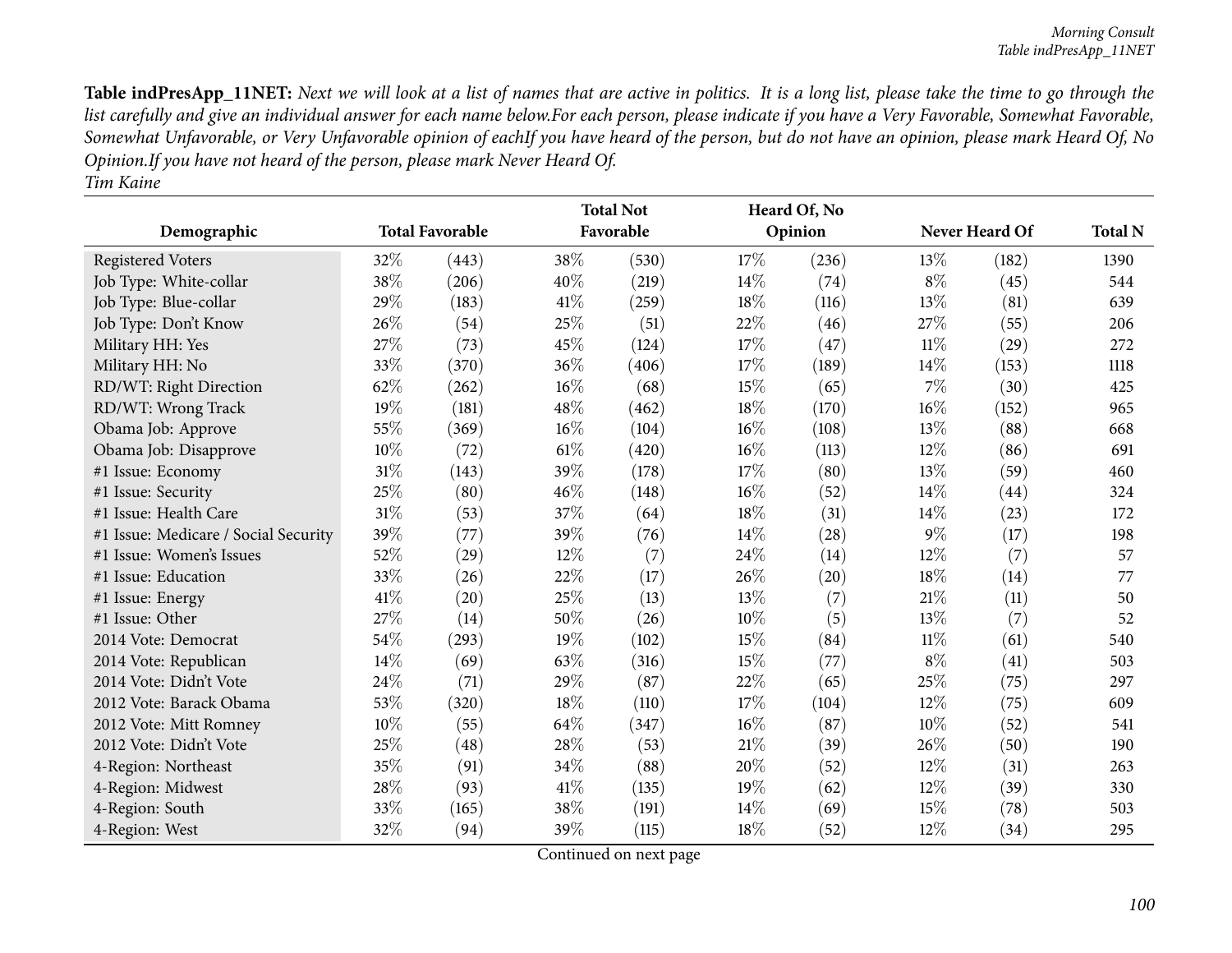| Demographic                          |        | <b>Total Favorable</b> |        | <b>Total Not</b><br>Favorable |        | Heard Of, No<br>Opinion |        | Never Heard Of | <b>Total N</b> |
|--------------------------------------|--------|------------------------|--------|-------------------------------|--------|-------------------------|--------|----------------|----------------|
|                                      |        |                        |        |                               |        |                         |        |                |                |
| <b>Registered Voters</b>             | 32%    | (443)                  | 38%    | (530)                         | $17\%$ | (236)                   | 13\%   | (182)          | 1390           |
| Job Type: White-collar               | 38%    | (206)                  | 40%    | (219)                         | 14%    | (74)                    | $8\%$  | (45)           | 544            |
| Job Type: Blue-collar                | 29%    | (183)                  | 41\%   | (259)                         | 18%    | (116)                   | 13%    | (81)           | 639            |
| Job Type: Don't Know                 | 26%    | (54)                   | 25%    | (51)                          | 22%    | (46)                    | 27%    | (55)           | 206            |
| Military HH: Yes                     | 27%    | (73)                   | 45%    | (124)                         | 17%    | (47)                    | 11%    | (29)           | 272            |
| Military HH: No                      | 33%    | (370)                  | 36%    | (406)                         | 17%    | (189)                   | 14%    | (153)          | 1118           |
| RD/WT: Right Direction               | 62%    | (262)                  | 16%    | (68)                          | 15%    | (65)                    | 7%     | (30)           | 425            |
| RD/WT: Wrong Track                   | 19%    | (181)                  | 48%    | (462)                         | 18%    | (170)                   | 16%    | (152)          | 965            |
| Obama Job: Approve                   | 55%    | (369)                  | $16\%$ | (104)                         | 16%    | (108)                   | 13\%   | (88)           | 668            |
| Obama Job: Disapprove                | 10%    | (72)                   | 61\%   | (420)                         | 16%    | (113)                   | $12\%$ | (86)           | 691            |
| #1 Issue: Economy                    | 31%    | (143)                  | 39%    | (178)                         | 17%    | (80)                    | 13%    | (59)           | 460            |
| #1 Issue: Security                   | 25%    | (80)                   | 46%    | (148)                         | 16%    | (52)                    | 14%    | (44)           | 324            |
| #1 Issue: Health Care                | $31\%$ | (53)                   | 37%    | (64)                          | 18%    | (31)                    | 14%    | (23)           | 172            |
| #1 Issue: Medicare / Social Security | 39%    | (77)                   | 39%    | (76)                          | 14\%   | (28)                    | $9\%$  | (17)           | 198            |
| #1 Issue: Women's Issues             | 52%    | (29)                   | 12%    | (7)                           | 24%    | (14)                    | $12\%$ | (7)            | 57             |
| #1 Issue: Education                  | 33%    | (26)                   | 22%    | (17)                          | 26%    | (20)                    | 18%    | (14)           | 77             |
| #1 Issue: Energy                     | 41\%   | (20)                   | 25%    | (13)                          | 13%    | (7)                     | 21%    | (11)           | 50             |
| #1 Issue: Other                      | 27%    | (14)                   | 50%    | (26)                          | 10%    | (5)                     | 13%    | (7)            | 52             |
| 2014 Vote: Democrat                  | 54%    | (293)                  | 19%    | (102)                         | 15%    | (84)                    | $11\%$ | (61)           | 540            |
| 2014 Vote: Republican                | 14%    | (69)                   | 63%    | (316)                         | 15%    | (77)                    | $8\%$  | (41)           | 503            |
| 2014 Vote: Didn't Vote               | 24%    | (71)                   | 29%    | (87)                          | 22%    | (65)                    | 25%    | (75)           | 297            |
| 2012 Vote: Barack Obama              | 53%    | (320)                  | 18%    | (110)                         | 17%    | (104)                   | 12%    | (75)           | 609            |
| 2012 Vote: Mitt Romney               | 10%    | (55)                   | 64%    | (347)                         | 16%    | (87)                    | 10%    | (52)           | 541            |
| 2012 Vote: Didn't Vote               | 25%    | (48)                   | 28%    | (53)                          | 21%    | (39)                    | 26%    | (50)           | 190            |
| 4-Region: Northeast                  | 35%    | (91)                   | 34%    | (88)                          | 20%    | (52)                    | $12\%$ | (31)           | 263            |
| 4-Region: Midwest                    | 28%    | (93)                   | 41\%   | (135)                         | 19%    | (62)                    | 12%    | (39)           | 330            |
| 4-Region: South                      | 33%    | (165)                  | 38%    | (191)                         | 14\%   | (69)                    | 15%    | (78)           | 503            |
| 4-Region: West                       | 32%    | (94)                   | 39%    | (115)                         | 18%    | (52)                    | 12%    | (34)           | 295            |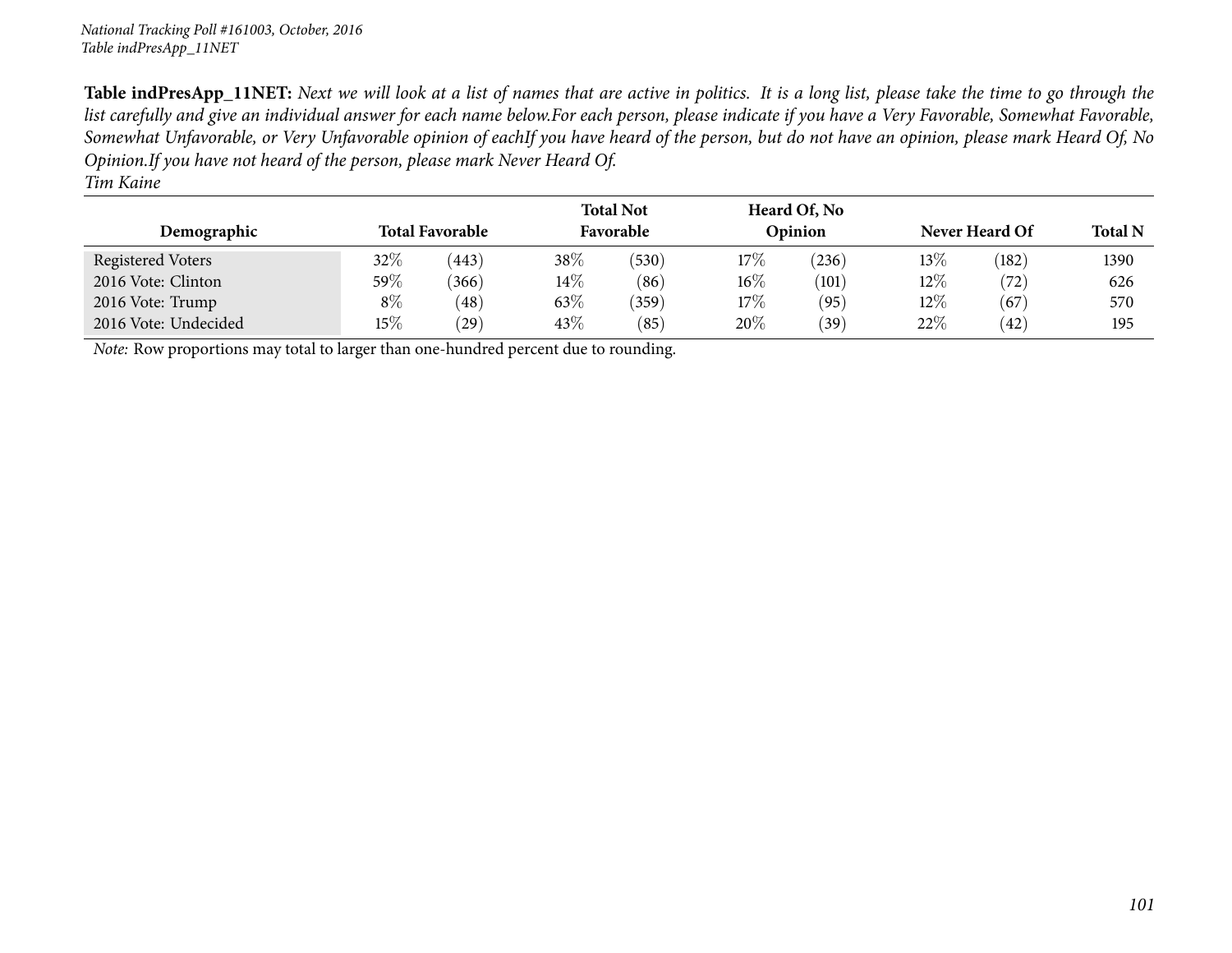| <b>Total Favorable</b><br>Demographic                                               |         |           |        | <b>Total Not</b><br>Favorable |        | Heard Of, No<br>Opinion |        | Never Heard Of | <b>Total N</b> |
|-------------------------------------------------------------------------------------|---------|-----------|--------|-------------------------------|--------|-------------------------|--------|----------------|----------------|
| Registered Voters                                                                   | $32\%$  | (443)     | 38\%   | (530)                         | 17%    | (236)                   | $13\%$ | (182)          | 1390           |
| 2016 Vote: Clinton                                                                  | 59 $\%$ | (366)     | $14\%$ | (86)                          | $16\%$ | (101)                   | $12\%$ | (72)           | 626            |
| 2016 Vote: Trump                                                                    | $8\%$   | (48)      | 63\%   | (359)                         | 17%    | (95)                    | $12\%$ | (67)           | 570            |
| 2016 Vote: Undecided                                                                | $15\%$  | $^{'}29)$ | 43\%   | (85)                          | 20%    | (39)                    | 22%    | (42)           | 195            |
| Note: Row proportions may total to larger than one-hundred percent due to rounding. |         |           |        |                               |        |                         |        |                |                |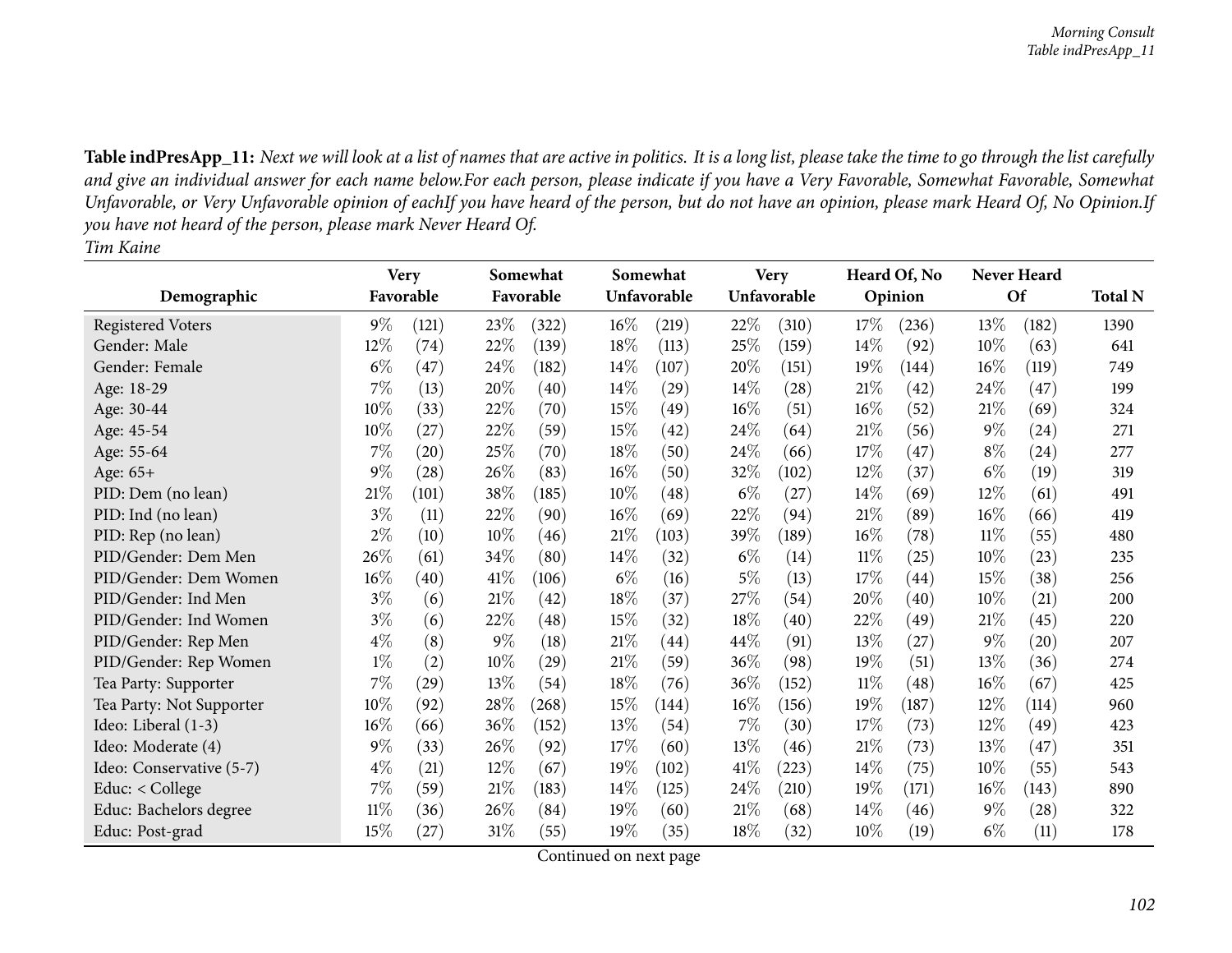|                          |        | <b>Very</b>        |        | Somewhat  |        | Somewhat    |        | <b>Very</b> |        | Heard Of, No       |        | <b>Never Heard</b> |                |
|--------------------------|--------|--------------------|--------|-----------|--------|-------------|--------|-------------|--------|--------------------|--------|--------------------|----------------|
| Demographic              |        | Favorable          |        | Favorable |        | Unfavorable |        | Unfavorable |        | Opinion            |        | <b>Of</b>          | <b>Total N</b> |
| <b>Registered Voters</b> | $9\%$  | (121)              | 23\%   | (322)     | $16\%$ | (219)       | 22\%   | (310)       | 17\%   | (236)              | 13\%   | (182)              | 1390           |
| Gender: Male             | 12%    | (74)               | 22%    | (139)     | 18%    | (113)       | 25%    | (159)       | 14\%   | (92)               | 10%    | (63)               | 641            |
| Gender: Female           | $6\%$  | (47)               | 24\%   | (182)     | 14\%   | (107)       | 20%    | (151)       | 19%    | (144)              | 16%    | (119)              | 749            |
| Age: 18-29               | $7\%$  | (13)               | 20%    | (40)      | $14\%$ | (29)        | $14\%$ | (28)        | 21%    | $\left( 42\right)$ | 24\%   | (47)               | 199            |
| Age: 30-44               | $10\%$ | (33)               | 22\%   | (70)      | 15%    | (49)        | $16\%$ | (51)        | 16%    | (52)               | 21%    | (69)               | 324            |
| Age: 45-54               | $10\%$ | (27)               | 22\%   | (59)      | 15%    | (42)        | 24\%   | (64)        | 21%    | (56)               | $9\%$  | (24)               | 271            |
| Age: 55-64               | $7\%$  | (20)               | 25\%   | (70)      | 18\%   | (50)        | $24\%$ | (66)        | 17%    | (47)               | $8\%$  | (24)               | 277            |
| Age: 65+                 | $9\%$  | (28)               | 26%    | (83)      | $16\%$ | (50)        | 32\%   | (102)       | $12\%$ | (37)               | $6\%$  | (19)               | 319            |
| PID: Dem (no lean)       | 21%    | (101)              | 38\%   | (185)     | 10%    | (48)        | $6\%$  | (27)        | 14%    | (69)               | 12%    | (61)               | 491            |
| PID: Ind (no lean)       | $3\%$  | (11)               | 22%    | (90)      | $16\%$ | (69)        | 22%    | (94)        | 21%    | (89)               | 16%    | (66)               | 419            |
| PID: Rep (no lean)       | $2\%$  | (10)               | $10\%$ | (46)      | 21%    | (103)       | 39\%   | (189)       | 16%    | (78)               | $11\%$ | (55)               | 480            |
| PID/Gender: Dem Men      | 26\%   | (61)               | 34%    | (80)      | 14\%   | (32)        | $6\%$  | (14)        | $11\%$ | (25)               | 10%    | (23)               | 235            |
| PID/Gender: Dem Women    | $16\%$ | (40)               | 41\%   | (106)     | $6\%$  | (16)        | $5\%$  | (13)        | 17%    | (44)               | 15%    | (38)               | 256            |
| PID/Gender: Ind Men      | $3\%$  | (6)                | 21%    | (42)      | 18%    | (37)        | 27\%   | (54)        | 20%    | $\left( 40\right)$ | 10%    | (21)               | 200            |
| PID/Gender: Ind Women    | $3\%$  | (6)                | 22%    | (48)      | 15%    | (32)        | $18\%$ | (40)        | 22%    | (49)               | 21%    | (45)               | 220            |
| PID/Gender: Rep Men      | $4\%$  | (8)                | $9\%$  | (18)      | 21%    | (44)        | 44\%   | (91)        | 13%    | $^{'}27)$          | $9\%$  | $\left( 20\right)$ | 207            |
| PID/Gender: Rep Women    | $1\%$  | (2)                | 10%    | (29)      | 21%    | (59)        | 36\%   | (98)        | 19%    | (51)               | 13%    | (36)               | 274            |
| Tea Party: Supporter     | $7\%$  | $\left( 29\right)$ | 13%    | (54)      | 18%    | (76)        | 36%    | (152)       | 11%    | (48)               | $16\%$ | (67)               | 425            |
| Tea Party: Not Supporter | 10%    | (92)               | 28%    | (268)     | 15%    | (144)       | $16\%$ | (156)       | 19%    | (187)              | 12%    | (114)              | 960            |
| Ideo: Liberal (1-3)      | $16\%$ | (66)               | 36%    | (152)     | 13\%   | (54)        | $7\%$  | (30)        | 17%    | (73)               | 12%    | (49)               | 423            |
| Ideo: Moderate (4)       | $9\%$  | (33)               | 26\%   | (92)      | 17%    | (60)        | 13\%   | (46)        | 21%    | (73)               | 13\%   | (47)               | 351            |
| Ideo: Conservative (5-7) | $4\%$  | (21)               | 12%    | (67)      | 19%    | (102)       | 41\%   | (223)       | 14%    | (75)               | 10%    | (55)               | 543            |
| Educ: $<$ College        | $7\%$  | (59)               | 21%    | (183)     | $14\%$ | (125)       | 24\%   | (210)       | 19%    | (171)              | $16\%$ | (143)              | 890            |
| Educ: Bachelors degree   | $11\%$ | (36)               | 26\%   | (84)      | 19%    | (60)        | $21\%$ | (68)        | $14\%$ | (46)               | $9\%$  | (28)               | 322            |
| Educ: Post-grad          | $15\%$ | (27)               | $31\%$ | (55)      | 19%    | (35)        | 18\%   | (32)        | 10%    | (19)               | $6\%$  | (11)               | 178            |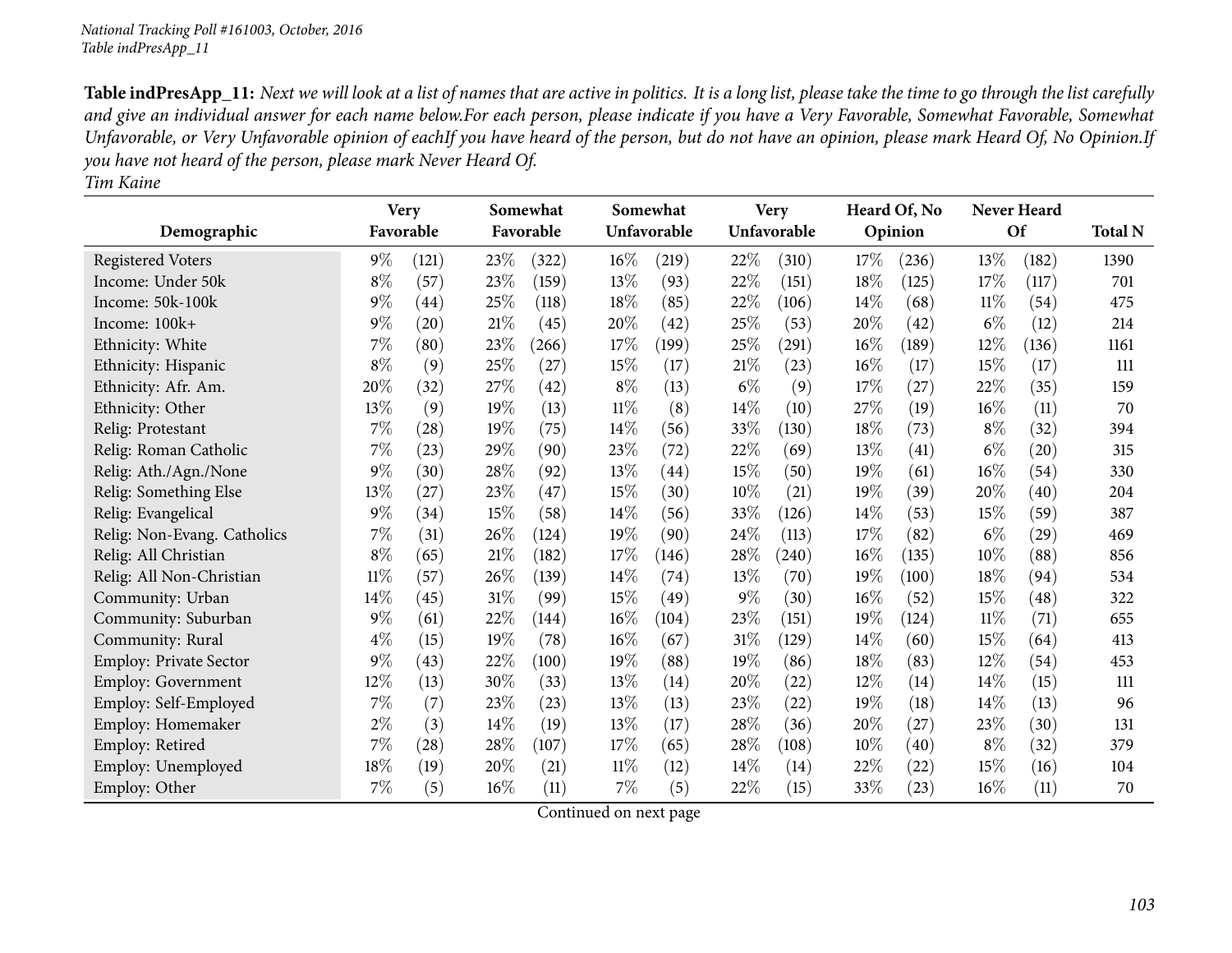|                               |           | <b>Very</b> |        | Somewhat  |        | Somewhat    |        | <b>Very</b> |        | Heard Of, No |       | <b>Never Heard</b> |                |
|-------------------------------|-----------|-------------|--------|-----------|--------|-------------|--------|-------------|--------|--------------|-------|--------------------|----------------|
| Demographic                   | Favorable |             |        | Favorable |        | Unfavorable |        | Unfavorable |        | Opinion      |       | Of                 | <b>Total N</b> |
| <b>Registered Voters</b>      | $9\%$     | (121)       | 23%    | (322)     | $16\%$ | (219)       | 22%    | (310)       | 17%    | (236)        | 13%   | (182)              | 1390           |
| Income: Under 50k             | $8\%$     | (57)        | 23%    | (159)     | 13%    | (93)        | 22%    | (151)       | 18%    | (125)        | 17%   | (117)              | 701            |
| Income: 50k-100k              | $9\%$     | (44)        | 25%    | (118)     | 18%    | (85)        | 22%    | (106)       | 14%    | (68)         | 11%   | (54)               | 475            |
| Income: 100k+                 | $9\%$     | (20)        | 21\%   | (45)      | 20%    | (42)        | 25%    | (53)        | 20%    | (42)         | $6\%$ | (12)               | 214            |
| Ethnicity: White              | 7%        | (80)        | 23%    | (266)     | 17%    | (199)       | 25%    | (291)       | 16%    | (189)        | 12%   | (136)              | 1161           |
| Ethnicity: Hispanic           | $8\%$     | (9)         | 25%    | (27)      | 15%    | (17)        | 21%    | (23)        | 16%    | (17)         | 15%   | (17)               | 111            |
| Ethnicity: Afr. Am.           | $20\%$    | (32)        | 27%    | (42)      | $8\%$  | (13)        | $6\%$  | (9)         | 17%    | (27)         | 22%   | (35)               | 159            |
| Ethnicity: Other              | 13%       | (9)         | 19%    | (13)      | $11\%$ | (8)         | 14\%   | (10)        | 27%    | (19)         | 16%   | (11)               | 70             |
| Relig: Protestant             | $7\%$     | (28)        | 19%    | (75)      | $14\%$ | (56)        | 33%    | (130)       | 18%    | (73)         | $8\%$ | (32)               | 394            |
| Relig: Roman Catholic         | 7%        | (23)        | 29%    | (90)      | 23%    | (72)        | 22%    | (69)        | 13%    | (41)         | $6\%$ | (20)               | 315            |
| Relig: Ath./Agn./None         | $9\%$     | (30)        | 28%    | (92)      | 13%    | (44)        | 15%    | (50)        | 19%    | (61)         | 16%   | (54)               | 330            |
| Relig: Something Else         | 13%       | (27)        | 23%    | (47)      | 15%    | (30)        | 10%    | (21)        | 19%    | (39)         | 20%   | (40)               | 204            |
| Relig: Evangelical            | $9\%$     | (34)        | 15%    | (58)      | 14%    | (56)        | 33%    | (126)       | 14%    | (53)         | 15%   | (59)               | 387            |
| Relig: Non-Evang. Catholics   | 7%        | (31)        | 26%    | (124)     | 19%    | (90)        | 24\%   | (113)       | 17%    | (82)         | $6\%$ | (29)               | 469            |
| Relig: All Christian          | $8\%$     | (65)        | 21%    | (182)     | 17%    | (146)       | 28\%   | (240)       | $16\%$ | (135)        | 10%   | (88)               | 856            |
| Relig: All Non-Christian      | $11\%$    | (57)        | 26%    | (139)     | 14%    | (74)        | 13%    | (70)        | 19%    | (100)        | 18%   | (94)               | 534            |
| Community: Urban              | $14\%$    | (45)        | 31%    | (99)      | 15%    | (49)        | $9\%$  | (30)        | 16%    | (52)         | 15%   | (48)               | 322            |
| Community: Suburban           | $9\%$     | (61)        | 22%    | (144)     | $16\%$ | (104)       | 23\%   | (151)       | 19%    | (124)        | 11%   | (71)               | 655            |
| Community: Rural              | $4\%$     | (15)        | 19%    | (78)      | 16%    | (67)        | $31\%$ | (129)       | 14\%   | (60)         | 15%   | (64)               | 413            |
| <b>Employ: Private Sector</b> | $9\%$     | (43)        | 22%    | (100)     | 19%    | (88)        | 19%    | (86)        | 18%    | (83)         | 12%   | (54)               | 453            |
| Employ: Government            | 12%       | (13)        | 30%    | (33)      | 13%    | (14)        | 20%    | $^{(22)}$   | 12%    | (14)         | 14\%  | (15)               | 111            |
| Employ: Self-Employed         | 7%        | (7)         | 23%    | (23)      | 13%    | (13)        | 23%    | (22)        | 19%    | (18)         | 14%   | (13)               | 96             |
| Employ: Homemaker             | $2\%$     | (3)         | $14\%$ | (19)      | 13\%   | (17)        | 28\%   | (36)        | 20%    | (27)         | 23%   | (30)               | 131            |
| Employ: Retired               | $7\%$     | (28)        | 28%    | (107)     | 17%    | (65)        | 28\%   | (108)       | 10%    | (40)         | $8\%$ | (32)               | 379            |
| Employ: Unemployed            | 18%       | (19)        | 20%    | (21)      | 11%    | (12)        | 14\%   | (14)        | 22%    | (22)         | 15%   | (16)               | 104            |
| Employ: Other                 | 7%        | (5)         | 16%    | (11)      | 7%     | (5)         | 22%    | (15)        | 33%    | (23)         | 16%   | (11)               | 70             |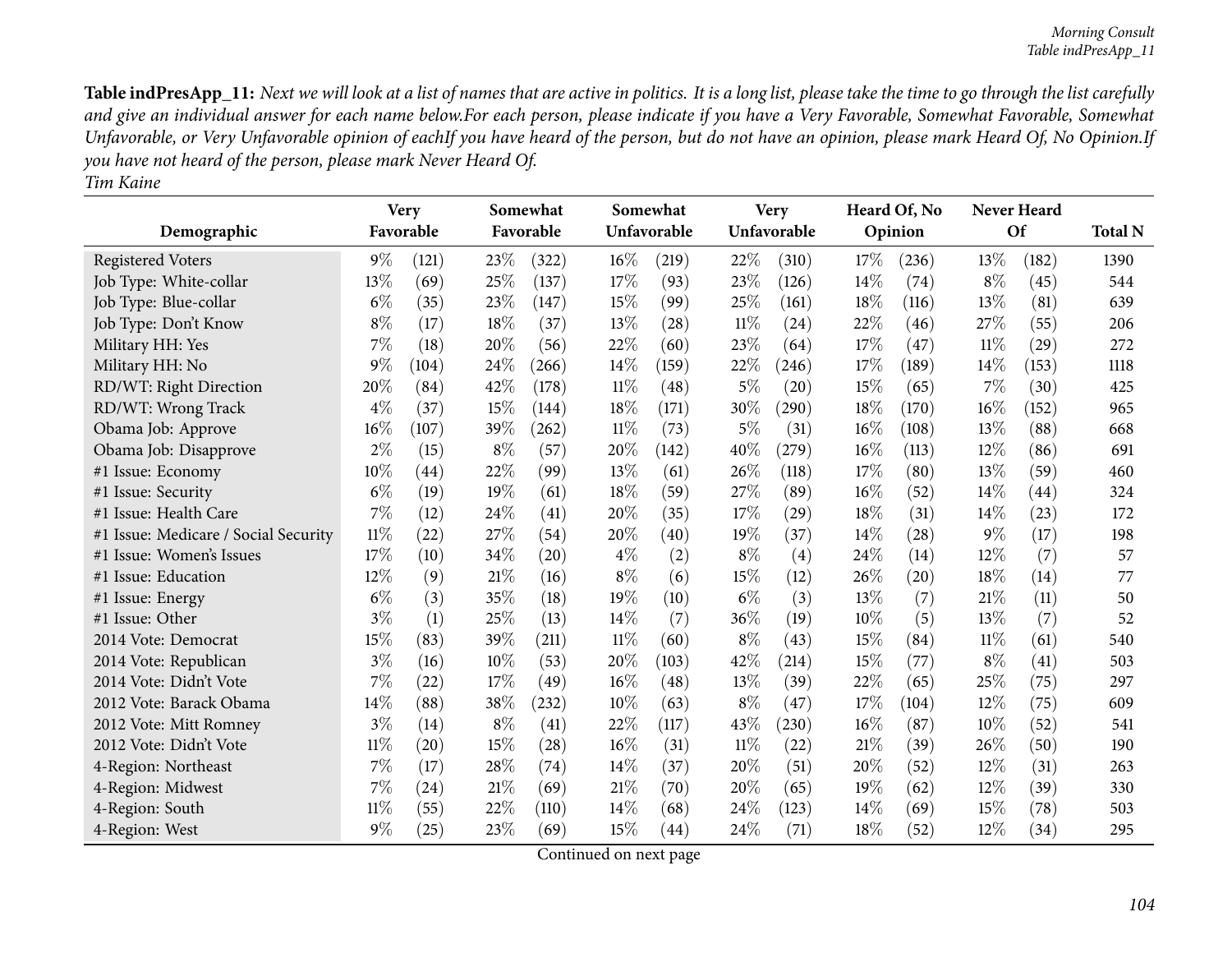| Demographic                          |        | <b>Very</b><br>Favorable |       | Somewhat<br>Favorable |       | Somewhat<br>Unfavorable |        | <b>Very</b><br>Unfavorable |        | Heard Of, No<br>Opinion |        | <b>Never Heard</b><br><b>Of</b> | <b>Total N</b> |
|--------------------------------------|--------|--------------------------|-------|-----------------------|-------|-------------------------|--------|----------------------------|--------|-------------------------|--------|---------------------------------|----------------|
|                                      |        |                          |       |                       |       |                         |        |                            |        |                         |        |                                 |                |
| <b>Registered Voters</b>             | $9\%$  | (121)                    | 23%   | (322)                 | 16%   | (219)                   | 22%    | (310)                      | 17%    | (236)                   | 13%    | (182)                           | 1390           |
| Job Type: White-collar               | 13%    | (69)                     | 25%   | (137)                 | 17%   | (93)                    | 23%    | (126)                      | 14%    | (74)                    | $8\%$  | (45)                            | 544            |
| Job Type: Blue-collar                | $6\%$  | (35)                     | 23%   | (147)                 | 15%   | (99)                    | 25%    | (161)                      | 18%    | (116)                   | 13%    | (81)                            | 639            |
| Job Type: Don't Know                 | $8\%$  | (17)                     | 18%   | (37)                  | 13\%  | (28)                    | $11\%$ | (24)                       | 22%    | (46)                    | 27%    | (55)                            | 206            |
| Military HH: Yes                     | 7%     | (18)                     | 20%   | (56)                  | 22%   | (60)                    | 23%    | (64)                       | 17%    | (47)                    | $11\%$ | (29)                            | 272            |
| Military HH: No                      | 9%     | (104)                    | 24%   | (266)                 | 14\%  | (159)                   | 22%    | (246)                      | 17%    | (189)                   | 14\%   | (153)                           | 1118           |
| RD/WT: Right Direction               | 20%    | (84)                     | 42%   | (178)                 | 11%   | (48)                    | $5\%$  | (20)                       | 15%    | (65)                    | $7\%$  | (30)                            | 425            |
| RD/WT: Wrong Track                   | $4\%$  | (37)                     | 15%   | (144)                 | 18%   | (171)                   | 30%    | (290)                      | 18%    | (170)                   | $16\%$ | (152)                           | 965            |
| Obama Job: Approve                   | 16%    | (107)                    | 39\%  | (262)                 | 11%   | (73)                    | $5\%$  | (31)                       | 16%    | (108)                   | 13%    | (88)                            | 668            |
| Obama Job: Disapprove                | $2\%$  | (15)                     | $8\%$ | (57)                  | 20%   | (142)                   | 40%    | (279)                      | 16%    | (113)                   | $12\%$ | (86)                            | 691            |
| #1 Issue: Economy                    | 10%    | (44)                     | 22%   | (99)                  | 13%   | (61)                    | 26%    | (118)                      | 17%    | (80)                    | 13%    | (59)                            | 460            |
| #1 Issue: Security                   | $6\%$  | (19)                     | 19%   | (61)                  | 18%   | (59)                    | 27%    | (89)                       | $16\%$ | (52)                    | 14\%   | $\left( 44\right)$              | 324            |
| #1 Issue: Health Care                | 7%     | (12)                     | 24%   | (41)                  | 20%   | (35)                    | 17%    | (29)                       | 18%    | (31)                    | 14\%   | (23)                            | 172            |
| #1 Issue: Medicare / Social Security | $11\%$ | (22)                     | 27%   | (54)                  | 20%   | (40)                    | 19%    | (37)                       | 14\%   | (28)                    | $9\%$  | (17)                            | 198            |
| #1 Issue: Women's Issues             | 17%    | (10)                     | 34%   | (20)                  | $4\%$ | (2)                     | $8\%$  | (4)                        | 24%    | (14)                    | 12%    | (7)                             | 57             |
| #1 Issue: Education                  | 12%    | (9)                      | 21%   | (16)                  | $8\%$ | (6)                     | 15%    | (12)                       | 26%    | (20)                    | 18%    | (14)                            | 77             |
| #1 Issue: Energy                     | $6\%$  | (3)                      | 35%   | (18)                  | 19%   | (10)                    | $6\%$  | (3)                        | 13%    | (7)                     | 21\%   | (11)                            | 50             |
| #1 Issue: Other                      | $3\%$  | (1)                      | 25%   | (13)                  | 14\%  | (7)                     | 36%    | (19)                       | 10%    | (5)                     | 13%    | (7)                             | 52             |
| 2014 Vote: Democrat                  | 15%    | (83)                     | 39%   | (211)                 | 11%   | (60)                    | $8\%$  | (43)                       | 15%    | (84)                    | $11\%$ | (61)                            | 540            |
| 2014 Vote: Republican                | $3\%$  | (16)                     | 10%   | (53)                  | 20%   | (103)                   | 42%    | (214)                      | 15%    | (77)                    | $8\%$  | (41)                            | 503            |
| 2014 Vote: Didn't Vote               | 7%     | (22)                     | 17%   | (49)                  | 16%   | (48)                    | 13%    | (39)                       | 22%    | (65)                    | 25%    | (75)                            | 297            |
| 2012 Vote: Barack Obama              | 14%    | (88)                     | 38%   | (232)                 | 10%   | (63)                    | $8\%$  | (47)                       | 17%    | (104)                   | 12%    | (75)                            | 609            |
| 2012 Vote: Mitt Romney               | $3\%$  | (14)                     | $8\%$ | (41)                  | 22%   | (117)                   | 43%    | (230)                      | 16%    | (87)                    | 10%    | (52)                            | 541            |
| 2012 Vote: Didn't Vote               | $11\%$ | (20)                     | 15%   | (28)                  | 16%   | (31)                    | $11\%$ | (22)                       | 21%    | (39)                    | 26%    | (50)                            | 190            |
| 4-Region: Northeast                  | 7%     | (17)                     | 28%   | (74)                  | 14%   | (37)                    | 20%    | (51)                       | 20%    | (52)                    | 12%    | (31)                            | 263            |
| 4-Region: Midwest                    | 7%     | (24)                     | 21%   | (69)                  | 21%   | (70)                    | 20%    | (65)                       | 19%    | (62)                    | 12%    | (39)                            | 330            |
| 4-Region: South                      | $11\%$ | (55)                     | 22%   | (110)                 | 14%   | (68)                    | 24\%   | (123)                      | 14\%   | (69)                    | 15%    | (78)                            | 503            |
| 4-Region: West                       | $9\%$  | (25)                     | 23%   | (69)                  | 15%   | (44)                    | 24%    | (71)                       | 18%    | (52)                    | 12%    | (34)                            | 295            |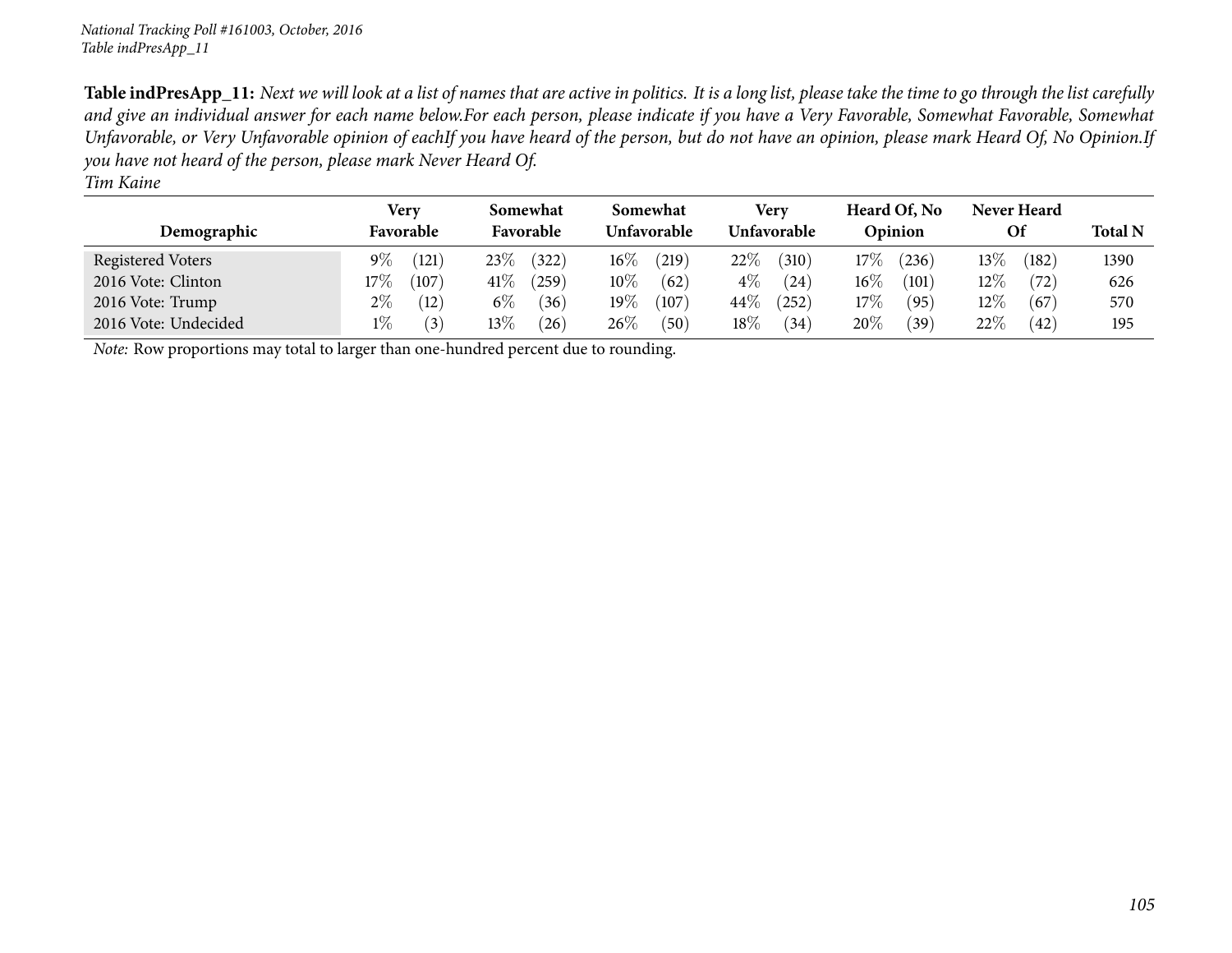| Demographic          | Very<br>Favorable | Somewhat<br>Favorable | Somewhat<br>Unfavorable | Verv<br><b>Unfavorable</b> | Heard Of, No<br>Opinion | Never Heard<br>Of | <b>Total N</b> |
|----------------------|-------------------|-----------------------|-------------------------|----------------------------|-------------------------|-------------------|----------------|
| Registered Voters    | $9\%$<br>(121)    | 23%<br>(322)          | $16\%$<br>219           | 22%<br>(310)               | $17\%$<br>(236)         | 13\%<br>(182)     | 1390           |
| 2016 Vote: Clinton   | $17\%$<br>(107)   | $41\%$<br>(259)       | $10\%$<br>(62)          | $4\%$<br>(24)              | $16\%$<br>(101)         | $12\%$<br>(72)    | 626            |
| 2016 Vote: Trump     | $2\%$<br>(12)     | $6\%$<br>(36)         | $19\%$<br>(107)         | $44\%$<br>(252)            | $17\%$<br>(95)          | $12\%$<br>(67     | 570            |
| 2016 Vote: Undecided | $1\%$<br>(3)      | $13\%$<br>(26)        | $26\%$<br>(50)          | $18\%$<br>(34)             | 20%<br>(39)             | 22\%<br>(42)      | 195            |

*Note:* Row proportions may total to larger than one-hundred percen<sup>t</sup> due to rounding.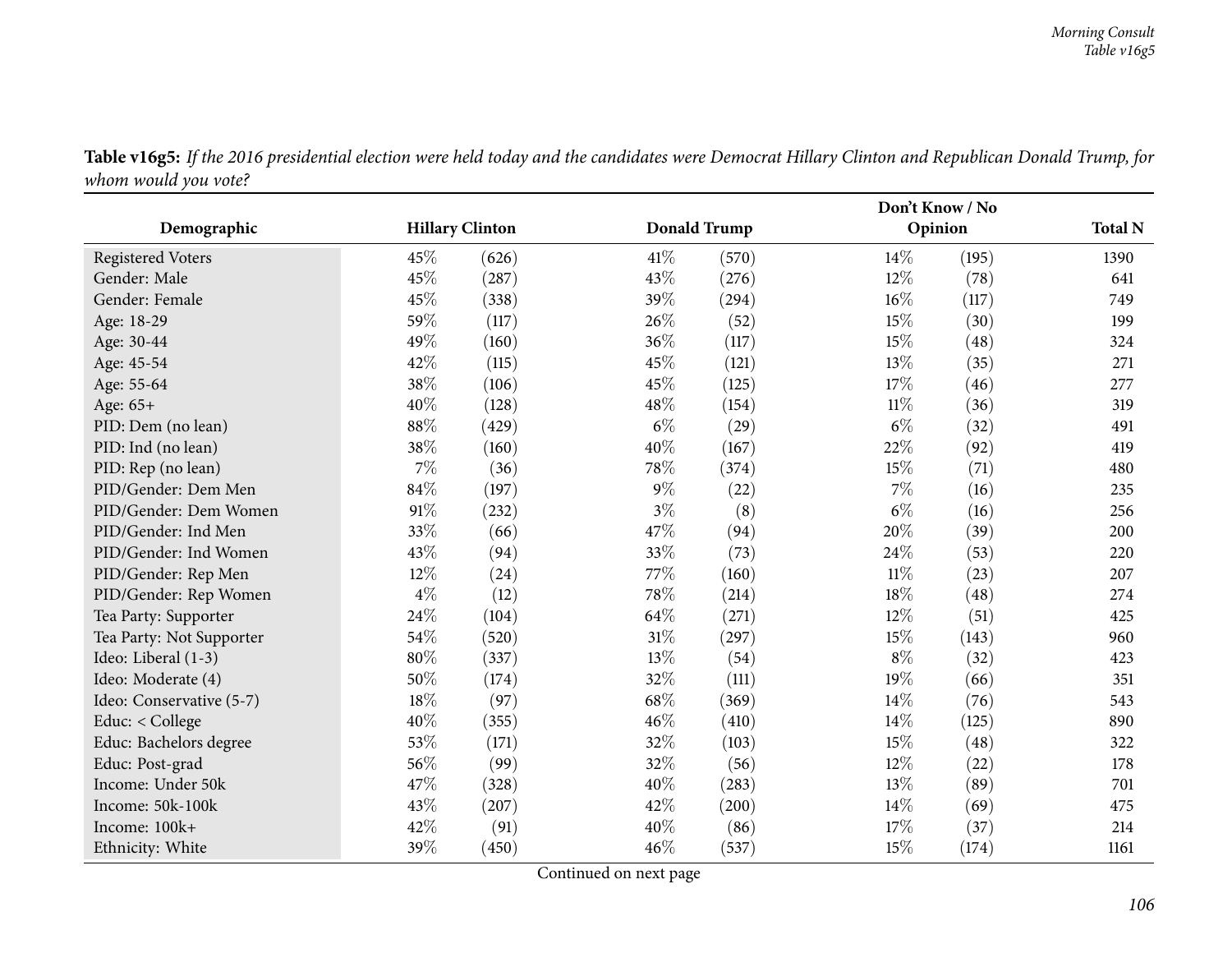|                          |                        |       |        | Don't Know / No     |        |         |      |  |
|--------------------------|------------------------|-------|--------|---------------------|--------|---------|------|--|
| Demographic              | <b>Hillary Clinton</b> |       |        | <b>Donald Trump</b> |        | Opinion |      |  |
| <b>Registered Voters</b> | 45%                    | (626) | 41\%   | (570)               | 14%    | (195)   | 1390 |  |
| Gender: Male             | 45%                    | (287) | 43%    | (276)               | 12%    | (78)    | 641  |  |
| Gender: Female           | 45%                    | (338) | 39%    | (294)               | 16%    | (117)   | 749  |  |
| Age: 18-29               | 59%                    | (117) | 26%    | (52)                | 15%    | (30)    | 199  |  |
| Age: 30-44               | 49%                    | (160) | 36%    | (117)               | 15%    | (48)    | 324  |  |
| Age: 45-54               | 42%                    | (115) | 45%    | (121)               | 13%    | (35)    | 271  |  |
| Age: 55-64               | 38%                    | (106) | 45%    | (125)               | 17%    | (46)    | 277  |  |
| Age: 65+                 | 40%                    | (128) | 48\%   | (154)               | $11\%$ | (36)    | 319  |  |
| PID: Dem (no lean)       | 88%                    | (429) | $6\%$  | (29)                | $6\%$  | (32)    | 491  |  |
| PID: Ind (no lean)       | 38\%                   | (160) | 40%    | (167)               | 22%    | (92)    | 419  |  |
| PID: Rep (no lean)       | $7\%$                  | (36)  | 78%    | (374)               | 15%    | (71)    | 480  |  |
| PID/Gender: Dem Men      | 84%                    | (197) | $9\%$  | (22)                | $7\%$  | (16)    | 235  |  |
| PID/Gender: Dem Women    | 91%                    | (232) | $3\%$  | (8)                 | $6\%$  | (16)    | 256  |  |
| PID/Gender: Ind Men      | 33%                    | (66)  | 47%    | (94)                | 20%    | (39)    | 200  |  |
| PID/Gender: Ind Women    | 43%                    | (94)  | 33%    | (73)                | 24%    | (53)    | 220  |  |
| PID/Gender: Rep Men      | 12%                    | (24)  | 77%    | (160)               | $11\%$ | (23)    | 207  |  |
| PID/Gender: Rep Women    | $4\%$                  | (12)  | 78%    | (214)               | 18%    | (48)    | 274  |  |
| Tea Party: Supporter     | 24\%                   | (104) | 64\%   | (271)               | $12\%$ | (51)    | 425  |  |
| Tea Party: Not Supporter | 54%                    | (520) | $31\%$ | (297)               | 15%    | (143)   | 960  |  |
| Ideo: Liberal (1-3)      | 80%                    | (337) | 13%    | (54)                | $8\%$  | (32)    | 423  |  |
| Ideo: Moderate (4)       | 50%                    | (174) | 32%    | (111)               | 19%    | (66)    | 351  |  |
| Ideo: Conservative (5-7) | 18%                    | (97)  | 68%    | (369)               | 14%    | (76)    | 543  |  |
| Educ: < College          | 40%                    | (355) | 46%    | (410)               | 14%    | (125)   | 890  |  |
| Educ: Bachelors degree   | 53%                    | (171) | 32%    | (103)               | 15%    | (48)    | 322  |  |
| Educ: Post-grad          | 56%                    | (99)  | 32%    | (56)                | 12%    | (22)    | 178  |  |
| Income: Under 50k        | 47%                    | (328) | 40%    | (283)               | 13%    | (89)    | 701  |  |
| Income: 50k-100k         | 43%                    | (207) | 42%    | (200)               | 14%    | (69)    | 475  |  |
| Income: 100k+            | 42%                    | (91)  | 40%    | (86)                | 17%    | (37)    | 214  |  |
| Ethnicity: White         | 39%                    | (450) | 46%    | (537)               | 15%    | (174)   | 1161 |  |

Table v16g5: If the 2016 presidential election were held today and the candidates were Democrat Hillary Clinton and Republican Donald Trump, for *whom would you vote?*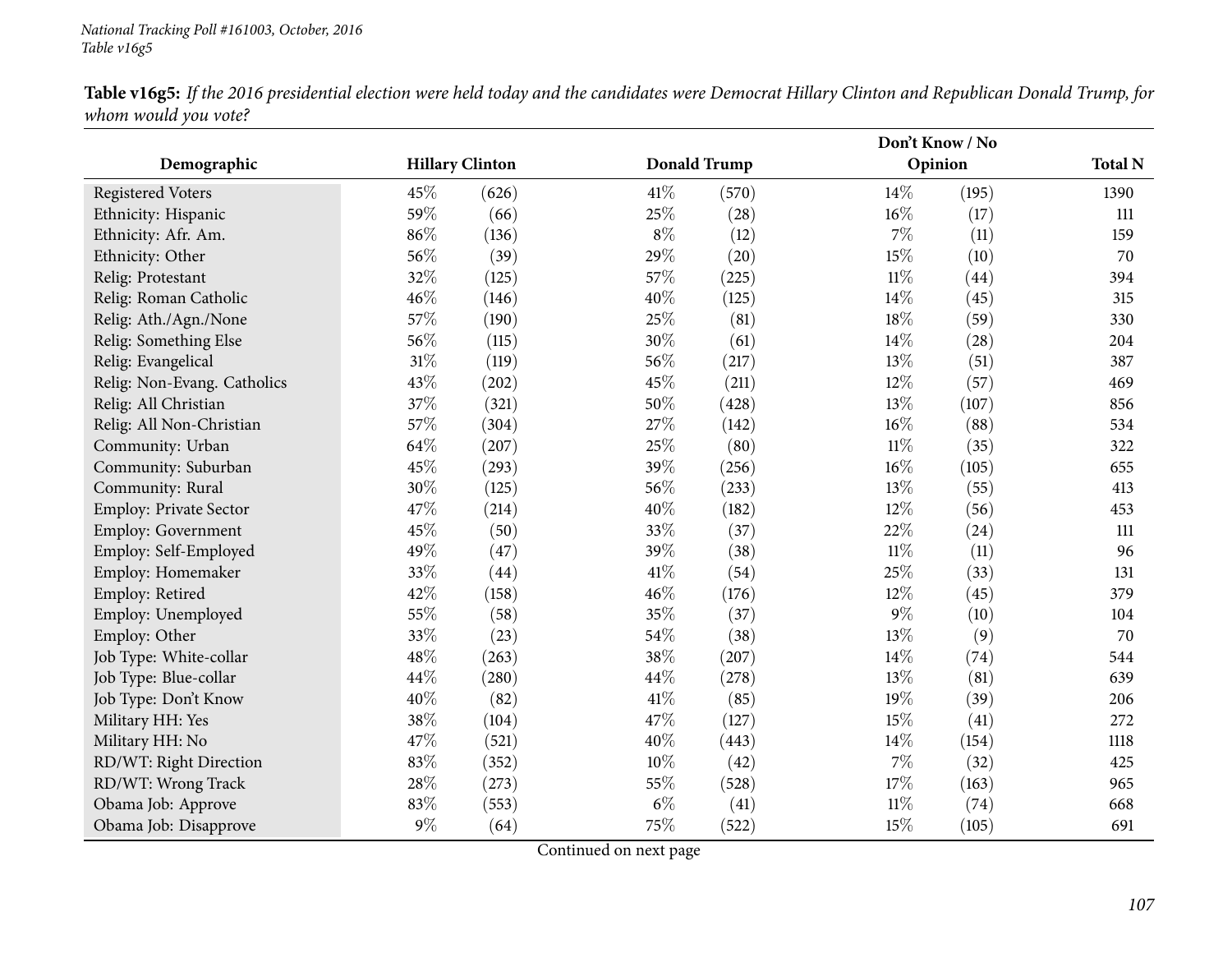|                               |                        |       |        |                     |        | Don't Know / No |      |  |  |
|-------------------------------|------------------------|-------|--------|---------------------|--------|-----------------|------|--|--|
| Demographic                   | <b>Hillary Clinton</b> |       |        | <b>Donald Trump</b> |        | Opinion         |      |  |  |
| <b>Registered Voters</b>      | 45%                    | (626) | 41\%   | (570)               | $14\%$ | (195)           | 1390 |  |  |
| Ethnicity: Hispanic           | 59%                    | (66)  | 25%    | (28)                | $16\%$ | (17)            | 111  |  |  |
| Ethnicity: Afr. Am.           | 86%                    | (136) | $8\%$  | (12)                | $7\%$  | (11)            | 159  |  |  |
| Ethnicity: Other              | 56%                    | (39)  | 29%    | (20)                | 15%    | (10)            | 70   |  |  |
| Relig: Protestant             | 32%                    | (125) | 57%    | (225)               | $11\%$ | (44)            | 394  |  |  |
| Relig: Roman Catholic         | 46%                    | (146) | 40%    | (125)               | 14\%   | (45)            | 315  |  |  |
| Relig: Ath./Agn./None         | 57%                    | (190) | 25%    | (81)                | 18%    | (59)            | 330  |  |  |
| Relig: Something Else         | 56%                    | (115) | 30%    | (61)                | $14\%$ | (28)            | 204  |  |  |
| Relig: Evangelical            | 31%                    | (119) | 56%    | (217)               | 13\%   | (51)            | 387  |  |  |
| Relig: Non-Evang. Catholics   | 43%                    | (202) | 45%    | (211)               | $12\%$ | (57)            | 469  |  |  |
| Relig: All Christian          | 37%                    | (321) | 50%    | (428)               | 13%    | (107)           | 856  |  |  |
| Relig: All Non-Christian      | 57%                    | (304) | 27%    | (142)               | 16%    | (88)            | 534  |  |  |
| Community: Urban              | 64%                    | (207) | 25%    | (80)                | $11\%$ | (35)            | 322  |  |  |
| Community: Suburban           | 45%                    | (293) | 39%    | (256)               | $16\%$ | (105)           | 655  |  |  |
| Community: Rural              | 30%                    | (125) | 56%    | (233)               | 13%    | (55)            | 413  |  |  |
| <b>Employ: Private Sector</b> | 47%                    | (214) | 40%    | (182)               | $12\%$ | (56)            | 453  |  |  |
| Employ: Government            | 45%                    | (50)  | 33%    | (37)                | $22\%$ | (24)            | 111  |  |  |
| Employ: Self-Employed         | 49%                    | (47)  | 39%    | (38)                | $11\%$ | (11)            | 96   |  |  |
| Employ: Homemaker             | 33%                    | (44)  | 41\%   | (54)                | 25%    | (33)            | 131  |  |  |
| Employ: Retired               | 42%                    | (158) | 46\%   | (176)               | 12%    | (45)            | 379  |  |  |
| Employ: Unemployed            | 55%                    | (58)  | 35%    | (37)                | $9\%$  | (10)            | 104  |  |  |
| Employ: Other                 | 33%                    | (23)  | 54\%   | (38)                | 13%    | (9)             | 70   |  |  |
| Job Type: White-collar        | 48%                    | (263) | 38%    | (207)               | 14%    | (74)            | 544  |  |  |
| Job Type: Blue-collar         | 44%                    | (280) | 44%    | (278)               | 13\%   | (81)            | 639  |  |  |
| Job Type: Don't Know          | 40%                    | (82)  | $41\%$ | (85)                | 19%    | (39)            | 206  |  |  |
| Military HH: Yes              | 38%                    | (104) | 47%    | (127)               | 15%    | (41)            | 272  |  |  |
| Military HH: No               | 47%                    | (521) | 40%    | (443)               | 14%    | (154)           | 1118 |  |  |
| RD/WT: Right Direction        | 83%                    | (352) | 10%    | (42)                | $7\%$  | (32)            | 425  |  |  |
| RD/WT: Wrong Track            | 28%                    | (273) | 55%    | (528)               | 17%    | (163)           | 965  |  |  |
| Obama Job: Approve            | 83%                    | (553) | $6\%$  | (41)                | 11%    | (74)            | 668  |  |  |
| Obama Job: Disapprove         | 9%                     | (64)  | 75%    | (522)               | 15%    | (105)           | 691  |  |  |

Table v16g5: If the 2016 presidential election were held today and the candidates were Democrat Hillary Clinton and Republican Donald Trump, for *whom would you vote?*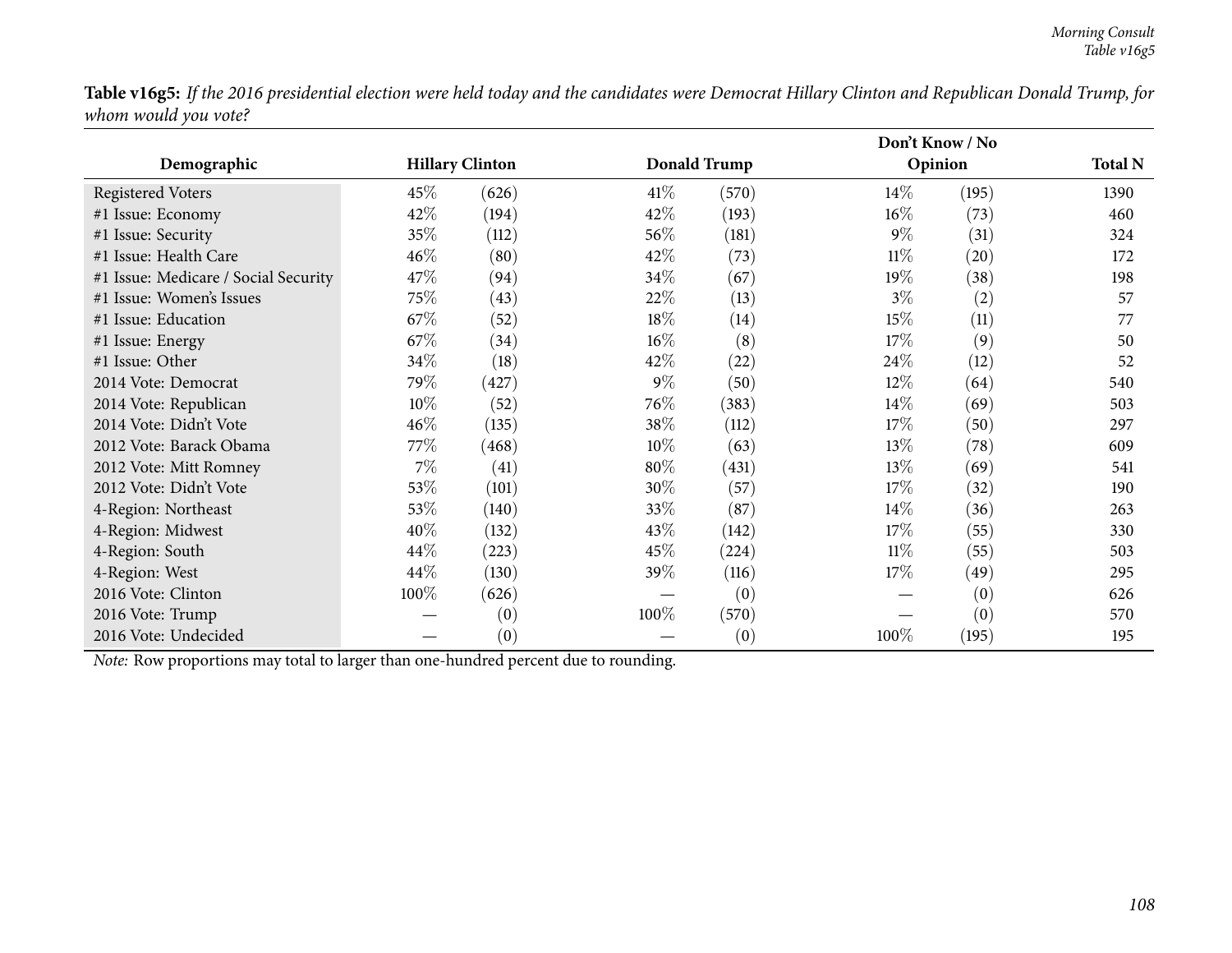Table v16g5: If the 2016 presidential election were held today and the candidates were Democrat Hillary Clinton and Republican Donald Trump, for *whom would you vote?*

|                                                                                     |                        |       |        |                     | Don't Know / No |         |      |
|-------------------------------------------------------------------------------------|------------------------|-------|--------|---------------------|-----------------|---------|------|
| Demographic                                                                         | <b>Hillary Clinton</b> |       |        | <b>Donald Trump</b> |                 | Opinion |      |
| <b>Registered Voters</b>                                                            | $45\%$                 | (626) | 41\%   | (570)               | $14\%$          | (195)   | 1390 |
| #1 Issue: Economy                                                                   | 42\%                   | (194) | 42\%   | (193)               | $16\%$          | (73)    | 460  |
| #1 Issue: Security                                                                  | 35\%                   | (112) | 56\%   | (181)               | $9\%$           | (31)    | 324  |
| #1 Issue: Health Care                                                               | 46%                    | (80)  | 42%    | (73)                | $11\%$          | (20)    | 172  |
| #1 Issue: Medicare / Social Security                                                | 47\%                   | (94)  | 34\%   | (67)                | 19%             | (38)    | 198  |
| #1 Issue: Women's Issues                                                            | 75%                    | (43)  | 22\%   | (13)                | $3\%$           | (2)     | 57   |
| #1 Issue: Education                                                                 | 67\%                   | (52)  | 18%    | (14)                | 15%             | (11)    | 77   |
| #1 Issue: Energy                                                                    | 67\%                   | (34)  | 16%    | (8)                 | 17%             | (9)     | 50   |
| #1 Issue: Other                                                                     | 34\%                   | (18)  | 42%    | (22)                | 24\%            | (12)    | 52   |
| 2014 Vote: Democrat                                                                 | 79%                    | (427) | $9\%$  | (50)                | 12\%            | (64)    | 540  |
| 2014 Vote: Republican                                                               | $10\%$                 | (52)  | 76%    | (383)               | $14\%$          | (69)    | 503  |
| 2014 Vote: Didn't Vote                                                              | 46\%                   | (135) | 38\%   | (112)               | 17%             | (50)    | 297  |
| 2012 Vote: Barack Obama                                                             | $77\%$                 | (468) | $10\%$ | (63)                | $13\%$          | (78)    | 609  |
| 2012 Vote: Mitt Romney                                                              | $7\%$                  | (41)  | 80%    | (431)               | 13%             | (69)    | 541  |
| 2012 Vote: Didn't Vote                                                              | 53%                    | (101) | 30%    | (57)                | 17%             | (32)    | 190  |
| 4-Region: Northeast                                                                 | 53\%                   | (140) | 33\%   | (87)                | $14\%$          | (36)    | 263  |
| 4-Region: Midwest                                                                   | 40%                    | (132) | 43\%   | (142)               | 17%             | (55)    | 330  |
| 4-Region: South                                                                     | 44\%                   | (223) | 45%    | (224)               | $11\%$          | (55)    | 503  |
| 4-Region: West                                                                      | 44%                    | (130) | 39\%   | (116)               | 17%             | (49)    | 295  |
| 2016 Vote: Clinton                                                                  | 100%                   | (626) |        | (0)                 |                 | (0)     | 626  |
| 2016 Vote: Trump                                                                    |                        | (0)   | 100%   | (570)               |                 | (0)     | 570  |
| 2016 Vote: Undecided                                                                |                        | (0)   |        | (0)                 | 100%            | (195)   | 195  |
| Note: Row proportions may total to larger than one-hundred percent due to rounding. |                        |       |        |                     |                 |         |      |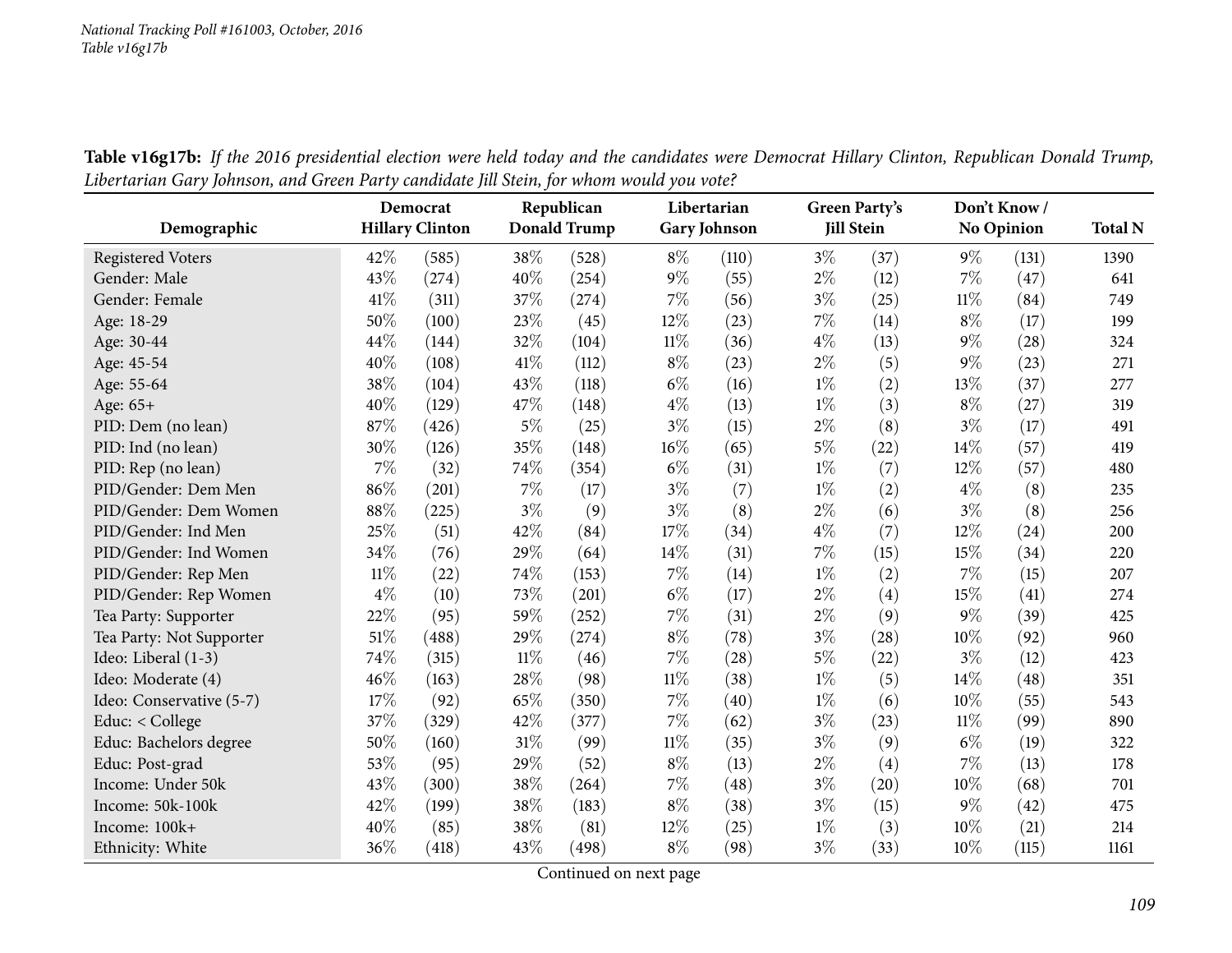|                          |        | Democrat               | Republican |                     |        | Libertarian         |       | Green Party's     |        | Don't Know/       |                |  |
|--------------------------|--------|------------------------|------------|---------------------|--------|---------------------|-------|-------------------|--------|-------------------|----------------|--|
| Demographic              |        | <b>Hillary Clinton</b> |            | <b>Donald Trump</b> |        | <b>Gary Johnson</b> |       | <b>Jill Stein</b> |        | <b>No Opinion</b> | <b>Total N</b> |  |
| <b>Registered Voters</b> | 42%    | (585)                  | 38%        | (528)               | $8\%$  | (110)               | $3\%$ | (37)              | $9\%$  | (131)             | 1390           |  |
| Gender: Male             | 43%    | (274)                  | 40%        | (254)               | $9\%$  | (55)                | $2\%$ | (12)              | 7%     | (47)              | 641            |  |
| Gender: Female           | 41\%   | (311)                  | 37%        | (274)               | 7%     | (56)                | $3\%$ | (25)              | $11\%$ | (84)              | 749            |  |
| Age: 18-29               | 50%    | (100)                  | 23%        | (45)                | 12%    | (23)                | 7%    | (14)              | $8\%$  | (17)              | 199            |  |
| Age: 30-44               | 44%    | (144)                  | 32%        | (104)               | $11\%$ | (36)                | $4\%$ | (13)              | $9\%$  | (28)              | 324            |  |
| Age: 45-54               | 40%    | (108)                  | 41\%       | (112)               | $8\%$  | (23)                | $2\%$ | (5)               | 9%     | (23)              | 271            |  |
| Age: 55-64               | 38%    | (104)                  | 43%        | (118)               | $6\%$  | (16)                | $1\%$ | (2)               | 13%    | (37)              | 277            |  |
| Age: 65+                 | 40%    | (129)                  | 47%        | (148)               | $4\%$  | (13)                | $1\%$ | (3)               | $8\%$  | (27)              | 319            |  |
| PID: Dem (no lean)       | 87%    | (426)                  | $5\%$      | (25)                | $3\%$  | (15)                | $2\%$ | (8)               | $3\%$  | (17)              | 491            |  |
| PID: Ind (no lean)       | 30%    | (126)                  | 35%        | (148)               | $16\%$ | (65)                | $5\%$ | (22)              | 14%    | (57)              | 419            |  |
| PID: Rep (no lean)       | $7\%$  | (32)                   | 74%        | (354)               | $6\%$  | (31)                | $1\%$ | (7)               | 12%    | (57)              | 480            |  |
| PID/Gender: Dem Men      | 86%    | (201)                  | 7%         | (17)                | $3\%$  | (7)                 | $1\%$ | (2)               | $4\%$  | (8)               | 235            |  |
| PID/Gender: Dem Women    | 88%    | (225)                  | $3\%$      | (9)                 | $3\%$  | (8)                 | $2\%$ | (6)               | $3\%$  | (8)               | 256            |  |
| PID/Gender: Ind Men      | 25%    | (51)                   | 42%        | (84)                | 17%    | (34)                | $4\%$ | (7)               | 12%    | (24)              | 200            |  |
| PID/Gender: Ind Women    | 34%    | (76)                   | 29%        | (64)                | 14%    | (31)                | 7%    | (15)              | 15%    | (34)              | 220            |  |
| PID/Gender: Rep Men      | $11\%$ | (22)                   | 74%        | (153)               | $7\%$  | (14)                | $1\%$ | (2)               | 7%     | (15)              | 207            |  |
| PID/Gender: Rep Women    | $4\%$  | (10)                   | 73%        | (201)               | $6\%$  | (17)                | $2\%$ | (4)               | 15%    | (41)              | 274            |  |
| Tea Party: Supporter     | 22%    | (95)                   | 59%        | (252)               | $7\%$  | (31)                | $2\%$ | (9)               | 9%     | (39)              | 425            |  |
| Tea Party: Not Supporter | 51%    | (488)                  | 29%        | (274)               | $8\%$  | (78)                | $3\%$ | (28)              | 10%    | (92)              | 960            |  |
| Ideo: Liberal (1-3)      | 74%    | (315)                  | $11\%$     | (46)                | $7\%$  | (28)                | $5\%$ | (22)              | $3\%$  | (12)              | 423            |  |
| Ideo: Moderate (4)       | 46%    | (163)                  | 28%        | (98)                | $11\%$ | (38)                | $1\%$ | (5)               | 14%    | (48)              | 351            |  |
| Ideo: Conservative (5-7) | 17%    | (92)                   | 65%        | (350)               | $7\%$  | (40)                | $1\%$ | (6)               | 10%    | (55)              | 543            |  |
| Educ: < College          | 37%    | (329)                  | 42%        | (377)               | $7\%$  | (62)                | $3\%$ | (23)              | $11\%$ | (99)              | 890            |  |
| Educ: Bachelors degree   | 50%    | (160)                  | 31%        | (99)                | $11\%$ | (35)                | $3\%$ | (9)               | $6\%$  | (19)              | 322            |  |
| Educ: Post-grad          | 53%    | (95)                   | 29%        | (52)                | $8\%$  | (13)                | $2\%$ | (4)               | 7%     | (13)              | 178            |  |
| Income: Under 50k        | 43%    | (300)                  | 38%        | (264)               | $7\%$  | (48)                | $3\%$ | (20)              | 10%    | (68)              | 701            |  |
| Income: 50k-100k         | 42%    | (199)                  | 38%        | (183)               | $8\%$  | (38)                | $3\%$ | (15)              | 9%     | (42)              | 475            |  |
| Income: 100k+            | 40%    | (85)                   | 38%        | (81)                | $12\%$ | (25)                | $1\%$ | (3)               | 10%    | (21)              | 214            |  |
| Ethnicity: White         | 36%    | (418)                  | 43%        | (498)               | $8\%$  | (98)                | $3\%$ | (33)              | 10%    | (115)             | 1161           |  |

Table v16g17b: If the 2016 presidential election were held today and the candidates were Democrat Hillary Clinton, Republican Donald Trump, Libertarian Gary Johnson, and Green Party candidate Jill Stein, for whom would you vote?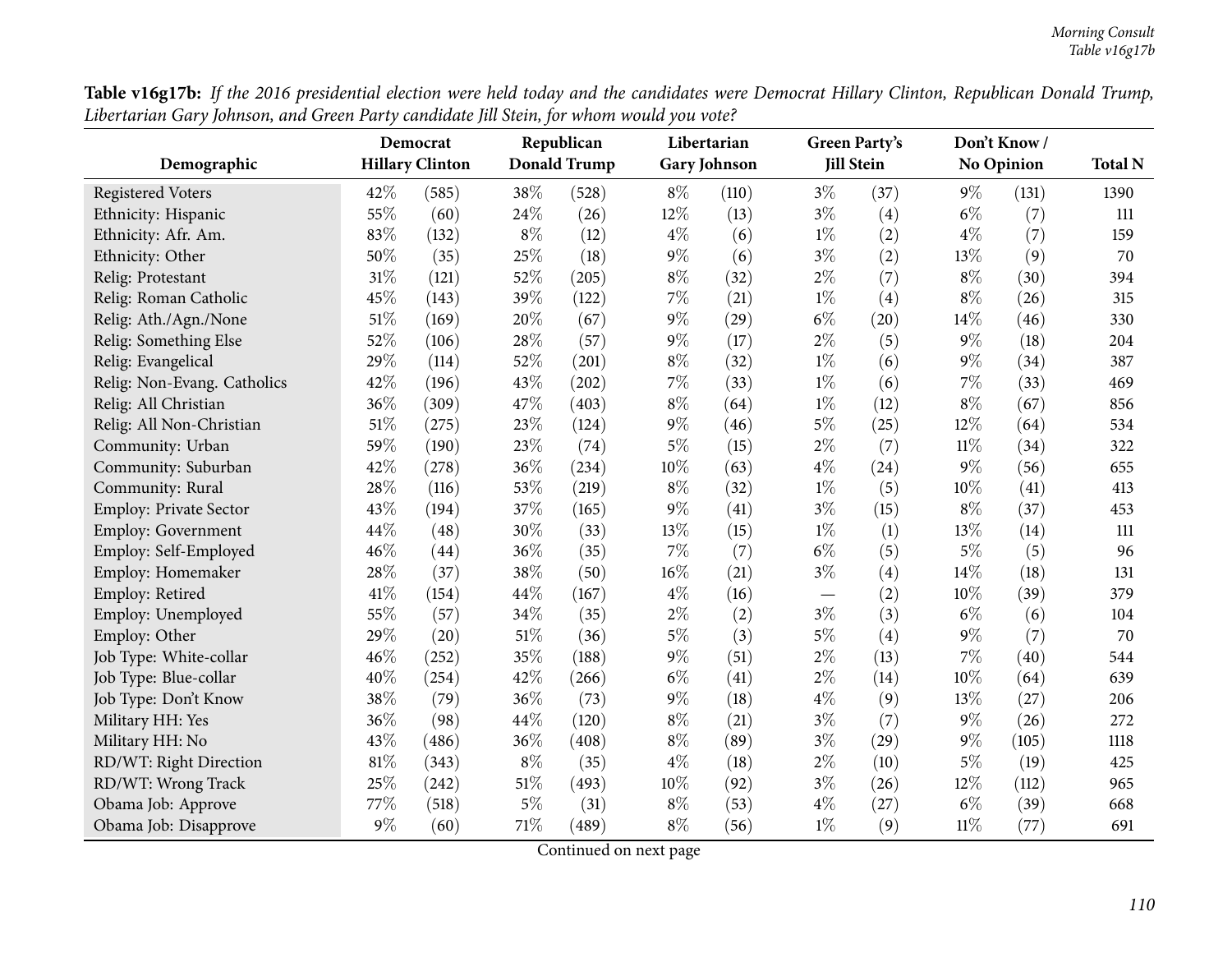| Demographic                   | Democrat<br><b>Hillary Clinton</b> |       |        | Republican<br><b>Donald Trump</b> | Libertarian<br><b>Gary Johnson</b> |       | <b>Green Party's</b><br><b>Jill Stein</b> |      | Don't Know /<br><b>No Opinion</b> |       | <b>Total N</b> |
|-------------------------------|------------------------------------|-------|--------|-----------------------------------|------------------------------------|-------|-------------------------------------------|------|-----------------------------------|-------|----------------|
|                               |                                    |       |        |                                   |                                    |       |                                           |      |                                   |       |                |
| <b>Registered Voters</b>      | 42%                                | (585) | 38%    | (528)                             | $8\%$                              | (110) | $3\%$                                     | (37) | $9\%$                             | (131) | 1390           |
| Ethnicity: Hispanic           | 55%                                | (60)  | 24%    | (26)                              | 12%                                | (13)  | $3\%$                                     | (4)  | $6\%$                             | (7)   | 111            |
| Ethnicity: Afr. Am.           | 83%                                | (132) | $8\%$  | (12)                              | $4\%$                              | (6)   | $1\%$                                     | (2)  | $4\%$                             | (7)   | 159            |
| Ethnicity: Other              | 50%                                | (35)  | 25%    | (18)                              | $9\%$                              | (6)   | $3\%$                                     | (2)  | 13%                               | (9)   | 70             |
| Relig: Protestant             | 31%                                | (121) | 52%    | (205)                             | $8\%$                              | (32)  | $2\%$                                     | (7)  | $8\%$                             | (30)  | 394            |
| Relig: Roman Catholic         | 45%                                | (143) | 39%    | (122)                             | $7\%$                              | (21)  | $1\%$                                     | (4)  | $8\%$                             | (26)  | 315            |
| Relig: Ath./Agn./None         | 51%                                | (169) | 20%    | (67)                              | $9\%$                              | (29)  | $6\%$                                     | (20) | 14%                               | (46)  | 330            |
| Relig: Something Else         | 52%                                | (106) | 28%    | (57)                              | $9\%$                              | (17)  | $2\%$                                     | (5)  | 9%                                | (18)  | 204            |
| Relig: Evangelical            | 29%                                | (114) | 52%    | (201)                             | $8\%$                              | (32)  | $1\%$                                     | (6)  | 9%                                | (34)  | 387            |
| Relig: Non-Evang. Catholics   | 42%                                | (196) | 43%    | (202)                             | 7%                                 | (33)  | $1\%$                                     | (6)  | 7%                                | (33)  | 469            |
| Relig: All Christian          | 36%                                | (309) | 47%    | (403)                             | $8\%$                              | (64)  | $1\%$                                     | (12) | $8\%$                             | (67)  | 856            |
| Relig: All Non-Christian      | 51%                                | (275) | 23%    | (124)                             | $9\%$                              | (46)  | $5\%$                                     | (25) | 12%                               | (64)  | 534            |
| Community: Urban              | 59%                                | (190) | 23%    | (74)                              | $5\%$                              | (15)  | $2\%$                                     | (7)  | $11\%$                            | (34)  | 322            |
| Community: Suburban           | 42%                                | (278) | 36%    | (234)                             | 10%                                | (63)  | $4\%$                                     | (24) | 9%                                | (56)  | 655            |
| Community: Rural              | 28%                                | (116) | 53%    | (219)                             | $8\%$                              | (32)  | $1\%$                                     | (5)  | 10%                               | (41)  | 413            |
| <b>Employ: Private Sector</b> | 43%                                | (194) | 37%    | (165)                             | $9\%$                              | (41)  | $3\%$                                     | (15) | $8\%$                             | (37)  | 453            |
| <b>Employ: Government</b>     | 44%                                | (48)  | 30%    | (33)                              | 13%                                | (15)  | $1\%$                                     | (1)  | 13%                               | (14)  | 111            |
| Employ: Self-Employed         | 46%                                | (44)  | 36%    | (35)                              | $7\%$                              | (7)   | $6\%$                                     | (5)  | $5\%$                             | (5)   | 96             |
| Employ: Homemaker             | 28%                                | (37)  | 38%    | (50)                              | $16\%$                             | (21)  | $3\%$                                     | (4)  | 14%                               | (18)  | 131            |
| Employ: Retired               | 41\%                               | (154) | 44%    | (167)                             | $4\%$                              | (16)  | $\overbrace{\phantom{12322111}}$          | (2)  | 10%                               | (39)  | 379            |
| Employ: Unemployed            | 55%                                | (57)  | 34%    | (35)                              | $2\%$                              | (2)   | $3\%$                                     | (3)  | $6\%$                             | (6)   | 104            |
| Employ: Other                 | 29%                                | (20)  | 51%    | (36)                              | $5\%$                              | (3)   | $5\%$                                     | (4)  | 9%                                | (7)   | 70             |
| Job Type: White-collar        | 46%                                | (252) | 35%    | (188)                             | $9\%$                              | (51)  | $2\%$                                     | (13) | 7%                                | (40)  | 544            |
| Job Type: Blue-collar         | 40%                                | (254) | 42%    | (266)                             | $6\%$                              | (41)  | $2\%$                                     | (14) | 10%                               | (64)  | 639            |
| Job Type: Don't Know          | 38%                                | (79)  | 36%    | (73)                              | $9\%$                              | (18)  | $4\%$                                     | (9)  | 13%                               | (27)  | 206            |
| Military HH: Yes              | 36%                                | (98)  | 44%    | (120)                             | $8\%$                              | (21)  | $3\%$                                     | (7)  | 9%                                | (26)  | 272            |
| Military HH: No               | 43%                                | (486) | 36%    | (408)                             | $8\%$                              | (89)  | $3\%$                                     | (29) | $9\%$                             | (105) | 1118           |
| RD/WT: Right Direction        | 81%                                | (343) | $8\%$  | (35)                              | $4\%$                              | (18)  | $2\%$                                     | (10) | $5\%$                             | (19)  | 425            |
| RD/WT: Wrong Track            | 25%                                | (242) | 51%    | (493)                             | 10%                                | (92)  | $3\%$                                     | (26) | 12%                               | (112) | 965            |
| Obama Job: Approve            | 77\%                               | (518) | $5\%$  | (31)                              | $8\%$                              | (53)  | $4\%$                                     | (27) | $6\%$                             | (39)  | 668            |
| Obama Job: Disapprove         | $9\%$                              | (60)  | $71\%$ | (489)                             | $8\%$                              | (56)  | $1\%$                                     | (9)  | $11\%$                            | (77)  | 691            |

Table v16g17b: If the 2016 presidential election were held today and the candidates were Democrat Hillary Clinton, Republican Donald Trump, Libertarian Gary Johnson, and Green Party candidate Jill Stein, for whom would you vote?  $\overline{a}$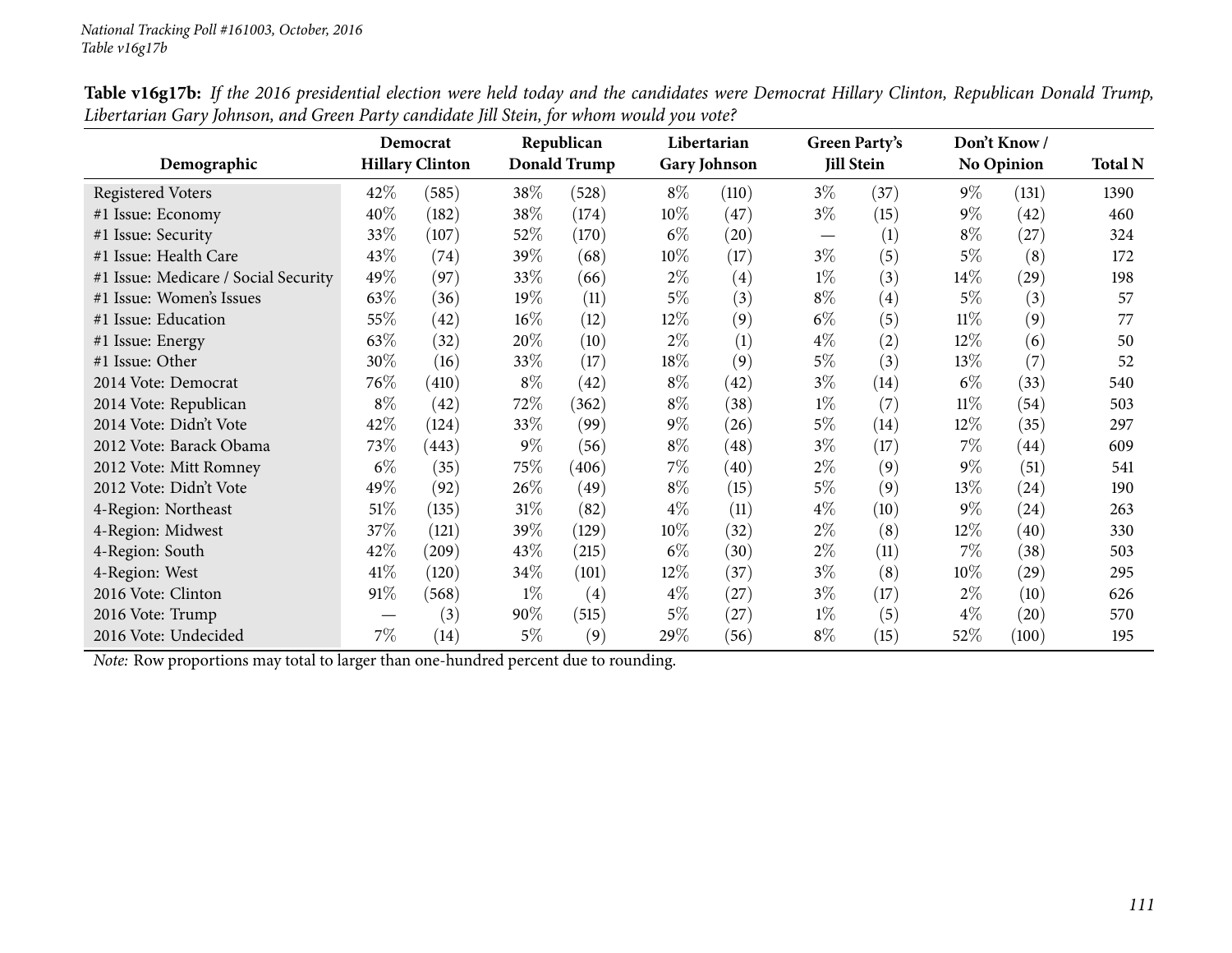|                                      | Republican<br>Democrat<br><b>Hillary Clinton</b> |       |        |                     | Libertarian |                     | <b>Green Party's</b>           | Don't Know /<br><b>No Opinion</b> |        |       |                |
|--------------------------------------|--------------------------------------------------|-------|--------|---------------------|-------------|---------------------|--------------------------------|-----------------------------------|--------|-------|----------------|
| Demographic                          |                                                  |       |        | <b>Donald Trump</b> |             | <b>Gary Johnson</b> |                                | <b>Jill Stein</b>                 |        |       | <b>Total N</b> |
| Registered Voters                    | 42\%                                             | (585) | 38\%   | (528)               | $8\%$       | (110)               | $3\%$                          | (37)                              | $9\%$  | (131) | 1390           |
| #1 Issue: Economy                    | 40%                                              | (182) | 38\%   | (174)               | $10\%$      | (47)                | $3\%$                          | (15)                              | $9\%$  | (42)  | 460            |
| #1 Issue: Security                   | 33%                                              | (107) | 52%    | (170)               | $6\%$       | (20)                | $\overbrace{\phantom{123321}}$ | (1)                               | $8\%$  | (27)  | 324            |
| #1 Issue: Health Care                | 43\%                                             | (74)  | 39%    | (68)                | $10\%$      | (17)                | $3\%$                          | (5)                               | $5\%$  | (8)   | 172            |
| #1 Issue: Medicare / Social Security | 49%                                              | (97)  | 33%    | (66)                | $2\%$       | (4)                 | $1\%$                          | (3)                               | 14%    | (29)  | 198            |
| #1 Issue: Women's Issues             | 63\%                                             | (36)  | 19%    | (11)                | $5\%$       | (3)                 | $8\%$                          | $\left( 4\right)$                 | $5\%$  | (3)   | 57             |
| #1 Issue: Education                  | 55%                                              | (42)  | $16\%$ | (12)                | $12\%$      | (9)                 | $6\%$                          | (5)                               | $11\%$ | (9)   | 77             |
| #1 Issue: Energy                     | 63%                                              | (32)  | 20%    | (10)                | $2\%$       | (1)                 | $4\%$                          | (2)                               | 12%    | (6)   | 50             |
| #1 Issue: Other                      | 30%                                              | (16)  | 33\%   | (17)                | 18%         | (9)                 | 5%                             | (3)                               | 13\%   | (7)   | 52             |
| 2014 Vote: Democrat                  | 76\%                                             | (410) | $8\%$  | (42)                | $8\%$       | (42)                | $3\%$                          | (14)                              | $6\%$  | (33)  | 540            |
| 2014 Vote: Republican                | $8\%$                                            | (42)  | 72%    | (362)               | $8\%$       | (38)                | $1\%$                          | (7)                               | $11\%$ | (54)  | 503            |
| 2014 Vote: Didn't Vote               | 42%                                              | (124) | 33\%   | (99)                | $9\%$       | (26)                | $5\%$                          | (14)                              | $12\%$ | (35)  | 297            |
| 2012 Vote: Barack Obama              | 73\%                                             | (443) | $9\%$  | (56)                | $8\%$       | (48)                | $3\%$                          | (17)                              | $7\%$  | (44)  | 609            |
| 2012 Vote: Mitt Romney               | $6\%$                                            | (35)  | 75%    | (406)               | $7\%$       | (40)                | $2\%$                          | (9)                               | $9\%$  | (51)  | 541            |
| 2012 Vote: Didn't Vote               | 49\%                                             | (92)  | 26\%   | (49)                | $8\%$       | (15)                | 5%                             | (9)                               | 13\%   | (24)  | 190            |
| 4-Region: Northeast                  | $51\%$                                           | (135) | 31%    | (82)                | $4\%$       | (11)                | $4\%$                          | (10)                              | $9\%$  | (24)  | 263            |
| 4-Region: Midwest                    | 37\%                                             | (121) | 39%    | (129)               | $10\%$      | (32)                | $2\%$                          | (8)                               | $12\%$ | (40)  | 330            |
| 4-Region: South                      | 42\%                                             | (209) | 43\%   | (215)               | $6\%$       | (30)                | $2\%$                          | (11)                              | $7\%$  | (38)  | 503            |
| 4-Region: West                       | 41\%                                             | (120) | $34\%$ | (101)               | $12\%$      | (37)                | $3\%$                          | (8)                               | 10%    | (29)  | 295            |
| 2016 Vote: Clinton                   | 91\%                                             | (568) | $1\%$  | $\left( 4\right)$   | $4\%$       | (27)                | $3\%$                          | (17)                              | $2\%$  | (10)  | 626            |
| 2016 Vote: Trump                     |                                                  | (3)   | 90%    | (515)               | $5\%$       | (27)                | $1\%$                          | (5)                               | $4\%$  | (20)  | 570            |
| 2016 Vote: Undecided                 | $7\%$                                            | (14)  | $5\%$  | (9)                 | 29%         | (56)                | $8\%$                          | (15)                              | 52\%   | (100) | 195            |

Table v16g17b: If the 2016 presidential election were held today and the candidates were Democrat Hillary Clinton, Republican Donald Trump, Libertarian Gary Johnson, and Green Party candidate Jill Stein, for whom would you vote?

*Note:* Row proportions may total to larger than one-hundred percen<sup>t</sup> due to rounding.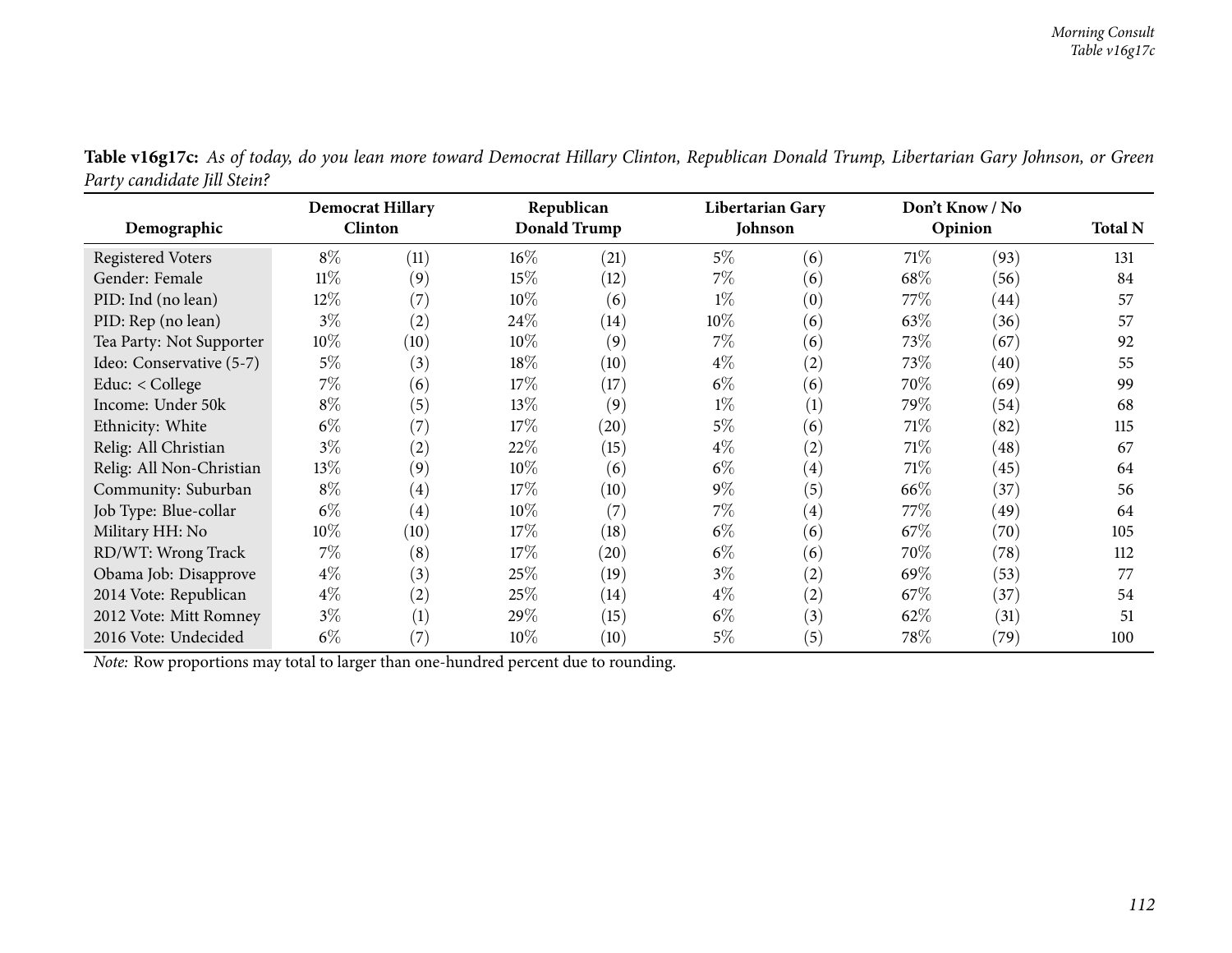|                                                                                     | <b>Democrat Hillary</b> |                   | Republican |              | <b>Libertarian Gary</b> |                   | Don't Know / No |         |                |
|-------------------------------------------------------------------------------------|-------------------------|-------------------|------------|--------------|-------------------------|-------------------|-----------------|---------|----------------|
| Demographic                                                                         | <b>Clinton</b>          |                   |            | Donald Trump | Johnson                 |                   |                 | Opinion | <b>Total N</b> |
| <b>Registered Voters</b>                                                            | $8\%$                   | (11)              | $16\%$     | (21)         | $5\%$                   | (6)               | 71\%            | (93)    | 131            |
| Gender: Female                                                                      | $11\%$                  | (9)               | 15%        | (12)         | $7\%$                   | (6)               | 68\%            | (56)    | 84             |
| PID: Ind (no lean)                                                                  | 12\%                    | (7)               | $10\%$     | (6)          | $1\%$                   | (0)               | 77\%            | (44)    | 57             |
| PID: Rep (no lean)                                                                  | $3\%$                   | $\left( 2\right)$ | 24\%       | (14)         | $10\%$                  | (6)               | 63\%            | (36)    | 57             |
| Tea Party: Not Supporter                                                            | $10\%$                  | (10)              | 10\%       | (9)          | $7\%$                   | (6)               | 73\%            | (67)    | 92             |
| Ideo: Conservative (5-7)                                                            | $5\%$                   | (3)               | 18%        | (10)         | $4\%$                   | (2)               | 73%             | (40)    | 55             |
| Educ: < College                                                                     | $7\%$                   | (6)               | 17%        | (17)         | $6\%$                   | (6)               | 70%             | (69)    | 99             |
| Income: Under 50k                                                                   | $8\%$                   | (5)               | 13\%       | (9)          | $1\%$                   | (1)               | 79%             | (54)    | 68             |
| Ethnicity: White                                                                    | $6\%$                   | (7)               | 17%        | (20)         | $5\%$                   | (6)               | 71\%            | (82)    | 115            |
| Relig: All Christian                                                                | $3\%$                   | $\rm(2)$          | 22%        | (15)         | $4\%$                   | (2)               | 71\%            | (48)    | 67             |
| Relig: All Non-Christian                                                            | 13\%                    | (9)               | $10\%$     | (6)          | $6\%$                   | $\left( 4\right)$ | 71\%            | (45)    | 64             |
| Community: Suburban                                                                 | $8\%$                   | $\left( 4\right)$ | 17%        | (10)         | $9\%$                   | (5)               | 66\%            | (37)    | 56             |
| Job Type: Blue-collar                                                               | $6\%$                   | $\left( 4\right)$ | $10\%$     | (7)          | $7\%$                   | $\left( 4\right)$ | 77\%            | (49)    | 64             |
| Military HH: No                                                                     | $10\%$                  | (10)              | 17%        | (18)         | $6\%$                   | (6)               | $67\%$          | (70)    | 105            |
| RD/WT: Wrong Track                                                                  | $7\%$                   | (8)               | 17\%       | (20)         | $6\%$                   | (6)               | 70%             | (78)    | 112            |
| Obama Job: Disapprove                                                               | $4\%$                   | (3)               | 25\%       | (19)         | $3\%$                   | (2)               | 69%             | (53)    | 77             |
| 2014 Vote: Republican                                                               | $4\%$                   | (2)               | 25\%       | (14)         | $4\%$                   | (2)               | 67\%            | (37)    | 54             |
| 2012 Vote: Mitt Romney                                                              | $3\%$                   | $\left( 1\right)$ | 29%        | (15)         | $6\%$                   | (3)               | 62\%            | (31)    | 51             |
| 2016 Vote: Undecided                                                                | $6\%$                   | $\left( 7\right)$ | $10\%$     | (10)         | $5\%$                   | (5)               | 78\%            | (79)    | 100            |
| Note: Row proportions may total to larger than one-hundred percent due to rounding. |                         |                   |            |              |                         |                   |                 |         |                |

Table v16g17c: As of today, do you lean more toward Democrat Hillary Clinton, Republican Donald Trump, Libertarian Gary Johnson, or Green *Party candidate Jill Stein?*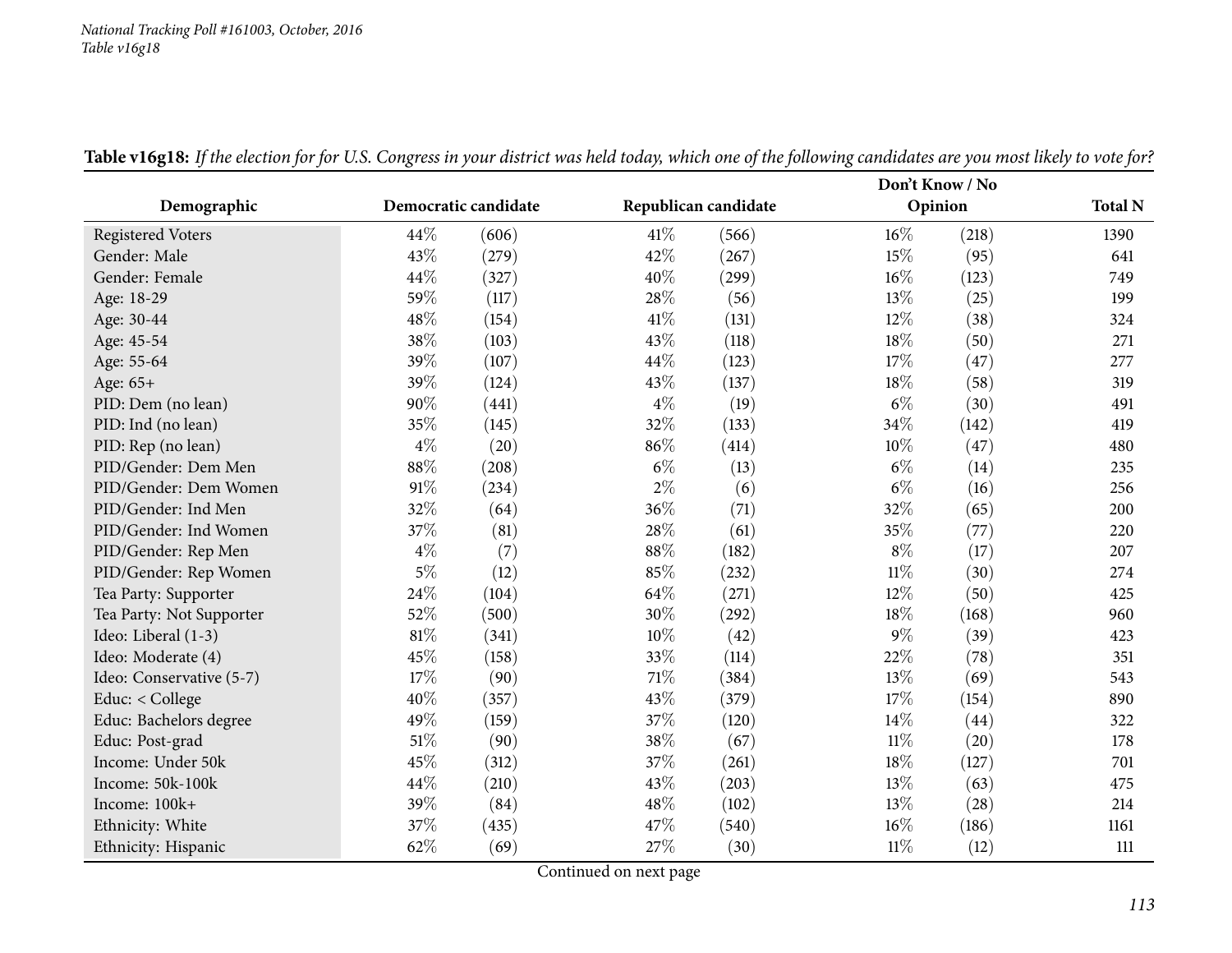#### *National Tracking Poll #161003, October, <sup>2016</sup> Table v16g18*

|                          |        |                      |        |                      | Don't Know / No |       |                |  |
|--------------------------|--------|----------------------|--------|----------------------|-----------------|-------|----------------|--|
| Demographic              |        | Democratic candidate |        | Republican candidate | Opinion         |       | <b>Total N</b> |  |
| <b>Registered Voters</b> | $44\%$ | (606)                | 41\%   | (566)                | $16\%$          | (218) | 1390           |  |
| Gender: Male             | 43%    | (279)                | 42%    | (267)                | 15%             | (95)  | 641            |  |
| Gender: Female           | 44%    | (327)                | 40%    | (299)                | 16%             | (123) | 749            |  |
| Age: 18-29               | 59%    | (117)                | 28\%   | (56)                 | 13%             | (25)  | 199            |  |
| Age: 30-44               | 48%    | (154)                | 41\%   | (131)                | 12%             | (38)  | 324            |  |
| Age: 45-54               | 38%    | (103)                | 43%    | (118)                | 18%             | (50)  | 271            |  |
| Age: 55-64               | 39%    | (107)                | 44%    | (123)                | 17%             | (47)  | 277            |  |
| Age: 65+                 | 39%    | (124)                | 43%    | (137)                | 18%             | (58)  | 319            |  |
| PID: Dem (no lean)       | 90%    | (441)                | $4\%$  | (19)                 | $6\%$           | (30)  | 491            |  |
| PID: Ind (no lean)       | 35%    | (145)                | 32%    | (133)                | 34%             | (142) | 419            |  |
| PID: Rep (no lean)       | $4\%$  | (20)                 | 86%    | (414)                | 10%             | (47)  | 480            |  |
| PID/Gender: Dem Men      | 88%    | (208)                | $6\%$  | (13)                 | $6\%$           | (14)  | 235            |  |
| PID/Gender: Dem Women    | 91%    | (234)                | $2\%$  | (6)                  | $6\%$           | (16)  | 256            |  |
| PID/Gender: Ind Men      | 32%    | (64)                 | 36\%   | (71)                 | 32%             | (65)  | 200            |  |
| PID/Gender: Ind Women    | 37%    | (81)                 | 28\%   | (61)                 | 35%             | (77)  | 220            |  |
| PID/Gender: Rep Men      | $4\%$  | (7)                  | $88\%$ | (182)                | $8\%$           | (17)  | 207            |  |
| PID/Gender: Rep Women    | $5\%$  | (12)                 | 85%    | (232)                | $11\%$          | (30)  | 274            |  |
| Tea Party: Supporter     | 24%    | (104)                | 64\%   | (271)                | 12%             | (50)  | 425            |  |
| Tea Party: Not Supporter | 52%    | (500)                | 30%    | (292)                | 18%             | (168) | 960            |  |
| Ideo: Liberal (1-3)      | 81%    | (341)                | $10\%$ | (42)                 | $9\%$           | (39)  | 423            |  |
| Ideo: Moderate (4)       | 45%    | (158)                | 33%    | (114)                | 22%             | (78)  | 351            |  |
| Ideo: Conservative (5-7) | 17%    | (90)                 | $71\%$ | (384)                | 13%             | (69)  | 543            |  |
| Educ: < College          | 40%    | (357)                | 43%    | (379)                | 17%             | (154) | 890            |  |
| Educ: Bachelors degree   | 49%    | (159)                | 37%    | (120)                | 14%             | (44)  | 322            |  |
| Educ: Post-grad          | $51\%$ | (90)                 | 38%    | (67)                 | $11\%$          | (20)  | 178            |  |
| Income: Under 50k        | 45%    | (312)                | 37%    | (261)                | 18%             | (127) | 701            |  |
| Income: 50k-100k         | 44%    | (210)                | 43%    | (203)                | 13%             | (63)  | 475            |  |
| Income: 100k+            | 39%    | (84)                 | 48\%   | (102)                | 13%             | (28)  | 214            |  |
| Ethnicity: White         | 37%    | (435)                | 47%    | (540)                | 16%             | (186) | 1161           |  |
| Ethnicity: Hispanic      | 62%    | (69)                 | 27%    | (30)                 | $11\%$          | (12)  | 111            |  |

Table v16g18: If the election for for U.S. Congress in your district was held today, which one of the following candidates are you most likely to vote for?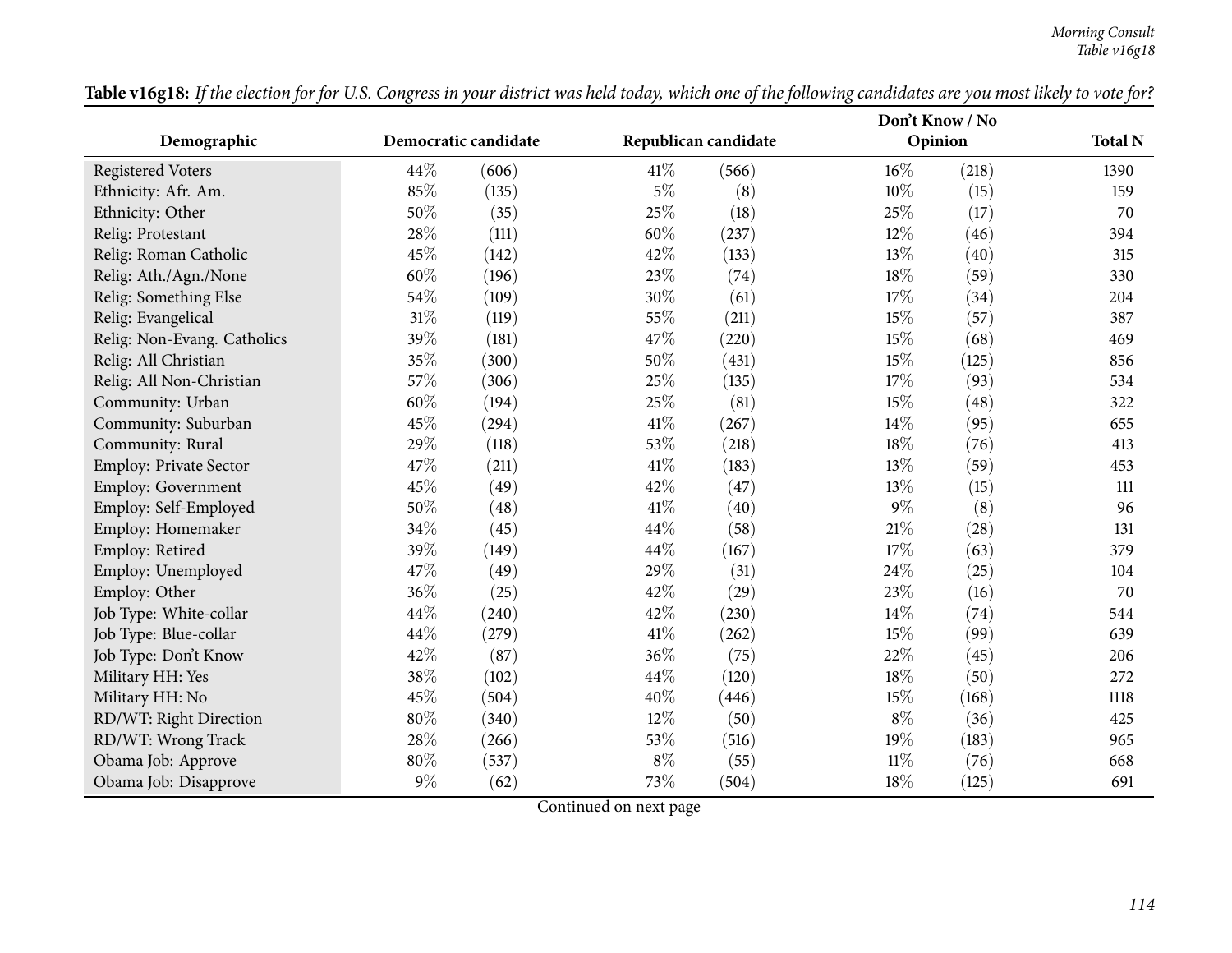|                             |        |                      |                      |       | Don't Know / No |       |                |
|-----------------------------|--------|----------------------|----------------------|-------|-----------------|-------|----------------|
| Demographic                 |        | Democratic candidate | Republican candidate |       | Opinion         |       | <b>Total N</b> |
| <b>Registered Voters</b>    | 44%    | (606)                | 41\%                 | (566) | 16%             | (218) | 1390           |
| Ethnicity: Afr. Am.         | 85%    | (135)                | $5\%$                | (8)   | 10%             | (15)  | 159            |
| Ethnicity: Other            | 50%    | (35)                 | 25%                  | (18)  | 25%             | (17)  | 70             |
| Relig: Protestant           | 28%    | (111)                | 60%                  | (237) | 12%             | (46)  | 394            |
| Relig: Roman Catholic       | 45%    | (142)                | 42%                  | (133) | 13%             | (40)  | 315            |
| Relig: Ath./Agn./None       | 60%    | (196)                | 23%                  | (74)  | 18%             | (59)  | 330            |
| Relig: Something Else       | 54%    | (109)                | 30%                  | (61)  | 17%             | (34)  | 204            |
| Relig: Evangelical          | $31\%$ | (119)                | 55%                  | (211) | 15%             | (57)  | 387            |
| Relig: Non-Evang. Catholics | 39%    | (181)                | 47%                  | (220) | 15%             | (68)  | 469            |
| Relig: All Christian        | 35%    | (300)                | 50%                  | (431) | 15%             | (125) | 856            |
| Relig: All Non-Christian    | 57%    | (306)                | 25%                  | (135) | 17%             | (93)  | 534            |
| Community: Urban            | 60%    | (194)                | 25%                  | (81)  | 15%             | (48)  | 322            |
| Community: Suburban         | 45%    | (294)                | 41\%                 | (267) | 14%             | (95)  | 655            |
| Community: Rural            | 29%    | (118)                | 53%                  | (218) | 18%             | (76)  | 413            |
| Employ: Private Sector      | 47%    | (211)                | $41\%$               | (183) | 13%             | (59)  | 453            |
| Employ: Government          | 45%    | (49)                 | 42%                  | (47)  | 13%             | (15)  | 111            |
| Employ: Self-Employed       | 50%    | (48)                 | $41\%$               | (40)  | 9%              | (8)   | 96             |
| Employ: Homemaker           | 34%    | (45)                 | 44\%                 | (58)  | 21%             | (28)  | 131            |
| Employ: Retired             | 39%    | (149)                | 44\%                 | (167) | 17%             | (63)  | 379            |
| Employ: Unemployed          | 47%    | (49)                 | 29%                  | (31)  | 24%             | (25)  | 104            |
| Employ: Other               | 36%    | (25)                 | 42%                  | (29)  | 23%             | (16)  | 70             |
| Job Type: White-collar      | 44%    | (240)                | 42%                  | (230) | 14%             | (74)  | 544            |
| Job Type: Blue-collar       | 44%    | (279)                | $41\%$               | (262) | 15%             | (99)  | 639            |
| Job Type: Don't Know        | 42%    | (87)                 | 36%                  | (75)  | 22%             | (45)  | 206            |
| Military HH: Yes            | 38%    | (102)                | 44\%                 | (120) | 18%             | (50)  | 272            |
| Military HH: No             | 45%    | (504)                | 40%                  | (446) | 15%             | (168) | 1118           |
| RD/WT: Right Direction      | 80%    | (340)                | 12%                  | (50)  | $8\%$           | (36)  | 425            |
| RD/WT: Wrong Track          | 28%    | (266)                | $53\%$               | (516) | 19%             | (183) | 965            |
| Obama Job: Approve          | 80%    | (537)                | $8\%$                | (55)  | 11%             | (76)  | 668            |
| Obama Job: Disapprove       | $9\%$  | (62)                 | 73%                  | (504) | 18%             | (125) | 691            |

Table v16g18: If the election for for U.S. Congress in your district was held today, which one of the following candidates are you most likely to vote for?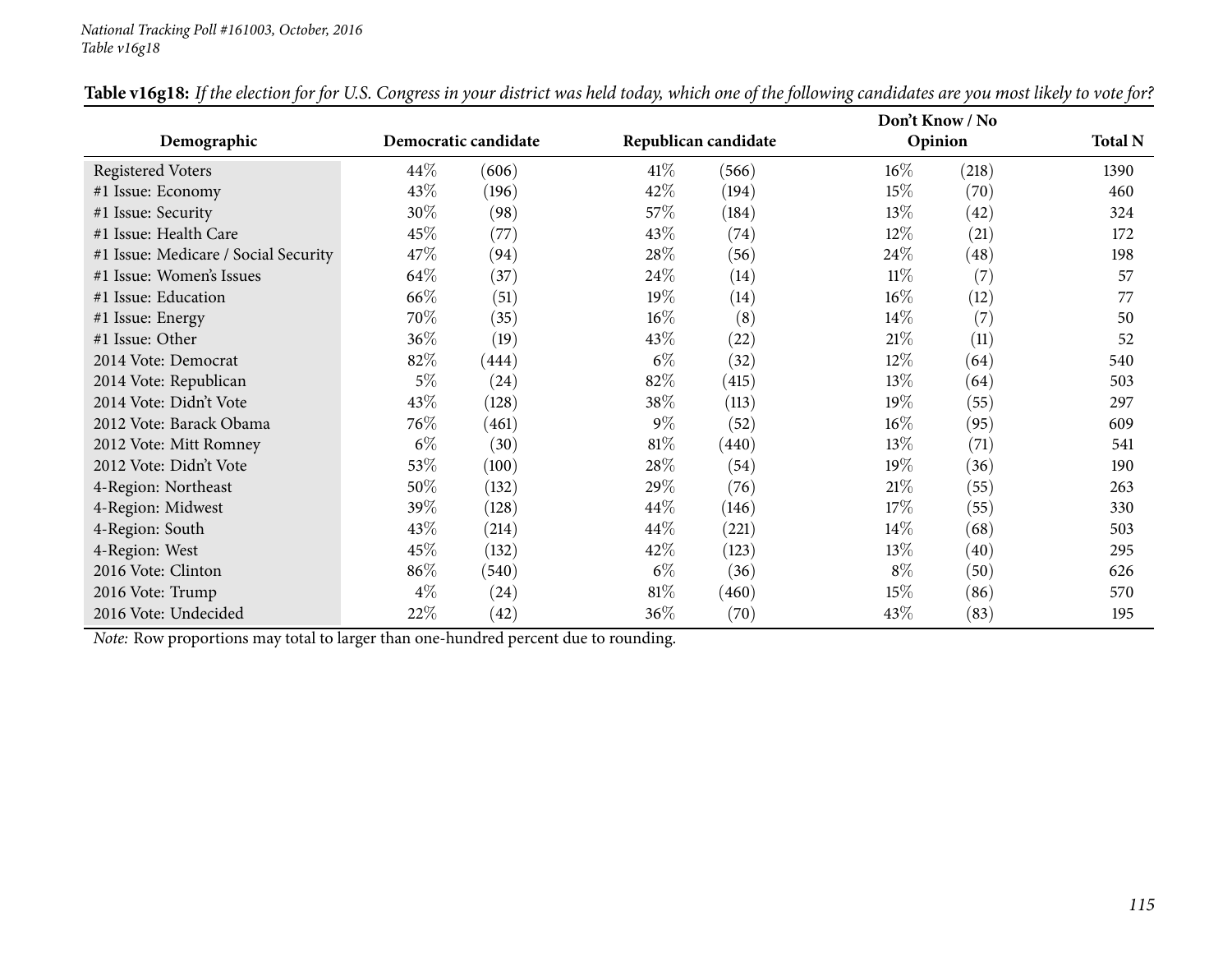|                                      |        |                      |        |                      |        | Don't Know / No |                |
|--------------------------------------|--------|----------------------|--------|----------------------|--------|-----------------|----------------|
| Demographic                          |        | Democratic candidate |        | Republican candidate |        | Opinion         | <b>Total N</b> |
| <b>Registered Voters</b>             | $44\%$ | (606)                | 41\%   | (566)                | $16\%$ | (218)           | 1390           |
| #1 Issue: Economy                    | 43\%   | (196)                | 42\%   | (194)                | $15\%$ | (70)            | 460            |
| #1 Issue: Security                   | $30\%$ | (98)                 | 57\%   | (184)                | $13\%$ | (42)            | 324            |
| #1 Issue: Health Care                | 45\%   | (77)                 | 43\%   | (74)                 | $12\%$ | (21)            | 172            |
| #1 Issue: Medicare / Social Security | 47\%   | (94)                 | 28\%   | (56)                 | 24\%   | (48)            | 198            |
| #1 Issue: Women's Issues             | 64\%   | (37)                 | 24\%   | (14)                 | $11\%$ | (7)             | 57             |
| #1 Issue: Education                  | 66\%   | (51)                 | 19%    | (14)                 | $16\%$ | (12)            | 77             |
| #1 Issue: Energy                     | 70%    | (35)                 | $16\%$ | (8)                  | $14\%$ | (7)             | 50             |
| #1 Issue: Other                      | 36%    | (19)                 | 43\%   | (22)                 | 21%    | (11)            | 52             |
| 2014 Vote: Democrat                  | 82%    | (444)                | $6\%$  | (32)                 | $12\%$ | (64)            | 540            |
| 2014 Vote: Republican                | $5\%$  | (24)                 | 82%    | (415)                | $13\%$ | (64)            | 503            |
| 2014 Vote: Didn't Vote               | 43\%   | (128)                | 38\%   | (113)                | 19%    | (55)            | 297            |
| 2012 Vote: Barack Obama              | 76\%   | (461)                | $9\%$  | (52)                 | $16\%$ | (95)            | 609            |
| 2012 Vote: Mitt Romney               | $6\%$  | (30)                 | 81\%   | (440)                | 13%    | (71)            | 541            |
| 2012 Vote: Didn't Vote               | 53%    | (100)                | 28%    | (54)                 | 19%    | (36)            | 190            |
| 4-Region: Northeast                  | 50%    | (132)                | 29%    | (76)                 | 21%    | (55)            | 263            |
| 4-Region: Midwest                    | 39%    | (128)                | 44\%   | (146)                | 17%    | (55)            | 330            |
| 4-Region: South                      | 43%    | (214)                | 44\%   | (221)                | $14\%$ | (68)            | 503            |
| 4-Region: West                       | 45\%   | (132)                | 42\%   | (123)                | 13\%   | (40)            | 295            |
| 2016 Vote: Clinton                   | 86%    | (540)                | $6\%$  | (36)                 | $8\%$  | (50)            | 626            |
| 2016 Vote: Trump                     | $4\%$  | (24)                 | $81\%$ | (460)                | 15%    | (86)            | 570            |
| 2016 Vote: Undecided                 | 22\%   | (42)                 | 36\%   | (70)                 | 43\%   | (83)            | 195            |

Table v16g18: If the election for for U.S. Congress in your district was held today, which one of the following candidates are you most likely to vote for?

*Note:* Row proportions may total to larger than one-hundred percen<sup>t</sup> due to rounding.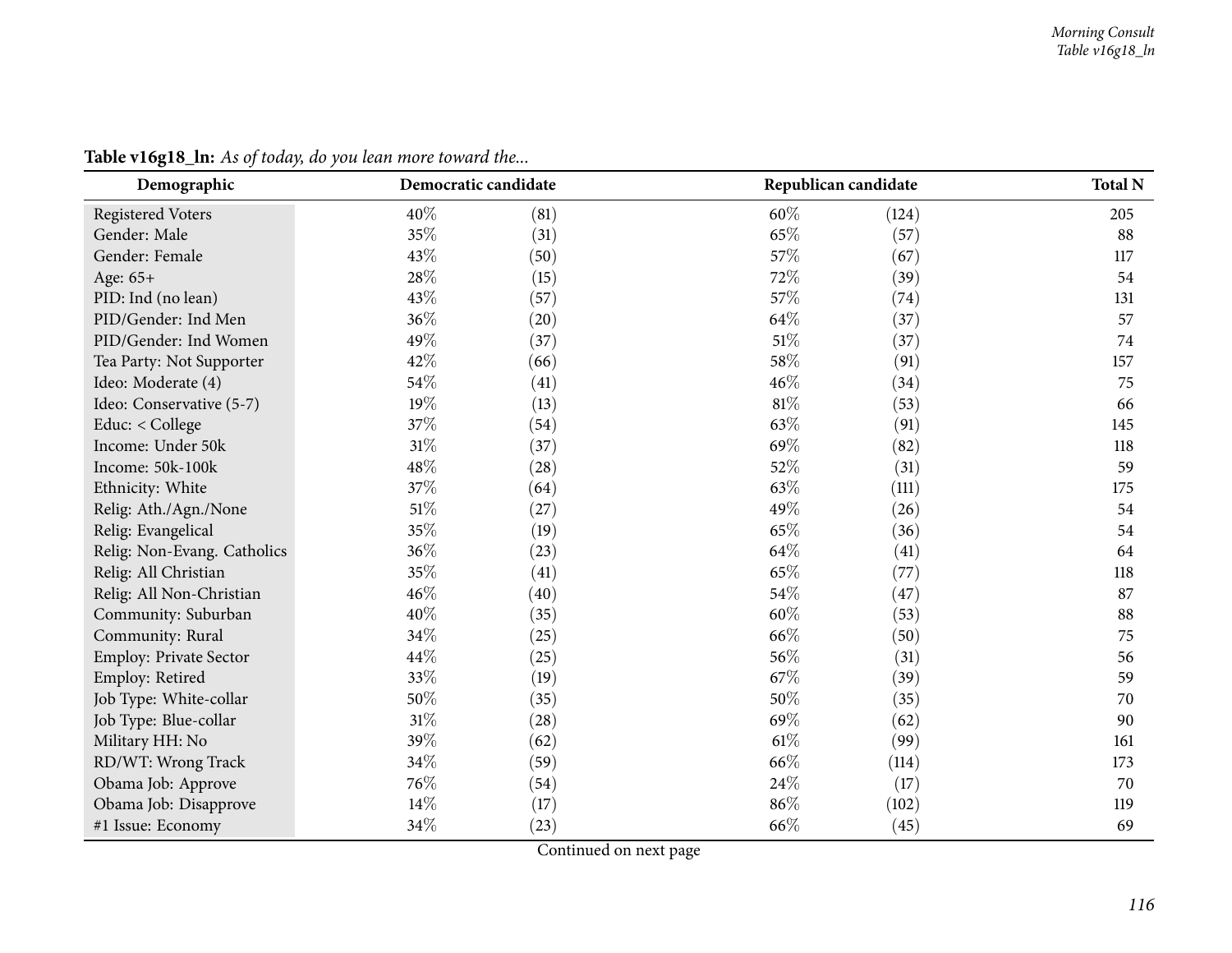| Demographic                 | Democratic candidate |      | Republican candidate | <b>Total N</b> |
|-----------------------------|----------------------|------|----------------------|----------------|
| <b>Registered Voters</b>    | 40%<br>(81)          | 60%  | (124)                | 205            |
| Gender: Male                | 35%<br>(31)          | 65%  | (57)                 | 88             |
| Gender: Female              | 43%<br>(50)          | 57%  | (67)                 | 117            |
| Age: 65+                    | 28%<br>(15)          | 72%  | (39)                 | 54             |
| PID: Ind (no lean)          | 43%<br>(57)          | 57%  | (74)                 | 131            |
| PID/Gender: Ind Men         | 36%<br>(20)          | 64%  | (37)                 | 57             |
| PID/Gender: Ind Women       | 49%<br>(37)          | 51%  | (37)                 | 74             |
| Tea Party: Not Supporter    | 42%<br>(66)          | 58%  | (91)                 | 157            |
| Ideo: Moderate (4)          | 54%<br>(41)          | 46%  | (34)                 | 75             |
| Ideo: Conservative (5-7)    | 19%<br>(13)          | 81%  | (53)                 | 66             |
| Educ: < College             | 37%<br>(54)          | 63%  | (91)                 | 145            |
| Income: Under 50k           | 31%<br>(37)          | 69%  | (82)                 | 118            |
| Income: 50k-100k            | 48%<br>(28)          | 52%  | (31)                 | 59             |
| Ethnicity: White            | 37%<br>(64)          | 63%  | (111)                | 175            |
| Relig: Ath./Agn./None       | 51%<br>(27)          | 49%  | (26)                 | 54             |
| Relig: Evangelical          | 35%<br>(19)          | 65%  | (36)                 | 54             |
| Relig: Non-Evang. Catholics | 36%<br>(23)          | 64%  | (41)                 | 64             |
| Relig: All Christian        | 35%<br>(41)          | 65%  | (77)                 | 118            |
| Relig: All Non-Christian    | 46%<br>(40)          | 54%  | (47)                 | 87             |
| Community: Suburban         | 40%<br>(35)          | 60%  | (53)                 | 88             |
| Community: Rural            | 34%<br>(25)          | 66%  | (50)                 | 75             |
| Employ: Private Sector      | 44%<br>(25)          | 56%  | (31)                 | 56             |
| Employ: Retired             | 33%<br>(19)          | 67%  | (39)                 | 59             |
| Job Type: White-collar      | 50%<br>(35)          | 50%  | (35)                 | 70             |
| Job Type: Blue-collar       | 31%<br>(28)          | 69%  | (62)                 | 90             |
| Military HH: No             | 39%<br>(62)          | 61\% | (99)                 | 161            |
| RD/WT: Wrong Track          | 34%<br>(59)          | 66%  | (114)                | 173            |
| Obama Job: Approve          | 76%<br>(54)          | 24%  | (17)                 | 70             |
| Obama Job: Disapprove       | 14%<br>(17)          | 86%  | (102)                | 119            |
| #1 Issue: Economy           | 34%<br>(23)          | 66%  | (45)                 | 69             |

**Table v16g18\_ln:** *As of today, do you lean more toward the...*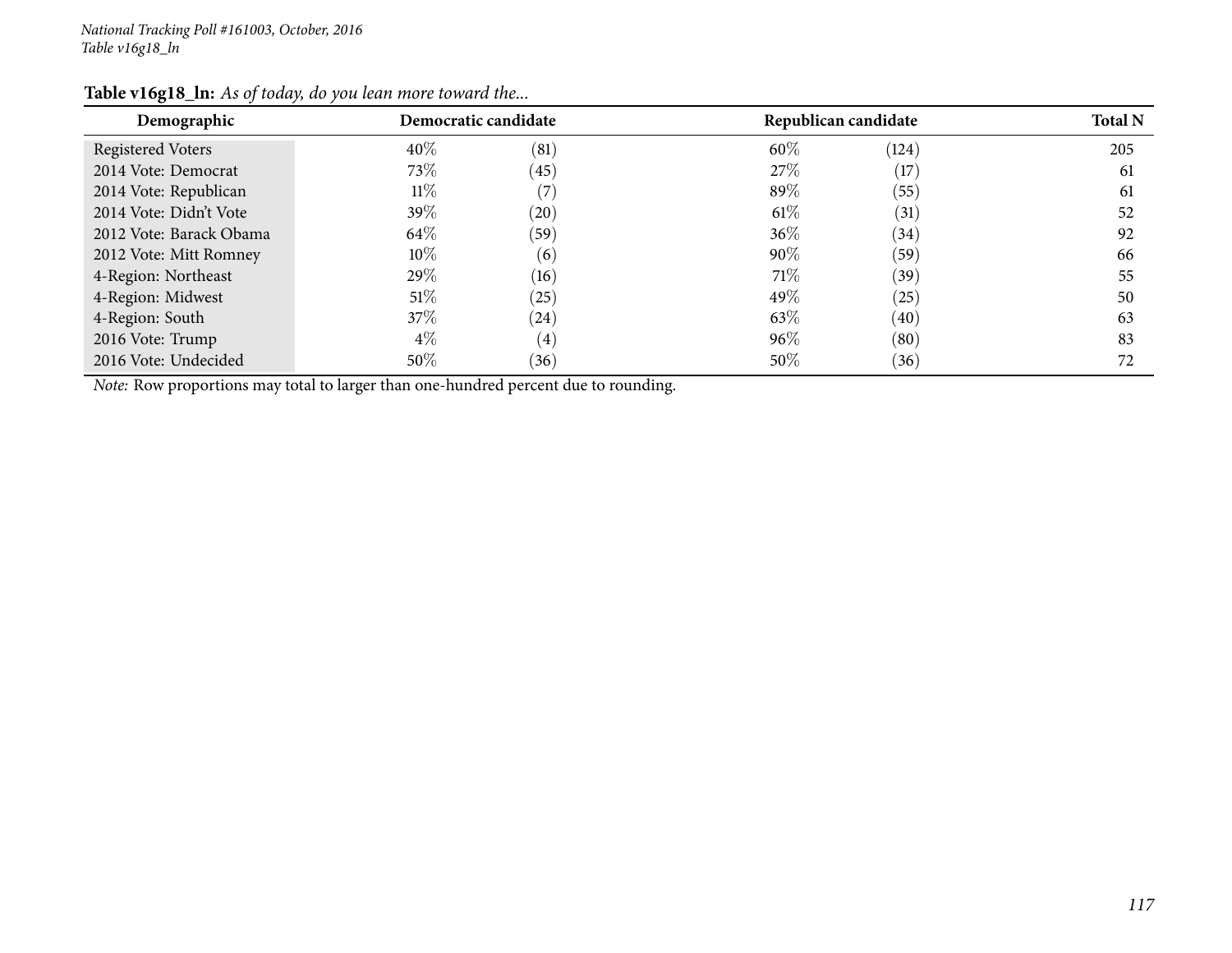| Demographic                                                                                | Democratic candidate |                    | Republican candidate |       | <b>Total N</b> |
|--------------------------------------------------------------------------------------------|----------------------|--------------------|----------------------|-------|----------------|
| Registered Voters                                                                          | $40\%$               | (81)               | 60%                  | (124) | 205            |
| 2014 Vote: Democrat                                                                        | 73\%                 | (45)               | 27\%                 | (17)  | 61             |
| 2014 Vote: Republican                                                                      | $11\%$               | (7)                | 89%                  | (55)  | 61             |
| 2014 Vote: Didn't Vote                                                                     | 39\%                 | $\left( 20\right)$ | $61\%$               | (31)  | 52             |
| 2012 Vote: Barack Obama                                                                    | 64\%                 | (59)               | $36\%$               | (34)  | 92             |
| 2012 Vote: Mitt Romney                                                                     | $10\%$               | $\left( 6\right)$  | $90\%$               | (59)  | 66             |
| 4-Region: Northeast                                                                        | 29\%                 | (16)               | 71%                  | (39)  | 55             |
| 4-Region: Midwest                                                                          | $51\%$               | (25)               | 49%                  | (25)  | 50             |
| 4-Region: South                                                                            | 37\%                 | $\left( 24\right)$ | 63%                  | (40)  | 63             |
| 2016 Vote: Trump                                                                           | $4\%$                | $\left( 4\right)$  | 96%                  | (80)  | 83             |
| 2016 Vote: Undecided                                                                       | 50%                  | (36)               | 50%                  | (36)  | 72             |
| <i>Note:</i> Row proportions may total to larger than one-hundred percent due to rounding. |                      |                    |                      |       |                |

## **Table v16g18\_ln:** *As of today, do you lean more toward the...*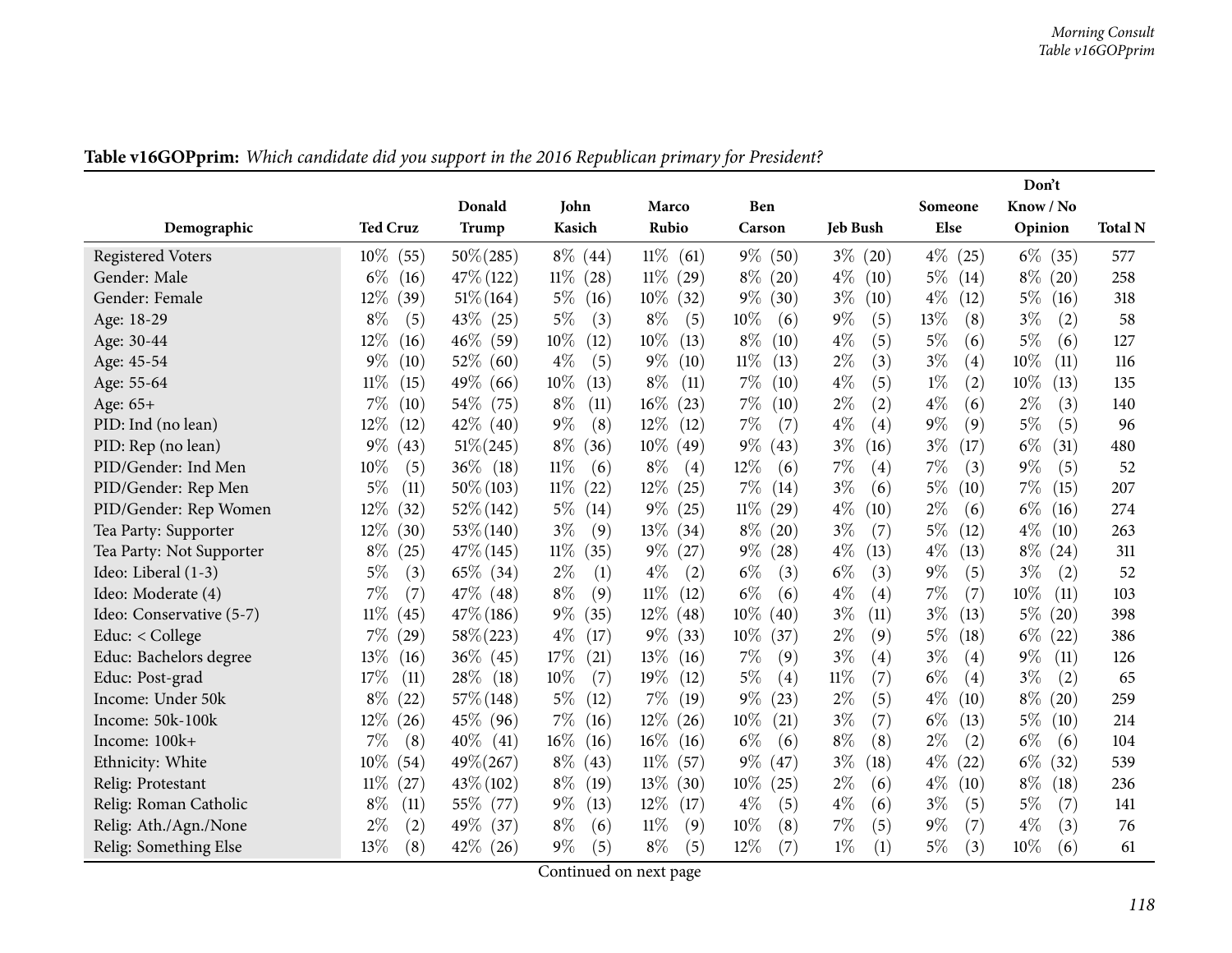|                          |                 |                |                |                |                    |                 |               | Don't         |                |
|--------------------------|-----------------|----------------|----------------|----------------|--------------------|-----------------|---------------|---------------|----------------|
|                          |                 | Donald         | John           | Marco          | Ben                |                 | Someone       | Know / No     |                |
| Demographic              | <b>Ted Cruz</b> | Trump          | Kasich         | Rubio          | Carson             | <b>Jeb Bush</b> | Else          | Opinion       | <b>Total N</b> |
| <b>Registered Voters</b> | $10\%$<br>(55)  | $50\% (285)$   | $8\%$ (44)     | $11\%$<br>(61) | $9\%$ (50)         | $3\%$<br>(20)   | $4\%$<br>(25) | $6\%$<br>(35) | 577            |
| Gender: Male             | $6\%$<br>(16)   | $47\%$ (122)   | $11\%$<br>(28) | $11\%$<br>(29) | $8\%$<br>(20)      | $4\%$<br>(10)   | $5\%$<br>(14) | $8\%$<br>(20) | 258            |
| Gender: Female           | 12%<br>(39)     | $51\% (164)$   | $5\%$<br>(16)  | $10\%$<br>(32) | $9\%$<br>(30)      | $3\%$<br>(10)   | $4\%$<br>(12) | $5\%$<br>(16) | 318            |
| Age: 18-29               | $8\%$<br>(5)    | $43\%$ (25)    | $5\%$<br>(3)   | $8\%$<br>(5)   | 10%<br>(6)         | $9\%$<br>(5)    | 13%<br>(8)    | $3\%$<br>(2)  | 58             |
| Age: 30-44               | 12%<br>(16)     | $46\%$<br>(59) | $10\%$<br>(12) | $10\%$<br>(13) | $8\%$<br>(10)      | $4\%$<br>(5)    | $5\%$<br>(6)  | $5\%$<br>(6)  | 127            |
| Age: 45-54               | $9\%$<br>(10)   | 52\%<br>(60)   | $4\%$<br>(5)   | $9\%$<br>(10)  | $11\%$<br>(13)     | $2\%$<br>(3)    | $3\%$<br>(4)  | 10%<br>(11)   | 116            |
| Age: 55-64               | 11%<br>(15)     | 49\%<br>(66)   | $10\%$<br>(13) | $8\%$<br>(11)  | $7\%$<br>(10)      | $4\%$<br>(5)    | $1\%$<br>(2)  | 10%<br>(13)   | 135            |
| Age: 65+                 | 7%<br>(10)      | $54\%$<br>(75) | $8\%$<br>(11)  | $16\%$<br>(23) | $7\%$<br>(10)      | $2\%$<br>(2)    | $4\%$<br>(6)  | $2\%$<br>(3)  | 140            |
| PID: Ind (no lean)       | $12\%$<br>(12)  | $42\%$ (40)    | $9\%$<br>(8)   | $12\%$<br>(12) | $7\%$<br>(7)       | $4\%$<br>(4)    | $9\%$<br>(9)  | $5\%$<br>(5)  | 96             |
| PID: Rep (no lean)       | $9\%$<br>(43)   | $51\% (245)$   | $8\%$<br>(36)  | $10\%$ (49)    | $9\%$<br>(43)      | $3\%$<br>(16)   | $3\%$<br>(17) | $6\%$<br>(31) | 480            |
| PID/Gender: Ind Men      | $10\%$<br>(5)   | $36\%$ (18)    | $11\%$<br>(6)  | $8\%$<br>(4)   | $12\%$<br>(6)      | 7%<br>(4)       | 7%<br>(3)     | $9\%$<br>(5)  | 52             |
| PID/Gender: Rep Men      | 5%<br>(11)      | $50\% (103)$   | $11\%$<br>(22) | 12\%<br>(25)   | $7\%$<br>(14)      | $3\%$<br>(6)    | $5\%$<br>(10) | 7%<br>(15)    | 207            |
| PID/Gender: Rep Women    | 12%<br>(32)     | $52\% (142)$   | $5\%$<br>(14)  | $9\%$<br>(25)  | $11\%$<br>(29)     | $4\%$<br>(10)   | $2\%$<br>(6)  | $6\%$<br>(16) | 274            |
| Tea Party: Supporter     | $12\%$<br>(30)  | $53\% (140)$   | $3\%$<br>(9)   | 13\%<br>(34)   | $8\%$<br>(20)      | $3\%$<br>(7)    | $5\%$<br>(12) | $4\%$<br>(10) | 263            |
| Tea Party: Not Supporter | $8\%$<br>(25)   | $47\%$ (145)   | $11\%$<br>(35) | $9\%$<br>(27)  | $9\%$<br>$^{'}28)$ | $4\%$<br>(13)   | $4\%$<br>(13) | $8\%$<br>(24) | 311            |
| Ideo: Liberal (1-3)      | $5\%$<br>(3)    | $65\%$ (34)    | $2\%$<br>(1)   | $4\%$<br>(2)   | $6\%$<br>(3)       | $6\%$<br>(3)    | $9\%$<br>(5)  | $3\%$<br>(2)  | 52             |
| Ideo: Moderate (4)       | $7\%$<br>(7)    | 47\% (48)      | $8\%$<br>(9)   | $11\%$<br>(12) | $6\%$<br>(6)       | $4\%$<br>(4)    | 7%<br>(7)     | 10%<br>(11)   | 103            |
| Ideo: Conservative (5-7) | $11\%$<br>(45)  | $47\%$ (186)   | $9\%$<br>(35)  | $12\%$<br>(48) | $10\%$<br>(40)     | $3\%$<br>(11)   | $3\%$<br>(13) | $5\%$<br>(20) | 398            |
| Educ: $<$ College        | $7\%$<br>(29)   | $58\% (223)$   | $4\%$<br>(17)  | $9\%$<br>(33)  | $10\%$<br>(37)     | $2\%$<br>(9)    | $5\%$<br>(18) | $6\%$<br>(22) | 386            |
| Educ: Bachelors degree   | 13%<br>(16)     | $36\%$ (45)    | 17%<br>(21)    | 13%<br>(16)    | 7%<br>(9)          | $3\%$<br>(4)    | $3\%$<br>(4)  | $9\%$<br>(11) | 126            |
| Educ: Post-grad          | 17\%<br>(11)    | 28\%<br>(18)   | $10\%$<br>(7)  | 19%<br>(12)    | $5\%$<br>(4)       | $11\%$<br>(7)   | $6\%$<br>(4)  | $3\%$<br>(2)  | 65             |
| Income: Under 50k        | $8\%$<br>(22)   | $57\%$ (148)   | $5\%$<br>(12)  | $7\%$<br>(19)  | $9\%$<br>(23)      | $2\%$<br>(5)    | $4\%$<br>(10) | $8\%$<br>(20) | 259            |
| Income: 50k-100k         | $12\%$<br>(26)  | 45\% (96)      | $7\%$<br>(16)  | $12\%$<br>(26) | $10\%$<br>(21)     | $3\%$<br>(7)    | $6\%$<br>(13) | $5\%$<br>(10) | 214            |
| Income: 100k+            | 7%<br>(8)       | $40\%$<br>(41) | $16\%$<br>(16) | $16\%$<br>(16) | $6\%$<br>(6)       | $8\%$<br>(8)    | $2\%$<br>(2)  | $6\%$<br>(6)  | 104            |
| Ethnicity: White         | $10\%$<br>(54)  | $49\% (267)$   | $8\%$<br>(43)  | $11\%$<br>(57) | $9\%$<br>(47)      | $3\%$<br>(18)   | $4\%$<br>(22) | $6\%$<br>(32) | 539            |
| Relig: Protestant        | $11\%$<br>(27)  | 43\% (102)     | $8\%$<br>(19)  | 13%<br>(30)    | $10\%$<br>(25)     | $2\%$<br>(6)    | $4\%$<br>(10) | $8\%$<br>(18) | 236            |
| Relig: Roman Catholic    | $8\%$<br>(11)   | 55\% (77)      | $9\%$<br>(13)  | 12%<br>(17)    | $4\%$<br>(5)       | $4\%$<br>(6)    | $3\%$<br>(5)  | 5%<br>(7)     | 141            |
| Relig: Ath./Agn./None    | $2\%$<br>(2)    | 49%<br>(37)    | $8\%$<br>(6)   | 11%<br>(9)     | 10%<br>(8)         | 7%<br>(5)       | $9\%$<br>(7)  | $4\%$<br>(3)  | 76             |
| Relig: Something Else    | 13%<br>(8)      | $42\%$<br>(26) | $9\%$<br>(5)   | $8\%$<br>(5)   | $12\%$<br>(7)      | $1\%$<br>(1)    | $5\%$<br>(3)  | 10%<br>(6)    | 61             |

Table v16GOPprim: Which candidate did you support in the 2016 Republican primary for President?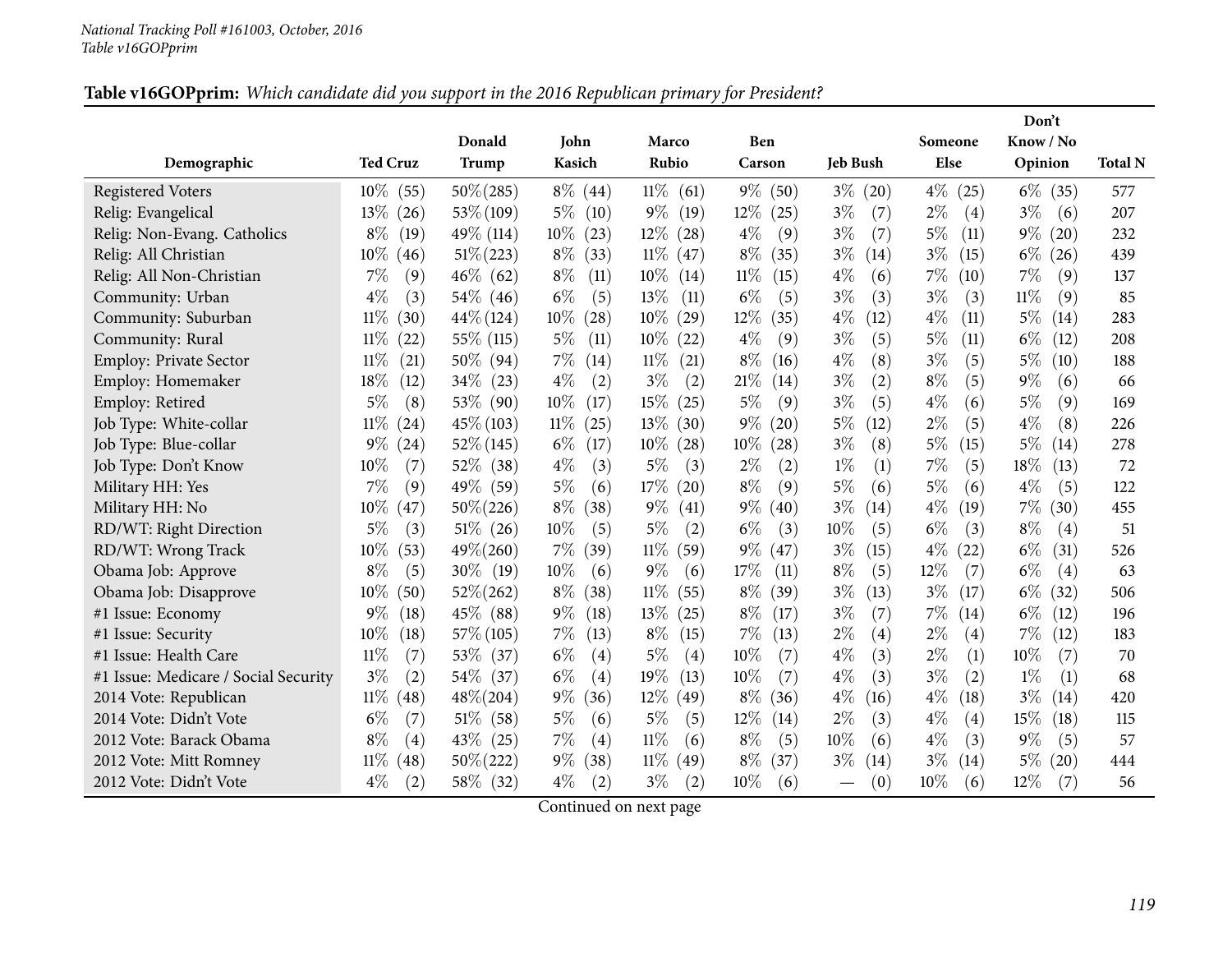#### Table v16GOPprim: Which candidate did you support in the 2016 Republican primary for President?

|                                      |                 |              |                |                |                |                 |               | Don't         |                |
|--------------------------------------|-----------------|--------------|----------------|----------------|----------------|-----------------|---------------|---------------|----------------|
|                                      |                 | Donald       | John           | Marco          | Ben            |                 | Someone       | Know / No     |                |
| Demographic                          | <b>Ted Cruz</b> | Trump        | Kasich         | Rubio          | Carson         | <b>Jeb Bush</b> | Else          | Opinion       | <b>Total N</b> |
| <b>Registered Voters</b>             | $10\%$<br>(55)  | $50\% (285)$ | $8\%$ (44)     | $11\%$<br>(61) | $9\%$<br>(50)  | $3\%$<br>(20)   | $4\%$<br>(25) | $6\%$<br>(35) | 577            |
| Relig: Evangelical                   | $13\%$<br>(26)  | $53\% (109)$ | $5\%$<br>(10)  | $9\%$<br>(19)  | $12\%$<br>(25) | $3\%$<br>(7)    | $2\%$<br>(4)  | $3\%$<br>(6)  | 207            |
| Relig: Non-Evang. Catholics          | $8\%$<br>(19)   | 49\% (114)   | $10\%$<br>(23) | $12\%$<br>(28) | $4\%$<br>(9)   | $3\%$<br>(7)    | $5\%$<br>(11) | $9\%$<br>(20) | 232            |
| Relig: All Christian                 | $10\%$<br>(46)  | $51\% (223)$ | $8\%$<br>(33)  | $11\%$ (47)    | $8\%$<br>(35)  | $3\%$<br>(14)   | $3\%$<br>(15) | $6\%$<br>(26) | 439            |
| Relig: All Non-Christian             | $7\%$<br>(9)    | $46\%$ (62)  | $8\%$<br>(11)  | $10\%$<br>(14) | $11\%$<br>(15) | $4\%$<br>(6)    | 7%<br>(10)    | 7%<br>(9)     | 137            |
| Community: Urban                     | $4\%$<br>(3)    | 54\% (46)    | $6\%$<br>(5)   | 13%<br>(11)    | $6\%$<br>(5)   | $3\%$<br>(3)    | $3\%$<br>(3)  | $11\%$<br>(9) | 85             |
| Community: Suburban                  | $11\%$<br>(30)  | $44\%$ (124) | $10\%$<br>(28) | $10\%$<br>(29) | $12\%$<br>(35) | $4\%$<br>(12)   | $4\%$<br>(11) | $5\%$<br>(14) | 283            |
| Community: Rural                     | $11\%$<br>(22)  | 55\% (115)   | $5\%$<br>(11)  | $10\%$<br>(22) | $4\%$<br>(9)   | $3\%$<br>(5)    | $5\%$<br>(11) | $6\%$<br>(12) | 208            |
| Employ: Private Sector               | $11\%$<br>(21)  | $50\%$ (94)  | $7\%$<br>(14)  | $11\%$<br>(21) | $8\%$<br>(16)  | $4\%$<br>(8)    | $3\%$<br>(5)  | $5\%$<br>(10) | 188            |
| Employ: Homemaker                    | 18\%<br>(12)    | $34\%$ (23)  | $4\%$<br>(2)   | $3\%$<br>(2)   | 21%<br>(14)    | (2)<br>$3\%$    | $8\%$<br>(5)  | $9\%$<br>(6)  | 66             |
| Employ: Retired                      | $5\%$<br>(8)    | 53\% (90)    | $10\%$<br>(17) | 15%<br>(25)    | 5%<br>(9)      | $3\%$<br>(5)    | $4\%$<br>(6)  | $5\%$<br>(9)  | 169            |
| Job Type: White-collar               | $11\%$<br>(24)  | $45\% (103)$ | $11\%$<br>(25) | 13\%<br>(30)   | $9\%$<br>(20)  | 5%<br>(12)      | $2\%$<br>(5)  | $4\%$<br>(8)  | 226            |
| Job Type: Blue-collar                | $9\%$<br>(24)   | $52\%$ (145) | $6\%$<br>(17)  | $10\%$<br>(28) | $10\%$<br>(28) | $3\%$<br>(8)    | $5\%$<br>(15) | $5\%$<br>(14) | 278            |
| Job Type: Don't Know                 | (7)<br>$10\%$   | 52\% (38)    | $4\%$<br>(3)   | 5%<br>(3)      | $2\%$<br>(2)   | $1\%$<br>(1)    | 7%<br>(5)     | 18%<br>(13)   | 72             |
| Military HH: Yes                     | 7%<br>(9)       | 49\% (59)    | $5\%$<br>(6)   | 17%<br>(20)    | $8\%$<br>(9)   | 5%<br>(6)       | 5%<br>(6)     | $4\%$<br>(5)  | 122            |
| Military HH: No                      | $10\%$<br>(47)  | $50\% (226)$ | $8\%$<br>(38)  | $9\%$<br>(41)  | $9\%$<br>(40)  | $3\%$<br>(14)   | $4\%$<br>(19) | $7\%$<br>(30) | 455            |
| RD/WT: Right Direction               | $5\%$<br>(3)    | $51\%$ (26)  | $10\%$<br>(5)  | $5\%$<br>(2)   | $6\%$<br>(3)   | 10%<br>(5)      | $6\%$<br>(3)  | $8\%$<br>(4)  | 51             |
| RD/WT: Wrong Track                   | $10\%$<br>(53)  | $49\% (260)$ | $7\%$<br>(39)  | $11\%$<br>(59) | $9\%$<br>(47)  | $3\%$<br>(15)   | $4\%$<br>(22) | $6\%$<br>(31) | 526            |
| Obama Job: Approve                   | $8\%$<br>(5)    | $30\%$ (19)  | 10%<br>(6)     | $9\%$<br>(6)   | 17%<br>(11)    | $8\%$<br>(5)    | $12\%$<br>(7) | $6\%$<br>(4)  | 63             |
| Obama Job: Disapprove                | $10\%$<br>(50)  | $52\% (262)$ | $8\%$<br>(38)  | 11%<br>(55)    | $8\%$<br>(39)  | $3\%$<br>(13)   | $3\%$<br>(17) | $6\%$<br>(32) | 506            |
| #1 Issue: Economy                    | $9\%$<br>(18)   | 45\% (88)    | $9\%$<br>(18)  | 13\%<br>(25)   | $8\%$<br>(17)  | $3\%$<br>(7)    | $7\%$<br>(14) | $6\%$<br>(12) | 196            |
| #1 Issue: Security                   | $10\%$<br>(18)  | $57\%$ (105) | $7\%$<br>(13)  | $8\%$<br>(15)  | 7%<br>(13)     | $2\%$<br>(4)    | $2\%$<br>(4)  | $7\%$<br>(12) | 183            |
| #1 Issue: Health Care                | $11\%$<br>(7)   | 53\% (37)    | $6\%$<br>(4)   | $5\%$<br>(4)   | 10%<br>(7)     | $4\%$<br>(3)    | $2\%$<br>(1)  | 10%<br>(7)    | 70             |
| #1 Issue: Medicare / Social Security | $3\%$<br>(2)    | 54\% (37)    | $6\%$<br>(4)   | 19%<br>(13)    | 10%<br>(7)     | $4\%$<br>(3)    | $3\%$<br>(2)  | $1\%$<br>(1)  | 68             |
| 2014 Vote: Republican                | $11\%$<br>(48)  | $48\% (204)$ | $9\%$<br>(36)  | $12\%$<br>(49) | $8\%$<br>(36)  | $4\%$<br>(16)   | $4\%$<br>(18) | $3\%$<br>(14) | 420            |
| 2014 Vote: Didn't Vote               | $6\%$<br>(7)    | $51\%$ (58)  | $5\%$<br>(6)   | 5%<br>(5)      | $12\%$<br>(14) | $2\%$<br>(3)    | $4\%$<br>(4)  | 15%<br>(18)   | 115            |
| 2012 Vote: Barack Obama              | $8\%$<br>(4)    | $43\%$ (25)  | 7%<br>(4)      | 11%<br>(6)     | $8\%$<br>(5)   | 10%<br>(6)      | $4\%$<br>(3)  | $9\%$<br>(5)  | 57             |
| 2012 Vote: Mitt Romney               | $11\%$<br>(48)  | $50\% (222)$ | $9\%$<br>(38)  | $11\%$<br>(49) | $8\%$<br>(37)  | $3\%$<br>(14)   | $3\%$<br>(14) | $5\%$<br>(20) | 444            |
| 2012 Vote: Didn't Vote               | $4\%$<br>(2)    | 58\% (32)    | $4\%$<br>(2)   | $3\%$<br>(2)   | 10%<br>(6)     | (0)             | 10%<br>(6)    | 12%<br>(7)    | 56             |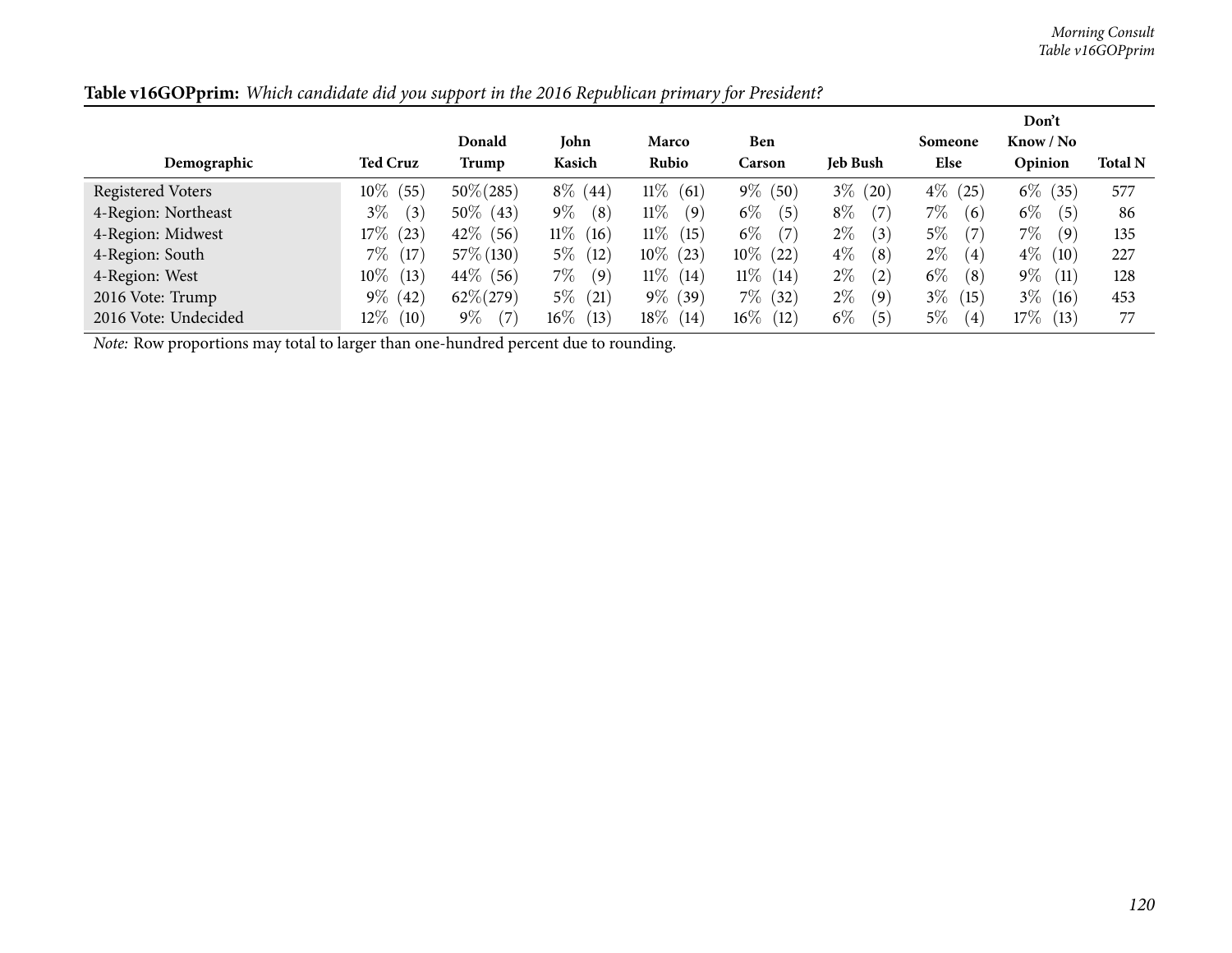*Morning Consult Table v16GOPprim*

|                      |                 |              |              |                |              |                 |               | Don't         |                |
|----------------------|-----------------|--------------|--------------|----------------|--------------|-----------------|---------------|---------------|----------------|
|                      |                 | Donald       | John         | Marco          | Ben          |                 | Someone       | Know / No     |                |
| Demographic          | <b>Ted Cruz</b> | Trump        | Kasich       | Rubio          | Carson       | <b>Jeb Bush</b> | Else          | Opinion       | <b>Total N</b> |
| Registered Voters    | $10\%$<br>(55)  | $50\% (285)$ | $8\%$ (44)   | $11\%$<br>(61) | $9\%$ (50)   | $3\%$<br>(20)   | $4\%$<br>(25) | $6\%$<br>(35) | 577            |
| 4-Region: Northeast  | $3\%$<br>(3)    | $50\%$ (43)  | $9\%$<br>(8) | $11\%$<br>(9)  | $6\%$<br>(5) | $8\%$<br>(7)    | $7\%$<br>(6)  | $6\%$<br>(5)  | 86             |
| 4-Region: Midwest    | $17\%$<br>(23)  | $42\%$ (56)  | $11\%$ (16)  | $11\%$<br>(15) | $6\%$<br>(7) | $2\%$<br>(3)    | $5\%$<br>(7)  | $7\%$<br>(9)  | 135            |
| 4-Region: South      | $7\%$<br>(17)   | 57\% (130)   | $5\%$ (12)   | $10\%$ (23)    | $10\%$ (22)  | $4\%$<br>(8)    | $2\%$<br>(4)  | $4\%$<br>(10) | 227            |
| 4-Region: West       | $10\%$<br>(13)  | $44\%$ (56)  | $7\%$<br>(9) | $11\%$<br>(14) | $11\%$ (14)  | $2\%$<br>(2)    | $6\%$<br>(8)  | $9\%$<br>(11) | 128            |
| 2016 Vote: Trump     | $9\%$<br>(42)   | $62\% (279)$ | $5\%$ (21)   | $9\%$ (39)     | $7\%$ (32)   | $2\%$<br>(9)    | $3\%$<br>(15) | $3\%$<br>(16) | 453            |
| 2016 Vote: Undecided | $12\%$<br>(10)  | $9\%$<br>(7) | $16\%$ (13)  | $18\%$<br>(14) | $16\%$ (12)  | $6\%$<br>(5)    | $5\%$<br>(4)  | 17%<br>(13)   | 77             |

Table v16GOPprim: Which candidate did you support in the 2016 Republican primary for President?

*Note:* Row proportions may total to larger than one-hundred percen<sup>t</sup> due to rounding.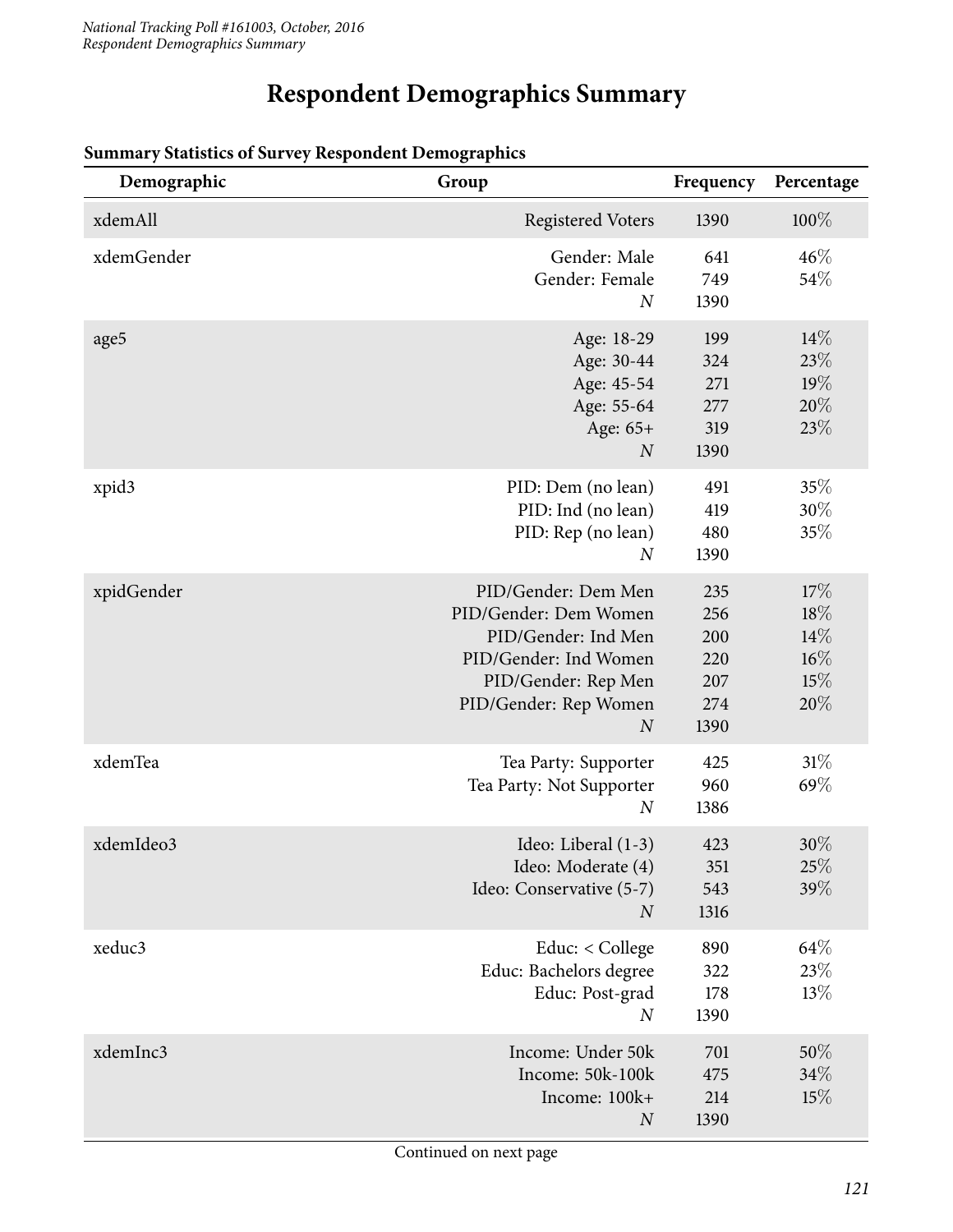# **Respondent Demographics Summary**

| Demographic | Group                                                                                                                                                            | Frequency                                      | Percentage                             |
|-------------|------------------------------------------------------------------------------------------------------------------------------------------------------------------|------------------------------------------------|----------------------------------------|
| xdemAll     | <b>Registered Voters</b>                                                                                                                                         | 1390                                           | $100\%$                                |
| xdemGender  | Gender: Male<br>Gender: Female<br>$\boldsymbol{N}$                                                                                                               | 641<br>749<br>1390                             | 46%<br>54%                             |
| age5        | Age: 18-29<br>Age: 30-44<br>Age: 45-54<br>Age: 55-64<br>Age: 65+<br>$\boldsymbol{N}$                                                                             | 199<br>324<br>271<br>277<br>319<br>1390        | 14%<br>23%<br>19%<br>20%<br>23%        |
| xpid3       | PID: Dem (no lean)<br>PID: Ind (no lean)<br>PID: Rep (no lean)<br>$\boldsymbol{N}$                                                                               | 491<br>419<br>480<br>1390                      | 35%<br>$30\%$<br>35%                   |
| xpidGender  | PID/Gender: Dem Men<br>PID/Gender: Dem Women<br>PID/Gender: Ind Men<br>PID/Gender: Ind Women<br>PID/Gender: Rep Men<br>PID/Gender: Rep Women<br>$\boldsymbol{N}$ | 235<br>256<br>200<br>220<br>207<br>274<br>1390 | 17%<br>18%<br>14%<br>16%<br>15%<br>20% |
| xdemTea     | Tea Party: Supporter<br>Tea Party: Not Supporter<br>$\overline{N}$                                                                                               | 425<br>960<br>1386                             | 31%<br>69%                             |
| xdemIdeo3   | Ideo: Liberal (1-3)<br>Ideo: Moderate (4)<br>Ideo: Conservative (5-7)<br>$\overline{N}$                                                                          | 423<br>351<br>543<br>1316                      | 30%<br>25%<br>39%                      |
| xeduc3      | Educ: $<$ College<br>Educ: Bachelors degree<br>Educ: Post-grad<br>$\boldsymbol{N}$                                                                               | 890<br>322<br>178<br>1390                      | 64\%<br>23\%<br>13%                    |
| xdemInc3    | Income: Under 50k<br>Income: 50k-100k<br>Income: 100k+<br>$\boldsymbol{N}$                                                                                       | 701<br>475<br>214<br>1390                      | 50%<br>34%<br>15%                      |

# **Summary Statistics of Survey Respondent Demographics**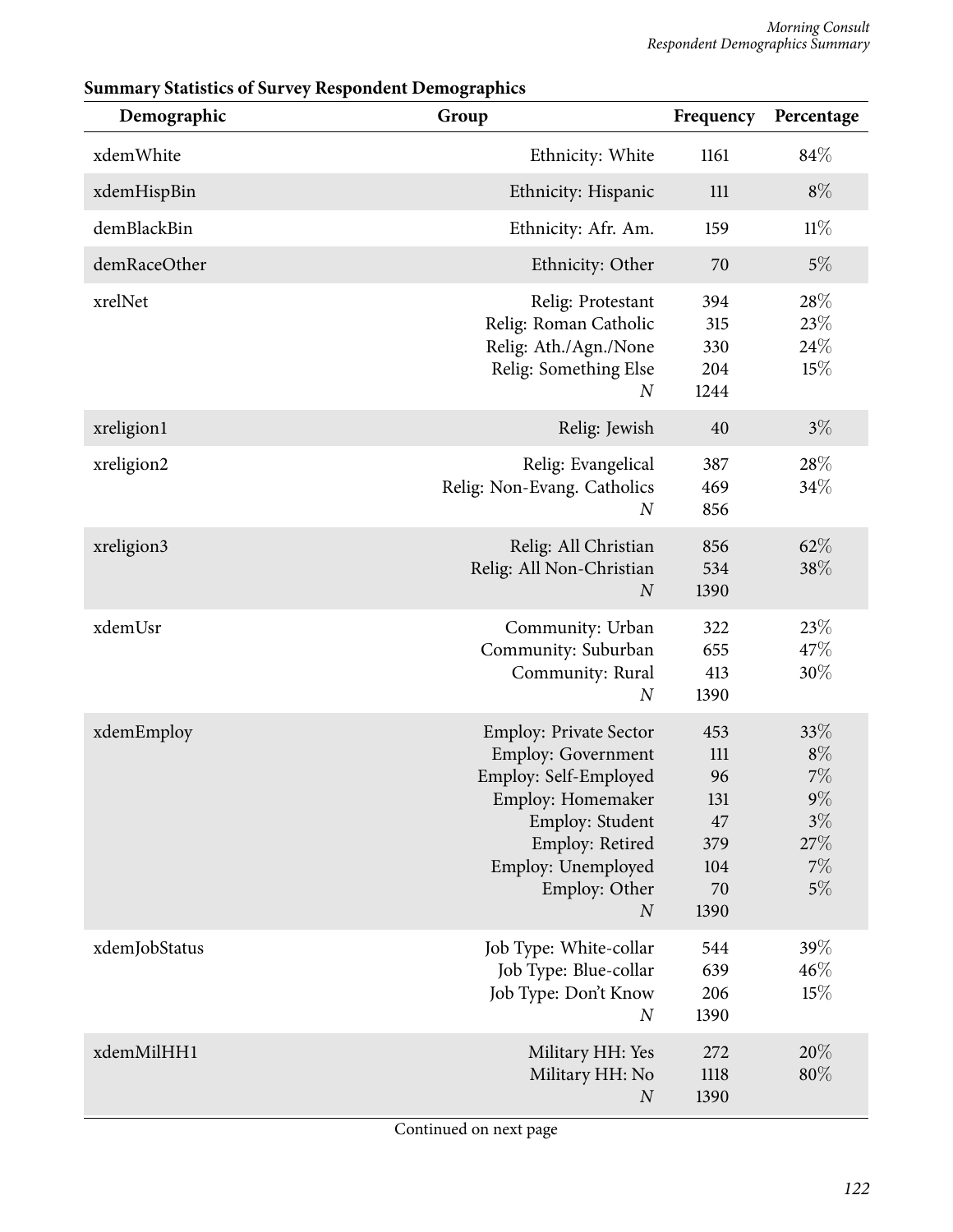| Demographic   | Group                                                                                                                                                                                              | Frequency                                                 | Percentage                                                    |
|---------------|----------------------------------------------------------------------------------------------------------------------------------------------------------------------------------------------------|-----------------------------------------------------------|---------------------------------------------------------------|
| xdemWhite     | Ethnicity: White                                                                                                                                                                                   | 1161                                                      | 84\%                                                          |
| xdemHispBin   | Ethnicity: Hispanic                                                                                                                                                                                | 111                                                       | $8\%$                                                         |
| demBlackBin   | Ethnicity: Afr. Am.                                                                                                                                                                                | 159                                                       | $11\%$                                                        |
| demRaceOther  | Ethnicity: Other                                                                                                                                                                                   | 70                                                        | $5\%$                                                         |
| xrelNet       | Relig: Protestant<br>Relig: Roman Catholic<br>Relig: Ath./Agn./None<br>Relig: Something Else<br>$\boldsymbol{N}$                                                                                   | 394<br>315<br>330<br>204<br>1244                          | 28%<br>23%<br>24%<br>15%                                      |
| xreligion1    | Relig: Jewish                                                                                                                                                                                      | 40                                                        | $3\%$                                                         |
| xreligion2    | Relig: Evangelical<br>Relig: Non-Evang. Catholics<br>$\boldsymbol{N}$                                                                                                                              | 387<br>469<br>856                                         | 28%<br>34%                                                    |
| xreligion3    | Relig: All Christian<br>Relig: All Non-Christian<br>$\cal N$                                                                                                                                       | 856<br>534<br>1390                                        | 62%<br>38\%                                                   |
| xdemUsr       | Community: Urban<br>Community: Suburban<br>Community: Rural<br>$\boldsymbol{N}$                                                                                                                    | 322<br>655<br>413<br>1390                                 | 23%<br>47%<br>30%                                             |
| xdemEmploy    | <b>Employ: Private Sector</b><br>Employ: Government<br>Employ: Self-Employed<br>Employ: Homemaker<br>Employ: Student<br>Employ: Retired<br>Employ: Unemployed<br>Employ: Other<br>$\boldsymbol{N}$ | 453<br>111<br>96<br>131<br>47<br>379<br>104<br>70<br>1390 | 33%<br>$8\%$<br>7%<br>$9\%$<br>$3\%$<br>27%<br>$7\%$<br>$5\%$ |
| xdemJobStatus | Job Type: White-collar<br>Job Type: Blue-collar<br>Job Type: Don't Know<br>$\boldsymbol{N}$                                                                                                        | 544<br>639<br>206<br>1390                                 | 39%<br>46%<br>15%                                             |
| xdemMilHH1    | Military HH: Yes<br>Military HH: No<br>$\cal N$                                                                                                                                                    | 272<br>1118<br>1390                                       | 20%<br>80%                                                    |

## **Summary Statistics of Survey Respondent Demographics**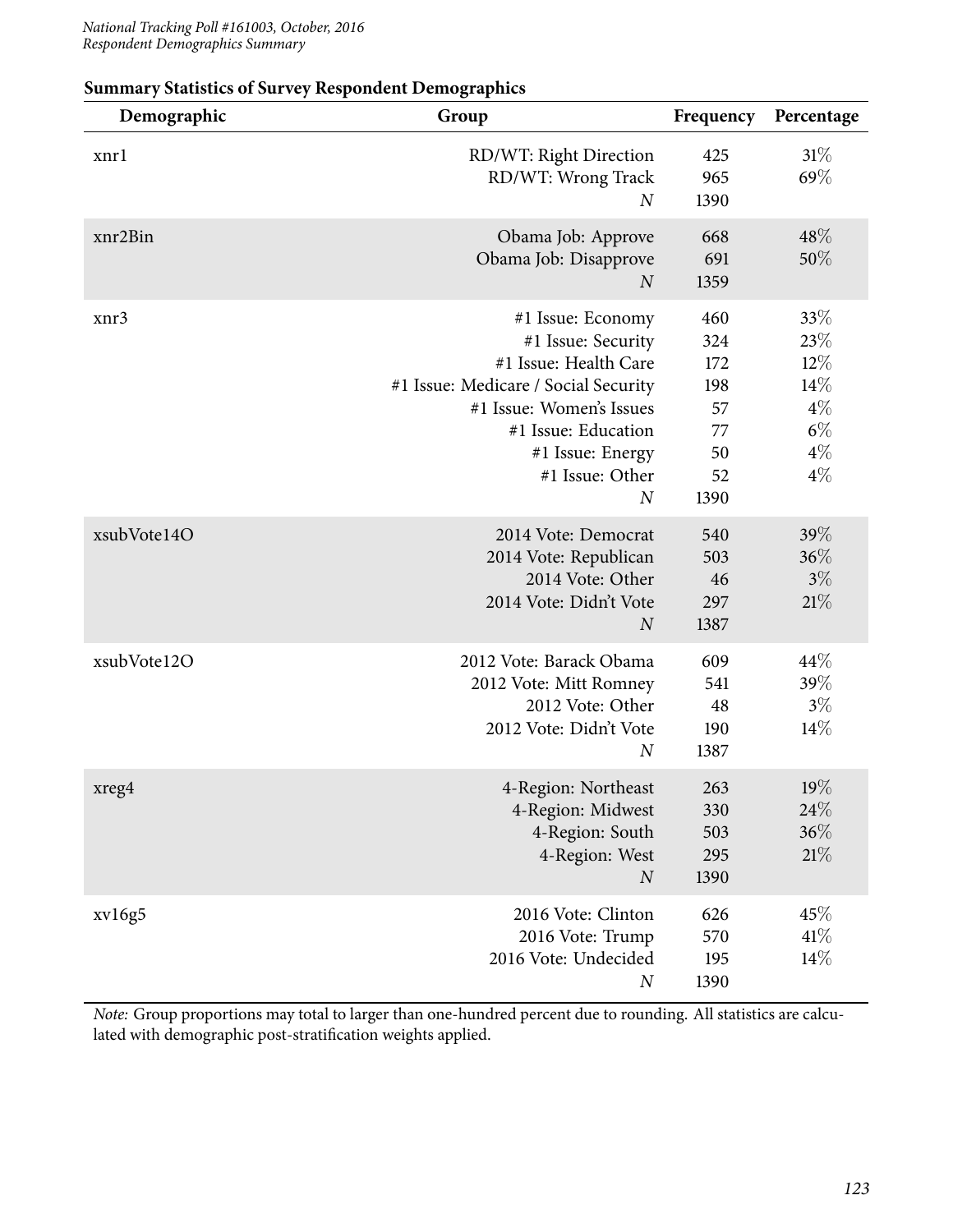| Demographic | Group                                                                                                                                                                                                                  | Frequency                                                | Percentage                                                      |
|-------------|------------------------------------------------------------------------------------------------------------------------------------------------------------------------------------------------------------------------|----------------------------------------------------------|-----------------------------------------------------------------|
| xnrl        | RD/WT: Right Direction<br>RD/WT: Wrong Track<br>$\boldsymbol{N}$                                                                                                                                                       | 425<br>965<br>1390                                       | 31%<br>69%                                                      |
| xnr2Bin     | Obama Job: Approve<br>Obama Job: Disapprove<br>$\boldsymbol{N}$                                                                                                                                                        | 668<br>691<br>1359                                       | 48\%<br>50%                                                     |
| xnr3        | #1 Issue: Economy<br>#1 Issue: Security<br>#1 Issue: Health Care<br>#1 Issue: Medicare / Social Security<br>#1 Issue: Women's Issues<br>#1 Issue: Education<br>#1 Issue: Energy<br>#1 Issue: Other<br>$\boldsymbol{N}$ | 460<br>324<br>172<br>198<br>57<br>77<br>50<br>52<br>1390 | 33%<br>23%<br>$12\%$<br>14%<br>$4\%$<br>$6\%$<br>$4\%$<br>$4\%$ |
| xsubVote14O | 2014 Vote: Democrat<br>2014 Vote: Republican<br>2014 Vote: Other<br>2014 Vote: Didn't Vote<br>$\boldsymbol{N}$                                                                                                         | 540<br>503<br>46<br>297<br>1387                          | 39%<br>36%<br>$3\%$<br>21%                                      |
| xsubVote12O | 2012 Vote: Barack Obama<br>2012 Vote: Mitt Romney<br>2012 Vote: Other<br>2012 Vote: Didn't Vote<br>$\boldsymbol{N}$                                                                                                    | 609<br>541<br>48<br>190<br>1387                          | 44\%<br>39%<br>$3\%$<br>$14\%$                                  |
| xreg4       | 4-Region: Northeast<br>4-Region: Midwest<br>4-Region: South<br>4-Region: West<br>$\boldsymbol{N}$                                                                                                                      | 263<br>330<br>503<br>295<br>1390                         | $19\%$<br>24\%<br>$36\%$<br>21%                                 |
| xv16g5      | 2016 Vote: Clinton<br>2016 Vote: Trump<br>2016 Vote: Undecided<br>$\boldsymbol{N}$                                                                                                                                     | 626<br>570<br>195<br>1390                                | 45%<br>41%<br>14%                                               |

#### **Summary Statistics of Survey Respondent Demographics**

*Note:* Group proportions may total to larger than one-hundred percent due to rounding. All statistics are calculated with demographic post-stratification weights applied.